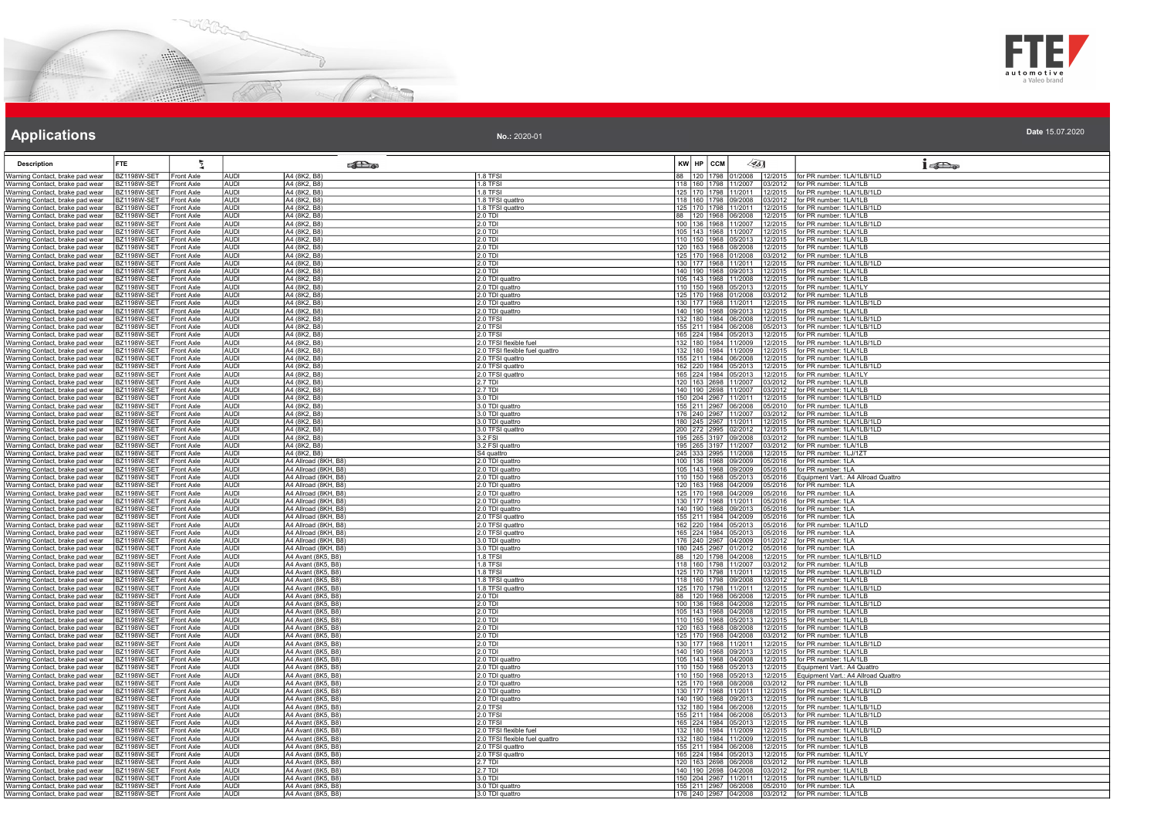



| No.: 2020-01 |             |        |        | 2020. |
|--------------|-------------|--------|--------|-------|
|              |             |        |        |       |
|              | I KW UD COM | 74 A M | $\sim$ |       |

| <b>Description</b>                                                 | FTE.                                     |                                        |                            | <b>Pa</b>                                    |                                                         | KW HP CCM | $\mathscr{L}_{5}$                                                                                                                  | $1 - 5$                                               |
|--------------------------------------------------------------------|------------------------------------------|----------------------------------------|----------------------------|----------------------------------------------|---------------------------------------------------------|-----------|------------------------------------------------------------------------------------------------------------------------------------|-------------------------------------------------------|
| Varning Contact, brake pad wear                                    | BZ1198W-SET Front Axle                   |                                        | AUDI                       | A4 (8K2, B8)                                 | 1.8 TFSI                                                |           | 88   120   1798   01/2008   12/2015   for PR number: 1LA/1LB/1LD                                                                   |                                                       |
| Warning Contact, brake pad wear<br>Warning Contact, brake pad wear | BZ1198W-SET<br><b>BZ1198W-SET</b>        | Front Axle<br>Front Axle               | <b>AUDI</b><br><b>AUDI</b> | A4 (8K2, B8)<br>A4 (8K2, B8)                 | 1.8 TFSI<br>1.8 TFSI                                    |           | 118   160   1798   11/2007   03/2012   for PR number: 1LA/1LB<br>125   170   1798   11/2011   12/2015   for PR number: 1LA/1LB/1LD |                                                       |
| Varning Contact, brake pad wear                                    | BZ1198W-SET Front Axle                   |                                        | AUDI                       | A4 (8K2, B8)                                 | 1.8 TFSI quattro                                        |           | 118 160 1798 09/2008 03/2012 for PR number: 1LA/1LB                                                                                |                                                       |
| Varning Contact, brake pad wear                                    | 3Z1198W-SET                              | <b>Front Axle</b>                      | <b>AUDI</b>                | A4 (8K2, B8)                                 | 1.8 TFSI quattro                                        |           | 125 170 1798 11/2011<br>12/2015                                                                                                    | for PR number: 1LA/1LB/1LD                            |
| Varning Contact, brake pad wear                                    | <b>BZ1198W-SET</b>                       | <b>Front Axle</b>                      | <b>AUDI</b>                | A4 (8K2, B8)                                 | $2.0$ TDI                                               |           | 88 120 1968 06/2008 12/2015                                                                                                        | for PR number: 1LA/1LB                                |
| Varning Contact, brake pad wear<br>Varning Contact, brake pad wear | <b>BZ1198W-SET</b><br><b>BZ1198W-SET</b> | Front Axle<br><b>Front Axle</b>        | <b>AUDI</b><br><b>AUDI</b> | A4 (8K2, B8)<br>A4 (8K2, B8)                 | $2.0$ TDI<br>$2.0$ TDI                                  |           | 100 136 1968 11/2007 12/2015<br>105 143 1968 11/2007 12/2015                                                                       | for PR number: 1LA/1LB/1LD<br>for PR number: 1LA/1LB  |
| Narning Contact, brake pad wear                                    | <b>BZ1198W-SET</b>                       | Front Axle                             | <b>AUDI</b>                | A4 (8K2, B8)                                 | 2.0 TDI                                                 |           | 110   150   1968   05/2013   12/2015   for PR number: 1LA/1LB                                                                      |                                                       |
| Warning Contact, brake pad wear                                    | 3Z1198W-SET                              | Front Axle                             | AUDI                       | A4 (8K2, B8)                                 | 2.0 TDI                                                 |           | 120 163 1968 08/2008 12/2015                                                                                                       | for PR number: 1LA/1LB                                |
| Varning Contact, brake pad wear                                    | 3Z1198W-SET                              | Front Axle                             | <b>AUDI</b>                | A4 (8K2, B8)                                 | $2.0$ TDI                                               |           | 125 170 1968 01/2008 03/2012                                                                                                       | for PR number: 1LA/1LB                                |
| Varning Contact, brake pad wear<br>Warning Contact, brake pad wear | <b>BZ1198W-SET</b><br>BZ1198W-SET        | Front Axle<br>Front Axle               | AUDI<br><b>AUDI</b>        | A4 (8K2, B8)<br>A4 (8K2, B8)                 | $2.0$ TDI<br>$2.0$ TDI                                  |           | 130 177 1968 11/2011 12/2015<br>140   190   1968   09/2013   12/2015   for PR number: 1LA/1LB                                      | for PR number: 1LA/1LB/1LD                            |
| Narning Contact, brake pad wear                                    | <b>BZ1198W-SET</b>                       | Front Axle                             | AUDI                       | A4 (8K2, B8)                                 | 2.0 TDI quattro                                         |           | 105 143 1968 11/2008<br>12/2015                                                                                                    | for PR number: 1LA/1LB                                |
| Varning Contact, brake pad wear                                    | BZ1198W-SET                              | <b>Front Axle</b>                      | AUDI                       | A4 (8K2, B8)                                 | 2.0 TDI quattro                                         |           | 110 150 1968 05/2013 12/2015                                                                                                       | for PR number: 1LA/1LY                                |
| Varning Contact, brake pad wear                                    | <b>BZ1198W-SET</b>                       | <b>Front Axle</b>                      | <b>AUDI</b>                | A4 (8K2, B8)                                 | 2.0 TDI quattro                                         |           | 125 170 1968 01/2008<br>03/2012                                                                                                    | for PR number: 1LA/1LB                                |
| Varning Contact, brake pad wear<br>Varning Contact, brake pad wear | <b>BZ1198W-SET</b><br><b>BZ1198W-SET</b> | Front Axle<br>Front Axle               | <b>AUDI</b><br><b>AUDI</b> | A4 (8K2, B8)<br>A4 (8K2, B8)                 | 2.0 TDI quattro<br>2.0 TDI quattro                      |           | 130 177 1968 11/2011 12/2015<br>140 190 1968 09/2013 12/2015                                                                       | for PR number: 1LA/1LB/1LD<br>for PR number: 1LA/1LB  |
| Varning Contact, brake pad wear                                    | <b>BZ1198W-SET</b>                       | <b>Front Axle</b>                      | <b>AUDI</b>                | A4 (8K2, B8)                                 | 2.0 TFSI                                                |           | 132 180 1984 06/2008<br>12/2015                                                                                                    | for PR number: 1LA/1LB/1LD                            |
| Warning Contact, brake pad wear                                    | <b>BZ1198W-SET</b>                       | Front Axle                             | <b>AUDI</b>                | A4 (8K2, B8)                                 | 2.0 TFSI                                                |           | 155 211 1984 06/2008 05/2013 for PR number: 1LA/1LB/1LD                                                                            |                                                       |
| Varning Contact, brake pad wear<br>Varning Contact, brake pad wear | BZ1198W-SET<br>3Z1198W-SET               | Front Axle<br><b>Front Axle</b>        | AUDI<br><b>AUDI</b>        | A4 (8K2, B8)<br>A4 (8K2, B8)                 | 2.0 TFSI<br>.0 TFSI flexible fuel                       |           | 165 224 1984 05/2013 12/2015<br>132 180 1984 11/2009 12/2015                                                                       | for PR number: 1LA/1LB<br>for PR number: 1LA/1LB/1LD  |
| Varning Contact, brake pad wear                                    | BZ1198W-SET                              | Front Axle                             | <b>AUDI</b>                | A4 (8K2, B8)                                 | 2.0 TFSI flexible fuel quattro                          |           | 132 180 1984 11/2009 12/2015                                                                                                       | for PR number: 1LA/1LB                                |
| Warning Contact, brake pad wear                                    | <b>BZ1198W-SET</b>                       | Front Axle                             | <b>AUDI</b>                | A4 (8K2, B8)                                 | 2.0 TFSI quattro                                        |           | 155 211 1984 06/2008 12/2015 for PR number: 1LA/1LB                                                                                |                                                       |
| Varning Contact, brake pad wear                                    | <b>BZ1198W-SET</b>                       | <b>Front Axle</b>                      | AUDI                       | A4 (8K2, B8)                                 | 2.0 TFSI quattro                                        |           | 162 220 1984 05/2013 12/2015                                                                                                       | for PR number: 1LA/1LB/1LD                            |
| Varning Contact, brake pad wear<br>Varning Contact, brake pad wear | 3Z1198W-SET<br><b>BZ1198W-SET</b>        | Front Axle<br><b>Front Axle</b>        | AUDI<br><b>AUDI</b>        | A4 (8K2, B8)<br>A4 (8K2, B8)                 | 2.0 TFSI quattro<br>2.7 TDI                             |           | 165 224 1984 05/2013 12/2015<br>120 163 2698 11/2007<br>03/2012                                                                    | for PR number: 1LA/1LY<br>for PR number: 1LA/1LB      |
| Varning Contact, brake pad wear                                    | BZ1198W-SET                              | Front Axle                             | <b>AUDI</b>                | A4 (8K2, B8)                                 | 2.7 TDI                                                 |           |                                                                                                                                    | for PR number: 1LA/1LB                                |
| Varning Contact, brake pad wear                                    | BZ1198W-SET                              | Front Axle                             | AUDI                       | A4 (8K2, B8)                                 | 3.0 TDI                                                 |           | 140 190 2698 11/2007 03/2012<br>150 204 2967 11/2011 12/2015                                                                       | for PR number: 1LA/1LB/1LD                            |
| Varning Contact, brake pad wear                                    | <b>BZ1198W-SET</b>                       | Front Axle                             | <b>AUDI</b>                | A4 (8K2, B8)                                 | 3.0 TDI quattro                                         |           | 155 211 2967 06/2008<br>05/2010                                                                                                    | for PR number: 1LA/1LB                                |
| Narning Contact, brake pad wear<br>Varning Contact, brake pad wear | <b>BZ1198W-SET</b><br>BZ1198W-SET        | Front Axle<br><b>Front Axle</b>        | <b>AUDI</b><br>AUDI        | A4 (8K2, B8)<br>A4 (8K2, B8)                 | 3.0 TDI quattro<br>3.0 TDI quattro                      |           | 176 240 2967 11/2007 03/2012 for PR number: 1LA/1LB<br>180 245 2967 11/2011 12/2015                                                | for PR number: 1LA/1LB/1LD                            |
| Varning Contact, brake pad wear                                    | 3Z1198W-SET                              | <b>Front Axle</b>                      | <b>AUDI</b>                | A4 (8K2, B8)                                 | 3.0 TFSI quattro                                        |           | 200 272 2995 02/2012 12/2015                                                                                                       | for PR number: 1LA/1LB/1LD                            |
| Varning Contact, brake pad wear                                    | <b>BZ1198W-SET</b>                       | Front Axle                             | <b>AUDI</b>                | A4 (8K2, B8)                                 | 3.2 FSI                                                 |           | 195 265 3197 09/2008 03/2012                                                                                                       | for PR number: 1LA/1LB                                |
| Warning Contact, brake pad wear<br>Varning Contact, brake pad wear | <b>BZ1198W-SET</b><br><b>BZ1198W-SET</b> | Front Axle<br>Front Axle               | <b>AUDI</b><br>AUDI        | A4 (8K2, B8)<br>A4 (8K2, B8)                 | 3.2 FSI quattro<br>S4 quattro                           |           | 195 265 3197 11/2007<br>03/2012<br>245 333 2995 11/2008 12/2015                                                                    | for PR number: 1LA/1LB<br>for PR number: 1LJ/1ZT      |
| Varning Contact, brake pad wear                                    | BZ1198W-SET                              | <b>Front Axle</b>                      | AUDI                       | A4 Allroad (8KH, B8)                         | 2.0 TDI quattro                                         |           | 100 136 1968 09/2009 05/2016                                                                                                       | for PR number: 1LA                                    |
| Varning Contact, brake pad wear                                    | <b>BZ1198W-SET</b>                       | <b>Front Axle</b>                      | <b>AUDI</b>                | A4 Allroad (8KH, B8)                         | 2.0 TDI quattro                                         |           | 105 143 1968 09/2009<br>05/2016                                                                                                    | for PR number: 1LA                                    |
| Varning Contact, brake pad wear                                    | <b>BZ1198W-SET</b>                       | Front Axle                             | <b>AUDI</b>                | A4 Allroad (8KH, B8)                         | 2.0 TDI quattro                                         |           | 110 150 1968 05/2013<br>05/2016                                                                                                    | Equipment Vart.: A4 Allroad Quattro                   |
| Varning Contact, brake pad wear<br>Varning Contact, brake pad wear | BZ1198W-SET<br><b>BZ1198W-SET</b>        | Front Axle<br><b>Front Axle</b>        | AUDI<br><b>AUDI</b>        | A4 Allroad (8KH, B8)<br>A4 Allroad (8KH, B8) | 2.0 TDI quattro<br>2.0 TDI quattro                      |           | 120 163 1968 04/2009 05/2016<br>125 170 1968 04/2009 05/2016                                                                       | for PR number: 1LA<br>for PR number: 1LA              |
| Varning Contact, brake pad wear                                    | <b>BZ1198W-SET</b>                       | Front Axle                             | <b>AUDI</b>                | A4 Allroad (8KH, B8)                         | 2.0 TDI quattro                                         |           | 130 177 1968 11/2011 05/2016                                                                                                       | for PR number: 1LA                                    |
| Varning Contact, brake pad wear                                    | BZ1198W-SET                              | <b>Front Axle</b>                      | AUDI                       | A4 Allroad (8KH, B8)                         | 2.0 TDI quattro                                         |           | 140   190   1968   09/2013   05/2016                                                                                               | for PR number: 1LA                                    |
| Varning Contact, brake pad wear                                    | 3Z1198W-SE                               | <b>Front Axle</b>                      | <b>AUDI</b>                | A4 Allroad (8KH, B8)                         | 2.0 TFSI quattro                                        |           | 155 211 1984 04/2009 05/2016                                                                                                       | for PR number: 1LA                                    |
| Varning Contact, brake pad wear<br>Warning Contact, brake pad wear | <b>BZ1198W-SET</b><br>BZ1198W-SET        | Front Axle<br>Front Axle               | <b>AUDI</b><br><b>AUDI</b> | A4 Allroad (8KH, B8)<br>A4 Allroad (8KH, B8) | 2.0 TFSI quattro<br>2.0 TFSI quattro                    |           | 162 220 1984 05/2013 05/2016 for PR number: 1LA/1LD<br>165 224 1984 05/2013<br>05/2016                                             | for PR number: 1LA                                    |
| Varning Contact, brake pad wear                                    | <b>BZ1198W-SET</b>                       | <b>Front Axle</b>                      | AUDI                       | A4 Allroad (8KH, B8)                         | 3.0 TDI quattro                                         |           | 176 240 2967 04/2009 01/2012                                                                                                       | for PR number: 1LA                                    |
| Varning Contact, brake pad wear                                    | BZ1198W-SET                              | <b>Front Axle</b>                      | AUDI                       | A4 Allroad (8KH, B8)                         | 3.0 TDI quattro                                         |           | 180 245 2967 01/2012 05/2016                                                                                                       | for PR number: 1LA                                    |
| Varning Contact, brake pad wear<br>Varning Contact, brake pad wear | <b>BZ1198W-SET</b><br><b>BZ1198W-SET</b> | <b>Front Axle</b><br>Front Axle        | <b>AUDI</b><br><b>AUDI</b> | A4 Avant (8K5, B8)<br>A4 Avant (8K5, B8)     | 1.8 TFSI<br>$1.8$ TFSI                                  |           | 88 120 1798 04/2008<br>12/2015<br>118 160 1798 11/2007<br>03/2012                                                                  | or PR number: 1LA/1LB/1LD<br>for PR number: 1LA/1LB   |
| Varning Contact, brake pad wear                                    | BZ1198W-SET                              | Front Axle                             | <b>AUDI</b>                | A4 Avant (8K5, B8)                           | 1.8 TFSI                                                |           | 125 170 1798 11/2011 12/2015                                                                                                       | for PR number: 1LA/1LB/1LD                            |
| Varning Contact, brake pad wear                                    | <b>BZ1198W-SET</b>                       | <b>Front Axle</b>                      | <b>AUDI</b>                | A4 Avant (8K5, B8)                           | 1.8 TFSI quattro                                        |           | 118 160 1798 09/2008<br>03/2012                                                                                                    | for PR number: 1LA/1LB                                |
| Narning Contact, brake pad wear                                    | <b>BZ1198W-SET</b>                       | <b>Front Axle</b>                      | AUDI                       | A4 Avant (8K5, B8)                           | 1.8 TFSI quattro                                        |           | 125 170 1798 11/2011 12/2015                                                                                                       | for PR number: 1LA/1LB/1LD<br>for PR number: 1LA/1LB  |
| Warning Contact, brake pad wear<br>Varning Contact, brake pad wear | BZ1198W-SET<br>3Z1198W-SE                | <b>Front Axle</b><br><b>Front Axle</b> | AUDI<br><b>AUDI</b>        | A4 Avant (8K5, B8)<br>A4 Avant (8K5, B8)     | 2.0 TDI<br>$2.0$ TDI                                    |           | 88 120 1968 06/2008 12/2015<br>100 136 1968 04/2008 12/2015                                                                        | for PR number: 1LA/1LB/1LD                            |
| Varning Contact, brake pad wear                                    | <b>BZ1198W-SET</b>                       | Front Axle                             | <b>AUDI</b>                | A4 Avant (8K5, B8)                           | 2.0 TDI                                                 |           | 105 143 1968 04/2008 12/2015                                                                                                       | for PR number: 1LA/1LB                                |
| Warning Contact, brake pad wear                                    | BZ1198W-SET                              | Front Axle                             | <b>AUDI</b>                | A4 Avant (8K5, B8)                           | $2.0$ TDI                                               |           | 110 150 1968 05/2013 12/2015                                                                                                       | for PR number: 1LA/1LB                                |
| Varning Contact, brake pad wear<br>Varning Contact, brake pad wear | <b>BZ1198W-SET</b><br>BZ1198W-SET        | Front Axle<br>Front Axle               | AUDI<br>AUDI               | A4 Avant (8K5, B8)<br>A4 Avant (8K5, B8)     | $2.0$ TDI<br>2.0 TDI                                    |           | 120   163   1968   08/2008   12/2015   for PR number: 1LA/1LB<br>125 170 1968 04/2008 03/2012                                      | for PR number: 1LA/1LB                                |
| Varning Contact, brake pad wear                                    | 3Z1198W-SET                              | <b>Front Axle</b>                      | <b>AUDI</b>                | A4 Avant (8K5, B8)                           | $2.0$ TDI                                               |           | 130 177 1968 11/2011<br>12/2015                                                                                                    | for PR number: 1LA/1LB/1LD                            |
| Varning Contact, brake pad wear                                    | <b>BZ1198W-SET</b>                       | Front Axle                             | <b>AUDI</b>                | A4 Avant (8K5, B8)                           | 2.0 TDI                                                 |           | 140 190 1968 09/2013 12/2015                                                                                                       | for PR number: 1LA/1LB                                |
| Varning Contact, brake pad wear<br>Varning Contact, brake pad wear | BZ1198W-SET<br>BZ1198W-SET               | Front Axle<br><b>Front Axle</b>        | <b>AUDI</b><br><b>AUDI</b> | A4 Avant (8K5, B8)<br>A4 Avant (8K5, B8)     | 2.0 TDI quattro<br>2.0 TDI quattro                      |           | 105   143   1968   04/2008   12/2015<br>110 150 1968 05/2013 12/2015                                                               | for PR number: 1LA/1LB<br>Equipment Vart.: A4 Quattro |
| Varning Contact, brake pad wear                                    | <b>BZ1198W-SET</b>                       | <b>Front Axle</b>                      | AUDI                       | A4 Avant (8K5, B8)                           | 2.0 TDI quattro                                         |           | 110 150 1968 05/2013 12/2015                                                                                                       | Equipment Vart.: A4 Allroad Quattro                   |
| Warning Contact, brake pad wear                                    | <b>BZ1198W-SET</b>                       | <b>Front Axle</b>                      | AUDI                       | A4 Avant (8K5, B8)                           | 2.0 TDI quattro                                         |           | 125   170   1968   08/2008   03/2012   for PR number: 1LA/1LB                                                                      |                                                       |
| Varning Contact, brake pad wear                                    | 3Z1198W-SET                              | <b>Front Axle</b>                      | <b>AUDI</b>                | A4 Avant (8K5, B8)                           | 2.0 TDI quattro                                         |           | 130 177 1968 11/2011 12/2015                                                                                                       | for PR number: 1LA/1LB/1LD                            |
| Varning Contact, brake pad wear<br>Warning Contact, brake pad wear | BZ1198W-SET<br><b>BZ1198W-SET</b>        | Front Axle<br><b>Front Axle</b>        | <b>AUDI</b><br><b>AUDI</b> | A4 Avant (8K5, B8)<br>A4 Avant (8K5, B8)     | 2.0 TDI quattro<br>20 TESI                              |           | 140 190 1968 09/2013 12/2015<br>132 180 1984 06/2008 12/2015 for PR number: 1LA/1LB/1LD                                            | for PR number: 1LA/1LB                                |
| Varning Contact, brake pad wear                                    | <b>BZ1198W-SET</b>                       | <b>Front Axle</b>                      | AUDI                       | A4 Avant (8K5, B8)                           | $2.0$ TFSI                                              |           | 155 211 1984 06/2008                                                                                                               | 05/2013 for PR number: 1LA/1LB/1LD                    |
| Varning Contact, brake pad wear                                    | BZ1198W-SET                              | Front Axle                             | AUDI                       | A4 Avant (8K5, B8)                           | 2.0 TFSI                                                |           | 165 224 1984 05/2013 12/2015                                                                                                       | for PR number: 1LA/1LB                                |
| Varning Contact, brake pad wear                                    | 3Z1198W-SET                              | Front Axle                             | <b>AUDI</b>                | A4 Avant (8K5, B8)<br>A4 Avant (8K5, B8)     | 2.0 TFSI flexible fuel<br>.0 TFSI flexible fuel quattro |           | 132 180 1984 11/2009<br>12/2015<br>132 180 1984 11/2009                                                                            | for PR number: 1LA/1LB/1LD<br>for PR number: 1LA/1LB  |
| Varning Contact, brake pad wear<br>Varning Contact, brake pad wear | 3Z1198W-SET<br>BZ1198W-SET               | Front Axle<br>Front Axle               | AUDI<br><b>AUDI</b>        | A4 Avant (8K5, B8)                           | 2.0 TFSI quattro                                        |           | 12/2015<br>155 211 1984 06/2008 12/2015                                                                                            | for PR number: 1LA/1LB                                |
| Varning Contact, brake pad wear                                    | <b>BZ1198W-SET</b>                       | <b>Front Axle</b>                      | <b>AUDI</b>                | A4 Avant (8K5, B8)                           | 2.0 TFSI quattro                                        |           | 165 224 1984 05/2013<br>12/2015                                                                                                    | for PR number: 1LA/1LY                                |
| Warning Contact, brake pad wear                                    | <b>BZ1198W-SET</b>                       | <b>Front Axle</b>                      | AUDI                       | A4 Avant (8K5, B8)                           | $2.7$ TDI                                               |           | 120 163 2698 06/2008<br>03/2012                                                                                                    | for PR number: 1LA/1LB                                |
| Varning Contact, brake pad wear<br>Varning Contact, brake pad wear | BZ1198W-SET<br>BZ1198W-SET               | Front Axle<br><b>Front Axle</b>        | AUDI<br><b>AUDI</b>        | A4 Avant (8K5, B8)<br>A4 Avant (8K5, B8)     | 2.7 TDI<br>3.0 TDI                                      |           | 140 190 2698 04/2008<br>03/2012<br>150 204 2967 11/2011<br>12/2015                                                                 | for PR number: 1LA/1LB<br>for PR number: 1LA/1LB/1LD  |
| Warning Contact, brake pad wear                                    | BZ1198W-SET                              | Front Axle                             | <b>AUDI</b>                | A4 Avant (8K5, B8)                           | 3.0 TDI quattro                                         |           | 155 211 2967 06/2008 05/2010                                                                                                       | for PR number: 1LA                                    |
| Warning Contact, brake pad wear BZ1198W-SET Front Axle             |                                          |                                        | <b>AUDI</b>                | A4 Avant (8K5, B8)                           | 3.0 TDI quattro                                         |           | 176 240 2967 04/2008 03/2012 for PR number: 1LA/1LB                                                                                |                                                       |
|                                                                    |                                          |                                        |                            |                                              |                                                         |           |                                                                                                                                    |                                                       |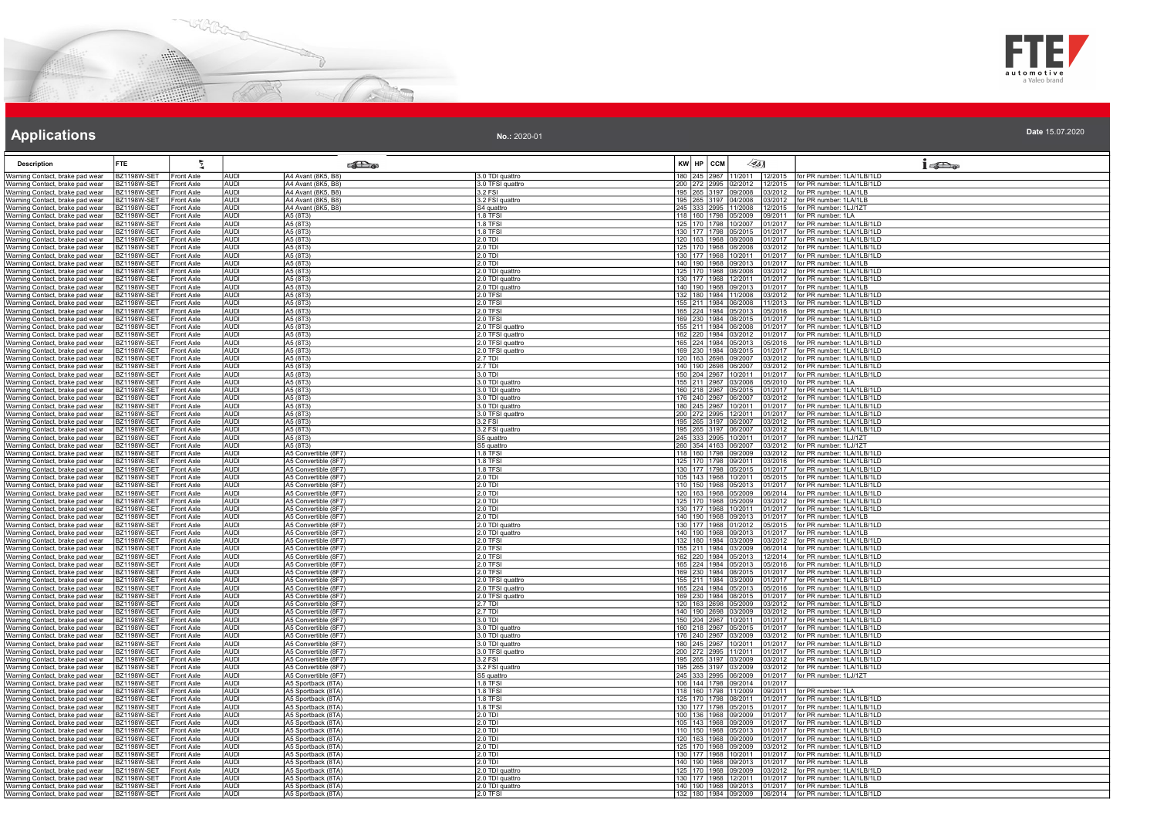



| <b>Description</b>                                                             | <b>FTE</b>                               |                                        |                            | <b>College</b>                               |                               | $KW$ $HP$ $ccM$ | 45]                                                                | $1 - 5$                                                           |
|--------------------------------------------------------------------------------|------------------------------------------|----------------------------------------|----------------------------|----------------------------------------------|-------------------------------|-----------------|--------------------------------------------------------------------|-------------------------------------------------------------------|
| Warning Contact, brake pad wear                                                | BZ1198W-SET                              | Front Axle                             | AUDI<br>AUDI               | A4 Avant (8K5, B8                            | 3.0 TDI quattro               |                 | 180 245 2967 11/2011 12/2015                                       | for PR number: 1LA/1LB/1LD                                        |
| Narning Contact, brake pad wear                                                | BZ1198W-SET                              | Front Axle                             |                            | A4 Avant (8K5, B8)                           | 3.0 TFSI quattro              |                 | 200 272 2995 02/2012 12/2015                                       | for PR number: 1LA/1LB/1LD                                        |
| Warning Contact, brake pad wear                                                | <b>BZ1198W-SET</b>                       | <b>Front Axle</b><br><b>Front Axle</b> | <b>AUDI</b>                | A4 Avant (8K5, B8)                           | $3.2$ FSI                     |                 | 195 265 3197 09/2008 03/2012                                       | for PR number: 1LA/1LB                                            |
| Warning Contact, brake pad wear<br>Warning Contact, brake pad wear             | <b>BZ1198W-SET</b><br>BZ1198W-SET        | Front Axle                             | <b>AUDI</b><br><b>AUDI</b> | A4 Avant (8K5, B8)<br>A4 Avant (8K5, B8)     | 3.2 FSI quattro<br>S4 quattro |                 | 195 265 3197 04/2008 03/2012<br>245 333 2995 11/2008<br>12/2015    | for PR number: 1LA/1LB<br>for PR number: 1LJ/1ZT                  |
| Warning Contact, brake pad wear                                                | <b>BZ1198W-SET</b>                       | Front Axle                             | <b>AUDI</b>                | A5 (8T3)                                     | $1.8$ TFSI                    |                 | 118 160 1798 05/2009<br>09/2011                                    | for PR number: 1LA                                                |
| Warning Contact, brake pad wear                                                | BZ1198W-SET                              | <b>Front Axle</b>                      | <b>AUDI</b>                | A5 (8T3)                                     | 1.8 TFSI                      |                 | 125 170 1798 10/2007<br>01/2017                                    | for PR number: 1LA/1LB/1LD                                        |
| Warning Contact, brake pad wear                                                | BZ1198W-SET                              | Front Axle                             | <b>AUDI</b>                | A5 (8T3)                                     | 1.8 TFSI                      |                 | 130 177 1798 05/2015<br>01/2017                                    | for PR number: 1LA/1LB/1LD                                        |
| Warning Contact, brake pad wear                                                | BZ1198W-SET                              | Front Axle                             | <b>AUDI</b>                | A5 (8T3)                                     | $2.0$ TDI                     |                 | 120 163 1968 08/2008<br>01/2017                                    | for PR number: 1LA/1LB/1LD                                        |
| Warning Contact, brake pad wear                                                | BZ1198W-SET                              | <b>Front Axle</b>                      | <b>AUDI</b>                | A5 (8T3)                                     | 2.0 TDI                       |                 | 125 170 1968 08/2008<br>03/2012                                    | for PR number: 1LA/1LB/1LD                                        |
| Warning Contact, brake pad wear<br>Warning Contact, brake pad wear             | BZ1198W-SET<br>BZ1198W-SET               | Front Axle<br>ront Axle                | <b>AUDI</b><br><b>AUDI</b> | A5 (8T3)<br>A5 (8T3)                         | 2.0 TDI<br>2.0 TDI            | 140 190 1968    | 130 177 1968 10/2011 01/2017<br>09/2013<br>01/2017                 | for PR number: 1LA/1LB/1LD<br>or PR number: 1LA/1LB               |
| Warning Contact, brake pad wear                                                | 3Z1198W-SET                              | Front Axle                             | <b>AUDI</b>                | A5 (8T3)                                     | 2.0 TDI quattro               |                 | 125 170 1968 08/2008<br>03/2012                                    | for PR number: 1LA/1LB/1LD                                        |
| Warning Contact, brake pad wear                                                | 3Z1198W-SET                              | ront Axle                              | <b>AUDI</b>                | A5 (8T3)                                     | 2.0 TDI quattro               |                 | 130 177 1968 12/2011<br>01/2017                                    | for PR number: 1LA/1LB/1LD                                        |
| Warning Contact, brake pad wear                                                | <b>BZ1198W-SET</b>                       | Front Axle                             | <b>AUDI</b>                | A5 (8T3)                                     | 2.0 TDI quattro               |                 | 140 190 1968 09/2013<br>01/2017                                    | for PR number: 1LA/1LB                                            |
| Warning Contact, brake pad wear                                                | BZ1198W-SET                              | <b>Front Axle</b>                      | <b>AUDI</b>                | A5 (8T3)                                     | 2.0 TFSI                      |                 | 132 180 1984 11/2008<br>03/2012                                    | for PR number: 1LA/1LB/1LD                                        |
| Warning Contact, brake pad wear                                                | BZ1198W-SET                              | <b>Front Axle</b><br><b>Front Axle</b> | <b>AUDI</b>                | A5 (8T3)                                     | 2.0 TFSI<br>2.0 TFSI          |                 | 155 211 1984 06/2008<br>11/2013<br>165 224 1984 05/2013            | for PR number: 1LA/1LB/1LD<br>for PR number: 1LA/1LB/1LD          |
| Warning Contact, brake pad wear<br>Warning Contact, brake pad wear             | <b>BZ1198W-SET</b><br>BZ1198W-SE         | <b>Front Axle</b>                      | <b>AUDI</b><br><b>AUDI</b> | A5 (8T3)<br>A5 (8T3)                         | 2.0 TFSI                      |                 | 05/2016<br>169 230 1984 08/2015<br>01/2017                         | for PR number: 1LA/1LB/1LD                                        |
| Warning Contact, brake pad wear                                                | <b>BZ1198W-SET</b>                       | Front Axle                             | <b>AUDI</b>                | A5 (8T3)                                     | 2.0 TFSI quattro              |                 | 155 211 1984 06/2008<br>01/2017                                    | for PR number: 1LA/1LB/1LD                                        |
| Warning Contact, brake pad wear                                                | BZ1198W-SET                              | Front Axle                             | <b>AUDI</b>                | A5 (8T3)                                     | 2.0 TFSI quattro              |                 | 162 220 1984 03/2012<br>01/2017                                    | for PR number: 1LA/1LB/1LD                                        |
| Warning Contact, brake pad wear                                                | <b>BZ1198W-SET</b>                       | <b>Front Axle</b>                      | <b>AUDI</b>                | A5 (8T3)                                     | 2.0 TFSI quattro              |                 | 165 224 1984 05/2013<br>05/2016                                    | for PR number: 1LA/1LB/1LD                                        |
| Warning Contact, brake pad wear                                                | BZ1198W-SET                              | <b>Front Axle</b>                      | <b>AUDI</b>                | A5 (8T3)                                     | 2.0 TFSI quattro              |                 | 169 230 1984 08/2015<br>01/2017                                    | for PR number: 1LA/1LB/1LD                                        |
| Warning Contact, brake pad wear                                                | 3Z1198W-SET                              | Front Axle                             | <b>AUDI</b>                | A5 (8T3)                                     | 2.7 TDI                       |                 | 120 163 2698 09/2007<br>03/2012                                    | for PR number: 1LA/1LB/1LD                                        |
| Warning Contact, brake pad wear<br>Warning Contact, brake pad wear             | 3Z1198W-SET<br>3Z1198W-SET               | ront Axle<br><b>Front Axle</b>         | <b>AUDI</b><br><b>AUDI</b> | A5 (8T3)<br>A5 (8T3)                         | $2.7$ TDI<br>3.0 TDI          |                 | 140 190 2698 06/2007<br>3/2012<br>150 204 2967 10/2011<br>)1/2017  | for PR number: 1LA/1LB/1LD<br>for PR number: 1LA/1LB/1LD          |
| Warning Contact, brake pad wear                                                | <b>BZ1198W-SET</b>                       | Front Axle                             | AUDI                       | A5 (8T3)                                     | 3.0 TDI quattro               |                 | 155 211 2967 03/2008<br>05/2010                                    | for PR number: 1LA                                                |
| Warning Contact, brake pad wear                                                | BZ1198W-SET                              | Front Axle                             | <b>AUDI</b>                | A5 (8T3)                                     | 3.0 TDI quattro               |                 | 160 218 2967 05/2015<br>01/2017                                    | for PR number: 1LA/1LB/1LD                                        |
| Warning Contact, brake pad wear                                                | BZ1198W-SET                              | <b>Front Axle</b>                      | <b>AUDI</b>                | A5 (8T3)                                     | 3.0 TDI quattro               |                 | 176 240 2967 06/2007 03/2012                                       | for PR number: 1LA/1LB/1LD                                        |
| Warning Contact, brake pad wear                                                | BZ1198W-SET                              | Front Axle                             | <b>AUDI</b>                | A5 (8T3)                                     | 3.0 TDI quattro               |                 | 180 245 2967 10/2011 01/2017                                       | for PR number: 1LA/1LB/1LD                                        |
| Warning Contact, brake pad wear                                                | 3Z1198W-SE                               | Front Axle                             | <b>AUDI</b>                | A5 (8T3)                                     | 3.0 TFSI quattro<br>3.2 FSI   |                 | 200 272 2995 12/2011<br>01/2017                                    | for PR number: 1LA/1LB/1LD                                        |
| Warning Contact, brake pad wear<br>Warning Contact, brake pad wear             | <b>BZ1198W-SET</b><br><b>BZ1198W-SET</b> | Front Axle<br>Front Axle               | <b>AUDI</b><br><b>AUDI</b> | A5 (8T3)<br>A5 (8T3)                         | 3.2 FSI quattro               |                 | 195 265 3197 06/2007<br>03/2012<br>195 265 3197 06/2007<br>03/2012 | for PR number: 1LA/1LB/1LD<br>for PR number: 1LA/1LB/1LD          |
| Warning Contact, brake pad wear                                                | BZ1198W-SET                              | Front Axle                             | <b>AUDI</b>                | A5 (8T3)                                     | S5 quattro                    |                 | 245 333 2995 10/2011<br>01/2017                                    | for PR number: 1LJ/1ZT                                            |
| Warning Contact, brake pad wear                                                | BZ1198W-SET                              | <b>Front Axle</b>                      | <b>AUDI</b>                | A5 (8T3)                                     | S5 quattro                    |                 | 260 354 4163 06/2007<br>03/2012                                    | for PR number: 1LJ/1ZT                                            |
| Warning Contact, brake pad wear                                                | B71198W-SFT                              | Front Axle                             | <b>AUDI</b>                | A5 Convertible (8F7)                         | $1.8$ TFSI                    |                 | 118 160 1798 09/2009<br>03/2012                                    | for PR number: 1LA/1LB/1LD                                        |
| Warning Contact, brake pad wear                                                | 3Z1198W-SET                              | ront Axle                              | <b>AUDI</b>                | A5 Convertible (8F7)                         | 1.8 TFSI                      |                 | 125 170 1798 09/2011<br>03/2016                                    | or PR number: 1LA/1LB/1LD                                         |
| Warning Contact, brake pad wear<br>Warning Contact, brake pad wear             | BZ1198W-SET<br><b>BZ1198W-SET</b>        | Front Axle<br>Front Axle               | <b>AUDI</b><br><b>AUDI</b> | A5 Convertible (8F7)<br>A5 Convertible (8F7) | 1.8 TFSI<br>2.0 TDI           |                 | 130 177 1798 05/2015<br>01/2017<br>105 143 1968 10/2011<br>05/2015 | for PR number: 1LA/1LB/1LD<br>for PR number: 1LA/1LB/1LD          |
| Warning Contact, brake pad wear                                                | BZ1198W-SET                              | Front Axle                             | <b>AUDI</b>                | A5 Convertible (8F7)                         | 2.0 TDI                       |                 | 110 150 1968 05/2013<br>01/2017                                    | for PR number: 1LA/1LB/1LD                                        |
| Warning Contact, brake pad wear                                                | <b>BZ1198W-SET</b>                       | Front Axle                             | <b>AUDI</b>                | A5 Convertible (8F7)                         | 2.0 TDI                       |                 | 120 163 1968 05/2009 06/2014                                       | for PR number: 1LA/1LB/1LD                                        |
| Warning Contact, brake pad wear                                                | BZ1198W-SET                              | ront Axle                              | <b>AUDI</b>                | A5 Convertible (8F7)                         | 2.0 TDI                       | 125 170 1968    | 05/2009<br>03/2012                                                 | for PR number: 1LA/1LB/1LD                                        |
| Warning Contact, brake pad wear                                                | 3Z1198W-SET                              | Front Axle                             | <b>AUDI</b>                | A5 Convertible (8F7)                         | 2.0 TDI                       |                 | 130 177 1968 10/2011<br>01/2017                                    | for PR number: 1LA/1LB/1LD                                        |
| Warning Contact, brake pad wear<br>Warning Contact, brake pad wear BZ1198W-SET | BZ1198W-SE <sup>-</sup>                  | ront Axle<br><b>Front Axle</b>         | <b>AUDI</b><br>AUDI        | A5 Convertible (8F7)<br>A5 Convertible (8F7) | $2.0$ TDI<br>2.0 TDI quattro  |                 | 140 190 1968 09/2013<br>01/2017<br>130 177 1968 01/2012 05/2015    | for PR number: 1LA/1LB<br>for PR number: 1LA/1LB/1LD              |
| Warning Contact, brake pad wear                                                | BZ1198W-SET                              | Front Axle                             | <b>AUDI</b>                | A5 Convertible (8F7)                         | 2.0 TDI quattro               |                 | 140 190 1968 09/2013<br>01/2017                                    | for PR number: 1LA/1LB                                            |
| Warning Contact, brake pad wear                                                | BZ1198W-SET                              | Front Axle                             | <b>AUDI</b>                | A5 Convertible (8F7)                         | 2.0 TFSI                      |                 | 132 180 1984 03/2009 03/2012                                       | for PR number: 1LA/1LB/1LD                                        |
| Warning Contact, brake pad wear                                                | BZ1198W-SET                              | Front Axle                             | <b>AUDI</b>                | A5 Convertible (8F7)                         | 2.0 TFSI                      |                 | 155 211 1984 03/2009<br>06/2014                                    | for PR number: 1LA/1LB/1LD                                        |
| Warning Contact, brake pad wear                                                | 3Z1198W-SET                              | Front Axle                             | <b>AUDI</b>                | A5 Convertible (8F7)                         | 2.0 TFSI                      |                 | 162 220 1984 05/2013<br>12/2014                                    | or PR number: 1LA/1LB/1LD                                         |
| Warning Contact, brake pad wear<br>Warning Contact, brake pad wear             | 3Z1198W-SET<br>3Z1198W-SET               | <b>Front Axle</b><br>Front Axle        | <b>AUDI</b><br><b>AUDI</b> | A5 Convertible (8F7)<br>A5 Convertible (8F7) | 2.0 TFSI<br>2.0 TFSI          |                 | 165 224 1984 05/2013<br>05/2016<br>169 230 1984 08/2015<br>01/2017 | or PR number: 1LA/1LB/1LD<br>for PR number: 1LA/1LB/1LD           |
| Warning Contact, brake pad wear                                                | <b>BZ1198W-SET</b>                       | <b>Front Axle</b>                      | <b>AUDI</b>                | A5 Convertible (8F7)                         | 2.0 TFSI quattro              |                 | 155 211 1984 03/2009<br>01/2017                                    | for PR number: 1LA/1LB/1LD                                        |
| Warning Contact, brake pad wear                                                | BZ1198W-SET                              | <b>Front Axle</b>                      | <b>AUDI</b>                | A5 Convertible (8F7)                         | 2.0 TFSI quattro              |                 | 165 224 1984 05/2013<br>05/2016                                    | for PR number: 1LA/1LB/1LD                                        |
| Warning Contact, brake pad wear                                                | B71198W-SFT                              | <b>Front Axle</b>                      | <b>AUDI</b>                | A5 Convertible (8F7)                         | 2.0 TFSI quattro              |                 | 169 230 1984 08/2015<br>01/2017                                    | for PR number: 1LA/1LB/1LD                                        |
| Warning Contact, brake pad wear                                                | BZ1198W-SET                              | Front Axle                             | <b>AUDI</b>                | A5 Convertible (8F7)                         | $2.7$ TDI                     |                 | 120 163 2698 05/2009<br>03/2012                                    | for PR number: 1LA/1LB/1LD                                        |
| Warning Contact, brake pad wear<br>Warning Contact, brake pad wear             | BZ1198W-SET<br><b>BZ1198W-SET</b>        | Front Axle<br>Front Axle               | <b>AUDI</b><br>AUDI        | A5 Convertible (8F7)<br>A5 Convertible (8F7) | 2.7 TDI<br>3.0 TDI            |                 | 140 190 2698 03/2009<br>03/2012<br>150 204 2967 10/2011 01/2017    | for PR number: 1LA/1LB/1LD<br>for PR number: 1LA/1LB/1LD          |
| Warning Contact, brake pad wear                                                | BZ1198W-SET                              | <b>Front Axle</b>                      | <b>AUDI</b>                | A5 Convertible (8F7)                         | 3.0 TDI quattro               |                 | 160 218 2967 05/2015<br>01/2017                                    | for PR number: 1LA/1LB/1LD                                        |
| Warning Contact, brake pad wear                                                | BZ1198W-SET                              | <b>Front Axle</b>                      | <b>AUDI</b>                | A5 Convertible (8F7)                         | 3.0 TDI quattro               |                 | 176 240 2967 03/2009<br>03/2012                                    | for PR number: 1LA/1LB/1LD                                        |
| Warning Contact, brake pad wear                                                | 3Z1198W-SE <sup>-</sup>                  | Front Axle                             | <b>AUDI</b>                | A5 Convertible (8F7)                         | 3.0 TDI quattro               |                 | 180 245 2967 10/2011<br>01/2017                                    | or PR number: 1LA/1LB/1LD                                         |
| Warning Contact, brake pad wear                                                | Z1198W-SE                                | Front Axle                             | <b>AUDI</b>                | A5 Convertible (8F7)                         | 3.0 TFSI quattro              |                 | 200 272 2995 11/2011<br>01/2017                                    | or PR number: 1LA/1LB/1LD                                         |
| Warning Contact, brake pad wear                                                | 3Z1198W-SET<br><b>BZ1198W-SET</b>        | <b>Front Axle</b><br><b>Front Axle</b> | <b>AUDI</b><br>AUDI        | A5 Convertible (8F7)<br>A5 Convertible (8F7) | 3.2 FSI                       |                 | 195 265 3197 03/2009<br>03/2012<br>195 265 3197 03/2009 03/2012    | or PR number: 1LA/1LB/1LD<br>for PR number: 1LA/1LB/1LD           |
| Warning Contact, brake pad wear<br>Warning Contact, brake pad wear             | BZ1198W-SET                              | Front Axle                             | <b>AUDI</b>                | A5 Convertible (8F7)                         | 3.2 FSI quattro<br>S5 quattro |                 | 245 333 2995 06/2009<br>01/2017                                    | for PR number: 1LJ/1ZT                                            |
| Warning Contact, brake pad wear                                                | BZ1198W-SET                              | <b>Front Axle</b>                      | <b>AUDI</b>                | A5 Sportback (8TA)                           | 1.8 TFSI                      |                 | 106 144 1798 09/2014 01/2017                                       |                                                                   |
| Warning Contact, brake pad wear                                                | B71198W-SFT                              | Front Axle                             | <b>AUDI</b>                | A5 Sportback (8TA)                           | 1.8 TFSI                      |                 | 118 160 1798 11/2009 09/2011                                       | for PR number: 1LA                                                |
| Warning Contact, brake pad wear                                                | 3Z1198W-SET                              | <b>Front Axle</b>                      | <b>AUDI</b>                | A5 Sportback (8TA)                           | <b>1.8 TFSI</b>               |                 | 125 170 1798 08/2011<br>01/2017                                    | for PR number: 1LA/1LB/1LD                                        |
| Warning Contact, brake pad wear                                                | <b>BZ1198W-SET</b>                       | Front Axle                             | <b>AUDI</b>                | A5 Sportback (8TA)                           | 1.8 TFSI                      |                 | 130 177 1798 05/2015<br>01/2017<br>100 136 1968 09/2009            | for PR number: 1LA/1LB/1LD                                        |
| Warning Contact, brake pad wear<br>Warning Contact, brake pad wear             | BZ1198W-SE1<br>BZ1198W-SET               | Front Axle<br>Front Axle               | <b>AUDI</b><br><b>AUDI</b> | A5 Sportback (8TA)<br>A5 Sportback (8TA)     | 2.0 TDI<br>2.0 TDI            |                 | 01/2017<br>105 143 1968 09/2009<br>01/2017                         | for PR number: 1LA/1LB/1LD<br>for PR number: 1LA/1LB/1LD          |
| Warning Contact, brake pad wear                                                | <b>BZ1198W-SET</b>                       | Front Axle                             | <b>AUDI</b>                | A5 Sportback (8TA)                           | 2.0 TDI                       |                 | 110 150 1968 05/2013<br>01/2017                                    | for PR number: 1LA/1LB/1LD                                        |
| Warning Contact, brake pad wear                                                | BZ1198W-SET                              | Front Axle                             | <b>AUDI</b>                | A5 Sportback (8TA)                           | 2.0 TDI                       |                 | 120 163 1968 09/2009<br>01/2017                                    | for PR number: 1LA/1LB/1LD                                        |
| Warning Contact, brake pad wear                                                | 371198W-SFT                              | ront Axle                              | <b>AUDI</b>                | A5 Sportback (8TA)                           | 2.0 TDI                       |                 | 125 170 1968 09/2009<br>03/2012                                    | or PR number: 1LA/1LB/1LD                                         |
| Warning Contact, brake pad wear                                                | 3Z1198W-SET                              | ront Axle                              | <b>AUDI</b>                | A5 Sportback (8TA)                           | $2.0$ TDI                     |                 | 130 177 1968 10/2011<br>01/2017                                    | or PR number: 1LA/1LB/1LD                                         |
| Warning Contact, brake pad wear<br>Warning Contact, brake pad wear             | BZ1198W-SET<br><b>BZ1198W-SET</b>        | <b>Front Axle</b><br>Front Axle        | <b>AUDI</b><br><b>AUDI</b> | A5 Sportback (8TA)<br>A5 Sportback (8TA)     | 2.0 TDI<br>2.0 TDI quattro    |                 | 140 190 1968 09/2013 01/2017<br>125 170 1968 09/2009 03/2012       | for PR number: 1LA/1LB<br>for PR number: 1LA/1LB/1LD              |
| Warning Contact, brake pad wear BZ1198W-SET                                    |                                          | <b>IFront Axle</b>                     | <b>AUDI</b>                | A5 Sportback (8TA)                           | 2.0 TDI quattro               |                 |                                                                    | 130   177   1968   12/2011   01/2017   for PR number: 1LA/1LB/1LD |
| Warning Contact, brake pad wear BZ1198W-SET                                    |                                          | Front Axle                             | <b>AUDI</b>                | A5 Sportback (8TA)                           | 2.0 TDI quattro               |                 |                                                                    | 140   190   1968   09/2013   01/2017   for PR number: 1LA/1LB     |
| Warning Contact, brake pad wear BZ1198W-SET                                    |                                          | Front Axle                             | <b>AUDI</b>                | A5 Sportback (8TA)                           | 2.0 TFSI                      |                 |                                                                    | 132   180   1984   09/2009   06/2014   for PR number: 1LA/1LB/1LD |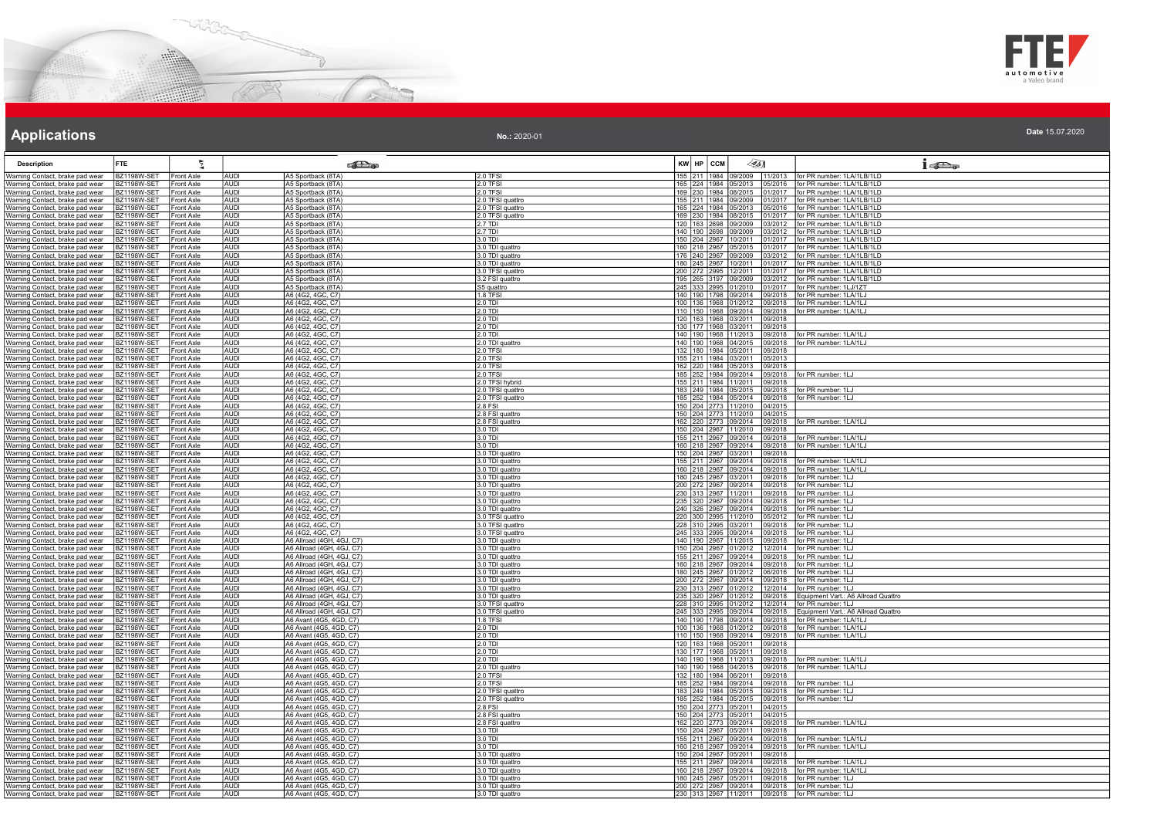



| <b>Description</b>                                                                           | <b>FTE</b>                               | 气                                      |                            | <b>SEL</b> a                                           |                                      | $KW$ $HP$ $CCM$ | $\sqrt{35}$                                                  |                    | $1 - 2$                                                                                       |
|----------------------------------------------------------------------------------------------|------------------------------------------|----------------------------------------|----------------------------|--------------------------------------------------------|--------------------------------------|-----------------|--------------------------------------------------------------|--------------------|-----------------------------------------------------------------------------------------------|
| Warning Contact, brake pad wear                                                              | <b>BZ1198W-SET</b>                       | Front Axle                             | <b>AUDI</b>                | A5 Sportback (8TA)                                     | 2.0 TFSI                             |                 | 155 211 1984 09/2009                                         |                    | 11/2013 for PR number: 1LA/1LB/1LD                                                            |
| Warning Contact, brake pad wear                                                              | <b>BZ1198W-SET</b>                       | <b>Front Axle</b>                      | <b>AUDI</b>                | A5 Sportback (8TA)                                     | 2.0 TFSI                             |                 | 165 224 1984 05/2013                                         |                    | 05/2016   for PR number: 1LA/1LB/1LD                                                          |
| Warning Contact, brake pad wear                                                              | B71198W-SFT                              | <b>Front Axle</b>                      | <b>AUDI</b>                | A5 Sportback (8TA)                                     | 2.0 TFSI                             |                 | 169 230 1984 08/2015                                         |                    | 01/2017 for PR number: 1LA/1LB/1LD                                                            |
| Warning Contact, brake pad wear                                                              | BZ1198W-SET                              | Front Axle                             | <b>AUDI</b><br>AUDI        | A5 Sportback (8TA)                                     | 2.0 TFSI quattro                     |                 | 155 211 1984 09/2009<br>165 224 1984 05/2013                 | 1/2017             | for PR number: 1LA/1LB/1LD                                                                    |
| Warning Contact, brake pad wear<br>Warning Contact, brake pad wear                           | <b>BZ1198W-SET</b><br><b>BZ1198W-SET</b> | Front Axle<br><b>Front Axle</b>        | AUDI                       | A5 Sportback (8TA)<br>A5 Sportback (8TA)               | 2.0 TFSI quattro<br>2.0 TFSI quattro |                 | 169 230 1984 08/2015                                         |                    | 05/2016 for PR number: 1LA/1LB/1LD<br>1/2017 for PR number: 1LA/1LB/1LD                       |
| Warning Contact, brake pad wear                                                              | <b>BZ1198W-SET</b>                       | <b>Front Axle</b>                      | <b>AUDI</b>                | A5 Sportback (8TA)                                     | 2.7 TDI                              |                 | 120 163 2698 09/2009                                         |                    | 03/2012   for PR number: 1LA/1LB/1LD                                                          |
| Warning Contact, brake pad wear                                                              | <b>BZ1198W-SET</b>                       | <b>Front Axle</b>                      | <b>AUDI</b>                | A5 Sportback (8TA)                                     | 2.7 TDI                              |                 | 140 190 2698 09/2009                                         |                    | 03/2012   for PR number: 1LA/1LB/1LD                                                          |
| Warning Contact, brake pad wear                                                              | BZ1198W-SET                              | Front Axle                             | <b>AUDI</b>                | A5 Sportback (8TA)                                     | 3.0 TDI                              |                 | 150 204 2967 10/2011                                         |                    | 1/2017 for PR number: 1LA/1LB/1LD                                                             |
| Warning Contact, brake pad wear   BZ1198W-SET                                                | BZ1198W-SET                              | Front Axle                             | AUDI<br><b>AUDI</b>        | A5 Sportback (8TA)                                     | 3.0 TDI quattro                      |                 | 160 218 2967 05/2015<br>176 240 2967 09/2009                 |                    | 01/2017 for PR number: 1LA/1LB/1LD<br>3/2012 for PR number: 1LA/1LB/1LD                       |
| Warning Contact, brake pad wear<br>Warning Contact, brake pad wear                           | <b>BZ1198W-SET</b>                       | <b>Front Axle</b><br>Front Axle        | <b>AUDI</b>                | A5 Sportback (8TA)<br>A5 Sportback (8TA)               | 3.0 TDI quattro<br>3.0 TDI quattro   |                 | 180 245 2967 10/2011                                         |                    | 1/2017 for PR number: 1LA/1LB/1LD                                                             |
| Warning Contact, brake pad wear                                                              | BZ1198W-SET                              | <b>Front Axle</b>                      | AUDI                       | A5 Sportback (8TA)                                     | 3.0 TFSI quattro                     |                 | 200 272 2995 12/2011                                         |                    | 1/2017   for PR number: 1LA/1LB/1LD                                                           |
| Warning Contact, brake pad wear                                                              | <b>BZ1198W-SET</b>                       | Front Axle                             | <b>AUDI</b>                | A5 Sportback (8TA)                                     | 3.2 FSI quattro                      |                 | 195 265 3197 09/2009                                         | 3/2012             | for PR number: 1LA/1LB/1LD                                                                    |
| Warning Contact, brake pad wear                                                              | <b>BZ1198W-SET</b>                       | Front Axle                             | AUDI                       | A5 Sportback (8TA)                                     | S5 quattro                           |                 | 245 333 2995 01/2010                                         |                    | 1/2017   for PR number: 1LJ/1ZT                                                               |
| Warning Contact, brake pad wear                                                              | <b>BZ1198W-SET</b>                       | <b>Front Axle</b>                      | AUDI                       | A6 (4G2, 4GC, C7)                                      | 1.8 TFSI                             |                 | 140 190 1798 09/2014                                         | 09/2018            | for PR number: 1LA/1LJ                                                                        |
| Warning Contact, brake pad wear<br>Warning Contact, brake pad wear                           | BZ1198W-SET<br><b>BZ1198W-SET</b>        | <b>Front Axle</b><br>Front Axle        | AUDI<br><b>AUDI</b>        | A6 (4G2, 4GC, C7)<br>A6 (4G2, 4GC, C7)                 | $2.0$ TDI<br>2.0 TDI                 |                 | 100 136 1968 01/2012                                         |                    | 09/2018   for PR number: 1LA/1LJ<br>110   150   1968 09/2014 09/2018   for PR number: 1LA/1LJ |
| Warning Contact, brake pad wear                                                              | <b>BZ1198W-SET</b>                       | Front Axle                             | <b>AUDI</b>                | A6 (4G2, 4GC, C7)                                      | 2.0 TDI                              |                 | 120 163 1968 03/2011                                         | 09/2018            |                                                                                               |
| Warning Contact, brake pad wear                                                              | BZ1198W-SET                              | <b>Front Axle</b>                      | <b>AUDI</b>                | A6 (4G2, 4GC, C7)                                      | 2.0 TDI                              |                 | 130 177 1968 03/2011                                         | 09/2018            |                                                                                               |
| Warning Contact, brake pad wear                                                              | BZ1198W-SET                              | Front Axle                             | AUDI                       | A6 (4G2, 4GC, C7)                                      | 2.0 TDI                              |                 | 140 190 1968 11/2013                                         | 09/2018            | for PR number: 1LA/1LJ                                                                        |
| Warning Contact, brake pad wear                                                              | <b>BZ1198W-SET</b>                       | Front Axle                             | <b>AUDI</b>                | A6 (4G2, 4GC, C7)                                      | 2.0 TDI quattro                      |                 | 140 190 1968 04/2015                                         |                    | 09/2018 for PR number: 1LA/1LJ                                                                |
| Warning Contact, brake pad wear<br>Warning Contact, brake pad wear                           | <b>BZ1198W-SET</b><br>BZ1198W-SET        | <b>Front Axle</b><br><b>Front Axle</b> | <b>AUDI</b><br><b>AUDI</b> | A6 (4G2, 4GC, C7)<br>A6 (4G2, 4GC, C7)                 | 2.0 TFSI<br>2.0 TFSI                 |                 | 132 180 1984 05/2011<br>155 211 1984 03/2011                 | 09/2018<br>05/2013 |                                                                                               |
| Warning Contact, brake pad wear                                                              | <b>BZ1198W-SET</b>                       | Front Axle                             | <b>AUDI</b>                | A6 (4G2, 4GC, C7)                                      | $2.0$ TFSI                           |                 | 162 220 1984 05/2013                                         | 09/2018            |                                                                                               |
| Warning Contact, brake pad wear                                                              | <b>BZ1198W-SET</b>                       | Front Axle                             | AUDI                       | A6 (4G2, 4GC, C7)                                      | 2.0 TFSI                             |                 | 185 252 1984 09/2014                                         | 09/2018            | for PR number: 1LJ                                                                            |
| Warning Contact, brake pad wear                                                              | <b>BZ1198W-SET</b>                       | Front Axle                             | AUDI                       | A6 (4G2, 4GC, C7)                                      | 2.0 TFSI hybrid                      |                 | 155 211 1984 11/2011                                         | 09/2018            |                                                                                               |
| Warning Contact, brake pad wear                                                              | <b>BZ1198W-SET</b>                       | <b>Front Axle</b>                      | <b>AUDI</b>                | A6 (4G2, 4GC, C7)                                      | 2.0 TFSI quattro                     |                 | 183 249 1984 05/2015                                         | 09/2018            | for PR number: 1LJ                                                                            |
| Warning Contact, brake pad wear                                                              | BZ1198W-SET                              | Front Axle                             | <b>AUDI</b>                | A6 (4G2, 4GC, C7)                                      | 2.0 TFSI quattro                     |                 | 185 252 1984 05/2014                                         | 09/2018            | for PR number: 1LJ                                                                            |
| Warning Contact, brake pad wear<br>Warning Contact, brake pad wear   BZ1198W-SET             | BZ1198W-SET                              | Front Axle<br>Front Axle               | AUDI<br><b>AUDI</b>        | A6 (4G2, 4GC, C7)<br>A6 (4G2, 4GC, C7)                 | 2.8 FSI<br>2.8 FSI quattro           |                 | 150 204 2773 11/2010 04/2015<br>150 204 2773 11/2010 04/2015 |                    |                                                                                               |
| Warning Contact, brake pad wear                                                              | <b>BZ1198W-SET</b>                       | Front Axle                             | <b>AUDI</b>                | A6 (4G2, 4GC, C7)                                      | 2.8 FSI quattro                      |                 | 162 220 2773 09/2014                                         | 09/2018            | for PR number: 1LA/1LJ                                                                        |
| Warning Contact, brake pad wear                                                              | <b>BZ1198W-SET</b>                       | <b>Front Axle</b>                      | <b>AUDI</b>                | A6 (4G2, 4GC, C7)                                      | 3.0 TDI                              |                 | 150 204 2967 11/2010                                         | 09/2018            |                                                                                               |
| Warning Contact, brake pad wear                                                              | <b>BZ1198W-SET</b>                       | Front Axle                             | <b>AUDI</b>                | A6 (4G2, 4GC, C7)                                      | 3.0 TDI                              |                 | 155 211 2967 09/2014                                         | 09/2018            | for PR number: 1LA/1LJ                                                                        |
| Warning Contact, brake pad wear                                                              | BZ1198W-SET                              | Front Axle                             | <b>AUDI</b><br>AUDI        | A6 (4G2, 4GC, C7)<br>A6 (4G2, 4GC, C7)                 | 3.0 TDI                              |                 | 160 218 2967 09/2014                                         | 09/2018            | for PR number: 1LA/1LJ                                                                        |
| Warning Contact, brake pad wear<br>Warning Contact, brake pad wear                           | <b>BZ1198W-SET</b><br><b>BZ1198W-SET</b> | <b>Front Axle</b><br>Front Axle        | AUDI                       | A6 (4G2, 4GC, C7)                                      | 3.0 TDI quattro<br>3.0 TDI quattro   |                 | 150 204 2967 03/2011<br>155 211 2967 09/2014                 | 09/2018<br>09/2018 | for PR number: 1LA/1LJ                                                                        |
| Warning Contact, brake pad wear                                                              | <b>BZ1198W-SET</b>                       | <b>Front Axle</b>                      | <b>AUDI</b>                | A6 (4G2, 4GC, C7)                                      | 3.0 TDI quattro                      |                 | 160 218 2967 09/2014                                         |                    | 09/2018   for PR number: 1LA/1LJ                                                              |
| Warning Contact, brake pad wear                                                              | BZ1198W-SET                              | <b>Front Axle</b>                      | <b>AUDI</b>                | A6 (4G2, 4GC, C7)                                      | 3.0 TDI quattro                      |                 | 180 245 2967 03/2011                                         |                    | 09/2018   for PR number: 1LJ                                                                  |
| Warning Contact, brake pad wear                                                              | BZ1198W-SET                              | Front Axle                             | AUDI<br>AUDI               | A6 (4G2, 4GC, C7)<br>A6 (4G2, 4GC, C7)                 | 3.0 TDI quattro                      |                 | 200 272 2967 09/2014<br>230 313 2967 11/2011                 | 09/2018            | for PR number: 1LJ                                                                            |
| Warning Contact, brake pad wear BZ1198W-SET                                                  |                                          | Front Axle                             |                            |                                                        | 3.0 TDI quattro                      |                 |                                                              |                    | 09/2018   for PR number: 1LJ                                                                  |
| Warning Contact, brake pad wear<br>Warning Contact, brake pad wear                           | <b>BZ1198W-SET</b><br><b>BZ1198W-SET</b> | Front Axle<br><b>Front Axle</b>        | AUDI<br><b>AUDI</b>        | A6 (4G2, 4GC, C7)<br>A6 (4G2, 4GC, C7)                 | 3.0 TDI quattro<br>3.0 TDI quattro   |                 | 235 320 2967 09/2014<br>240 326 2967 09/2014                 | 09/2018            | for PR number: 1LJ<br>09/2018 for PR number: 1LJ                                              |
| Warning Contact, brake pad wear                                                              | BZ1198W-SET                              | Front Axle                             | <b>AUDI</b>                | A6 (4G2, 4GC, C7)                                      | 3.0 TFSI quattro                     |                 | 220 300 2995 11/2010                                         | 05/2012            | for PR number: 1LJ                                                                            |
| Warning Contact, brake pad wear                                                              | BZ1198W-SET                              | Front Axle                             | <b>AUDI</b>                | A6 (4G2, 4GC, C7)                                      | 3.0 TFSI quattro                     |                 | 228 310 2995 03/2011                                         | 09/2018            | for PR number: 1LJ                                                                            |
| Warning Contact, brake pad wear                                                              | BZ1198W-SET                              | Front Axle                             | AUDI                       | A6 (4G2, 4GC, C7)                                      | 3.0 TFSI quattro                     |                 | 245 333 2995 09/2014                                         |                    | 09/2018   for PR number: 1LJ                                                                  |
| Warning Contact, brake pad wear                                                              | <b>BZ1198W-SET</b>                       | Front Axle                             | AUDI                       | A6 Allroad (4GH, 4GJ, C7)                              | 3.0 TDI quattro                      |                 | 140 190 2967 11/2015                                         | 09/2018            | for PR number: 1LJ                                                                            |
| Warning Contact, brake pad wear<br>Warning Contact, brake pad wear                           | <b>BZ1198W-SET</b><br><b>BZ1198W-SET</b> | <b>Front Axle</b><br><b>Front Axle</b> | <b>AUDI</b><br><b>AUDI</b> | A6 Allroad (4GH, 4GJ, C7)<br>A6 Allroad (4GH, 4GJ, C7) | 3.0 TDI quattro<br>3.0 TDI quattro   |                 | 150 204 2967 01/2012                                         |                    | 12/2014   for PR number: 1LJ<br>155   211   2967   09/2014   09/2018   for PR number: 1LJ     |
| Warning Contact, brake pad wear                                                              | BZ1198W-SET                              | Front Axle                             | AUDI                       | A6 Allroad (4GH, 4GJ, C7)                              | 3.0 TDI quattro                      |                 | 160 218 2967 09/2014                                         | 109/2018           | for PR number: 1LJ                                                                            |
| Warning Contact, brake pad wear                                                              | <b>BZ1198W-SET</b>                       | Front Axle                             | <b>AUDI</b>                | A6 Allroad (4GH, 4GJ, C7)                              | 3.0 TDI quattro                      |                 | 180 245 2967 01/2012                                         | 06/2016            | for PR number: 1LJ                                                                            |
| Warning Contact, brake pad wear                                                              | <b>BZ1198W-SET</b>                       | Front Axle                             | AUDI                       | A6 Allroad (4GH, 4GJ, C7)                              | 3.0 TDI quattro                      |                 | 200 272 2967 09/2014                                         | 09/2018            | for PR number: 1LJ                                                                            |
| Warning Contact, brake pad wear                                                              | <b>BZ1198W-SET</b>                       | Front Axle                             | <b>AUDI</b>                | A6 Allroad (4GH, 4GJ, C7)                              | 3.0 TDI quattro                      |                 | 230 313 2967 01/2012                                         |                    | 12/2014 for PR number: 1LJ                                                                    |
| Warning Contact, brake pad wear<br>Warning Contact, brake pad wear                           | BZ1198W-SET<br><b>BZ1198W-SET</b>        | Front Axle<br>Front Axle               | <b>AUDI</b><br><b>AUDI</b> | A6 Allroad (4GH, 4GJ, C7)<br>A6 Allroad (4GH, 4GJ, C7) | 3.0 TDI quattro<br>3.0 TFSI quattro  |                 | 235 320 2967 01/2012<br>228 310 2995 01/2012                 | 09/2018<br>12/2014 | Equipment Vart.: A6 Allroad Quattro<br>for PR number: 1LJ                                     |
| Warning Contact, brake pad wear                                                              | <b>BZ1198W-SET</b>                       | Front Axle                             | <b>AUDI</b>                | A6 Allroad (4GH, 4GJ, C7)                              | 3.0 TFSI quattro                     |                 | 245 333 2995 09/2014                                         |                    | 09/2018 Equipment Vart.: A6 Allroad Quattro                                                   |
| Warning Contact, brake pad wear                                                              | <b>BZ1198W-SET</b>                       | <b>Front Axle</b>                      | AUDI                       | A6 Avant (4G5, 4GD, C7)                                | 1.8 TFSI                             |                 | 140 190 1798 09/2014                                         | 09/2018            | for PR number: 1LA/1LJ                                                                        |
| Warning Contact, brake pad wear                                                              | <b>BZ1198W-SET</b>                       | <b>Front Axle</b>                      | AUDI                       | A6 Avant (4G5, 4GD, C7)                                | 2.0 TDI                              |                 |                                                              |                    | 100   136   1968   01/2012   09/2018   for PR number: 1LA/1LJ                                 |
| Warning Contact, brake pad wear                                                              | BZ1198W-SET<br>B71198W-SFT               | Front Axle<br><b>Front Axle</b>        | <b>AUDI</b><br><b>AUDI</b> | A6 Avant (4G5, 4GD, C7)                                | 2.0 TDI                              |                 |                                                              |                    | 110   150   1968   09/2014   09/2018   for PR number: 1LA/1LJ                                 |
| Warning Contact, brake pad wear<br>Warning Contact, brake pad wear                           | <b>BZ1198W-SET</b>                       | Front Axle                             | AUDI                       | A6 Avant (4G5, 4GD, C7)<br>A6 Avant (4G5, 4GD, C7)     | $2.0$ TDI<br>2.0 TDI                 |                 | 120 163 1968 05/2011<br>130 177 1968 05/2011                 | 09/2018<br>09/2018 |                                                                                               |
| Warning Contact, brake pad wear                                                              | BZ1198W-SET                              | Front Axle                             | AUDI                       | A6 Avant (4G5, 4GD, C7)                                | $2.0$ TDI                            |                 | 140 190 1968 11/2013                                         | 09/2018            | for PR number: 1LA/1LJ                                                                        |
| Warning Contact, brake pad wear                                                              | <b>BZ1198W-SET</b>                       | Front Axle                             | AUDI                       | A6 Avant (4G5, 4GD, C7)                                | 2.0 TDI quattro                      |                 | 140 190 1968 04/2015                                         | 09/2018            | for PR number: 1LA/1LJ                                                                        |
| Warning Contact, brake pad wear                                                              | <b>BZ1198W-SET</b>                       | <b>Front Axle</b>                      | <b>AUDI</b>                | A6 Avant (4G5, 4GD, C7)                                | 2.0 TFSI                             |                 | 132 180 1984 06/2011                                         | 09/2018            |                                                                                               |
| Warning Contact, brake pad wear                                                              | BZ1198W-SET                              | Front Axle                             | <b>AUDI</b>                | A6 Avant (4G5, 4GD, C7)                                | $2.0$ TFSI                           |                 | 185 252 1984 09/2014                                         | 29/2018            | for PR number: 1LJ                                                                            |
| Warning Contact, brake pad wear                                                              | BZ1198W-SET                              | Front Axle                             | AUDI<br>AUDI               | A6 Avant (4G5, 4GD, C7)<br>A6 Avant (4G5, 4GD, C7)     | 2.0 TFSI quattro                     |                 | 183 249 1984 05/2015<br>185 252 1984 05/2015                 | 09/2018            | for PR number: 1LJ                                                                            |
| Warning Contact, brake pad wear<br>Warning Contact, brake pad wear                           | BZ1198W-SET<br>BZ1198W-SET               | Front Axle<br><b>Front Axle</b>        | <b>AUDI</b>                | A6 Avant (4G5, 4GD, C7)                                | 2.0 TFSI quattro<br>2.8 FSI          |                 | 150 204 2773 05/2011                                         | 09/2018<br>04/2015 | for PR number: 1LJ                                                                            |
| Warning Contact, brake pad wear                                                              | <b>BZ1198W-SET</b>                       | <b>Front Axle</b>                      | <b>AUDI</b>                | A6 Avant (4G5, 4GD, C7)                                | 2.8 FSI quattro                      |                 | 150 204 2773 05/2011                                         | 04/2015            |                                                                                               |
| Warning Contact, brake pad wear                                                              | <b>BZ1198W-SET</b>                       | Front Axle                             | <b>AUDI</b>                | A6 Avant (4G5, 4GD, C7)                                | 2.8 FSI quattro                      |                 | 162 220 2773 09/2014                                         | 09/2018            | for PR number: 1LA/1LJ                                                                        |
| Warning Contact, brake pad wear                                                              | <b>BZ1198W-SET</b>                       | Front Axle                             | AUDI                       | A6 Avant (4G5, 4GD, C7)                                | 3.0 TDI                              |                 | 150 204 2967 05/2011                                         | 09/2018            |                                                                                               |
| Warning Contact, brake pad wear   BZ1198W-SET<br>Warning Contact, brake pad wear BZ1198W-SET |                                          | <b>Front Axle</b><br>Front Axle        | AUDI<br>AUDI               | A6 Avant (4G5, 4GD, C7)<br>A6 Avant (4G5, 4GD, C7)     | $3.0$ TDI<br>3.0 TDI                 |                 | 155 211 2967 09/2014<br>160 218 2967 09/2014                 | 09/2018            | for PR number: 1LA/1LJ<br>for PR number: 1LA/1LJ                                              |
| Warning Contact, brake pad wear                                                              | <b>BZ1198W-SET</b>                       | <b>Front Axle</b>                      | AUDI                       | A6 Avant (4G5, 4GD, C7)                                | 3.0 TDI quattro                      |                 | 150 204 2967 05/2011                                         | 09/2018<br>09/2018 |                                                                                               |
| Warning Contact, brake pad wear                                                              | <b>BZ1198W-SET</b>                       | <b>Front Axle</b>                      | <b>AUDI</b>                | A6 Avant (4G5, 4GD, C7)                                | 3.0 TDI quattro                      |                 | 155 211 2967 09/2014                                         | 09/2018            | for PR number: 1LA/1LJ                                                                        |
| Warning Contact, brake pad wear                                                              | <b>BZ1198W-SET</b>                       | Front Axle                             | <b>AUDI</b>                | A6 Avant (4G5, 4GD, C7)                                | 3.0 TDI quattro                      |                 | 160 218 2967 09/2014                                         | 9/2018             | for PR number: 1LA/1LJ                                                                        |
| Warning Contact, brake pad wear BZ1198W-SET                                                  |                                          | Front Axle                             | AUDI                       | A6 Avant (4G5, 4GD, C7)                                | 3.0 TDI quattro                      |                 | 180 245 2967 05/2011                                         | 09/2018            | for PR number: 1LJ                                                                            |
| Warning Contact, brake pad wear BZ1198W-SET<br>Warning Contact, brake pad wear BZ1198W-SET   |                                          | Front Axle<br>Front Axle               | AUDI<br>AUDI               | A6 Avant (4G5, 4GD, C7)<br>A6 Avant (4G5, 4GD, C7)     | 3.0 TDI quattro<br>3.0 TDI quattro   |                 | 200 272 2967 09/2014                                         | 09/2018            | for PR number: 1LJ<br>230 313 2967 11/2011 09/2018 for PR number: 1LJ                         |
|                                                                                              |                                          |                                        |                            |                                                        |                                      |                 |                                                              |                    |                                                                                               |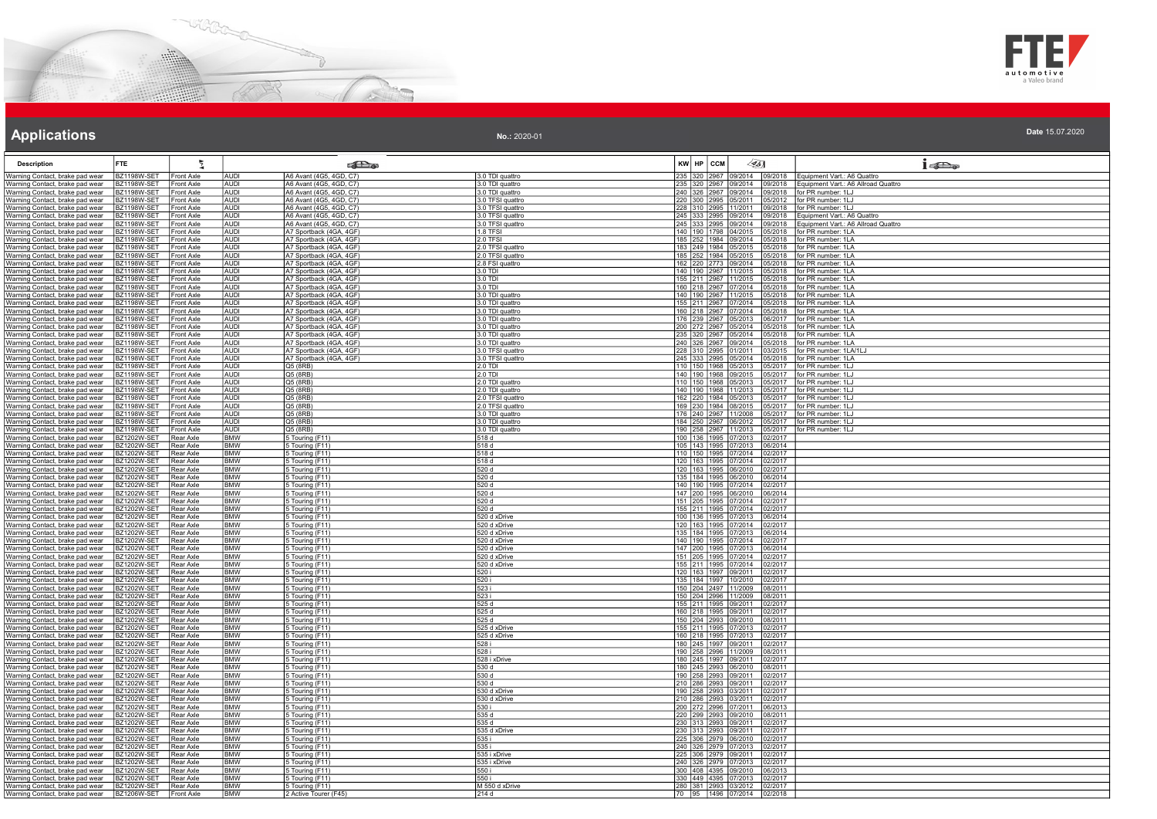



| <b>Description</b>                                                 | <b>FTE</b>                               | 튚                               |                           | <b>Part</b>                                        |                                      | KW HP CCM                                    | 45] |                   | $1 - \sum_{\alpha}$                                                |
|--------------------------------------------------------------------|------------------------------------------|---------------------------------|---------------------------|----------------------------------------------------|--------------------------------------|----------------------------------------------|-----|-------------------|--------------------------------------------------------------------|
| Warning Contact, brake pad wear                                    | BZ1198W-SET                              | Front Axle                      | <b>AUDI</b>               | A6 Avant (4G5, 4GD, C7)                            | 3.0 TDI quattro                      | 235 320 2967 09/2014                         |     |                   | 09/2018   Equipment Vart.: A6 Quattro                              |
| Warning Contact, brake pad wear                                    | <b>BZ1198W-SET</b>                       | Front Axle                      | AUDI                      | A6 Avant (4G5, 4GD, C7)                            | 3.0 TDI quattro                      | 235 320 2967 09/2014                         |     | 9/2018            | Equipment Vart.: A6 Allroad Quattro                                |
| Warning Contact, brake pad wear                                    | <b>BZ1198W-SET</b>                       | <b>Front Axle</b>               | AUDI                      | A6 Avant (4G5, 4GD, C7)                            | 3.0 TDI quattro                      | 240 326 2967 09/2014                         |     |                   | 09/2018 for PR number: 1LJ                                         |
| Warning Contact, brake pad wear                                    | BZ1198W-SET                              | <b>Front Axle</b>               | <b>AUDI</b>               | A6 Avant (4G5, 4GD, C7)                            | 3.0 TFSI quattro                     | 220 300 2995 05/2011                         |     |                   | 05/2012   for PR number: 1LJ                                       |
| Warning Contact, brake pad wear                                    | BZ1198W-SET                              | Front Axle                      | <b>AUDI</b>               | A6 Avant (4G5, 4GD, C7)                            | 0.0 TFSI quattro                     | 228 310 2995 11/2011                         |     | 9/2018            | for PR number: 1LJ                                                 |
| Warning Contact, brake pad wear                                    | <b>BZ1198W-SET</b><br>BZ1198W-SET        | Front Axle<br>Front Axle        | <b>AUDI</b><br>AUDI       | A6 Avant (4G5, 4GD, C7)<br>A6 Avant (4G5, 4GD, C7) | 3.0 TFSI quattro<br>3.0 TFSI quattro | 245 333 2995 09/2014<br>245 333 2995 09/2014 |     | 09/2018<br>9/2018 | Equipment Vart.: A6 Quattro<br>Equipment Vart.: A6 Allroad Quattro |
| Warning Contact, brake pad wear<br>Warning Contact, brake pad wear | <b>BZ1198W-SET</b>                       | <b>Front Axle</b>               | <b>AUDI</b>               | A7 Sportback (4GA, 4GF)                            | $1.8$ TFSI                           | 140 190 1798 04/2015                         |     |                   | 15/2018   for PR number: 1LA                                       |
| Warning Contact, brake pad wear                                    | <b>BZ1198W-SET</b>                       | <b>Front Axle</b>               | <b>AUDI</b>               | A7 Sportback (4GA, 4GF)                            | 2.0 TFSI                             | 185 252 1984 09/2014                         |     |                   | 5/2018 for PR number: 1LA                                          |
| Warning Contact, brake pad wear                                    | BZ1198W-SE <sup>-</sup>                  | <b>Front Axle</b>               | <b>AUDI</b>               | A7 Sportback (4GA, 4GF)                            | 2.0 TFSI quattro                     | 183 249 1984 05/2015                         |     | 5/2018            | for PR number: 1LA                                                 |
| Warning Contact, brake pad wear                                    | BZ1198W-SET                              | <b>Front Axle</b>               | AUDI                      | A7 Sportback (4GA, 4GF)                            | 2.0 TFSI quattro                     | 185 252 1984 05/2015                         |     | 5/2018            | for PR number: 1LA                                                 |
| Warning Contact, brake pad wear                                    | BZ1198W-SET                              | <b>Front Axle</b>               | <b>AUDI</b>               | A7 Sportback (4GA, 4GF)                            | 2.8 FSI quattro                      | 162 220 2773 09/2014                         |     | 5/2018            | for PR number: 1LA                                                 |
| Warning Contact, brake pad wear                                    | <b>BZ1198W-SET</b>                       | Front Axle                      | <b>AUDI</b>               | A7 Sportback (4GA, 4GF)                            | 3.0 TDI                              | 140 190 2967 11/2015                         |     | 5/2018            | for PR number: 1LA                                                 |
| Warning Contact, brake pad wear                                    | <b>BZ1198W-SET</b>                       | <b>Front Axle</b>               | AUDI                      | A7 Sportback (4GA, 4GF)                            | 3.0 TDI                              | 155 211 2967 11/2015                         |     |                   | 05/2018   for PR number: 1LA                                       |
| Warning Contact, brake pad wear<br>Warning Contact, brake pad wear | BZ1198W-SET<br>BZ1198W-SET               | Front Axle<br>Front Axle        | <b>AUDI</b><br>AUDI       | A7 Sportback (4GA, 4GF)<br>A7 Sportback (4GA, 4GF) | 3.0 TDI<br>3.0 TDI quattro           | 160 218 2967 07/2014<br>140 190 2967 11/2015 |     | 15/2018<br>5/2018 | for PR number: 1LA<br>for PR number: 1LA                           |
| Warning Contact, brake pad wear                                    | BZ1198W-SE <sup>-</sup>                  | Front Axle                      | AUDI                      | A7 Sportback (4GA, 4GF)                            | 3.0 TDI quattro                      | 155 211 2967 07/2014                         |     | 15/2018           | for PR number: 1LA                                                 |
| Warning Contact, brake pad wear                                    | <b>BZ1198W-SET</b>                       | <b>Front Axle</b>               | <b>AUDI</b>               | A7 Sportback (4GA, 4GF)                            | 3.0 TDI quattro                      | 160 218 2967 07/2014                         |     | 05/2018           | for PR number: 1LA                                                 |
| Warning Contact, brake pad wear                                    | <b>BZ1198W-SET</b>                       | Front Axle                      | AUDI                      | A7 Sportback (4GA, 4GF)                            | 3.0 TDI quattro                      | 176 239 2967 05/2013                         |     |                   | 6/2017   for PR number: 1LA                                        |
| Warning Contact, brake pad wear                                    | BZ1198W-SET                              | Front Axle                      | <b>AUDI</b>               | A7 Sportback (4GA, 4GF)                            | 3.0 TDI quattro                      | 200 272 2967 05/2014                         |     |                   | 5/2018 for PR number: 1LA                                          |
| Warning Contact, brake pad wear                                    | <b>BZ1198W-SET</b>                       | <b>Front Axle</b>               | AUDI                      | A7 Sportback (4GA, 4GF)                            | 3.0 TDI quattro                      | 235 320 2967 05/2014                         |     | 5/2018            | for PR number: 1LA                                                 |
| Warning Contact, brake pad wear                                    | BZ1198W-SET                              | Front Axle                      | AUDI                      | A7 Sportback (4GA, 4GF)                            | 3.0 TDI quattro                      | 240 326 2967 09/2014                         |     | 5/2018            | for PR number: 1LA                                                 |
| Warning Contact, brake pad wear                                    | BZ1198W-SET                              | Front Axle                      | <b>AUDI</b>               | A7 Sportback (4GA, 4GF)                            | 3.0 TFSI quattro                     | 228 310 2995 01/2011                         |     | 3/2015            | for PR number: 1LA/1L                                              |
| Warning Contact, brake pad wear                                    | <b>BZ1198W-SET</b><br><b>BZ1198W-SET</b> | <b>Front Axle</b><br>Front Axle | AUDI<br>AUDI              | A7 Sportback (4GA, 4GF)<br>Q5 (8RB)                | 3.0 TFSI quattro<br>$2.0$ TDI        | 245 333 2995 05/2014<br>110 150 1968 05/2013 |     | 5/2018            | for PR number: 1LA<br>15/2017   for PR number: 1LJ                 |
| Warning Contact, brake pad wear<br>Warning Contact, brake pad wear | BZ1198W-SET                              | <b>Front Axle</b>               | <b>AUDI</b>               | Q5 (8RB)                                           | 2.0 TDI                              | 140 190 1968 09/2015                         |     |                   | 15/2017   for PR number: 1LJ                                       |
| Warning Contact, brake pad wear                                    | B71198W-SFT                              | <b>Front Axle</b>               | AUDI                      | Q5 (8RB)                                           | 2.0 TDI quattro                      | 110 150 1968 05/2013                         |     | 15/2017           | for PR number: 1LJ                                                 |
| Warning Contact, brake pad wear                                    | BZ1198W-SET                              | Front Axle                      | <b>AUDI</b>               | Q5 (8RB)                                           | 2.0 TDI quattro                      |                                              |     | 5/2017            | for PR number: 1LJ                                                 |
| Warning Contact, brake pad wear                                    | <b>BZ1198W-SET</b>                       | Front Axle                      | <b>AUDI</b>               | Q5 (8RB)                                           | 2.0 TFSI quattro                     | 140 190 1968 11/2013<br>162 220 1984 05/2013 |     |                   | 05/2017   for PR number: 1LJ                                       |
| Warning Contact, brake pad wear                                    | <b>BZ1198W-SET</b>                       | Front Axle                      | <b>AUDI</b>               | Q5 (8RB)                                           | 2.0 TFSI quattro                     | 169 230 1984 08/2015                         |     |                   | 5/2017   for PR number: 1LJ                                        |
| Warning Contact, brake pad wear                                    | <b>BZ1198W-SET</b>                       | <b>Front Axle</b>               | <b>AUDI</b>               | Q5 (8RB)                                           | 3.0 TDI quattro                      | 176 240 2967 11/2008                         |     |                   | 5/2017   for PR number: 1LJ                                        |
| Warning Contact, brake pad wear                                    | <b>B71198W-SET</b>                       | <b>Front Axle</b>               | AUDI                      | Q5 (8RB)                                           | 3.0 TDI quattro                      | 184 250 2967 06/2012                         |     |                   | 05/2017   for PR number: 1LJ                                       |
| Warning Contact, brake pad wear<br>Warning Contact, brake pad wear | BZ1198W-SET<br>BZ1202W-SET               | Front Axle<br>Rear Axle         | <b>AUDI</b><br><b>BMW</b> | Q5 (8RB)<br>5 Touring (F11)                        | 3.0 TDI quattro<br>518 d             | 190 258 2967 11/2013<br>100 136 1995 07/2013 |     | 5/2017<br>2/2017  | for PR number: 1LJ                                                 |
| Warning Contact, brake pad wear                                    | <b>BZ1202W-SET</b>                       | Rear Axle                       | <b>BMW</b>                | 5 Touring (F11)                                    | 518d                                 | 105 143 1995 07/2013                         |     | 06/2014           |                                                                    |
| Warning Contact, brake pad wear                                    | <b>BZ1202W-SET</b>                       | Rear Axle                       | <b>BMW</b>                | 5 Touring (F11)                                    | 518d                                 | 110 150 1995 07/2014                         |     | 02/2017           |                                                                    |
| Warning Contact, brake pad wear                                    | BZ1202W-SET                              | Rear Axle                       | <b>BMW</b>                | 5 Touring (F11)                                    | 518 d                                | 120 163 1995 07/2014                         |     | 02/2017           |                                                                    |
| Warning Contact, brake pad wear                                    | BZ1202W-SET                              | Rear Axle                       | <b>BMW</b>                | 5 Touring (F11)                                    | 520 d                                | 120 163 1995 06/2010                         |     | 2/2017            |                                                                    |
| Warning Contact, brake pad wear                                    | BZ1202W-SET                              | Rear Axle                       | <b>BMW</b>                | 5 Touring (F11)                                    | 520 d                                | 135 184 1995 06/2010<br>140 190 1995 07/2014 |     | 6/2014            |                                                                    |
| Warning Contact, brake pad wear                                    | BZ1202W-SET                              | Rear Axle                       | <b>BMW</b><br><b>BMW</b>  | 5 Touring (F11)                                    | 520 d<br>520d                        | 147 200 1995 06/2010                         |     | 02/2017<br>6/2014 |                                                                    |
| Warning Contact, brake pad wear<br>Warning Contact, brake pad wear | <b>BZ1202W-SET</b><br>BZ1202W-SET        | Rear Axle<br>Rear Axle          | BMW                       | 5 Touring (F11)<br>5 Touring (F11)                 | 520 d                                | 151 205 1995 07/2014                         |     | 2/2017            |                                                                    |
| Warning Contact, brake pad wear                                    | <u>BZ1202W-SET</u>                       | Rear Axle                       | BMW                       | 5 Touring (F11)                                    | 520 d                                | 155 211 1995 07/2014                         |     | 2/2017            |                                                                    |
| Warning Contact, brake pad wear                                    | BZ1202W-SET                              | Rear Axle                       | BMW                       | 5 Touring (F11)                                    | 520 d xDrive                         | 100 136 1995 07/2013                         |     | 6/2014            |                                                                    |
| Warning Contact, brake pad wear                                    | BZ1202W-SET                              | Rear Axle                       | <b>BMW</b>                | 5 Touring (F11)                                    | 520 d xDrive                         | 120 163 1995 07/2014                         |     | 2/2017            |                                                                    |
| Warning Contact, brake pad wear                                    | <b>BZ1202W-SET</b>                       | Rear Axle                       | <b>BMW</b>                | 5 Touring (F11)                                    | 520 d xDrive                         | 135 184 1995 07/2013                         |     | 06/2014           |                                                                    |
| Warning Contact, brake pad wear                                    | <b>BZ1202W-SET</b>                       | Rear Axle                       | <b>BMW</b>                | 5 Touring (F11)                                    | 520 d xDrive                         | 140 190 1995 07/2014                         |     | 02/2017           |                                                                    |
| Warning Contact, brake pad wear<br>Warning Contact, brake pad wear | BZ1202W-SET<br>B71202W-SFT               | Rear Axle<br>Rear Axle          | <b>BMW</b><br><b>BMW</b>  | 5 Touring (F11)<br>5 Touring (F11)                 | 520 d xDrive<br>520 d xDrive         | 147 200 1995 07/2013<br>151 205 1995 07/2014 |     | 06/2014<br>2/2017 |                                                                    |
| Warning Contact, brake pad wear                                    | BZ1202W-SET                              | Rear Axle                       | <b>BMW</b>                | 5 Touring (F11)                                    | 520 d xDrive                         | 155 211 1995 07/2014                         |     | 02/2017           |                                                                    |
| Warning Contact, brake pad wear                                    | BZ1202W-SET                              | Rear Axle                       | <b>BMW</b>                | 5 Touring (F11)                                    | 520 i                                | 120 163 1997 09/2011                         |     | 02/2017           |                                                                    |
| Warning Contact, brake pad wear                                    | <b>BZ1202W-SET</b>                       | <b>Rear Axle</b>                | <b>BMW</b>                | 5 Touring (F11)                                    | 520 i                                | 135 184 1997 10/2010                         |     | 2/2017            |                                                                    |
| Warning Contact, brake pad wear                                    | BZ1202W-SET                              | Rear Axle                       | <b>BMW</b>                | 5 Touring (F11)                                    | 523 i                                | 150 204 2497 11/2009                         |     | 18/2011           |                                                                    |
| Warning Contact, brake pad wear                                    | BZ1202W-SET                              | Rear Axle                       | <b>BMW</b>                | 5 Touring (F11)                                    | 523 i                                | 150 204 2996 11/2009                         |     | <u>18/2011</u>    |                                                                    |
| Warning Contact, brake pad wear                                    | BZ1202W-SET                              | Rear Axle                       | <b>BMW</b>                | 5 Touring (F11)                                    | 525 d                                | 155 211 1995 09/2011                         |     | 2/2017            |                                                                    |
| Warning Contact, brake pad wear<br>Warning Contact, brake pad wear | BZ1202W-SET<br>BZ1202W-SET               | Rear Axle<br>Rear Axle          | <b>BMW</b><br><b>BMW</b>  | 5 Touring (F11)<br>5 Touring (F11)                 | 525 d<br>525d                        | 160 218 1995 09/2011<br>150 204 2993 09/2010 |     | 2/2017<br>08/2011 |                                                                    |
| Warning Contact, brake pad wear                                    | BZ1202W-SET                              | Rear Axle                       | <b>BMW</b>                | 5 Touring (F11)                                    | 525 d xDrive                         | 155 211 1995 07/2013                         |     | 02/2017           |                                                                    |
| Warning Contact, brake pad wear                                    | BZ1202W-SET                              | Rear Axle                       | BMW                       | 5 Touring (F11)                                    | 525 d xDrive                         | 160 218 1995 07/2013                         |     | 12/2017           |                                                                    |
| Warning Contact, brake pad wear                                    | BZ1202W-SET                              | Rear Axle                       | <b>BMW</b>                | 5 Touring (F11)                                    | 528 i                                | 180 245 1997 09/2011                         |     | 2/2017            |                                                                    |
| Warning Contact, brake pad wear                                    | BZ1202W-SET                              | Rear Axle                       | <b>BMW</b>                | 5 Touring (F11)                                    | 528 i                                | 190 258 2996 11/2009<br>180 245 1997 09/2011 |     | 8/2011            |                                                                    |
| Warning Contact, brake pad wear                                    | <b>BZ1202W-SET</b>                       | Rear Axle                       | <b>BMW</b>                | 5 Touring (F11)                                    | 528 i xDrive                         |                                              |     | 02/2017           |                                                                    |
| Warning Contact, brake pad wear                                    | BZ1202W-SET                              | Rear Axle                       | <b>BMW</b>                | 5 Touring (F11)                                    | 530d                                 | 180 245 2993 06/2010                         |     | 8/2011            |                                                                    |
| Warning Contact, brake pad wear                                    | BZ1202W-SET<br>B71202W-SFT               | Rear Axle<br><b>IRear Axle</b>  | BMW<br><b>RMW</b>         | 5 Touring (F11)                                    | 530 d<br>530 d                       | 190 258 2993 09/2011<br>210 286 2993 09/2011 |     | 2/2017<br>02/2017 |                                                                    |
| Warning Contact, brake pad wear<br>Warning Contact, brake pad wear | BZ1202W-SET                              | Rear Axle                       | BMW                       | 5 Touring (F11)<br>5 Touring (F11)                 | 530 d xDrive                         | 190 258 2993 03/2011                         |     | 2/2017            |                                                                    |
| Warning Contact, brake pad wear                                    | BZ1202W-SET                              | Rear Axle                       | <b>BMW</b>                | 5 Touring (F11)                                    | 530 d xDrive                         | 210 286 2993 03/2011                         |     | 2/2017            |                                                                    |
| Warning Contact, brake pad wear                                    | B71202W-SFT                              | Rear Axle                       | <b>BMW</b>                | 5 Touring (F11)                                    | 530i                                 | 200 272 2996 07/2011                         |     | 06/2013           |                                                                    |
| Warning Contact, brake pad wear                                    | <b>BZ1202W-SET</b>                       | Rear Axle                       | <b>BMW</b>                | 5 Touring (F11)                                    | 535d                                 | 220 299 2993 09/2010                         |     | 08/2011           |                                                                    |
| Warning Contact, brake pad wear                                    | BZ1202W-SET                              | Rear Axle                       | <b>BMW</b>                | 5 Touring (F11)                                    | 535 d                                | 230 313 2993 09/2011                         |     | 02/2017           |                                                                    |
| Warning Contact, brake pad wear                                    | <b>BZ1202W-SET</b>                       | Rear Axle                       | <b>BMW</b>                | 5 Touring (F11)                                    | 535 d xDrive                         | 230 313 2993 09/2011                         |     | 02/2017           |                                                                    |
| Warning Contact, brake pad wear<br>Warning Contact, brake pad wear | BZ1202W-SET<br>BZ1202W-SET               | Rear Axle<br>Rear Axle          | BMW<br><b>BMW</b>         | 5 Touring (F11)<br>5 Touring (F11)                 | 535 i<br>535 i                       | 225 306 2979 06/2010<br>240 326 2979 07/2013 |     | 2/2017<br>02/2017 |                                                                    |
| Warning Contact, brake pad wear                                    | <b>BZ1202W-SET</b>                       | Rear Axle                       | <b>BMW</b>                | 5 Touring (F11)                                    | 535 i xDrive                         | 225 306 2979 09/2011                         |     | 2/2017            |                                                                    |
| Warning Contact, brake pad wear                                    | BZ1202W-SET                              | Rear Axle                       | BMW                       | 5 Touring (F11)                                    | 535 i xDrive                         | 240 326 2979 07/2013                         |     | 2/2017            |                                                                    |
| Warning Contact, brake pad wear                                    | BZ1202W-SET                              | Rear Axle                       | <b>BMW</b>                | 5 Touring (F11)                                    | 550 i                                | 300 408 4395 09/2010                         |     | 16/2013           |                                                                    |
| Warning Contact, brake pad wear                                    | BZ1202W-SET                              | Rear Axle                       | BMW                       | 5 Touring (F11)                                    | 550 i                                | 330 449 4395 07/2013                         |     | 2/2017            |                                                                    |
| Warning Contact, brake pad wear                                    | BZ1202W-SET                              | Rear Axle                       | <b>BMW</b>                | 5 Touring (F11)                                    | M 550 d xDrive                       | 280 381 2993 03/2012                         |     | 2/2017            |                                                                    |
| Warning Contact, brake pad wear                                    | <b>BZ1206W-SET</b>                       | Front Axle                      | <b>BMW</b>                | 2 Active Tourer (F45                               | 214d                                 | 70 95 1496 07/2014                           |     | 2/2018            |                                                                    |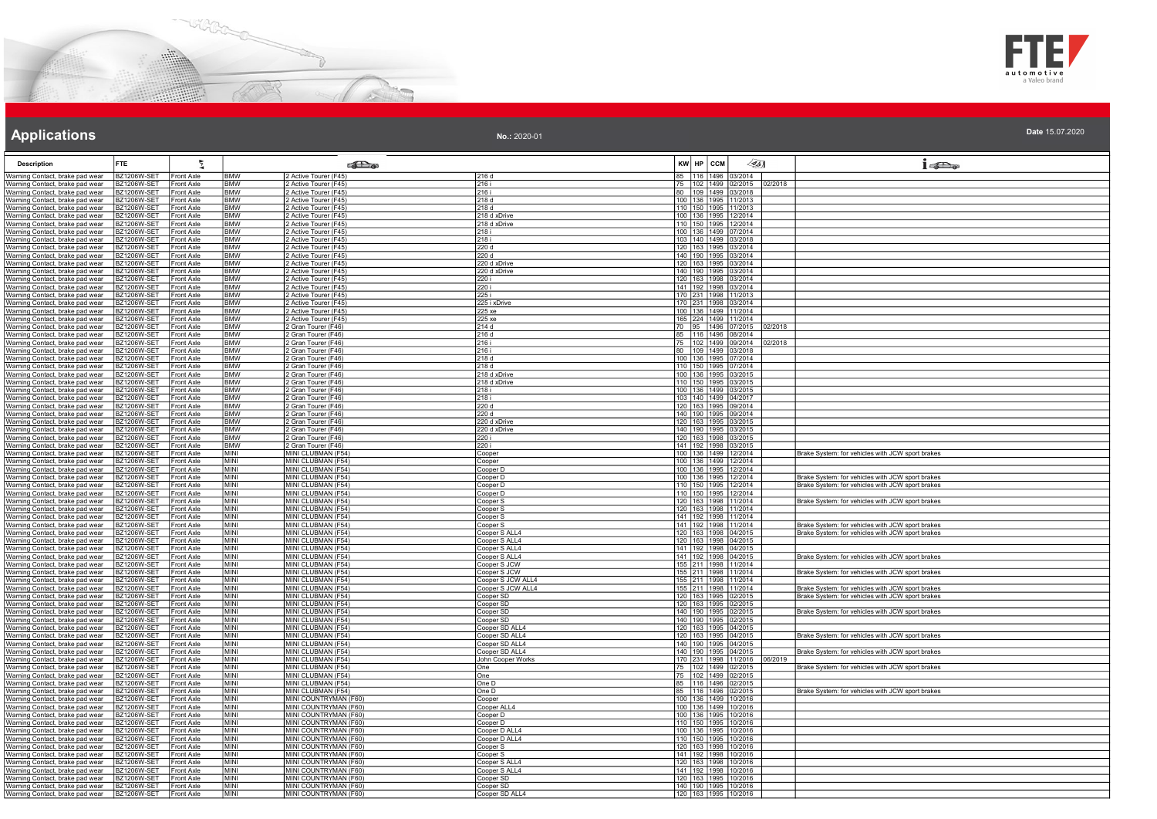



#### **Applications** the contract of the contract of the contract of the contract of the contract of the contract of the contract of the contract of the contract of the contract of the contract of the contract of the contract of

| <b>Description</b>                                                                                      | FTE.                                   |                                        |                          | கில                                                   |                                  | KW HP CCM                                                  | $\llap{65}$                 | $1 - 5$                                                                                              |
|---------------------------------------------------------------------------------------------------------|----------------------------------------|----------------------------------------|--------------------------|-------------------------------------------------------|----------------------------------|------------------------------------------------------------|-----------------------------|------------------------------------------------------------------------------------------------------|
| Warning Contact, brake pad wear                                                                         | BZ1206W-SET                            | Front Axle                             | BMW                      | 2 Active Tourer (F45)                                 | 216 d                            | 85 116 1496 03/2014                                        |                             |                                                                                                      |
| Warning Contact, brake pad wear                                                                         | BZ1206W-SET                            | Front Axle                             | <b>BMW</b>               | 2 Active Tourer (F45)                                 | 216 i                            | 75   102   1499   02/2015                                  | 02/2018                     |                                                                                                      |
| Warning Contact, brake pad wear<br>Warning Contact, brake pad wear                                      | 3Z1206W-SET<br>3Z1206W-SET             | Front Axle<br>Front Axle               | <b>BMW</b><br><b>BMW</b> | Active Tourer (F45)<br>Active Tourer (F45)            | 216 i<br>218 d                   | 80 109 1499 03/2018<br>100 136 1995 11/2013                |                             |                                                                                                      |
| Warning Contact, brake pad wear                                                                         | BZ1206W-SET                            | Front Axle                             | <b>BMW</b>               | 2 Active Tourer (F45)                                 | 218d                             | 110 150 1995 11/2013                                       |                             |                                                                                                      |
| Warning Contact, brake pad wear                                                                         | 3Z1206W-SET                            | Front Axle                             | <b>BMW</b>               | 2 Active Tourer (F45)                                 | 218 d xDrive                     | 100 136 1995 12/2014                                       |                             |                                                                                                      |
| Warning Contact, brake pad wear                                                                         | BZ1206W-SET                            | <b>Front Axle</b>                      | <b>BMW</b>               | 2 Active Tourer (F45)                                 | 218 d xDrive                     | 110 150 1995 12/2014                                       |                             |                                                                                                      |
| Warning Contact, brake pad wear                                                                         | 3Z1206W-SE <sup>-</sup>                | Front Axle                             | <b>BMW</b>               | 2 Active Tourer (F45)                                 | 218 i                            | 100 136 1499 07/2014                                       |                             |                                                                                                      |
| Warning Contact, brake pad wear<br>Warning Contact, brake pad wear                                      | 3Z1206W-SE<br>BZ1206W-SET              | <b>Front Axle</b><br>Front Axle        | <b>BMW</b><br><b>BMW</b> | Active Tourer (F45)<br>Active Tourer (F45)            | 218 i<br>220 d                   | 103 140 1499 03/2018<br>120 163 1995 03/2014               |                             |                                                                                                      |
| Warning Contact, brake pad wear                                                                         | <b>BZ1206W-SET</b>                     | Front Axle                             | <b>BMW</b>               | 2 Active Tourer (F45)                                 | 220d                             | 140 190 1995 03/2014                                       |                             |                                                                                                      |
| Warning Contact, brake pad wear                                                                         | 3Z1206W-SET                            | Front Axle                             | <b>BMW</b>               | 2 Active Tourer (F45)                                 | 220 d xDrive                     | 120 163 1995 03/2014                                       |                             |                                                                                                      |
| Warning Contact, brake pad wear                                                                         | 3Z1206W-SET                            | <b>Front Axle</b>                      | <b>BMW</b>               | 2 Active Tourer (F45)                                 | 220 d xDrive                     | 140   190   1995   03/2014                                 |                             |                                                                                                      |
| Warning Contact, brake pad wear                                                                         | <b>BZ1206W-SET</b>                     | Front Axle                             | <b>BMW</b>               | 2 Active Tourer (F45)                                 | 220 i                            | 120 163 1998 03/2014                                       |                             |                                                                                                      |
| Warning Contact, brake pad wear<br>Warning Contact, brake pad wear                                      | 3Z1206W-SET<br>BZ1206W-SET             | Front Axle<br>Front Axle               | <b>BMW</b><br><b>BMW</b> | Active Tourer (F45)<br>2 Active Tourer (F45)          | 220 i<br>225 i                   | 141 192 1998 03/2014<br>$\frac{170}{170}$ 231 1998 11/2013 |                             |                                                                                                      |
| Warning Contact, brake pad wear                                                                         | 3Z1206W-SET                            | Front Axle                             | <b>BMW</b>               | 2 Active Tourer (F45)                                 | 225 i xDrive                     | 170 231 1998 03/2014                                       |                             |                                                                                                      |
| Warning Contact, brake pad wear                                                                         | 3Z1206W-SET                            | Front Axle                             | <b>BMW</b>               | 2 Active Tourer (F45)                                 | 225 xe                           | 100 136 1499 11/2014                                       |                             |                                                                                                      |
| Warning Contact, brake pad wear                                                                         | BZ1206W-SET                            | Front Axle                             | <b>BMW</b>               | 2 Active Tourer (F45)                                 | 225 xe                           | 165 224 1499 11/2014                                       |                             |                                                                                                      |
| Warning Contact, brake pad wear                                                                         | BZ1206W-SET                            | Front Axle                             | BMW                      | 2 Gran Tourer (F46)                                   | 214 d                            | 70 95 1496 07/2015                                         | 02/2018                     |                                                                                                      |
| Warning Contact, brake pad wear                                                                         | 3Z1206W-SET<br>3Z1206W-SE <sup>-</sup> | Front Axle<br>ront Axle                | <b>BMW</b><br><b>BMW</b> | <sup>2</sup> Gran Tourer (F46)<br>2 Gran Tourer (F46) | 216 d<br>216 i                   | 75 102 1499 09/2014                                        | 116 1496 08/2014<br>02/2018 |                                                                                                      |
| Warning Contact, brake pad wear<br>Warning Contact, brake pad wear                                      | BZ1206W-SET                            | <b>Front Axle</b>                      | <b>BMW</b>               | 2 Gran Tourer (F46)                                   | 216i                             | 80 109 1499 03/2018                                        |                             |                                                                                                      |
| Warning Contact, brake pad wear                                                                         | 3Z1206W-SE1                            | <b>Front Axle</b>                      | BMW                      | 2 Gran Tourer (F46)                                   | 218 d                            | 100 136 1995 07/2014                                       |                             |                                                                                                      |
| Warning Contact, brake pad wear                                                                         | 3Z1206W-SET                            | Front Axle                             | <b>BMW</b>               | <sup>2</sup> Gran Tourer (F46)                        | 218 d                            | 110 150 1995 07/2014                                       |                             |                                                                                                      |
| Warning Contact, brake pad wear                                                                         | 3Z1206W-SET                            | <b>Front Axle</b>                      | <b>BMW</b>               | 2 Gran Tourer (F46)                                   | 218 d xDrive                     | 100 136 1995 03/2015                                       |                             |                                                                                                      |
| Warning Contact, brake pad wear                                                                         | 3Z1206W-SE <sup>-</sup>                | <b>Front Axle</b>                      | <b>BMW</b>               | Gran Tourer (F46)                                     | 218 d xDrive                     | 110 150 1995 03/2015                                       |                             |                                                                                                      |
| Warning Contact, brake pad wear<br>Warning Contact, brake pad wear                                      | 3Z1206W-SET<br><b>BZ1206W-SET</b>      | <b>Front Axle</b><br>Front Axle        | <b>BMW</b><br><b>BMW</b> | <sup>2</sup> Gran Tourer (F46)<br>2 Gran Tourer (F46) | 218 i<br>218i                    | 100 136 1499 03/2015<br>103 140 1499 04/2017               |                             |                                                                                                      |
| Warning Contact, brake pad wear                                                                         | BZ1206W-SET                            | <b>Front Axle</b>                      | <b>BMW</b>               | 2 Gran Tourer (F46)                                   | 220 d                            | 120 163 1995 09/2014                                       |                             |                                                                                                      |
| Warning Contact, brake pad wear                                                                         | BZ1206W-SET                            | Front Axle                             | <b>BMW</b>               | 2 Gran Tourer (F46)                                   | 220 d                            | 140 190 1995 09/2014                                       |                             |                                                                                                      |
| Warning Contact, brake pad wear                                                                         | 3Z1206W-SE                             | Front Axle                             | <b>BMW</b>               | Gran Tourer (F46)                                     | 220 d xDrive                     | 120 163 1995 03/2015                                       |                             |                                                                                                      |
| Warning Contact, brake pad wear                                                                         | BZ1206W-SET                            | Front Axle                             | <b>BMW</b>               | Gran Tourer (F46)                                     | 220 d xDrive                     | 140 190 1995 03/2015                                       |                             |                                                                                                      |
| Warning Contact, brake pad wear                                                                         | BZ1206W-SET                            | Front Axle                             | <b>BMW</b><br><b>BMW</b> | <b>Cran Tourer (F46)</b><br>2 Gran Tourer (F46)       | 220 i                            | 120 163 1998 03/2015<br>141 192 1998 03/2015               |                             |                                                                                                      |
| Warning Contact, brake pad wear<br>Warning Contact, brake pad wear                                      | <b>BZ1206W-SET</b><br>3Z1206W-SET      | Front Axle<br><b>Front Axle</b>        | <b>MINI</b>              | MINI CLUBMAN (F54)                                    | 220 i<br>Cooper                  | 100 136 1499 12/2014                                       |                             | Brake System: for vehicles with JCW sport brakes                                                     |
| Warning Contact, brake pad wear                                                                         | BZ1206W-SET                            | Front Axle                             | MINI                     | MINI CLUBMAN (F54)                                    | Cooper                           | 100 136 1499 12/2014                                       |                             |                                                                                                      |
| Warning Contact, brake pad wear                                                                         | 3Z1206W-SET                            | Front Axle                             | <b>MINI</b>              | MINI CLUBMAN (F54)                                    | Cooper D                         | 100 136 1995 12/2014                                       |                             |                                                                                                      |
| Warning Contact, brake pad wear                                                                         | 3Z1206W-SET                            | <b>Front Axle</b>                      | MINI                     | MINI CLUBMAN (F54)                                    | Cooper D                         | 100 136 1995 12/2014<br>110 150 1995 12/2014               |                             | Brake System: for vehicles with JCW sport brakes                                                     |
| Warning Contact, brake pad wear                                                                         | BZ1206W-SET                            | Front Axle                             | MINI                     | MINI CLUBMAN (F54)                                    | Cooper D                         |                                                            |                             | Brake System: for vehicles with JCW sport brakes                                                     |
| Warning Contact, brake pad wear<br>Warning Contact, brake pad wear                                      | 3Z1206W-SET<br>BZ1206W-SET             | Front Axle<br><b>Front Axle</b>        | MINI<br><b>MINI</b>      | MINI CLUBMAN (F54)<br>MINI CLUBMAN (F54)              | Cooper D<br>Cooper S             | 110 150 1995 12/2014<br>120 163 1998 11/2014               |                             | Brake System: for vehicles with JCW sport brakes                                                     |
| Warning Contact, brake pad wear                                                                         | BZ1206W-SET                            | Front Axle                             | MINI                     | MINI CLUBMAN (F54)                                    | Cooper S                         | 120   163   1998   11/2014                                 |                             |                                                                                                      |
| Warning Contact, brake pad wear                                                                         | 3Z1206W-SET                            | Front Axle                             | <b>MINI</b>              | MINI CLUBMAN (F54)                                    | Cooper S                         | 141 192 1998 11/2014                                       |                             |                                                                                                      |
| Warning Contact, brake pad wear                                                                         | BZ1206W-SET                            | Front Axle                             | MINI                     | MINI CLUBMAN (F54)                                    | Cooper S                         | 141 192 1998 11/2014                                       |                             | Brake System: for vehicles with JCW sport brakes                                                     |
| Warning Contact, brake pad wear                                                                         | BZ1206W-SET                            | Front Axle                             | <b>MINI</b>              | MINI CLUBMAN (F54)                                    | Cooper S ALL4                    | 120 163 1998 04/2015                                       |                             | Brake System: for vehicles with JCW sport brakes                                                     |
| Warning Contact, brake pad wear<br>Warning Contact, brake pad wear                                      | BZ1206W-SET<br>3Z1206W-SET             | <b>Front Axle</b><br><b>Front Axle</b> | <b>MINI</b><br>MINI      | MINI CLUBMAN (F54)<br>MINI CLUBMAN (F54)              | Cooper S ALL4<br>Cooper S ALL4   | 120 163 1998 04/2015<br>141   192   1998   04/2015         |                             |                                                                                                      |
| Warning Contact, brake pad wear                                                                         | BZ1206W-SET                            | Front Axle                             | <b>MINI</b>              | MINI CLUBMAN (F54)                                    | Cooper S ALL4                    | 141 192 1998 04/2015                                       |                             | Brake System: for vehicles with JCW sport brakes                                                     |
| Warning Contact, brake pad wear                                                                         | 3Z1206W-SET                            | Front Axle                             | <b>MINI</b>              | MINI CLUBMAN (F54)                                    | Cooper S JCW                     | 155 211 1998 11/2014                                       |                             |                                                                                                      |
| Warning Contact, brake pad wear                                                                         | 3Z1206W-SET                            | Front Axle                             | MINI                     | MINI CLUBMAN (F54)                                    | Cooper S JCW                     | 155 211 1998 11/2014                                       |                             | Brake System: for vehicles with JCW sport brakes                                                     |
| Warning Contact, brake pad wear                                                                         | BZ1206W-SET                            | Front Axle                             | <b>MINI</b>              | MINI CLUBMAN (F54)                                    | Cooper S JCW ALL4                | 155 211 1998 11/2014                                       |                             |                                                                                                      |
| Warning Contact, brake pad wear<br>Warning Contact, brake pad wear                                      | 3Z1206W-SET<br><b>BZ1206W-SET</b>      | Front Axle<br>Front Axle               | <b>MINI</b><br>MINI      | MINI CLUBMAN (F54)<br>MINI CLUBMAN (F54)              | Cooper S JCW ALL4<br>Cooper SD   | 155 211 1998 11/2014<br>120 163 1995 02/2015               |                             | Brake System: for vehicles with JCW sport brakes<br>Brake System: for vehicles with JCW sport brakes |
| Warning Contact, brake pad wear                                                                         | 3Z1206W-SET                            | <b>Front Axle</b>                      | <b>MINI</b>              | MINI CLUBMAN (F54)                                    | Cooper SD                        | 120 163 1995 02/2015                                       |                             |                                                                                                      |
| Warning Contact, brake pad wear                                                                         | 3Z1206W-SET                            | Front Axle                             | MINI                     | MINI CLUBMAN (F54)                                    | Cooper SD                        | 140 190 1995 02/2015                                       |                             | Brake System: for vehicles with JCW sport brakes                                                     |
| Warning Contact, brake pad wear                                                                         | BZ1206W-SE1                            | Front Axle                             | MINI                     | MINI CLUBMAN (F54)                                    | Cooper SD                        | 140 190 1995 02/2015                                       |                             |                                                                                                      |
| Warning Contact, brake pad wear                                                                         | <b>BZ1206W-SET</b>                     | Front Axle                             | <b>MINI</b>              | MINI CLUBMAN (F54)                                    | Cooper SD ALL4                   | 120 163 1995 04/2015                                       |                             |                                                                                                      |
| Warning Contact, brake pad wear<br>Warning Contact, brake pad wear                                      | 3Z1206W-SET<br>3Z1206W-SET             | Front Axle<br>Front Axle               | MINI<br>MINI             | MINI CLUBMAN (F54)<br>MINI CLUBMAN (F54)              | Cooper SD ALL4<br>Cooper SD ALL4 | 120 163 1995 04/2015<br>140 190 1995 04/2015               |                             | Brake System: for vehicles with JCW sport brakes                                                     |
| Warning Contact, brake pad wear                                                                         | BZ1206W-SE1                            | Front Axle                             | <b>MINI</b>              | MINI CLUBMAN (F54)                                    | Cooper SD ALL4                   | 140 190 1995 04/2015                                       |                             | Brake System: for vehicles with JCW sport brakes                                                     |
| Warning Contact, brake pad wear                                                                         | 3Z1206W-SE <sup>-</sup>                | Front Axle                             | MINI                     | MINI CLUBMAN (F54)                                    | John Cooper Works                |                                                            | 06/2019                     |                                                                                                      |
| Warning Contact, brake pad wear                                                                         | BZ1206W-SET                            | Front Axle                             | MINI                     | MINI CLUBMAN (F54)                                    | One                              | 170 231 1998 11/2016<br>75 102 1499 02/2015                |                             | Brake System: for vehicles with JCW sport brakes                                                     |
| Warning Contact, brake pad wear                                                                         | BZ1206W-SET                            | Front Axle                             | <b>MINI</b>              | MINI CLUBMAN (F54)                                    | One                              | 75 102 1499 02/2015                                        |                             |                                                                                                      |
| Warning Contact, brake pad wear<br>Warning Contact, brake pad wear                                      | <b>BZ1206W-SET</b><br>BZ1206W-SET      | Front Axle<br>Front Axle               | MINI<br>MINI             | MINI CLUBMAN (F54)<br>MINI CLUBMAN (F54)              | One D<br>One D                   | 85 116 1496 02/2015<br>85 116 1496 02/2015                 |                             | Brake System: for vehicles with JCW sport brakes                                                     |
| Warning Contact, brake pad wear                                                                         | 3Z1206W-SET                            | Front Axle                             | <b>MINI</b>              | MINI COUNTRYMAN (F60                                  | Cooper                           | 100 136 1499 10/2016                                       |                             |                                                                                                      |
| Warning Contact, brake pad wear                                                                         | BZ1206W-SE1                            | Front Axle                             | <b>MINI</b>              | MINI COUNTRYMAN (F60)                                 | Cooper ALL4                      | 100 136 1499 10/2016                                       |                             |                                                                                                      |
| Warning Contact, brake pad wear                                                                         | BZ1206W-SET                            | Front Axle                             | MINI                     | MINI COUNTRYMAN (F60)                                 | Cooper D                         | 100 136 1995 10/2016                                       |                             |                                                                                                      |
| Warning Contact, brake pad wear                                                                         | <b>BZ1206W-SET</b>                     | Front Axle                             | <b>MINI</b>              | MINI COUNTRYMAN (F60)                                 | Cooper D                         | 110 150 1995 10/2016                                       |                             |                                                                                                      |
| Warning Contact, brake pad wear                                                                         | 3Z1206W-SET                            | Front Axle                             | <b>MINI</b>              | MINI COUNTRYMAN (F60)                                 | Cooper D ALL4                    | 100 136 1995 10/2016                                       |                             |                                                                                                      |
| Warning Contact, brake pad wear<br>Warning Contact, brake pad wear                                      | 3Z1206W-SET<br>BZ1206W-SET             | Front Axle<br>Front Axle               | MINI<br>MINI             | MINI COUNTRYMAN (F60)<br>MINI COUNTRYMAN (F60)        | Cooper D ALL4<br>Cooper S        | 110 150 1995 10/2016<br>120 163 1998 10/2016               |                             |                                                                                                      |
| Warning Contact, brake pad wear                                                                         | 3Z1206W-SET                            | Front Axle                             | <b>MINI</b>              | MINI COUNTRYMAN (F60)                                 | Cooper S                         | 141 192 1998 10/2016                                       |                             |                                                                                                      |
| Warning Contact, brake pad wear                                                                         | BZ1206W-SET                            | Front Axle                             | MINI                     | MINI COUNTRYMAN (F60)                                 | Cooper S ALL4                    | 120 163 1998 10/2016                                       |                             |                                                                                                      |
| Warning Contact, brake pad wear                                                                         | <b>BZ1206W-SET</b>                     | <b>Front Axle</b>                      | <b>MINI</b>              | MINI COUNTRYMAN (F60)                                 | Cooper S ALL4                    | 141 192 1998 10/2016                                       |                             |                                                                                                      |
| Warning Contact, brake pad wear                                                                         | BZ1206W-SET                            | <b>Front Axle</b>                      | <b>MINI</b>              | MINI COUNTRYMAN (F60)                                 | Cooper SD                        | 120 163 1995 10/2016                                       |                             |                                                                                                      |
| Warning Contact, brake pad wear BZ1206W-SET Front Axle<br>Warning Contact, brake pad wear   BZ1206W-SET |                                        | <b>Front Axle</b>                      | MINI<br><b>MINI</b>      | MINI COUNTRYMAN (F60)<br>MINI COUNTRYMAN (F60)        | Cooper SD<br>Cooper SD ALL4      | 140 190 1995 10/2016<br>120 163 1995 10/2016               |                             |                                                                                                      |
|                                                                                                         |                                        |                                        |                          |                                                       |                                  |                                                            |                             |                                                                                                      |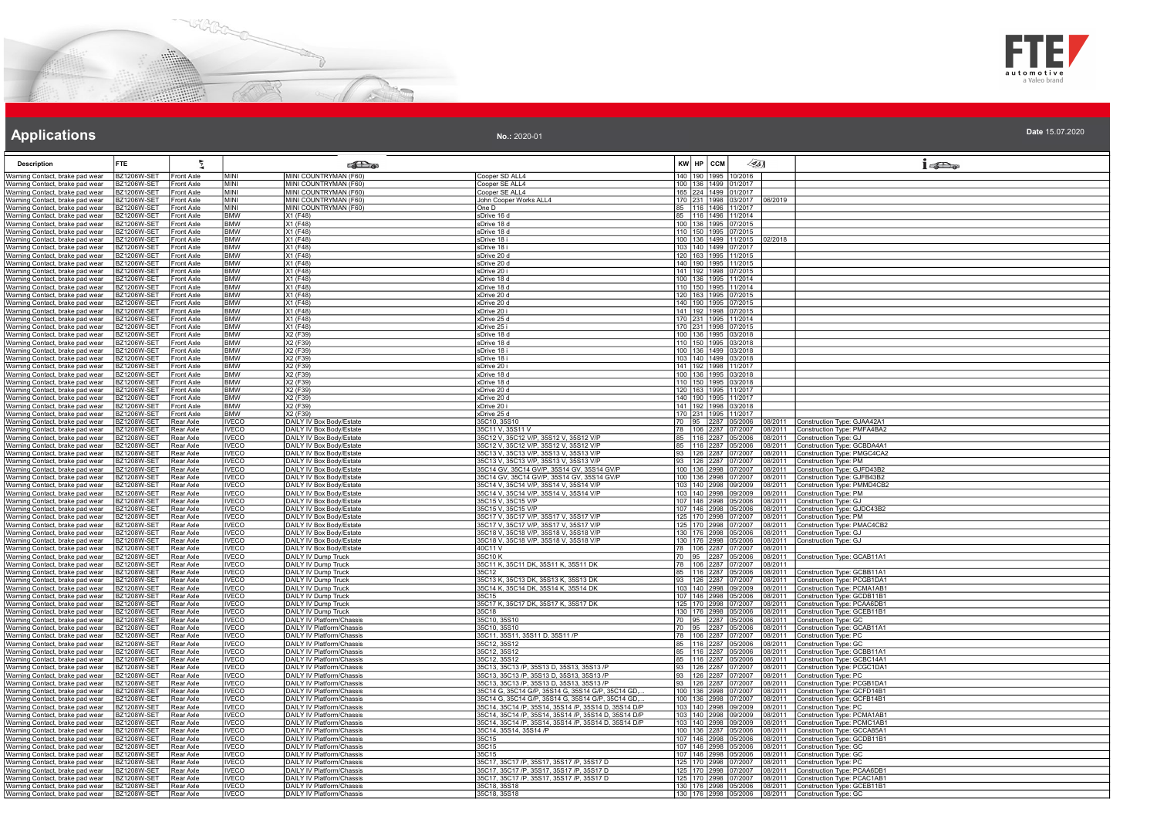



| No.: 2020-01 | Date 15.07.2020 |
|--------------|-----------------|
|--------------|-----------------|

| <b>Description</b>                                                 | FTE.                                   |                                        |                              | <b>Colle</b>                                                  |                                                                                                        |     | KW HP CCM    | 45)                                          |                                                | $1 - \sum_{\alpha}$                                          |
|--------------------------------------------------------------------|----------------------------------------|----------------------------------------|------------------------------|---------------------------------------------------------------|--------------------------------------------------------------------------------------------------------|-----|--------------|----------------------------------------------|------------------------------------------------|--------------------------------------------------------------|
| Warning Contact, brake pad wear                                    | BZ1206W-SET                            | Front Axle                             | MINI                         | MINI COUNTRYMAN (F60)                                         | Cooper SD ALL4                                                                                         |     |              | 140 190 1995 10/2016                         |                                                |                                                              |
| Warning Contact, brake pad wear                                    | 3Z1206W-SET                            | Front Axle                             | <b>MINI</b>                  | MINI COUNTRYMAN (F60)                                         | Cooper SE ALL4                                                                                         |     |              | 100 136 1499 01/2017                         |                                                |                                                              |
| Warning Contact, brake pad wear                                    | BZ1206W-SET                            | <b>Front Axle</b>                      | MINI                         | MINI COUNTRYMAN (F60)                                         | Cooper SE ALL4                                                                                         |     |              | 165  224  1499  01/2017                      |                                                |                                                              |
| Warning Contact, brake pad wear                                    | BZ1206W-SET                            | Front Axle                             | MINI                         | MINI COUNTRYMAN (F60)                                         | John Cooper Works ALL4                                                                                 |     |              |                                              | 170 231 1998 03/2017 06/2019                   |                                                              |
| Warning Contact, brake pad wear                                    | 3Z1206W-SE                             | Front Axle                             | MINI                         | MINI COUNTRYMAN (F60)                                         | One D                                                                                                  | 85  |              | 116 1496 11/2017<br>85 116 1496 11/2014      |                                                |                                                              |
| Warning Contact, brake pad wear                                    | 3Z1206W-SE <sup>-</sup><br>3Z1206W-SET | ront Axle<br><b>Front Axle</b>         | <b>BMW</b><br><b>BMW</b>     | X1(F48)<br>X1 (F48)                                           | sDrive 16 d<br>sDrive 18 d                                                                             |     |              | 100 136 1995 07/2015                         |                                                |                                                              |
| Warning Contact, brake pad wear<br>Warning Contact, brake pad wear | 3Z1206W-SE1                            | <b>Front Axle</b>                      | <b>BMW</b>                   | X1 (F48)                                                      | sDrive 18 d                                                                                            |     |              | 110 150 1995 07/2015                         |                                                |                                                              |
| Warning Contact, brake pad wear                                    | 3Z1206W-SET                            | <b>Front Axle</b>                      | <b>BMW</b>                   | X1 (F48)                                                      | sDrive 18 i                                                                                            |     |              |                                              | 100 136 1499 11/2015 02/2018                   |                                                              |
| Warning Contact, brake pad wear                                    | 3Z1206W-SET                            | Front Axle                             | <b>BMW</b>                   | X1 (F48)                                                      | sDrive 18 i                                                                                            |     |              | 103 140 1499 07/2017<br>120 163 1995 11/2015 |                                                |                                                              |
| Warning Contact, brake pad wear                                    | 3Z1206W-SE                             | Front Axle                             | <b>BMW</b>                   | X1 (F48)                                                      | sDrive 20 d                                                                                            |     |              |                                              |                                                |                                                              |
| Warning Contact, brake pad wear<br>Warning Contact, brake pad wear | BZ1206W-SET<br>3Z1206W-SET             | Front Axle<br><b>Front Axle</b>        | <b>BMW</b><br><b>BMW</b>     | X1 (F48)<br>X1 (F48)                                          | sDrive 20 d<br>sDrive 20 i                                                                             |     |              | 140 190 1995 11/2015<br>141 192 1998 07/2015 |                                                |                                                              |
| Warning Contact, brake pad wear                                    | BZ1206W-SET                            | Front Axle                             | <b>BMW</b>                   | X1 (F48)                                                      | xDrive 18 d                                                                                            |     |              | 100 136 1995 11/2014                         |                                                |                                                              |
| Warning Contact, brake pad wear                                    | B71206W-SFT                            | Front Axle                             | <b>BMW</b>                   | $X1$ (F48)                                                    | xDrive 18 d                                                                                            |     |              | 110 150 1995 11/2014                         |                                                |                                                              |
| Warning Contact, brake pad wear                                    | 3Z1206W-SE                             | <b>Front Axle</b>                      | BMW                          | X1 (F48)                                                      | xDrive 20 d                                                                                            |     |              | 120 163 1995 07/2015<br>140 190 1995 07/2015 |                                                |                                                              |
| Warning Contact, brake pad wear                                    | BZ1206W-SET                            | Front Axle                             | <b>BMW</b>                   | X1(F48)                                                       | xDrive 20 d                                                                                            |     |              |                                              |                                                |                                                              |
| Warning Contact, brake pad wear<br>Warning Contact, brake pad wear | BZ1206W-SET<br>BZ1206W-SET             | Front Axle<br>Front Axle               | <b>BMW</b><br><b>BMW</b>     | X1 (F48)<br>X1 (F48)                                          | xDrive 20 i<br>xDrive 25 d                                                                             |     |              | 141 192 1998 07/2015<br>170 231 1995 11/2014 |                                                |                                                              |
| Warning Contact, brake pad wear                                    | 3Z1206W-SET                            | Front Axle                             | <b>BMW</b>                   | X1 (F48)                                                      | xDrive 25 i                                                                                            |     |              | 170 231 1998 07/2015                         |                                                |                                                              |
| Warning Contact, brake pad wear                                    | 3Z1206W-SE                             | Front Axle                             | <b>BMW</b>                   | X2 (F39)                                                      | sDrive 18 d                                                                                            |     |              | 100 136 1995 03/2018                         |                                                |                                                              |
| Warning Contact, brake pad wear                                    | <b>BZ1206W-SET</b>                     | Front Axle                             | <b>BMW</b>                   | X2 (F39)                                                      | sDrive 18 d                                                                                            |     |              | 110 150 1995 03/2018                         |                                                |                                                              |
| Warning Contact, brake pad wear                                    | 3Z1206W-SET                            | Front Axle                             | <b>BMW</b>                   | X2 (F39)                                                      | sDrive 18 i                                                                                            |     |              | 100 136 1499 03/2018                         |                                                |                                                              |
| Warning Contact, brake pad wear<br>Warning Contact, brake pad wear | 3Z1206W-SET<br>BZ1206W-SET             | Front Axle<br>Front Axle               | <b>BMW</b><br><b>BMW</b>     | X2 (F39)<br>X2 (F39)                                          | sDrive 18 i<br>sDrive 20 i                                                                             |     |              | 103 140 1499 03/2018<br>141 192 1998 11/2017 |                                                |                                                              |
| Warning Contact, brake pad wear                                    | 3Z1206W-SET                            | Front Axle                             | BMW                          | X2 (F39)                                                      | xDrive 18 d                                                                                            | 100 |              | 136 1995 03/2018                             |                                                |                                                              |
| Warning Contact, brake pad wear                                    | BZ1206W-SET                            | Front Axle                             | <b>BMW</b>                   | X2 (F39)                                                      | xDrive 18 d                                                                                            |     |              | 110 150 1995 03/2018                         |                                                |                                                              |
| Warning Contact, brake pad wear                                    | BZ1206W-SET                            | <b>Front Axle</b>                      | <b>BMW</b>                   | X2 (F39)                                                      | xDrive 20 d                                                                                            |     |              | 120 163 1995 11/2017                         |                                                |                                                              |
| Warning Contact, brake pad wear                                    | BZ1206W-SET                            | Front Axle                             | <b>BMW</b>                   | X2 (F39)                                                      | xDrive 20 d                                                                                            |     |              | 140 190 1995 11/2017                         |                                                |                                                              |
| Warning Contact, brake pad wear<br>Warning Contact, brake pad wear | 3Z1206W-SET<br>BZ1206W-SET             | <b>Front Axle</b><br><b>Front Axle</b> | <b>BMW</b><br><b>BMW</b>     | X2 (F39)<br>X2 (F39)                                          | xDrive 20 i<br>xDrive 25 d                                                                             |     |              | 141 192 1998 03/2018<br>170 231 1995 11/2017 |                                                |                                                              |
| Warning Contact, brake pad wear                                    | 3Z1208W-SET                            | Rear Axle                              | VECO                         | DAILY IV Box Body/Estate                                      | 35C10, 35S10                                                                                           |     |              | 95 2287 05/2006                              | 08/2011                                        | Construction Type: GJAA42A1                                  |
| Warning Contact, brake pad wear                                    | 3Z1208W-SET                            | Rear Axle                              | <b>IVECO</b>                 | DAILY IV Box Body/Estate                                      | 35C11 V, 35S11 V                                                                                       |     |              | 78 106 2287 07/2007                          | 08/2011                                        | Construction Type: PMFA4BA2                                  |
| Warning Contact, brake pad wear                                    | BZ1208W-SET                            | Rear Axle                              | <b>IVECO</b>                 | DAILY IV Box Body/Estate                                      | 35C12 V, 35C12 V/P, 35S12 V, 35S12 V/P                                                                 |     |              | 85 116 2287 05/2006                          | 08/2011                                        | Construction Type: GJ                                        |
| Warning Contact, brake pad wear<br>Warning Contact, brake pad wear | 3Z1208W-SET<br>BZ1208W-SET             | Rear Axle<br>Rear Axle                 | <b>IVECO</b><br><b>IVECO</b> | DAILY IV Box Body/Estate<br>DAILY IV Box Body/Estate          | 35C12 V, 35C12 V/P, 35S12 V, 35S12 V/P<br>35C13 V, 35C13 V/P, 35S13 V, 35S13 V/P                       |     |              | 85   116   2287   05/2006                    | 08/2011<br>93   126   2287   07/2007   08/2011 | Construction Type: GCBDA4A1<br>Construction Type: PMGC4CA2   |
| Warning Contact, brake pad wear                                    | BZ1208W-SET                            | Rear Axle                              | <b>IVECO</b>                 | DAILY IV Box Body/Estate                                      | 5C13 V, 35C13 V/P, 35S13 V, 35S13 V/P                                                                  | 93  |              | 126 2287 07/2007                             | 08/2011                                        | Construction Type: PM                                        |
| Warning Contact, brake pad wear                                    | BZ1208W-SET                            | Rear Axle                              | <b>IVECO</b>                 | DAILY IV Box Body/Estate                                      | 35C14 GV, 35C14 GV/P, 35S14 GV, 35S14 GV/P                                                             |     |              | 100 136 2998 07/2007                         | 08/2011                                        | Construction Type: GJFD43B2                                  |
| Warning Contact, brake pad wear                                    | BZ1208W-SET                            | Rear Axle                              | <b>IVECO</b>                 | DAILY IV Box Body/Estate                                      | 35C14 GV, 35C14 GV/P, 35S14 GV, 35S14 GV/P                                                             |     |              | 100 136 2998 07/2007                         | 08/2011                                        | Construction Type: GJFB43B2                                  |
| Warning Contact, brake pad wear<br>Warning Contact, brake pad wear | 3Z1208W-SET<br>BZ1208W-SET             | Rear Axle<br>Rear Axle                 | <b>IVECO</b><br><b>IVECO</b> | DAILY IV Box Body/Estate<br>DAILY IV Box Body/Estate          | 35C14 V, 35C14 V/P, 35S14 V, 35S14 V/P<br>35C14 V, 35C14 V/P, 35S14 V, 35S14 V/P                       |     |              | 103 140 2998 09/2009                         | 08/2011<br>103 140 2998 09/2009 08/2011        | Construction Type: PMMD4CB2<br>Construction Type: PM         |
| Warning Contact, brake pad wear                                    | 3Z1208W-SET                            | Rear Axle                              | <b>IVECO</b>                 | DAILY IV Box Body/Estate                                      | 35C15 V, 35C15 V/P                                                                                     |     |              | 107 146 2998 05/2006                         | 08/2011                                        | Construction Type: GJ                                        |
| Warning Contact, brake pad wear                                    | 3Z1208W-SET                            | Rear Axle                              | <b>IVECO</b>                 | DAILY IV Box Body/Estate                                      | 5C15 V, 35C15 V/P                                                                                      |     |              | 107 146 2998 05/2006                         | 08/2011                                        | Construction Type: GJDC43B2                                  |
| Warning Contact, brake pad wear                                    | 3Z1208W-SET                            | Rear Axle                              | <b>IVECO</b>                 | DAILY IV Box Body/Estate                                      | 35C17 V, 35C17 V/P, 35S17 V, 35S17 V/P                                                                 |     |              | 125 170 2998 07/2007                         | 08/2011                                        | Construction Type: PM                                        |
| Warning Contact, brake pad wear<br>Warning Contact, brake pad wear | 3Z1208W-SET<br>BZ1208W-SE <sup>-</sup> | Rear Axle<br>Rear Axle                 | <b>IVECO</b><br><b>IVECO</b> | DAILY IV Box Body/Estate<br>DAILY IV Box Body/Estate          | 35C17 V, 35C17 V/P, 35S17 V, 35S17 V/P<br>35C18 V, 35C18 V/P, 35S18 V, 35S18 V/P                       |     |              | 125 170 2998 07/2007<br>130 176 2998 05/2006 | 08/2011<br>08/2011                             | Construction Type: PMAC4CB2<br>Construction Type: GJ         |
| Warning Contact, brake pad wear                                    | BZ1208W-SET                            | Rear Axle                              | <b>IVECO</b>                 | DAILY IV Box Body/Estate                                      | 35C18 V, 35C18 V/P, 35S18 V, 35S18 V/P                                                                 |     |              | 130 176 2998 05/2006                         | 08/2011                                        | Construction Type: GJ                                        |
| Warning Contact, brake pad wear                                    | BZ1208W-SET                            | Rear Axle                              | <b>IVECO</b>                 | DAILY IV Box Body/Estate                                      | 40C11 V                                                                                                | 78  |              | 106 2287 07/2007                             | 08/2011                                        |                                                              |
| Warning Contact, brake pad wear                                    | BZ1208W-SE <sup>-</sup>                | Rear Axle                              | <b>IVECO</b>                 | DAILY IV Dump Truck                                           | 35C10 K                                                                                                | 70  |              | 95 2287 05/2006                              | 08/2011                                        | Construction Type: GCAB11A1                                  |
| Warning Contact, brake pad wear<br>Warning Contact, brake pad wear | BZ1208W-SET<br>BZ1208W-SET             | Rear Axle<br>Rear Axle                 | <b>IVECO</b><br><b>IVECO</b> | DAILY IV Dump Truck<br>DAILY IV Dump Truck                    | 35C11 K, 35C11 DK, 35S11 K, 35S11 DK<br>35C12                                                          | 85  |              | 116 2287 05/2006                             | 78 106 2287 07/2007 08/2011<br>08/2011         | Construction Type: GCBB11A1                                  |
| Warning Contact, brake pad wear                                    | 3Z1208W-SET                            | Rear Axle                              | <b>IVECO</b>                 | DAILY IV Dump Truck                                           | 35C13 K, 35C13 DK, 35S13 K, 35S13 DK                                                                   |     |              |                                              | 93 126 2287 07/2007 08/2011                    | Construction Type: PCGB1DA1                                  |
| Warning Contact, brake pad wear                                    | 3Z1208W-SET                            | Rear Axle                              | <b>IVECO</b>                 | DAILY IV Dump Truck                                           | 35C14 K, 35C14 DK, 35S14 K, 35S14 DK                                                                   | 103 |              | 140 2998 09/2009                             | 08/2011                                        | Construction Type: PCMA1AB1                                  |
| Warning Contact, brake pad wear                                    | 3Z1208W-SE                             | Rear Axle                              | <b>IVECC</b>                 | DAILY IV Dump Truck                                           |                                                                                                        |     | 107 146 2998 | 05/2006                                      | 08/2011                                        | Construction Type: GCDB11B1                                  |
| Warning Contact, brake pad wear<br>Warning Contact, brake pad wear | BZ1208W-SET<br>3Z1208W-SET             | Rear Axle<br>Rear Axle                 | <b>IVECO</b><br><b>IVECO</b> | DAILY IV Dump Truck<br>DAILY IV Dump Truck                    | 35C17 K, 35C17 DK, 35S17 K, 35S17 DK<br>35C18                                                          |     |              | 125 170 2998 07/2007<br>130 176 2998 05/2006 | 08/2011<br>08/2011                             | Construction Type: PCAA6DB1<br>Construction Type: GCEB11B1   |
| Warning Contact, brake pad wear                                    | <b>BZ1208W-SET</b>                     | Rear Axle                              | <b>IVECO</b>                 | DAILY IV Platform/Chassis                                     | 35C10, 35S10                                                                                           |     |              |                                              | 70 95 2287 05/2006 08/2011                     | Construction Type: GC                                        |
| Warning Contact, brake pad wear                                    | BZ1208W-SE <sup>-</sup>                | Rear Axle                              | <b>IVECO</b>                 | DAILY IV Platform/Chassis                                     | 35C10, 35S10                                                                                           | 70  |              | 95 2287 05/2006                              | 08/2011                                        | Construction Type: GCAB11A1                                  |
| Warning Contact, brake pad wear                                    | 3Z1208W-SE                             | Rear Axle                              | <b>IVECO</b>                 | DAILY IV Platform/Chassis                                     | 35C11, 35S11, 35S11 D, 35S11 /P                                                                        | 78  |              | 106 2287 07/2007                             | 08/2011                                        | Construction Type: PC                                        |
| Warning Contact, brake pad wear                                    | BZ1208W-SET                            | Rear Axle                              | <b>IVECO</b>                 | DAILY IV Platform/Chassis                                     | 35C12, 35S12                                                                                           |     |              | 85 116 2287 05/2006                          | 08/2011                                        | Construction Type: GC                                        |
| Warning Contact, brake pad wear<br>Warning Contact, brake pad wear | BZ1208W-SET<br>BZ1208W-SET             | Rear Axle<br>Rear Axle                 | <b>IVECO</b><br><b>IVECO</b> | DAILY IV Platform/Chassis<br>DAILY IV Platform/Chassis        | 35C12, 35S12<br>35C12, 35S12                                                                           |     |              | 85 116 2287 05/2006                          | 08/2011<br>85   116   2287   05/2006   08/2011 | Construction Type: GCBB11A1<br>Construction Type: GCBC14A1   |
| Warning Contact, brake pad wear                                    | 3Z1208W-SET                            | Rear Axle                              | <b>IVECO</b>                 | DAILY IV Platform/Chassis                                     | 35C13, 35C13 /P, 35S13 D, 35S13, 35S13 /P                                                              |     |              | 93 126 2287 07/2007                          | 08/2011                                        | Construction Type: PCGC1DA1                                  |
| Warning Contact, brake pad wear                                    | 3Z1208W-SET                            | Rear Axle                              | <b>IVECO</b>                 | DAILY IV Platform/Chassis                                     | 5C13, 35C13 /P, 35S13 D, 35S13, 35S13 /P                                                               | 93  |              | 126 2287 07/2007                             | 08/2011                                        | Construction Type: PC                                        |
| Warning Contact, brake pad wear                                    | BZ1208W-SET                            | Rear Axle                              | <b>IVECO</b>                 | DAILY IV Platform/Chassis                                     | 35C13, 35C13 /P, 35S13 D, 35S13, 35S13 /P                                                              | 93  |              | 126 2287 07/2007                             | 08/2011                                        | Construction Type: PCGB1DA1                                  |
| Warning Contact, brake pad wear<br>Warning Contact, brake pad wear | BZ1208W-SET<br>3Z1208W-SET             | Rear Axle<br>Rear Axle                 | <b>IVECO</b><br><b>IVECO</b> | <b>DAILY IV Platform/Chassis</b><br>DAILY IV Platform/Chassis | 35C14 G, 35C14 G/P, 35S14 G, 35S14 G/P, 35C14 GD,<br>35C14 G, 35C14 G/P, 35S14 G, 35S14 G/P, 35C14 GD, |     |              | 100 136 2998 07/2007<br>100 136 2998 07/2007 | 08/2011<br>08/2011                             | Construction Type: GCFD14B1<br>Construction Type: GCFB14B1   |
| Warning Contact, brake pad wear                                    | 3Z1208W-SE1                            | Rear Axle                              | <b>IVECO</b>                 | DAILY IV Platform/Chassis                                     | 35C14, 35C14 /P, 35S14, 35S14 /P, 35S14 D, 35S14 D/P                                                   |     |              | 103 140 2998 09/2009                         | 08/2011                                        | Construction Type: PC                                        |
| Warning Contact, brake pad wear                                    | B71208W-SFT                            | Rear Axle                              | <b>IVECO</b>                 | DAILY IV Platform/Chassis                                     | 35C14, 35C14 /P, 35S14, 35S14 /P, 35S14 D, 35S14 D/P                                                   | 103 |              | 140 2998 09/2009                             | 08/2011                                        | Construction Type: PCMA1AB1                                  |
| Warning Contact, brake pad wear                                    | BZ1208W-SET                            | Rear Axle                              | <b>IVECO</b>                 | DAILY IV Platform/Chassis                                     | 35C14, 35C14 /P, 35S14, 35S14 /P, 35S14 D, 35S14 D/P<br>35C14, 35S14, 35S14 /P                         |     |              | 103 140 2998 09/2009                         | 08/2011                                        | Construction Type: PCMC1AB1                                  |
| Warning Contact, brake pad wear<br>Warning Contact, brake pad wear | BZ1208W-SET<br>BZ1208W-SET             | Rear Axle<br>Rear Axle                 | <b>IVECO</b><br><b>IVECO</b> | DAILY IV Platform/Chassis<br>DAILY IV Platform/Chassis        | 35C15                                                                                                  |     |              | 100 136 2287 05/2006<br>107 146 2998 05/2006 | 08/2011<br>08/2011                             | Construction Type: GCCA85A1<br>Construction Type: GCDB11B1   |
| Warning Contact, brake pad wear                                    | 3Z1208W-SET                            | Rear Axle                              | <b>IVECO</b>                 | DAILY IV Platform/Chassis                                     | 35C15                                                                                                  |     |              | 107 146 2998 05/2006                         | 08/2011                                        | Construction Type: GC                                        |
| Warning Contact, brake pad wear                                    | BZ1208W-SET                            | Rear Axle                              | <b>IVECO</b>                 | DAILY IV Platform/Chassis                                     | 35C15                                                                                                  |     |              |                                              | 107   146   2998   05/2006   08/2011           | Construction Type: GC                                        |
| Warning Contact, brake pad wear                                    | 3Z1208W-SET                            | Rear Axle                              | <u>IVECO</u>                 | DAILY IV Platform/Chassis                                     | 35C17, 35C17 /P, 35S17, 35S17 /P, 35S17 D                                                              |     |              | 125 170 2998 07/2007                         | 08/2011                                        | Construction Type: PC                                        |
| Warning Contact, brake pad wear<br>Warning Contact, brake pad wear | BZ1208W-SET<br>BZ1208W-SET             | Rear Axle<br>Rear Axle                 | <b>IVECO</b><br><b>IVECO</b> | DAILY IV Platform/Chassis<br><b>DAILY IV Platform/Chassis</b> | 35C17, 35C17 /P, 35S17, 35S17 /P, 35S17 D<br>35C17, 35C17 /P, 35S17, 35S17 /P, 35S17 D                 |     |              | 125 170 2998 07/2007<br>125 170 2998 07/2007 | 08/2011<br>08/2011                             | Construction Type: PCAA6DB1<br>Construction Type: PCAC1AB1   |
| Warning Contact, brake pad wear                                    | BZ1208W-SET                            | Rear Axle                              | <b>IVECO</b>                 | DAILY IV Platform/Chassis                                     | 35C18, 35S18                                                                                           |     |              |                                              | 130 176 2998 05/2006 08/2011                   | Construction Type: GCEB11B1                                  |
| Warning Contact, brake pad wear BZ1208W-SET Rear Axle              |                                        |                                        | <b>IVECO</b>                 | DAILY IV Platform/Chassis                                     | 35C18, 35S18                                                                                           |     |              |                                              |                                                | 130   176   2998   05/2006   08/2011   Construction Type: GC |
|                                                                    |                                        |                                        |                              |                                                               |                                                                                                        |     |              |                                              |                                                |                                                              |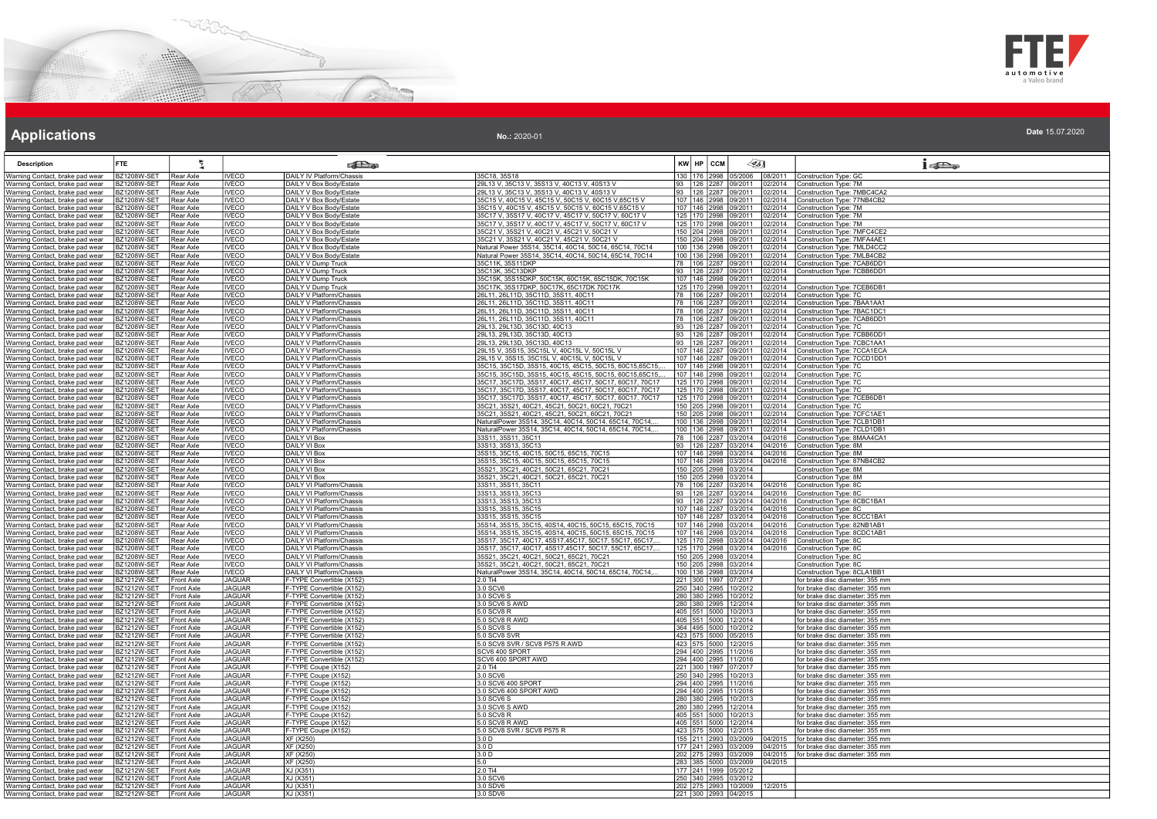



### **Applications Applications Applications**

| <b>Description</b>                                                 | FTE                                      |                                 |                                | <b>Pa</b>                                                   |                                                                                                                  | KW HP CCM    |                                              | $\mathscr{L}_{5}$ |                    | $i$ and                                                            |
|--------------------------------------------------------------------|------------------------------------------|---------------------------------|--------------------------------|-------------------------------------------------------------|------------------------------------------------------------------------------------------------------------------|--------------|----------------------------------------------|-------------------|--------------------|--------------------------------------------------------------------|
| Warning Contact, brake pad wear                                    | BZ1208W-SET                              | Rear Axle                       | <b>IVECO</b>                   | DAILY IV Platform/Chassis                                   | 35C18, 35S18                                                                                                     |              | 130 176 2998 05/2006                         |                   | 08/2011            | Construction Type: GC                                              |
| Warning Contact, brake pad wear                                    | <b>BZ1208W-SET</b>                       | Rear Axle                       | <b>IVECO</b>                   | DAILY V Box Body/Estate                                     | 29L13 V, 35C13 V, 35S13 V, 40C13 V, 40S13 V                                                                      |              | 93 126 2287 09/2011                          |                   | 02/2014            | Construction Type: 7M                                              |
| Warning Contact, brake pad wear                                    | BZ1208W-SET                              | Rear Axle                       | <b>IVECO</b>                   | DAILY V Box Body/Estate                                     | 29L13 V, 35C13 V, 35S13 V, 40C13 V, 40S13 V                                                                      |              | 93 126 2287 09/2011                          |                   | 2/2014             | Construction Type: 7MBC4CA2                                        |
| Warning Contact, brake pad wear                                    | BZ1208W-SET                              | Rear Axle                       | <b>IVECO</b>                   | DAILY V Box Body/Estate                                     | 35C15 V, 40C15 V, 45C15 V, 50C15 V, 60C15 V, 65C15 V                                                             |              | 107 146 2998 09/2011                         |                   | 2/2014             | Construction Type: 77NB4CB2                                        |
| Warning Contact, brake pad wear<br>Warning Contact, brake pad wear | B71208W-SFT<br><b>BZ1208W-SET</b>        | Rear Axle<br>Rear Axle          | <b>IVECO</b><br><b>IVECO</b>   | DAILY V Box Body/Estate<br>DAILY V Box Body/Estate          | 35C15 V, 40C15 V, 45C15 V, 50C15 V, 60C15 V, 65C15 V<br>35C17 V, 35S17 V, 40C17 V, 45C17 V, 50C17 V, 60C17 V     |              | 107 146 2998 09/2011<br>125 170 2998 09/2011 |                   | 02/2014<br>2/2014  | Construction Type: 7M<br>Construction Type: 7M                     |
| Warning Contact, brake pad wear                                    | BZ1208W-SET                              | Rear Axle                       | <b>IVECO</b>                   | DAILY V Box Body/Estate                                     | 35C17 V, 35S17 V, 40C17 V, 45C17 V, 50C17 V, 60C17 V                                                             |              | 125 170 2998 09/2011                         |                   | 2/2014             | Construction Type: 7M                                              |
| Warning Contact, brake pad wear                                    | <b>BZ1208W-SET</b>                       | Rear Axle                       | <b>IVECO</b>                   | DAILY V Box Body/Estate                                     | 35C21 V. 35S21 V. 40C21 V. 45C21 V. 50C21 V                                                                      |              | 150 204 2998 09/2011                         |                   | 02/2014            | Construction Type: 7MFC4CE2                                        |
| Warning Contact, brake pad wear                                    | BZ1208W-SET                              | Rear Axle                       | <b>IVECO</b>                   | DAILY V Box Body/Estate                                     | 35C21 V, 35S21 V, 40C21 V, 45C21 V, 50C21 V                                                                      |              | 150 204 2998 09/2011                         |                   | 2/2014             | Construction Type: 7MFA4AE1                                        |
| Warning Contact, brake pad wear                                    | BZ1208W-SET                              | Rear Axle                       | <b>IVECO</b>                   | DAILY V Box Body/Estate                                     | Natural Power 35S14, 35C14, 40C14, 50C14, 65C14, 70C14                                                           |              | 100   136   2998   09/2011                   |                   | )2/2014            | Construction Type: 7MLD4CC2                                        |
| Warning Contact, brake pad wear                                    | BZ1208W-SET                              | Rear Axle                       | <b>IVECO</b>                   | DAILY V Box Body/Estate                                     | Natural Power 35S14, 35C14, 40C14, 50C14, 65C14, 70C14                                                           |              | 100 136 2998 09/2011                         |                   | 2/2014             | Construction Type: 7MLB4CB2                                        |
| Warning Contact, brake pad wear                                    | <b>BZ1208W-SET</b>                       | Rear Axle                       | <b>IVECO</b>                   | DAILY V Dump Truck                                          | 35C11K, 35S11DKP                                                                                                 |              | 78 106 2287 09/2011                          |                   | 2/2014             | Construction Type: 7CAB6DD1                                        |
| Warning Contact, brake pad wear<br>Warning Contact, brake pad wear | BZ1208W-SET<br><b>BZ1208W-SET</b>        | Rear Axle<br>Rear Axle          | <b>IVECO</b><br><b>IVECO</b>   | DAILY V Dump Truck<br><b>DAILY V Dump Truck</b>             | 35C13K, 35C13DKP<br>35C15K, 35S15DKP, 50C15K, 60C15K, 65C15DK, 70C15K                                            |              | 93 126 2287 09/2011<br>107 146 2998 09/2011  |                   | 02/2014<br>02/2014 | Construction Type: 7CBB6DD1                                        |
| Warning Contact, brake pad wear                                    | BZ1208W-SET                              | Rear Axle                       | <b>IVECO</b>                   | DAILY V Dump Truck                                          | 35C17K, 35S17DKP, 50C17K, 65C17DK 70C17K                                                                         |              | 125 170 2998 09/2011                         |                   | )2/2014            | Construction Type: 7CEB6DB1                                        |
| Warning Contact, brake pad wear                                    | BZ1208W-SET                              | Rear Axle                       | <b>IVECO</b>                   | DAILY V Platform/Chassis                                    | 26L11, 26L11D, 35C11D, 35S11, 40C11                                                                              |              | 78 106 2287 09/2011                          |                   | 2/2014             | Construction Type: 7C                                              |
| Warning Contact, brake pad wear                                    | BZ1208W-SET                              | Rear Axle                       | IVECO                          | DAILY V Platform/Chassis                                    | 26L11, 26L11D, 35C11D, 35S11, 40C11                                                                              |              | 78 106 2287 09/2011                          |                   | 2/2014             | Construction Type: 7BAA1AA1                                        |
| Warning Contact, brake pad wear                                    | <b>BZ1208W-SET</b>                       | Rear Axle                       | <b>IVECO</b>                   | DAILY V Platform/Chassis                                    | 26L11, 26L11D, 35C11D, 35S11, 40C11                                                                              |              | 78 106 2287 09/2011                          |                   | 2/2014             | Construction Type: 7BAC1DC1                                        |
| Warning Contact, brake pad wear                                    | <b>BZ1208W-SET</b>                       | Rear Axle                       | <b>IVECO</b>                   | DAILY V Platform/Chassis                                    | 26L11, 26L11D, 35C11D, 35S11, 40C11                                                                              |              | 78 106 2287 09/2011                          |                   | 02/2014            | Construction Type: 7CAB6DD1                                        |
| Warning Contact, brake pad wear                                    | BZ1208W-SET                              | Rear Axle                       | <b>IVECO</b>                   | DAILY V Platform/Chassis                                    | 29L13, 29L13D, 35C13D, 40C13                                                                                     |              | 93 126 2287 09/2011                          |                   | )2/2014            | Construction Type: 7C                                              |
| Warning Contact, brake pad wear<br>Warning Contact, brake pad wear | BZ1208W-SET<br>B71208W-SFT               | Rear Axle<br>Rear Axle          | <b>IVECO</b><br>IVECO          | DAILY V Platform/Chassis<br><b>DAILY V Platform/Chassis</b> | 29L13, 29L13D, 35C13D, 40C13<br>29L13, 29L13D, 35C13D, 40C13                                                     |              | 93 126 2287 09/2011<br>93 126 2287 09/2011   |                   | 2/2014<br>2/2014   | Construction Type: 7CBB6DD1<br>Construction Type: 7CBC1AA1         |
| Warning Contact, brake pad wear                                    | <b>BZ1208W-SET</b>                       | Rear Axle                       | <b>IVECO</b>                   | DAILY V Platform/Chassis                                    | 29L15 V, 35S15, 35C15L V, 40C15L V, 50C15L V                                                                     |              |                                              |                   | )2/2014            | Construction Type: 7CCA1ECA                                        |
| Warning Contact, brake pad wear                                    | BZ1208W-SET                              | Rear Axle                       | <b>IVECO</b>                   | DAILY V Platform/Chassis                                    | 29L15 V, 35S15, 35C15L V, 40C15L V, 50C15L V                                                                     |              | 107 146 2287 09/2011<br>107 146 2287 09/2011 |                   | 02/2014            | Construction Type: 7CCD1DD1                                        |
| Warning Contact, brake pad wear                                    | <b>BZ1208W-SET</b>                       | Rear Axle                       | <b>IVECO</b>                   | <b>DAILY V Platform/Chassis</b>                             | 35C15, 35C15D, 35S15, 40C15, 45C15, 50C15, 60C15, 65C15                                                          |              | 107 146 2998 09/2011                         |                   | 02/2014            | Construction Type: 7C                                              |
| Warning Contact, brake pad wear                                    | <b>BZ1208W-SET</b>                       | Rear Axle                       | <b>IVECO</b>                   | DAILY V Platform/Chassis                                    | 35C15, 35C15D, 35S15, 40C15, 45C15, 50C15, 60C15, 65C15                                                          |              | 107 146 2998 09/2011                         |                   | 2/2014             | Construction Type: 7C                                              |
| Warning Contact, brake pad wear                                    | BZ1208W-SET                              | Rear Axle                       | <b>IVECO</b>                   | DAILY V Platform/Chassis                                    | 35C17, 35C17D, 35S17, 40C17, 45C17, 50C17, 60C17, 70C17                                                          |              | 125 170 2998 09/2011                         |                   | 02/2014            | Construction Type: 7C                                              |
| Warning Contact, brake pad wear                                    | <b>BZ1208W-SET</b>                       | Rear Axle                       | <b>IVECO</b>                   | DAILY V Platform/Chassis                                    | 35C17, 35C17D, 35S17, 40C17, 45C17, 50C17, 60C17, 70C17                                                          |              | 125 170 2998 09/2011                         |                   | 2/2014             | Construction Type: 7C                                              |
| Warning Contact, brake pad wear<br>Warning Contact, brake pad wear | BZ1208W-SET<br><b>BZ1208W-SET</b>        | Rear Axle<br>Rear Axle          | <b>IVECO</b><br><b>IVECO</b>   | DAILY V Platform/Chassis<br>DAILY V Platform/Chassis        | 35C17, 35C17D, 35S17, 40C17, 45C17, 50C17, 60C17, 70C17<br>35C21, 35S21, 40C21, 45C21, 50C21, 60C21, 70C21       |              | 125 170 2998 09/2011<br>150 205 2998 09/2011 |                   | 2/2014<br>02/2014  | Construction Type: 7CEB6DB1<br>Construction Type: 7C               |
| Warning Contact, brake pad wear                                    | <b>BZ1208W-SET</b>                       | Rear Axle                       | <b>IVECO</b>                   | DAILY V Platform/Chassis                                    | 35C21, 35S21, 40C21, 45C21, 50C21, 60C21, 70C21                                                                  |              | 150 205 2998 09/2011                         |                   | )2/2014            | Construction Type: 7CFC1AE1                                        |
| Warning Contact, brake pad wear                                    | BZ1208W-SET                              | Rear Axle                       | <b>IVECO</b>                   | DAILY V Platform/Chassis                                    | NaturalPower 35S14, 35C14, 40C14, 50C14, 65C14, 70C14,                                                           |              | 100 136 2998 09/2011                         |                   | 2/2014             | Construction Type: 7CLB1DB1                                        |
| Warning Contact, brake pad wear                                    | BZ1208W-SET                              | Rear Axle                       | <b>IVECO</b>                   | DAILY V Platform/Chassis                                    | NaturalPower 35S14, 35C14, 40C14, 50C14, 65C14, 70C14,                                                           |              | 100 136 2998 09/2011                         |                   | 02/2014            | Construction Type: 7CLD1DB1                                        |
| Warning Contact, brake pad wear                                    | BZ1208W-SET                              | Rear Axle                       | <b>IVECO</b>                   | DAILY VI Box                                                | 33S11, 35S11, 35C11                                                                                              |              | 78 106 2287 03/2014                          |                   | 04/2016            | Construction Type: 8MAA4CA1                                        |
| Warning Contact, brake pad wear                                    | <b>BZ1208W-SET</b>                       | Rear Axle                       | <b>IVECO</b>                   | <b>DAILY VI Box</b>                                         | 33S13, 35S13, 35C13                                                                                              |              | 93 126 2287 03/2014                          |                   | 04/2016            | Construction Type: 8M                                              |
| Warning Contact, brake pad wear                                    | <b>BZ1208W-SET</b>                       | Rear Axle                       | <b>IVECO</b>                   | <b>DAILY VI Box</b>                                         | 35S15, 35C15, 40C15, 50C15, 65C15, 70C15                                                                         |              | 107 146 2998 03/2014                         |                   | 04/2016            | Construction Type: 8M                                              |
| Warning Contact, brake pad wear                                    | BZ1208W-SET                              | Rear Axle                       | <b>IVECO</b>                   | DAILY VI Box                                                | 35S15, 35C15, 40C15, 50C15, 65C15, 70C15                                                                         |              | 107 146 2998 03/2014                         |                   | 04/2016            | Construction Type: 87NB4CB2                                        |
| Warning Contact, brake pad wear<br>Warning Contact, brake pad wear | BZ1208W-SET<br><b>BZ1208W-SET</b>        | Rear Axle<br>Rear Axle          | <b>IVECO</b><br><b>IVECO</b>   | DAILY VI Box<br>DAILY VI Box                                | 35S21, 35C21, 40C21, 50C21, 65C21, 70C21<br>35S21, 35C21, 40C21, 50C21, 65C21, 70C21                             | 150 205 2998 | 150 205 2998 03/2014<br>03/2014              |                   |                    | Construction Type: 8M<br>Construction Type: 8M                     |
| Warning Contact, brake pad wear                                    | BZ1208W-SET                              | Rear Axle                       | <b>IVECO</b>                   | DAILY VI Platform/Chassis                                   | 33S11, 35S11, 35C11                                                                                              |              | 78 106 2287 03/2014                          |                   | 04/2016            | Construction Type: 8C                                              |
| Warning Contact, brake pad wear                                    | BZ1208W-SET                              | Rear Axle                       | <b>IVECO</b>                   | DAILY VI Platform/Chassis                                   | 33S13, 35S13, 35C13                                                                                              |              | 93 126 2287 03/2014                          |                   | 04/2016            | Construction Type: 8C                                              |
| Warning Contact, brake pad wear                                    | <b>BZ1208W-SET</b>                       | Rear Axle                       | <b>IVECO</b>                   | DAILY VI Platform/Chassis                                   | 33S13, 35S13, 35C13                                                                                              |              | 93 126 2287 03/2014                          |                   | 04/2016            | Construction Type: 8CBC1BA1                                        |
| Warning Contact, brake pad wear                                    | <b>BZ1208W-SET</b>                       | Rear Axle                       | <b>IVECO</b>                   | DAILY VI Platform/Chassis                                   | 33S15, 35S15, 35C15                                                                                              |              | 107 146 2287 03/2014                         |                   | 04/2016            | Construction Type: 8C                                              |
| Warning Contact, brake pad wear                                    | <b>BZ1208W-SET</b>                       | Rear Axle                       | IVECO                          | DAILY VI Platform/Chassis                                   | 33S15, 35S15, 35C15                                                                                              |              | 107 146 2287 03/2014                         |                   | 04/2016            | Construction Type: 8CCC1BA1                                        |
| Warning Contact, brake pad wear<br>Warning Contact, brake pad wear | <b>BZ1208W-SET</b><br>BZ1208W-SET        | Rear Axle<br>Rear Axle          | <b>IVECO</b><br><b>IVECO</b>   | DAILY VI Platform/Chassis<br>DAILY VI Platform/Chassis      | 35S14, 35S15, 35C15, 40S14, 40C15, 50C15, 65C15, 70C15<br>35S14, 35S15, 35C15, 40S14, 40C15, 50C15, 65C15, 70C15 | 107 146 2998 | 03/2014<br>107 146 2998 03/2014              |                   | 04/2016<br>04/2016 | Construction Type: 82NB1AB1<br>Construction Type: 8CDC1AB1         |
| Warning Contact, brake pad wear                                    | <b>BZ1208W-SET</b>                       | Rear Axle                       | <b>IVECO</b>                   | <b>DAILY VI Platform/Chassis</b>                            | 35S17, 35C17, 40C17, 45S17, 45C17, 50C17, 55C17, 65C17,                                                          |              | 125 170 2998 03/2014                         |                   | 04/2016            | Construction Type: 8C                                              |
| Warning Contact, brake pad wear                                    | <b>BZ1208W-SET</b>                       | Rear Axle                       | <b>IVECO</b>                   | <b>DAILY VI Platform/Chassis</b>                            | 35S17, 35C17, 40C17, 45S17, 45C17, 50C17, 55C17, 65C17,                                                          |              | 125 170 2998 03/2014                         |                   | 04/2016            | Construction Type: 8C                                              |
| Warning Contact, brake pad wear                                    | <b>BZ1208W-SET</b>                       | Rear Axle                       | <b>IVECO</b>                   | DAILY VI Platform/Chassis                                   | 35S21, 35C21, 40C21, 50C21, 65C21, 70C21                                                                         |              | 150 205 2998 03/2014                         |                   |                    | Construction Type: 8C                                              |
| Warning Contact, brake pad wear                                    | BZ1208W-SET                              | Rear Axle                       | <b>IVECO</b>                   | DAILY VI Platform/Chassis                                   | 35S21, 35C21, 40C21, 50C21, 65C21, 70C21                                                                         |              | 150 205 2998 03/2014                         |                   |                    | Construction Type: 8C                                              |
| Warning Contact, brake pad wear                                    | BZ1208W-SET                              | Rear Axle                       | VECO                           | DAILY VI Platform/Chassis                                   | NaturalPower 35S14, 35C14, 40C14, 50C14, 65C14, 70C14,                                                           |              | 100 136 2998 03/2014<br>221 300 1997 07/2017 |                   |                    | Construction Type: 8CLA1BB1                                        |
| Warning Contact, brake pad wear<br>Warning Contact, brake pad wear | BZ1212W-SET<br><b>BZ1212W-SET</b>        | Front Axle<br>Front Axle        | <b>JAGUAR</b><br><b>JAGUAR</b> | F-TYPE Convertible (X152)<br>F-TYPE Convertible (X152)      | $2.0$ Ti4<br>3.0 SCV6                                                                                            |              | 250 340 2995 10/2012                         |                   |                    | for brake disc diameter: 355 mm<br>for brake disc diameter: 355 mm |
| Warning Contact, brake pad wear                                    | BZ1212W-SET                              | Front Axle                      | <b>JAGUAR</b>                  | F-TYPE Convertible (X152)                                   | 3.0 SCV6 S                                                                                                       |              | 280 380 2995 10/2012                         |                   |                    | for brake disc diameter: 355 mm                                    |
| Warning Contact, brake pad wear                                    | BZ1212W-SET                              | <b>Front Axle</b>               | JAGUAR                         | F-TYPE Convertible (X152)                                   | 3.0 SCV6 S AWD                                                                                                   |              | 280 380 2995 12/2014                         |                   |                    | for brake disc diameter: 355 mm                                    |
| Warning Contact, brake pad wear                                    | BZ1212W-SET                              | Front Axle                      | <b>JAGUAR</b>                  | F-TYPE Convertible (X152)                                   | 5.0 SCV8 R                                                                                                       |              | 405 551 5000 10/2013                         |                   |                    | for brake disc diameter: 355 mm                                    |
| Warning Contact, brake pad wear                                    | BZ1212W-SET                              | Front Axle                      | <b>JAGUAR</b>                  | F-TYPE Convertible (X152)                                   | 5.0 SCV8 R AWD                                                                                                   |              | 405 551 5000 12/2014<br>364 495 5000 10/2012 |                   |                    | for brake disc diameter: 355 mm                                    |
| Warning Contact, brake pad wear                                    | BZ1212W-SET                              | Front Axle                      | <b>JAGUAR</b>                  | F-TYPE Convertible (X152)                                   | 5.0 SCV8 S                                                                                                       |              |                                              |                   |                    | for brake disc diameter: 355 mm                                    |
| Warning Contact, brake pad wear<br>Warning Contact, brake pad wear | <b>BZ1212W-SET</b><br><b>BZ1212W-SET</b> | Front Axle<br><b>Front Axle</b> | <b>JAGUAR</b><br><b>JAGUAR</b> | F-TYPE Convertible (X152)<br>F-TYPE Convertible (X152)      | 5.0 SCV8 SVR<br>5.0 SCV8 SVR / SCV8 P575 R AWD                                                                   |              | 423 575 5000 05/2015<br>423 575 5000 12/2015 |                   |                    | for brake disc diameter: 355 mm<br>for brake disc diameter: 355 mm |
| Warning Contact, brake pad wear                                    | BZ1212W-SET                              | Front Axle                      | <b>JAGUAR</b>                  | F-TYPE Convertible (X152)                                   | SCV6 400 SPORT                                                                                                   |              | 294 400 2995 11/2016                         |                   |                    | for brake disc diameter: 355 mm                                    |
| Warning Contact, brake pad wear                                    | BZ1212W-SET                              | ront Axle                       | <b>JAGUAR</b>                  | F-TYPE Convertible (X152)                                   | SCV6 400 SPORT AWD                                                                                               |              | 94 400 2995 11/2016                          |                   |                    | for brake disc diameter: 355 mm                                    |
| Warning Contact, brake pad wear                                    | BZ1212W-SET                              | Front Axle                      | <b>JAGUAR</b>                  | F-TYPE Coupe (X152)                                         | 2.0 Ti4                                                                                                          |              | 221 300 1997 07/2017                         |                   |                    | for brake disc diameter: 355 mm                                    |
| Warning Contact, brake pad wear                                    | <b>BZ1212W-SET</b>                       | Front Axle                      | <b>JAGUAR</b>                  | F-TYPE Coupe (X152)                                         | 3.0 SCV6                                                                                                         |              | 250 340 2995 10/2013                         |                   |                    | for brake disc diameter: 355 mm                                    |
| Warning Contact, brake pad wear                                    | <b>BZ1212W-SET</b>                       | Front Axle                      | <b>JAGUAR</b>                  | F-TYPE Coupe (X152)                                         | 3.0 SCV6 400 SPORT                                                                                               |              | 294 400 2995 11/2016                         |                   |                    | for brake disc diameter: 355 mm                                    |
| Warning Contact, brake pad wear                                    | <b>BZ1212W-SET</b>                       | <b>Front Axle</b>               | <b>JAGUAR</b>                  | F-TYPE Coupe (X152)                                         | 3.0 SCV6 400 SPORT AWD                                                                                           |              | 294 400 2995 11/2016                         |                   |                    | for brake disc diameter: 355 mm                                    |
| Warning Contact, brake pad wear<br>Warning Contact, brake pad wear | BZ1212W-SET<br>BZ1212W-SET               | Front Axle<br>Front Axle        | <b>JAGUAR</b><br><b>JAGUAR</b> | F-TYPE Coupe (X152)<br>F-TYPE Coupe (X152)                  | 3.0 SCV6 S<br>3.0 SCV6 S AWD                                                                                     |              | 280 380 2995 10/2013                         |                   |                    | for brake disc diameter: 355 mm<br>for brake disc diameter: 355 mm |
| Warning Contact, brake pad wear                                    | BZ1212W-SET                              | Front Axle                      | <b>JAGUAR</b>                  | F-TYPE Coupe (X152)                                         | 5.0 SCV8 R                                                                                                       |              | 280 380 2995 12/2014<br>405 551 5000 10/2013 |                   |                    | for brake disc diameter: 355 mm                                    |
| Warning Contact, brake pad wear                                    | <b>BZ1212W-SET</b>                       | Front Axle                      | <b>JAGUAR</b>                  | F-TYPE Coupe (X152)                                         | 5.0 SCV8 R AWD                                                                                                   |              | 405 551 5000 12/2014                         |                   |                    | for brake disc diameter: 355 mm                                    |
| Warning Contact, brake pad wear                                    | <b>BZ1212W-SET</b>                       | Front Axle                      | <b>JAGUAR</b>                  | F-TYPE Coupe (X152)                                         | 5.0 SCV8 SVR / SCV8 P575 R                                                                                       |              | 423 575 5000 12/2015                         |                   |                    | for brake disc diameter: 355 mm                                    |
| Warning Contact, brake pad wear                                    | BZ1212W-SET                              | Front Axle                      | <b>JAGUAR</b>                  | XF (X250)                                                   | 3.0 D                                                                                                            |              | 155 211 2993 03/2009                         |                   | 4/2015             | for brake disc diameter: 355 mm                                    |
| Warning Contact, brake pad wear                                    | <b>BZ1212W-SET</b>                       | Front Axle                      | <b>JAGUAR</b>                  | XF (X250)                                                   | 3.0 D                                                                                                            |              | 177 241 2993 03/2009                         |                   | 4/2015             | for brake disc diameter: 355 mm                                    |
| Warning Contact, brake pad wear                                    | BZ1212W-SET                              | Front Axle                      | <b>JAGUAR</b>                  | <b>XF (X250)</b>                                            | 3.0 <sub>D</sub>                                                                                                 |              | 202 275 2993 03/2009                         |                   | 04/2015            | for brake disc diameter: 355 mm                                    |
| Warning Contact, brake pad wear<br>Warning Contact, brake pad wear | BZ1212W-SET<br>BZ1212W-SET               | Front Axle<br><b>Front Axle</b> | <b>JAGUAR</b><br><b>JAGUAR</b> | XF (X250)<br>XJ (X351)                                      | 5.0<br>2.0 Ti4                                                                                                   |              | 283 385 5000 03/2009<br>177 241 1999 05/2012 |                   | 04/2015            |                                                                    |
| Warning Contact, brake pad wear                                    | <b>BZ1212W-SET</b>                       | <b>Front Axle</b>               | <b>JAGUAR</b>                  | XJ (X351)                                                   | 3.0 SCV6                                                                                                         |              | 250 340 2995 03/2012                         |                   |                    |                                                                    |
| Warning Contact, brake pad wear                                    | <b>BZ1212W-SET</b>                       | <b>Front Axle</b>               | <b>JAGUAR</b>                  | XJ (X351)                                                   | 3.0 SDV6                                                                                                         |              | 202 275 2993 10/2009                         |                   | 12/2015            |                                                                    |
| Warning Contact, brake pad wear BZ1212W-SET Front Axle             |                                          |                                 | <b>JAGUAR</b>                  | XJ (X351)                                                   | 3.0 SDV6                                                                                                         |              | 221 300 2993 04/2015                         |                   |                    |                                                                    |
|                                                                    |                                          |                                 |                                |                                                             |                                                                                                                  |              |                                              |                   |                    |                                                                    |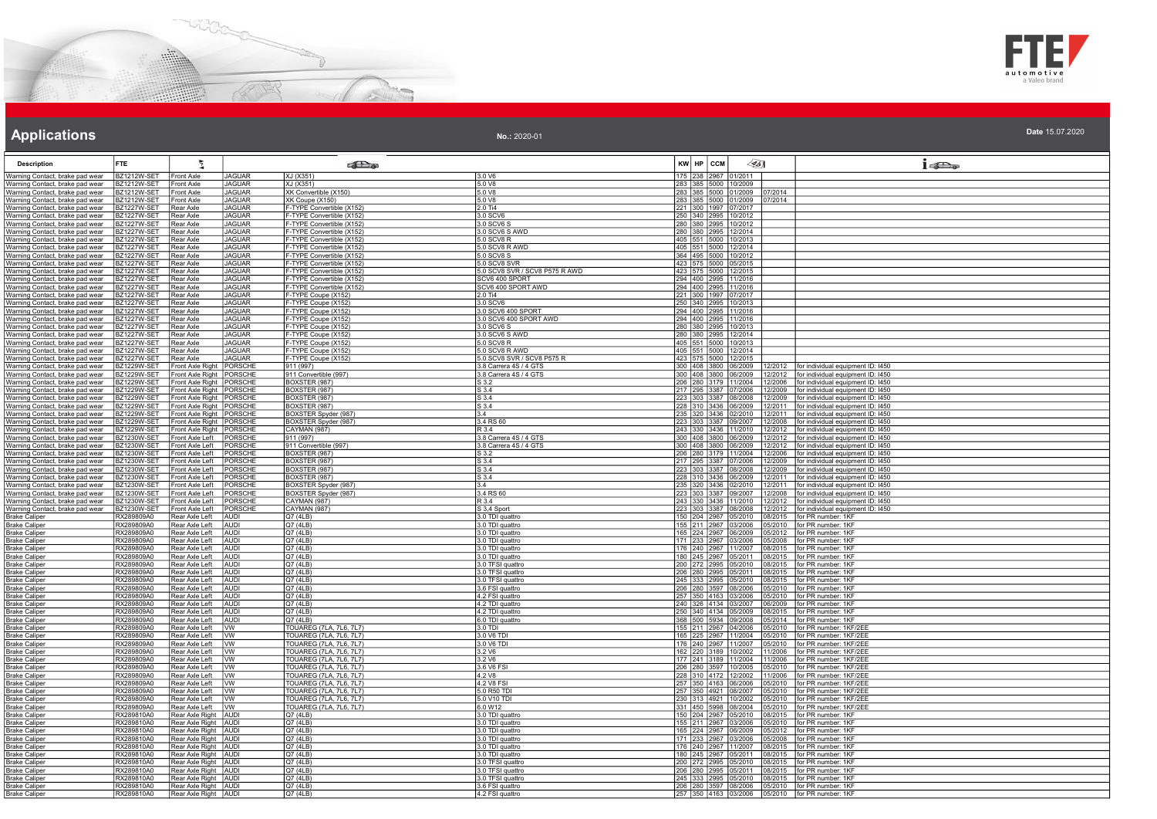



| No.: 2020-01 | Date 15.07.2020 |
|--------------|-----------------|
|              |                 |

| <b>Description</b>                                                 | <b>FTE</b>                        |                                                  |                                | <b>Extra</b>                                              |                                                  | 451<br>KW HP CCM                                                                                           | $1 - 5$                                                                                  |
|--------------------------------------------------------------------|-----------------------------------|--------------------------------------------------|--------------------------------|-----------------------------------------------------------|--------------------------------------------------|------------------------------------------------------------------------------------------------------------|------------------------------------------------------------------------------------------|
| Warning Contact, brake pad wear                                    | BZ1212W-SET                       | Front Axle                                       | <b>JAGUAR</b>                  | XJ (X351)                                                 | 3.0 V6                                           | 175 238 2967 01/2011                                                                                       |                                                                                          |
| Warning Contact, brake pad wear                                    | BZ1212W-SET                       | Front Axle                                       | <b>JAGUAR</b>                  | XJ (X351)                                                 | 5.0 V8                                           | 283 385 5000 10/2009                                                                                       |                                                                                          |
| Warning Contact, brake pad wear                                    | BZ1212W-SET                       | <b>Front Axle</b>                                | <b>JAGUAR</b>                  | XK Convertible (X150)                                     | 5.0 V8                                           | 283 385 5000 01/2009<br>07/2014                                                                            |                                                                                          |
| Warning Contact, brake pad wear                                    | BZ1212W-SET<br>3Z1227W-SET        | Front Axle<br>Rear Axle                          | <b>JAGUAR</b><br><b>JAGUAR</b> | XK Coupe (X150)<br>F-TYPE Convertible (X152)              | 5.0 V8<br>2.0 Ti4                                | 283 385 5000 01/2009 07/2014<br>221 300 1997 07/2017                                                       |                                                                                          |
| Warning Contact, brake pad wear<br>Warning Contact, brake pad wear | BZ1227W-SET                       | Rear Axle                                        | <b>JAGUAR</b>                  | -TYPE Convertible (X152)                                  | 3.0 SCV6                                         | 250 340 2995 10/2012                                                                                       |                                                                                          |
| Warning Contact, brake pad wear                                    | BZ1227W-SET                       | Rear Axle                                        | <b>JAGUAR</b>                  | F-TYPE Convertible (X152)                                 | 3.0 SCV6 S                                       | 280 380 2995 10/2012                                                                                       |                                                                                          |
| Warning Contact, brake pad wear                                    | <b>BZ1227W-SET</b>                | Rear Axle                                        | <b>JAGUAR</b>                  | F-TYPE Convertible (X152)                                 | 3.0 SCV6 S AWD                                   | 280 380 2995 12/2014                                                                                       |                                                                                          |
| Warning Contact, brake pad wear                                    | BZ1227W-SET                       | Rear Axle                                        | <b>JAGUAR</b>                  | F-TYPE Convertible (X152)                                 | 5.0 SCV8 R                                       | 405 551 5000 10/2013                                                                                       |                                                                                          |
| Warning Contact, brake pad wear                                    | 3Z1227W-SET                       | Rear Axle                                        | <b>JAGUAR</b>                  | F-TYPE Convertible (X152)                                 | 5.0 SCV8 R AWD                                   | 405 551 5000 12/2014                                                                                       |                                                                                          |
| Warning Contact, brake pad wear                                    | 3Z1227W-SET                       | Rear Axle                                        | <b>JAGUAR</b>                  | -TYPE Convertible (X152)                                  | 5.0 SCV8 S                                       | 364 495 5000 10/2012                                                                                       |                                                                                          |
| Warning Contact, brake pad wear<br>Warning Contact, brake pad wear | 3Z1227W-SET<br><b>B71227W-SFT</b> | Rear Axle<br><b>IRear Axle</b>                   | <b>JAGUAR</b><br><b>JAGUAR</b> | F-TYPE Convertible (X152)<br>F-TYPE Convertible (X152)    | 5.0 SCV8 SVR<br>5.0 SCV8 SVR / SCV8 P575 R AWD   | 423 575 5000 05/2015<br>423 575 5000 12/2015                                                               |                                                                                          |
| Warning Contact, brake pad wear                                    | BZ1227W-SET                       | Rear Axle                                        | <b>JAGUAR</b>                  | F-TYPE Convertible (X152)                                 | SCV6 400 SPORT                                   | 294 400 2995 11/2016                                                                                       |                                                                                          |
| Warning Contact, brake pad wear                                    | BZ1227W-SET                       | Rear Axle                                        | <b>JAGUAR</b>                  | F-TYPE Convertible (X152)                                 | SCV6 400 SPORT AWD                               | 294 400 2995 11/2016                                                                                       |                                                                                          |
| Warning Contact, brake pad wear                                    | B71227W-SFT                       | Rear Axle                                        | <b>JAGUAR</b>                  | F-TYPE Coupe (X152)                                       | 2.0 Ti4                                          | 221 300 1997 07/2017                                                                                       |                                                                                          |
| Warning Contact, brake pad wear                                    | BZ1227W-SET                       | Rear Axle                                        | <b>JAGUAR</b>                  | F-TYPE Coupe (X152)                                       | 3.0 SCV6                                         | 250 340 2995 10/2013                                                                                       |                                                                                          |
| Warning Contact, brake pad wear                                    | BZ1227W-SET                       | Rear Axle                                        | <b>JAGUAR</b><br><b>JAGUAR</b> | F-TYPE Coupe (X152)                                       | 3.0 SCV6 400 SPORT<br>3.0 SCV6 400 SPORT AWD     | 294 400 2995 11/2016                                                                                       |                                                                                          |
| Warning Contact, brake pad wear<br>Warning Contact, brake pad wear | <b>BZ1227W-SET</b><br>BZ1227W-SET | Rear Axle<br>Rear Axle                           | <b>JAGUAR</b>                  | F-TYPE Coupe (X152)<br>F-TYPE Coupe (X152)                | 3.0 SCV6 S                                       | 294 400 2995 11/2016<br>280 380 2995 10/2013                                                               |                                                                                          |
| Warning Contact, brake pad wear                                    | BZ1227W-SET                       | Rear Axle                                        | JAGUAR                         | F-TYPE Coupe (X152)                                       | 3.0 SCV6 S AWD                                   | 280 380 2995 12/2014                                                                                       |                                                                                          |
| Warning Contact, brake pad wear                                    | 3Z1227W-SET                       | Rear Axle                                        | <b>JAGUAR</b>                  | F-TYPE Coupe (X152)                                       | 5.0 SCV8 R                                       | 405 551 5000 10/2013                                                                                       |                                                                                          |
| Warning Contact, brake pad wear                                    | 3Z1227W-SET                       | Rear Axle                                        | <b>JAGUAR</b>                  | F-TYPE Coupe (X152)                                       | 5.0 SCV8 R AWD                                   | 405 551 5000 12/2014                                                                                       |                                                                                          |
| Warning Contact, brake pad wear                                    | BZ1227W-SET                       | Rear Axle                                        | <b>JAGUAR</b>                  | F-TYPE Coupe (X152)                                       | 5.0 SCV8 SVR / SCV8 P575 R                       | 423 575 5000 12/2015                                                                                       |                                                                                          |
| Warning Contact, brake pad wear                                    | BZ1229W-SET                       | Front Axle Right                                 | PORSCHE                        | 911 (997)                                                 | 3.8 Carrera 4S / 4 GTS                           | 300 408 3800 06/2009                                                                                       | 12/2012   for individual equipment ID: I450                                              |
| Warning Contact, brake pad wear                                    | BZ1229W-SET<br>BZ1229W-SET        | Front Axle Right<br>Front Axle Right             | PORSCHE<br><b>PORSCHE</b>      | 911 Convertible (997)<br>BOXSTER (987)                    | 3.8 Carrera 4S / 4 GTS                           | 300 408 3800 06/2009<br>206 280 3179 11/2004                                                               | 12/2012   for individual equipment ID: I450<br>12/2006 for individual equipment ID: I450 |
| Warning Contact, brake pad wear<br>Warning Contact, brake pad wear | BZ1229W-SET                       | Front Axle Right                                 | PORSCHE                        | BOXSTER (987)                                             | S 3.2<br>S 3.4                                   | 12/2009                                                                                                    | for individual equipment ID: I450                                                        |
| Warning Contact, brake pad wear                                    | 3Z1229W-SET                       | Front Axle Right                                 | PORSCHE                        | BOXSTER (987)                                             | S 3.4                                            | 217 295 3387 07/2006<br>223 303 3387 08/2008                                                               | 12/2009   for individual equipment ID: I450                                              |
| Warning Contact, brake pad wear                                    | <b>BZ1229W-SET</b>                | Front Axle Right                                 | PORSCHE                        | BOXSTER (987)                                             | S3.4                                             | 228 310 3436 06/2009<br>12/2011                                                                            | for individual equipment ID: I450                                                        |
| Warning Contact, brake pad wear                                    | 3Z1229W-SET                       | Front Axle Right                                 | PORSCHE                        | BOXSTER Spyder (987)                                      | 3.4                                              | 235 320 3436 02/2010                                                                                       | 12/2011 for individual equipment ID: I450                                                |
| Warning Contact, brake pad wear                                    | BZ1229W-SET                       | Front Axle Right                                 | <b>PORSCHE</b>                 | BOXSTER Spyder (987)                                      | 3.4 RS 60                                        | 223 303 3387 09/2007                                                                                       | 12/2008 for individual equipment ID: I450                                                |
| Warning Contact, brake pad wear                                    | 3Z1229W-SET                       | Front Axle Right                                 | PORSCHE                        | CAYMAN (987)                                              | R 3.4                                            | 243 330 3436 11/2010<br>12/2012                                                                            | for individual equipment ID: I450                                                        |
| Warning Contact, brake pad wear                                    | 3Z1230W-SET<br>BZ1230W-SET        | Front Axle Left<br>Front Axle Left               | PORSCHE<br>PORSCHE             | 911 (997)<br>911 Convertible (997                         | 3.8 Carrera 4S / 4 GTS<br>3.8 Carrera 4S / 4 GTS | 300 408 3800 06/2009<br>12/2012<br>300 408 3800 06/2009<br>12/2012                                         | for individual equipment ID: I450<br>for individual equipment ID: I450                   |
| Warning Contact, brake pad wear<br>Warning Contact, brake pad wear | BZ1230W-SET                       | Front Axle Left                                  | <b>PORSCHE</b>                 | BOXSTER (987)                                             | S 3.2                                            | 206 280 3179 11/2004                                                                                       | 12/2006 for individual equipment ID: I450                                                |
| Warning Contact, brake pad wear                                    | BZ1230W-SET                       | Front Axle Left                                  | <b>PORSCHE</b>                 | BOXSTER (987)                                             | S 3.4                                            | 217 295 3387 07/2006                                                                                       | 12/2009 for individual equipment ID: I450                                                |
| Warning Contact, brake pad wear                                    | 3Z1230W-SET                       | Front Axle Left                                  | PORSCHE                        | BOXSTER (987)                                             | S3.4                                             | 223 303 3387 08/2008<br>12/2009                                                                            | for individual equipment ID: 1450                                                        |
| Warning Contact, brake pad wear                                    | 3Z1230W-SET                       | Front Axle Left                                  | PORSCHE                        | BOXSTER (987)                                             | S3.4                                             | 228 310 3436 06/2009                                                                                       | 12/2011 for individual equipment ID: I450                                                |
| Warning Contact, brake pad wear                                    | BZ1230W-SET                       | Front Axle Left                                  | PORSCHE                        | BOXSTER Spyder (987)                                      | 3.4                                              | 235 320 3436 02/2010<br>12/2011                                                                            | for individual equipment ID: I450                                                        |
| Warning Contact, brake pad wear                                    | <b>BZ1230W-SET</b><br>3Z1230W-SET | Front Axle Left<br>Front Axle Left               | <b>PORSCHE</b><br>PORSCHE      | BOXSTER Spyder (987)<br>CAYMAN (987)                      | 3.4 RS 60<br>R 3.4                               | 223 303 3387 09/2007<br>12/2008<br>243 330 3436 11/2010                                                    | for individual equipment ID: I450<br>12/2012 for individual equipment ID: I450           |
| Warning Contact, brake pad wear<br>Warning Contact, brake pad wear | BZ1230W-SET                       | Front Axle Left                                  | PORSCHE                        | CAYMAN (987)                                              | S 3,4 Sport                                      | 223 303 3387 08/2008                                                                                       | 12/2012 for individual equipment ID: I450                                                |
| <b>Brake Caliper</b>                                               | RX289809A0                        | Rear Axle Left                                   | <b>AUDI</b>                    | Q7(4LB)                                                   | 3.0 TDI quattro                                  | 150 204 2967 05/2010<br>08/2015                                                                            | for PR number: 1KF                                                                       |
| <b>Brake Caliper</b>                                               | RX289809A0                        | Rear Axle Left                                   | <b>AUDI</b>                    | Q7 (4LB)                                                  | 3.0 TDI quattro                                  | 155 211 2967 03/2006<br>05/2010                                                                            | for PR number: 1KF                                                                       |
| <b>Brake Caliper</b>                                               | RX289809A0                        | Rear Axle Left                                   | AUDI                           | Q7(4LB)                                                   | 3.0 TDI quattro                                  | 165 224 2967 06/2009<br>05/2012                                                                            | for PR number: 1KF                                                                       |
| <b>Brake Caliper</b>                                               | RX289809A0                        | Rear Axle Left                                   | <b>AUDI</b>                    | Q7(4LB)                                                   | 3.0 TDI quattro                                  | 171 233 2967 03/2006                                                                                       | 05/2008 for PR number: 1KF                                                               |
| <b>Brake Caliper</b>                                               | RX289809A0<br>RX289809A0          | Rear Axle Left<br>Rear Axle Left                 | <b>AUDI</b><br><b>AUDI</b>     | Q7 (4LB)<br>Q7 (4LB)                                      | 3.0 TDI quattro<br>3.0 TDI quattro               | 176 240 2967 11/2007<br>180 245 2967 05/2011<br>08/2015                                                    | 08/2015 for PR number: 1KF<br>for PR number: 1KF                                         |
| <b>Brake Caliper</b><br><b>Brake Caliper</b>                       | RX289809A0                        | Rear Axle Left                                   | AUDI                           | Q7(4LB)                                                   | 3.0 TFSI quattro                                 | 200 272 2995 05/2010                                                                                       | 08/2015 for PR number: 1KF                                                               |
| <b>Brake Caliper</b>                                               | RX289809A0                        | Rear Axle Left                                   | <b>AUDI</b>                    | Q7 (4LB)                                                  | 3.0 TFSI quattro                                 | 206 280 2995 05/2011<br>08/2015                                                                            | for PR number: 1KF                                                                       |
| <b>Brake Caliper</b>                                               | RX289809A0                        | Rear Axle Left                                   | <b>AUDI</b>                    | Q7(4LB)                                                   | 3.0 TFSI quattro                                 | 245 333 2995 05/2010                                                                                       | 08/2015 for PR number: 1KF                                                               |
| <b>Brake Caliper</b>                                               | RX289809A0                        | Rear Axle Left                                   | <b>AUDI</b>                    | Q7(4LB)                                                   | 3.6 FSI quattro                                  | 206 280 3597 08/2006                                                                                       | 05/2010 for PR number: 1KF                                                               |
| <b>Brake Caliper</b>                                               | RX289809A0                        | Rear Axle Left                                   | <b>AUDI</b>                    | Q7 (4LB)                                                  | 4.2 FSI quattro                                  | 257 350 4163 03/2006<br>05/2010                                                                            | for PR number: 1KF                                                                       |
| <b>Brake Caliper</b><br><b>Brake Caliper</b>                       | RX289809A0<br>RX289809A0          | Rear Axle Left<br>Rear Axle Left                 | <b>AUDI</b><br><b>AUDI</b>     | Q7(4LB)<br>Q7 (4LB)                                       | 4.2 TDI quattro<br>4.2 TDI quattro               | 240 326 4134 03/2007<br>06/2009<br>250 340 4134 05/2009<br>08/2015                                         | for PR number: 1KF<br>for PR number: 1KF                                                 |
| <b>Brake Caliper</b>                                               | RX289809A0                        | Rear Axle Left                                   | AUDI                           | Q7 (4LB)                                                  | 6.0 TDI quattro                                  | 368 500 5934 09/2008                                                                                       | 05/2014 for PR number: 1KF                                                               |
| <b>Brake Caliper</b>                                               | RX289809A0                        | Rear Axle Left                                   | <b>I</b> w                     | TOUAREG (7LA, 7L6, 7L7)                                   | 3.0 TDI                                          | 155 211 2967 04/2006                                                                                       | 05/2010 for PR number: 1KF/2EI                                                           |
| <b>Brake Caliper</b>                                               | RX289809A0                        | Rear Axle Left                                   | <b>WW</b>                      | TOUAREG (7LA, 7L6, 7L7)                                   | 3.0 V6 TDI                                       | 165 225 2967 11/2004                                                                                       | 05/2010 for PR number: 1KF/2EE                                                           |
| <b>Brake Caliper</b>                                               | RX289809A0                        | Rear Axle Left                                   | <b>IW</b>                      | TOUAREG (7LA, 7L6, 7L7)                                   | 3.0 V6 TD                                        | 176 240 2967 11/2007<br>05/2010                                                                            | for PR number: 1KF/2EB                                                                   |
| <b>Brake Caliper</b>                                               | RX289809A0                        | Rear Axle Left                                   | <b>VW</b>                      | TOUAREG (7LA, 7L6, 7L7)                                   | 3.2 V6                                           | 162 220 3189 10/2002 11/2006 for PR number: 1KF/2EE<br>177 241 3189 11/2004 11/2006 for PR number: 1KF/2EE |                                                                                          |
| <b>Brake Caliper</b><br><b>Brake Caliper</b>                       | RX289809A0<br>RX289809A0          | Rear Axle Left<br>Rear Axle Left                 | <b>IVW</b><br><b>WW</b>        | TOUAREG (7LA, 7L6, 7L7)<br><b>TOUAREG (7LA, 7L6, 7L7)</b> | 3.2 V6<br>3.6 V6 FSI                             | 206 280 3597 10/2005                                                                                       | 05/2010 for PR number: 1KF/2EE                                                           |
| <b>Brake Caliper</b>                                               | RX289809A0                        | Rear Axle Left                                   | <b>I</b> w                     | TOUAREG (7LA, 7L6, 7L7)                                   | 4.2V8                                            | 228 310 4172 12/2002 11/2006 for PR number: 1KF/2EE                                                        |                                                                                          |
| Brake Caliper                                                      | RX289809A0                        | Rear Axle Left                                   | <b>IVW</b>                     | TOUAREG (7LA, 7L6, 7L7)                                   | 4.2 V8 FSI                                       | 257 350 4163 06/2006<br>05/2010                                                                            | for PR number: 1KF/2EE                                                                   |
| <b>Brake Caliper</b>                                               | RX289809A0                        | Rear Axle Left                                   | W                              | TOUAREG (7LA, 7L6, 7L7)                                   | 5.0 R50 TDI                                      | 257 350 4921 08/2007<br>5/2010                                                                             | for PR number: 1KF/2EE                                                                   |
| <b>Brake Caliper</b>                                               | RX289809A0                        | Rear Axle Left                                   | Ivw                            | TOUAREG (7LA, 7L6, 7L7)                                   | 5.0 V10 TDI                                      | 230 313 4921 10/2002<br>05/2010                                                                            | for PR number: 1KF/2EE                                                                   |
| <b>Brake Caliper</b>                                               | RX289809A0                        | Rear Axle Left VW                                |                                | <b>TOUAREG (7LA, 7L6, 7L7)</b>                            | 6.0 W12                                          | 331 450 5998 08/2004<br>05/2010                                                                            | for PR number: 1KF/2EE                                                                   |
| <b>Brake Caliper</b><br><b>Brake Caliper</b>                       | RX289810A0<br>RX289810A0          | Rear Axle Right   AUDI<br>Rear Axle Right   AUDI |                                | Q7 (4LB)<br>Q7 (4LB)                                      | 3.0 TDI quattro<br>3.0 TDI quattro               | 150 204 2967 05/2010<br>155 211 2967 03/2006                                                               | 08/2015 for PR number: 1KF<br>05/2010 for PR number: 1KF                                 |
| <b>Brake Caliper</b>                                               | RX289810A0                        | Rear Axle Right   AUDI                           |                                | Q7 (4LB)                                                  | 3.0 TDI quattro                                  | 165 224 2967 06/2009<br>05/2012                                                                            | for PR number: 1KF                                                                       |
| <b>Brake Caliper</b>                                               | RX289810A0                        | Rear Axle Right AUDI                             |                                | Q7 (4LB)                                                  | 3.0 TDI quattro                                  | 171 233 2967 03/2006<br>05/2008                                                                            | for PR number: 1KF                                                                       |
| <b>Brake Caliper</b>                                               | RX289810A0                        | Rear Axle Right   AUDI                           |                                | Q7 (4LB)                                                  | 3.0 TDI quattro                                  | 176 240 2967 11/2007                                                                                       | 08/2015 for PR number: 1KF                                                               |
| <b>Brake Caliper</b>                                               | RX289810A0                        | Rear Axle Right AUDI                             |                                | Q7(4LB)                                                   | 3.0 TDI quattro                                  | 180 245 2967 05/2011<br>08/2015                                                                            | for PR number: 1KF                                                                       |
| <b>Brake Caliper</b>                                               | RX289810A0                        | Rear Axle Right AUDI                             |                                | Q7 (4LB)                                                  | 3.0 TFSI quattro                                 | 200 272 2995 05/2010                                                                                       | 08/2015   for PR number: 1KF                                                             |
| <b>Brake Caliper</b><br><b>Brake Caliper</b>                       | RX289810A0<br>RX289810A0          | Rear Axle Right   AUDI<br>Rear Axle Right AUDI   |                                | Q7 (4LB)<br>Q7(4LB)                                       | 3.0 TFSI quattro<br>3.0 TFSI quattro             | 206 280 2995 05/2011<br>08/2015<br>08/2015                                                                 | for PR number: 1KF<br>for PR number: 1KF                                                 |
| <b>Brake Caliper</b>                                               | RX289810A0                        | Rear Axle Right   AUDI                           |                                | Q7 (4LB)                                                  | 3.6 FSI quattro                                  | 245 333 2995 05/2010<br>206 280 3597 08/2006                                                               | 05/2010 for PR number: 1KF                                                               |
| <b>Brake Caliper</b>                                               | RX289810A0                        | Rear Axle Right AUDI                             |                                | Q7 (4LB)                                                  | 4.2 FSI quattro                                  | 257 350 4163 03/2006                                                                                       | 05/2010 for PR number: 1KF                                                               |
|                                                                    |                                   |                                                  |                                |                                                           |                                                  |                                                                                                            |                                                                                          |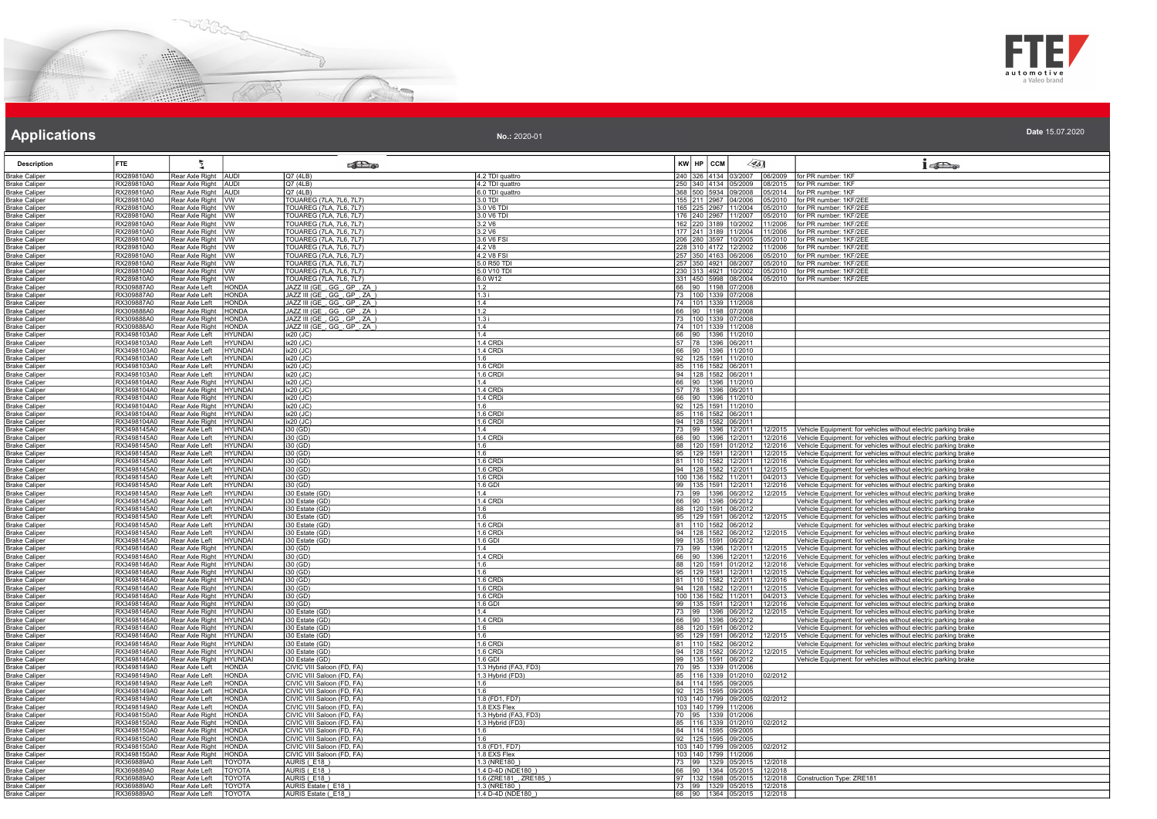



| No.: 2020-01 | Date 15.07.2020 |
|--------------|-----------------|
|              |                 |

| Rear Axle Right AUDI<br>Rear Axle Right AUDI<br>Q7 (4LB)<br>4.2 TDI quattro<br>240 326 4134 03/2007<br>for PR number: 1KF<br>RX289810A0<br>06/2009<br>250 340 4134 05/2009 08/2015 for PR number: 1KF<br>RX289810A0<br>O7(41 B)<br>4.2 TDI quattro<br>Brake Caliper<br>368 500 5934 09/2008<br>RX289810A0<br>Rear Axle Right AUDI<br>Q7(4LB)<br>6.0 TDI quattro<br>05/2014<br>for PR number: 1KF<br>TOUAREG (7LA, 7L6, 7L7)<br>RX289810A0<br>Rear Axle Right   VW<br>155 211 2967 04/2006<br>05/2010<br>for PR number: 1KF/2EE<br>3.0 TDI<br>Rear Axle Right   VW<br>165 225 2967 11/2004<br>for PR number: 1KF/2FF<br>RX289810A0<br>TOUAREG (7LA, 7L6, 7L7)<br>3.0 V6 TDI<br>05/2010<br>RX289810A0<br>Rear Axle Right WW<br>TOUAREG (7LA, 7L6, 7L7)<br>3.0 V6 TDI<br>176 240 2967 11/2007<br>for PR number: 1KF/2EE<br>05/2010<br>RX289810A0<br>TOUAREG (7LA, 7L6, 7L7)<br>162 220 3189 10/2002<br>for PR number: 1KF/2EE<br>Rear Axle Right   VW<br>3.2 V6<br>11/2006<br><b>TOUAREG</b> (7LA, 7L6, 7L7)<br>177 241 3189 11/2004<br>RX289810A0<br>Rear Axle Right WW<br>3.2V6<br>11/2006<br>for PR number: 1KF/2EE<br>RX289810A0<br>Rear Axle Right   VW<br>TOUAREG (7LA, 7L6, 7L7)<br>3.6 V6 FSI<br>206 280 3597 10/2005<br>05/2010<br>for PR number: 1KF/2EE<br>RX289810A0<br>Rear Axle Right WW<br>TOUAREG (7LA, 7L6, 7L7)<br>4.2 V8<br>228 310 4172 12/2002 11/2006<br>for PR number: 1KF/2EE<br>TOUAREG (7LA, 7L6, 7L7)<br>RX289810A0<br>Rear Axle Right   VW<br>4.2 V8 FSI<br>257 350 4163 06/2006<br>05/2010<br>or PR number: 1KF/2EE<br>RX289810A0<br>Rear Axle Right   VW<br>TOUAREG (7LA, 7L6, 7L7)<br>5.0 R50 TD<br>257 350 4921 08/2007<br>for PR number: 1KF/2EE<br>05/2010<br><b>TOUAREG (7LA, 7L6, 7L7)</b><br>230 313 4921 10/2002<br>RX289810A0<br>Rear Axle Right   VW<br>5.0 V10 TD<br>05/2010<br>for PR number: 1KF/2EE<br><b>TOUAREG (7LA, 7L6, 7L7)</b><br>331 450 5998 08/2004<br>RX289810A0<br>Rear Axle Right WW<br>6.0 W12<br>05/2010<br>for PR number: 1KF/2EE<br>RX309887A0<br>Rear Axle Left<br>HONDA<br>JAZZ III (GE_, GG_, GP_, ZA<br>1.2<br>66 90 1198 07/2008<br>RX309887A0<br>Rear Axle Left<br><b>HONDA</b><br>JAZZ III (GE , GG , GP , ZA<br>1.3i<br>73 100 1339 07/2008<br>74 101 1339 11/2008<br>RX309887A0<br>Rear Axle Left<br><b>HONDA</b><br>JAZZ III (GE_, GG_, GP_, ZA_)<br>1.4<br>1.2<br>66 90 1198 07/2008<br>RX309888A0<br>Rear Axle Right<br><b>HONDA</b><br>JAZZ III (GE_, GG_, GP_, ZA_)<br>JAZZ III (GE, GG, GP, ZA)<br>73 100 1339 07/2008<br>RX309888A0<br>Rear Axle Right   HONDA<br>1.3i<br>74 101 1339 11/2008<br>RX309888A0<br>Rear Axle Right<br><b>HONDA</b><br>JAZZ III (GE, GG, GP, ZA<br>1.4<br>RX3498103A0<br>Rear Axle Left<br><b>HYUNDAI</b><br>ix20 (JC)<br>1.4<br>66 90 1396 11/2010<br>RX3498103A0<br>Rear Axle Left<br><b>HYUNDAI</b><br>1.4 CRDi<br>57 78 1396 06/2011<br>ix20 (JC)<br>RX3498103A0<br>1.4 CRDi<br>66 90 1396 11/2010<br>Rear Axle Left<br><b>HYUNDAI</b><br>ix20 (JC)<br>92 125 1591 11/2010<br>RX3498103A0<br><b>HYUNDAI</b><br>l Rear Axle Left<br>ix20 (JC)<br>1 R<br>1.6 CRDI<br>85 116 1582 06/2011<br>RX3498103A0<br>Rear Axle Left<br><b>HYUNDAI</b><br>$ix20$ (JC)<br>RX3498103A0<br>Rear Axle Left<br><b>HYUNDAI</b><br>1.6 CRDI<br>94 128 1582 06/2011<br>ix20 (JC)<br>RX3498104A0<br>Rear Axle Right<br><b>HYUNDAI</b><br>66 90 1396 11/2010<br>ix20 (JC)<br>14<br>RX3498104A0<br>1.4 CRDi<br>57 78 1396 06/2011<br>66 90 1396 11/2010<br>Rear Axle Right<br><b>HYUNDAI</b><br>ix20 (JC)<br>RX3498104A0<br>Rear Axle Right   HYUNDAI<br>ix20 (JC)<br>1.4 CRDi<br>92 125 1591 11/2010<br>RX3498104A0<br>1.6<br>Rear Axle Right   HYUNDAI<br>ix20 (JC)<br>RX3498104A0<br>Rear Axle Right<br>HYUNDAI<br>ix20 (JC)<br>1.6 CRDI<br>85 116 1582 06/2011<br>RX3498104A0<br>Rear Axle Right<br><b>HYUNDAI</b><br>ix20 (JC)<br>1.6 CRDI<br>94 128 1582 06/2011<br>RX3498145A0<br><b>HYUNDAI</b><br>73 99 1396 12/2011<br>Rear Axle Left<br>12/2015<br>Vehicle Equipment: for vehicles without electric parking brake<br>i30 (GD)<br>1.4<br>RX3498145A0<br>HYUNDAI<br>1.4 CRDi<br>66 90 1396 12/2011<br>Rear Axle Left<br>i30 (GD)<br>12/2016<br>Vehicle Equipment: for vehicles without electric parking brake<br>12/2016<br>RX3498145A0<br>88 120 1591 01/2012<br><b>HYUNDAI</b><br>i30 (GD)<br>Rear Axle Left<br>1.6<br>Vehicle Equipment: for vehicles without electric parking brake<br>1.6<br>95 129 1591 12/2011<br>Vehicle Equipment: for vehicles without electric parking brake<br>RX3498145A0<br>Rear Axle Left<br><b>HYUNDAI</b><br>i30 (GD)<br>12/2015<br>RX3498145A0<br>Rear Axle Left<br>HYUNDAI<br>1.6 CRDi<br>81  110  1582  12/2011  12/2016<br>Vehicle Equipment: for vehicles without electric parking brake<br>i30 (GD)<br>RX3498145A0<br>94 128 1582 12/2011<br>Rear Axle Left<br>HYUNDAI<br>1.6 CRD<br>Vehicle Equipment: for vehicles without electric parking brake<br>i30 (GD)<br>12/2015<br>RX3498145A0<br>Rear Axle Left<br>HYUNDAI<br>1.6 CRDi<br>100 136 1582 11/2011<br>i30 (GD)<br>04/2013<br>Vehicle Equipment: for vehicles without electric parking brake<br>99 135 1591 12/2011 12/2016<br>RX3498145A0<br>Rear Axle Left<br><b>HYUNDAI</b><br>i30 (GD)<br>1.6 GDI<br>Vehicle Equipment: for vehicles without electric parking brake<br>73 99 1396 06/2012<br>RX3498145A0<br><b>HYUNDAI</b><br>12/2015<br>Vehicle Equipment: for vehicles without electric parking brake<br>Rear Axle Left<br>i30 Estate (GD)<br>1.4<br>66 90 1396 06/2012<br>RX3498145A0<br>Rear Axle Left<br><b>HYUNDAI</b><br>i30 Estate (GD)<br>1.4 CRDi<br>Vehicle Equipment: for vehicles without electric parking brake<br>RX3498145A0<br>Rear Axle Left<br><b>HYUNDAI</b><br>i30 Estate (GD)<br>1.6<br>88 120 1591 06/2012<br>Vehicle Equipment: for vehicles without electric parking brake<br>RX3498145A0<br>Rear Axle Left<br><b>HYUNDAI</b><br>i30 Estate (GD)<br>95 129 1591 06/2012<br>12/2015<br>Vehicle Equipment: for vehicles without electric parking brake<br>1.6<br>RX3498145A0<br>81 110 1582 06/2012<br>Rear Axle Left<br><b>HYUNDAI</b><br>i30 Estate (GD)<br>1.6 CRDi<br>/ehicle Equipment: for vehicles without electric parking brake<br>94 128 1582 06/2012<br>RX3498145A0<br><b>HYUNDAI</b><br>1.6 CRD<br>Rear Axle Left<br>i30 Estate (GD)<br>12/2015<br>Vehicle Equipment: for vehicles without electric parking brake<br>99 135 1591 06/2012<br>Vehicle Equipment: for vehicles without electric parking brake<br>RX3498145A0<br>Rear Axle Left<br><b>HYUNDAI</b><br>i30 Estate (GD)<br>1.6 GDI<br>RX3498146A0<br>Rear Axle Right<br><b>HYUNDAI</b><br>73 99 1396 12/2011<br>Vehicle Equipment: for vehicles without electric parking brake<br>i30 (GD)<br>1.4<br>12/2015<br>1.4 CRDi<br>RX3498146A0<br>Rear Axle Right<br><b>HYUNDAI</b><br>66 90 1396 12/2011<br>Vehicle Equipment: for vehicles without electric parking brake<br>i30 (GD)<br>12/2016<br>RX3498146A0<br>88 120 1591 01/2012<br>Vehicle Equipment: for vehicles without electric parking brake<br>Rear Axle Right<br>HYUNDAI<br>1.6<br>12/2016<br>i30 (GD)<br>RX3498146A0<br>Rear Axle Right   HYUNDAI<br>i30 (GD)<br>1.6<br>95 129 1591 12/2011<br>12/2015<br>Vehicle Equipment: for vehicles without electric parking brake<br>81 110 1582 12/2011 12/2016<br>RX3498146A0<br>1.6 CRDi<br>Vehicle Equipment: for vehicles without electric parking brake<br>Rear Axle Right   HYUNDAI<br>i30 (GD)<br>ehicle Equipment: for vehicles without electric parking brake<br>RX3498146A0<br>Rear Axle Right   HYUNDAI<br>i30 (GD)<br>1.6 CRDi<br>94 128 1582 12/2011<br>12/2015<br>RX3498146A0<br>Rear Axle Right   HYUNDAI<br>i30 (GD)<br>1.6 CRDi<br>100 136 1582 11/2011<br>04/2013<br>Vehicle Equipment: for vehicles without electric parking brake<br>RX3498146A0<br>Rear Axle Right   HYUNDAI<br>99 135 1591 12/2011<br>Vehicle Equipment: for vehicles without electric parking brake<br>12/2016<br>i30 (GD)<br>$1.6$ GDI<br>RX3498146A0<br>Rear Axle Right   HYUNDAI<br>73 99 1396 06/2012<br>i30 Estate (GD)<br>1.4<br>12/2015<br>ehicle Equipment: for vehicles without electric parking brake<br>66 90 1396 06/2012<br>RX3498146A0<br>1.4 CRDi<br>Rear Axle Right   HYUNDAI<br>i30 Estate (GD)<br>Vehicle Equipment: for vehicles without electric parking brake<br>88 120 1591 06/2012<br>/ehicle Equipment: for vehicles without electric parking brake<br>RX3498146A0<br>Rear Axle Right   HYUNDAI<br>i30 Estate (GD)<br>1.6<br>RX3498146A0<br>Rear Axle Right   HYUNDAI<br>i30 Estate (GD)<br>1.6<br>95 129 1591 06/2012<br>Vehicle Equipment: for vehicles without electric parking brake<br>12/2015<br>1.6 CRDi<br>RX3498146A0<br>Rear Axle Right<br>81  110  1582  06/2012<br>Vehicle Equipment: for vehicles without electric parking brake<br><b>HYUNDAI</b><br>i30 Estate (GD)<br>RX3498146A0<br>Rear Axle Right<br><b>HYUNDAI</b><br>1.6 CRDi<br>94 128 1582 06/2012<br>i30 Estate (GD)<br>2/2015<br>Vehicle Equipment: for vehicles without electric parking brake<br>99 135 1591 06/2012<br>RX3498146A0<br>Rear Axle Right   HYUNDAI<br>i30 Estate (GD)<br>1.6 GDI<br>/ehicle Equipment: for vehicles without electric parking brake<br>70 95 1339 01/2006<br>RX3498149A0<br>HONDA<br>CIVIC VIII Saloon (FD, FA)<br>Rear Axle Left<br>1.3 Hybrid (FA3, FD3<br>85 116 1339 01/2010<br>RX3498149A0<br>Rear Axle Left<br>HONDA<br>CIVIC VIII Saloon (FD, FA)<br>1.3 Hybrid (FD3)<br>2/2012<br>RX3498149A0<br>Rear Axle Left<br><b>HONDA</b><br>CIVIC VIII Saloon (FD, FA)<br>1.6<br>84 114 1595 09/2005<br>RX3498149A0<br>CIVIC VIII Saloon (FD, FA)<br>92 125 1595 09/2005<br>Rear Axle Left<br>HONDA<br>1.6<br>RX3498149A0<br>CIVIC VIII Saloon (FD, FA)<br>103 140 1799 09/2005<br>Rear Axle Left<br><b>HONDA</b><br>1.8 (FD1, FD7)<br>02/2012<br>103 140 1799 11/2006<br>RX3498149A0<br>CIVIC VIII Saloon (FD, FA)<br>1.8 EXS Flex<br>Rear Axle Left<br><b>HONDA</b><br><b>HONDA</b><br>70 95 1339 01/2006<br>RX3498150A0<br>Rear Axle Right<br>CIVIC VIII Saloon (FD, FA)<br>1.3 Hybrid (FA3, FD3)<br>RX3498150A0<br>Rear Axle Right<br><b>HONDA</b><br>CIVIC VIII Saloon (FD, FA)<br>85 116 1339 01/2010<br>1.3 Hybrid (FD3)<br>02/2012<br>RX3498150A0<br>Rear Axle Right<br>CIVIC VIII Saloon (FD, FA)<br>84 114 1595 09/2005<br><b>HONDA</b><br>1.6<br>RX3498150A0<br>CIVIC VIII Saloon (FD, FA)<br>92 125 1595 09/2005<br>Rear Axle Right<br><b>HONDA</b><br>1.6<br>RX3498150A0<br>Rear Axle Right   HONDA<br>CIVIC VIII Saloon (FD, FA)<br>1.8 (FD1, FD7)<br>103 140 1799 09/2005<br>2/2012<br>CIVIC VIII Saloon (FD, FA)<br>103 140 1799 11/2006<br>RX3498150A0<br>Rear Axle Right   HONDA<br>1.8 EXS Flex<br>RX369889A0<br>Rear Axle Left<br>TOYOTA<br>AURIS (E18)<br>1.3 (NRE180)<br>73 99 1329 05/2015<br>12/2018<br>RX369889A0<br>Rear Axle Left<br>TOYOTA<br>AURIS (E18)<br>1.4 D-4D (NDE180)<br>66 90 1364 05/2015<br>12/2018<br>AURIS (E18)<br>1.6 (ZRE181_, ZRE185_)<br>97 132 1598 05/2015<br>Construction Type: ZRE181<br>RX369889A0<br>Rear Axle Left<br>12/2018<br>TOYOTA | <b>Description</b>   | FTE        |                |        | <b>SET a</b>      |              | KW HP CCM | 45] | $1 - 5$ |
|---------------------------------------------------------------------------------------------------------------------------------------------------------------------------------------------------------------------------------------------------------------------------------------------------------------------------------------------------------------------------------------------------------------------------------------------------------------------------------------------------------------------------------------------------------------------------------------------------------------------------------------------------------------------------------------------------------------------------------------------------------------------------------------------------------------------------------------------------------------------------------------------------------------------------------------------------------------------------------------------------------------------------------------------------------------------------------------------------------------------------------------------------------------------------------------------------------------------------------------------------------------------------------------------------------------------------------------------------------------------------------------------------------------------------------------------------------------------------------------------------------------------------------------------------------------------------------------------------------------------------------------------------------------------------------------------------------------------------------------------------------------------------------------------------------------------------------------------------------------------------------------------------------------------------------------------------------------------------------------------------------------------------------------------------------------------------------------------------------------------------------------------------------------------------------------------------------------------------------------------------------------------------------------------------------------------------------------------------------------------------------------------------------------------------------------------------------------------------------------------------------------------------------------------------------------------------------------------------------------------------------------------------------------------------------------------------------------------------------------------------------------------------------------------------------------------------------------------------------------------------------------------------------------------------------------------------------------------------------------------------------------------------------------------------------------------------------------------------------------------------------------------------------------------------------------------------------------------------------------------------------------------------------------------------------------------------------------------------------------------------------------------------------------------------------------------------------------------------------------------------------------------------------------------------------------------------------------------------------------------------------------------------------------------------------------------------------------------------------------------------------------------------------------------------------------------------------------------------------------------------------------------------------------------------------------------------------------------------------------------------------------------------------------------------------------------------------------------------------------------------------------------------------------------------------------------------------------------------------------------------------------------------------------------------------------------------------------------------------------------------------------------------------------------------------------------------------------------------------------------------------------------------------------------------------------------------------------------------------------------------------------------------------------------------------------------------------------------------------------------------------------------------------------------------------------------------------------------------------------------------------------------------------------------------------------------------------------------------------------------------------------------------------------------------------------------------------------------------------------------------------------------------------------------------------------------------------------------------------------------------------------------------------------------------------------------------------------------------------------------------------------------------------------------------------------------------------------------------------------------------------------------------------------------------------------------------------------------------------------------------------------------------------------------------------------------------------------------------------------------------------------------------------------------------------------------------------------------------------------------------------------------------------------------------------------------------------------------------------------------------------------------------------------------------------------------------------------------------------------------------------------------------------------------------------------------------------------------------------------------------------------------------------------------------------------------------------------------------------------------------------------------------------------------------------------------------------------------------------------------------------------------------------------------------------------------------------------------------------------------------------------------------------------------------------------------------------------------------------------------------------------------------------------------------------------------------------------------------------------------------------------------------------------------------------------------------------------------------------------------------------------------------------------------------------------------------------------------------------------------------------------------------------------------------------------------------------------------------------------------------------------------------------------------------------------------------------------------------------------------------------------------------------------------------------------------------------------------------------------------------------------------------------------------------------------------------------------------------------------------------------------------------------------------------------------------------------------------------------------------------------------------------------------------------------------------------------------------------------------------------------------------------------------------------------------------------------------------------------------------------------------------------------------------------------------------------------------------------------------------------------------------------------------------------------------------------------------------------------------------------------------------------------------------------------------------------------------------------------------------------------------------------------------------------------------------------------------------------------------------------------------------------------------------------------------------------------------------------------------------------------------------------------------------------------------------------------------------------------------------------------------------------------------------------------------------------------------------------------------------------------------------------------------------------------------------------------------------------------------------------------------------------------------------------------------------------------------------------------------------------------------------------------------------------------------------------------------------------------------------------------------------------------------------------------------------------------------------------------------------------------------------------------------------------------------------------------------------------------------------------------------------------------------------------------------------------------------------------------------------------------------------------------------------------------------------------------------------------------------------------------------------------------------------------------------------------------------------------------------------------------------------------------------------------------------------------------------------------------------------------------------------------------------------------------------------------------------------------------------------------------------------------------------------------------------------------------------------------------------------------------------------------------------------------------------------------------------------------------------------------------------------------------------------------------------------------------------------------------------------------------------------------------------------------------------------------------------------------------------------------------------------------------------------------------------------------------------------------------------------------------------------------------------------------------------------------------------------------------------------------------------------------------------------------------------------------------------------------------------------------------------|----------------------|------------|----------------|--------|-------------------|--------------|-----------|-----|---------|
| <b>Brake Caliper</b><br><b>Brake Caliper</b><br>Brake Caliper<br><b>Brake Caliper</b><br><b>Brake Caliper</b><br><b>Brake Caliper</b><br><b>Brake Caliper</b><br><b>Brake Caliper</b><br><b>Brake Caliper</b><br><b>Brake Caliper</b><br>Brake Caliper<br><b>Brake Caliper</b><br><b>Brake Caliper</b><br><b>Brake Caliper</b><br><b>Brake Caliper</b><br><b>Brake Caliper</b><br><b>Brake Caliper</b><br><b>Brake Caliper</b><br><b>Brake Caliper</b><br><b>Brake Caliper</b><br><b>Brake Caliper</b><br>Brake Caliper<br><b>Brake Caliper</b><br><b>Brake Caliper</b><br>Brake Caliper<br><b>Brake Caliper</b><br>Brake Caliper<br><b>Brake Caliper</b>                                                                                                                                                                                                                                                                                                                                                                                                                                                                                                                                                                                                                                                                                                                                                                                                                                                                                                                                                                                                                                                                                                                                                                                                                                                                                                                                                                                                                                                                                                                                                                                                                                                                                                                                                                                                                                                                                                                                                                                                                                                                                                                                                                                                                                                                                                                                                                                                                                                                                                                                                                                                                                                                                                                                                                                                                                                                                                                                                                                                                                                                                                                                                                                                                                                                                                                                                                                                                                                                                                                                                                                                                                                                                                                                                                                                                                                                                                                                                                                                                                                                                                                                                                                                                                                                                                                                                                                                                                                                                                                                                                                                                                                                                                                                                                                                                                                                                                                                                                                                                                                                                                                                                                                                                                                                                                                                                                                                                                                                                                                                                                                                                                                                                                                                                                                                                                                                                                                                                                                                                                                                                                                                                                                                                                                                                                                                                                                                                                                                                                                                                                                                                                                                                                                                                                                                                                                                                                                                                                                                                                                                                                                                                                                                                                                                                                                                                                                                                                                                                                                                                                                                                                                                                                                                                                                                                                                                                                                                                                                                                                                                                                                                                                                                                                                                                                                                                                                                                                                                                                                                                                                                                                                                                                                                                                                                                                                                                                                                                                                                                                                                                                                                                                                                                                                                                                                                                                                                                                                                                                                                                                                                                                                                                                                                                                                                                                                                                                                                                                                                                                                                                                                                                                                                                                                                                                                                                     | <b>Brake Caliper</b> |            |                |        |                   |              |           |     |         |
|                                                                                                                                                                                                                                                                                                                                                                                                                                                                                                                                                                                                                                                                                                                                                                                                                                                                                                                                                                                                                                                                                                                                                                                                                                                                                                                                                                                                                                                                                                                                                                                                                                                                                                                                                                                                                                                                                                                                                                                                                                                                                                                                                                                                                                                                                                                                                                                                                                                                                                                                                                                                                                                                                                                                                                                                                                                                                                                                                                                                                                                                                                                                                                                                                                                                                                                                                                                                                                                                                                                                                                                                                                                                                                                                                                                                                                                                                                                                                                                                                                                                                                                                                                                                                                                                                                                                                                                                                                                                                                                                                                                                                                                                                                                                                                                                                                                                                                                                                                                                                                                                                                                                                                                                                                                                                                                                                                                                                                                                                                                                                                                                                                                                                                                                                                                                                                                                                                                                                                                                                                                                                                                                                                                                                                                                                                                                                                                                                                                                                                                                                                                                                                                                                                                                                                                                                                                                                                                                                                                                                                                                                                                                                                                                                                                                                                                                                                                                                                                                                                                                                                                                                                                                                                                                                                                                                                                                                                                                                                                                                                                                                                                                                                                                                                                                                                                                                                                                                                                                                                                                                                                                                                                                                                                                                                                                                                                                                                                                                                                                                                                                                                                                                                                                                                                                                                                                                                                                                                                                                                                                                                                                                                                                                                                                                                                                                                                                                                                                                                                                                                                                                                                                                                                                                                                                                                                                                                                                                                                                                                                                                                                                                                                                                                                                                                                                                                                                                                                                                                                                               |                      |            |                |        |                   |              |           |     |         |
|                                                                                                                                                                                                                                                                                                                                                                                                                                                                                                                                                                                                                                                                                                                                                                                                                                                                                                                                                                                                                                                                                                                                                                                                                                                                                                                                                                                                                                                                                                                                                                                                                                                                                                                                                                                                                                                                                                                                                                                                                                                                                                                                                                                                                                                                                                                                                                                                                                                                                                                                                                                                                                                                                                                                                                                                                                                                                                                                                                                                                                                                                                                                                                                                                                                                                                                                                                                                                                                                                                                                                                                                                                                                                                                                                                                                                                                                                                                                                                                                                                                                                                                                                                                                                                                                                                                                                                                                                                                                                                                                                                                                                                                                                                                                                                                                                                                                                                                                                                                                                                                                                                                                                                                                                                                                                                                                                                                                                                                                                                                                                                                                                                                                                                                                                                                                                                                                                                                                                                                                                                                                                                                                                                                                                                                                                                                                                                                                                                                                                                                                                                                                                                                                                                                                                                                                                                                                                                                                                                                                                                                                                                                                                                                                                                                                                                                                                                                                                                                                                                                                                                                                                                                                                                                                                                                                                                                                                                                                                                                                                                                                                                                                                                                                                                                                                                                                                                                                                                                                                                                                                                                                                                                                                                                                                                                                                                                                                                                                                                                                                                                                                                                                                                                                                                                                                                                                                                                                                                                                                                                                                                                                                                                                                                                                                                                                                                                                                                                                                                                                                                                                                                                                                                                                                                                                                                                                                                                                                                                                                                                                                                                                                                                                                                                                                                                                                                                                                                                                                                                                               |                      |            |                |        |                   |              |           |     |         |
|                                                                                                                                                                                                                                                                                                                                                                                                                                                                                                                                                                                                                                                                                                                                                                                                                                                                                                                                                                                                                                                                                                                                                                                                                                                                                                                                                                                                                                                                                                                                                                                                                                                                                                                                                                                                                                                                                                                                                                                                                                                                                                                                                                                                                                                                                                                                                                                                                                                                                                                                                                                                                                                                                                                                                                                                                                                                                                                                                                                                                                                                                                                                                                                                                                                                                                                                                                                                                                                                                                                                                                                                                                                                                                                                                                                                                                                                                                                                                                                                                                                                                                                                                                                                                                                                                                                                                                                                                                                                                                                                                                                                                                                                                                                                                                                                                                                                                                                                                                                                                                                                                                                                                                                                                                                                                                                                                                                                                                                                                                                                                                                                                                                                                                                                                                                                                                                                                                                                                                                                                                                                                                                                                                                                                                                                                                                                                                                                                                                                                                                                                                                                                                                                                                                                                                                                                                                                                                                                                                                                                                                                                                                                                                                                                                                                                                                                                                                                                                                                                                                                                                                                                                                                                                                                                                                                                                                                                                                                                                                                                                                                                                                                                                                                                                                                                                                                                                                                                                                                                                                                                                                                                                                                                                                                                                                                                                                                                                                                                                                                                                                                                                                                                                                                                                                                                                                                                                                                                                                                                                                                                                                                                                                                                                                                                                                                                                                                                                                                                                                                                                                                                                                                                                                                                                                                                                                                                                                                                                                                                                                                                                                                                                                                                                                                                                                                                                                                                                                                                                                                               |                      |            |                |        |                   |              |           |     |         |
|                                                                                                                                                                                                                                                                                                                                                                                                                                                                                                                                                                                                                                                                                                                                                                                                                                                                                                                                                                                                                                                                                                                                                                                                                                                                                                                                                                                                                                                                                                                                                                                                                                                                                                                                                                                                                                                                                                                                                                                                                                                                                                                                                                                                                                                                                                                                                                                                                                                                                                                                                                                                                                                                                                                                                                                                                                                                                                                                                                                                                                                                                                                                                                                                                                                                                                                                                                                                                                                                                                                                                                                                                                                                                                                                                                                                                                                                                                                                                                                                                                                                                                                                                                                                                                                                                                                                                                                                                                                                                                                                                                                                                                                                                                                                                                                                                                                                                                                                                                                                                                                                                                                                                                                                                                                                                                                                                                                                                                                                                                                                                                                                                                                                                                                                                                                                                                                                                                                                                                                                                                                                                                                                                                                                                                                                                                                                                                                                                                                                                                                                                                                                                                                                                                                                                                                                                                                                                                                                                                                                                                                                                                                                                                                                                                                                                                                                                                                                                                                                                                                                                                                                                                                                                                                                                                                                                                                                                                                                                                                                                                                                                                                                                                                                                                                                                                                                                                                                                                                                                                                                                                                                                                                                                                                                                                                                                                                                                                                                                                                                                                                                                                                                                                                                                                                                                                                                                                                                                                                                                                                                                                                                                                                                                                                                                                                                                                                                                                                                                                                                                                                                                                                                                                                                                                                                                                                                                                                                                                                                                                                                                                                                                                                                                                                                                                                                                                                                                                                                                                                                               |                      |            |                |        |                   |              |           |     |         |
|                                                                                                                                                                                                                                                                                                                                                                                                                                                                                                                                                                                                                                                                                                                                                                                                                                                                                                                                                                                                                                                                                                                                                                                                                                                                                                                                                                                                                                                                                                                                                                                                                                                                                                                                                                                                                                                                                                                                                                                                                                                                                                                                                                                                                                                                                                                                                                                                                                                                                                                                                                                                                                                                                                                                                                                                                                                                                                                                                                                                                                                                                                                                                                                                                                                                                                                                                                                                                                                                                                                                                                                                                                                                                                                                                                                                                                                                                                                                                                                                                                                                                                                                                                                                                                                                                                                                                                                                                                                                                                                                                                                                                                                                                                                                                                                                                                                                                                                                                                                                                                                                                                                                                                                                                                                                                                                                                                                                                                                                                                                                                                                                                                                                                                                                                                                                                                                                                                                                                                                                                                                                                                                                                                                                                                                                                                                                                                                                                                                                                                                                                                                                                                                                                                                                                                                                                                                                                                                                                                                                                                                                                                                                                                                                                                                                                                                                                                                                                                                                                                                                                                                                                                                                                                                                                                                                                                                                                                                                                                                                                                                                                                                                                                                                                                                                                                                                                                                                                                                                                                                                                                                                                                                                                                                                                                                                                                                                                                                                                                                                                                                                                                                                                                                                                                                                                                                                                                                                                                                                                                                                                                                                                                                                                                                                                                                                                                                                                                                                                                                                                                                                                                                                                                                                                                                                                                                                                                                                                                                                                                                                                                                                                                                                                                                                                                                                                                                                                                                                                                                                               |                      |            |                |        |                   |              |           |     |         |
|                                                                                                                                                                                                                                                                                                                                                                                                                                                                                                                                                                                                                                                                                                                                                                                                                                                                                                                                                                                                                                                                                                                                                                                                                                                                                                                                                                                                                                                                                                                                                                                                                                                                                                                                                                                                                                                                                                                                                                                                                                                                                                                                                                                                                                                                                                                                                                                                                                                                                                                                                                                                                                                                                                                                                                                                                                                                                                                                                                                                                                                                                                                                                                                                                                                                                                                                                                                                                                                                                                                                                                                                                                                                                                                                                                                                                                                                                                                                                                                                                                                                                                                                                                                                                                                                                                                                                                                                                                                                                                                                                                                                                                                                                                                                                                                                                                                                                                                                                                                                                                                                                                                                                                                                                                                                                                                                                                                                                                                                                                                                                                                                                                                                                                                                                                                                                                                                                                                                                                                                                                                                                                                                                                                                                                                                                                                                                                                                                                                                                                                                                                                                                                                                                                                                                                                                                                                                                                                                                                                                                                                                                                                                                                                                                                                                                                                                                                                                                                                                                                                                                                                                                                                                                                                                                                                                                                                                                                                                                                                                                                                                                                                                                                                                                                                                                                                                                                                                                                                                                                                                                                                                                                                                                                                                                                                                                                                                                                                                                                                                                                                                                                                                                                                                                                                                                                                                                                                                                                                                                                                                                                                                                                                                                                                                                                                                                                                                                                                                                                                                                                                                                                                                                                                                                                                                                                                                                                                                                                                                                                                                                                                                                                                                                                                                                                                                                                                                                                                                                                                                               |                      |            |                |        |                   |              |           |     |         |
|                                                                                                                                                                                                                                                                                                                                                                                                                                                                                                                                                                                                                                                                                                                                                                                                                                                                                                                                                                                                                                                                                                                                                                                                                                                                                                                                                                                                                                                                                                                                                                                                                                                                                                                                                                                                                                                                                                                                                                                                                                                                                                                                                                                                                                                                                                                                                                                                                                                                                                                                                                                                                                                                                                                                                                                                                                                                                                                                                                                                                                                                                                                                                                                                                                                                                                                                                                                                                                                                                                                                                                                                                                                                                                                                                                                                                                                                                                                                                                                                                                                                                                                                                                                                                                                                                                                                                                                                                                                                                                                                                                                                                                                                                                                                                                                                                                                                                                                                                                                                                                                                                                                                                                                                                                                                                                                                                                                                                                                                                                                                                                                                                                                                                                                                                                                                                                                                                                                                                                                                                                                                                                                                                                                                                                                                                                                                                                                                                                                                                                                                                                                                                                                                                                                                                                                                                                                                                                                                                                                                                                                                                                                                                                                                                                                                                                                                                                                                                                                                                                                                                                                                                                                                                                                                                                                                                                                                                                                                                                                                                                                                                                                                                                                                                                                                                                                                                                                                                                                                                                                                                                                                                                                                                                                                                                                                                                                                                                                                                                                                                                                                                                                                                                                                                                                                                                                                                                                                                                                                                                                                                                                                                                                                                                                                                                                                                                                                                                                                                                                                                                                                                                                                                                                                                                                                                                                                                                                                                                                                                                                                                                                                                                                                                                                                                                                                                                                                                                                                                                                                               |                      |            |                |        |                   |              |           |     |         |
|                                                                                                                                                                                                                                                                                                                                                                                                                                                                                                                                                                                                                                                                                                                                                                                                                                                                                                                                                                                                                                                                                                                                                                                                                                                                                                                                                                                                                                                                                                                                                                                                                                                                                                                                                                                                                                                                                                                                                                                                                                                                                                                                                                                                                                                                                                                                                                                                                                                                                                                                                                                                                                                                                                                                                                                                                                                                                                                                                                                                                                                                                                                                                                                                                                                                                                                                                                                                                                                                                                                                                                                                                                                                                                                                                                                                                                                                                                                                                                                                                                                                                                                                                                                                                                                                                                                                                                                                                                                                                                                                                                                                                                                                                                                                                                                                                                                                                                                                                                                                                                                                                                                                                                                                                                                                                                                                                                                                                                                                                                                                                                                                                                                                                                                                                                                                                                                                                                                                                                                                                                                                                                                                                                                                                                                                                                                                                                                                                                                                                                                                                                                                                                                                                                                                                                                                                                                                                                                                                                                                                                                                                                                                                                                                                                                                                                                                                                                                                                                                                                                                                                                                                                                                                                                                                                                                                                                                                                                                                                                                                                                                                                                                                                                                                                                                                                                                                                                                                                                                                                                                                                                                                                                                                                                                                                                                                                                                                                                                                                                                                                                                                                                                                                                                                                                                                                                                                                                                                                                                                                                                                                                                                                                                                                                                                                                                                                                                                                                                                                                                                                                                                                                                                                                                                                                                                                                                                                                                                                                                                                                                                                                                                                                                                                                                                                                                                                                                                                                                                                                                               |                      |            |                |        |                   |              |           |     |         |
|                                                                                                                                                                                                                                                                                                                                                                                                                                                                                                                                                                                                                                                                                                                                                                                                                                                                                                                                                                                                                                                                                                                                                                                                                                                                                                                                                                                                                                                                                                                                                                                                                                                                                                                                                                                                                                                                                                                                                                                                                                                                                                                                                                                                                                                                                                                                                                                                                                                                                                                                                                                                                                                                                                                                                                                                                                                                                                                                                                                                                                                                                                                                                                                                                                                                                                                                                                                                                                                                                                                                                                                                                                                                                                                                                                                                                                                                                                                                                                                                                                                                                                                                                                                                                                                                                                                                                                                                                                                                                                                                                                                                                                                                                                                                                                                                                                                                                                                                                                                                                                                                                                                                                                                                                                                                                                                                                                                                                                                                                                                                                                                                                                                                                                                                                                                                                                                                                                                                                                                                                                                                                                                                                                                                                                                                                                                                                                                                                                                                                                                                                                                                                                                                                                                                                                                                                                                                                                                                                                                                                                                                                                                                                                                                                                                                                                                                                                                                                                                                                                                                                                                                                                                                                                                                                                                                                                                                                                                                                                                                                                                                                                                                                                                                                                                                                                                                                                                                                                                                                                                                                                                                                                                                                                                                                                                                                                                                                                                                                                                                                                                                                                                                                                                                                                                                                                                                                                                                                                                                                                                                                                                                                                                                                                                                                                                                                                                                                                                                                                                                                                                                                                                                                                                                                                                                                                                                                                                                                                                                                                                                                                                                                                                                                                                                                                                                                                                                                                                                                                                                               |                      |            |                |        |                   |              |           |     |         |
|                                                                                                                                                                                                                                                                                                                                                                                                                                                                                                                                                                                                                                                                                                                                                                                                                                                                                                                                                                                                                                                                                                                                                                                                                                                                                                                                                                                                                                                                                                                                                                                                                                                                                                                                                                                                                                                                                                                                                                                                                                                                                                                                                                                                                                                                                                                                                                                                                                                                                                                                                                                                                                                                                                                                                                                                                                                                                                                                                                                                                                                                                                                                                                                                                                                                                                                                                                                                                                                                                                                                                                                                                                                                                                                                                                                                                                                                                                                                                                                                                                                                                                                                                                                                                                                                                                                                                                                                                                                                                                                                                                                                                                                                                                                                                                                                                                                                                                                                                                                                                                                                                                                                                                                                                                                                                                                                                                                                                                                                                                                                                                                                                                                                                                                                                                                                                                                                                                                                                                                                                                                                                                                                                                                                                                                                                                                                                                                                                                                                                                                                                                                                                                                                                                                                                                                                                                                                                                                                                                                                                                                                                                                                                                                                                                                                                                                                                                                                                                                                                                                                                                                                                                                                                                                                                                                                                                                                                                                                                                                                                                                                                                                                                                                                                                                                                                                                                                                                                                                                                                                                                                                                                                                                                                                                                                                                                                                                                                                                                                                                                                                                                                                                                                                                                                                                                                                                                                                                                                                                                                                                                                                                                                                                                                                                                                                                                                                                                                                                                                                                                                                                                                                                                                                                                                                                                                                                                                                                                                                                                                                                                                                                                                                                                                                                                                                                                                                                                                                                                                                                               |                      |            |                |        |                   |              |           |     |         |
|                                                                                                                                                                                                                                                                                                                                                                                                                                                                                                                                                                                                                                                                                                                                                                                                                                                                                                                                                                                                                                                                                                                                                                                                                                                                                                                                                                                                                                                                                                                                                                                                                                                                                                                                                                                                                                                                                                                                                                                                                                                                                                                                                                                                                                                                                                                                                                                                                                                                                                                                                                                                                                                                                                                                                                                                                                                                                                                                                                                                                                                                                                                                                                                                                                                                                                                                                                                                                                                                                                                                                                                                                                                                                                                                                                                                                                                                                                                                                                                                                                                                                                                                                                                                                                                                                                                                                                                                                                                                                                                                                                                                                                                                                                                                                                                                                                                                                                                                                                                                                                                                                                                                                                                                                                                                                                                                                                                                                                                                                                                                                                                                                                                                                                                                                                                                                                                                                                                                                                                                                                                                                                                                                                                                                                                                                                                                                                                                                                                                                                                                                                                                                                                                                                                                                                                                                                                                                                                                                                                                                                                                                                                                                                                                                                                                                                                                                                                                                                                                                                                                                                                                                                                                                                                                                                                                                                                                                                                                                                                                                                                                                                                                                                                                                                                                                                                                                                                                                                                                                                                                                                                                                                                                                                                                                                                                                                                                                                                                                                                                                                                                                                                                                                                                                                                                                                                                                                                                                                                                                                                                                                                                                                                                                                                                                                                                                                                                                                                                                                                                                                                                                                                                                                                                                                                                                                                                                                                                                                                                                                                                                                                                                                                                                                                                                                                                                                                                                                                                                                                                               |                      |            |                |        |                   |              |           |     |         |
|                                                                                                                                                                                                                                                                                                                                                                                                                                                                                                                                                                                                                                                                                                                                                                                                                                                                                                                                                                                                                                                                                                                                                                                                                                                                                                                                                                                                                                                                                                                                                                                                                                                                                                                                                                                                                                                                                                                                                                                                                                                                                                                                                                                                                                                                                                                                                                                                                                                                                                                                                                                                                                                                                                                                                                                                                                                                                                                                                                                                                                                                                                                                                                                                                                                                                                                                                                                                                                                                                                                                                                                                                                                                                                                                                                                                                                                                                                                                                                                                                                                                                                                                                                                                                                                                                                                                                                                                                                                                                                                                                                                                                                                                                                                                                                                                                                                                                                                                                                                                                                                                                                                                                                                                                                                                                                                                                                                                                                                                                                                                                                                                                                                                                                                                                                                                                                                                                                                                                                                                                                                                                                                                                                                                                                                                                                                                                                                                                                                                                                                                                                                                                                                                                                                                                                                                                                                                                                                                                                                                                                                                                                                                                                                                                                                                                                                                                                                                                                                                                                                                                                                                                                                                                                                                                                                                                                                                                                                                                                                                                                                                                                                                                                                                                                                                                                                                                                                                                                                                                                                                                                                                                                                                                                                                                                                                                                                                                                                                                                                                                                                                                                                                                                                                                                                                                                                                                                                                                                                                                                                                                                                                                                                                                                                                                                                                                                                                                                                                                                                                                                                                                                                                                                                                                                                                                                                                                                                                                                                                                                                                                                                                                                                                                                                                                                                                                                                                                                                                                                                                               |                      |            |                |        |                   |              |           |     |         |
|                                                                                                                                                                                                                                                                                                                                                                                                                                                                                                                                                                                                                                                                                                                                                                                                                                                                                                                                                                                                                                                                                                                                                                                                                                                                                                                                                                                                                                                                                                                                                                                                                                                                                                                                                                                                                                                                                                                                                                                                                                                                                                                                                                                                                                                                                                                                                                                                                                                                                                                                                                                                                                                                                                                                                                                                                                                                                                                                                                                                                                                                                                                                                                                                                                                                                                                                                                                                                                                                                                                                                                                                                                                                                                                                                                                                                                                                                                                                                                                                                                                                                                                                                                                                                                                                                                                                                                                                                                                                                                                                                                                                                                                                                                                                                                                                                                                                                                                                                                                                                                                                                                                                                                                                                                                                                                                                                                                                                                                                                                                                                                                                                                                                                                                                                                                                                                                                                                                                                                                                                                                                                                                                                                                                                                                                                                                                                                                                                                                                                                                                                                                                                                                                                                                                                                                                                                                                                                                                                                                                                                                                                                                                                                                                                                                                                                                                                                                                                                                                                                                                                                                                                                                                                                                                                                                                                                                                                                                                                                                                                                                                                                                                                                                                                                                                                                                                                                                                                                                                                                                                                                                                                                                                                                                                                                                                                                                                                                                                                                                                                                                                                                                                                                                                                                                                                                                                                                                                                                                                                                                                                                                                                                                                                                                                                                                                                                                                                                                                                                                                                                                                                                                                                                                                                                                                                                                                                                                                                                                                                                                                                                                                                                                                                                                                                                                                                                                                                                                                                                                                               |                      |            |                |        |                   |              |           |     |         |
|                                                                                                                                                                                                                                                                                                                                                                                                                                                                                                                                                                                                                                                                                                                                                                                                                                                                                                                                                                                                                                                                                                                                                                                                                                                                                                                                                                                                                                                                                                                                                                                                                                                                                                                                                                                                                                                                                                                                                                                                                                                                                                                                                                                                                                                                                                                                                                                                                                                                                                                                                                                                                                                                                                                                                                                                                                                                                                                                                                                                                                                                                                                                                                                                                                                                                                                                                                                                                                                                                                                                                                                                                                                                                                                                                                                                                                                                                                                                                                                                                                                                                                                                                                                                                                                                                                                                                                                                                                                                                                                                                                                                                                                                                                                                                                                                                                                                                                                                                                                                                                                                                                                                                                                                                                                                                                                                                                                                                                                                                                                                                                                                                                                                                                                                                                                                                                                                                                                                                                                                                                                                                                                                                                                                                                                                                                                                                                                                                                                                                                                                                                                                                                                                                                                                                                                                                                                                                                                                                                                                                                                                                                                                                                                                                                                                                                                                                                                                                                                                                                                                                                                                                                                                                                                                                                                                                                                                                                                                                                                                                                                                                                                                                                                                                                                                                                                                                                                                                                                                                                                                                                                                                                                                                                                                                                                                                                                                                                                                                                                                                                                                                                                                                                                                                                                                                                                                                                                                                                                                                                                                                                                                                                                                                                                                                                                                                                                                                                                                                                                                                                                                                                                                                                                                                                                                                                                                                                                                                                                                                                                                                                                                                                                                                                                                                                                                                                                                                                                                                                                                               |                      |            |                |        |                   |              |           |     |         |
|                                                                                                                                                                                                                                                                                                                                                                                                                                                                                                                                                                                                                                                                                                                                                                                                                                                                                                                                                                                                                                                                                                                                                                                                                                                                                                                                                                                                                                                                                                                                                                                                                                                                                                                                                                                                                                                                                                                                                                                                                                                                                                                                                                                                                                                                                                                                                                                                                                                                                                                                                                                                                                                                                                                                                                                                                                                                                                                                                                                                                                                                                                                                                                                                                                                                                                                                                                                                                                                                                                                                                                                                                                                                                                                                                                                                                                                                                                                                                                                                                                                                                                                                                                                                                                                                                                                                                                                                                                                                                                                                                                                                                                                                                                                                                                                                                                                                                                                                                                                                                                                                                                                                                                                                                                                                                                                                                                                                                                                                                                                                                                                                                                                                                                                                                                                                                                                                                                                                                                                                                                                                                                                                                                                                                                                                                                                                                                                                                                                                                                                                                                                                                                                                                                                                                                                                                                                                                                                                                                                                                                                                                                                                                                                                                                                                                                                                                                                                                                                                                                                                                                                                                                                                                                                                                                                                                                                                                                                                                                                                                                                                                                                                                                                                                                                                                                                                                                                                                                                                                                                                                                                                                                                                                                                                                                                                                                                                                                                                                                                                                                                                                                                                                                                                                                                                                                                                                                                                                                                                                                                                                                                                                                                                                                                                                                                                                                                                                                                                                                                                                                                                                                                                                                                                                                                                                                                                                                                                                                                                                                                                                                                                                                                                                                                                                                                                                                                                                                                                                                                                               |                      |            |                |        |                   |              |           |     |         |
|                                                                                                                                                                                                                                                                                                                                                                                                                                                                                                                                                                                                                                                                                                                                                                                                                                                                                                                                                                                                                                                                                                                                                                                                                                                                                                                                                                                                                                                                                                                                                                                                                                                                                                                                                                                                                                                                                                                                                                                                                                                                                                                                                                                                                                                                                                                                                                                                                                                                                                                                                                                                                                                                                                                                                                                                                                                                                                                                                                                                                                                                                                                                                                                                                                                                                                                                                                                                                                                                                                                                                                                                                                                                                                                                                                                                                                                                                                                                                                                                                                                                                                                                                                                                                                                                                                                                                                                                                                                                                                                                                                                                                                                                                                                                                                                                                                                                                                                                                                                                                                                                                                                                                                                                                                                                                                                                                                                                                                                                                                                                                                                                                                                                                                                                                                                                                                                                                                                                                                                                                                                                                                                                                                                                                                                                                                                                                                                                                                                                                                                                                                                                                                                                                                                                                                                                                                                                                                                                                                                                                                                                                                                                                                                                                                                                                                                                                                                                                                                                                                                                                                                                                                                                                                                                                                                                                                                                                                                                                                                                                                                                                                                                                                                                                                                                                                                                                                                                                                                                                                                                                                                                                                                                                                                                                                                                                                                                                                                                                                                                                                                                                                                                                                                                                                                                                                                                                                                                                                                                                                                                                                                                                                                                                                                                                                                                                                                                                                                                                                                                                                                                                                                                                                                                                                                                                                                                                                                                                                                                                                                                                                                                                                                                                                                                                                                                                                                                                                                                                                                                               |                      |            |                |        |                   |              |           |     |         |
|                                                                                                                                                                                                                                                                                                                                                                                                                                                                                                                                                                                                                                                                                                                                                                                                                                                                                                                                                                                                                                                                                                                                                                                                                                                                                                                                                                                                                                                                                                                                                                                                                                                                                                                                                                                                                                                                                                                                                                                                                                                                                                                                                                                                                                                                                                                                                                                                                                                                                                                                                                                                                                                                                                                                                                                                                                                                                                                                                                                                                                                                                                                                                                                                                                                                                                                                                                                                                                                                                                                                                                                                                                                                                                                                                                                                                                                                                                                                                                                                                                                                                                                                                                                                                                                                                                                                                                                                                                                                                                                                                                                                                                                                                                                                                                                                                                                                                                                                                                                                                                                                                                                                                                                                                                                                                                                                                                                                                                                                                                                                                                                                                                                                                                                                                                                                                                                                                                                                                                                                                                                                                                                                                                                                                                                                                                                                                                                                                                                                                                                                                                                                                                                                                                                                                                                                                                                                                                                                                                                                                                                                                                                                                                                                                                                                                                                                                                                                                                                                                                                                                                                                                                                                                                                                                                                                                                                                                                                                                                                                                                                                                                                                                                                                                                                                                                                                                                                                                                                                                                                                                                                                                                                                                                                                                                                                                                                                                                                                                                                                                                                                                                                                                                                                                                                                                                                                                                                                                                                                                                                                                                                                                                                                                                                                                                                                                                                                                                                                                                                                                                                                                                                                                                                                                                                                                                                                                                                                                                                                                                                                                                                                                                                                                                                                                                                                                                                                                                                                                                                                               |                      |            |                |        |                   |              |           |     |         |
|                                                                                                                                                                                                                                                                                                                                                                                                                                                                                                                                                                                                                                                                                                                                                                                                                                                                                                                                                                                                                                                                                                                                                                                                                                                                                                                                                                                                                                                                                                                                                                                                                                                                                                                                                                                                                                                                                                                                                                                                                                                                                                                                                                                                                                                                                                                                                                                                                                                                                                                                                                                                                                                                                                                                                                                                                                                                                                                                                                                                                                                                                                                                                                                                                                                                                                                                                                                                                                                                                                                                                                                                                                                                                                                                                                                                                                                                                                                                                                                                                                                                                                                                                                                                                                                                                                                                                                                                                                                                                                                                                                                                                                                                                                                                                                                                                                                                                                                                                                                                                                                                                                                                                                                                                                                                                                                                                                                                                                                                                                                                                                                                                                                                                                                                                                                                                                                                                                                                                                                                                                                                                                                                                                                                                                                                                                                                                                                                                                                                                                                                                                                                                                                                                                                                                                                                                                                                                                                                                                                                                                                                                                                                                                                                                                                                                                                                                                                                                                                                                                                                                                                                                                                                                                                                                                                                                                                                                                                                                                                                                                                                                                                                                                                                                                                                                                                                                                                                                                                                                                                                                                                                                                                                                                                                                                                                                                                                                                                                                                                                                                                                                                                                                                                                                                                                                                                                                                                                                                                                                                                                                                                                                                                                                                                                                                                                                                                                                                                                                                                                                                                                                                                                                                                                                                                                                                                                                                                                                                                                                                                                                                                                                                                                                                                                                                                                                                                                                                                                                                                                               |                      |            |                |        |                   |              |           |     |         |
|                                                                                                                                                                                                                                                                                                                                                                                                                                                                                                                                                                                                                                                                                                                                                                                                                                                                                                                                                                                                                                                                                                                                                                                                                                                                                                                                                                                                                                                                                                                                                                                                                                                                                                                                                                                                                                                                                                                                                                                                                                                                                                                                                                                                                                                                                                                                                                                                                                                                                                                                                                                                                                                                                                                                                                                                                                                                                                                                                                                                                                                                                                                                                                                                                                                                                                                                                                                                                                                                                                                                                                                                                                                                                                                                                                                                                                                                                                                                                                                                                                                                                                                                                                                                                                                                                                                                                                                                                                                                                                                                                                                                                                                                                                                                                                                                                                                                                                                                                                                                                                                                                                                                                                                                                                                                                                                                                                                                                                                                                                                                                                                                                                                                                                                                                                                                                                                                                                                                                                                                                                                                                                                                                                                                                                                                                                                                                                                                                                                                                                                                                                                                                                                                                                                                                                                                                                                                                                                                                                                                                                                                                                                                                                                                                                                                                                                                                                                                                                                                                                                                                                                                                                                                                                                                                                                                                                                                                                                                                                                                                                                                                                                                                                                                                                                                                                                                                                                                                                                                                                                                                                                                                                                                                                                                                                                                                                                                                                                                                                                                                                                                                                                                                                                                                                                                                                                                                                                                                                                                                                                                                                                                                                                                                                                                                                                                                                                                                                                                                                                                                                                                                                                                                                                                                                                                                                                                                                                                                                                                                                                                                                                                                                                                                                                                                                                                                                                                                                                                                                                                               |                      |            |                |        |                   |              |           |     |         |
|                                                                                                                                                                                                                                                                                                                                                                                                                                                                                                                                                                                                                                                                                                                                                                                                                                                                                                                                                                                                                                                                                                                                                                                                                                                                                                                                                                                                                                                                                                                                                                                                                                                                                                                                                                                                                                                                                                                                                                                                                                                                                                                                                                                                                                                                                                                                                                                                                                                                                                                                                                                                                                                                                                                                                                                                                                                                                                                                                                                                                                                                                                                                                                                                                                                                                                                                                                                                                                                                                                                                                                                                                                                                                                                                                                                                                                                                                                                                                                                                                                                                                                                                                                                                                                                                                                                                                                                                                                                                                                                                                                                                                                                                                                                                                                                                                                                                                                                                                                                                                                                                                                                                                                                                                                                                                                                                                                                                                                                                                                                                                                                                                                                                                                                                                                                                                                                                                                                                                                                                                                                                                                                                                                                                                                                                                                                                                                                                                                                                                                                                                                                                                                                                                                                                                                                                                                                                                                                                                                                                                                                                                                                                                                                                                                                                                                                                                                                                                                                                                                                                                                                                                                                                                                                                                                                                                                                                                                                                                                                                                                                                                                                                                                                                                                                                                                                                                                                                                                                                                                                                                                                                                                                                                                                                                                                                                                                                                                                                                                                                                                                                                                                                                                                                                                                                                                                                                                                                                                                                                                                                                                                                                                                                                                                                                                                                                                                                                                                                                                                                                                                                                                                                                                                                                                                                                                                                                                                                                                                                                                                                                                                                                                                                                                                                                                                                                                                                                                                                                                                                               |                      |            |                |        |                   |              |           |     |         |
|                                                                                                                                                                                                                                                                                                                                                                                                                                                                                                                                                                                                                                                                                                                                                                                                                                                                                                                                                                                                                                                                                                                                                                                                                                                                                                                                                                                                                                                                                                                                                                                                                                                                                                                                                                                                                                                                                                                                                                                                                                                                                                                                                                                                                                                                                                                                                                                                                                                                                                                                                                                                                                                                                                                                                                                                                                                                                                                                                                                                                                                                                                                                                                                                                                                                                                                                                                                                                                                                                                                                                                                                                                                                                                                                                                                                                                                                                                                                                                                                                                                                                                                                                                                                                                                                                                                                                                                                                                                                                                                                                                                                                                                                                                                                                                                                                                                                                                                                                                                                                                                                                                                                                                                                                                                                                                                                                                                                                                                                                                                                                                                                                                                                                                                                                                                                                                                                                                                                                                                                                                                                                                                                                                                                                                                                                                                                                                                                                                                                                                                                                                                                                                                                                                                                                                                                                                                                                                                                                                                                                                                                                                                                                                                                                                                                                                                                                                                                                                                                                                                                                                                                                                                                                                                                                                                                                                                                                                                                                                                                                                                                                                                                                                                                                                                                                                                                                                                                                                                                                                                                                                                                                                                                                                                                                                                                                                                                                                                                                                                                                                                                                                                                                                                                                                                                                                                                                                                                                                                                                                                                                                                                                                                                                                                                                                                                                                                                                                                                                                                                                                                                                                                                                                                                                                                                                                                                                                                                                                                                                                                                                                                                                                                                                                                                                                                                                                                                                                                                                                                                               |                      |            |                |        |                   |              |           |     |         |
|                                                                                                                                                                                                                                                                                                                                                                                                                                                                                                                                                                                                                                                                                                                                                                                                                                                                                                                                                                                                                                                                                                                                                                                                                                                                                                                                                                                                                                                                                                                                                                                                                                                                                                                                                                                                                                                                                                                                                                                                                                                                                                                                                                                                                                                                                                                                                                                                                                                                                                                                                                                                                                                                                                                                                                                                                                                                                                                                                                                                                                                                                                                                                                                                                                                                                                                                                                                                                                                                                                                                                                                                                                                                                                                                                                                                                                                                                                                                                                                                                                                                                                                                                                                                                                                                                                                                                                                                                                                                                                                                                                                                                                                                                                                                                                                                                                                                                                                                                                                                                                                                                                                                                                                                                                                                                                                                                                                                                                                                                                                                                                                                                                                                                                                                                                                                                                                                                                                                                                                                                                                                                                                                                                                                                                                                                                                                                                                                                                                                                                                                                                                                                                                                                                                                                                                                                                                                                                                                                                                                                                                                                                                                                                                                                                                                                                                                                                                                                                                                                                                                                                                                                                                                                                                                                                                                                                                                                                                                                                                                                                                                                                                                                                                                                                                                                                                                                                                                                                                                                                                                                                                                                                                                                                                                                                                                                                                                                                                                                                                                                                                                                                                                                                                                                                                                                                                                                                                                                                                                                                                                                                                                                                                                                                                                                                                                                                                                                                                                                                                                                                                                                                                                                                                                                                                                                                                                                                                                                                                                                                                                                                                                                                                                                                                                                                                                                                                                                                                                                                                                               |                      |            |                |        |                   |              |           |     |         |
|                                                                                                                                                                                                                                                                                                                                                                                                                                                                                                                                                                                                                                                                                                                                                                                                                                                                                                                                                                                                                                                                                                                                                                                                                                                                                                                                                                                                                                                                                                                                                                                                                                                                                                                                                                                                                                                                                                                                                                                                                                                                                                                                                                                                                                                                                                                                                                                                                                                                                                                                                                                                                                                                                                                                                                                                                                                                                                                                                                                                                                                                                                                                                                                                                                                                                                                                                                                                                                                                                                                                                                                                                                                                                                                                                                                                                                                                                                                                                                                                                                                                                                                                                                                                                                                                                                                                                                                                                                                                                                                                                                                                                                                                                                                                                                                                                                                                                                                                                                                                                                                                                                                                                                                                                                                                                                                                                                                                                                                                                                                                                                                                                                                                                                                                                                                                                                                                                                                                                                                                                                                                                                                                                                                                                                                                                                                                                                                                                                                                                                                                                                                                                                                                                                                                                                                                                                                                                                                                                                                                                                                                                                                                                                                                                                                                                                                                                                                                                                                                                                                                                                                                                                                                                                                                                                                                                                                                                                                                                                                                                                                                                                                                                                                                                                                                                                                                                                                                                                                                                                                                                                                                                                                                                                                                                                                                                                                                                                                                                                                                                                                                                                                                                                                                                                                                                                                                                                                                                                                                                                                                                                                                                                                                                                                                                                                                                                                                                                                                                                                                                                                                                                                                                                                                                                                                                                                                                                                                                                                                                                                                                                                                                                                                                                                                                                                                                                                                                                                                                                                                               |                      |            |                |        |                   |              |           |     |         |
|                                                                                                                                                                                                                                                                                                                                                                                                                                                                                                                                                                                                                                                                                                                                                                                                                                                                                                                                                                                                                                                                                                                                                                                                                                                                                                                                                                                                                                                                                                                                                                                                                                                                                                                                                                                                                                                                                                                                                                                                                                                                                                                                                                                                                                                                                                                                                                                                                                                                                                                                                                                                                                                                                                                                                                                                                                                                                                                                                                                                                                                                                                                                                                                                                                                                                                                                                                                                                                                                                                                                                                                                                                                                                                                                                                                                                                                                                                                                                                                                                                                                                                                                                                                                                                                                                                                                                                                                                                                                                                                                                                                                                                                                                                                                                                                                                                                                                                                                                                                                                                                                                                                                                                                                                                                                                                                                                                                                                                                                                                                                                                                                                                                                                                                                                                                                                                                                                                                                                                                                                                                                                                                                                                                                                                                                                                                                                                                                                                                                                                                                                                                                                                                                                                                                                                                                                                                                                                                                                                                                                                                                                                                                                                                                                                                                                                                                                                                                                                                                                                                                                                                                                                                                                                                                                                                                                                                                                                                                                                                                                                                                                                                                                                                                                                                                                                                                                                                                                                                                                                                                                                                                                                                                                                                                                                                                                                                                                                                                                                                                                                                                                                                                                                                                                                                                                                                                                                                                                                                                                                                                                                                                                                                                                                                                                                                                                                                                                                                                                                                                                                                                                                                                                                                                                                                                                                                                                                                                                                                                                                                                                                                                                                                                                                                                                                                                                                                                                                                                                                                                               |                      |            |                |        |                   |              |           |     |         |
|                                                                                                                                                                                                                                                                                                                                                                                                                                                                                                                                                                                                                                                                                                                                                                                                                                                                                                                                                                                                                                                                                                                                                                                                                                                                                                                                                                                                                                                                                                                                                                                                                                                                                                                                                                                                                                                                                                                                                                                                                                                                                                                                                                                                                                                                                                                                                                                                                                                                                                                                                                                                                                                                                                                                                                                                                                                                                                                                                                                                                                                                                                                                                                                                                                                                                                                                                                                                                                                                                                                                                                                                                                                                                                                                                                                                                                                                                                                                                                                                                                                                                                                                                                                                                                                                                                                                                                                                                                                                                                                                                                                                                                                                                                                                                                                                                                                                                                                                                                                                                                                                                                                                                                                                                                                                                                                                                                                                                                                                                                                                                                                                                                                                                                                                                                                                                                                                                                                                                                                                                                                                                                                                                                                                                                                                                                                                                                                                                                                                                                                                                                                                                                                                                                                                                                                                                                                                                                                                                                                                                                                                                                                                                                                                                                                                                                                                                                                                                                                                                                                                                                                                                                                                                                                                                                                                                                                                                                                                                                                                                                                                                                                                                                                                                                                                                                                                                                                                                                                                                                                                                                                                                                                                                                                                                                                                                                                                                                                                                                                                                                                                                                                                                                                                                                                                                                                                                                                                                                                                                                                                                                                                                                                                                                                                                                                                                                                                                                                                                                                                                                                                                                                                                                                                                                                                                                                                                                                                                                                                                                                                                                                                                                                                                                                                                                                                                                                                                                                                                                                                               |                      |            |                |        |                   |              |           |     |         |
| <b>Brake Caliper</b><br><b>Brake Caliper</b><br><b>Brake Caliper</b><br><b>Brake Caliper</b><br>Brake Caliper<br><b>Brake Caliper</b><br><b>Brake Caliper</b><br><u> Brake Caliper</u><br>Brake Caliper<br>Brake Caliper<br><b>Brake Caliper</b><br><b>Brake Caliper</b><br><b>Brake Caliper</b><br>Brake Caliper<br><b>Brake Caliper</b><br><b>Brake Caliper</b><br><b>Brake Caliper</b><br><b>Brake Caliper</b><br>Brake Caliper<br><b>Brake Caliper</b><br>Brake Caliper<br><b>Brake Caliper</b><br><b>Brake Caliper</b><br><b>Brake Caliper</b><br>Brake Caliper<br><b>Brake Caliper</b><br><b>Brake Caliper</b><br><b>Brake Caliper</b><br><b>Brake Caliper</b><br>Brake Caliper<br><b>Brake Caliper</b><br><b>Brake Caliper</b><br><b>Brake Caliper</b><br><b>Brake Caliper</b><br><b>Brake Caliper</b><br><b>Brake Caliper</b><br><b>Brake Caliper</b><br><b>Brake Caliper</b><br><b>Brake Caliper</b><br><b>Brake Caliper</b><br>Brake Caliper<br><b>Brake Caliper</b><br><b>Brake Caliper</b><br><b>Brake Caliper</b><br><b>Brake Caliper</b><br><b>Brake Caliper</b><br>Brake Caliper                                                                                                                                                                                                                                                                                                                                                                                                                                                                                                                                                                                                                                                                                                                                                                                                                                                                                                                                                                                                                                                                                                                                                                                                                                                                                                                                                                                                                                                                                                                                                                                                                                                                                                                                                                                                                                                                                                                                                                                                                                                                                                                                                                                                                                                                                                                                                                                                                                                                                                                                                                                                                                                                                                                                                                                                                                                                                                                                                                                                                                                                                                                                                                                                                                                                                                                                                                                                                                                                                                                                                                                                                                                                                                                                                                                                                                                                                                                                                                                                                                                                                                                                                                                                                                                                                                                                                                                                                                                                                                                                                                                                                                                                                                                                                                                                                                                                                                                                                                                                                                                                                                                                                                                                                                                                                                                                                                                                                                                                                                                                                                                                                                                                                                                                                                                                                                                                                                                                                                                                                                                                                                                                                                                                                                                                                                                                                                                                                                                                                                                                                                                                                                                                                                                                                                                                                                                                                                                                                                                                                                                                                                                                                                                                                                                                                                                                                                                                                                                                                                                                                                                                                                                                                                                                                                                                                                                                                                                                                                                                                                                                                                                                                                                                                                                                                                                                                                                                                                                                                                                                                                                                                                                                                                                                                                                                                                                                                                                                                                                                                                                                                                                                                                                                                                                                                                                                                                                                                                                                                                                                                                                                                                                                                                                                                                                                                                                                                                               |                      |            |                |        |                   |              |           |     |         |
|                                                                                                                                                                                                                                                                                                                                                                                                                                                                                                                                                                                                                                                                                                                                                                                                                                                                                                                                                                                                                                                                                                                                                                                                                                                                                                                                                                                                                                                                                                                                                                                                                                                                                                                                                                                                                                                                                                                                                                                                                                                                                                                                                                                                                                                                                                                                                                                                                                                                                                                                                                                                                                                                                                                                                                                                                                                                                                                                                                                                                                                                                                                                                                                                                                                                                                                                                                                                                                                                                                                                                                                                                                                                                                                                                                                                                                                                                                                                                                                                                                                                                                                                                                                                                                                                                                                                                                                                                                                                                                                                                                                                                                                                                                                                                                                                                                                                                                                                                                                                                                                                                                                                                                                                                                                                                                                                                                                                                                                                                                                                                                                                                                                                                                                                                                                                                                                                                                                                                                                                                                                                                                                                                                                                                                                                                                                                                                                                                                                                                                                                                                                                                                                                                                                                                                                                                                                                                                                                                                                                                                                                                                                                                                                                                                                                                                                                                                                                                                                                                                                                                                                                                                                                                                                                                                                                                                                                                                                                                                                                                                                                                                                                                                                                                                                                                                                                                                                                                                                                                                                                                                                                                                                                                                                                                                                                                                                                                                                                                                                                                                                                                                                                                                                                                                                                                                                                                                                                                                                                                                                                                                                                                                                                                                                                                                                                                                                                                                                                                                                                                                                                                                                                                                                                                                                                                                                                                                                                                                                                                                                                                                                                                                                                                                                                                                                                                                                                                                                                                                                                               |                      |            |                |        |                   |              |           |     |         |
|                                                                                                                                                                                                                                                                                                                                                                                                                                                                                                                                                                                                                                                                                                                                                                                                                                                                                                                                                                                                                                                                                                                                                                                                                                                                                                                                                                                                                                                                                                                                                                                                                                                                                                                                                                                                                                                                                                                                                                                                                                                                                                                                                                                                                                                                                                                                                                                                                                                                                                                                                                                                                                                                                                                                                                                                                                                                                                                                                                                                                                                                                                                                                                                                                                                                                                                                                                                                                                                                                                                                                                                                                                                                                                                                                                                                                                                                                                                                                                                                                                                                                                                                                                                                                                                                                                                                                                                                                                                                                                                                                                                                                                                                                                                                                                                                                                                                                                                                                                                                                                                                                                                                                                                                                                                                                                                                                                                                                                                                                                                                                                                                                                                                                                                                                                                                                                                                                                                                                                                                                                                                                                                                                                                                                                                                                                                                                                                                                                                                                                                                                                                                                                                                                                                                                                                                                                                                                                                                                                                                                                                                                                                                                                                                                                                                                                                                                                                                                                                                                                                                                                                                                                                                                                                                                                                                                                                                                                                                                                                                                                                                                                                                                                                                                                                                                                                                                                                                                                                                                                                                                                                                                                                                                                                                                                                                                                                                                                                                                                                                                                                                                                                                                                                                                                                                                                                                                                                                                                                                                                                                                                                                                                                                                                                                                                                                                                                                                                                                                                                                                                                                                                                                                                                                                                                                                                                                                                                                                                                                                                                                                                                                                                                                                                                                                                                                                                                                                                                                                                                                               |                      |            |                |        |                   |              |           |     |         |
|                                                                                                                                                                                                                                                                                                                                                                                                                                                                                                                                                                                                                                                                                                                                                                                                                                                                                                                                                                                                                                                                                                                                                                                                                                                                                                                                                                                                                                                                                                                                                                                                                                                                                                                                                                                                                                                                                                                                                                                                                                                                                                                                                                                                                                                                                                                                                                                                                                                                                                                                                                                                                                                                                                                                                                                                                                                                                                                                                                                                                                                                                                                                                                                                                                                                                                                                                                                                                                                                                                                                                                                                                                                                                                                                                                                                                                                                                                                                                                                                                                                                                                                                                                                                                                                                                                                                                                                                                                                                                                                                                                                                                                                                                                                                                                                                                                                                                                                                                                                                                                                                                                                                                                                                                                                                                                                                                                                                                                                                                                                                                                                                                                                                                                                                                                                                                                                                                                                                                                                                                                                                                                                                                                                                                                                                                                                                                                                                                                                                                                                                                                                                                                                                                                                                                                                                                                                                                                                                                                                                                                                                                                                                                                                                                                                                                                                                                                                                                                                                                                                                                                                                                                                                                                                                                                                                                                                                                                                                                                                                                                                                                                                                                                                                                                                                                                                                                                                                                                                                                                                                                                                                                                                                                                                                                                                                                                                                                                                                                                                                                                                                                                                                                                                                                                                                                                                                                                                                                                                                                                                                                                                                                                                                                                                                                                                                                                                                                                                                                                                                                                                                                                                                                                                                                                                                                                                                                                                                                                                                                                                                                                                                                                                                                                                                                                                                                                                                                                                                                                                                               |                      |            |                |        |                   |              |           |     |         |
|                                                                                                                                                                                                                                                                                                                                                                                                                                                                                                                                                                                                                                                                                                                                                                                                                                                                                                                                                                                                                                                                                                                                                                                                                                                                                                                                                                                                                                                                                                                                                                                                                                                                                                                                                                                                                                                                                                                                                                                                                                                                                                                                                                                                                                                                                                                                                                                                                                                                                                                                                                                                                                                                                                                                                                                                                                                                                                                                                                                                                                                                                                                                                                                                                                                                                                                                                                                                                                                                                                                                                                                                                                                                                                                                                                                                                                                                                                                                                                                                                                                                                                                                                                                                                                                                                                                                                                                                                                                                                                                                                                                                                                                                                                                                                                                                                                                                                                                                                                                                                                                                                                                                                                                                                                                                                                                                                                                                                                                                                                                                                                                                                                                                                                                                                                                                                                                                                                                                                                                                                                                                                                                                                                                                                                                                                                                                                                                                                                                                                                                                                                                                                                                                                                                                                                                                                                                                                                                                                                                                                                                                                                                                                                                                                                                                                                                                                                                                                                                                                                                                                                                                                                                                                                                                                                                                                                                                                                                                                                                                                                                                                                                                                                                                                                                                                                                                                                                                                                                                                                                                                                                                                                                                                                                                                                                                                                                                                                                                                                                                                                                                                                                                                                                                                                                                                                                                                                                                                                                                                                                                                                                                                                                                                                                                                                                                                                                                                                                                                                                                                                                                                                                                                                                                                                                                                                                                                                                                                                                                                                                                                                                                                                                                                                                                                                                                                                                                                                                                                                                                               |                      |            |                |        |                   |              |           |     |         |
|                                                                                                                                                                                                                                                                                                                                                                                                                                                                                                                                                                                                                                                                                                                                                                                                                                                                                                                                                                                                                                                                                                                                                                                                                                                                                                                                                                                                                                                                                                                                                                                                                                                                                                                                                                                                                                                                                                                                                                                                                                                                                                                                                                                                                                                                                                                                                                                                                                                                                                                                                                                                                                                                                                                                                                                                                                                                                                                                                                                                                                                                                                                                                                                                                                                                                                                                                                                                                                                                                                                                                                                                                                                                                                                                                                                                                                                                                                                                                                                                                                                                                                                                                                                                                                                                                                                                                                                                                                                                                                                                                                                                                                                                                                                                                                                                                                                                                                                                                                                                                                                                                                                                                                                                                                                                                                                                                                                                                                                                                                                                                                                                                                                                                                                                                                                                                                                                                                                                                                                                                                                                                                                                                                                                                                                                                                                                                                                                                                                                                                                                                                                                                                                                                                                                                                                                                                                                                                                                                                                                                                                                                                                                                                                                                                                                                                                                                                                                                                                                                                                                                                                                                                                                                                                                                                                                                                                                                                                                                                                                                                                                                                                                                                                                                                                                                                                                                                                                                                                                                                                                                                                                                                                                                                                                                                                                                                                                                                                                                                                                                                                                                                                                                                                                                                                                                                                                                                                                                                                                                                                                                                                                                                                                                                                                                                                                                                                                                                                                                                                                                                                                                                                                                                                                                                                                                                                                                                                                                                                                                                                                                                                                                                                                                                                                                                                                                                                                                                                                                                                                               |                      |            |                |        |                   |              |           |     |         |
|                                                                                                                                                                                                                                                                                                                                                                                                                                                                                                                                                                                                                                                                                                                                                                                                                                                                                                                                                                                                                                                                                                                                                                                                                                                                                                                                                                                                                                                                                                                                                                                                                                                                                                                                                                                                                                                                                                                                                                                                                                                                                                                                                                                                                                                                                                                                                                                                                                                                                                                                                                                                                                                                                                                                                                                                                                                                                                                                                                                                                                                                                                                                                                                                                                                                                                                                                                                                                                                                                                                                                                                                                                                                                                                                                                                                                                                                                                                                                                                                                                                                                                                                                                                                                                                                                                                                                                                                                                                                                                                                                                                                                                                                                                                                                                                                                                                                                                                                                                                                                                                                                                                                                                                                                                                                                                                                                                                                                                                                                                                                                                                                                                                                                                                                                                                                                                                                                                                                                                                                                                                                                                                                                                                                                                                                                                                                                                                                                                                                                                                                                                                                                                                                                                                                                                                                                                                                                                                                                                                                                                                                                                                                                                                                                                                                                                                                                                                                                                                                                                                                                                                                                                                                                                                                                                                                                                                                                                                                                                                                                                                                                                                                                                                                                                                                                                                                                                                                                                                                                                                                                                                                                                                                                                                                                                                                                                                                                                                                                                                                                                                                                                                                                                                                                                                                                                                                                                                                                                                                                                                                                                                                                                                                                                                                                                                                                                                                                                                                                                                                                                                                                                                                                                                                                                                                                                                                                                                                                                                                                                                                                                                                                                                                                                                                                                                                                                                                                                                                                                                                               |                      |            |                |        |                   |              |           |     |         |
|                                                                                                                                                                                                                                                                                                                                                                                                                                                                                                                                                                                                                                                                                                                                                                                                                                                                                                                                                                                                                                                                                                                                                                                                                                                                                                                                                                                                                                                                                                                                                                                                                                                                                                                                                                                                                                                                                                                                                                                                                                                                                                                                                                                                                                                                                                                                                                                                                                                                                                                                                                                                                                                                                                                                                                                                                                                                                                                                                                                                                                                                                                                                                                                                                                                                                                                                                                                                                                                                                                                                                                                                                                                                                                                                                                                                                                                                                                                                                                                                                                                                                                                                                                                                                                                                                                                                                                                                                                                                                                                                                                                                                                                                                                                                                                                                                                                                                                                                                                                                                                                                                                                                                                                                                                                                                                                                                                                                                                                                                                                                                                                                                                                                                                                                                                                                                                                                                                                                                                                                                                                                                                                                                                                                                                                                                                                                                                                                                                                                                                                                                                                                                                                                                                                                                                                                                                                                                                                                                                                                                                                                                                                                                                                                                                                                                                                                                                                                                                                                                                                                                                                                                                                                                                                                                                                                                                                                                                                                                                                                                                                                                                                                                                                                                                                                                                                                                                                                                                                                                                                                                                                                                                                                                                                                                                                                                                                                                                                                                                                                                                                                                                                                                                                                                                                                                                                                                                                                                                                                                                                                                                                                                                                                                                                                                                                                                                                                                                                                                                                                                                                                                                                                                                                                                                                                                                                                                                                                                                                                                                                                                                                                                                                                                                                                                                                                                                                                                                                                                                                                               |                      |            |                |        |                   |              |           |     |         |
|                                                                                                                                                                                                                                                                                                                                                                                                                                                                                                                                                                                                                                                                                                                                                                                                                                                                                                                                                                                                                                                                                                                                                                                                                                                                                                                                                                                                                                                                                                                                                                                                                                                                                                                                                                                                                                                                                                                                                                                                                                                                                                                                                                                                                                                                                                                                                                                                                                                                                                                                                                                                                                                                                                                                                                                                                                                                                                                                                                                                                                                                                                                                                                                                                                                                                                                                                                                                                                                                                                                                                                                                                                                                                                                                                                                                                                                                                                                                                                                                                                                                                                                                                                                                                                                                                                                                                                                                                                                                                                                                                                                                                                                                                                                                                                                                                                                                                                                                                                                                                                                                                                                                                                                                                                                                                                                                                                                                                                                                                                                                                                                                                                                                                                                                                                                                                                                                                                                                                                                                                                                                                                                                                                                                                                                                                                                                                                                                                                                                                                                                                                                                                                                                                                                                                                                                                                                                                                                                                                                                                                                                                                                                                                                                                                                                                                                                                                                                                                                                                                                                                                                                                                                                                                                                                                                                                                                                                                                                                                                                                                                                                                                                                                                                                                                                                                                                                                                                                                                                                                                                                                                                                                                                                                                                                                                                                                                                                                                                                                                                                                                                                                                                                                                                                                                                                                                                                                                                                                                                                                                                                                                                                                                                                                                                                                                                                                                                                                                                                                                                                                                                                                                                                                                                                                                                                                                                                                                                                                                                                                                                                                                                                                                                                                                                                                                                                                                                                                                                                                                                               |                      |            |                |        |                   |              |           |     |         |
|                                                                                                                                                                                                                                                                                                                                                                                                                                                                                                                                                                                                                                                                                                                                                                                                                                                                                                                                                                                                                                                                                                                                                                                                                                                                                                                                                                                                                                                                                                                                                                                                                                                                                                                                                                                                                                                                                                                                                                                                                                                                                                                                                                                                                                                                                                                                                                                                                                                                                                                                                                                                                                                                                                                                                                                                                                                                                                                                                                                                                                                                                                                                                                                                                                                                                                                                                                                                                                                                                                                                                                                                                                                                                                                                                                                                                                                                                                                                                                                                                                                                                                                                                                                                                                                                                                                                                                                                                                                                                                                                                                                                                                                                                                                                                                                                                                                                                                                                                                                                                                                                                                                                                                                                                                                                                                                                                                                                                                                                                                                                                                                                                                                                                                                                                                                                                                                                                                                                                                                                                                                                                                                                                                                                                                                                                                                                                                                                                                                                                                                                                                                                                                                                                                                                                                                                                                                                                                                                                                                                                                                                                                                                                                                                                                                                                                                                                                                                                                                                                                                                                                                                                                                                                                                                                                                                                                                                                                                                                                                                                                                                                                                                                                                                                                                                                                                                                                                                                                                                                                                                                                                                                                                                                                                                                                                                                                                                                                                                                                                                                                                                                                                                                                                                                                                                                                                                                                                                                                                                                                                                                                                                                                                                                                                                                                                                                                                                                                                                                                                                                                                                                                                                                                                                                                                                                                                                                                                                                                                                                                                                                                                                                                                                                                                                                                                                                                                                                                                                                                                                               |                      |            |                |        |                   |              |           |     |         |
|                                                                                                                                                                                                                                                                                                                                                                                                                                                                                                                                                                                                                                                                                                                                                                                                                                                                                                                                                                                                                                                                                                                                                                                                                                                                                                                                                                                                                                                                                                                                                                                                                                                                                                                                                                                                                                                                                                                                                                                                                                                                                                                                                                                                                                                                                                                                                                                                                                                                                                                                                                                                                                                                                                                                                                                                                                                                                                                                                                                                                                                                                                                                                                                                                                                                                                                                                                                                                                                                                                                                                                                                                                                                                                                                                                                                                                                                                                                                                                                                                                                                                                                                                                                                                                                                                                                                                                                                                                                                                                                                                                                                                                                                                                                                                                                                                                                                                                                                                                                                                                                                                                                                                                                                                                                                                                                                                                                                                                                                                                                                                                                                                                                                                                                                                                                                                                                                                                                                                                                                                                                                                                                                                                                                                                                                                                                                                                                                                                                                                                                                                                                                                                                                                                                                                                                                                                                                                                                                                                                                                                                                                                                                                                                                                                                                                                                                                                                                                                                                                                                                                                                                                                                                                                                                                                                                                                                                                                                                                                                                                                                                                                                                                                                                                                                                                                                                                                                                                                                                                                                                                                                                                                                                                                                                                                                                                                                                                                                                                                                                                                                                                                                                                                                                                                                                                                                                                                                                                                                                                                                                                                                                                                                                                                                                                                                                                                                                                                                                                                                                                                                                                                                                                                                                                                                                                                                                                                                                                                                                                                                                                                                                                                                                                                                                                                                                                                                                                                                                                                                                               |                      |            |                |        |                   |              |           |     |         |
|                                                                                                                                                                                                                                                                                                                                                                                                                                                                                                                                                                                                                                                                                                                                                                                                                                                                                                                                                                                                                                                                                                                                                                                                                                                                                                                                                                                                                                                                                                                                                                                                                                                                                                                                                                                                                                                                                                                                                                                                                                                                                                                                                                                                                                                                                                                                                                                                                                                                                                                                                                                                                                                                                                                                                                                                                                                                                                                                                                                                                                                                                                                                                                                                                                                                                                                                                                                                                                                                                                                                                                                                                                                                                                                                                                                                                                                                                                                                                                                                                                                                                                                                                                                                                                                                                                                                                                                                                                                                                                                                                                                                                                                                                                                                                                                                                                                                                                                                                                                                                                                                                                                                                                                                                                                                                                                                                                                                                                                                                                                                                                                                                                                                                                                                                                                                                                                                                                                                                                                                                                                                                                                                                                                                                                                                                                                                                                                                                                                                                                                                                                                                                                                                                                                                                                                                                                                                                                                                                                                                                                                                                                                                                                                                                                                                                                                                                                                                                                                                                                                                                                                                                                                                                                                                                                                                                                                                                                                                                                                                                                                                                                                                                                                                                                                                                                                                                                                                                                                                                                                                                                                                                                                                                                                                                                                                                                                                                                                                                                                                                                                                                                                                                                                                                                                                                                                                                                                                                                                                                                                                                                                                                                                                                                                                                                                                                                                                                                                                                                                                                                                                                                                                                                                                                                                                                                                                                                                                                                                                                                                                                                                                                                                                                                                                                                                                                                                                                                                                                                                                               |                      |            |                |        |                   |              |           |     |         |
|                                                                                                                                                                                                                                                                                                                                                                                                                                                                                                                                                                                                                                                                                                                                                                                                                                                                                                                                                                                                                                                                                                                                                                                                                                                                                                                                                                                                                                                                                                                                                                                                                                                                                                                                                                                                                                                                                                                                                                                                                                                                                                                                                                                                                                                                                                                                                                                                                                                                                                                                                                                                                                                                                                                                                                                                                                                                                                                                                                                                                                                                                                                                                                                                                                                                                                                                                                                                                                                                                                                                                                                                                                                                                                                                                                                                                                                                                                                                                                                                                                                                                                                                                                                                                                                                                                                                                                                                                                                                                                                                                                                                                                                                                                                                                                                                                                                                                                                                                                                                                                                                                                                                                                                                                                                                                                                                                                                                                                                                                                                                                                                                                                                                                                                                                                                                                                                                                                                                                                                                                                                                                                                                                                                                                                                                                                                                                                                                                                                                                                                                                                                                                                                                                                                                                                                                                                                                                                                                                                                                                                                                                                                                                                                                                                                                                                                                                                                                                                                                                                                                                                                                                                                                                                                                                                                                                                                                                                                                                                                                                                                                                                                                                                                                                                                                                                                                                                                                                                                                                                                                                                                                                                                                                                                                                                                                                                                                                                                                                                                                                                                                                                                                                                                                                                                                                                                                                                                                                                                                                                                                                                                                                                                                                                                                                                                                                                                                                                                                                                                                                                                                                                                                                                                                                                                                                                                                                                                                                                                                                                                                                                                                                                                                                                                                                                                                                                                                                                                                                                                                               |                      |            |                |        |                   |              |           |     |         |
|                                                                                                                                                                                                                                                                                                                                                                                                                                                                                                                                                                                                                                                                                                                                                                                                                                                                                                                                                                                                                                                                                                                                                                                                                                                                                                                                                                                                                                                                                                                                                                                                                                                                                                                                                                                                                                                                                                                                                                                                                                                                                                                                                                                                                                                                                                                                                                                                                                                                                                                                                                                                                                                                                                                                                                                                                                                                                                                                                                                                                                                                                                                                                                                                                                                                                                                                                                                                                                                                                                                                                                                                                                                                                                                                                                                                                                                                                                                                                                                                                                                                                                                                                                                                                                                                                                                                                                                                                                                                                                                                                                                                                                                                                                                                                                                                                                                                                                                                                                                                                                                                                                                                                                                                                                                                                                                                                                                                                                                                                                                                                                                                                                                                                                                                                                                                                                                                                                                                                                                                                                                                                                                                                                                                                                                                                                                                                                                                                                                                                                                                                                                                                                                                                                                                                                                                                                                                                                                                                                                                                                                                                                                                                                                                                                                                                                                                                                                                                                                                                                                                                                                                                                                                                                                                                                                                                                                                                                                                                                                                                                                                                                                                                                                                                                                                                                                                                                                                                                                                                                                                                                                                                                                                                                                                                                                                                                                                                                                                                                                                                                                                                                                                                                                                                                                                                                                                                                                                                                                                                                                                                                                                                                                                                                                                                                                                                                                                                                                                                                                                                                                                                                                                                                                                                                                                                                                                                                                                                                                                                                                                                                                                                                                                                                                                                                                                                                                                                                                                                                                                               |                      |            |                |        |                   |              |           |     |         |
|                                                                                                                                                                                                                                                                                                                                                                                                                                                                                                                                                                                                                                                                                                                                                                                                                                                                                                                                                                                                                                                                                                                                                                                                                                                                                                                                                                                                                                                                                                                                                                                                                                                                                                                                                                                                                                                                                                                                                                                                                                                                                                                                                                                                                                                                                                                                                                                                                                                                                                                                                                                                                                                                                                                                                                                                                                                                                                                                                                                                                                                                                                                                                                                                                                                                                                                                                                                                                                                                                                                                                                                                                                                                                                                                                                                                                                                                                                                                                                                                                                                                                                                                                                                                                                                                                                                                                                                                                                                                                                                                                                                                                                                                                                                                                                                                                                                                                                                                                                                                                                                                                                                                                                                                                                                                                                                                                                                                                                                                                                                                                                                                                                                                                                                                                                                                                                                                                                                                                                                                                                                                                                                                                                                                                                                                                                                                                                                                                                                                                                                                                                                                                                                                                                                                                                                                                                                                                                                                                                                                                                                                                                                                                                                                                                                                                                                                                                                                                                                                                                                                                                                                                                                                                                                                                                                                                                                                                                                                                                                                                                                                                                                                                                                                                                                                                                                                                                                                                                                                                                                                                                                                                                                                                                                                                                                                                                                                                                                                                                                                                                                                                                                                                                                                                                                                                                                                                                                                                                                                                                                                                                                                                                                                                                                                                                                                                                                                                                                                                                                                                                                                                                                                                                                                                                                                                                                                                                                                                                                                                                                                                                                                                                                                                                                                                                                                                                                                                                                                                                                                               |                      |            |                |        |                   |              |           |     |         |
|                                                                                                                                                                                                                                                                                                                                                                                                                                                                                                                                                                                                                                                                                                                                                                                                                                                                                                                                                                                                                                                                                                                                                                                                                                                                                                                                                                                                                                                                                                                                                                                                                                                                                                                                                                                                                                                                                                                                                                                                                                                                                                                                                                                                                                                                                                                                                                                                                                                                                                                                                                                                                                                                                                                                                                                                                                                                                                                                                                                                                                                                                                                                                                                                                                                                                                                                                                                                                                                                                                                                                                                                                                                                                                                                                                                                                                                                                                                                                                                                                                                                                                                                                                                                                                                                                                                                                                                                                                                                                                                                                                                                                                                                                                                                                                                                                                                                                                                                                                                                                                                                                                                                                                                                                                                                                                                                                                                                                                                                                                                                                                                                                                                                                                                                                                                                                                                                                                                                                                                                                                                                                                                                                                                                                                                                                                                                                                                                                                                                                                                                                                                                                                                                                                                                                                                                                                                                                                                                                                                                                                                                                                                                                                                                                                                                                                                                                                                                                                                                                                                                                                                                                                                                                                                                                                                                                                                                                                                                                                                                                                                                                                                                                                                                                                                                                                                                                                                                                                                                                                                                                                                                                                                                                                                                                                                                                                                                                                                                                                                                                                                                                                                                                                                                                                                                                                                                                                                                                                                                                                                                                                                                                                                                                                                                                                                                                                                                                                                                                                                                                                                                                                                                                                                                                                                                                                                                                                                                                                                                                                                                                                                                                                                                                                                                                                                                                                                                                                                                                                                                               |                      |            |                |        |                   |              |           |     |         |
|                                                                                                                                                                                                                                                                                                                                                                                                                                                                                                                                                                                                                                                                                                                                                                                                                                                                                                                                                                                                                                                                                                                                                                                                                                                                                                                                                                                                                                                                                                                                                                                                                                                                                                                                                                                                                                                                                                                                                                                                                                                                                                                                                                                                                                                                                                                                                                                                                                                                                                                                                                                                                                                                                                                                                                                                                                                                                                                                                                                                                                                                                                                                                                                                                                                                                                                                                                                                                                                                                                                                                                                                                                                                                                                                                                                                                                                                                                                                                                                                                                                                                                                                                                                                                                                                                                                                                                                                                                                                                                                                                                                                                                                                                                                                                                                                                                                                                                                                                                                                                                                                                                                                                                                                                                                                                                                                                                                                                                                                                                                                                                                                                                                                                                                                                                                                                                                                                                                                                                                                                                                                                                                                                                                                                                                                                                                                                                                                                                                                                                                                                                                                                                                                                                                                                                                                                                                                                                                                                                                                                                                                                                                                                                                                                                                                                                                                                                                                                                                                                                                                                                                                                                                                                                                                                                                                                                                                                                                                                                                                                                                                                                                                                                                                                                                                                                                                                                                                                                                                                                                                                                                                                                                                                                                                                                                                                                                                                                                                                                                                                                                                                                                                                                                                                                                                                                                                                                                                                                                                                                                                                                                                                                                                                                                                                                                                                                                                                                                                                                                                                                                                                                                                                                                                                                                                                                                                                                                                                                                                                                                                                                                                                                                                                                                                                                                                                                                                                                                                                                                                               |                      |            |                |        |                   |              |           |     |         |
|                                                                                                                                                                                                                                                                                                                                                                                                                                                                                                                                                                                                                                                                                                                                                                                                                                                                                                                                                                                                                                                                                                                                                                                                                                                                                                                                                                                                                                                                                                                                                                                                                                                                                                                                                                                                                                                                                                                                                                                                                                                                                                                                                                                                                                                                                                                                                                                                                                                                                                                                                                                                                                                                                                                                                                                                                                                                                                                                                                                                                                                                                                                                                                                                                                                                                                                                                                                                                                                                                                                                                                                                                                                                                                                                                                                                                                                                                                                                                                                                                                                                                                                                                                                                                                                                                                                                                                                                                                                                                                                                                                                                                                                                                                                                                                                                                                                                                                                                                                                                                                                                                                                                                                                                                                                                                                                                                                                                                                                                                                                                                                                                                                                                                                                                                                                                                                                                                                                                                                                                                                                                                                                                                                                                                                                                                                                                                                                                                                                                                                                                                                                                                                                                                                                                                                                                                                                                                                                                                                                                                                                                                                                                                                                                                                                                                                                                                                                                                                                                                                                                                                                                                                                                                                                                                                                                                                                                                                                                                                                                                                                                                                                                                                                                                                                                                                                                                                                                                                                                                                                                                                                                                                                                                                                                                                                                                                                                                                                                                                                                                                                                                                                                                                                                                                                                                                                                                                                                                                                                                                                                                                                                                                                                                                                                                                                                                                                                                                                                                                                                                                                                                                                                                                                                                                                                                                                                                                                                                                                                                                                                                                                                                                                                                                                                                                                                                                                                                                                                                                                                               |                      |            |                |        |                   |              |           |     |         |
|                                                                                                                                                                                                                                                                                                                                                                                                                                                                                                                                                                                                                                                                                                                                                                                                                                                                                                                                                                                                                                                                                                                                                                                                                                                                                                                                                                                                                                                                                                                                                                                                                                                                                                                                                                                                                                                                                                                                                                                                                                                                                                                                                                                                                                                                                                                                                                                                                                                                                                                                                                                                                                                                                                                                                                                                                                                                                                                                                                                                                                                                                                                                                                                                                                                                                                                                                                                                                                                                                                                                                                                                                                                                                                                                                                                                                                                                                                                                                                                                                                                                                                                                                                                                                                                                                                                                                                                                                                                                                                                                                                                                                                                                                                                                                                                                                                                                                                                                                                                                                                                                                                                                                                                                                                                                                                                                                                                                                                                                                                                                                                                                                                                                                                                                                                                                                                                                                                                                                                                                                                                                                                                                                                                                                                                                                                                                                                                                                                                                                                                                                                                                                                                                                                                                                                                                                                                                                                                                                                                                                                                                                                                                                                                                                                                                                                                                                                                                                                                                                                                                                                                                                                                                                                                                                                                                                                                                                                                                                                                                                                                                                                                                                                                                                                                                                                                                                                                                                                                                                                                                                                                                                                                                                                                                                                                                                                                                                                                                                                                                                                                                                                                                                                                                                                                                                                                                                                                                                                                                                                                                                                                                                                                                                                                                                                                                                                                                                                                                                                                                                                                                                                                                                                                                                                                                                                                                                                                                                                                                                                                                                                                                                                                                                                                                                                                                                                                                                                                                                                                                               |                      |            |                |        |                   |              |           |     |         |
|                                                                                                                                                                                                                                                                                                                                                                                                                                                                                                                                                                                                                                                                                                                                                                                                                                                                                                                                                                                                                                                                                                                                                                                                                                                                                                                                                                                                                                                                                                                                                                                                                                                                                                                                                                                                                                                                                                                                                                                                                                                                                                                                                                                                                                                                                                                                                                                                                                                                                                                                                                                                                                                                                                                                                                                                                                                                                                                                                                                                                                                                                                                                                                                                                                                                                                                                                                                                                                                                                                                                                                                                                                                                                                                                                                                                                                                                                                                                                                                                                                                                                                                                                                                                                                                                                                                                                                                                                                                                                                                                                                                                                                                                                                                                                                                                                                                                                                                                                                                                                                                                                                                                                                                                                                                                                                                                                                                                                                                                                                                                                                                                                                                                                                                                                                                                                                                                                                                                                                                                                                                                                                                                                                                                                                                                                                                                                                                                                                                                                                                                                                                                                                                                                                                                                                                                                                                                                                                                                                                                                                                                                                                                                                                                                                                                                                                                                                                                                                                                                                                                                                                                                                                                                                                                                                                                                                                                                                                                                                                                                                                                                                                                                                                                                                                                                                                                                                                                                                                                                                                                                                                                                                                                                                                                                                                                                                                                                                                                                                                                                                                                                                                                                                                                                                                                                                                                                                                                                                                                                                                                                                                                                                                                                                                                                                                                                                                                                                                                                                                                                                                                                                                                                                                                                                                                                                                                                                                                                                                                                                                                                                                                                                                                                                                                                                                                                                                                                                                                                                                                               |                      |            |                |        |                   |              |           |     |         |
|                                                                                                                                                                                                                                                                                                                                                                                                                                                                                                                                                                                                                                                                                                                                                                                                                                                                                                                                                                                                                                                                                                                                                                                                                                                                                                                                                                                                                                                                                                                                                                                                                                                                                                                                                                                                                                                                                                                                                                                                                                                                                                                                                                                                                                                                                                                                                                                                                                                                                                                                                                                                                                                                                                                                                                                                                                                                                                                                                                                                                                                                                                                                                                                                                                                                                                                                                                                                                                                                                                                                                                                                                                                                                                                                                                                                                                                                                                                                                                                                                                                                                                                                                                                                                                                                                                                                                                                                                                                                                                                                                                                                                                                                                                                                                                                                                                                                                                                                                                                                                                                                                                                                                                                                                                                                                                                                                                                                                                                                                                                                                                                                                                                                                                                                                                                                                                                                                                                                                                                                                                                                                                                                                                                                                                                                                                                                                                                                                                                                                                                                                                                                                                                                                                                                                                                                                                                                                                                                                                                                                                                                                                                                                                                                                                                                                                                                                                                                                                                                                                                                                                                                                                                                                                                                                                                                                                                                                                                                                                                                                                                                                                                                                                                                                                                                                                                                                                                                                                                                                                                                                                                                                                                                                                                                                                                                                                                                                                                                                                                                                                                                                                                                                                                                                                                                                                                                                                                                                                                                                                                                                                                                                                                                                                                                                                                                                                                                                                                                                                                                                                                                                                                                                                                                                                                                                                                                                                                                                                                                                                                                                                                                                                                                                                                                                                                                                                                                                                                                                                                                               |                      |            |                |        |                   |              |           |     |         |
|                                                                                                                                                                                                                                                                                                                                                                                                                                                                                                                                                                                                                                                                                                                                                                                                                                                                                                                                                                                                                                                                                                                                                                                                                                                                                                                                                                                                                                                                                                                                                                                                                                                                                                                                                                                                                                                                                                                                                                                                                                                                                                                                                                                                                                                                                                                                                                                                                                                                                                                                                                                                                                                                                                                                                                                                                                                                                                                                                                                                                                                                                                                                                                                                                                                                                                                                                                                                                                                                                                                                                                                                                                                                                                                                                                                                                                                                                                                                                                                                                                                                                                                                                                                                                                                                                                                                                                                                                                                                                                                                                                                                                                                                                                                                                                                                                                                                                                                                                                                                                                                                                                                                                                                                                                                                                                                                                                                                                                                                                                                                                                                                                                                                                                                                                                                                                                                                                                                                                                                                                                                                                                                                                                                                                                                                                                                                                                                                                                                                                                                                                                                                                                                                                                                                                                                                                                                                                                                                                                                                                                                                                                                                                                                                                                                                                                                                                                                                                                                                                                                                                                                                                                                                                                                                                                                                                                                                                                                                                                                                                                                                                                                                                                                                                                                                                                                                                                                                                                                                                                                                                                                                                                                                                                                                                                                                                                                                                                                                                                                                                                                                                                                                                                                                                                                                                                                                                                                                                                                                                                                                                                                                                                                                                                                                                                                                                                                                                                                                                                                                                                                                                                                                                                                                                                                                                                                                                                                                                                                                                                                                                                                                                                                                                                                                                                                                                                                                                                                                                                                                               |                      |            |                |        |                   |              |           |     |         |
|                                                                                                                                                                                                                                                                                                                                                                                                                                                                                                                                                                                                                                                                                                                                                                                                                                                                                                                                                                                                                                                                                                                                                                                                                                                                                                                                                                                                                                                                                                                                                                                                                                                                                                                                                                                                                                                                                                                                                                                                                                                                                                                                                                                                                                                                                                                                                                                                                                                                                                                                                                                                                                                                                                                                                                                                                                                                                                                                                                                                                                                                                                                                                                                                                                                                                                                                                                                                                                                                                                                                                                                                                                                                                                                                                                                                                                                                                                                                                                                                                                                                                                                                                                                                                                                                                                                                                                                                                                                                                                                                                                                                                                                                                                                                                                                                                                                                                                                                                                                                                                                                                                                                                                                                                                                                                                                                                                                                                                                                                                                                                                                                                                                                                                                                                                                                                                                                                                                                                                                                                                                                                                                                                                                                                                                                                                                                                                                                                                                                                                                                                                                                                                                                                                                                                                                                                                                                                                                                                                                                                                                                                                                                                                                                                                                                                                                                                                                                                                                                                                                                                                                                                                                                                                                                                                                                                                                                                                                                                                                                                                                                                                                                                                                                                                                                                                                                                                                                                                                                                                                                                                                                                                                                                                                                                                                                                                                                                                                                                                                                                                                                                                                                                                                                                                                                                                                                                                                                                                                                                                                                                                                                                                                                                                                                                                                                                                                                                                                                                                                                                                                                                                                                                                                                                                                                                                                                                                                                                                                                                                                                                                                                                                                                                                                                                                                                                                                                                                                                                                                                               |                      |            |                |        |                   |              |           |     |         |
|                                                                                                                                                                                                                                                                                                                                                                                                                                                                                                                                                                                                                                                                                                                                                                                                                                                                                                                                                                                                                                                                                                                                                                                                                                                                                                                                                                                                                                                                                                                                                                                                                                                                                                                                                                                                                                                                                                                                                                                                                                                                                                                                                                                                                                                                                                                                                                                                                                                                                                                                                                                                                                                                                                                                                                                                                                                                                                                                                                                                                                                                                                                                                                                                                                                                                                                                                                                                                                                                                                                                                                                                                                                                                                                                                                                                                                                                                                                                                                                                                                                                                                                                                                                                                                                                                                                                                                                                                                                                                                                                                                                                                                                                                                                                                                                                                                                                                                                                                                                                                                                                                                                                                                                                                                                                                                                                                                                                                                                                                                                                                                                                                                                                                                                                                                                                                                                                                                                                                                                                                                                                                                                                                                                                                                                                                                                                                                                                                                                                                                                                                                                                                                                                                                                                                                                                                                                                                                                                                                                                                                                                                                                                                                                                                                                                                                                                                                                                                                                                                                                                                                                                                                                                                                                                                                                                                                                                                                                                                                                                                                                                                                                                                                                                                                                                                                                                                                                                                                                                                                                                                                                                                                                                                                                                                                                                                                                                                                                                                                                                                                                                                                                                                                                                                                                                                                                                                                                                                                                                                                                                                                                                                                                                                                                                                                                                                                                                                                                                                                                                                                                                                                                                                                                                                                                                                                                                                                                                                                                                                                                                                                                                                                                                                                                                                                                                                                                                                                                                                                                                               |                      |            |                |        |                   |              |           |     |         |
|                                                                                                                                                                                                                                                                                                                                                                                                                                                                                                                                                                                                                                                                                                                                                                                                                                                                                                                                                                                                                                                                                                                                                                                                                                                                                                                                                                                                                                                                                                                                                                                                                                                                                                                                                                                                                                                                                                                                                                                                                                                                                                                                                                                                                                                                                                                                                                                                                                                                                                                                                                                                                                                                                                                                                                                                                                                                                                                                                                                                                                                                                                                                                                                                                                                                                                                                                                                                                                                                                                                                                                                                                                                                                                                                                                                                                                                                                                                                                                                                                                                                                                                                                                                                                                                                                                                                                                                                                                                                                                                                                                                                                                                                                                                                                                                                                                                                                                                                                                                                                                                                                                                                                                                                                                                                                                                                                                                                                                                                                                                                                                                                                                                                                                                                                                                                                                                                                                                                                                                                                                                                                                                                                                                                                                                                                                                                                                                                                                                                                                                                                                                                                                                                                                                                                                                                                                                                                                                                                                                                                                                                                                                                                                                                                                                                                                                                                                                                                                                                                                                                                                                                                                                                                                                                                                                                                                                                                                                                                                                                                                                                                                                                                                                                                                                                                                                                                                                                                                                                                                                                                                                                                                                                                                                                                                                                                                                                                                                                                                                                                                                                                                                                                                                                                                                                                                                                                                                                                                                                                                                                                                                                                                                                                                                                                                                                                                                                                                                                                                                                                                                                                                                                                                                                                                                                                                                                                                                                                                                                                                                                                                                                                                                                                                                                                                                                                                                                                                                                                                                                               |                      |            |                |        |                   |              |           |     |         |
|                                                                                                                                                                                                                                                                                                                                                                                                                                                                                                                                                                                                                                                                                                                                                                                                                                                                                                                                                                                                                                                                                                                                                                                                                                                                                                                                                                                                                                                                                                                                                                                                                                                                                                                                                                                                                                                                                                                                                                                                                                                                                                                                                                                                                                                                                                                                                                                                                                                                                                                                                                                                                                                                                                                                                                                                                                                                                                                                                                                                                                                                                                                                                                                                                                                                                                                                                                                                                                                                                                                                                                                                                                                                                                                                                                                                                                                                                                                                                                                                                                                                                                                                                                                                                                                                                                                                                                                                                                                                                                                                                                                                                                                                                                                                                                                                                                                                                                                                                                                                                                                                                                                                                                                                                                                                                                                                                                                                                                                                                                                                                                                                                                                                                                                                                                                                                                                                                                                                                                                                                                                                                                                                                                                                                                                                                                                                                                                                                                                                                                                                                                                                                                                                                                                                                                                                                                                                                                                                                                                                                                                                                                                                                                                                                                                                                                                                                                                                                                                                                                                                                                                                                                                                                                                                                                                                                                                                                                                                                                                                                                                                                                                                                                                                                                                                                                                                                                                                                                                                                                                                                                                                                                                                                                                                                                                                                                                                                                                                                                                                                                                                                                                                                                                                                                                                                                                                                                                                                                                                                                                                                                                                                                                                                                                                                                                                                                                                                                                                                                                                                                                                                                                                                                                                                                                                                                                                                                                                                                                                                                                                                                                                                                                                                                                                                                                                                                                                                                                                                                                                               |                      |            |                |        |                   |              |           |     |         |
|                                                                                                                                                                                                                                                                                                                                                                                                                                                                                                                                                                                                                                                                                                                                                                                                                                                                                                                                                                                                                                                                                                                                                                                                                                                                                                                                                                                                                                                                                                                                                                                                                                                                                                                                                                                                                                                                                                                                                                                                                                                                                                                                                                                                                                                                                                                                                                                                                                                                                                                                                                                                                                                                                                                                                                                                                                                                                                                                                                                                                                                                                                                                                                                                                                                                                                                                                                                                                                                                                                                                                                                                                                                                                                                                                                                                                                                                                                                                                                                                                                                                                                                                                                                                                                                                                                                                                                                                                                                                                                                                                                                                                                                                                                                                                                                                                                                                                                                                                                                                                                                                                                                                                                                                                                                                                                                                                                                                                                                                                                                                                                                                                                                                                                                                                                                                                                                                                                                                                                                                                                                                                                                                                                                                                                                                                                                                                                                                                                                                                                                                                                                                                                                                                                                                                                                                                                                                                                                                                                                                                                                                                                                                                                                                                                                                                                                                                                                                                                                                                                                                                                                                                                                                                                                                                                                                                                                                                                                                                                                                                                                                                                                                                                                                                                                                                                                                                                                                                                                                                                                                                                                                                                                                                                                                                                                                                                                                                                                                                                                                                                                                                                                                                                                                                                                                                                                                                                                                                                                                                                                                                                                                                                                                                                                                                                                                                                                                                                                                                                                                                                                                                                                                                                                                                                                                                                                                                                                                                                                                                                                                                                                                                                                                                                                                                                                                                                                                                                                                                                                                               |                      |            |                |        |                   |              |           |     |         |
|                                                                                                                                                                                                                                                                                                                                                                                                                                                                                                                                                                                                                                                                                                                                                                                                                                                                                                                                                                                                                                                                                                                                                                                                                                                                                                                                                                                                                                                                                                                                                                                                                                                                                                                                                                                                                                                                                                                                                                                                                                                                                                                                                                                                                                                                                                                                                                                                                                                                                                                                                                                                                                                                                                                                                                                                                                                                                                                                                                                                                                                                                                                                                                                                                                                                                                                                                                                                                                                                                                                                                                                                                                                                                                                                                                                                                                                                                                                                                                                                                                                                                                                                                                                                                                                                                                                                                                                                                                                                                                                                                                                                                                                                                                                                                                                                                                                                                                                                                                                                                                                                                                                                                                                                                                                                                                                                                                                                                                                                                                                                                                                                                                                                                                                                                                                                                                                                                                                                                                                                                                                                                                                                                                                                                                                                                                                                                                                                                                                                                                                                                                                                                                                                                                                                                                                                                                                                                                                                                                                                                                                                                                                                                                                                                                                                                                                                                                                                                                                                                                                                                                                                                                                                                                                                                                                                                                                                                                                                                                                                                                                                                                                                                                                                                                                                                                                                                                                                                                                                                                                                                                                                                                                                                                                                                                                                                                                                                                                                                                                                                                                                                                                                                                                                                                                                                                                                                                                                                                                                                                                                                                                                                                                                                                                                                                                                                                                                                                                                                                                                                                                                                                                                                                                                                                                                                                                                                                                                                                                                                                                                                                                                                                                                                                                                                                                                                                                                                                                                                                                                               |                      |            |                |        |                   |              |           |     |         |
|                                                                                                                                                                                                                                                                                                                                                                                                                                                                                                                                                                                                                                                                                                                                                                                                                                                                                                                                                                                                                                                                                                                                                                                                                                                                                                                                                                                                                                                                                                                                                                                                                                                                                                                                                                                                                                                                                                                                                                                                                                                                                                                                                                                                                                                                                                                                                                                                                                                                                                                                                                                                                                                                                                                                                                                                                                                                                                                                                                                                                                                                                                                                                                                                                                                                                                                                                                                                                                                                                                                                                                                                                                                                                                                                                                                                                                                                                                                                                                                                                                                                                                                                                                                                                                                                                                                                                                                                                                                                                                                                                                                                                                                                                                                                                                                                                                                                                                                                                                                                                                                                                                                                                                                                                                                                                                                                                                                                                                                                                                                                                                                                                                                                                                                                                                                                                                                                                                                                                                                                                                                                                                                                                                                                                                                                                                                                                                                                                                                                                                                                                                                                                                                                                                                                                                                                                                                                                                                                                                                                                                                                                                                                                                                                                                                                                                                                                                                                                                                                                                                                                                                                                                                                                                                                                                                                                                                                                                                                                                                                                                                                                                                                                                                                                                                                                                                                                                                                                                                                                                                                                                                                                                                                                                                                                                                                                                                                                                                                                                                                                                                                                                                                                                                                                                                                                                                                                                                                                                                                                                                                                                                                                                                                                                                                                                                                                                                                                                                                                                                                                                                                                                                                                                                                                                                                                                                                                                                                                                                                                                                                                                                                                                                                                                                                                                                                                                                                                                                                                                                                               |                      |            |                |        |                   |              |           |     |         |
|                                                                                                                                                                                                                                                                                                                                                                                                                                                                                                                                                                                                                                                                                                                                                                                                                                                                                                                                                                                                                                                                                                                                                                                                                                                                                                                                                                                                                                                                                                                                                                                                                                                                                                                                                                                                                                                                                                                                                                                                                                                                                                                                                                                                                                                                                                                                                                                                                                                                                                                                                                                                                                                                                                                                                                                                                                                                                                                                                                                                                                                                                                                                                                                                                                                                                                                                                                                                                                                                                                                                                                                                                                                                                                                                                                                                                                                                                                                                                                                                                                                                                                                                                                                                                                                                                                                                                                                                                                                                                                                                                                                                                                                                                                                                                                                                                                                                                                                                                                                                                                                                                                                                                                                                                                                                                                                                                                                                                                                                                                                                                                                                                                                                                                                                                                                                                                                                                                                                                                                                                                                                                                                                                                                                                                                                                                                                                                                                                                                                                                                                                                                                                                                                                                                                                                                                                                                                                                                                                                                                                                                                                                                                                                                                                                                                                                                                                                                                                                                                                                                                                                                                                                                                                                                                                                                                                                                                                                                                                                                                                                                                                                                                                                                                                                                                                                                                                                                                                                                                                                                                                                                                                                                                                                                                                                                                                                                                                                                                                                                                                                                                                                                                                                                                                                                                                                                                                                                                                                                                                                                                                                                                                                                                                                                                                                                                                                                                                                                                                                                                                                                                                                                                                                                                                                                                                                                                                                                                                                                                                                                                                                                                                                                                                                                                                                                                                                                                                                                                                                                                               |                      |            |                |        |                   |              |           |     |         |
|                                                                                                                                                                                                                                                                                                                                                                                                                                                                                                                                                                                                                                                                                                                                                                                                                                                                                                                                                                                                                                                                                                                                                                                                                                                                                                                                                                                                                                                                                                                                                                                                                                                                                                                                                                                                                                                                                                                                                                                                                                                                                                                                                                                                                                                                                                                                                                                                                                                                                                                                                                                                                                                                                                                                                                                                                                                                                                                                                                                                                                                                                                                                                                                                                                                                                                                                                                                                                                                                                                                                                                                                                                                                                                                                                                                                                                                                                                                                                                                                                                                                                                                                                                                                                                                                                                                                                                                                                                                                                                                                                                                                                                                                                                                                                                                                                                                                                                                                                                                                                                                                                                                                                                                                                                                                                                                                                                                                                                                                                                                                                                                                                                                                                                                                                                                                                                                                                                                                                                                                                                                                                                                                                                                                                                                                                                                                                                                                                                                                                                                                                                                                                                                                                                                                                                                                                                                                                                                                                                                                                                                                                                                                                                                                                                                                                                                                                                                                                                                                                                                                                                                                                                                                                                                                                                                                                                                                                                                                                                                                                                                                                                                                                                                                                                                                                                                                                                                                                                                                                                                                                                                                                                                                                                                                                                                                                                                                                                                                                                                                                                                                                                                                                                                                                                                                                                                                                                                                                                                                                                                                                                                                                                                                                                                                                                                                                                                                                                                                                                                                                                                                                                                                                                                                                                                                                                                                                                                                                                                                                                                                                                                                                                                                                                                                                                                                                                                                                                                                                                                                               |                      |            |                |        |                   |              |           |     |         |
|                                                                                                                                                                                                                                                                                                                                                                                                                                                                                                                                                                                                                                                                                                                                                                                                                                                                                                                                                                                                                                                                                                                                                                                                                                                                                                                                                                                                                                                                                                                                                                                                                                                                                                                                                                                                                                                                                                                                                                                                                                                                                                                                                                                                                                                                                                                                                                                                                                                                                                                                                                                                                                                                                                                                                                                                                                                                                                                                                                                                                                                                                                                                                                                                                                                                                                                                                                                                                                                                                                                                                                                                                                                                                                                                                                                                                                                                                                                                                                                                                                                                                                                                                                                                                                                                                                                                                                                                                                                                                                                                                                                                                                                                                                                                                                                                                                                                                                                                                                                                                                                                                                                                                                                                                                                                                                                                                                                                                                                                                                                                                                                                                                                                                                                                                                                                                                                                                                                                                                                                                                                                                                                                                                                                                                                                                                                                                                                                                                                                                                                                                                                                                                                                                                                                                                                                                                                                                                                                                                                                                                                                                                                                                                                                                                                                                                                                                                                                                                                                                                                                                                                                                                                                                                                                                                                                                                                                                                                                                                                                                                                                                                                                                                                                                                                                                                                                                                                                                                                                                                                                                                                                                                                                                                                                                                                                                                                                                                                                                                                                                                                                                                                                                                                                                                                                                                                                                                                                                                                                                                                                                                                                                                                                                                                                                                                                                                                                                                                                                                                                                                                                                                                                                                                                                                                                                                                                                                                                                                                                                                                                                                                                                                                                                                                                                                                                                                                                                                                                                                                                               |                      |            |                |        |                   |              |           |     |         |
|                                                                                                                                                                                                                                                                                                                                                                                                                                                                                                                                                                                                                                                                                                                                                                                                                                                                                                                                                                                                                                                                                                                                                                                                                                                                                                                                                                                                                                                                                                                                                                                                                                                                                                                                                                                                                                                                                                                                                                                                                                                                                                                                                                                                                                                                                                                                                                                                                                                                                                                                                                                                                                                                                                                                                                                                                                                                                                                                                                                                                                                                                                                                                                                                                                                                                                                                                                                                                                                                                                                                                                                                                                                                                                                                                                                                                                                                                                                                                                                                                                                                                                                                                                                                                                                                                                                                                                                                                                                                                                                                                                                                                                                                                                                                                                                                                                                                                                                                                                                                                                                                                                                                                                                                                                                                                                                                                                                                                                                                                                                                                                                                                                                                                                                                                                                                                                                                                                                                                                                                                                                                                                                                                                                                                                                                                                                                                                                                                                                                                                                                                                                                                                                                                                                                                                                                                                                                                                                                                                                                                                                                                                                                                                                                                                                                                                                                                                                                                                                                                                                                                                                                                                                                                                                                                                                                                                                                                                                                                                                                                                                                                                                                                                                                                                                                                                                                                                                                                                                                                                                                                                                                                                                                                                                                                                                                                                                                                                                                                                                                                                                                                                                                                                                                                                                                                                                                                                                                                                                                                                                                                                                                                                                                                                                                                                                                                                                                                                                                                                                                                                                                                                                                                                                                                                                                                                                                                                                                                                                                                                                                                                                                                                                                                                                                                                                                                                                                                                                                                                                                               |                      |            |                |        |                   |              |           |     |         |
|                                                                                                                                                                                                                                                                                                                                                                                                                                                                                                                                                                                                                                                                                                                                                                                                                                                                                                                                                                                                                                                                                                                                                                                                                                                                                                                                                                                                                                                                                                                                                                                                                                                                                                                                                                                                                                                                                                                                                                                                                                                                                                                                                                                                                                                                                                                                                                                                                                                                                                                                                                                                                                                                                                                                                                                                                                                                                                                                                                                                                                                                                                                                                                                                                                                                                                                                                                                                                                                                                                                                                                                                                                                                                                                                                                                                                                                                                                                                                                                                                                                                                                                                                                                                                                                                                                                                                                                                                                                                                                                                                                                                                                                                                                                                                                                                                                                                                                                                                                                                                                                                                                                                                                                                                                                                                                                                                                                                                                                                                                                                                                                                                                                                                                                                                                                                                                                                                                                                                                                                                                                                                                                                                                                                                                                                                                                                                                                                                                                                                                                                                                                                                                                                                                                                                                                                                                                                                                                                                                                                                                                                                                                                                                                                                                                                                                                                                                                                                                                                                                                                                                                                                                                                                                                                                                                                                                                                                                                                                                                                                                                                                                                                                                                                                                                                                                                                                                                                                                                                                                                                                                                                                                                                                                                                                                                                                                                                                                                                                                                                                                                                                                                                                                                                                                                                                                                                                                                                                                                                                                                                                                                                                                                                                                                                                                                                                                                                                                                                                                                                                                                                                                                                                                                                                                                                                                                                                                                                                                                                                                                                                                                                                                                                                                                                                                                                                                                                                                                                                                                                               |                      |            |                |        |                   |              |           |     |         |
|                                                                                                                                                                                                                                                                                                                                                                                                                                                                                                                                                                                                                                                                                                                                                                                                                                                                                                                                                                                                                                                                                                                                                                                                                                                                                                                                                                                                                                                                                                                                                                                                                                                                                                                                                                                                                                                                                                                                                                                                                                                                                                                                                                                                                                                                                                                                                                                                                                                                                                                                                                                                                                                                                                                                                                                                                                                                                                                                                                                                                                                                                                                                                                                                                                                                                                                                                                                                                                                                                                                                                                                                                                                                                                                                                                                                                                                                                                                                                                                                                                                                                                                                                                                                                                                                                                                                                                                                                                                                                                                                                                                                                                                                                                                                                                                                                                                                                                                                                                                                                                                                                                                                                                                                                                                                                                                                                                                                                                                                                                                                                                                                                                                                                                                                                                                                                                                                                                                                                                                                                                                                                                                                                                                                                                                                                                                                                                                                                                                                                                                                                                                                                                                                                                                                                                                                                                                                                                                                                                                                                                                                                                                                                                                                                                                                                                                                                                                                                                                                                                                                                                                                                                                                                                                                                                                                                                                                                                                                                                                                                                                                                                                                                                                                                                                                                                                                                                                                                                                                                                                                                                                                                                                                                                                                                                                                                                                                                                                                                                                                                                                                                                                                                                                                                                                                                                                                                                                                                                                                                                                                                                                                                                                                                                                                                                                                                                                                                                                                                                                                                                                                                                                                                                                                                                                                                                                                                                                                                                                                                                                                                                                                                                                                                                                                                                                                                                                                                                                                                                                                               |                      |            |                |        |                   |              |           |     |         |
|                                                                                                                                                                                                                                                                                                                                                                                                                                                                                                                                                                                                                                                                                                                                                                                                                                                                                                                                                                                                                                                                                                                                                                                                                                                                                                                                                                                                                                                                                                                                                                                                                                                                                                                                                                                                                                                                                                                                                                                                                                                                                                                                                                                                                                                                                                                                                                                                                                                                                                                                                                                                                                                                                                                                                                                                                                                                                                                                                                                                                                                                                                                                                                                                                                                                                                                                                                                                                                                                                                                                                                                                                                                                                                                                                                                                                                                                                                                                                                                                                                                                                                                                                                                                                                                                                                                                                                                                                                                                                                                                                                                                                                                                                                                                                                                                                                                                                                                                                                                                                                                                                                                                                                                                                                                                                                                                                                                                                                                                                                                                                                                                                                                                                                                                                                                                                                                                                                                                                                                                                                                                                                                                                                                                                                                                                                                                                                                                                                                                                                                                                                                                                                                                                                                                                                                                                                                                                                                                                                                                                                                                                                                                                                                                                                                                                                                                                                                                                                                                                                                                                                                                                                                                                                                                                                                                                                                                                                                                                                                                                                                                                                                                                                                                                                                                                                                                                                                                                                                                                                                                                                                                                                                                                                                                                                                                                                                                                                                                                                                                                                                                                                                                                                                                                                                                                                                                                                                                                                                                                                                                                                                                                                                                                                                                                                                                                                                                                                                                                                                                                                                                                                                                                                                                                                                                                                                                                                                                                                                                                                                                                                                                                                                                                                                                                                                                                                                                                                                                                                                                               |                      |            |                |        |                   |              |           |     |         |
|                                                                                                                                                                                                                                                                                                                                                                                                                                                                                                                                                                                                                                                                                                                                                                                                                                                                                                                                                                                                                                                                                                                                                                                                                                                                                                                                                                                                                                                                                                                                                                                                                                                                                                                                                                                                                                                                                                                                                                                                                                                                                                                                                                                                                                                                                                                                                                                                                                                                                                                                                                                                                                                                                                                                                                                                                                                                                                                                                                                                                                                                                                                                                                                                                                                                                                                                                                                                                                                                                                                                                                                                                                                                                                                                                                                                                                                                                                                                                                                                                                                                                                                                                                                                                                                                                                                                                                                                                                                                                                                                                                                                                                                                                                                                                                                                                                                                                                                                                                                                                                                                                                                                                                                                                                                                                                                                                                                                                                                                                                                                                                                                                                                                                                                                                                                                                                                                                                                                                                                                                                                                                                                                                                                                                                                                                                                                                                                                                                                                                                                                                                                                                                                                                                                                                                                                                                                                                                                                                                                                                                                                                                                                                                                                                                                                                                                                                                                                                                                                                                                                                                                                                                                                                                                                                                                                                                                                                                                                                                                                                                                                                                                                                                                                                                                                                                                                                                                                                                                                                                                                                                                                                                                                                                                                                                                                                                                                                                                                                                                                                                                                                                                                                                                                                                                                                                                                                                                                                                                                                                                                                                                                                                                                                                                                                                                                                                                                                                                                                                                                                                                                                                                                                                                                                                                                                                                                                                                                                                                                                                                                                                                                                                                                                                                                                                                                                                                                                                                                                                                                               |                      |            |                |        |                   |              |           |     |         |
|                                                                                                                                                                                                                                                                                                                                                                                                                                                                                                                                                                                                                                                                                                                                                                                                                                                                                                                                                                                                                                                                                                                                                                                                                                                                                                                                                                                                                                                                                                                                                                                                                                                                                                                                                                                                                                                                                                                                                                                                                                                                                                                                                                                                                                                                                                                                                                                                                                                                                                                                                                                                                                                                                                                                                                                                                                                                                                                                                                                                                                                                                                                                                                                                                                                                                                                                                                                                                                                                                                                                                                                                                                                                                                                                                                                                                                                                                                                                                                                                                                                                                                                                                                                                                                                                                                                                                                                                                                                                                                                                                                                                                                                                                                                                                                                                                                                                                                                                                                                                                                                                                                                                                                                                                                                                                                                                                                                                                                                                                                                                                                                                                                                                                                                                                                                                                                                                                                                                                                                                                                                                                                                                                                                                                                                                                                                                                                                                                                                                                                                                                                                                                                                                                                                                                                                                                                                                                                                                                                                                                                                                                                                                                                                                                                                                                                                                                                                                                                                                                                                                                                                                                                                                                                                                                                                                                                                                                                                                                                                                                                                                                                                                                                                                                                                                                                                                                                                                                                                                                                                                                                                                                                                                                                                                                                                                                                                                                                                                                                                                                                                                                                                                                                                                                                                                                                                                                                                                                                                                                                                                                                                                                                                                                                                                                                                                                                                                                                                                                                                                                                                                                                                                                                                                                                                                                                                                                                                                                                                                                                                                                                                                                                                                                                                                                                                                                                                                                                                                                                                                               |                      |            |                |        |                   |              |           |     |         |
|                                                                                                                                                                                                                                                                                                                                                                                                                                                                                                                                                                                                                                                                                                                                                                                                                                                                                                                                                                                                                                                                                                                                                                                                                                                                                                                                                                                                                                                                                                                                                                                                                                                                                                                                                                                                                                                                                                                                                                                                                                                                                                                                                                                                                                                                                                                                                                                                                                                                                                                                                                                                                                                                                                                                                                                                                                                                                                                                                                                                                                                                                                                                                                                                                                                                                                                                                                                                                                                                                                                                                                                                                                                                                                                                                                                                                                                                                                                                                                                                                                                                                                                                                                                                                                                                                                                                                                                                                                                                                                                                                                                                                                                                                                                                                                                                                                                                                                                                                                                                                                                                                                                                                                                                                                                                                                                                                                                                                                                                                                                                                                                                                                                                                                                                                                                                                                                                                                                                                                                                                                                                                                                                                                                                                                                                                                                                                                                                                                                                                                                                                                                                                                                                                                                                                                                                                                                                                                                                                                                                                                                                                                                                                                                                                                                                                                                                                                                                                                                                                                                                                                                                                                                                                                                                                                                                                                                                                                                                                                                                                                                                                                                                                                                                                                                                                                                                                                                                                                                                                                                                                                                                                                                                                                                                                                                                                                                                                                                                                                                                                                                                                                                                                                                                                                                                                                                                                                                                                                                                                                                                                                                                                                                                                                                                                                                                                                                                                                                                                                                                                                                                                                                                                                                                                                                                                                                                                                                                                                                                                                                                                                                                                                                                                                                                                                                                                                                                                                                                                                                                               |                      |            |                |        |                   |              |           |     |         |
|                                                                                                                                                                                                                                                                                                                                                                                                                                                                                                                                                                                                                                                                                                                                                                                                                                                                                                                                                                                                                                                                                                                                                                                                                                                                                                                                                                                                                                                                                                                                                                                                                                                                                                                                                                                                                                                                                                                                                                                                                                                                                                                                                                                                                                                                                                                                                                                                                                                                                                                                                                                                                                                                                                                                                                                                                                                                                                                                                                                                                                                                                                                                                                                                                                                                                                                                                                                                                                                                                                                                                                                                                                                                                                                                                                                                                                                                                                                                                                                                                                                                                                                                                                                                                                                                                                                                                                                                                                                                                                                                                                                                                                                                                                                                                                                                                                                                                                                                                                                                                                                                                                                                                                                                                                                                                                                                                                                                                                                                                                                                                                                                                                                                                                                                                                                                                                                                                                                                                                                                                                                                                                                                                                                                                                                                                                                                                                                                                                                                                                                                                                                                                                                                                                                                                                                                                                                                                                                                                                                                                                                                                                                                                                                                                                                                                                                                                                                                                                                                                                                                                                                                                                                                                                                                                                                                                                                                                                                                                                                                                                                                                                                                                                                                                                                                                                                                                                                                                                                                                                                                                                                                                                                                                                                                                                                                                                                                                                                                                                                                                                                                                                                                                                                                                                                                                                                                                                                                                                                                                                                                                                                                                                                                                                                                                                                                                                                                                                                                                                                                                                                                                                                                                                                                                                                                                                                                                                                                                                                                                                                                                                                                                                                                                                                                                                                                                                                                                                                                                                                                               |                      |            |                |        |                   |              |           |     |         |
|                                                                                                                                                                                                                                                                                                                                                                                                                                                                                                                                                                                                                                                                                                                                                                                                                                                                                                                                                                                                                                                                                                                                                                                                                                                                                                                                                                                                                                                                                                                                                                                                                                                                                                                                                                                                                                                                                                                                                                                                                                                                                                                                                                                                                                                                                                                                                                                                                                                                                                                                                                                                                                                                                                                                                                                                                                                                                                                                                                                                                                                                                                                                                                                                                                                                                                                                                                                                                                                                                                                                                                                                                                                                                                                                                                                                                                                                                                                                                                                                                                                                                                                                                                                                                                                                                                                                                                                                                                                                                                                                                                                                                                                                                                                                                                                                                                                                                                                                                                                                                                                                                                                                                                                                                                                                                                                                                                                                                                                                                                                                                                                                                                                                                                                                                                                                                                                                                                                                                                                                                                                                                                                                                                                                                                                                                                                                                                                                                                                                                                                                                                                                                                                                                                                                                                                                                                                                                                                                                                                                                                                                                                                                                                                                                                                                                                                                                                                                                                                                                                                                                                                                                                                                                                                                                                                                                                                                                                                                                                                                                                                                                                                                                                                                                                                                                                                                                                                                                                                                                                                                                                                                                                                                                                                                                                                                                                                                                                                                                                                                                                                                                                                                                                                                                                                                                                                                                                                                                                                                                                                                                                                                                                                                                                                                                                                                                                                                                                                                                                                                                                                                                                                                                                                                                                                                                                                                                                                                                                                                                                                                                                                                                                                                                                                                                                                                                                                                                                                                                                                                               |                      |            |                |        |                   |              |           |     |         |
|                                                                                                                                                                                                                                                                                                                                                                                                                                                                                                                                                                                                                                                                                                                                                                                                                                                                                                                                                                                                                                                                                                                                                                                                                                                                                                                                                                                                                                                                                                                                                                                                                                                                                                                                                                                                                                                                                                                                                                                                                                                                                                                                                                                                                                                                                                                                                                                                                                                                                                                                                                                                                                                                                                                                                                                                                                                                                                                                                                                                                                                                                                                                                                                                                                                                                                                                                                                                                                                                                                                                                                                                                                                                                                                                                                                                                                                                                                                                                                                                                                                                                                                                                                                                                                                                                                                                                                                                                                                                                                                                                                                                                                                                                                                                                                                                                                                                                                                                                                                                                                                                                                                                                                                                                                                                                                                                                                                                                                                                                                                                                                                                                                                                                                                                                                                                                                                                                                                                                                                                                                                                                                                                                                                                                                                                                                                                                                                                                                                                                                                                                                                                                                                                                                                                                                                                                                                                                                                                                                                                                                                                                                                                                                                                                                                                                                                                                                                                                                                                                                                                                                                                                                                                                                                                                                                                                                                                                                                                                                                                                                                                                                                                                                                                                                                                                                                                                                                                                                                                                                                                                                                                                                                                                                                                                                                                                                                                                                                                                                                                                                                                                                                                                                                                                                                                                                                                                                                                                                                                                                                                                                                                                                                                                                                                                                                                                                                                                                                                                                                                                                                                                                                                                                                                                                                                                                                                                                                                                                                                                                                                                                                                                                                                                                                                                                                                                                                                                                                                                                                                               |                      |            |                |        |                   |              |           |     |         |
|                                                                                                                                                                                                                                                                                                                                                                                                                                                                                                                                                                                                                                                                                                                                                                                                                                                                                                                                                                                                                                                                                                                                                                                                                                                                                                                                                                                                                                                                                                                                                                                                                                                                                                                                                                                                                                                                                                                                                                                                                                                                                                                                                                                                                                                                                                                                                                                                                                                                                                                                                                                                                                                                                                                                                                                                                                                                                                                                                                                                                                                                                                                                                                                                                                                                                                                                                                                                                                                                                                                                                                                                                                                                                                                                                                                                                                                                                                                                                                                                                                                                                                                                                                                                                                                                                                                                                                                                                                                                                                                                                                                                                                                                                                                                                                                                                                                                                                                                                                                                                                                                                                                                                                                                                                                                                                                                                                                                                                                                                                                                                                                                                                                                                                                                                                                                                                                                                                                                                                                                                                                                                                                                                                                                                                                                                                                                                                                                                                                                                                                                                                                                                                                                                                                                                                                                                                                                                                                                                                                                                                                                                                                                                                                                                                                                                                                                                                                                                                                                                                                                                                                                                                                                                                                                                                                                                                                                                                                                                                                                                                                                                                                                                                                                                                                                                                                                                                                                                                                                                                                                                                                                                                                                                                                                                                                                                                                                                                                                                                                                                                                                                                                                                                                                                                                                                                                                                                                                                                                                                                                                                                                                                                                                                                                                                                                                                                                                                                                                                                                                                                                                                                                                                                                                                                                                                                                                                                                                                                                                                                                                                                                                                                                                                                                                                                                                                                                                                                                                                                                                               |                      |            |                |        |                   |              |           |     |         |
|                                                                                                                                                                                                                                                                                                                                                                                                                                                                                                                                                                                                                                                                                                                                                                                                                                                                                                                                                                                                                                                                                                                                                                                                                                                                                                                                                                                                                                                                                                                                                                                                                                                                                                                                                                                                                                                                                                                                                                                                                                                                                                                                                                                                                                                                                                                                                                                                                                                                                                                                                                                                                                                                                                                                                                                                                                                                                                                                                                                                                                                                                                                                                                                                                                                                                                                                                                                                                                                                                                                                                                                                                                                                                                                                                                                                                                                                                                                                                                                                                                                                                                                                                                                                                                                                                                                                                                                                                                                                                                                                                                                                                                                                                                                                                                                                                                                                                                                                                                                                                                                                                                                                                                                                                                                                                                                                                                                                                                                                                                                                                                                                                                                                                                                                                                                                                                                                                                                                                                                                                                                                                                                                                                                                                                                                                                                                                                                                                                                                                                                                                                                                                                                                                                                                                                                                                                                                                                                                                                                                                                                                                                                                                                                                                                                                                                                                                                                                                                                                                                                                                                                                                                                                                                                                                                                                                                                                                                                                                                                                                                                                                                                                                                                                                                                                                                                                                                                                                                                                                                                                                                                                                                                                                                                                                                                                                                                                                                                                                                                                                                                                                                                                                                                                                                                                                                                                                                                                                                                                                                                                                                                                                                                                                                                                                                                                                                                                                                                                                                                                                                                                                                                                                                                                                                                                                                                                                                                                                                                                                                                                                                                                                                                                                                                                                                                                                                                                                                                                                                                                               |                      |            |                |        |                   |              |           |     |         |
|                                                                                                                                                                                                                                                                                                                                                                                                                                                                                                                                                                                                                                                                                                                                                                                                                                                                                                                                                                                                                                                                                                                                                                                                                                                                                                                                                                                                                                                                                                                                                                                                                                                                                                                                                                                                                                                                                                                                                                                                                                                                                                                                                                                                                                                                                                                                                                                                                                                                                                                                                                                                                                                                                                                                                                                                                                                                                                                                                                                                                                                                                                                                                                                                                                                                                                                                                                                                                                                                                                                                                                                                                                                                                                                                                                                                                                                                                                                                                                                                                                                                                                                                                                                                                                                                                                                                                                                                                                                                                                                                                                                                                                                                                                                                                                                                                                                                                                                                                                                                                                                                                                                                                                                                                                                                                                                                                                                                                                                                                                                                                                                                                                                                                                                                                                                                                                                                                                                                                                                                                                                                                                                                                                                                                                                                                                                                                                                                                                                                                                                                                                                                                                                                                                                                                                                                                                                                                                                                                                                                                                                                                                                                                                                                                                                                                                                                                                                                                                                                                                                                                                                                                                                                                                                                                                                                                                                                                                                                                                                                                                                                                                                                                                                                                                                                                                                                                                                                                                                                                                                                                                                                                                                                                                                                                                                                                                                                                                                                                                                                                                                                                                                                                                                                                                                                                                                                                                                                                                                                                                                                                                                                                                                                                                                                                                                                                                                                                                                                                                                                                                                                                                                                                                                                                                                                                                                                                                                                                                                                                                                                                                                                                                                                                                                                                                                                                                                                                                                                                                                                               |                      |            |                |        |                   |              |           |     |         |
|                                                                                                                                                                                                                                                                                                                                                                                                                                                                                                                                                                                                                                                                                                                                                                                                                                                                                                                                                                                                                                                                                                                                                                                                                                                                                                                                                                                                                                                                                                                                                                                                                                                                                                                                                                                                                                                                                                                                                                                                                                                                                                                                                                                                                                                                                                                                                                                                                                                                                                                                                                                                                                                                                                                                                                                                                                                                                                                                                                                                                                                                                                                                                                                                                                                                                                                                                                                                                                                                                                                                                                                                                                                                                                                                                                                                                                                                                                                                                                                                                                                                                                                                                                                                                                                                                                                                                                                                                                                                                                                                                                                                                                                                                                                                                                                                                                                                                                                                                                                                                                                                                                                                                                                                                                                                                                                                                                                                                                                                                                                                                                                                                                                                                                                                                                                                                                                                                                                                                                                                                                                                                                                                                                                                                                                                                                                                                                                                                                                                                                                                                                                                                                                                                                                                                                                                                                                                                                                                                                                                                                                                                                                                                                                                                                                                                                                                                                                                                                                                                                                                                                                                                                                                                                                                                                                                                                                                                                                                                                                                                                                                                                                                                                                                                                                                                                                                                                                                                                                                                                                                                                                                                                                                                                                                                                                                                                                                                                                                                                                                                                                                                                                                                                                                                                                                                                                                                                                                                                                                                                                                                                                                                                                                                                                                                                                                                                                                                                                                                                                                                                                                                                                                                                                                                                                                                                                                                                                                                                                                                                                                                                                                                                                                                                                                                                                                                                                                                                                                                                                                               | <b>Brake Caliper</b> | RX369889A0 | Rear Axle Left | TOYOTA | AURIS Estate (E18 | 1.3 (NRE180) |           |     |         |
| 73 99 1329 05/2015 12/2018<br>66 90 1364 05/2015 12/2018<br>RX369889A0<br><b>TOYOTA</b><br>1.4 D-4D (NDE180<br><b>Brake Caliper</b><br>Rear Axle Left<br>AURIS Estate (E18)                                                                                                                                                                                                                                                                                                                                                                                                                                                                                                                                                                                                                                                                                                                                                                                                                                                                                                                                                                                                                                                                                                                                                                                                                                                                                                                                                                                                                                                                                                                                                                                                                                                                                                                                                                                                                                                                                                                                                                                                                                                                                                                                                                                                                                                                                                                                                                                                                                                                                                                                                                                                                                                                                                                                                                                                                                                                                                                                                                                                                                                                                                                                                                                                                                                                                                                                                                                                                                                                                                                                                                                                                                                                                                                                                                                                                                                                                                                                                                                                                                                                                                                                                                                                                                                                                                                                                                                                                                                                                                                                                                                                                                                                                                                                                                                                                                                                                                                                                                                                                                                                                                                                                                                                                                                                                                                                                                                                                                                                                                                                                                                                                                                                                                                                                                                                                                                                                                                                                                                                                                                                                                                                                                                                                                                                                                                                                                                                                                                                                                                                                                                                                                                                                                                                                                                                                                                                                                                                                                                                                                                                                                                                                                                                                                                                                                                                                                                                                                                                                                                                                                                                                                                                                                                                                                                                                                                                                                                                                                                                                                                                                                                                                                                                                                                                                                                                                                                                                                                                                                                                                                                                                                                                                                                                                                                                                                                                                                                                                                                                                                                                                                                                                                                                                                                                                                                                                                                                                                                                                                                                                                                                                                                                                                                                                                                                                                                                                                                                                                                                                                                                                                                                                                                                                                                                                                                                                                                                                                                                                                                                                                                                                                                                                                                                                                                                                                   |                      |            |                |        |                   |              |           |     |         |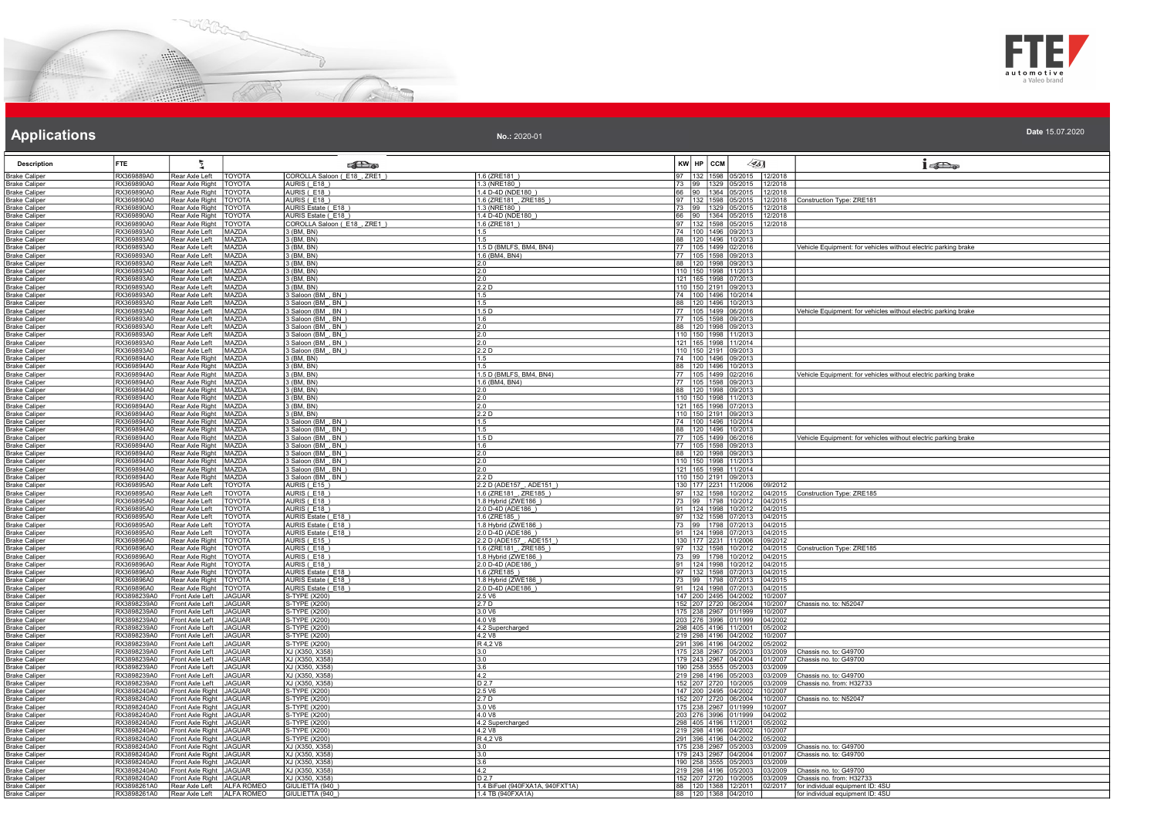



| <b>Description</b>                           | <b>FTE</b>                 | ħ.                                       |                                | <b>Call a</b>                            |                                                      |    | KW HP CCM           |                                                  | $\llap{65}$        | $1 - \sum_{\alpha}$                                                  |
|----------------------------------------------|----------------------------|------------------------------------------|--------------------------------|------------------------------------------|------------------------------------------------------|----|---------------------|--------------------------------------------------|--------------------|----------------------------------------------------------------------|
| <b>Brake Caliper</b>                         | RX369889A0                 | Rear Axle Left                           | TOYOTA                         | COROLLA Saloon (E18_, ZRE1_)             | 1.6 (ZRE181)                                         | 97 | 132 1598            | 5/2015                                           | 12/2018            |                                                                      |
| <b>Brake Caliper</b>                         | RX369890A0                 | Rear Axle Right                          | TOYOTA                         | AURIS (F18)                              | 1.3 (NRE180)                                         | 66 | 73 99 1329          | 05/2015                                          | 12/2018            |                                                                      |
| Brake Caliper<br><b>Brake Caliper</b>        | RX369890A0<br>RX369890A0   | Rear Axle Right<br>Rear Axle Right       | TOYOTA<br><b>TOYOTA</b>        | AURIS (E18)<br>AURIS (E18)               | 1.4 D-4D (NDE180<br>1.6 (ZRE181, ZRE185)             |    | $\frac{1}{90}$ 1364 | 05/2015<br>97 132 1598 05/2015                   | 12/2018<br>12/2018 | Construction Type: ZRE181                                            |
| <b>Brake Caliper</b>                         | RX369890A0                 | Rear Axle Right                          | <b>TOYOTA</b>                  | AURIS Estate (E18)                       | 1.3 (NRE180)                                         |    |                     | 73 99 1329 05/2015                               | 12/2018            |                                                                      |
| <b>Brake Caliper</b>                         | RX369890A0                 | Rear Axle Right                          | <b>TOYOTA</b>                  | AURIS Estate (E18)                       | 1.4 D-4D (NDE180                                     |    |                     | 66  90  1364  05/2015                            | 12/2018            |                                                                      |
| <b>Brake Caliper</b>                         | RX369890A0                 | Rear Axle Right                          | <b>TOYOTA</b>                  | OROLLA Saloon (E18, ZRE1)                | 1.6 (ZRE181)                                         |    |                     | 97 132 1598 05/2015                              | 12/2018            |                                                                      |
| Brake Caliper                                | RX369893A0                 | Rear Axle Left                           | MAZDA                          | 3 (BM, BN)                               |                                                      |    |                     | 74 100 1496 09/2013                              |                    |                                                                      |
| Brake Caliper                                | RX369893A0                 | Rear Axle Left                           | MAZDA                          | 3 (BM, BN)                               | 1.5                                                  |    |                     | 88 120 1496 10/2013                              |                    |                                                                      |
| <b>Brake Caliper</b><br><b>Brake Caliper</b> | RX369893A0<br>RX369893A0   | Rear Axle Left<br>Rear Axle Left         | MAZDA<br>MAZDA                 | 3 (BM, BN)<br>3 (BM, BN)                 | 1.5 D (BMLFS, BM4, BN4)<br>1.6 (BM4, BN4)            |    |                     | 77 105 1499 02/2016<br>77   105   1598   09/2013 |                    | Vehicle Equipment: for vehicles without electric parking brake       |
| <b>Brake Caliper</b>                         | RX369893A0                 | Rear Axle Left                           | MAZDA                          | 3 (BM, BN)                               | 2.0                                                  |    |                     | 88 120 1998 09/2013                              |                    |                                                                      |
| <b>Brake Caliper</b>                         | RX369893A0                 | Rear Axle Left                           | MAZDA                          | 3 (BM, BN)                               | $\frac{2.0}{2.0}$                                    |    |                     | 110 150 1998 11/2013                             |                    |                                                                      |
| Brake Caliper                                | RX369893A0                 | Rear Axle Left                           | MAZDA                          | $3$ (BM, BN)                             |                                                      |    |                     | 121 165 1998 07/2013                             |                    |                                                                      |
| <b>Brake Caliper</b>                         | RX369893A0                 | Rear Axle Left                           | <b>MAZDA</b>                   | 3 (BM, BN)                               | 2.2 D                                                |    |                     | 110 150 2191 09/2013                             |                    |                                                                      |
| <b>Brake Caliper</b><br><b>Brake Caliper</b> | RX369893A0<br>RX369893A0   | Rear Axle Left<br>Rear Axle Left         | MAZDA<br>MAZDA                 | 3 Saloon (BM, BN)<br>3 Saloon (BM_, BN_) | 1.5<br>1.5                                           |    |                     | 74 100 1496 10/2014<br>88 120 1496 10/2013       |                    |                                                                      |
| Brake Caliper                                | RX369893A0                 | Rear Axle Left                           | MAZDA                          | Saloon (BM, BN)                          | 1.5 D                                                |    |                     | 77 105 1499 06/2016                              |                    | Vehicle Equipment: for vehicles without electric parking brake       |
| Brake Caliper                                | RX369893A0                 | Rear Axle Left                           | MAZDA                          | 3 Saloon (BM, BN)                        | 1.6                                                  |    |                     | 77 105 1598 09/2013                              |                    |                                                                      |
| <b>Brake Caliper</b>                         | RX369893A0                 | Rear Axle Left                           | MAZDA                          | 3 Saloon (BM, BN                         | 2.0                                                  |    |                     | 88 120 1998 09/2013                              |                    |                                                                      |
| <b>Brake Caliper</b>                         | RX369893A0                 | Rear Axle Left                           | MAZDA                          | Saloon (BM, BN)                          | 2.0                                                  |    |                     | 110 150 1998 11/2013                             |                    |                                                                      |
| <b>Brake Caliper</b>                         | RX369893A0                 | Rear Axle Left                           | MAZDA                          | 3 Saloon (BM_, BN_)                      | 2.0                                                  |    |                     | 121   165   1998   11/2014                       |                    |                                                                      |
| <b>Brake Caliper</b><br><b>Brake Caliper</b> | RX369893A0<br>RX369894A0   | Rear Axle Left<br><b>Rear Axle Right</b> | MAZDA<br>MAZDA                 | 3 Saloon (BM, BN)<br>(BM, BN)            | 2.2D                                                 |    | 74 100 1496         | 110 150 2191 09/2013<br>09/2013                  |                    |                                                                      |
| <b>Brake Caliper</b>                         | RX369894A0                 | Rear Axle Right                          | <b>MAZDA</b>                   | $3$ (BM, BN)                             | 1.5                                                  |    |                     | 88 120 1496 10/2013                              |                    |                                                                      |
| <b>Brake Caliper</b>                         | RX369894A0                 | Rear Axle Right                          | MAZDA                          | 3 (BM, BN)                               | 1.5 D (BMLFS, BM4, BN4)                              |    |                     | 77 105 1499 02/2016                              |                    | Vehicle Equipment: for vehicles without electric parking brake       |
| <b>Brake Caliper</b>                         | RX369894A0                 | Rear Axle Right                          | MAZDA                          | 3 (BM, BN)                               | 1.6 (BM4, BN4)                                       |    |                     | 77 105 1598 09/2013                              |                    |                                                                      |
| <b>Brake Caliper</b>                         | RX369894A0                 | Rear Axle Right                          | MAZDA                          | 3 (BM, BN)                               | 2.0                                                  |    |                     | 88 120 1998 09/2013                              |                    |                                                                      |
| <b>3rake Caliper</b><br><b>Brake Caliper</b> | RX369894A0<br>RX369894A0   | Rear Axle Right<br>Rear Axle Right       | MAZDA<br>MAZDA                 | (BM, BN)<br>3 (BM, BN)                   | 2.0<br>2.0                                           |    |                     | 110 150 1998 11/2013<br>121 165 1998 07/2013     |                    |                                                                      |
| <b>Brake Caliper</b>                         | RX369894A0                 | Rear Axle Right                          | MAZDA                          | 3 (BM, BN)                               | 2.2D                                                 |    |                     | 110 150 2191 09/2013                             |                    |                                                                      |
| Brake Caliper                                | RX369894A0                 | Rear Axle Right                          | MAZDA                          | 3 Saloon (BM, BN)                        | 1.5                                                  |    |                     | 74 100 1496 10/2014                              |                    |                                                                      |
| <b>Brake Caliper</b>                         | RX369894A0                 | Rear Axle Right                          | MAZDA                          | 3 Saloon (BM_, BN_)                      | 1.5                                                  |    |                     | 88   120   1496   10/2013                        |                    |                                                                      |
| Brake Caliper                                | RX369894A0                 | Rear Axle Right                          | <b>MAZDA</b>                   | 3 Saloon (BM, BN)                        | 1.5 D                                                |    | 77   105   1499     | 06/2016                                          |                    | Vehicle Equipment: for vehicles without electric parking brake       |
| <b>Brake Caliper</b>                         | RX369894A0<br>RX369894A0   | Rear Axle Right                          | MAZDA<br>MAZDA                 | Saloon (BM, BN)<br>3 Saloon (BM , BN )   | 1.6<br>2.0                                           |    |                     | 77 105 1598 09/2013<br>88 120 1998 09/2013       |                    |                                                                      |
| <b>Brake Caliper</b><br><b>Brake Caliper</b> | RX369894A0                 | Rear Axle Right<br>Rear Axle Right       | MAZDA                          | 3 Saloon (BM, BN)                        | $\overline{2.0}$                                     |    |                     | 110 150 1998 11/2013                             |                    |                                                                      |
| <b>Brake Caliper</b>                         | RX369894A0                 | Rear Axle Right                          | MAZDA                          | 3 Saloon (BM, BN                         | 2.0                                                  |    |                     | 121 165 1998 11/2014                             |                    |                                                                      |
| <b>Brake Caliper</b>                         | RX369894A0                 | Rear Axle Right                          | MAZDA                          | 3 Saloon (BM, BN)                        | 2.2 <sub>D</sub>                                     |    |                     | 110 150 2191 09/2013                             |                    |                                                                      |
| Brake Caliper                                | RX369895A0                 | Rear Axle Left                           | TOYOTA                         | AURIS (E15)                              | 2.2 D (ADE157, ADE151)                               |    |                     | 130 177 2231 11/2006                             | 09/2012            |                                                                      |
| Brake Caliper                                | RX369895A0                 | Rear Axle Left                           | <b>TOYOTA</b>                  | AURIS (E18)<br>AURIS (E18)               | 1.6 (ZRE181, ZRE185                                  |    |                     | 97 132 1598 10/2012<br>73 99 1798 10/2012        | 04/2015            | Construction Type: ZRE185                                            |
| <b>Brake Caliper</b><br><b>Brake Caliper</b> | RX369895A0<br>RX369895A0   | Rear Axle Left<br>Rear Axle Left         | <b>TOYOTA</b><br>TOYOTA        | AURIS (E18)                              | 1.8 Hybrid (ZWE186)<br>2.0 D-4D (ADE186              |    |                     | 91 124 1998 10/2012                              | 04/2015<br>04/2015 |                                                                      |
| <b>Brake Caliper</b>                         | RX369895A0                 | Rear Axle Left                           | TOYOTA                         | AURIS Estate (_E18_)                     | 1.6 (ZRE185)                                         |    |                     | 97   132   1598   07/2013                        | 04/2015            |                                                                      |
| Brake Caliper                                | RX369895A0                 | Rear Axle Left                           | <b>TOYOTA</b>                  | AURIS Estate (E18)                       | 1.8 Hybrid (ZWE186                                   |    |                     | 73 99 1798 07/2013                               | 04/2015            |                                                                      |
| <b>Brake Caliper</b>                         | RX369895A0                 | Rear Axle Left                           | TOYOTA                         | AURIS Estate (E18)                       | 2.0 D-4D (ADE186)                                    |    |                     | 91   124   1998   07/2013                        | 04/2015            |                                                                      |
| <b>Brake Caliper</b>                         | RX369896A0                 | Rear Axle Right                          | TOYOTA                         | AURIS (E15)<br>AURIS (E18                | 2.2 D (ADE157, ADE151                                |    |                     | 130 177 2231 11/2006                             | 09/2012            |                                                                      |
| <b>Brake Caliper</b><br><b>Brake Caliper</b> | RX369896A0<br>RX369896A0   | Rear Axle Right<br>Rear Axle Right       | TOYOTA<br><b>TOYOTA</b>        | AURIS (F18)                              | 1.6 (ZRE181_, ZRE185<br>1.8 Hybrid (ZWE186)          |    |                     | 97 132 1598 10/2012<br>73 99 1798 10/2012        | 04/2015<br>04/2015 | Construction Type: ZRE185                                            |
| <b>Brake Caliper</b>                         | RX369896A0                 | Rear Axle Right                          | <b>TOYOTA</b>                  | AURIS (E18)                              | 2.0 D-4D (ADE186)                                    |    |                     | 91   124   1998   10/2012                        | 04/2015            |                                                                      |
| <b>Brake Caliper</b>                         | RX369896A0                 | Rear Axle Right                          | TOYOTA                         | AURIS Estate (E18)                       | 1.6 (ZRF185)                                         |    |                     | 97   132   1598   07/2013                        | 04/2015            |                                                                      |
| <b>Brake Caliper</b>                         | RX369896A0                 | Rear Axle Right                          | TOYOTA                         | AURIS Estate (E18)                       | 1.8 Hybrid (ZWE186                                   |    |                     | 73 99 1798 07/2013                               | 04/2015            |                                                                      |
| <b>Brake Caliper</b>                         | RX369896A0                 | Rear Axle Right                          | <b>TOYOTA</b>                  | AURIS Estate (E18)                       | 2.0 D-4D (ADE186)                                    |    |                     | 91 124 1998 07/2013                              | 04/2015            |                                                                      |
| <b>Brake Caliper</b><br><b>Brake Caliper</b> | RX3898239A0<br>RX3898239A0 | Front Axle Left<br>Front Axle Left       | <b>JAGUAR</b><br><b>JAGUAR</b> | S-TYPE (X200)<br>S-TYPE (X200)           | 2.5 V6<br>2.7 D                                      |    |                     | 147 200 2495 04/2002<br>152 207 2720 06/2004     | 0/2007<br>0/2007   | Chassis no. to: N52047                                               |
| Brake Caliper                                | RX3898239A0                | Front Axle Left                          | <b>JAGUAR</b>                  | S-TYPE (X200)                            | 3.0 V6                                               |    |                     | 175 238 2967 01/1999                             | 10/2007            |                                                                      |
| 3rake Caliper                                | RX3898239A0                | Front Axle Left                          | <b>JAGUAR</b>                  | -TYPE (X200)                             | 4.0 V8                                               |    |                     | 203 276 3996 01/1999                             | 04/2002            |                                                                      |
| <b>Brake Caliper</b>                         | RX3898239A0                | Front Axle Left                          | <b>JAGUAR</b>                  | S-TYPE (X200)                            | 4.2 Supercharged                                     |    |                     | 298 405 4196 11/2001                             | 05/2002            |                                                                      |
| <b>Brake Caliper</b>                         | RX3898239A0<br>RX3898239A0 | Front Axle Left<br>Front Axle Left       | <b>JAGUAR</b>                  | S-TYPE (X200)<br>S-TYPE (X200)           | 4.2 V8                                               |    |                     | 219 298 4196 04/2002<br>291 396 4196 04/2002     | 0/2007             |                                                                      |
| <b>Brake Caliper</b><br><b>Brake Caliper</b> | RX3898239A0                | Front Axle Left                          | <b>JAGUAR</b><br><b>JAGUAR</b> | XJ (X350, X358)                          | R 4,2 V8<br>3.0                                      |    |                     | 175 238 2967 05/2003                             | 05/2002<br>03/2009 | Chassis no. to: G49700                                               |
| Brake Caliper                                | RX3898239A0                | Front Axle Left                          | <b>JAGUAR</b>                  | XJ (X350, X358                           | 3.0                                                  |    |                     | 179 243 2967 04/2004                             | 1/2007             | hassis no. to: G49700                                                |
| <b>Brake Caliper</b>                         | RX3898239A0                | Front Axle Left                          | <b>JAGUAR</b>                  | XJ (X350, X358)                          | 3.6                                                  |    |                     | 190 258 3555 05/2003                             | 03/2009            |                                                                      |
| <b>Brake Caliper</b>                         | RX3898239A0                | Front Axle Left                          | <b>JAGUAR</b>                  | XJ (X350, X358                           | 4.2                                                  |    |                     | 219 298 4196 05/2003                             | 03/2009            | Chassis no. to: G49700                                               |
| Brake Caliper<br><b>Brake Caliper</b>        | RX3898239A0<br>RX3898240A0 | Front Axle Left<br>Front Axle Right      | <b>JAGUAR</b><br><b>JAGUAR</b> | XJ (X350, X358)<br>S-TYPE (X200)         | D <sub>2.7</sub><br>2.5 V6                           |    |                     | 152 207 2720 10/2005<br>147 200 2495 04/2002     | 03/2009<br>0/2007  | Chassis no. from: H32733                                             |
| Brake Caliper                                | RX3898240A0                | ront Axle Right                          | <b>JAGUAR</b>                  | S-TYPE (X200)                            | 2.7 D                                                |    |                     | 152 207 2720 06/2004                             | 0/2007             | Chassis no. to: N52047                                               |
| <b>Brake Caliper</b>                         | RX3898240A0                | ront Axle Right                          | <b>JAGUAR</b>                  | -TYPE (X200)                             | 3.0 V6                                               |    | 175 238 2967        | 01/1999                                          | 0/2007             |                                                                      |
| <b>Brake Caliper</b>                         | RX3898240A0                | Front Axle Right                         | <b>JAGUAR</b>                  | S-TYPE (X200)                            | 4.0 V8                                               |    |                     | 203 276 3996 01/1999                             | 04/2002            |                                                                      |
| Brake Caliper                                | RX3898240A0                | Front Axle Right JAGUAR                  |                                | S-TYPE (X200)                            | 4.2 Supercharged                                     |    |                     | 298 405 4196 11/2001                             | 05/2002            |                                                                      |
| <b>Brake Caliper</b>                         | RX3898240A0                | ront Axle Right                          | <b>JAGUAR</b>                  | S-TYPE (X200)                            | 4.2 V8                                               |    |                     | 219 298 4196 04/2002                             | 10/2007            |                                                                      |
| <b>Brake Caliper</b><br>Brake Caliper        | RX3898240A0<br>RX3898240A0 | Front Axle Right<br>ront Axle Right      | <b>JAGUAR</b><br><b>JAGUAR</b> | S-TYPE (X200)<br>XJ (X350, X358          | R 4,2 V8<br>3.0                                      |    |                     | 291 396 4196 04/2002<br>175 238 2967 05/2003     | 05/2002<br>3/2009  | Chassis no. to: G49700                                               |
| <b>Brake Caliper</b>                         | RX3898240A0                | ront Axle Right                          | <b>JAGUAR</b>                  | XJ (X350, X358                           | 3.0                                                  |    |                     | 179 243 2967 04/2004                             | 01/2007            | Chassis no. to: G49700                                               |
| <b>Brake Caliper</b>                         | RX3898240A0                | Front Axle Right                         | <b>JAGUAR</b>                  | XJ (X350, X358)                          | 3.6                                                  |    |                     | 190 258 3555 05/2003                             | 03/2009            |                                                                      |
| <b>Brake Caliper</b>                         | RX3898240A0                | ront Axle Right                          | <b>JAGUAR</b>                  | XJ (X350, X358)                          | 4.2                                                  |    |                     | 219 298 4196 05/2003                             | 3/2009             | hassis no. to: G49700                                                |
| <b>Brake Caliper</b>                         | RX3898240A0                | Front Axle Right   JAGUAR                |                                | XJ (X350, X358)                          | D <sub>27</sub>                                      |    |                     | 152 207 2720 10/2005                             | 03/2009            | Chassis no. from: H32733                                             |
| Brake Caliper<br><b>Brake Caliper</b>        | RX3898261A0<br>RX3898261A0 | Rear Axle Left<br>Rear Axle Left         | ALFA ROMEO<br>ALFA ROMEO       | GIULIETTA (940<br>GIULIETTA (940)        | 1.4 BiFuel (940FXA1A, 940FXT1A)<br>1.4 TB (940FXA1A) |    |                     | 88 120 1368 12/2011<br>88 120 1368 04/2010       | 02/2017            | for individual equipment ID: 4SU<br>for individual equipment ID: 4SU |
|                                              |                            |                                          |                                |                                          |                                                      |    |                     |                                                  |                    |                                                                      |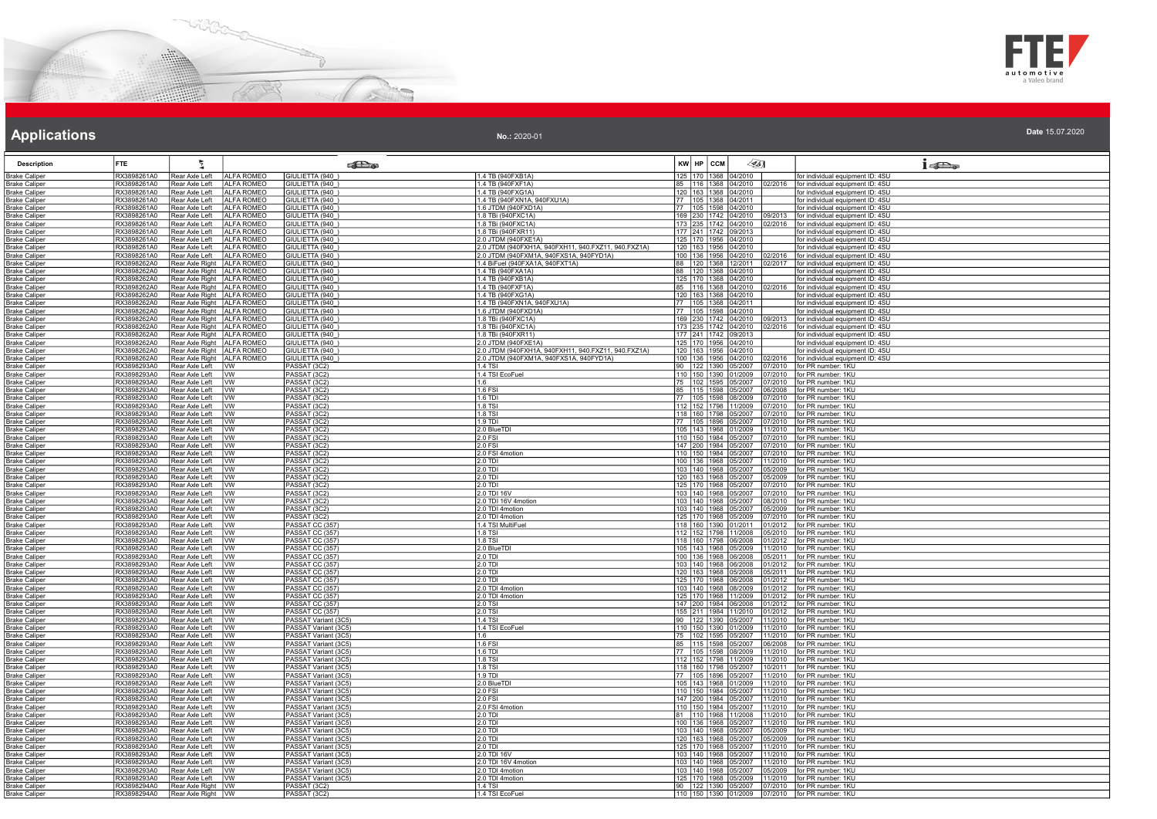



| No.: 2020-01 | Date 15.07.2020 |  |  |  |
|--------------|-----------------|--|--|--|
|--------------|-----------------|--|--|--|

| <b>Description</b>                           | <b>FTE</b>                 | 튓                                                            |                          | <b>SHO</b>                                   |                                                                                                |     | KW HP CCM                                    | $\llap{0.1cm}$ |                                                              | $1 - \sum_{\alpha}$                                                                                                   |
|----------------------------------------------|----------------------------|--------------------------------------------------------------|--------------------------|----------------------------------------------|------------------------------------------------------------------------------------------------|-----|----------------------------------------------|----------------|--------------------------------------------------------------|-----------------------------------------------------------------------------------------------------------------------|
| <b>Brake Caliper</b>                         | RX3898261A0                | Rear Axle Left                                               | ALFA ROMEO               | GIULIETTA (940                               | 1.4 TB (940FXB1A)                                                                              | 125 | 170 1368                                     | 04/2010        |                                                              | for individual equipment ID: 4SU                                                                                      |
| <b>Brake Caliper</b>                         | RX3898261A0                | Rear Axle Left                                               | ALFA ROMEO               | GIULIETTA (940                               | 1.4 TB (940FXF1A)                                                                              | 85  |                                              |                |                                                              | 116   1368   04/2010   02/2016   for individual equipment ID: 4SU                                                     |
| Brake Caliper                                | RX3898261A0                | Rear Axle Left                                               | <b>ALFA ROMEO</b>        | GIULIETTA (940)                              | 1.4 TB (940FXG1A)                                                                              |     | 120 163 1368 04/2010                         |                |                                                              | for individual equipment ID: 4SU                                                                                      |
| <b>Brake Caliper</b>                         | RX3898261A0                | Rear Axle Left                                               | <b>ALFA ROMEO</b>        | GIULIETTA (940)                              | 1.4 TB (940FXN1A, 940FXU1A)                                                                    |     | 77   105   1368   04/2011                    |                |                                                              | for individual equipment ID: 4SU                                                                                      |
| <b>Brake Caliper</b>                         | RX3898261A0                | Rear Axle Left                                               | <b>ALFA ROMEO</b>        | GIULIETTA (940)                              | 1.6 JTDM (940FXD1A)                                                                            |     | 77 105 1598 04/2010                          |                |                                                              | for individual equipment ID: 4SU                                                                                      |
| <b>Brake Caliper</b>                         | RX3898261A0                | Rear Axle Left                                               | <b>ALFA ROMEO</b>        | GIULIETTA (940_)                             | 1.8 TBi (940FXC1A)                                                                             | 169 | 230 1742 04/2010                             |                | 09/2013                                                      | for individual equipment ID: 4SU                                                                                      |
| <b>Brake Caliper</b>                         | RX3898261A0                | Rear Axle Left                                               | ALFA ROMEO               | GIULIETTA (940)                              | 1.8 TBi (940FXC1A)                                                                             |     | 235 1742 04/2010                             |                |                                                              | 02/2016 for individual equipment ID: 4SU                                                                              |
| <b>Brake Caliper</b>                         | RX3898261A0                | Rear Axle Left                                               | <b>ALFA ROMEO</b>        | GIULIETTA (940)                              | 1.8 TBi (940FXR11)                                                                             |     | 177 241 1742 09/2013                         |                |                                                              | for individual equipment ID: 4SU                                                                                      |
| <b>Brake Caliper</b><br><b>Brake Caliper</b> | RX3898261A0<br>RX3898261A0 | Rear Axle Left<br>Rear Axle Left                             | ALFA ROMEO<br>ALFA ROMEO | GIULIETTA (940)<br>GIULIETTA (940)           | 2.0 JTDM (940FXE1A)<br>2.0 JTDM (940FXH1A, 940FXH11, 940.FXZ11, 940.FXZ1A)                     |     | 125 170 1956 04/2010<br>120 163 1956 04/2010 |                |                                                              | for individual equipment ID: 4SU<br>for individual equipment ID: 4SU                                                  |
| Brake Caliper                                | RX3898261A0                | Rear Axle Left                                               | ALFA ROMEO               | GIULIETTA (940)                              | 2.0 JTDM (940FXM1A, 940FXS1A, 940FYD1A)                                                        |     |                                              |                |                                                              | 100   136   1956   04/2010   02/2016   for individual equipment ID: 4SU                                               |
| <b>Brake Caliper</b>                         | RX3898262A0                | Rear Axle Right ALFA ROMEO                                   |                          | GIULIETTA (940)                              | 1.4 BiFuel (940FXA1A, 940FXT1A)                                                                | 88  | 120 1368 12/2011                             |                | 02/2017                                                      | for individual equipment ID: 4SU                                                                                      |
| <b>Brake Caliper</b>                         | RX3898262A0                | Rear Axle Right ALFA ROMEO                                   |                          | GIULIETTA (940)                              | 1.4 TB (940FXA1A)                                                                              | 88  | 120 1368 04/2010                             |                |                                                              | for individual equipment ID: 4SU                                                                                      |
| <b>Brake Caliper</b>                         | RX3898262A0                | Rear Axle Right ALFA ROMEO                                   |                          | GIULIETTA (940)                              | 1.4 TB (940FXB1A)                                                                              |     | 125 170 1368 04/2010                         |                |                                                              | for individual equipment ID: 4SU                                                                                      |
| <b>Brake Caliper</b>                         | RX3898262A0                | Rear Axle Right ALFA ROMEO                                   |                          | GIULIETTA (940_)                             | 1.4 TB (940FXF1A)                                                                              |     | 85 116 1368 04/2010                          |                | 02/2016                                                      | for individual equipment ID: 4SU                                                                                      |
| <b>Brake Caliper</b>                         | RX3898262A0                | Rear Axle Right   ALFA ROMEO                                 |                          | GIULIETTA (940)                              | 1.4 TB (940FXG1A)                                                                              |     | 120  163  1368  04/2010                      |                |                                                              | for individual equipment ID: 4SU                                                                                      |
| <b>Brake Caliper</b>                         | RX3898262A0                | Rear Axle Right   ALFA ROMEO                                 |                          | GIULIETTA (940_)                             | 1.4 TB (940FXN1A, 940FXU1A)                                                                    | 77  | 105 1368 04/2011                             |                |                                                              | for individual equipment ID: 4SU                                                                                      |
| Brake Caliper                                | RX3898262A0                | Rear Axle Right   ALFA ROMEO                                 |                          | GIULIETTA (940)                              | 1.6 JTDM (940FXD1A)                                                                            |     |                                              |                |                                                              | 77 105 1598 04/2010 for individual equipment ID: 4SU<br>169 230 1742 04/2010 09/2013 for individual equipment ID: 4SU |
| <b>Brake Caliper</b>                         | RX3898262A0                | Rear Axle Right   ALFA ROMEO                                 |                          | GIULIETTA (940)                              | 1.8 TBi (940FXC1A)                                                                             |     |                                              |                |                                                              |                                                                                                                       |
| <b>Brake Caliper</b>                         | RX3898262A0                | Rear Axle Right   ALFA ROMEO                                 |                          | GIULIETTA (940)                              | 1.8 TBi (940FXC1A)                                                                             | 173 |                                              |                | 235 1742 04/2010 02/2016                                     | for individual equipment ID: 4SU                                                                                      |
| <b>Brake Caliper</b>                         | RX3898262A0                | Rear Axle Right   ALFA ROMEO                                 |                          | GIULIETTA (940)                              | 1.8 TBi (940FXR11)                                                                             |     | 177 241 1742 09/2013                         |                |                                                              | for individual equipment ID: 4SU                                                                                      |
| Brake Caliper                                | RX3898262A0<br>RX3898262A0 | Rear Axle Right ALFA ROMEO                                   |                          | GIULIETTA (940)                              | 2.0 JTDM (940FXE1A)                                                                            |     | 125 170 1956 04/2010                         |                |                                                              | for individual equipment ID: 4SU                                                                                      |
| Brake Caliper<br>Brake Caliper               | RX3898262A0                | Rear Axle Right   ALFA ROMEO<br>Rear Axle Right   ALFA ROMEO |                          | GIULIETTA (940)<br>GIULIETTA (940)           | 2.0 JTDM (940FXH1A, 940FXH11, 940.FXZ11, 940.FXZ1A)<br>2.0 JTDM (940FXM1A, 940FXS1A, 940FYD1A) |     | 120 163 1956 04/2010<br>100 136 1956 04/2010 |                | 02/2016                                                      | for individual equipment ID: 4SU<br>for individual equipment ID: 4SU                                                  |
| <b>Brake Caliper</b>                         | RX3898293A0                | Rear Axle Left WW                                            |                          | PASSAT (3C2)                                 | $14$ TSI                                                                                       |     |                                              |                |                                                              | 90 122 1390 05/2007 07/2010 for PR number: 1KU                                                                        |
| <b>Brake Caliper</b>                         | RX3898293A0                | Rear Axle Left   VW                                          |                          | PASSAT (3C2)                                 | 1.4 TSI EcoFuel                                                                                |     |                                              |                |                                                              | 110 150 1390 01/2009 07/2010 for PR number: 1KU                                                                       |
| <b>Brake Caliper</b>                         | RX3898293A0                | Rear Axle Left   VW                                          |                          | PASSAT (3C2)                                 | 1.6                                                                                            |     | 75   102   1595   05/2007                    |                | 07/2010                                                      | for PR number: 1KU                                                                                                    |
| <b>Brake Caliper</b>                         | RX3898293A0                | Rear Axle Left   VW                                          |                          | PASSAT (3C2)                                 | 1.6 FSI                                                                                        | 85  | 115 1598                                     | 05/2007        | 06/2008                                                      | for PR number: 1KU                                                                                                    |
| <b>Brake Caliper</b>                         | RX3898293A0                | Rear Axle Left                                               | <b>WW</b>                | PASSAT (3C2)                                 | 1.6 TDI                                                                                        |     | 105 1598                                     | 08/2009        | 07/2010                                                      | for PR number: 1KU                                                                                                    |
| Brake Caliper                                | RX3898293A0                | Rear Axle Left WW                                            |                          | PASSAT (3C2)                                 | 1.8 TSI                                                                                        |     |                                              |                |                                                              | 112 152 1798 11/2009 07/2010 for PR number: 1KU                                                                       |
| <b>Brake Caliper</b>                         | RX3898293A0                | Rear Axle Left                                               | WV                       | PASSAT (3C2)                                 | $1.8$ TSI                                                                                      |     | 118 160 1798 05/2007                         |                | 07/2010                                                      | for PR number: 1KU                                                                                                    |
| <b>Brake Caliper</b>                         | RX3898293A0                | Rear Axle Left                                               | <b>I</b> w               | PASSAT (3C2)                                 | 1.9 TDI                                                                                        |     |                                              |                | 77 105 1896 05/2007 07/2010                                  | for PR number: 1KU                                                                                                    |
| Brake Caliper                                | RX3898293A0                | Rear Axle Left                                               | lwv                      | PASSAT (3C2)                                 | 2.0 BlueTDI                                                                                    |     |                                              |                | 105  143  1968  01/2009  11/2010                             | for PR number: 1KU                                                                                                    |
| Brake Caliper                                | RX3898293A0                | Rear Axle Left                                               | W                        | PASSAT (3C2)                                 | 2.0 FSI                                                                                        |     | 110 150 1984 05/2007                         |                | 07/2010                                                      | for PR number: 1KU                                                                                                    |
| <b>Brake Caliper</b><br><b>Brake Caliper</b> | RX3898293A0<br>RX3898293A0 | Rear Axle Left<br>Rear Axle Left                             | <b>W</b><br><b>WW</b>    | PASSAT (3C2)<br>PASSAT (3C2)                 | 20 FSI<br>2.0 FSI 4motion                                                                      |     |                                              |                | 147 200 1984 05/2007 07/2010<br>110 150 1984 05/2007 07/2010 | for PR number: 1KU<br>for PR number: 1KU                                                                              |
|                                              | RX3898293A0                | Rear Axle Left                                               | <b>I</b> w               | PASSAT (3C2)                                 | 2.0 TDI                                                                                        |     |                                              |                | 100 136 1968 05/2007 11/2010                                 | for PR number: 1KU                                                                                                    |
| <b>Brake Caliper</b><br><b>Brake Caliper</b> | RX3898293A0                | Rear Axle Left   VW                                          |                          | PASSAT (3C2)                                 | 2.0 TDI                                                                                        |     |                                              |                | 103 140 1968 05/2007 05/2009                                 | for PR number: 1KU                                                                                                    |
| <b>Brake Caliper</b>                         | RX3898293A0                | Rear Axle Left                                               | WV                       | PASSAT (3C2)                                 | 2.0 TDI                                                                                        |     | 120 163 1968 05/2007                         |                | 05/2009                                                      | for PR number: 1KU                                                                                                    |
| <b>Brake Caliper</b>                         | RX3898293A0                | Rear Axle Left   VW                                          |                          | PASSAT (3C2)                                 | 2.0 TDI                                                                                        |     |                                              |                |                                                              | 125   170   1968   05/2007   07/2010   for PR number: 1KU                                                             |
| <b>Brake Caliper</b>                         | RX3898293A0                | Rear Axle Left WW                                            |                          | PASSAT (3C2)                                 | 2.0 TDI 16V                                                                                    |     |                                              |                | 103 140 1968 05/2007 07/2010                                 | for PR number: 1KU                                                                                                    |
| Brake Caliper                                | RX3898293A0                | Rear Axle Left                                               | lwv                      | PASSAT (3C2)                                 | 2.0 TDI 16V 4motion                                                                            |     |                                              |                |                                                              | 103 140 1968 05/2007 08/2010 for PR number: 1KU                                                                       |
| <b>Brake Caliper</b>                         | RX3898293A0                | Rear Axle Left                                               | WV                       | PASSAT (3C2)                                 | 2.0 TDI 4motion                                                                                |     |                                              |                | 103 140 1968 05/2007 05/2009                                 | for PR number: 1KU                                                                                                    |
| Brake Caliper                                | RX3898293A0                | Rear Axle Left                                               | <b>WW</b>                | PASSAT (3C2)                                 | 2.0 TDI 4motion                                                                                |     |                                              |                | 125 170 1968 05/2009 07/2010                                 | for PR number: 1KU                                                                                                    |
| <b>Brake Caliper</b>                         | RX3898293A0                | Rear Axle Left                                               | WW                       | PASSAT CC (357)                              | 1.4 TSI MultiFuel                                                                              |     |                                              |                | 118 160 1390 01/2011 01/2012                                 | for PR number: 1KU                                                                                                    |
| <b>Brake Caliper</b>                         | RX3898293A0                | Rear Axle Left                                               | W                        | PASSAT CC (357)                              | 1.8 TSI                                                                                        |     | 112 152 1798 11/2008                         |                | 05/2010                                                      | for PR number: 1KU                                                                                                    |
| <b>Brake Caliper</b>                         | RX3898293A0                | Rear Axle Left                                               | <b>W</b>                 | PASSAT CC (357)                              | $1.8$ TSI                                                                                      |     |                                              |                | 118 160 1798 06/2008 01/2012                                 | for PR number: 1KU                                                                                                    |
| <b>Brake Caliper</b>                         | RX3898293A0<br>RX3898293A0 | Rear Axle Left<br>Rear Axle Left   VW                        | <b>I</b> w               | PASSAT CC (357)                              | 2.0 BlueTDI<br>2.0 TDL                                                                         |     | 100 1136 11968 106/2008                      |                | 105 143 1968 05/2009 11/2010<br>05/2011                      | for PR number: 1KU<br>for PR number: 1KU                                                                              |
| <b>Brake Caliper</b><br><b>Brake Caliper</b> | RX3898293A0                | Rear Axle Left                                               | Iwv                      | PASSAT CC (357)                              | 2.0 TDI                                                                                        |     |                                              |                | 103 140 1968 06/2008 01/2012                                 | for PR number: 1KU                                                                                                    |
| <b>Brake Caliper</b>                         | RX3898293A0                | Rear Axle Left   VW                                          |                          | PASSAT CC (357)<br>PASSAT CC (357)           | 2.0 TDI                                                                                        |     | 120 163 1968 05/2008                         |                | 05/2011                                                      | for PR number: 1KU                                                                                                    |
| <b>Brake Caliper</b>                         | RX3898293A0                | Rear Axle Left WW                                            |                          | PASSAT CC (357)                              | $2.0$ TDI                                                                                      |     |                                              |                | 125 170 1968 06/2008 01/2012                                 | for PR number: 1KU                                                                                                    |
| <b>Brake Caliper</b>                         | RX3898293A0                | Rear Axle Left                                               | <b>WW</b>                | PASSAT CC (357)                              | 2.0 TDI 4motion                                                                                |     | 103 140 1968 08/2009                         |                | 01/2012                                                      | for PR number: 1KU                                                                                                    |
| <b>Brake Caliper</b>                         | RX3898293A0                | Rear Axle Left                                               | <b>W</b>                 | PASSAT CC (357)                              | 2.0 TDI 4motion                                                                                |     |                                              |                |                                                              | 125   170   1968   11/2009   01/2012   for PR number: 1KU                                                             |
| Brake Caliper                                | RX3898293A0                | Rear Axle Left                                               | <b>WW</b>                | PASSAT CC (357)                              | 2.0 TSI                                                                                        |     |                                              |                | 147 200 1984 06/2008 01/2012                                 | for PR number: 1KU                                                                                                    |
| Brake Caliper                                | RX3898293A0                | Rear Axle Left                                               | W                        | PASSAT <sub>CC</sub> (357)                   | 2.0 TSI                                                                                        | 155 | 211   1984   11/2010                         |                | 01/2012                                                      | for PR number: 1KU                                                                                                    |
| Brake Caliper                                | RX3898293A0                | Rear Axle Left WW                                            |                          | PASSAT Variant (3C5                          | 1.4 TSI                                                                                        |     |                                              |                | 90 122 1390 05/2007 11/2010                                  | for PR number: 1KU                                                                                                    |
| <b>Brake Caliper</b>                         | RX3898293A0                | Rear Axle Left                                               | <b>W</b>                 | PASSAT Variant (3C5)                         | 1.4 TSI EcoFuel                                                                                |     |                                              |                |                                                              | 110   150   1390   01/2009   11/2010   for PR number: 1KU                                                             |
| <b>Brake Caliper</b>                         | RX3898293A0                | Rear Axle Left   VW                                          |                          | PASSAT Variant (3C5)                         | 1.6                                                                                            |     |                                              |                |                                                              | 75  102  1595  05/2007  11/2010   for PR number: 1KU                                                                  |
| <b>Brake Caliper</b>                         | RX3898293A0                | Rear Axle Left                                               | WV                       | PASSAT Variant (3C5                          | 1.6 FSI                                                                                        | 85  | 115 1598 05/2007                             |                | 06/2008                                                      | for PR number: 1KU                                                                                                    |
| Brake Caliper                                | RX3898293A0<br>RX3898293A0 | Rear Axle Left<br>Rear Axle Left                             | WW<br><b>IW</b>          | PASSAT Variant (3C5)<br>PASSAT Variant (3C5) | 1.6 TDI<br>1.8 TSI                                                                             | 77  |                                              |                | 105 1598 08/2009 11/2010<br>112 152 1798 11/2009 11/2010     | for PR number: 1KU<br>for PR number: 1KU                                                                              |
| <b>Brake Caliper</b><br><b>Brake Caliper</b> | RX3898293A0                | Rear Axle Left WW                                            |                          | PASSAT Variant (3C5)                         | $1.8$ TSI                                                                                      |     |                                              |                |                                                              | 118   160   1798   05/2007   10/2011   for PR number: 1KU                                                             |
| <b>Brake Caliper</b>                         | RX3898293A0                | Rear Axle Left                                               | <b>WW</b>                | PASSAT Variant (3C5)                         | $1.9$ TDI                                                                                      |     |                                              |                |                                                              | 77   105   1896   05/2007   11/2010   for PR number: 1KU                                                              |
| <b>Brake Caliper</b>                         | RX3898293A0                | Rear Axle Left                                               | W                        | PASSAT Variant (3C5)                         | 2.0 BlueTDI                                                                                    |     |                                              |                | 105   143   1968   01/2009   11/2010                         | for PR number: 1KU                                                                                                    |
| <b>Brake Caliper</b>                         | RX3898293A0                | Rear Axle Left                                               | WW                       | PASSAT Variant (3C5)                         | 2.0 FSI                                                                                        |     | 110 150 1984 05/2007                         |                | 11/2010                                                      | for PR number: 1KU                                                                                                    |
| <b>Brake Caliper</b>                         | RX3898293A0                | Rear Axle Left                                               | lw                       | PASSAT Variant (3C5)                         | 2.0 FSI                                                                                        | 147 | 200 1984 05/2007                             |                | 11/2010                                                      | for PR number: 1KU                                                                                                    |
| <b>Brake Caliper</b>                         | RX3898293A0                | Rear Axle Left WW                                            |                          | PASSAT Variant (3C5)                         | 2.0 FSI 4motion                                                                                |     |                                              |                | 110 150 1984 05/2007 11/2010                                 | for PR number: 1KU                                                                                                    |
| <b>Brake Caliper</b>                         | RX3898293A0                | Rear Axle Left                                               | <b>IW</b>                | PASSAT Variant (3C5)                         | 2.0 TDI                                                                                        |     |                                              |                |                                                              | 81   110   1968   11/2008   11/2010   for PR number: 1KU                                                              |
| <b>Brake Caliper</b>                         | RX3898293A0                | Rear Axle Left   VW                                          |                          | PASSAT Variant (3C5)                         | 2.0 TDI                                                                                        |     |                                              |                |                                                              | 100   136   1968   05/2007   11/2010   for PR number: 1KU                                                             |
| <b>Brake Caliper</b>                         | RX3898293A0                | Rear Axle Left IVW                                           |                          | PASSAT Variant (3C5)                         | 2.0 TDI                                                                                        |     |                                              |                | 103 140 1968 105/2007 105/2009                               | for PR number: 1KU                                                                                                    |
| <b>Brake Caliper</b>                         | RX3898293A0                | Rear Axle Left                                               | <b>W</b>                 | PASSAT Variant (3C5)                         | 2.0 TDI                                                                                        | 120 | 163 1968 05/2007                             |                | 05/2009                                                      | for PR number: 1KU                                                                                                    |
| <b>Brake Caliper</b>                         | RX3898293A0<br>RX3898293A0 | Rear Axle Left   VW                                          | <b>IW</b>                | PASSAT Variant (3C5)                         | 2.0 TDI<br>2.0 TDI 16V                                                                         |     |                                              |                | 125 170 1968 05/2007 11/2010                                 | for PR number: 1KU                                                                                                    |
| <b>Brake Caliper</b>                         |                            | Rear Axle Left                                               |                          | PASSAT Variant (3C5)                         |                                                                                                |     |                                              |                | 103 140 1968 05/2007 11/2010                                 | for PR number: 1KU                                                                                                    |
| <b>Brake Caliper</b><br>Brake Caliper        | RX3898293A0<br>RX3898293A0 | Rear Axle Left   VW<br>Rear Axle Left                        | <b>IW</b>                | PASSAT Variant (3C5)<br>PASSAT Variant (3C5) | 2.0 TDI 16V 4motion<br>2.0 TDI 4motion                                                         |     | 103 140 1968 05/2007                         |                | 103 140 1968 05/2007 11/2010<br>05/2009                      | for PR number: 1KU<br>for PR number: 1KU                                                                              |
| <b>Brake Caliper</b>                         | RX3898293A0                | Rear Axle Left WW                                            |                          | PASSAT Variant (3C5)                         | 2.0 TDI 4motion                                                                                |     |                                              |                | 125 170 1968 05/2009 11/2010                                 | for PR number: 1KU                                                                                                    |
| <b>Brake Caliper</b>                         | RX3898294A0                | Rear Axle Right   VW                                         |                          | PASSAT (3C2)                                 | 1.4 TSI                                                                                        |     |                                              |                | 90 122 1390 05/2007 07/2010                                  | for PR number: 1KU                                                                                                    |
| <b>Brake Caliper</b>                         | RX3898294A0                | Rear Axle Right W                                            |                          | PASSAT (3C2)                                 | 1.4 TSI EcoFuel                                                                                |     |                                              |                | 110 150 1390 01/2009 07/2010                                 | for PR number: 1KU                                                                                                    |
|                                              |                            |                                                              |                          |                                              |                                                                                                |     |                                              |                |                                                              |                                                                                                                       |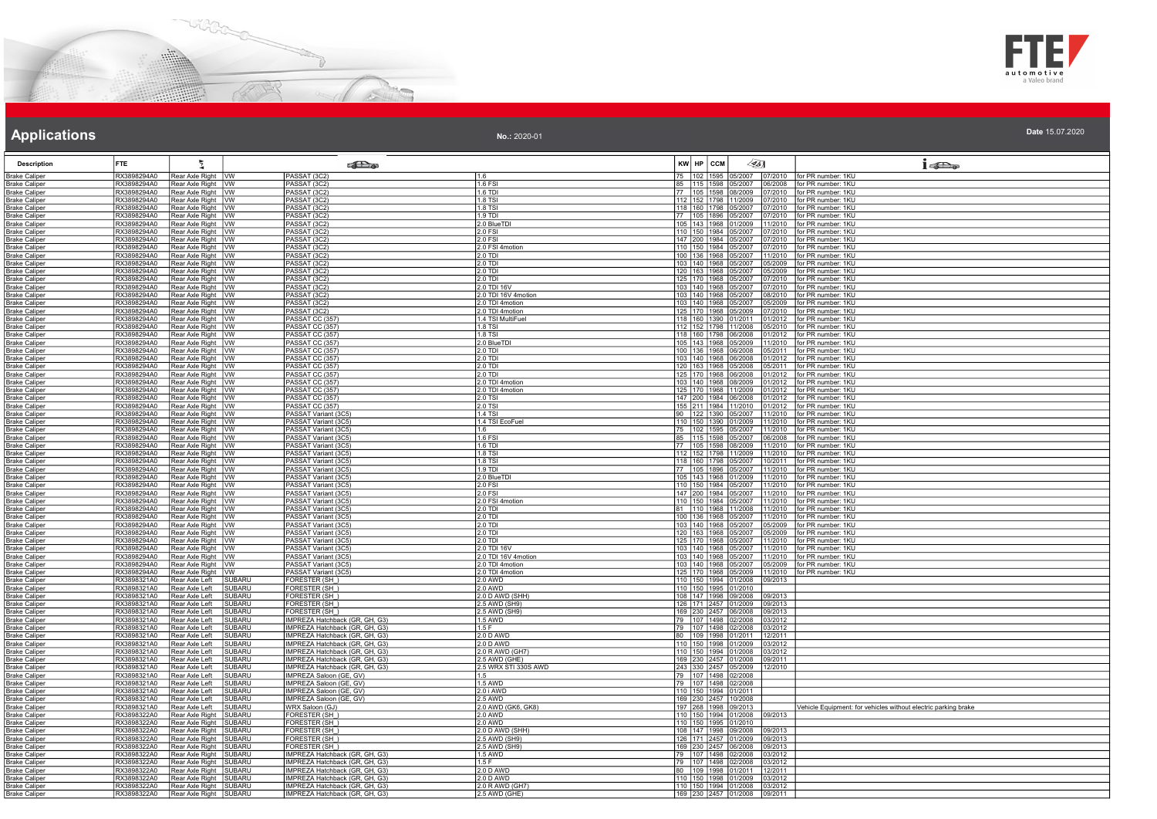



| <b>Applications</b>                          |                            |                                                  |                         |                                                                  | No.: 2020-01                 |                                |                                                                  | Date 15.07.2020                                                |
|----------------------------------------------|----------------------------|--------------------------------------------------|-------------------------|------------------------------------------------------------------|------------------------------|--------------------------------|------------------------------------------------------------------|----------------------------------------------------------------|
| <b>Description</b>                           | <b>FTE</b>                 | ŧ                                                |                         | <b>READ</b>                                                      |                              | KW HP CCM                      | $\mathscr{L}$ 5]                                                 | $1 - \sum_{\alpha}$                                            |
| <b>Brake Caliper</b>                         | RX3898294A0                | Rear Axle Right   VW                             |                         | PASSAT (3C2)                                                     | 1.6                          | 75 102 1595                    | 07/2007 07/2010 for PR number: 1KU                               |                                                                |
| <b>Brake Caliper</b><br><b>Brake Caliper</b> | RX3898294A0<br>RX3898294A0 | Rear Axle Right W<br>Rear Axle Right   VW        |                         | PASSAT (3C2)<br>PASSAT (3C2)                                     | 1.6 FSI<br>1.6 TDI           | 85 115 1598<br>77   105   1598 | 05/2007<br>08/2009<br>07/2010                                    | 06/2008 for PR number: 1KU<br>for PR number: 1KU               |
| <b>Brake Caliper</b>                         | RX3898294A0                | Rear Axle Right   VW                             |                         | PASSAT (3C2)                                                     | 1.8 TSI                      |                                | 112 152 1798 11/2009<br>17/2010                                  | for PR number: 1KU                                             |
| <b>Brake Caliper</b>                         | RX3898294A0                | Rear Axle Right WW                               |                         | PASSAT (3C2)                                                     | 1.8 TSI                      | 118 160 1798                   | 05/2007<br>07/2010                                               | for PR number: 1KU                                             |
| <b>Brake Caliper</b>                         | RX3898294A0                | Rear Axle Right W                                |                         | PASSAT (3C2)                                                     | $1.9$ TDI                    |                                | 77 105 1896 05/2007                                              | 07/2010   for PR number: 1KU                                   |
| <b>Brake Caliper</b>                         | RX3898294A0<br>RX3898294A0 | Rear Axle Right   VW                             |                         | PASSAT (3C2)                                                     | 2.0 BlueTDI<br>20 FSI        | 105 143 1968<br>110 150 1984   | 01/2009<br>11/2010<br>15/2007                                    | for PR number: 1KU<br>for PR number: 1KU                       |
| <b>Brake Caliper</b><br><b>Brake Caliper</b> | RX3898294A0                | Rear Axle Right   VW<br>Rear Axle Right   VW     |                         | PASSAT (3C2)<br>PASSAT (3C2)                                     | 2.0 FSI                      | 147 200 1984                   | 7/2010<br>15/2007<br>7/2010                                      | for PR number: 1KU                                             |
| <b>Brake Caliper</b>                         | RX3898294A0                | Rear Axle Right   VW                             |                         | PASSAT (3C2)                                                     | 2.0 FSI 4motion              | 110 150 1984                   | 7/2010<br>05/2007                                                | for PR number: 1KU                                             |
| <b>Brake Caliper</b>                         | RX3898294A0                | Rear Axle Right   VW                             |                         | PASSAT (3C2)                                                     | 2.0 TDI                      |                                | 100 136 1968 05/2007<br>11/2010                                  | for PR number: 1KU                                             |
| <b>Brake Caliper</b>                         | RX3898294A0                | Rear Axle Right   VW                             |                         | PASSAT (3C2)                                                     | 2.0 TDI                      | 103 140 1968                   | 05/2007<br>5/2009                                                | for PR number: 1KU                                             |
| <b>Brake Caliper</b><br><b>Brake Caliper</b> | RX3898294A0<br>RX3898294A0 | Rear Axle Right   VW<br>Rear Axle Right WW       |                         | PASSAT (3C2)<br>PASSAT (3C2)                                     | 2.0 TDI<br>2.0 TDI           | 120 163 1968<br>125 170 1968   | 05/2007<br>5/2009<br>05/2007<br>7/2010                           | for PR number: 1KU<br>for PR number: 1KU                       |
| <b>Brake Caliper</b>                         | RX3898294A0                | Rear Axle Right   VW                             |                         | PASSAT (3C2)                                                     | 2.0 TDI 16V                  | 103 140 1968                   | 05/2007                                                          | 07/2010   for PR number: 1KU                                   |
| <b>Brake Caliper</b>                         | RX3898294A0                | Rear Axle Right   VW                             |                         | PASSAT (3C2)                                                     | 2.0 TDI 16V 4motion          | 103 140 1968                   | 05/2007<br>ን8/2010                                               | for PR number: 1KU                                             |
| <b>Brake Caliper</b>                         | RX3898294A0                | Rear Axle Right WW                               |                         | PASSAT (3C2)                                                     | 2.0 TDI 4motion              | 103 140 1968                   | 05/2007<br>05/2009                                               | for PR number: 1KU                                             |
| <b>Brake Caliper</b>                         | RX3898294A0                | Rear Axle Right   VW                             |                         | PASSAT (3C2)                                                     | 2.0 TDI 4motion              | 125 170 1968                   | 05/2009                                                          | 07/2010   for PR number: 1KU                                   |
| <b>Brake Caliper</b><br><b>Brake Caliper</b> | RX3898294A0<br>RX3898294A0 | Rear Axle Right   VW<br>Rear Axle Right   VW     |                         | PASSAT CC (357<br>PASSAT CC (357)                                | 1.4 TSI MultiFuel<br>1.8 TSI | 118 160 1390                   | 01/2011<br>01/2012<br>112   152   1798   11/2008                 | for PR number: 1KU<br>05/2010   for PR number: 1KU             |
| <b>Brake Caliper</b>                         | RX3898294A0                | Rear Axle Right VW                               |                         |                                                                  | 1.8 TSI                      | 118 160 1798                   | 6/2008<br>1/2012                                                 | for PR number: 1KU                                             |
| <b>Brake Caliper</b>                         | RX3898294A0                | Rear Axle Right WW                               |                         | PASSAT CC (357)<br>PASSAT CC (357)                               | 2.0 BlueTDI                  |                                | 105 143 1968 05/2009                                             | 11/2010 for PR number: 1KU                                     |
| <b>Brake Caliper</b>                         | RX3898294A0                | Rear Axle Right   VW                             |                         | PASSAT CC (357)                                                  | 2.0 TDI                      | 100 136 1968                   | 06/2008                                                          | 05/2011   for PR number: 1KU                                   |
| <b>Brake Caliper</b>                         | RX3898294A0                | Rear Axle Right   VW                             |                         | PASSAT CC (357)                                                  | 2.0 TDI                      | 103 140 1968                   | 06/2008<br>01/2012                                               | for PR number: 1KU                                             |
| <b>Brake Caliper</b><br><b>Brake Caliper</b> | RX3898294A0<br>RX3898294A0 | Rear Axle Right VW<br>Rear Axle Right WW         |                         | PASSAT CC (357<br>PASSAT CC (357)                                | 2.0 TDI<br>$2.0$ TDI         | 125 170 1968                   | 163 1968<br>05/2008<br>15/2011<br>06/2008<br>01/2012             | for PR number: 1KU<br>for PR number: 1KU                       |
| <b>Brake Caliper</b>                         | RX3898294A0                | Rear Axle Right   VW                             |                         | PASSAT CC (357)                                                  | 2.0 TDI 4motion              |                                | 103 140 1968 08/2009                                             | 01/2012 Ifor PR number: 1KU                                    |
| <b>Brake Caliper</b>                         | RX3898294A0                | Rear Axle Right   VW                             |                         | PASSAT CC (357)                                                  | 2.0 TDI 4motion              |                                | 125 170 1968 11/2009<br>01/2012                                  | for PR number: 1KU                                             |
| <b>Brake Caliper</b>                         | RX3898294A0                | Rear Axle Right WW                               |                         | PASSAT CC (357)                                                  | 2.0 TSI                      | 147 200 1984                   | 06/2008<br>1/2012                                                | for PR number: 1KU                                             |
| <b>Brake Caliper</b>                         | RX3898294A0<br>RX3898294A0 | Rear Axle Right   VW                             |                         | PASSAT CC (357)                                                  | $2.0$ TSI<br>1.4 TSI         |                                | 155 211 1984 11/2010<br>01/2012                                  | for PR number: 1KU                                             |
| <b>Brake Caliper</b><br><b>Brake Caliper</b> | RX3898294A0                | Rear Axle Right   VW<br>Rear Axle Right   VW     |                         | PASSAT Variant (3C5)<br>PASSAT Variant (3C5)                     | 1.4 TSI EcoFuel              |                                | 90 122 1390 05/2007<br>110 150 1390 01/2009<br>11/2010           | 11/2010   for PR number: 1KU<br>for PR number: 1KU             |
| <b>Brake Caliper</b>                         | RX3898294A0                | Rear Axle Right VW                               |                         | PASSAT Variant (3C5)                                             | 1.6                          | 75   102   1595                | 05/2007<br>1/2010                                                | for PR number: 1KU                                             |
| <b>Brake Caliper</b>                         | RX3898294A0                | Rear Axle Right   VW                             |                         | PASSAT Variant (3C5)                                             | 1.6 FSI                      | 85 115 1598                    | 05/2007<br>06/2008                                               | for PR number: 1KU                                             |
| <b>Brake Caliper</b>                         | RX3898294A0                | Rear Axle Right WW                               |                         | PASSAT Variant (3C5)                                             | 1.6 TDI                      | 77 105 1598                    | 08/2009                                                          | 11/2010 for PR number: 1KU                                     |
| <b>Brake Caliper</b>                         | RX3898294A0<br>RX3898294A0 | Rear Axle Right   VW<br>Rear Axle Right WW       |                         | PASSAT Variant (3C5)                                             | 1.8 TSI<br>1.8 TSI           | 118 160 1798                   | 112   152   1798   11/2009<br>05/2007<br>0/2011                  | 11/2010   for PR number: 1KU<br>for PR number: 1KU             |
| <b>Brake Caliper</b><br><b>Brake Caliper</b> | RX3898294A0                | Rear Axle Right   VW                             |                         | PASSAT Variant (3C5)<br>PASSAT Variant (3C5)                     | 1.9 TDI                      |                                | 77 105 1896 05/2007                                              | 11/2010 for PR number: 1KU                                     |
| <b>Brake Caliper</b>                         | RX3898294A0                | Rear Axle Right WW                               |                         | PASSAT Variant (3C5)                                             | 2.0 BlueTDI                  | 105 143 1968                   | 01/2009<br>11/2010                                               | for PR number: 1KU                                             |
| <b>Brake Caliper</b>                         | RX3898294A0                | Rear Axle Right   VW                             |                         | PASSAT Variant (3C5)                                             | 2.0 FSI                      |                                | 110 150 1984 05/2007                                             | 11/2010   for PR number: 1KU                                   |
| <b>Brake Caliper</b>                         | RX3898294A0                | Rear Axle Right WW                               |                         | PASSAT Variant (3C5)                                             | $2.0$ FSI                    | 147 200 1984                   | 05/2007<br>11/2010                                               | for PR number: 1KU                                             |
| <b>Brake Caliper</b><br><b>Brake Caliper</b> | RX3898294A0<br>RX3898294A0 | Rear Axle Right   VW<br>Rear Axle Right   VW     |                         | PASSAT Variant (3C5)<br>PASSAT Variant (3C5)                     | 2.0 FSI 4motion<br>2.0 TDI   | 110 150 1984                   | 05/2007<br>11/2010<br>81 110 1968 11/2008<br>11/2010             | for PR number: 1KU<br>for PR number: 1KU                       |
| <b>Brake Caliper</b>                         | RX3898294A0                | Rear Axle Right VW                               |                         | PASSAT Variant (3C5)                                             | 2.0 TDI                      |                                | 100   136   1968   05/2007<br>11/2010                            | for PR number: 1KU                                             |
| <b>Brake Caliper</b>                         | RX3898294A0                | Rear Axle Right WW                               |                         | PASSAT Variant (3C5)                                             | 2.0 TDI                      | 103 140 1968                   | 5/2009<br>05/2007                                                | for PR number: 1KU                                             |
| <b>Brake Caliper</b>                         | RX3898294A0                | Rear Axle Right VW                               |                         | PASSAT Variant (3C5)                                             | $2.0$ TDI                    | 120 163 1968                   | 05/2007<br>05/2009                                               | for PR number: 1KU                                             |
| <b>Brake Caliper</b>                         | RX3898294A0<br>RX3898294A0 | Rear Axle Right   VW                             |                         | PASSAT Variant (3C5)                                             | $2.0$ TDI<br>2.0 TDI 16V     |                                | 125 170 1968 05/2007<br>103   140   1968   05/2007<br>11/2010    | 11/2010 for PR number: 1KU<br>for PR number: 1KU               |
| <b>Brake Caliper</b><br><b>Brake Caliper</b> | RX3898294A0                | Rear Axle Right   VW<br>Rear Axle Right   VW     |                         | PASSAT Variant (3C5)<br>PASSAT Variant (3C5)                     | 2.0 TDI 16V 4motion          | 103 140 1968                   | 1/2010<br>05/2007                                                | for PR number: 1KU                                             |
| <b>Brake Caliper</b>                         | RX3898294A0                | Rear Axle Right WW                               |                         | PASSAT Variant (3C5)                                             | 2.0 TDI 4motion              | 103 140 1968                   | 05/2007<br>05/2009                                               | for PR number: 1KU                                             |
| <b>Brake Caliper</b>                         | RX3898294A0                | Rear Axle Right   VW                             |                         | PASSAT Variant (3C5)                                             | 2.0 TDI 4motion              | 125 170 1968                   | 11/2010<br>05/2009                                               | for PR number: 1KU                                             |
| <b>Brake Caliper</b>                         | RX3898321A0                | Rear Axle Left                                   | SUBARU                  | FORESTER (SH_)                                                   | 2.0 AWD                      |                                | 110 150 1994 01/2008<br>09/2013                                  |                                                                |
| <b>Brake Caliper</b><br><b>Brake Caliper</b> | RX3898321A0<br>RX3898321A0 | Rear Axle Left<br>Rear Axle Left                 | <b>SUBARU</b><br>SUBARU | ORESTER (SH_)<br>FORESTER (SH_)                                  | $2.0$ AWD<br>2.0 D AWD (SHH) |                                | 110 150 1995 01/2010<br>108 147 1998 09/2008<br>09/2013          |                                                                |
| <b>Brake Caliper</b>                         | RX3898321A0                | <b>Rear Axle Left</b>                            | <b>SUBARU</b>           | ORESTER (SH)                                                     | 2.5 AWD (SH9)                |                                | 126 171 2457 01/2009<br>09/2013                                  |                                                                |
| <b>Brake Caliper</b>                         | RX3898321A0                | Rear Axle Left                                   | <b>SUBARU</b>           | FORESTER (SH)                                                    | 2.5 AWD (SH9)                |                                | 169 230 2457 06/2008<br>09/2013                                  |                                                                |
| <b>Brake Caliper</b>                         | RX3898321A0                | Rear Axle Left                                   | <b>SUBARU</b>           | IMPREZA Hatchback (GR, GH, G3)<br>IMPREZA Hatchback (GR, GH, G3) | 1.5 AWD                      | 79 107 1498                    | 12/2008<br>3/2012                                                |                                                                |
| <b>Brake Caliper</b>                         | RX3898321A0<br>RX3898321A0 | Rear Axle Left<br>Rear Axle Left                 | SUBARU<br><b>SUBARU</b> | IMPREZA Hatchback (GR, GH, G3)                                   | 1.5 F<br>2.0 D AWD           | 79 107 1498<br>80 109 1998     | 02/2008<br>03/2012<br>01/2011<br>12/2011                         |                                                                |
| <b>Brake Caliper</b><br><b>Brake Caliper</b> | RX3898321A0                | Rear Axle Left                                   | SUBARU                  | IMPREZA Hatchback (GR, GH, G3)                                   | 2.0 D AWD                    |                                | 110 150 1998 01/2009<br>03/2012                                  |                                                                |
| <b>Brake Caliper</b>                         | RX3898321A0                | Rear Axle Left                                   | <b>SUBARU</b>           | IMPREZA Hatchback (GR, GH, G3)                                   | 2.0 R AWD (GH7)              |                                | 110 150 1994 01/2008<br>03/2012                                  |                                                                |
| <b>Brake Caliper</b>                         | RX3898321A0                | Rear Axle Left                                   | <b>SUBARU</b>           | IMPREZA Hatchback (GR, GH, G3                                    | 2.5 AWD (GHE)                |                                | 169 230 2457 01/2008<br>09/2011                                  |                                                                |
| <b>Brake Caliper</b>                         | RX3898321A0                | Rear Axle Left                                   | <b>SUBARU</b>           | IMPREZA Hatchback (GR, GH, G3)                                   | 2.5 WRX STI 330S AWD         |                                | 243 330 2457 05/2009<br>12/2010                                  |                                                                |
| <b>Brake Caliper</b><br><b>Brake Caliper</b> | RX3898321A0<br>RX3898321A0 | Rear Axle Left<br>Rear Axle Left                 | SUBARU<br><b>SUBARU</b> | <b>IMPREZA Saloon (GE, GV)</b>                                   | 1.5<br>1.5 AWD               | 79 107 1498<br>79 107 1498     | 02/2008<br>2/2008                                                |                                                                |
| <b>Brake Caliper</b>                         | RX3898321A0                | Rear Axle Left                                   | SUBARU                  | IMPREZA Saloon (GE, GV)<br>IMPREZA Saloon (GE, GV)               | 2.0 i AWD                    | 110 150 1994                   | 1/2011                                                           |                                                                |
| <b>Brake Caliper</b>                         | RX3898321A0                | Rear Axle Left                                   | <b>SUBARU</b>           | IMPREZA Saloon (GE, GV)                                          | <b>2.5 AWD</b>               |                                | 169 230 2457 10/2008                                             |                                                                |
| <b>Brake Caliper</b>                         | RX3898321A0                | Rear Axle Left                                   | <b>SUBARU</b>           | <b>WRX Saloon (GJ)</b>                                           | 2.0 AWD (GK6, GK8)           |                                | 197 268 1998 09/2013                                             | Vehicle Equipment: for vehicles without electric parking brake |
| <b>Brake Caliper</b>                         | RX3898322A0<br>RX3898322A0 | Rear Axle Right                                  | <b>SUBARU</b>           | ORESTER (SH                                                      | <b>2.0 AWD</b>               | 110 150 1995                   | 110 150 1994 01/2008<br>09/2013<br>01/2010                       |                                                                |
| <b>Brake Caliper</b><br><b>Brake Caliper</b> | RX3898322A0                | Rear Axle Right SUBARU<br>Rear Axle Right SUBARU |                         | FORESTER (SH_)<br>FORESTER (SH)                                  | 2.0 AWD<br>2.0 D AWD (SHH)   |                                | 108 147 1998 09/2008<br>9/2013                                   |                                                                |
| <b>Brake Caliper</b>                         | RX3898322A0                | Rear Axle Right SUBARU                           |                         | FORESTER (SH_)                                                   | 2.5 AWD (SH9)                |                                | 126 171 2457 01/2009<br>9/2013                                   |                                                                |
| <b>Brake Caliper</b>                         | RX3898322A0                | Rear Axle Right                                  | <b>SUBARU</b>           | <b>FORESTER (SH)</b>                                             | 2.5 AWD (SH9)                | 169 230 2457                   | 06/2008<br>9/2013                                                |                                                                |
| <b>Brake Caliper</b>                         | RX3898322A0                | Rear Axle Right SUBARU                           |                         | IMPREZA Hatchback (GR, GH, G3)                                   | 1.5 AWD                      | 79 107 1498                    | 02/2008<br>3/2012                                                |                                                                |
| <b>Brake Caliper</b><br><b>Brake Caliper</b> | RX3898322A0<br>RX3898322A0 | Rear Axle Right SUBARU<br>Rear Axle Right SUBARU |                         | IMPREZA Hatchback (GR, GH, G3)<br>IMPREZA Hatchback (GR, GH, G3) | 1.5F<br>2.0 D AWD            |                                | 79 107 1498 02/2008<br>03/2012<br>80 109 1998 01/2011<br>12/2011 |                                                                |
| <b>Brake Caliper</b>                         | RX3898322A0                | Rear Axle Right SUBARU                           |                         | IMPREZA Hatchback (GR, GH, G3)                                   | $2.0 D$ AWD                  |                                | 110 1150 11998 01/2009<br>03/2012                                |                                                                |
| <b>Brake Caliper</b>                         | RX3898322A0                | Rear Axle Right SUBARU                           |                         | IMPREZA Hatchback (GR, GH, G3                                    | 2.0 R AWD (GH7)              |                                | 110 150 1994 01/2008<br>3/2012                                   |                                                                |
| <b>Brake Caliper</b>                         | RX3898322A0                | Rear Axle Right SUBARU                           |                         | IMPREZA Hatchback (GR, GH, G3)                                   | 2.5 AWD (GHE)                |                                | 169 230 2457 01/2008 09/2011                                     |                                                                |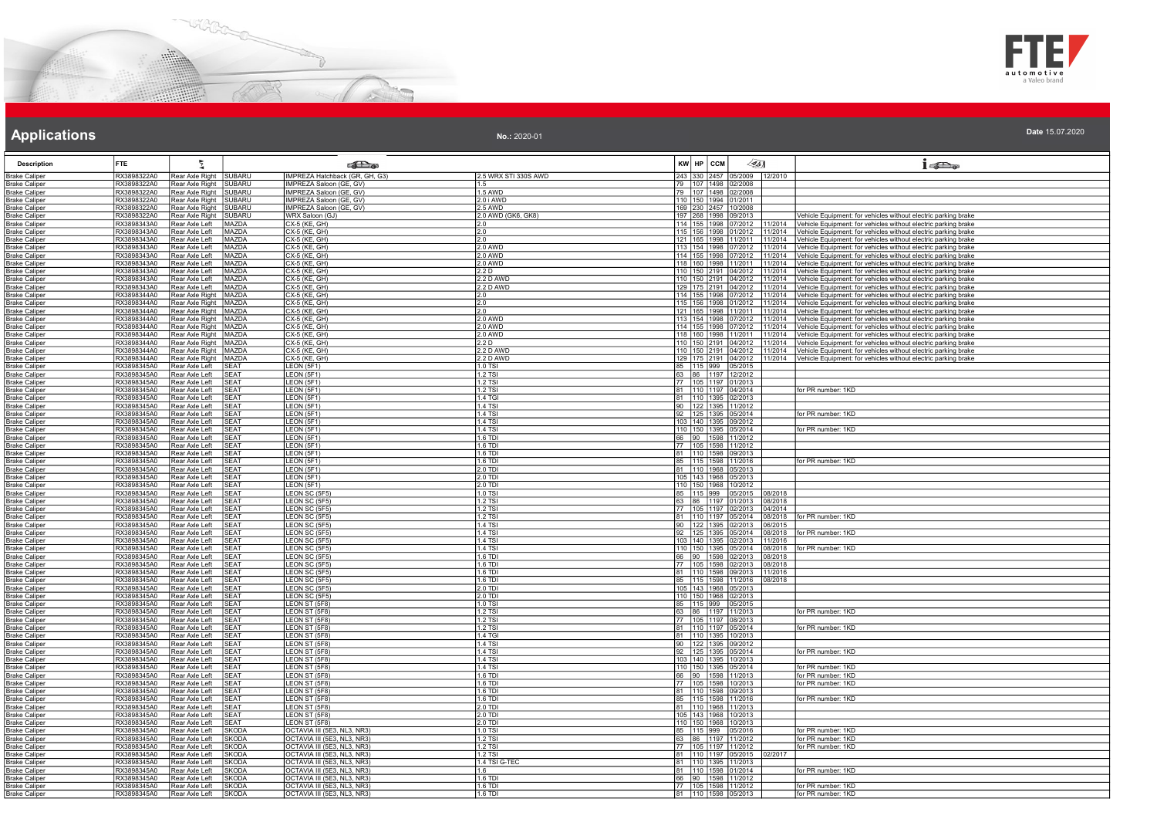



| No.: 2020-01 | Date 15.07.2020 |
|--------------|-----------------|
|--------------|-----------------|

| <b>Description</b>                           | FTE                        |                                                    |                              | <b>College</b>                                             |                             | $KW$ $HP$ $CCM$ |                                                            | $\mathscr{G}$ 51   | 15D <sub>o</sub>                                                                                                                 |
|----------------------------------------------|----------------------------|----------------------------------------------------|------------------------------|------------------------------------------------------------|-----------------------------|-----------------|------------------------------------------------------------|--------------------|----------------------------------------------------------------------------------------------------------------------------------|
| <b>Brake Caliper</b>                         | RX3898322A0                | Rear Axle Right SUBARU                             |                              | IMPREZA Hatchback (GR, GH, G3                              | 2.5 WRX STI 330S AWD        |                 | 243 330 2457 05/2009 12/2010                               |                    |                                                                                                                                  |
| <b>Brake Caliper</b>                         | RX3898322A0                | Rear Axle Right SUBARU                             |                              | IMPREZA Saloon (GE, GV)                                    | 1.5                         |                 | 79 107 1498 02/2008                                        |                    |                                                                                                                                  |
| <b>Brake Caliper</b>                         | RX3898322A0                | Rear Axle Right SUBARU                             |                              | IMPREZA Saloon (GE, GV)                                    | 1.5 AWD                     |                 | 79 107 1498 02/2008                                        |                    |                                                                                                                                  |
| <b>Brake Caliper</b>                         | RX3898322A0<br>RX3898322A0 | Rear Axle Right SUBARU<br>Rear Axle Right SUBARU   |                              | IMPREZA Saloon (GE, GV)                                    | 2.0 i AWD<br>2.5 AWD        |                 | 110 150 1994 01/2011                                       |                    |                                                                                                                                  |
| <b>Brake Caliper</b><br><b>Brake Caliper</b> | RX3898322A0                | Rear Axle Right SUBARU                             |                              | IMPREZA Saloon (GE, GV)<br>WRX Saloon (GJ)                 | 2.0 AWD (GK6, GK8)          |                 | 169 230 2457 10/2008<br>197 268 1998 09/2013               |                    | Vehicle Equipment: for vehicles without electric parking brake                                                                   |
| <b>Brake Caliper</b>                         | RX3898343A0                | Rear Axle Left                                     | MAZDA                        | CX-5 (KE, GH)                                              | 2.0                         |                 | 114 155 1998 07/2012                                       | 1/2014             | Vehicle Equipment: for vehicles without electric parking brake                                                                   |
| <b>Brake Caliper</b>                         | RX3898343A0                | Rear Axle Left                                     | MAZDA                        | CX-5 (KE, GH)                                              | 12.0                        |                 | 115 156 1998 01/2012 11/2014                               |                    | Vehicle Equipment: for vehicles without electric parking brake                                                                   |
| <b>Brake Caliper</b>                         | RX3898343A0                | Rear Axle Left                                     | MAZDA                        | CX-5 (KE, GH)                                              | 2.0                         |                 | 121 165 1998 11/2011                                       | 11/2014            | Vehicle Equipment: for vehicles without electric parking brake                                                                   |
| <b>Brake Caliper</b>                         | RX3898343A0                | Rear Axle Left                                     | MAZDA                        | CX-5 (KE, GH)                                              | 2.0 AWD                     |                 | 113 154 1998 07/2012                                       | 11/2014            | /ehicle Equipment: for vehicles without electric parking brake                                                                   |
| <b>Brake Caliper</b>                         | RX3898343A0<br>RX3898343A0 | Rear Axle Left                                     | <b>MAZDA</b><br>MAZDA        | CX-5 (KE, GH)<br>CX-5 (KE, GH)                             | 2.0 AWD                     |                 | 114 155 1998 07/2012<br>118 160 1998 11/2011               | 11/2014            | /ehicle Equipment: for vehicles without electric parking brake                                                                   |
| <b>Brake Caliper</b><br><b>Brake Caliper</b> | RX3898343A0                | Rear Axle Left<br>Rear Axle Left                   | MAZDA                        | CX-5 (KE, GH)                                              | 2.0 AWD<br>2.2 <sub>D</sub> |                 | 110 150 2191 04/2012                                       | 11/2014<br>11/2014 | Vehicle Equipment: for vehicles without electric parking brake<br>Vehicle Equipment: for vehicles without electric parking brake |
| <b>Brake Caliper</b>                         | RX3898343A0                | Rear Axle Left                                     | MAZDA                        | CX-5 (KE, GH)                                              | 2.2 D AWD                   |                 | 110  150  2191  04/2012                                    | 11/2014            | Vehicle Equipment: for vehicles without electric parking brake                                                                   |
| <b>Brake Caliper</b>                         | RX3898343A0                | Rear Axle Left                                     | MAZDA                        | CX-5 (KE, GH)                                              | 2.2 D AWD                   |                 | 129 175 2191 04/2012                                       | 11/2014            | Vehicle Equipment: for vehicles without electric parking brake                                                                   |
| <b>Brake Caliper</b>                         | RX3898344A0                | Rear Axle Right   MAZDA                            |                              | CX-5 (KE, GH)                                              | $\frac{2.0}{2.0}$           |                 | 114 155 1998 07/2012                                       | 11/2014            | ehicle Equipment: for vehicles without electric parking brake                                                                    |
| <b>Brake Caliper</b>                         | RX3898344A0                | Rear Axle Right   MAZDA                            |                              | CX-5 (KE, GH)                                              | 20                          |                 | 115 156 1998 01/2012 11/2014                               |                    | Vehicle Equipment: for vehicles without electric parking brake                                                                   |
| <b>Brake Caliper</b><br><b>Brake Caliper</b> | RX3898344A0<br>RX3898344A0 | Rear Axle Right   MAZDA<br>Rear Axle Right   MAZDA |                              | CX-5 (KE, GH)<br>CX-5 (KE, GH)                             | <b>2.0 AWD</b>              |                 | 121 165 1998 11/2011<br>113 154 1998 07/2012               | 11/2014<br>11/2014 | Vehicle Equipment: for vehicles without electric parking brake<br>Vehicle Equipment: for vehicles without electric parking brake |
| <b>Brake Caliper</b>                         | RX3898344A0                | Rear Axle Right   MAZDA                            |                              | CX-5 (KE, GH)                                              | 2.0 AWD                     |                 | 114 155 1998 07/2012                                       | 11/2014            | Vehicle Equipment: for vehicles without electric parking brake                                                                   |
| <b>Brake Caliper</b>                         | RX3898344A0                | Rear Axle Right MAZDA                              |                              | CX-5 (KE, GH)                                              | 2.0 AWD                     |                 | 118 160 1998 11/2011                                       | 11/2014            | /ehicle Equipment: for vehicles without electric parking brake                                                                   |
| <b>Brake Caliper</b>                         | RX3898344A0                | Rear Axle Right   MAZDA                            |                              | CX-5 (KE, GH)                                              | ח ? י                       |                 | 110 150 2191 04/2012                                       | 11/2014            | Vehicle Equipment: for vehicles without electric parking brake                                                                   |
| <b>Brake Caliper</b>                         | RX3898344A0                | Rear Axle Right   MAZDA                            |                              | CX-5 (KE, GH)                                              | 2.2 D AWD                   |                 | 110 150 2191 04/2012                                       | 11/2014            | Vehicle Equipment: for vehicles without electric parking brake                                                                   |
| <b>Brake Caliper</b>                         | RX3898344A0                | Rear Axle Right   MAZDA                            |                              | CX-5 (KE, GH)                                              | <b>2.2 D AWD</b>            |                 | 129 175 2191 04/2012                                       | 11/2014            | Vehicle Equipment: for vehicles without electric parking brake                                                                   |
| <b>Brake Caliper</b><br><b>Brake Caliper</b> | RX3898345A0<br>RX3898345A0 | Rear Axle Left<br>Rear Axle Left                   | <b>SEAT</b><br><b>SEAT</b>   | LEON (5F1)<br>LEON (5F1)                                   | 1.0 TSI<br>1.2 TSI          |                 | 85 115 999 05/2015<br>63 86 1197 12/2012                   |                    |                                                                                                                                  |
| <b>Brake Caliper</b>                         | RX3898345A0                | Rear Axle Left                                     | <b>SFAT</b>                  | LEON (5F1)                                                 | 1.2 TSI                     |                 | 77 105 1197 01/2013                                        |                    |                                                                                                                                  |
| <b>Brake Caliper</b>                         | RX3898345A0                | Rear Axle Left                                     | <b>SEAT</b>                  | LEON (5F1)                                                 | 1.2 TSI                     |                 | 81 110 1197 04/2014                                        |                    | or PR number: 1KD                                                                                                                |
| <b>Brake Caliper</b>                         | RX3898345A0                | Rear Axle Left                                     | <b>SEAT</b>                  | LEON (5F1)                                                 | 1.4 TGI                     |                 | 81 110 1395 02/2013                                        |                    |                                                                                                                                  |
| <b>Brake Caliper</b>                         | RX3898345A0                | Rear Axle Left                                     | <b>SEAT</b>                  | LEON (5F1)                                                 | 1.4 TSI                     |                 | 90 122 1395 11/2012                                        |                    |                                                                                                                                  |
| <b>Brake Caliper</b>                         | RX3898345A0                | Rear Axle Left                                     | <b>SEAT</b>                  | LEON (5F1)                                                 | 1.4 TSI                     |                 | 92 125 1395 05/2014                                        |                    | for PR number: 1KD                                                                                                               |
| <b>Brake Caliper</b><br><b>Brake Caliper</b> | RX3898345A0<br>RX3898345A0 | Rear Axle Left<br>Rear Axle Left                   | SEAT<br><b>SEAT</b>          | LEON (5F1)<br><b>EON (5F1)</b>                             | <b>1.4 TSI</b><br>1.4 TSI   |                 | 103 140 1395 09/2012<br>110 150 1395 05/2014               |                    | or PR number: 1KD                                                                                                                |
| <b>Brake Caliper</b>                         | RX3898345A0                | Rear Axle Left                                     | <b>SEAT</b>                  | LEON (5F1)                                                 | 1.6 TDI                     |                 | 66 90 1598 11/2012                                         |                    |                                                                                                                                  |
| <b>Brake Caliper</b>                         | RX3898345A0                | Rear Axle Left                                     | SEAT                         | LEON(5F1)                                                  | 1.6 TDI                     |                 | 77 105 1598 11/2012                                        |                    |                                                                                                                                  |
| <b>Brake Caliper</b>                         | RX3898345A0                | Rear Axle Left                                     | <b>SEAT</b>                  | LEON (5F1)                                                 | 1.6 TDI                     |                 | 81 110 1598 09/2013                                        |                    |                                                                                                                                  |
| <b>Brake Caliper</b>                         | RX3898345A0                | Rear Axle Left                                     | <b>SEAT</b>                  | LEON (5F1)                                                 | 1.6 TDI                     |                 | 85   115   1598   11/2016                                  |                    | for PR number: 1KD                                                                                                               |
| <b>Brake Caliper</b>                         | RX3898345A0                | Rear Axle Left                                     | <b>SEAT</b>                  | LEON (5F1)                                                 | $2.0$ TDI                   |                 | 81 110 1968 05/2013                                        |                    |                                                                                                                                  |
| <b>Brake Caliper</b><br><b>Brake Caliper</b> | RX3898345A0<br>RX3898345A0 | Rear Axle Left<br>Rear Axle Left                   | <b>SEAT</b><br><b>SEAT</b>   | LEON (5F1)<br>LEON (5F1)                                   | 2.0 TDI<br>2.0 TDI          |                 | 105 143 1968 05/2013<br>110 150 1968 10/2012               |                    |                                                                                                                                  |
| <b>Brake Caliper</b>                         | RX3898345A0                | Rear Axle Left                                     | <b>SEAT</b>                  | LEON SC (5F5)                                              | 1.0 TSI                     |                 | 85 115 999 05/2015                                         | 08/2018            |                                                                                                                                  |
| <b>Brake Caliper</b>                         | RX3898345A0                | Rear Axle Left                                     | <b>SEAT</b>                  | LEON SC (5F5)                                              | 1.2 TSI                     |                 | 63 86 1197 01/2013                                         | 08/2018            |                                                                                                                                  |
| <b>Brake Caliper</b>                         | RX3898345A0                | Rear Axle Left                                     | <b>SEAT</b>                  | LEON SC (5F5)                                              | 1.2 TSI                     |                 | 77   105   1197   02/2013                                  | 04/2014            |                                                                                                                                  |
| <b>Brake Caliper</b>                         | RX3898345A0                | Rear Axle Left                                     | <b>SEAT</b>                  | <b>EON SC (5F5)</b>                                        | $1.2$ TSI<br><b>1.4 TSI</b> |                 | 81 110 1197 05/2014                                        | 08/2018            | or PR number: 1KD                                                                                                                |
| <b>Brake Caliper</b><br><b>Brake Caliper</b> | RX3898345A0<br>RX3898345A0 | Rear Axle Left<br>Rear Axle Left                   | <b>SEAT</b><br><b>SEAT</b>   | LEON SC (5F5)<br>LEON SC (5F5)                             | 1 4 TSI                     |                 | 90 122 1395 02/2013<br>92 125 1395 05/2014 08/2018         | 06/2015            | for PR number: 1KD                                                                                                               |
| <b>Brake Caliper</b>                         | RX3898345A0                | Rear Axle Left                                     | <b>SEAT</b>                  | LEON SC (5F5)                                              | <b>14 TSI</b>               |                 | 103 140 1395 02/2013                                       | 11/2016            |                                                                                                                                  |
| <b>Brake Caliper</b>                         | RX3898345A0                | Rear Axle Left                                     | <b>SEAT</b>                  | LEON SC (5F5)                                              | 1.4 TSI                     |                 | 110 150 1395 05/2014 08/2018                               |                    | for PR number: 1KD                                                                                                               |
| <b>Brake Caliper</b>                         | RX3898345A0                | Rear Axle Left                                     | <b>SFAT</b>                  | LEON SC (5F5)                                              | 1 A TDI                     |                 | 66 90 1598 02/2013 08/2018                                 |                    |                                                                                                                                  |
| <b>Brake Caliper</b>                         | RX3898345A0                | Rear Axle Left                                     | <b>SEAT</b>                  | EON SC (5F5)                                               | 1.6 TDI                     |                 | 77 105 1598 02/2013 08/2018<br>81 110 1598 09/2013 11/2016 |                    |                                                                                                                                  |
| <b>Brake Caliper</b><br><b>Brake Caliper</b> | RX3898345A0<br>RX3898345A0 | Rear Axle Left<br>Rear Axle Left                   | <b>SEAT</b><br><b>SEAT</b>   | LEON SC (5F5)<br>LEON SC (5F5)                             | 1.6 TDI<br>1.6 TDI          |                 | 85 115 1598 11/2016                                        | 08/2018            |                                                                                                                                  |
| <b>Brake Caliper</b>                         | RX3898345A0                | Rear Axle Left                                     | <b>SEAT</b>                  | LEON SC (5F5)                                              | 2.0 TDI                     |                 | 105 143 1968 05/2013                                       |                    |                                                                                                                                  |
| <b>Brake Caliper</b>                         | RX3898345A0                | Rear Axle Left                                     | <b>SEAT</b>                  | LEON SC (5F5)                                              | 2.0 TDI                     |                 | 110 150 1968 02/2013                                       |                    |                                                                                                                                  |
| <b>Brake Caliper</b>                         | RX3898345A0                | Rear Axle Left                                     | <b>SFAT</b>                  | <b>EON ST (5F8)</b>                                        | 1.0 TSI                     |                 | 85 115 999 05/2015                                         |                    |                                                                                                                                  |
| <b>Brake Caliper</b>                         | RX3898345A0                | Rear Axle Left                                     | <b>SEAT</b>                  | LEON ST (5F8)                                              | 1.2 TSI                     |                 | 63 86 1197 11/2013                                         |                    | or PR number: 1KD                                                                                                                |
| <b>Brake Caliper</b><br><b>Brake Caliper</b> | RX3898345A0<br>RX3898345A0 | Rear Axle Left<br>Rear Axle Left                   | <b>SEAT</b><br><b>SEAT</b>   | LEON ST (5F8)<br>LEON ST (5F8)                             | 1.2 TSI<br>1.2 TSI          |                 | 77 105 1197 08/2013<br>81 110 1197 05/2014                 |                    | for PR number: 1KD                                                                                                               |
| <b>Brake Caliper</b>                         | RX3898345A0                | Rear Axle Left                                     | <b>SEAT</b>                  | LEON ST (5F8)                                              | 1.4 TGI                     |                 | 81 110 1395 10/2013                                        |                    |                                                                                                                                  |
| <b>Brake Caliper</b>                         | RX3898345A0                | Rear Axle Left                                     | <b>ISEAT</b>                 | LEON ST (5F8)                                              | 14 TSI                      |                 | 90 122 1395 09/2012                                        |                    |                                                                                                                                  |
| <b>Brake Caliper</b>                         | RX3898345A0                | Rear Axle Left                                     | <b>SEAT</b>                  | LEON ST (5F8)                                              | $1.4$ TSI                   |                 | 92 125 1395 05/2014                                        |                    | or PR number: 1KD                                                                                                                |
| <b>Brake Caliper</b>                         | RX3898345A0                | Rear Axle Left                                     | <b>SEAT</b>                  | LEON ST (5F8)                                              | 1.4 TSI                     |                 | 103 140 1395 10/2013                                       |                    |                                                                                                                                  |
| <b>Brake Caliper</b><br><b>Brake Caliper</b> | RX3898345A0<br>RX3898345A0 | Rear Axle Left<br>Rear Axle Left                   | <b>SEAT</b><br><b>SEAT</b>   | LEON ST (5F8)<br>LEON ST (5F8)                             | <b>1.4 TSI</b><br>1.6 TDI   |                 | 110 150 1395 05/2014<br>66 90 1598 11/2013                 |                    | for PR number: 1KD<br>for PR number: 1KD                                                                                         |
| <b>Brake Caliper</b>                         | RX3898345A0                | Rear Axle Left                                     | <b>SEAT</b>                  | LEON ST (5F8)                                              | 1.6 TDI                     |                 | 77 105 1598 10/2013                                        |                    | for PR number: 1KD                                                                                                               |
| <b>Brake Caliper</b>                         | RX3898345A0                | Rear Axle Left                                     | <b>SEAT</b>                  | <b>EON ST (5F8</b>                                         | 1.6 TDI                     |                 | 81 110 1598 09/2013                                        |                    |                                                                                                                                  |
| <b>Brake Caliper</b>                         | RX3898345A0                | Rear Axle Left                                     | <b>SEAT</b>                  | LEON ST (5F8)                                              | 1.6 TDI                     |                 | 85 115 1598 11/2016                                        |                    | for PR number: 1KD                                                                                                               |
| <b>Brake Caliper</b>                         | RX3898345A0                | Rear Axle Left                                     | <b>SEAT</b>                  | LEON ST (5F8)                                              | 2.0 TDI                     |                 | 81 110 1968 11/2013                                        |                    |                                                                                                                                  |
| <b>Brake Caliper</b>                         | RX3898345A0                | Rear Axle Left                                     | <b>SEAT</b>                  | LEON ST (5F8)                                              | 2.0 TDI                     |                 | 105 143 1968 10/2013                                       |                    |                                                                                                                                  |
| <b>Brake Caliper</b><br><b>Brake Caliper</b> | RX3898345A0<br>RX3898345A0 | Rear Axle Left<br>Rear Axle Left                   | <b>SEAT</b><br><b>SKODA</b>  | LEON ST (5F8)<br>OCTAVIA III (5E3, NL3, NR3)               | 2.0 TDI<br>1.0 TSI          |                 | 110 150 1968 10/2013<br>85   115   999   05/2016           |                    | for PR number: 1KD                                                                                                               |
| <b>Brake Caliper</b>                         | RX3898345A0                | Rear Axle Left                                     | <b>SKODA</b>                 | OCTAVIA III (5E3, NL3, NR3)                                | 1.2 TSI                     |                 | 63 86 1197 11/2012                                         |                    | for PR number: 1KD                                                                                                               |
|                                              | RX3898345A0                | Rear Axle Left                                     | <b>SKODA</b>                 | OCTAVIA III (5E3, NL3, NR3)                                | 1.2 TSI                     |                 |                                                            |                    | or PR number: 1KD                                                                                                                |
| Brake Caliper<br>Brake Caliper               | RX3898345A0                | Rear Axle Left                                     | <b>SKODA</b>                 | OCTAVIA III (5E3, NL3, NR3)                                | 1.2 TSI                     |                 | 77 105 1197 11/2012<br>81 110 1197 05/2015                 | 02/2017            |                                                                                                                                  |
| <b>Brake Caliper</b>                         | RX3898345A0                | Rear Axle Left                                     | <b>SKODA</b>                 | OCTAVIA III (5E3, NL3, NR3)                                | 1.4 TSI G-TEC               |                 | 81 110 1395 11/2013                                        |                    |                                                                                                                                  |
| <b>Brake Caliper</b>                         | RX3898345A0<br>RX3898345A0 | Rear Axle Left<br>Rear Axle Left                   | <b>SKODA</b><br><b>SKODA</b> | OCTAVIA III (5E3, NL3, NR3)<br>OCTAVIA III (5E3, NL3, NR3) | 1.6<br>1.6 TD               |                 | 81 110 1598 01/2014<br>66 90 1598 11/2012                  |                    | for PR number: 1KD                                                                                                               |
| <b>Brake Caliper</b><br><b>Brake Caliper</b> | RX3898345A0                | Rear Axle Left                                     | <b>SKODA</b>                 | OCTAVIA III (5E3, NL3, NR3)                                | 1.6 TDI                     |                 | 77 105 1598 11/2012                                        |                    | for PR number: 1KD                                                                                                               |
| <b>Brake Caliper</b>                         | RX3898345A0                | Rear Axle Left                                     | <b>SKODA</b>                 | OCTAVIA III (5E3, NL3, NR3)                                | 1.6 TD                      |                 | 81 110 1598 05/2013                                        |                    | for PR number: 1KD                                                                                                               |
|                                              |                            |                                                    |                              |                                                            |                             |                 |                                                            |                    |                                                                                                                                  |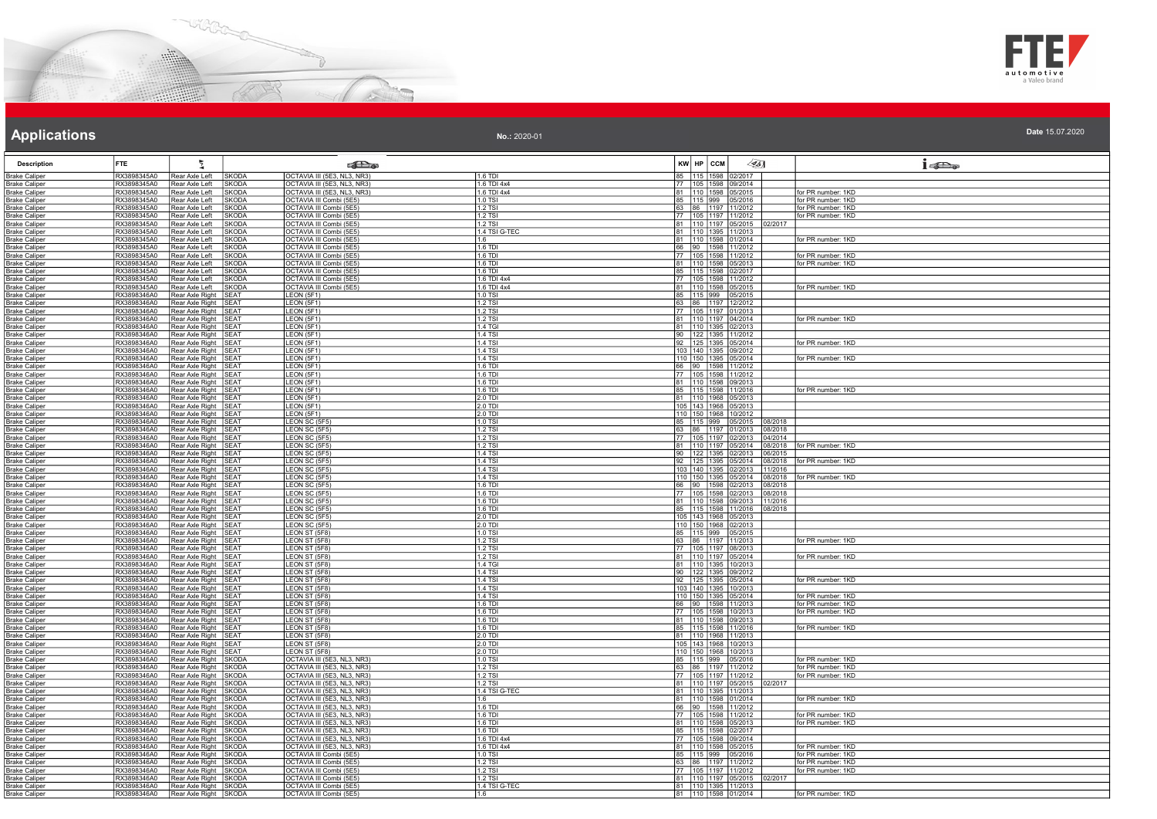



| <b>Description</b>                           | <b>FTE</b>                 | 2                                            |                             | <b>SEL</b> @                                           |                           | KW HP CCM<br>$\llap{25}$                                         | $1 - 20$                                 |
|----------------------------------------------|----------------------------|----------------------------------------------|-----------------------------|--------------------------------------------------------|---------------------------|------------------------------------------------------------------|------------------------------------------|
| <b>Brake Caliper</b>                         | RX3898345A0                | Rear Axle Left                               | <b>SKODA</b>                | OCTAVIA III (5E3, NL3, NR3)                            | 1.6 TDI                   | 85 115 1598 02/2017                                              |                                          |
| <b>Brake Caliper</b>                         | RX3898345A0                | Rear Axle Left                               | <b>SKODA</b>                | OCTAVIA III (5E3, NL3, NR3)                            | 1.6 TDI 4x4               | 77 105 1598 09/2014                                              |                                          |
| <b>Brake Caliper</b>                         | RX3898345A0                | Rear Axle Left                               | <b>SKODA</b>                | OCTAVIA III (5E3, NL3, NR3)                            | 1.6 TDI 4x4               | 81 110 1598 05/2015                                              | for PR number: 1KD                       |
| <b>Brake Caliper</b>                         | RX3898345A0                | Rear Axle Left                               | <b>SKODA</b>                | OCTAVIA III Combi (5E5)                                | 1.0 TSI                   | 85 115 999 05/2016                                               | for PR number: 1KD                       |
| <b>Brake Caliper</b>                         | RX3898345A0                | Rear Axle Left                               | <b>SKODA</b>                | OCTAVIA III Combi (5E5)                                | $1.2$ TSI                 | 63 86 1197 11/2012                                               | for PR number: 1KD                       |
| <b>Brake Caliper</b>                         | RX3898345A0                | Rear Axle Left                               | <b>SKODA</b>                | OCTAVIA III Combi (5E5)                                | 1.2 TSI                   | 77 105 1197 11/2012                                              | for PR number: 1KD                       |
| <b>Brake Caliper</b>                         | RX3898345A0                | Rear Axle Left                               | <b>SKODA</b>                | OCTAVIA III Combi (5E5)                                | 1.2 TSI                   | 81 110 1197 05/2015 02/2017                                      |                                          |
| <b>Brake Caliper</b>                         | RX3898345A0                | Rear Axle Left                               | <b>SKODA</b>                | OCTAVIA III Combi (5E5)                                | 1.4 TSI G-TEC             | 81 110 1395 11/2013                                              |                                          |
| <b>Brake Caliper</b>                         | RX3898345A0                | Rear Axle Left                               | <b>SKODA</b>                | OCTAVIA III Combi (5E5)                                | 1.6                       | 81 110 1598 01/2014                                              | for PR number: 1KD                       |
| Brake Caliper                                | RX3898345A0                | Rear Axle Left                               | <b>SKODA</b>                | OCTAVIA III Combi (5E5)                                | 1.6 TDI                   | 66 90 1598 11/2012                                               |                                          |
| <b>Brake Caliper</b>                         | RX3898345A0                | Rear Axle Left                               | <b>SKODA</b>                | OCTAVIA III Combi (5E5)                                | $1.6$ TDI                 | 77 105 1598 11/2012                                              | for PR number: 1KD                       |
| <b>Brake Caliper</b>                         | RX3898345A0                | Rear Axle Left                               | <b>SKODA</b>                | OCTAVIA III Combi (5E5)                                | 1.6 TDI                   | 81 110 1598 05/2013                                              | for PR number: 1KD                       |
| <b>Brake Caliper</b>                         | RX3898345A0                | Rear Axle Left                               | <b>SKODA</b>                | OCTAVIA III Combi (5E5)                                | 1.6 TDI                   | 85 115 1598 02/2017                                              |                                          |
| <b>Brake Caliper</b>                         | RX3898345A0                | Rear Axle Left                               | <b>SKODA</b>                | OCTAVIA III Combi (5E5)                                | 1.6 TDI 4x4               | 77 105 1598 11/2012                                              |                                          |
| <b>Brake Caliper</b>                         | RX3898345A0<br>RX3898346A0 | Rear Axle Left<br>Rear Axle Right            | <b>SKODA</b><br><b>SEAT</b> | OCTAVIA III Combi (5E5)                                | 1.6 TDI 4x4<br>$1.0$ TSI  | 81  110  1598  05/2015                                           | for PR number: 1KD                       |
| <b>Brake Caliper</b><br><b>Brake Caliper</b> | RX3898346A0                | Rear Axle Right SEAT                         |                             | LEON (5F1)<br>LEON (5F1)                               | $1.2$ TSI                 | 85 115 999 05/2015<br>63 86 1197 12/2012                         |                                          |
| <b>Brake Caliper</b>                         | RX3898346A0                | Rear Axle Right SEAT                         |                             | LEON (5F1)                                             | 1.2 TSI                   | 77 105 1197 01/2013                                              |                                          |
| <b>Brake Caliper</b>                         | RX3898346A0                | Rear Axle Right SEAT                         |                             | LEON (5F1)                                             | $1.2$ TSI                 | 81 110 1197 04/2014                                              | for PR number: 1KD                       |
| <b>Brake Caliper</b>                         | RX3898346A0                | Rear Axle Right SEAT                         |                             | LEON (5F1)                                             | 1.4 TGI                   | 81 110 1395 02/2013                                              |                                          |
| <b>Brake Caliper</b>                         | RX3898346A0                | Rear Axle Right SEAT                         |                             | LEON (5F1)                                             | 1.4 TSI                   | 90 122 1395 11/2012                                              |                                          |
| <b>Brake Caliper</b>                         | RX3898346A0                | Rear Axle Right SEAT                         |                             | LEON (5F1)                                             | $1.4$ TSI                 | 92 125 1395 05/2014                                              | for PR number: 1KD                       |
| <b>Brake Caliper</b>                         | RX3898346A0                | Rear Axle Right SEAT                         |                             | LEON (5F1)                                             | <b>1.4 TSI</b>            | 103 140 1395 09/2012                                             |                                          |
| Brake Caliper                                | RX3898346A0                | Rear Axle Right SEAT                         |                             | LEON (5F1)                                             | 1 4 T.S.                  | 110 150 1395 05/2014                                             | for PR number: 1KD                       |
| <b>Brake Caliper</b>                         | RX3898346A0                | Rear Axle Right SEAT                         |                             | LEON (5F1)                                             | 1.6 TDI                   | 66 90 1598 11/2012                                               |                                          |
| <b>Brake Caliper</b>                         | RX3898346A0                | Rear Axle Right SEAT                         |                             | LEON (5F1)                                             | 1.6 TDI                   | 77   105   1598   11/2012                                        |                                          |
| <b>Brake Caliper</b>                         | RX3898346A0                | Rear Axle Right SEAT                         |                             | LEON (5F1)                                             | $1.6$ TDI                 | 81 110 1598 09/2013                                              |                                          |
| <b>Brake Caliper</b>                         | RX3898346A0                | Rear Axle Right SEAT                         |                             | LEON (5F1)                                             | 1.6 TDI                   | 85 115 1598 11/2016                                              | for PR number: 1KD                       |
| Brake Caliper                                | RX3898346A0                | Rear Axle Right SEAT                         |                             | LEON (5F1)                                             | 2.0 TDI                   | 81 110 1968 05/2013                                              |                                          |
| <b>Brake Caliper</b>                         | RX3898346A0                | Rear Axle Right SEAT                         |                             | LEON (5F1)                                             | $2.0$ TDI                 | 105 143 1968 05/2013                                             |                                          |
| <b>Brake Caliper</b>                         | RX3898346A0                | Rear Axle Right SEAT                         |                             | LEON (5F1)                                             | 2.0 TDI                   | 110 150 1968 10/2012                                             |                                          |
| <b>Brake Caliper</b>                         | RX3898346A0                | Rear Axle Right SEAT                         |                             | LEON SC (5F5)                                          | 1.0 TSI                   | 85   115   999   05/2015<br>08/2018                              |                                          |
| Brake Caliper                                | RX3898346A0                | Rear Axle Right SEAT                         |                             | LEON SC (5F5)                                          | $1.2$ TSI                 | 63 86 1197 01/2013<br>08/2018                                    |                                          |
| <b>Brake Caliper</b>                         | RX3898346A0                | Rear Axle Right SEAT                         |                             | LEON SC (5F5)                                          | 1.2 TSI                   | 77 105 1197 02/2013<br>04/2014                                   |                                          |
| <b>Brake Caliper</b>                         | RX3898346A0                | Rear Axle Right SEAT                         |                             | LEON SC (5F5)                                          | $1.2$ TSI                 | 81 110 1197 05/2014<br>08/2018                                   | for PR number: 1KD                       |
| <b>Brake Caliper</b>                         | RX3898346A0                | Rear Axle Right SEAT                         |                             | LEON SC (5F5)                                          | <b>1.4 TSI</b>            | 90 122 1395 02/2013<br>06/2015                                   |                                          |
| <b>Brake Caliper</b>                         | RX3898346A0                | Rear Axle Right SEAT                         |                             | LEON SC (5F5)                                          | 1.4 TSI                   | 92 125 1395 05/2014<br>08/2018                                   | for PR number: 1KD                       |
| Brake Caliper                                | RX3898346A0                | Rear Axle Right SEAT                         |                             | LEON SC (5F5)                                          | 1.4 TSI                   | 103  140  1395  02/2013  11/2016                                 |                                          |
| <b>Brake Caliper</b><br><b>Brake Caliper</b> | RX3898346A0<br>RX3898346A0 | Rear Axle Right SEAT<br>Rear Axle Right SEAT |                             | LEON SC (5F5)<br>LEON SC (5F5)                         | 1.4 TSI<br>1.6 TDI        | 110 150 1395 05/2014<br>08/2018<br>66 90 1598 02/2013<br>08/2018 | for PR number: 1KD                       |
| <b>Brake Caliper</b>                         | RX3898346A0                | Rear Axle Right SEAT                         |                             | LEON SC (5F5)                                          | 1.6 TDI                   | 77 105 1598 02/2013<br>08/2018                                   |                                          |
| Brake Caliper                                | RX3898346A0                | Rear Axle Right SEAT                         |                             | LEON SC (5F5)                                          | 1.6 TDI                   | 81 110 1598 09/2013 11/2016                                      |                                          |
| <b>Brake Caliper</b>                         | RX3898346A0                | Rear Axle Right SEAT                         |                             | LEON SC (5F5)                                          | 1.6 TDI                   | 85 115 1598 11/2016 08/2018                                      |                                          |
| <b>Brake Caliper</b>                         | RX3898346A0                | Rear Axle Right SEAT                         |                             | LEON SC (5F5)                                          | 2.0 TDI                   | 105 143 1968 05/2013                                             |                                          |
| <b>Brake Caliper</b>                         | RX3898346A0                | Rear Axle Right SEAT                         |                             | LEON SC (5F5)                                          | $2.0$ TDI                 | 110 150 1968 02/2013<br>85 115 999 05/2015<br>63 86 1197 11/2013 |                                          |
| <b>Brake Caliper</b>                         | RX3898346A0                | Rear Axle Right SEAT                         |                             | LEON ST (5F8)                                          | 1.0 TSI                   |                                                                  |                                          |
| <b>Brake Caliper</b>                         | RX3898346A0                | Rear Axle Right SEAT                         |                             | LEON ST (5F8)                                          | $1.2$ TSI                 |                                                                  | for PR number: 1KD                       |
| <b>Brake Caliper</b>                         | RX3898346A0                | Rear Axle Right SEAT                         |                             | LEON ST (5F8)                                          | 1.2 TSI                   | 77 105 1197 08/2013                                              |                                          |
| <b>Brake Caliper</b>                         | RX3898346A0                | Rear Axle Right SEAT                         |                             | LEON ST (5F8)                                          | 1.2 TSI                   | 81 110 1197 05/2014                                              | for PR number: 1KD                       |
| <b>Brake Caliper</b>                         | RX3898346A0                | Rear Axle Right SEAT                         |                             | LEON ST (5F8)                                          | 1.4 TGI                   | 81 110 1395 10/2013                                              |                                          |
| <b>Brake Caliper</b>                         | RX3898346A0                | Rear Axle Right SEAT                         |                             | LEON ST (5F8)                                          | 1.4 TSI                   | 90 122 1395 09/2012<br>92 125 1395 05/2014                       |                                          |
| <b>Brake Caliper</b>                         | RX3898346A0                | Rear Axle Right SEAT                         |                             | LEON ST (5F8)                                          | 1.4 TSI                   |                                                                  | for PR number: 1KD                       |
| <b>Brake Caliper</b>                         | RX3898346A0                | Rear Axle Right SEAT                         |                             | LEON ST (5F8)                                          | <b>1.4 TSI</b>            | 103 140 1395 10/2013                                             |                                          |
| <b>Brake Caliper</b>                         | RX3898346A0                | Rear Axle Right SEAT<br>Rear Axle Right SEAT |                             | LEON ST (5F8)                                          | <b>1.4 TSI</b><br>1.6 TDI | 110 150 1395 05/2014<br>66 90 1598 11/2013                       | for PR number: 1KD<br>for PR number: 1KD |
| Brake Caliper<br><b>Brake Caliper</b>        | RX3898346A0<br>RX3898346A0 | Rear Axle Right SEAT                         |                             | LEON ST (5F8)<br>LEONST(5F8)                           | 1.6 TD                    | 77 105 1598 10/2013                                              | for PR number: 1KD                       |
| <b>Brake Caliper</b>                         | RX3898346A0                | Rear Axle Right SEAT                         |                             | LEON ST (5F8)                                          | 1.6 TDI                   | 81 110 1598 09/2013                                              |                                          |
| <b>Brake Caliper</b>                         | RX3898346A0                | Rear Axle Right SEAT                         |                             | LEON ST (5F8)                                          | $1.6$ TDI                 | 85 115 1598 11/2016                                              | for PR number: 1KD                       |
| <b>Brake Caliper</b>                         | RX3898346A0                | Rear Axle Right SEAT                         |                             | LEON ST (5F8)                                          | 2.0 TDI                   | 81 110 1968 11/2013                                              |                                          |
| <b>Brake Caliper</b>                         | RX3898346A0                | Rear Axle Right SEAT                         |                             | LEON ST (5F8)                                          | 2.0 TDI                   | 105 143 1968 10/2013                                             |                                          |
| <b>Brake Caliper</b>                         | RX3898346A0                | Rear Axle Right SEAT                         |                             | LEON ST (5F8)                                          | 2.0 TDI                   | 110 150 1968 10/2013                                             |                                          |
| <b>Brake Caliper</b>                         | RX3898346A0                | Rear Axle Right SKODA                        |                             | OCTAVIA III (5E3, NL3, NR3)                            | 1.0 TS                    |                                                                  | for PR number: 1KD                       |
| <b>Brake Caliper</b>                         | RX3898346A0                | Rear Axle Right SKODA                        |                             | OCTAVIA III (5E3, NL3, NR3)                            | 1.2 TSI                   | 85 115 999 05/2016<br>63 86 1197 11/2012                         | for PR number: 1KD                       |
| <b>Brake Caliper</b>                         | RX3898346A0                | Rear Axle Right SKODA                        |                             | OCTAVIA III (5E3, NL3, NR3)                            | 1.2 TSI                   | 77 105 1197 11/2012                                              | for PR number: 1KD                       |
| <b>Brake Caliper</b>                         | RX3898346A0                | Rear Axle Right SKODA                        |                             | OCTAVIA III (5E3, NL3, NR3)                            | 1.2 TS                    | 81 110 1197 05/2015<br>02/2017                                   |                                          |
| <b>Brake Caliper</b>                         | RX3898346A0                | Rear Axle Right SKODA                        |                             | OCTAVIA III (5E3, NL3, NR3)                            | 1.4 TSI G-TEC             | 81 110 1395 11/2013                                              |                                          |
| <b>Brake Caliper</b>                         | RX3898346A0                | Rear Axle Right SKODA                        |                             | OCTAVIA III (5E3, NL3, NR3)                            | 1.6                       | 81 110 1598 01/2014                                              | for PR number: 1KD                       |
| <b>Brake Caliper</b>                         | RX3898346A0                | Rear Axle Right                              | <b>SKODA</b>                | OCTAVIA III (5E3, NL3, NR3)                            | 1.6 TD                    | 66<br>90 1598 11/2012                                            |                                          |
| Brake Caliper                                | RX3898346A0                | Rear Axle Right SKODA                        |                             | OCTAVIA III (5E3, NL3, NR3)                            | $1.6$ TDI                 | 77 105 1598 11/2012                                              | for PR number: 1KD                       |
| <b>Brake Caliper</b>                         | RX3898346A0                | Rear Axle Right SKODA                        |                             | OCTAVIA III (5E3, NL3, NR3)                            | $1.6$ TDI                 | 81 110 1598 05/2013                                              | for PR number: 1KD                       |
| <b>Brake Caliper</b>                         | RX3898346A0                | Rear Axle Right SKODA                        |                             | OCTAVIA III (5E3, NL3, NR3)                            | 1.6 TDI                   | 85 115 1598 02/2017                                              |                                          |
| <b>Brake Caliper</b>                         | RX3898346A0                | Rear Axle Right SKODA                        |                             | OCTAVIA III (5E3, NL3, NR3)                            | 1.6 TDI 4x4               | 77 105 1598 09/2014                                              |                                          |
| Br <u>ake Caliper</u>                        | RX3898346A0<br>RX3898346A0 | Rear Axle Right<br>Rear Axle Right SKODA     | <b>ISKODA</b>               | OCTAVIA III (5E3, NL3, NR3)<br>OCTAVIA III Combi (5E5) | 1.6 TDI 4x4<br>1.0 TSI    | 81 110 1598 05/2015                                              | for PR number: 1KD<br>for PR number: 1KD |
| Brake Caliper<br><b>Brake Caliper</b>        | RX3898346A0                | Rear Axle Right SKODA                        |                             | OCTAVIA III Combi (5E5)                                | 1.2 TSI                   | 85 115 999 05/2016<br>63 86 1197 11/2012                         | for PR number: 1KD                       |
| <b>Brake Caliper</b>                         | RX3898346A0                | Rear Axle Right SKODA                        |                             | OCTAVIA III Combi (5E5)                                | 1.2 TSI                   | 77 105 1197 11/2012                                              | for PR number: 1KD                       |
| <b>Brake Caliper</b>                         | RX3898346A0                | Rear Axle Right SKODA                        |                             | OCTAVIA III Combi (5E5)                                | 1.2 TSI                   | 81  110  1197  05/2015  02/2017                                  |                                          |
| <b>Brake Caliper</b>                         | RX3898346A0                | Rear Axle Right SKODA                        |                             | OCTAVIA III Combi (5E5)                                | 1.4 TSI G-TEC             | 81 110 1395 11/2013                                              |                                          |
| <b>Brake Caliper</b>                         | RX3898346A0                | Rear Axle Right SKODA                        |                             | OCTAVIA III Combi (5E5)                                | 1.6                       | 81 110 1598 01/2014                                              | for PR number: 1KD                       |
|                                              |                            |                                              |                             |                                                        |                           |                                                                  |                                          |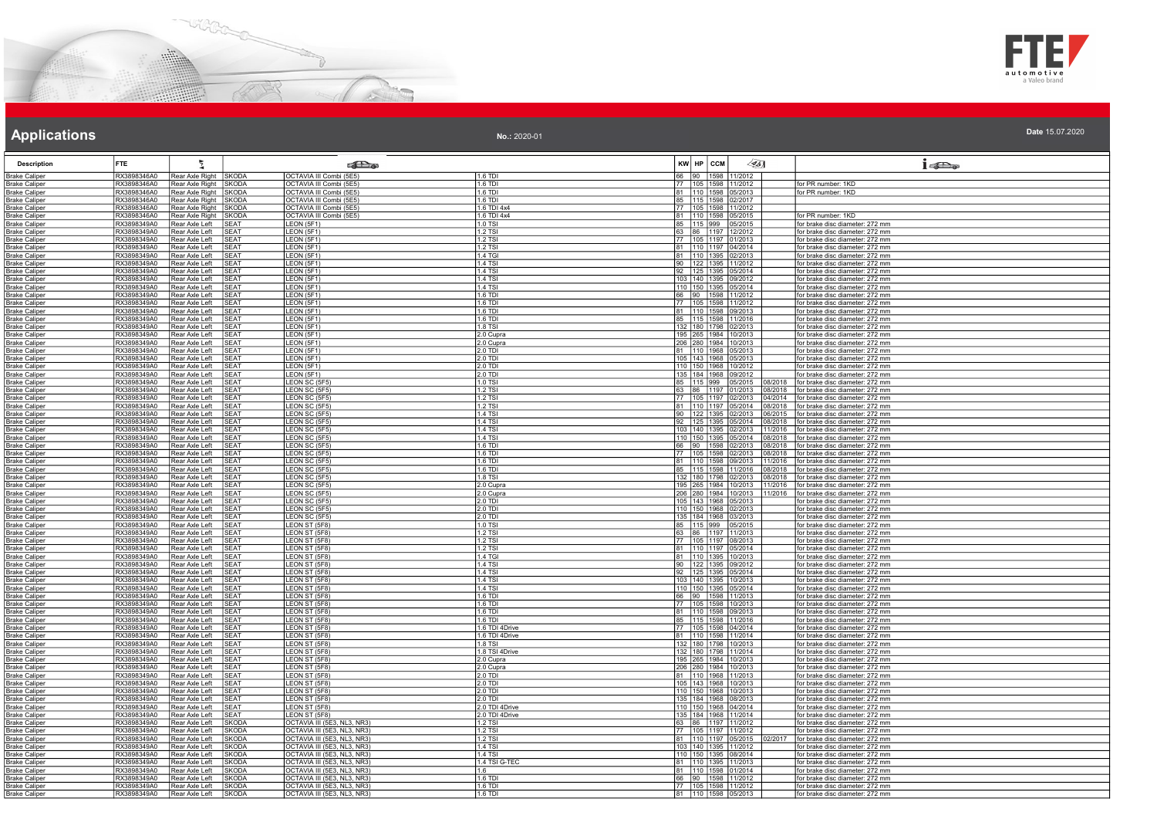



| <b>Description</b>                           | FTE                        | ÷,                                       |                              | <b>SEL</b> @                                               |                            | $KW$ $HP$ $ccM$ | $\langle 35 \rangle$                                                    | 15D <sub>o</sub>                                                             |
|----------------------------------------------|----------------------------|------------------------------------------|------------------------------|------------------------------------------------------------|----------------------------|-----------------|-------------------------------------------------------------------------|------------------------------------------------------------------------------|
| <b>Brake Caliper</b>                         | RX3898346A0                | Rear Axle Right                          | <b>SKODA</b>                 | OCTAVIA III Combi (5E5)                                    | $1.6$ TDI                  | 66              | 1598 11/2012                                                            |                                                                              |
| <b>Brake Caliper</b>                         | RX3898346A0                | Rear Axle Right SKODA                    |                              | OCTAVIA III Combi (5E5)                                    | 1.6 TDI                    |                 | 77 105 1598 11/2012                                                     | for PR number: 1KD                                                           |
| <b>Brake Caliper</b>                         | RX3898346A0                | Rear Axle Right                          | <b>SKODA</b>                 | OCTAVIA III Combi (5E5)                                    | $1.6$ TDI                  |                 | 81 110 1598 05/2013                                                     | for PR number: 1KD                                                           |
| <b>Brake Caliper</b>                         | RX3898346A0                | Rear Axle Right                          | <b>SKODA</b>                 | OCTAVIA III Combi (5E5)                                    | 1.6 TDI                    |                 | 85 115 1598 02/2017                                                     |                                                                              |
| <b>Brake Caliper</b>                         | RX3898346A0<br>RX3898346A0 | Rear Axle Right SKODA<br>Rear Axle Right | SKODA                        | OCTAVIA III Combi (5E5)<br>OCTAVIA III Combi (5E5)         | 1.6 TDI 4x4<br>1.6 TDI 4x4 |                 | 77 105 1598 11/2012                                                     | for PR number: 1KD                                                           |
| <b>Brake Caliper</b>                         | RX3898349A0                | Rear Axle Left                           | <b>SEAT</b>                  | LEON (5F1)                                                 | 1.0 TSI                    |                 | 81 110 1598 05/2015                                                     | for brake disc diameter: 272 mm                                              |
| <b>Brake Caliper</b><br><b>Brake Caliper</b> | RX3898349A0                | Rear Axle Left                           | SEAT                         | LEON (5F1)                                                 | 1.2 TSI                    |                 | 85 115 999 05/2015<br>63 86 1197 12/2012                                | for brake disc diameter: 272 mm                                              |
| <b>Brake Caliper</b>                         | RX3898349A0                | Rear Axle Left                           | <b>SEAT</b>                  | LEON (5F1)                                                 | 1.2 TSI                    |                 | 77 105 1197 01/2013                                                     | for brake disc diameter: 272 mm                                              |
| <b>Brake Caliper</b>                         | RX3898349A0                | Rear Axle Left                           | SEAT                         | LEON (5F1)                                                 | 1.2 TSI                    |                 | 81 110 1197 04/2014                                                     | for brake disc diameter: 272 mm                                              |
| <b>Brake Caliper</b>                         | RX3898349A0                | Rear Axle Left                           | SEAT                         | LEON (5F1)                                                 | 1.4 TGI                    |                 | 81 110 1395 02/2013                                                     | for brake disc diameter: 272 mm                                              |
| <b>Brake Caliper</b>                         | RX3898349A0                | Rear Axle Left                           | SEAT                         | LEON (5F1)                                                 | $1.4$ TSI                  |                 | 90 122 1395 11/2012                                                     | for brake disc diameter: 272 mm                                              |
| <b>Brake Caliper</b>                         | RX3898349A0                | Rear Axle Left                           | SEAT                         | LEON (5F1)                                                 | 1.4 TSI                    |                 | 92 125 1395 05/2014                                                     | or brake disc diameter: 272 mm                                               |
| <b>Brake Caliper</b>                         | RX3898349A0                | Rear Axle Left                           | <b>SEAT</b>                  | LEON (5F1)                                                 | 1 4 TSI                    |                 | 103 140 1395 09/2012                                                    | for brake disc diameter: 272 mm                                              |
| <b>Brake Caliper</b>                         | RX3898349A0                | Rear Axle Left                           | <b>SEAT</b>                  | LEON (5F1)                                                 | <b>1.4 TSI</b>             |                 | 110 150 1395 05/2014                                                    | for brake disc diameter: 272 mm                                              |
| <b>Brake Caliper</b><br><b>Brake Caliper</b> | RX3898349A0<br>RX3898349A0 | Rear Axle Left<br>Rear Axle Left         | <b>SEAT</b><br><b>SEAT</b>   | LEON (5F1)<br>LEON (5F1)                                   | 1.6 TDI<br>$1.6$ TDI       |                 | 66 90 1598 11/2012<br>77 105 1598 11/2012                               | for brake disc diameter: 272 mm<br>for brake disc diameter: 272 mm           |
| <b>Brake Caliper</b>                         | RX3898349A0                | Rear Axle Left                           | <b>SEAT</b>                  | LEON (5F1)                                                 | 1.6 TDI                    |                 | 81 110 1598 09/2013                                                     | for brake disc diameter: 272 mm                                              |
| <b>Brake Caliper</b>                         | RX3898349A0                | Rear Axle Left                           | <b>SEAT</b>                  | LEON (5F1)                                                 | 1.6 TDI                    |                 | 85   115   1598   11/2016                                               | for brake disc diameter: 272 mm                                              |
| <b>Brake Caliper</b>                         | RX3898349A0                | Rear Axle Left                           | <b>SEAT</b>                  | LEON (5F1)                                                 | $1.8$ TSI                  |                 | 132 180 1798 02/2013                                                    | for brake disc diameter: 272 mm                                              |
| <b>Brake Caliper</b>                         | RX3898349A0                | Rear Axle Left                           | <b>SEAT</b>                  | LEON (5F1)                                                 | 2.0 Cupra                  |                 | 195 265 1984 10/2013                                                    | for brake disc diameter: 272 mm                                              |
| <b>Brake Caliper</b>                         | RX3898349A0                | Rear Axle Left                           | SEAT                         | LEON (5F1)                                                 | 2.0 Cupra                  |                 | 206 280 1984 10/2013                                                    | for brake disc diameter: 272 mm                                              |
| <b>Brake Caliper</b>                         | RX3898349A0                | Rear Axle Left                           | <b>SEAT</b>                  | LEON (5F1)                                                 | 2.0 TDI                    |                 | 81 110 1968 05/2013                                                     | for brake disc diameter: 272 mm                                              |
| <b>Brake Caliper</b>                         | RX3898349A0                | Rear Axle Left                           | <b>SEAT</b>                  | LEON (5F1)                                                 | 2.0 TDI                    |                 | 105 143 1968 05/2013                                                    | for brake disc diameter: 272 mm                                              |
| <b>Brake Caliper</b>                         | RX3898349A0                | Rear Axle Left                           | <b>SEAT</b>                  | LEON(5F1)                                                  | $2.0$ TDI                  |                 | 110 150 1968 10/2012                                                    | for brake disc diameter: 272 mm                                              |
| <b>Brake Caliper</b>                         | RX3898349A0                | Rear Axle Left                           | <b>SEAT</b>                  | LEON (5F1)                                                 | 2.0 TDI                    |                 | 135 184 1968 09/2012                                                    | for brake disc diameter: 272 mm                                              |
| <b>Brake Caliper</b>                         | RX3898349A0                | Rear Axle Left                           | <b>SEAT</b>                  | LEON SC (5F5)                                              | 1.0 TSI                    |                 | 85   115   999   05/2015                                                | 08/2018   for brake disc diameter: 272 mm                                    |
| <b>Brake Caliper</b><br><b>Brake Caliper</b> | RX3898349A0<br>RX3898349A0 | Rear Axle Left<br>Rear Axle Left         | SEAT<br>SEAT                 | LEON SC (5F5)<br>LEON SC (5F5)                             | 1.2 TSI<br>1.2 TSI         |                 | 63 86 1197 01/2013<br>08/2018<br>105 1197 02/2013                       | for brake disc diameter: 272 mm<br>04/2014   for brake disc diameter: 272 mm |
| <b>Brake Caliper</b>                         | RX3898349A0                | Rear Axle Left                           | <b>SEAT</b>                  | LEON SC (5F5)                                              | 1.2 TSI                    |                 | 81 110 1197 05/2014<br>08/2018                                          | for brake disc diameter: 272 mm                                              |
| <b>Brake Caliper</b>                         | RX3898349A0                | Rear Axle Left                           | <b>SEAT</b>                  | LEON SC (5F5)                                              | $1.4$ TSI                  |                 | 90 122 1395 02/2013<br>06/2015                                          | for brake disc diameter: 272 mm                                              |
| <b>Brake Caliper</b>                         | RX3898349A0                | Rear Axle Left                           | SFAT                         | LEON SC (5F5)                                              | 1.4 TSI                    |                 | 92 125 1395 05/2014<br>08/2018                                          | for brake disc diameter: 272 mm                                              |
| <b>Brake Caliper</b>                         | RX3898349A0                | Rear Axle Left                           | <b>SEAT</b>                  | LEON SC (5F5)                                              | 1 4 TSI                    |                 | 103 140 1395 02/2013<br>11/2016                                         | for brake disc diameter: 272 mm                                              |
| <b>Brake Caliper</b>                         | RX3898349A0                | Rear Axle Left                           | SFAT                         | LEON SC (5F5)                                              | <b>1.4 TSI</b>             |                 | 110 150 1395 05/2014<br>08/2018                                         | for brake disc diameter: 272 mm                                              |
| <b>Brake Caliper</b>                         | RX3898349A0                | Rear Axle Left                           | <b>SEAT</b>                  | LEON SC (5F5)                                              | 1.6 TDI                    |                 | 66 90 1598 02/2013<br>08/2018                                           | for brake disc diameter: 272 mm                                              |
| <b>Brake Caliper</b>                         | RX3898349A0                | Rear Axle Left                           | <b>SEAT</b>                  | I FON SC (5F5)                                             | 1.6 TDI                    |                 | 77 105 1598 02/2013<br>08/2018                                          | for brake disc diameter: 272 mm                                              |
| <b>Brake Caliper</b>                         | RX3898349A0                | Rear Axle Left                           | <b>SEAT</b>                  | LEON SC (5F5)                                              | 1.6 TDI<br>1.6 TDI         |                 | 81 110 1598 09/2013<br>1/2016                                           | for brake disc diameter: 272 mm                                              |
| <b>Brake Caliper</b>                         | RX3898349A0<br>RX3898349A0 | Rear Axle Left<br>Rear Axle Left         | SEAT<br><b>SEAT</b>          | LEON SC (5F5)                                              | 1.8 TSI                    |                 | 85   115   1598   11/2016<br>08/2018<br>132 180 1798 02/2013<br>08/2018 | for brake disc diameter: 272 mm<br>for brake disc diameter: 272 mm           |
| <b>Brake Caliper</b><br><b>Brake Caliper</b> | RX3898349A0                | Rear Axle Left                           | SEAT                         | LEON SC (5F5)<br>LEON SC (5F5)                             | 2.0 Cupra                  |                 | 195 265 1984 10/2013<br>11/2016                                         | for brake disc diameter: 272 mm                                              |
| <b>Brake Caliper</b>                         | RX3898349A0                | Rear Axle Left                           | <b>SEAT</b>                  | LEON SC (5F5)                                              | 2.0 Cupra                  |                 |                                                                         | 206 280 1984 10/2013 11/2016 for brake disc diameter: 272 mm                 |
| <b>Brake Caliper</b>                         | RX3898349A0                | Rear Axle Left                           | <b>SEAT</b>                  | LEON SC (5F5)                                              | $2.0$ TDI                  |                 | 105 143 1968 05/2013                                                    | for brake disc diameter: 272 mm                                              |
| <b>Brake Caliper</b>                         | RX3898349A0                | Rear Axle Left                           | <b>SEAT</b>                  | LEON SC (5F5)                                              | 2.0 TDI                    |                 | 110 150 1968 02/2013                                                    | for brake disc diameter: 272 mm                                              |
| <b>Brake Caliper</b>                         | RX3898349A0                | Rear Axle Left                           | SEAT                         | LEON SC (5F5)                                              | 2.0 TDI                    |                 | 135 184 1968 03/2013                                                    | for brake disc diameter: 272 mm                                              |
| <b>Brake Caliper</b>                         | RX3898349A0                | Rear Axle Left                           | SFAT                         | LEON ST (5F8)                                              | 1.0 TSI                    |                 | 85 115 999 05/2015                                                      | for brake disc diameter: 272 mm                                              |
| <b>Brake Caliper</b>                         | RX3898349A0<br>RX3898349A0 | Rear Axle Left<br>Rear Axle Left         | SEAT<br><b>SEAT</b>          | LEON ST (5F8)<br>LEON ST (5F8)                             | 1.2 TSI<br>$1.2$ TSI       |                 | 63 86 1197 11/2013<br>77 105 1197 08/2013                               | for brake disc diameter: 272 mm<br>for brake disc diameter: 272 mm           |
| <b>Brake Caliper</b><br><b>Brake Caliper</b> | RX3898349A0                | Rear Axle Left                           | <b>SEAT</b>                  | LEON ST (5F8)                                              | 1.2 TSI                    |                 | 81 110 1197 05/2014                                                     | for brake disc diameter: 272 mm                                              |
| <b>Brake Caliper</b>                         | RX3898349A0                | Rear Axle Left                           | <b>SEAT</b>                  | LEON ST (5F8)                                              | 1.4 TGI                    |                 | 81 110 1395 10/2013                                                     | for brake disc diameter: 272 mm                                              |
| <b>Brake Caliper</b>                         | RX3898349A0                | Rear Axle Left                           | SEAT                         | LEON ST (5F8)                                              | 1 4 TSI                    |                 | 90 122 1395 09/2012                                                     | for brake disc diameter: 272 mm                                              |
| <b>Brake Caliper</b>                         | RX3898349A0                | Rear Axle Left                           | SEAT                         | LEON ST (5F8)                                              | <b>1.4 TSI</b>             |                 | 92 125 1395 05/2014                                                     | for brake disc diameter: 272 mm                                              |
| <b>Brake Caliper</b>                         | RX3898349A0                | Rear Axle Left                           | <b>SEAT</b>                  | LEON ST (5F8)                                              | 1 4 T.SI                   |                 | 103 140 1395 10/2013                                                    | for brake disc diameter: 272 mm                                              |
| <b>Brake Caliper</b>                         | RX3898349A0                | Rear Axle Left                           | <b>SEAT</b>                  | LEON ST (5F8)                                              | $1.4$ TSI                  |                 | 110 150 1395 05/2014                                                    | for brake disc diameter: 272 mm                                              |
| <b>Brake Caliper</b>                         | RX3898349A0                | Rear Axle Left                           | <b>SEAT</b>                  | LEON ST (5F8)                                              | 1.6 TDI                    |                 | 66 90 1598 11/2013                                                      | for brake disc diameter: 272 mm                                              |
| <b>Brake Caliper</b>                         | RX3898349A0                | Rear Axle Left                           | <b>SEAT</b>                  | LEON ST (5F8)                                              | $1.6$ TDI                  |                 | 77   105   1598   10/2013                                               | for brake disc diameter: 272 mm                                              |
| <b>Brake Caliper</b>                         | RX3898349A0<br>RX3898349A0 | Rear Axle Left<br>Rear Axle Left         | SEAT<br><b>SFAT</b>          | LEON ST (5F8)<br><b>ILEON ST (5F8)</b>                     | 1.6 TDI<br>1.6 TDI         |                 | 81 110 1598 09/2013                                                     | for brake disc diameter: 272 mm<br>for brake disc diameter: 272 mm           |
| <b>Brake Caliper</b><br><b>Brake Caliper</b> | RX3898349A0                | Rear Axle Left                           | <b>SEAT</b>                  | LEON ST (5F8)                                              | 1.6 TDI 4Drive             |                 | 85 115 1598 11/2016<br>77 105 1598 04/2014                              | for brake disc diameter: 272 mm                                              |
| <b>Brake Caliper</b>                         | RX3898349A0                | Rear Axle Left                           | SEAT                         | LEON ST (5F8)                                              | 1.6 TDI 4Drive             |                 | 81   110   1598   11/2014                                               | for brake disc diameter: 272 mm                                              |
| <b>Brake Caliper</b>                         | RX3898349A0                | Rear Axle Left                           | SEAT                         | LEON ST (5F8)                                              | 1.8 TSI                    |                 | 132 180 1798 10/2013                                                    | for brake disc diameter: 272 mm                                              |
| <b>Brake Caliper</b>                         | RX3898349A0                | Rear Axle Left                           | SEAT                         | LEON ST (5F8)                                              | 1.8 TSI 4Drive             |                 | 132 180 1798 11/2014                                                    | for brake disc diameter: 272 mm                                              |
| <b>Brake Caliper</b>                         | RX3898349A0                | Rear Axle Left                           | SEAT                         | LEON ST (5F8)                                              | 2.0 Cupra                  |                 | 195 265 1984 10/2013                                                    | for brake disc diameter: 272 mm                                              |
| <b>Brake Caliper</b>                         | RX3898349A0                | Rear Axle Left                           | <b>SEAT</b>                  | LEON ST (5F8)                                              | 2.0 Cupra                  |                 | 206 280 1984 10/2013                                                    | for brake disc diameter: 272 mm                                              |
| <b>Brake Caliper</b>                         | RX3898349A0                | Rear Axle Left                           | <b>SEAT</b>                  | LEON ST (5F8)                                              | 2.0 TDI                    |                 | 81 110 1968 11/2013                                                     | for brake disc diameter: 272 mm                                              |
| <b>Brake Caliper</b>                         | RX3898349A0<br>RX3898349A0 | Rear Axle Left                           | SEAT                         | LEON ST (5F8)                                              | 2.0 TDI                    |                 | 105   143   1968   10/2013                                              | for brake disc diameter: 272 mm                                              |
| <b>Brake Caliper</b>                         |                            | Rear Axle Left                           | SEAT                         | LEON ST (5F8)                                              | $2.0$ TDI                  |                 | 110 150 1968 10/2013                                                    | for brake disc diameter: 272 mm                                              |
| <b>Brake Caliper</b><br><b>Brake Caliper</b> | RX3898349A0<br>RX3898349A0 | Rear Axle Left<br>Rear Axle Left         | SEAT<br>SEAT                 | LEON ST (5F8)<br>LEON ST (5F8)                             | 2.0 TDI<br>2.0 TDI 4Drive  |                 | 135 184 1968 08/2013<br>110 150 1968 04/2014                            | for brake disc diameter: 272 mm<br>for brake disc diameter: 272 mm           |
| <b>Brake Caliper</b>                         | RX3898349A0                | Rear Axle Left                           | <b>SEAT</b>                  | LEON ST (5F8)                                              | 2.0 TDI 4Drive             |                 | 135 184 1968 11/2014                                                    | for brake disc diameter: 272 mm                                              |
| <b>Brake Caliper</b>                         | RX3898349A0                | Rear Axle Left                           | <b>SKODA</b>                 | OCTAVIA III (5E3, NL3, NR3)                                | $1.2$ TSI                  |                 | 63 86 1197 11/2012                                                      | for brake disc diameter: 272 mm                                              |
| <b>Brake Caliper</b>                         | RX3898349A0                | Rear Axle Left                           | <b>SKODA</b>                 | OCTAVIA III (5E3, NL3, NR3)                                | 1.2 TSI                    |                 | 77   105   1197   11/2012                                               | for brake disc diameter: 272 mm                                              |
| <b>Brake Caliper</b>                         | RX3898349A0                | Rear Axle Left                           | <b>SKODA</b>                 | OCTAVIA III (5E3, NL3, NR3)                                | $1.2$ TSI                  |                 | 81 110 1197 05/2015                                                     | 2/2017 for brake disc diameter: 272 mm                                       |
| <b>Brake Caliper</b>                         | RX3898349A0                | Rear Axle Left                           | SKODA                        | OCTAVIA III (5E3, NL3, NR3)                                | 1.4 TSI                    |                 | 103 140 1395 11/2012                                                    | for brake disc diameter: 272 mm                                              |
| <b>Brake Caliper</b>                         | RX3898349A0                | Rear Axle Left                           | <b>SKODA</b>                 | OCTAVIA III (5E3, NL3, NR3)                                | 1 4 TSI                    |                 | 110 150 1395 08/2014                                                    | for brake disc diameter: 272 mm                                              |
| <b>Brake Caliper</b>                         | RX3898349A0                | Rear Axle Left                           | <b>SKODA</b>                 | OCTAVIA III (5E3, NL3, NR3)                                | 1.4 TSI G-TEC              |                 | 81 110 1395 11/2013                                                     | for brake disc diameter: 272 mm                                              |
| <b>Brake Caliper</b><br><b>Brake Caliper</b> | RX3898349A0<br>RX3898349A0 | Rear Axle Left<br>Rear Axle Left         | <b>SKODA</b><br><b>SKODA</b> | OCTAVIA III (5E3, NL3, NR3)<br>OCTAVIA III (5E3, NL3, NR3) | 1.6<br>$1.6$ TDI           |                 | 81  110  1598  01/2014<br>66 90 1598 11/2012                            | for brake disc diameter: 272 mm<br>for brake disc diameter: 272 mm           |
| <b>Brake Caliper</b>                         | RX3898349A0                | Rear Axle Left                           | SKODA                        | OCTAVIA III (5E3, NL3, NR3)                                | 1.6 TDI                    |                 |                                                                         | for brake disc diameter: 272 mm                                              |
| <b>Brake Caliper</b>                         | RX3898349A0                | Rear Axle Left                           | <b>SKODA</b>                 | OCTAVIA III (5E3, NL3, NR3)                                | 1.6 TDI                    |                 | 77 105 1598 11/2012<br>81 110 1598 05/2013                              | for brake disc diameter: 272 mm                                              |
|                                              |                            |                                          |                              |                                                            |                            |                 |                                                                         |                                                                              |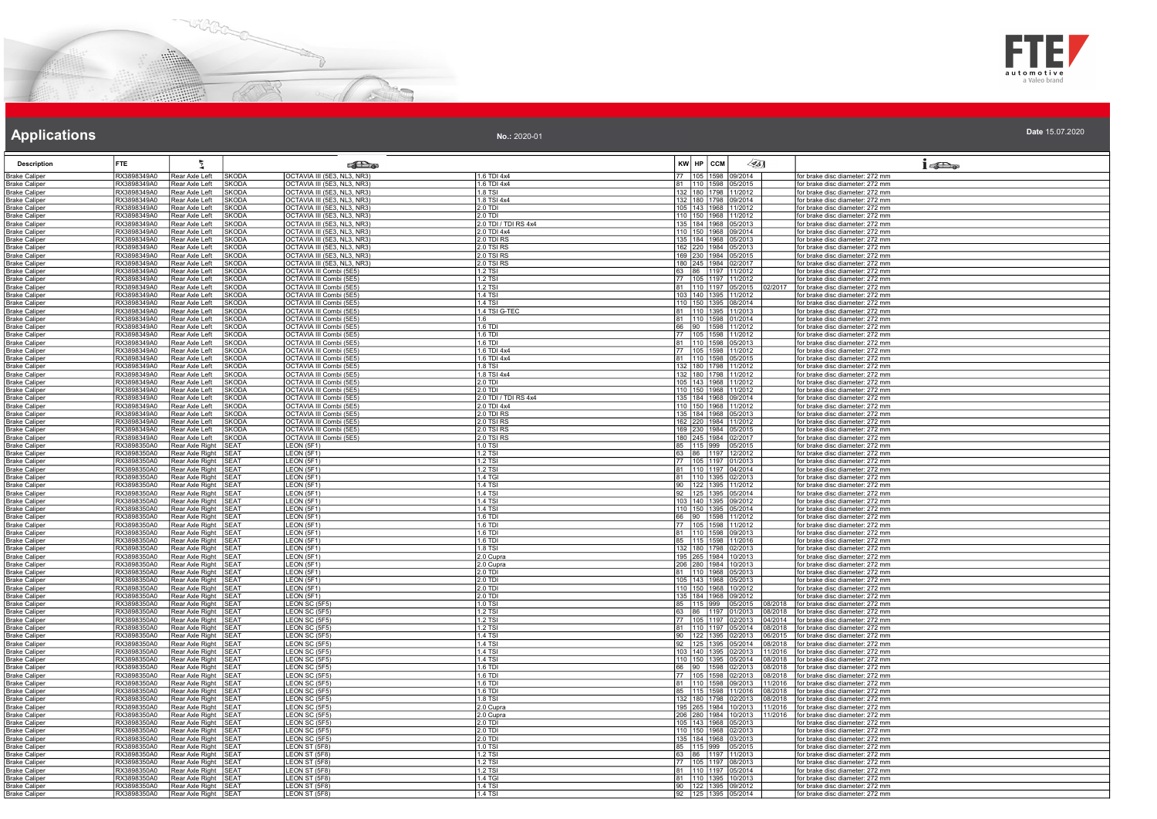



| No.: 2020-01 | Date 15.07.2020 |
|--------------|-----------------|
|--------------|-----------------|

| <b>Description</b>                           | <b>FTE</b>                  |                                    |                                 | <b>Call a</b>                                              |                                     | KW HP CCM                                          | 45)                | 15D <sub>o</sub>                                                   |
|----------------------------------------------|-----------------------------|------------------------------------|---------------------------------|------------------------------------------------------------|-------------------------------------|----------------------------------------------------|--------------------|--------------------------------------------------------------------|
| <b>Brake Caliper</b>                         | RX3898349A0                 | Rear Axle Left                     | SKODA                           | OCTAVIA III (5E3, NL3, NR3)                                | 1.6 TDI 4x4                         | 105<br>1598<br>09/2014                             |                    | for brake disc diameter: 272 mm                                    |
| Brake Caliper                                | RX3898349A0                 | Rear Axle Left                     | <b>SKODA</b>                    | OCTAVIA III (5E3, NL3, NR3)                                | 1.6 TDI 4x4                         | 81 110 1598 05/2015                                |                    | for brake disc diameter: 272 mm                                    |
| <b>Brake Caliper</b>                         | RX3898349A0                 | Rear Axle Left                     | <b>SKODA</b>                    | OCTAVIA III (5E3, NL3, NR3)                                | 1.8 TSI                             | 132 180 1798 11/2012                               |                    | for brake disc diameter: 272 mm                                    |
| <b>Brake Caliper</b>                         | RX3898349A0<br>RX3898349A0  | Rear Axle Left                     | <b>SKODA</b>                    | OCTAVIA III (5E3, NL3, NR3)                                | 1.8 TSI 4x4                         | 132 180 1798 09/2014                               |                    | for brake disc diameter: 272 mm                                    |
| Brake Caliper<br><b>Brake Caliper</b>        | RX3898349A0                 | Rear Axle Left<br>Rear Axle Left   | SKODA<br>SKODA                  | OCTAVIA III (5E3, NL3, NR3)<br>OCTAVIA III (5E3, NL3, NR3) | 2.0 TDI<br>$2.0$ TDI                | 105 143 1968 11/2012<br>110 150 1968 11/2012       |                    | for brake disc diameter: 272 mm<br>for brake disc diameter: 272 mm |
| <b>Brake Caliper</b>                         | RX3898349A0                 | Rear Axle Left                     | <b>SKODA</b>                    | OCTAVIA III (5E3, NL3, NR3)                                | 2.0 TDI / TDI RS 4x4                | 135 184 1968 05/2013                               |                    | for brake disc diameter: 272 mm                                    |
| <b>Brake Caliper</b>                         | RX3898349A0                 | Rear Axle Left                     | <b>SKODA</b>                    | OCTAVIA III (5E3, NL3, NR3)                                | 2.0 TDI 4x4                         | 110 150 1968 09/2014                               |                    | for brake disc diameter: 272 mm                                    |
| <b>Brake Caliper</b>                         | RX3898349A0                 | Rear Axle Left                     | <b>SKODA</b>                    | OCTAVIA III (5E3, NL3, NR3)                                | 2.0 TDI RS                          | 135 184 1968 05/2013                               |                    | for brake disc diameter: 272 mm                                    |
| <b>Brake Caliper</b>                         | RX3898349A0                 | Rear Axle Left                     | <b>SKODA</b>                    | OCTAVIA III (5E3, NL3, NR3)                                | 2.0 TSI RS                          | 162 220 1984 05/2013                               |                    | for brake disc diameter: 272 mm                                    |
| <b>Brake Caliper</b>                         | RX3898349A0                 | Rear Axle Left                     | <b>SKODA</b>                    | OCTAVIA III (5E3, NL3, NR3)                                | 2.0 TSI RS                          | 169 230 1984 05/2015                               |                    | for brake disc diameter: 272 mm                                    |
| <b>Brake Caliper</b>                         | RX3898349A0                 | Rear Axle Left                     | SKODA                           | OCTAVIA III (5E3, NL3, NR3)                                | 2.0 TSI RS                          | 180 245 1984 02/2017                               |                    | for brake disc diameter: 272 mm                                    |
| <b>Brake Caliper</b>                         | RX3898349A0                 | Rear Axle Left                     | <b>SKODA</b>                    | OCTAVIA III Combi (5E5)                                    | 1.2 TSI                             | 63 86 1197 11/2012                                 |                    | for brake disc diameter: 272 mm                                    |
| <b>Brake Caliper</b>                         | RX3898349A0                 | Rear Axle Left                     | <b>SKODA</b>                    | OCTAVIA III Combi (5E5)                                    | 1.2 TSI                             | 77 105 1197 11/2012                                |                    | for brake disc diameter: 272 mm                                    |
| <b>Brake Caliper</b>                         | RX3898349A0                 | Rear Axle Left                     | <b>SKODA</b>                    | OCTAVIA III Combi (5E5)                                    | 1.2 TSI                             | 81 110 1197 05/2015                                | 02/2017            | for brake disc diameter: 272 mm                                    |
| Brake Caliper<br><b>Brake Caliper</b>        | RX3898349A0<br>RX3898349A0  | Rear Axle Left<br>Rear Axle Left   | <b>SKODA</b><br><b>SKODA</b>    | OCTAVIA III Combi (5E5)<br>OCTAVIA III Combi (5E5)         | 11 4 T.SI<br>1.4 TSI                | 103 140 1395 11/2012<br>110 150 1395 08/2014       |                    | for brake disc diameter: 272 mm<br>for brake disc diameter: 272 mm |
| <b>Brake Caliper</b>                         | RX3898349A0                 | Rear Axle Left                     | <b>SKODA</b>                    | OCTAVIA III Combi (5E5)                                    | 1.4 TSI G-TEC                       | 81 110 1395 11/2013                                |                    | for brake disc diameter: 272 mm                                    |
| Brake Caliper                                | RX3898349A0                 | Rear Axle Left                     | <b>SKODA</b>                    | OCTAVIA III Combi (5E5)                                    | 11 R                                | 81 110 1598 01/2014                                |                    | for brake disc diameter: 272 mm                                    |
| <b>Brake Caliper</b>                         | RX3898349A0                 | Rear Axle Left                     | <b>SKODA</b>                    | OCTAVIA III Combi (5E5)                                    | 1.6 TDI                             | 66 90 1598 11/2012                                 |                    | for brake disc diameter: 272 mm                                    |
| <b>Brake Caliper</b>                         | RX3898349A0                 | Rear Axle Left                     | <b>SKODA</b>                    | OCTAVIA III Combi (5E5)                                    | 1.6 TDI                             | 77   105   1598   11/2012                          |                    | for brake disc diameter: 272 mm                                    |
| <b>Brake Caliper</b>                         | RX3898349A0                 | Rear Axle Left                     | <b>SKODA</b>                    | OCTAVIA III Combi (5E5)                                    | 1.6 TDI                             | 81 110 1598 05/2013                                |                    | for brake disc diameter: 272 mm                                    |
| <b>Brake Caliper</b>                         | RX3898349A0                 | Rear Axle Left                     | SKODA                           | OCTAVIA III Combi (5E5)                                    | 1.6 TDI 4x4                         | 77 105 1598 11/2012                                |                    | for brake disc diameter: 272 mm                                    |
| <b>Brake Caliper</b>                         | RX3898349A0                 | Rear Axle Left                     | <b>SKODA</b>                    | OCTAVIA III Combi (5E5)                                    | 1.6 TDI 4x4                         | 81 110 1598 05/2015                                |                    | for brake disc diameter: 272 mm                                    |
| <b>Brake Caliper</b>                         | RX3898349A0                 | Rear Axle Left                     | <b>SKODA</b>                    | OCTAVIA III Combi (5E5)                                    | 1.8 TSI                             | 132 180 1798 11/2012                               |                    | for brake disc diameter: 272 mm                                    |
| <b>Brake Caliper</b>                         | RX3898349A0                 | Rear Axle Left                     | <b>SKODA</b>                    | OCTAVIA III Combi (5E5)                                    | 1.8 TSI 4x4                         | 132 180 1798 11/2012                               |                    | for brake disc diameter: 272 mm                                    |
| <b>Brake Caliper</b>                         | RX3898349A0                 | Rear Axle Left                     | <b>SKODA</b>                    | OCTAVIA III Combi (5E5)                                    | 2.0 TDI                             | 105   143   1968   11/2012                         |                    | for brake disc diameter: 272 mm                                    |
| <b>Brake Caliper</b>                         | RX3898349A0<br>RX3898349A0  | Rear Axle Left                     | <b>SKODA</b>                    | OCTAVIA III Combi (5E5)                                    | 2.0 TDI                             | 110 150 1968 11/2012                               |                    | for brake disc diameter: 272 mm                                    |
| <b>Brake Caliper</b>                         | RX3898349A0                 | Rear Axle Left<br>Rear Axle Left   | <b>SKODA</b><br><b>SKODA</b>    | OCTAVIA III Combi (5E5)<br>OCTAVIA III Combi (5E5)         | 2.0 TDI / TDI RS 4x4<br>2.0 TDI 4x4 | 135 184 1968 09/2014<br>110 150 1968 11/2012       |                    | for brake disc diameter: 272 mm<br>for brake disc diameter: 272 mm |
| Brake Caliper<br><b>Brake Caliper</b>        | RX3898349A0                 | Rear Axle Left                     | <b>SKODA</b>                    | OCTAVIA III Combi (5E5)                                    | 2.0 TDI RS                          | 135 184 1968 05/2013                               |                    | for brake disc diameter: 272 mm                                    |
| <b>Brake Caliper</b>                         | RX3898349A0                 | Rear Axle Left                     | <b>SKODA</b>                    | OCTAVIA III Combi (5E5)                                    | 2.0 TSI RS                          | 162 220 1984 11/2012                               |                    | for brake disc diameter: 272 mm                                    |
| <b>Brake Caliper</b>                         | RX3898349A0                 | Rear Axle Left                     | <b>SKODA</b>                    | OCTAVIA III Combi (5E5)                                    | 2.0 TSI RS                          | 169 230 1984 05/2015                               |                    | for brake disc diameter: 272 mm                                    |
| <b>Brake Caliper</b>                         | RX3898349A0                 | Rear Axle Left                     | <b>SKODA</b>                    | OCTAVIA III Combi (5E5)                                    | 2.0 TSI RS                          | 180 245 1984 02/2017                               |                    | for brake disc diameter: 272 mm                                    |
| <b>Brake Caliper</b>                         | RX3898350A0                 | Rear Axle Right                    | SEAT                            | LEON (5F1)                                                 | 1.0 TSI                             | 85 115 999 05/2015                                 |                    | for brake disc diameter: 272 mm                                    |
| <b>Brake Caliper</b>                         | RX3898350A0                 | Rear Axle Right                    | SFAT                            | LEON (5F1)                                                 | 1.2 TSI                             | 63 86 1197 12/2012                                 |                    | for brake disc diameter: 272 mm                                    |
| Brake Caliper                                | RX3898350A0                 | Rear Axle Right                    | <b>SEAT</b>                     | LEON (5F1                                                  | 1.2 TSI                             | 77 105 1197 01/2013                                |                    | for brake disc diameter: 272 mm                                    |
| <b>Brake Caliper</b>                         | RX3898350A0                 | Rear Axle Right                    | SEAT                            | LEON (5F1)                                                 | 1.2 TSI                             | 81   110   1197   04/2014                          |                    | for brake disc diameter: 272 mm                                    |
| <b>Brake Caliper</b>                         | RX3898350A0                 | Rear Axle Right                    | SFAT                            | LEON (5F1                                                  | 1.4 TGI                             | 110 1395 02/2013<br>81                             |                    | for brake disc diameter: 272 mm                                    |
| <b>Brake Caliper</b><br><b>Brake Caliper</b> | RX3898350A0<br>RX3898350A0  | Rear Axle Right<br>Rear Axle Right | SEAT<br><b>SEAT</b>             | LEON (5F1<br>LEON (5F1)                                    | 1.4 TSI<br>1.4 TSI                  | 90 122 1395 11/2012<br>92 125 1395 05/2014         |                    | for brake disc diameter: 272 mm<br>for brake disc diameter: 272 mm |
| <b>Brake Caliper</b>                         | RX3898350A0                 | Rear Axle Right                    | <b>SEAT</b>                     | LEON (5F1)                                                 | 1.4 TSI                             | 103 140 1395 09/2012                               |                    | for brake disc diameter: 272 mm                                    |
| <b>Brake Caliper</b>                         | RX3898350A0                 | Rear Axle Right                    | <b>SFAT</b>                     | LEON (5F1)                                                 | 1.4 TSI                             | 110 150 1395 05/2014                               |                    | for brake disc diameter: 272 mm                                    |
| Brake Caliper                                | RX3898350A0                 | Rear Axle Right                    | SFA <sub>1</sub>                | LEON (5F1)                                                 | 1.6 TDI                             | 66 90 1598 11/2012                                 |                    | for brake disc diameter: 272 mm                                    |
| <b><i><u>Srake Caliper</u></i></b>           | RX3898350A0                 | Rear Axle Right                    | SFAT                            | LEON (5F1)                                                 | 1.6 TDI                             | 77 105 1598 11/2012                                |                    | for brake disc diameter: 272 mm                                    |
| <b>Brake Caliper</b>                         | RX3898350A0                 | Rear Axle Right                    | <b>SEAT</b>                     | LEON (5F1)                                                 | 1.6 TDI                             | 81 110 1598 09/2013                                |                    | for brake disc diameter: 272 mm                                    |
| <b>Brake Caliper</b>                         | RX3898350A0                 | Rear Axle Right                    | <b>SEAT</b>                     | LEON (5F1)                                                 | $1.6$ TDI                           | 85 115 1598 11/2016                                |                    | for brake disc diameter: 272 mm                                    |
| Brake Caliper                                | RX3898350A0                 | Rear Axle Right                    | SEAT                            | LEON (5F1)                                                 | 1.8 TSI                             | 132 180 1798 02/2013                               |                    | for brake disc diameter: 272 mm                                    |
| <b>Brake Caliper</b>                         | RX3898350A0                 | Rear Axle Right                    | <b>SEAT</b>                     | LEON (5F1)                                                 | 2.0 Cupra                           | 195<br>265   1984   10/2013                        |                    | for brake disc diameter: 272 mm                                    |
| Brake Caliper<br><b>Brake Caliper</b>        | RX3898350A0<br>RX3898350A0  | Rear Axle Right<br>Rear Axle Right | <b>SEAT</b><br><b>SEAT</b>      | LEON (5F1)<br>LEON (5F1                                    | 2.0 Cupra<br>2.0 TDI                | 280   1984   10/2013<br>206<br>81 110 1968 05/2013 |                    | for brake disc diameter: 272 mm<br>for brake disc diameter: 272 mm |
| <b>Brake Caliper</b>                         | RX3898350A0                 | Rear Axle Right                    | <b>SEAT</b>                     | LEON (5F1)                                                 | $2.0$ TDI                           | 105 143 1968 05/2013                               |                    | for brake disc diameter: 272 mm                                    |
| <b>Brake Caliper</b>                         | RX3898350A0                 | Rear Axle Right                    | <b>SEAT</b>                     | LEON (5F1)                                                 | 2.0 TDI                             | 110 150 1968 10/2012                               |                    | for brake disc diameter: 272 mm                                    |
| <b>Brake Caliper</b>                         | RX3898350A0                 | <b>Rear Axle Right</b>             | <b>SFAT</b>                     | LEON (5F1)                                                 | 2.0 TDI                             | 135 184 1968 09/2012                               |                    | for brake disc diameter: 272 mm                                    |
| <b>Brake Caliper</b>                         | RX3898350A0                 | Rear Axle Right                    | <b>SEAT</b>                     | LEON SC (5F5)                                              | 11.0 TSI                            | 85   115   999   05/2015                           |                    | 08/2018   for brake disc diameter: 272 mm                          |
| <b>Brake Caliper</b>                         | RX3898350A0                 | Rear Axle Right                    | <b>SFAT</b>                     | LEON SC (5F5)                                              | 1.2 TSI                             | 63 86 1197 01/2013                                 | 08/2018            | for brake disc diameter: 272 mm                                    |
| <b>Brake Caliper</b>                         | RX3898350A0                 | <b>Rear Axle Right</b>             | <b>SEAT</b>                     | LEON SC (5F5)                                              | 1.2 TSI                             | 77 105 1197 02/2013                                | 04/2014            | for brake disc diameter: 272 mm                                    |
| Brake Caliper                                | RX3898350A0<br>RX3898350A0  | Rear Axle Right                    | SFA <sub>1</sub><br><b>SEAT</b> | LEON SC (5F5)                                              | $1.2$ TSI<br>1.4 TSI                | 81 110 1197 05/2014                                | 08/2018            | for brake disc diameter: 272 mm                                    |
| <b>Brake Caliper</b>                         | RX3898350A0                 | Rear Axle Right<br>Rear Axle Right | SEAT                            | LEON SC (5F5)<br>LEON SC (5F5)                             | 1.4 TSI                             | 90 122 1395 02/2013<br>92 125 1395 05/2014         | 06/2015<br>08/2018 | for brake disc diameter: 272 mm<br>for brake disc diameter: 272 mm |
| <b>Brake Caliper</b><br><b>Brake Caliper</b> | RX3898350A0                 | Rear Axle Right                    | <b>SEAT</b>                     | LEON SC (5F5)                                              | 1.4 TSI                             | 103 140 1395 02/2013                               | 11/2016            | for brake disc diameter: 272 mm                                    |
| <b>Brake Caliper</b>                         | RX3898350A0                 | Rear Axle Right                    | SFA <sub>1</sub>                | LEON SC (5F5)                                              | 1.4 TSI                             | 110 150 1395 05/2014                               | 8/2018             | for brake disc diameter: 272 mm                                    |
| Brake Caliper                                | RX3898350A0                 | Rear Axle Right                    | <b>SEAT</b>                     | LEON SC (5F5)                                              | 1.6 TDI                             | 66 90 1598 02/2013                                 | 08/2018            | for brake disc diameter: 272 mm                                    |
| <u>Brake Caliper</u>                         | RX3898350A0                 | <b>Rear Axle Right</b>             | <b>SEAT</b>                     | LEON SC (5F5)                                              | 1.6 TDI                             | 77 105 1598 02/2013                                | 08/2018            | for brake disc diameter: 272 mm                                    |
| Brake Caliper                                | RX3898350A0                 | Rear Axle Right                    | <b>SEAT</b>                     | LEON SC (5F5)                                              | 1.6 TDI                             | 81 110 1598 09/2013                                | 11/2016            | for brake disc diameter: 272 mm                                    |
| <b>Brake Caliper</b>                         | RX3898350A0                 | <b>Rear Axle Right</b>             | <b>SEAT</b>                     | LEON SC (5F5)                                              | 1.6 TDI                             | 85   115   1598   11/2016                          | 08/2018            | for brake disc diameter: 272 mm                                    |
| <b>Brake Caliper</b>                         | RX3898350A0                 | Rear Axle Right                    | <b>SFAT</b>                     | LEON SC (5F5)                                              | 1.8 TSI                             | 180 1798 02/2013<br>132                            | 08/2018            | for brake disc diameter: 272 mm                                    |
| <b>Brake Caliper</b>                         | RX3898350A0                 | <b>Rear Axle Right</b>             | SEA1                            | LEON SC (5F5)                                              | 2.0 Cupra                           | 265<br>1984 10/2013                                | 11/2016            | for brake disc diameter: 272 mm                                    |
| Brake Caliper                                | RX3898350A0                 | Rear Axle Right                    | <b>SEAT</b>                     | LEON SC (5F5)                                              | 2.0 Cupra                           | 206 280 1984 10/2013                               | 11/2016            | for brake disc diameter: 272 mm                                    |
| <b>Brake Caliper</b>                         | RX3898350A0                 | Rear Axle Right                    | SFAT<br><b>SEAT</b>             | LEON SC (5F5)<br>LEON SC (5F5)                             | 2.0 TDI<br><b>2.0 TDI</b>           | 105 143 1968 05/2013<br>110 150 1968 02/2013       |                    | for brake disc diameter: 272 mm<br>for brake disc diameter: 272 mm |
| <b>Brake Caliper</b><br><b>Brake Caliper</b> | RX3898350A0<br>RX3898350A0  | Rear Axle Right<br>Rear Axle Right | <b>SEAT</b>                     | LEON SC (5F5)                                              | 2.0 TDI                             | 135 184 1968 03/2013                               |                    | for brake disc diameter: 272 mm                                    |
| Brake Caliper                                | RX3898350A0                 | Rear Axle Right                    | ISFA1                           | LEON ST (5F8)                                              | 11.0 TSI                            | 85 115 999 05/2015                                 |                    | for brake disc diameter: 272 mm                                    |
| <b>Brake Caliper</b>                         | RX3898350A0                 | Rear Axle Right                    | <b>SEAT</b>                     | LEON ST (5F8)                                              | 1.2 TSI                             | 63 86 1197 11/2013                                 |                    | for brake disc diameter: 272 mm                                    |
| <b>Brake Caliper</b>                         | RX3898350A0                 | Rear Axle Right                    | <b>SEAT</b>                     | LEON ST (5F8)                                              | 1.2 TSI                             | 77 105 1197 08/2013                                |                    | for brake disc diameter: 272 mm                                    |
| <b>Brake Caliper</b>                         | RX3898350A0                 | Rear Axle Right                    | <b>SEAT</b>                     | LEON ST (5F8)                                              | 1.2 TSI                             | 81 110 1197 05/2014                                |                    | for brake disc diameter: 272 mm                                    |
| <b>Brake Caliper</b>                         | RX3898350A0                 | Rear Axle Right                    | <b>SEAT</b>                     | LEON ST (5F8)                                              | 1.4 TGI                             | 81   110   1395   10/2013                          |                    | for brake disc diameter: 272 mm                                    |
| Brake Caliper                                | RX3898350A0                 | Rear Axle Right                    | <b>SEAT</b>                     | LEON ST (5F8)                                              | 1.4 TSI                             | 90 122 1395 09/2012                                |                    | for brake disc diameter: 272 mm                                    |
| <b>Brake Caliper</b>                         | RX3898350A0 Rear Axle Right |                                    | SEAT                            | LEON ST (5F8)                                              | 14 TSI                              | 92 125 1395 05/2014                                |                    | for brake disc diameter: 272 mm                                    |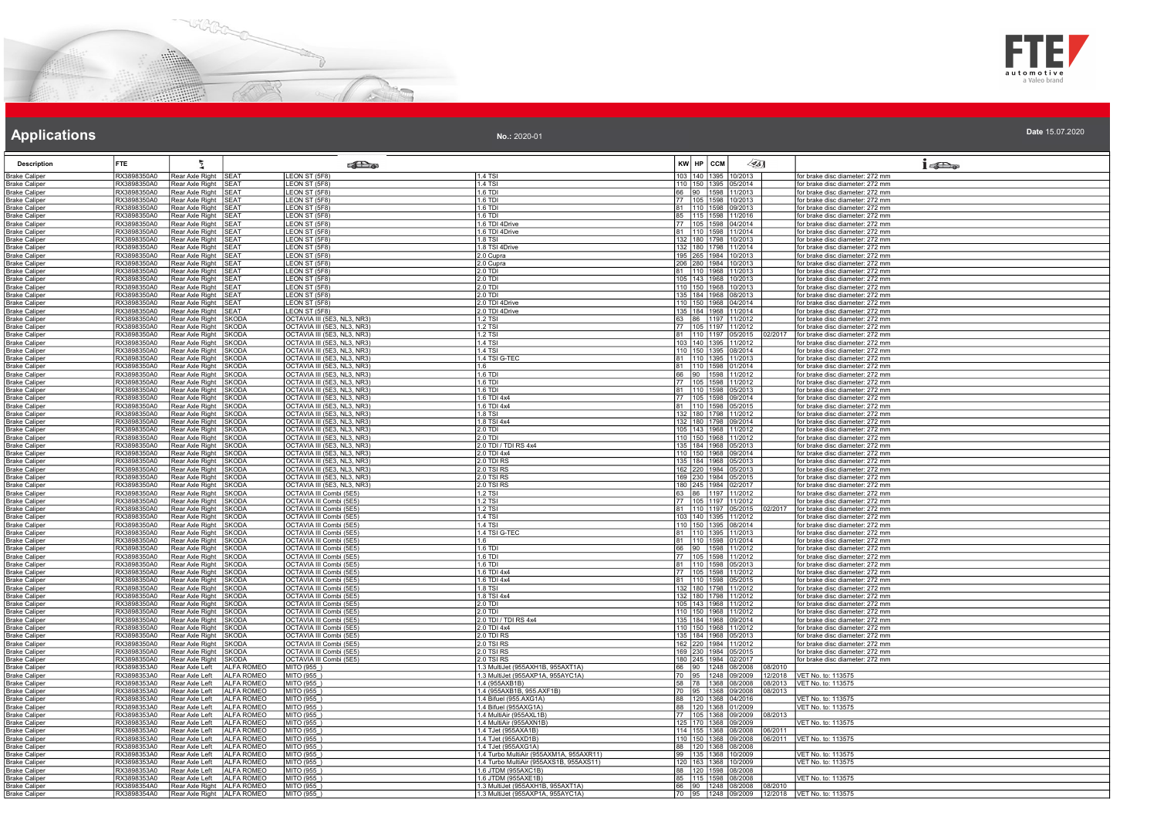



| No.: 2020-01 | Date 15.07.2020 |
|--------------|-----------------|
|--------------|-----------------|

| <b>Description</b>                           | <b>FTE</b>                 | 튚                                               |                                 | <b>SHO</b>                                                 |                                                                        | KW HP CCM | $\llbracket \mathcal{L} \mathcal{L} \mathcal{L} \mathcal{L} \mathcal{L} \mathcal{L} \mathcal{L} \mathcal{L} \mathcal{L} \mathcal{L} \mathcal{L} \mathcal{L} \mathcal{L} \mathcal{L} \mathcal{L} \mathcal{L} \mathcal{L} \mathcal{L} \mathcal{L} \mathcal{L} \mathcal{L} \mathcal{L} \mathcal{L} \mathcal{L} \mathcal{L} \mathcal{L} \mathcal{L} \mathcal{L} \mathcal{L} \mathcal{L} \mathcal{L} \mathcal{L} \mathcal{L} \mathcal{L} \mathcal{L} \mathcal{L}$ |                           | $1 - 5$                                                            |
|----------------------------------------------|----------------------------|-------------------------------------------------|---------------------------------|------------------------------------------------------------|------------------------------------------------------------------------|-----------|--------------------------------------------------------------------------------------------------------------------------------------------------------------------------------------------------------------------------------------------------------------------------------------------------------------------------------------------------------------------------------------------------------------------------------------------------------------|---------------------------|--------------------------------------------------------------------|
| <b>Brake Caliper</b>                         | RX3898350A0                | Rear Axle Right                                 | SEAT                            | LEON ST (5F8)                                              | 1.4 TSI                                                                |           | 103 140 1395 10/2013                                                                                                                                                                                                                                                                                                                                                                                                                                         |                           | for brake disc diameter: 272 mm                                    |
| Brake Caliper                                | RX3898350A0                | Rear Axle Right                                 | <b>SEAT</b>                     | <b>EON ST (5F8)</b>                                        | 1.4 TSI                                                                |           | 110 150 1395 05/2014                                                                                                                                                                                                                                                                                                                                                                                                                                         |                           | for brake disc diameter: 272 mm                                    |
| <b>Brake Caliper</b>                         | RX3898350A0                | Rear Axle Right                                 | SEAT                            | LEON ST (5F8)                                              | 1.6 TDI                                                                |           | 66 90 1598 11/2013                                                                                                                                                                                                                                                                                                                                                                                                                                           |                           | for brake disc diameter: 272 mm                                    |
| <b>Brake Caliper</b><br><b>Brake Caliper</b> | RX3898350A0<br>RX3898350A0 | Rear Axle Right SEAT<br>Rear Axle Right         | <b>SEAT</b>                     | LEON ST (5F8)<br>LEON ST (5F8)                             | l 1 6 TDI<br>1.6 TDI                                                   |           | 77 105 1598 10/2013<br>81 110 1598 09/2013                                                                                                                                                                                                                                                                                                                                                                                                                   |                           | for brake disc diameter: 272 mm<br>for brake disc diameter: 272 mm |
| <b>Brake Caliper</b>                         | RX3898350A0                | Rear Axle Right                                 | <b>ISEAT</b>                    | LEON ST (5F8)                                              | 11.6 TDI                                                               |           | 85   115   1598   11/2016                                                                                                                                                                                                                                                                                                                                                                                                                                    |                           | for brake disc diameter: 272 mm                                    |
| <b>Brake Caliper</b>                         | RX3898350A0                | Rear Axle Right                                 | <b>SEAT</b>                     | LEON ST (5F8)                                              | 1.6 TDI 4Drive                                                         |           | 77 105 1598 04/2014                                                                                                                                                                                                                                                                                                                                                                                                                                          |                           | for brake disc diameter: 272 mm                                    |
| <b>Brake Caliper</b>                         | RX3898350A0                | Rear Axle Right                                 | <b>SEAT</b>                     | LEON ST (5F8)                                              | 1.6 TDI 4Drive                                                         |           | 81 110 1598 11/2014                                                                                                                                                                                                                                                                                                                                                                                                                                          |                           | for brake disc diameter: 272 mm                                    |
| <b>Brake Caliper</b>                         | RX3898350A0                | Rear Axle Right                                 | SEAT                            | LEON ST (5F8)                                              | 1.8 TSI                                                                |           | 132 180 1798 10/2013                                                                                                                                                                                                                                                                                                                                                                                                                                         |                           | for brake disc diameter: 272 mm                                    |
| <b>Brake Caliper</b>                         | RX3898350A0                | Rear Axle Right                                 | <b>SEAT</b>                     | LEON ST (5F8)                                              | 1.8 TSI 4Drive                                                         |           | 132 180 1798 11/2014                                                                                                                                                                                                                                                                                                                                                                                                                                         |                           | for brake disc diameter: 272 mm                                    |
| <b>Brake Caliper</b>                         | RX3898350A0                | Rear Axle Right                                 | SEAT<br><b>SFAT</b>             | LEON ST (5F8)<br>LEON ST (5F8)                             | 2.0 Cupra                                                              |           | 195 265 1984 10/2013<br>206 280 1984 10/2013                                                                                                                                                                                                                                                                                                                                                                                                                 |                           | for brake disc diameter: 272 mm                                    |
| <b>Brake Caliper</b><br><b>Brake Caliper</b> | RX3898350A0<br>RX3898350A0 | Rear Axle Right<br>Rear Axle Right              | <b>SEAT</b>                     | EON ST (5F8)                                               | 2.0 Cupra<br>2.0 TDI                                                   |           | 81 110 1968 11/2013                                                                                                                                                                                                                                                                                                                                                                                                                                          |                           | for brake disc diameter: 272 mm<br>for brake disc diameter: 272 mm |
| <b>Brake Caliper</b>                         | RX3898350A0                | Rear Axle Right                                 | <b>SFAT</b>                     | LEON ST (5F8)                                              | $2.0$ TDI                                                              |           | 105 143 1968 10/2013                                                                                                                                                                                                                                                                                                                                                                                                                                         |                           | for brake disc diameter: 272 mm                                    |
| <b>Brake Caliper</b>                         | RX3898350A0                | Rear Axle Right                                 | <b>SEAT</b>                     | LEON ST (5F8)                                              | $2.0$ TDI                                                              |           | 110 150 1968 10/2013                                                                                                                                                                                                                                                                                                                                                                                                                                         |                           | for brake disc diameter: 272 mm                                    |
| <b>Brake Caliper</b>                         | RX3898350A0                | Rear Axle Right                                 | SEAT                            | LEON ST (5F8)                                              | <b>2.0 TDI</b>                                                         |           | 135 184 1968 08/2013                                                                                                                                                                                                                                                                                                                                                                                                                                         |                           | for brake disc diameter: 272 mm                                    |
| <b>Brake Caliper</b>                         | RX3898350A0                | Rear Axle Right                                 | <b>SEAT</b>                     | <b>EON ST (5F8)</b>                                        | 2.0 TDI 4Drive                                                         |           | 110 150 1968 04/2014                                                                                                                                                                                                                                                                                                                                                                                                                                         |                           | for brake disc diameter: 272 mm                                    |
| <b>Brake Caliper</b><br><b>Brake Caliper</b> | RX3898350A0<br>RX3898350A0 | Rear Axle Right<br>Rear Axle Right              | <b>SEAT</b><br><b>SKODA</b>     | <b>EON ST (5F8)</b><br>OCTAVIA III (5E3, NL3, NR3)         | 2.0 TDI 4Drive<br>1.2 TSI                                              |           | 135 184 1968 11/2014<br>63 86 1197 11/2012                                                                                                                                                                                                                                                                                                                                                                                                                   |                           | for brake disc diameter: 272 mm<br>for brake disc diameter: 272 mm |
| <b>Brake Caliper</b>                         | RX3898350A0                | Rear Axle Right                                 | <b>SKODA</b>                    | OCTAVIA III (5E3, NL3, NR3)                                | 1.2 TSI                                                                |           | 77 105 1197 11/2012                                                                                                                                                                                                                                                                                                                                                                                                                                          |                           | for brake disc diameter: 272 mm                                    |
| <b>Brake Caliper</b>                         | RX3898350A0                | Rear Axle Right                                 | SKODA                           | OCTAVIA III (5E3, NL3, NR3)                                | 12 TSI                                                                 |           | 81 110 1197 05/2015                                                                                                                                                                                                                                                                                                                                                                                                                                          |                           | 02/2017   for brake disc diameter: 272 mm                          |
| <b>Brake Caliper</b>                         | RX3898350A0                | Rear Axle Right                                 | <b>SKODA</b>                    | OCTAVIA III (5E3, NL3, NR3)                                | 11.4 TSI                                                               |           | 103 140 1395 11/2012                                                                                                                                                                                                                                                                                                                                                                                                                                         |                           | for brake disc diameter: 272 mm                                    |
| <b>Brake Caliper</b>                         | RX3898350A0                | Rear Axle Right                                 | <b>SKODA</b>                    | CTAVIA III (5E3, NL3, NR3)                                 | $1.4$ TSI                                                              |           | 110 150 1395 08/2014                                                                                                                                                                                                                                                                                                                                                                                                                                         |                           | for brake disc diameter: 272 mm                                    |
| <b>Brake Caliper</b>                         | RX3898350A0<br>RX3898350A0 | Rear Axle Right                                 | <b>SKODA</b><br><b>SKODA</b>    | OCTAVIA III (5E3, NL3, NR3)                                | 1.4 TSI G-TEC<br>1.6                                                   |           | 81 110 1395 11/2013<br>81 110 1598 01/2014                                                                                                                                                                                                                                                                                                                                                                                                                   |                           | or brake disc diameter: 272 mm                                     |
| <b>Brake Caliper</b><br><b>Brake Caliper</b> | RX3898350A0                | Rear Axle Right<br>Rear Axle Right              | <b>SKODA</b>                    | OCTAVIA III (5E3, NL3, NR3)<br>OCTAVIA III (5E3, NL3, NR3) | 1.6 TDI                                                                |           | 66 90 1598 11/2012                                                                                                                                                                                                                                                                                                                                                                                                                                           |                           | for brake disc diameter: 272 mm<br>for brake disc diameter: 272 mm |
| <b>Brake Caliper</b>                         | RX3898350A0                | Rear Axle Right                                 | <b>SKODA</b>                    | OCTAVIA III (5E3, NL3, NR3)                                | 1.6 TDI                                                                |           | 77 105 1598 11/2012                                                                                                                                                                                                                                                                                                                                                                                                                                          |                           | for brake disc diameter: 272 mm                                    |
| <b>Brake Caliper</b>                         | RX3898350A0                | Rear Axle Right                                 | <b>SKODA</b>                    | <b>DCTAVIA III (5E3, NL3, NR3)</b>                         | $1.6$ TDI                                                              |           | 81 110 1598 05/2013                                                                                                                                                                                                                                                                                                                                                                                                                                          |                           | <u>for brake disc diameter: 272 mm</u>                             |
| <b>Brake Caliper</b>                         | RX3898350A0                | Rear Axle Right                                 | <b>SKODA</b>                    | <b>CTAVIA III (5E3, NL3, NR3)</b>                          | 1.6 TDI 4x4                                                            |           | 77 105 1598 09/2014                                                                                                                                                                                                                                                                                                                                                                                                                                          |                           | for brake disc diameter: 272 mm                                    |
| <b>Brake Caliper</b>                         | RX3898350A0                | Rear Axle Right                                 | <b>SKODA</b>                    | OCTAVIA III (5E3, NL3, NR3)                                | 1.6 TDI 4x4                                                            |           | 81 110 1598 05/2015                                                                                                                                                                                                                                                                                                                                                                                                                                          |                           | for brake disc diameter: 272 mm                                    |
| <b>Brake Caliper</b>                         | RX3898350A0                | Rear Axle Right                                 | SKODA                           | OCTAVIA III (5E3, NL3, NR3)                                | 1.8 TSI                                                                |           | 132 180 1798 11/2012                                                                                                                                                                                                                                                                                                                                                                                                                                         |                           | for brake disc diameter: 272 mm                                    |
| <b>Brake Caliper</b><br><b>Brake Caliper</b> | RX3898350A0<br>RX3898350A0 | Rear Axle Right<br>Rear Axle Right              | <b>SKODA</b><br><b>SKODA</b>    | OCTAVIA III (5E3, NL3, NR3)<br>OCTAVIA III (5E3, NL3, NR3) | 1.8 TSI 4x4<br>$2.0$ TDI                                               |           | 132 180 1798 09/2014<br>105 143 1968 11/2012                                                                                                                                                                                                                                                                                                                                                                                                                 |                           | for brake disc diameter: 272 mm<br>for brake disc diameter: 272 mm |
| <b>Brake Caliper</b>                         | RX3898350A0                | Rear Axle Right                                 | <b>SKODA</b>                    | CTAVIA III (5E3, NL3, NR3)                                 | 2.0 TDI                                                                |           |                                                                                                                                                                                                                                                                                                                                                                                                                                                              |                           | for brake disc diameter: 272 mm                                    |
| <b>Brake Caliper</b>                         | RX3898350A0                | Rear Axle Right                                 | <b>SKODA</b>                    | OCTAVIA III (5E3, NL3, NR3)                                | 2.0 TDI / TDI RS 4x4                                                   |           | 110 150 1968 11/2012<br>135 184 1968 05/2013                                                                                                                                                                                                                                                                                                                                                                                                                 |                           | for brake disc diameter: 272 mm                                    |
| <b>Brake Caliper</b>                         | RX3898350A0                | Rear Axle Right                                 | <b>ISKODA</b>                   | OCTAVIA III (5E3, NL3, NR3)                                | 2.0 TDI 4x4                                                            |           | 110 150 1968 09/2014                                                                                                                                                                                                                                                                                                                                                                                                                                         |                           | for brake disc diameter: 272 mm                                    |
| <b>Brake Caliper</b>                         | RX3898350A0                | Rear Axle Right                                 | <b>SKODA</b>                    | OCTAVIA III (5E3, NL3, NR3)                                | 2.0 TDI RS                                                             |           | 135 184 1968 05/2013                                                                                                                                                                                                                                                                                                                                                                                                                                         |                           | for brake disc diameter: 272 mm                                    |
| <b>Brake Caliper</b>                         | RX3898350A0                | Rear Axle Right                                 | <b>SKODA</b>                    | OCTAVIA III (5E3, NL3, NR3)                                | 2.0 TSI RS                                                             |           | 162 220 1984 05/2013                                                                                                                                                                                                                                                                                                                                                                                                                                         |                           | for brake disc diameter: 272 mm                                    |
| <b>Brake Caliper</b><br><b>Brake Caliper</b> | RX3898350A0<br>RX3898350A0 | Rear Axle Right<br>Rear Axle Right              | <b>SKODA</b><br><b>SKODA</b>    | OCTAVIA III (5E3, NL3, NR3)<br>OCTAVIA III (5E3, NL3, NR3) | 2.0 TSI RS<br>2.0 TSI RS                                               |           | 169 230 1984 05/2015<br>180 245 1984 02/2017                                                                                                                                                                                                                                                                                                                                                                                                                 |                           | for brake disc diameter: 272 mm<br>for brake disc diameter: 272 mm |
| <b>Brake Caliper</b>                         | RX3898350A0                | Rear Axle Right SKODA                           |                                 | OCTAVIA III Combi (5E5)                                    | 1.2 TSI                                                                |           | 63 86 1197 11/2012                                                                                                                                                                                                                                                                                                                                                                                                                                           |                           | for brake disc diameter: 272 mm                                    |
| <b>Brake Caliper</b>                         | RX3898350A0                | Rear Axle Right                                 | <b>SKODA</b>                    | OCTAVIA III Combi (5E5)                                    | 1.2 TSI                                                                |           | 77 105 1197 11/2012                                                                                                                                                                                                                                                                                                                                                                                                                                          |                           | for brake disc diameter: 272 mm                                    |
| <b>Brake Caliper</b>                         | RX3898350A0                | Rear Axle Right                                 | <b>SKODA</b>                    | OCTAVIA III Combi (5E5)                                    | 1.2 TSI                                                                |           | 81   110   1197   05/2015                                                                                                                                                                                                                                                                                                                                                                                                                                    |                           | 02/2017   for brake disc diameter: 272 mm                          |
| <b>Brake Caliper</b>                         | RX3898350A0                | Rear Axle Right                                 | <b>ISKODA</b>                   | <b>CTAVIA III Combi (5E5)</b>                              | <b>1.4 TSI</b>                                                         |           | 103 140 1395 11/2012                                                                                                                                                                                                                                                                                                                                                                                                                                         |                           | for brake disc diameter: 272 mm                                    |
| <b>Brake Caliper</b><br><b>Brake Caliper</b> | RX3898350A0<br>RX3898350A0 | Rear Axle Right<br>Rear Axle Right              | <b>SKODA</b><br><b>SKODA</b>    | CTAVIA III Combi (5E5)<br>OCTAVIA III Combi (5E5)          | 1.4 TSI<br>1.4 TSI G-TEC                                               |           | 110 150 1395 08/2014<br>81 110 1395 11/2013                                                                                                                                                                                                                                                                                                                                                                                                                  |                           | for brake disc diameter: 272 mm<br>for brake disc diameter: 272 mm |
| <b>Brake Caliper</b>                         | RX3898350A0                | Rear Axle Right                                 | <b>SKODA</b>                    | OCTAVIA III Combi (5E5)                                    | 1.6                                                                    |           | 81 110 1598 01/2014                                                                                                                                                                                                                                                                                                                                                                                                                                          |                           | for brake disc diameter: 272 mm                                    |
| <b>Brake Caliper</b>                         | RX3898350A0                | Rear Axle Right                                 | SKODA                           | OCTAVIA III Combi (5E5)                                    | 1.6 TDI                                                                |           | 66 90 1598 11/2012                                                                                                                                                                                                                                                                                                                                                                                                                                           |                           | for brake disc diameter: 272 mm                                    |
| <b>Brake Caliper</b>                         | RX3898350A0                | Rear Axle Right                                 | <b>ISKODA</b>                   | OCTAVIA III Combi (5E5)                                    | 11.6 TDI                                                               |           | 77 105 1598 11/2012                                                                                                                                                                                                                                                                                                                                                                                                                                          |                           | for brake disc diameter: 272 mm                                    |
| <b>Brake Caliper</b>                         | RX3898350A0                | Rear Axle Right                                 | <b>SKODA</b>                    | <b>DCTAVIA III Combi (5E5)</b>                             | 1.6 TDI                                                                |           | 81 110 1598 05/2013<br>77 105 1598 11/2012                                                                                                                                                                                                                                                                                                                                                                                                                   |                           | for brake disc diameter: 272 mm                                    |
| <b>Brake Caliper</b>                         | RX3898350A0<br>RX3898350A0 | Rear Axle Right                                 | <b>SKODA</b><br><b>SKODA</b>    | OCTAVIA III Combi (5E5)<br>OCTAVIA III Combi (5E5)         | 1.6 TDI 4x4<br>1.6 TDI 4x4                                             |           | 81 110 1598 05/2015                                                                                                                                                                                                                                                                                                                                                                                                                                          |                           | for brake disc diameter: 272 mm                                    |
| <b>Brake Caliper</b><br><b>Brake Caliper</b> | RX3898350A0                | Rear Axle Right<br>Rear Axle Right              | <b>SKODA</b>                    | OCTAVIA III Combi (5E5)                                    | 1.8 TSI                                                                |           | 132 180 1798 11/2012                                                                                                                                                                                                                                                                                                                                                                                                                                         |                           | for brake disc diameter: 272 mm<br>for brake disc diameter: 272 mm |
| <b>Brake Caliper</b>                         | RX3898350A0                | Rear Axle Right                                 | <b>SKODA</b>                    | OCTAVIA III Combi (5E5)                                    | 1.8 TSI 4x4                                                            |           | 132 180 1798 11/2012                                                                                                                                                                                                                                                                                                                                                                                                                                         |                           | for brake disc diameter: 272 mm                                    |
| <b>Brake Caliper</b>                         | RX3898350A0                | Rear Axle Right                                 | <b>SKODA</b>                    | CTAVIA III Combi (5E5)                                     | $2.0$ TDI                                                              |           | 105 143 1968 11/2012                                                                                                                                                                                                                                                                                                                                                                                                                                         |                           | for brake disc diameter: 272 mm                                    |
| <b>Brake Caliper</b>                         | RX3898350A0                | Rear Axle Right                                 | <b>SKODA</b>                    | OCTAVIA III Combi (5E5)                                    | 2.0 TDI                                                                |           | 110 150 1968 11/2012                                                                                                                                                                                                                                                                                                                                                                                                                                         |                           | for brake disc diameter: 272 mm                                    |
| <b>Brake Caliper</b>                         | RX3898350A0                | Rear Axle Right                                 | <b>SKODA</b>                    | OCTAVIA III Combi (5E5)                                    | 2.0 TDI / TDI RS 4x4                                                   |           | 135 184 1968 09/2014                                                                                                                                                                                                                                                                                                                                                                                                                                         |                           | for brake disc diameter: 272 mm                                    |
| <b>Brake Caliper</b>                         | RX3898350A0                | Rear Axle Right                                 | <b>SKODA</b><br><b>SKODA</b>    | OCTAVIA III Combi (5E5)                                    | 2.0 TDI 4x4                                                            |           | 110 150 1968 11/2012                                                                                                                                                                                                                                                                                                                                                                                                                                         |                           | for brake disc diameter: 272 mm                                    |
| <b>Brake Caliper</b><br><b>Brake Caliper</b> | RX3898350A0<br>RX3898350A0 | Rear Axle Right<br>Rear Axle Right              | <b>SKODA</b>                    | OCTAVIA III Combi (5E5)<br><b>OCTAVIA III Combi (5E5)</b>  | <b>2.0 TDI RS</b><br>2.0 TSI RS                                        |           | 135   184   1968   05/2013<br>162 220 1984 11/2012                                                                                                                                                                                                                                                                                                                                                                                                           |                           | for brake disc diameter: 272 mm<br>for brake disc diameter: 272 mm |
| <b>Brake Caliper</b>                         | RX3898350A0                | Rear Axle Right                                 | <b>SKODA</b>                    | OCTAVIA III Combi (5E5)                                    | 2.0 TSI RS                                                             |           |                                                                                                                                                                                                                                                                                                                                                                                                                                                              |                           | for brake disc diameter: 272 mm                                    |
| <b>Brake Caliper</b>                         | RX3898350A0                | Rear Axle Right                                 | <b>SKODA</b>                    | OCTAVIA III Combi (5E5)                                    | 2.0 TSI RS                                                             |           | 169 230 1984 05/2015<br>180 245 1984 02/2017                                                                                                                                                                                                                                                                                                                                                                                                                 |                           | for brake disc diameter: 272 mm                                    |
| <b>Brake Caliper</b>                         | RX3898353A0                | Rear Axle Left                                  | <b>ALFA ROMEO</b>               | MITO (955)                                                 | 1.3 MultiJet (955AXH1B, 955AXT1A)                                      |           | 66 90 1248 08/2008                                                                                                                                                                                                                                                                                                                                                                                                                                           | 08/2010                   |                                                                    |
| <b>Brake Caliper</b>                         | RX3898353A0                | Rear Axle Left                                  | ALFA ROMEO                      | MITO (955                                                  | 1.3 MultiJet (955AXP1A, 955AYC1A)                                      |           | 70 95 1248 09/2009                                                                                                                                                                                                                                                                                                                                                                                                                                           | 12/2018                   | VET No. to: 113575                                                 |
| <b>Brake Caliper</b><br><b>Brake Caliper</b> | RX3898353A0<br>RX3898353A0 | Rear Axle Left<br>Rear Axle Left                | ALFA ROMEO<br>ALFA ROMEO        | MITO (955)<br>MITO (955)                                   | 1.4 (955AXB1B)<br>1.4 (955AXB1B, 955.AXF1B)                            |           | 58 78 1368 08/2008<br>70 95 1368 09/2008                                                                                                                                                                                                                                                                                                                                                                                                                     | <u>08/2013</u><br>18/2013 | VET No. to: 113575                                                 |
| <b>Brake Caliper</b>                         | RX3898353A0                | Rear Axle Left                                  | ALFA ROMEO                      | MITO (955)                                                 | 1.4 Bifuel (955.AXG1A)                                                 |           | 88 120 1368 04/2016                                                                                                                                                                                                                                                                                                                                                                                                                                          |                           | /ET No. to: 113575                                                 |
| <b>Brake Caliper</b>                         | RX3898353A0                | Rear Axle Left                                  | ALFA ROMEO                      | MITO (955)                                                 | 1.4 Bifuel (955AXG1A)                                                  |           | 88 120 1368 01/2009                                                                                                                                                                                                                                                                                                                                                                                                                                          |                           | VET No. to: 113575                                                 |
| <b>Brake Caliper</b>                         | RX3898353A0                | Rear Axle Left                                  | <b>ALFA ROMEO</b>               | MITO (955                                                  | 1.4 MultiAir (955AXL1B)                                                |           | 77 105 1368 09/2009                                                                                                                                                                                                                                                                                                                                                                                                                                          | 08/2013                   |                                                                    |
| <b>Brake Caliper</b>                         | RX3898353A0                | Rear Axle Left                                  | ALFA ROMEO                      | MITO (955)                                                 | 1.4 MultiAir (955AXN1B)                                                |           | 125 170 1368 09/2009                                                                                                                                                                                                                                                                                                                                                                                                                                         |                           | VET No. to: 113575                                                 |
| <b>Brake Caliper</b>                         | RX3898353A0                | Rear Axle Left                                  | <b>ALFA ROMEO</b>               | MITO (955)                                                 | 1.4 TJet (955AXA1B)                                                    |           | 114 155 1368 08/2008                                                                                                                                                                                                                                                                                                                                                                                                                                         | 06/2011                   |                                                                    |
| <b>Brake Caliper</b><br><b>Brake Caliper</b> | RX3898353A0<br>RX3898353A0 | Rear Axle Left<br>Rear Axle Left                | ALFA ROMEO<br><b>ALFA ROMEO</b> | MITO (955)<br>MITO (955)                                   | 1.4 TJet (955AXD1B)<br>1.4 TJet (955AXG1A)                             |           | 110 150 1368 09/2008<br>88 120 1368 08/2008                                                                                                                                                                                                                                                                                                                                                                                                                  | 06/2011                   | VET No. to: 113575                                                 |
| <b>Brake Caliper</b>                         | RX3898353A0                | Rear Axle Left                                  | ALFA ROMEO                      | MITO (955)                                                 | 1.4 Turbo MultiAir (955AXM1A, 955AXR11)                                |           | 99 135 1368 10/2009                                                                                                                                                                                                                                                                                                                                                                                                                                          |                           | VET No. to: 113575                                                 |
| <b>Brake Caliper</b>                         | RX3898353A0                | Rear Axle Left                                  | ALFA ROMEO                      | MITO (955)                                                 | 1.4 Turbo MultiAir (955AXS1B, 955AXS11)                                |           | 120 163 1368 10/2009                                                                                                                                                                                                                                                                                                                                                                                                                                         |                           | VET No. to: 113575                                                 |
| <b>Brake Caliper</b>                         | RX3898353A0                | Rear Axle Left                                  | ALFA ROMEO                      | MITO (955)                                                 | 1.6 JTDM (955AXC1B)                                                    |           | 88 120 1598 08/2008                                                                                                                                                                                                                                                                                                                                                                                                                                          |                           |                                                                    |
| <b>Brake Caliper</b>                         | RX3898353A0                | Rear Axle Left                                  | <b>ALFA ROMEO</b>               | MITO (955)                                                 | 1.6 JTDM (955AXE1B)                                                    |           | 85 115 1598 08/2008                                                                                                                                                                                                                                                                                                                                                                                                                                          |                           | VET No. to: 113575                                                 |
| <b>Brake Caliper</b><br><b>Brake Caliper</b> | RX3898354A0<br>RX3898354A0 | Rear Axle Right<br>Rear Axle Right   ALFA ROMEO | ALFA ROMEO                      | MITO (955)<br>MITO (955)                                   | 1.3 MultiJet (955AXH1B, 955AXT1A)<br>1.3 MultiJet (955AXP1A, 955AYC1A) |           | 66 90 1248 08/2008<br>70 95 1248 09/2009                                                                                                                                                                                                                                                                                                                                                                                                                     | 08/2010                   | 12/2018 VET No. to: 113575                                         |
|                                              |                            |                                                 |                                 |                                                            |                                                                        |           |                                                                                                                                                                                                                                                                                                                                                                                                                                                              |                           |                                                                    |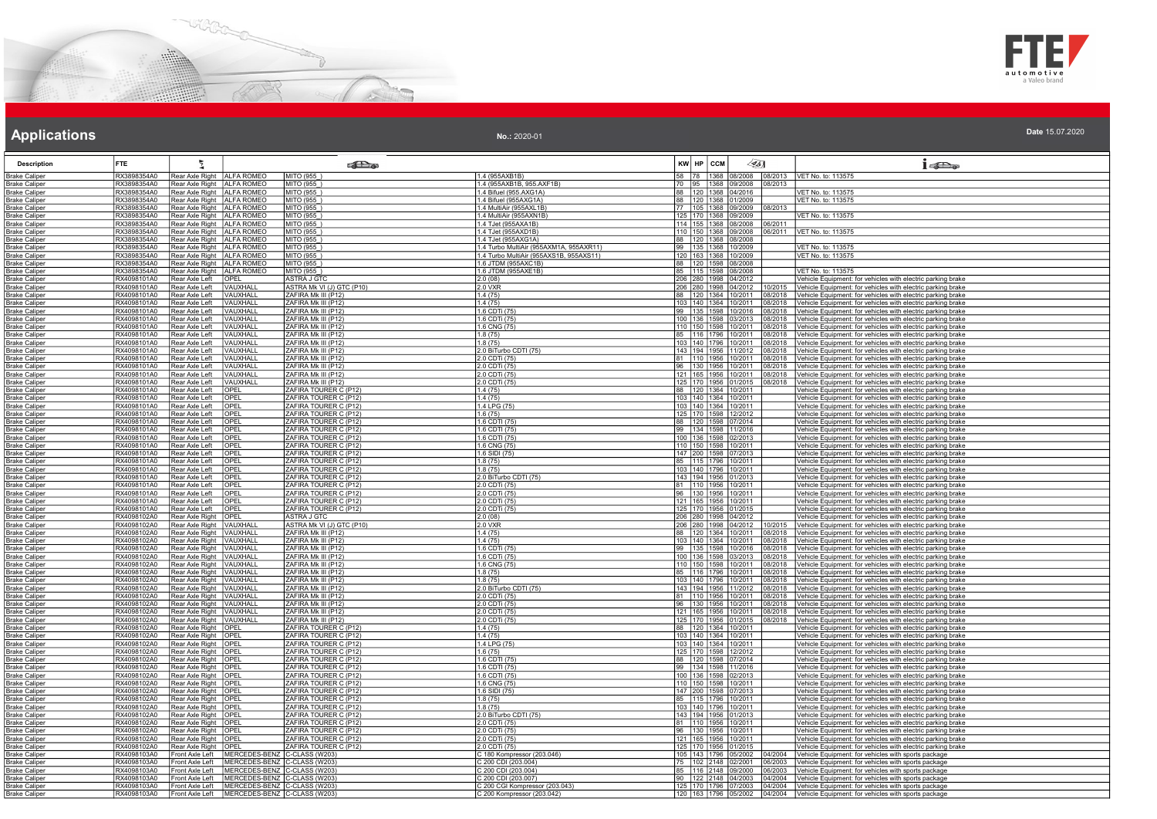



| No.: 2020-01 | Date 15.07.2020 |
|--------------|-----------------|
|              |                 |

| <b>Description</b>                           | <b>FTE</b>                 |                                                              |                                                                                              | <b>Red</b>                                     |                                                              | KW HP CCM                                              | 45]                | 15D <sub>o</sub>                                                                                                             |
|----------------------------------------------|----------------------------|--------------------------------------------------------------|----------------------------------------------------------------------------------------------|------------------------------------------------|--------------------------------------------------------------|--------------------------------------------------------|--------------------|------------------------------------------------------------------------------------------------------------------------------|
| <b>Brake Caliper</b>                         | RX3898354A0                | Rear Axle Right   ALFA ROMEO                                 |                                                                                              | MITO (955)                                     | 1.4 (955AXB1B)                                               | 58 78 1368 08/2008                                     |                    | 08/2013   VET No. to: 113575                                                                                                 |
| <b>Brake Caliper</b>                         | RX3898354A0                | Rear Axle Right   ALFA ROMEO                                 |                                                                                              | MITO (955                                      | 1.4 (955AXB1B, 955.AXF1B)                                    | 70 95 1368 09/2008                                     | 08/2013            |                                                                                                                              |
| <b>Brake Caliper</b>                         | RX3898354A0                | Rear Axle Right   ALFA ROMEO                                 |                                                                                              | MITO (955_)                                    | 1.4 Bifuel (955.AXG1A)                                       | 88   120   1368   04/2016                              |                    | VET No. to: 113575                                                                                                           |
| <b>Brake Caliper</b><br><b>Brake Caliper</b> | RX3898354A0<br>RX3898354A0 | Rear Axle Right   ALFA ROMEO<br>Rear Axle Right   ALFA ROMEO |                                                                                              | MITO (955<br>MITO (955)                        | 1.4 Bifuel (955AXG1A)<br>1.4 MultiAir (955AXL1B              | 88 120 1368 01/2009<br>77 105 1368 09/2009             | 18/2013            | VET No. to: 113575                                                                                                           |
| <b>Brake Caliper</b>                         | RX3898354A0                | Rear Axle Right   ALFA ROMEO                                 |                                                                                              | MITO (955)                                     | 1.4 MultiAir (955AXN1B)                                      | 125 170 1368 09/2009                                   |                    | VET No. to: 113575                                                                                                           |
| <b>Brake Caliper</b>                         | RX3898354A0                | Rear Axle Right ALFA ROMEO                                   |                                                                                              | MITO (955)                                     | 1.4 TJet (955AXA1B)                                          | 114 155 1368 08/2008                                   | 06/2011            |                                                                                                                              |
| <b>Brake Caliper</b>                         | RX3898354A0                | Rear Axle Right   ALFA ROMEO                                 |                                                                                              | MITO (955)                                     | 1.4 TJet (955AXD1B                                           | 110 150 1368 09/2008                                   |                    | 6/2011   VET No. to: 113575                                                                                                  |
| <b>Brake Caliper</b>                         | RX3898354A0                | Rear Axle Right   ALFA ROMEO                                 |                                                                                              | MITO (955)                                     | 1.4 TJet (955AXG1A)                                          | 88 120 1368 08/2008                                    |                    |                                                                                                                              |
| Brake Caliper                                | RX3898354A0                | Rear Axle Right   ALFA ROMEO                                 |                                                                                              | MITO (955)                                     | 1.4 Turbo MultiAir (955AXM1A, 955AXR11)                      | 99 135 1368 10/2009<br>120 163 1368 10/2009            |                    | VET No. to: 113575                                                                                                           |
| Brake Caliper                                | RX3898354A0                | Rear Axle Right   ALFA ROMEO<br>Rear Axle Right ALFA ROMEO   |                                                                                              | MITO (955)<br>MITO (955)                       | 1.4 Turbo MultiAir (955AXS1B, 955AXS11)                      |                                                        |                    | VET No. to: 113575                                                                                                           |
| <b>Brake Caliper</b><br><b>Brake Caliper</b> | RX3898354A0<br>RX3898354A0 | Rear Axle Right ALFA ROMEO                                   |                                                                                              | MITO (955)                                     | 1.6 JTDM (955AXC1B)<br>1.6 JTDM (955AXE1B)                   | 88 120 1598 08/2008<br>85 115 1598 08/2008             |                    | VET No. to: 113575                                                                                                           |
| <b>Brake Caliper</b>                         | RX4098101A0                | Rear Axle Left                                               | OPEL                                                                                         | <b>ASTRA J GTC</b>                             | 2.0(08)                                                      | 206 280 1998 04/2012                                   |                    | Vehicle Equipment: for vehicles with electric parking brake                                                                  |
| <b>Brake Caliper</b>                         | RX4098101A0                | Rear Axle Left                                               | <b>VAUXHALL</b>                                                                              | ASTRA Mk VI (J) GTC (P10)                      | 20 VXR                                                       | 206 280 1998 04/2012                                   | 10/2015            | Vehicle Equipment: for vehicles with electric parking brake                                                                  |
| <b>Brake Caliper</b>                         | RX4098101A0                | Rear Axle Left                                               | VAUXHALL                                                                                     | ZAFIRA Mk III (P12)                            | 1.4(75)                                                      | 88   120   1364   10/2011                              | 8/2018             | Vehicle Equipment: for vehicles with electric parking brake                                                                  |
| <b>Brake Caliper</b>                         | RX4098101A0                | Rear Axle Left                                               | VAUXHALL                                                                                     | ZAFIRA Mk III (P12)                            | 1.4(75)                                                      | 103 140 1364 10/2011                                   | 08/2018            | Vehicle Equipment: for vehicles with electric parking brake                                                                  |
| <b>Brake Caliper</b>                         | RX4098101A0                | Rear Axle Left                                               | VAUXHALL                                                                                     | ZAFIRA Mk III (P12)                            | 1.6 CDTi (75                                                 | 99 135 1598 10/2016                                    | 08/2018            | Vehicle Equipment: for vehicles with electric parking brake                                                                  |
| <b>Brake Caliper</b><br><b>Brake Caliper</b> | RX4098101A0<br>RX4098101A0 | Rear Axle Left<br>Rear Axle Left                             | VAUXHALL<br>VAUXHALL                                                                         | ZAFIRA Mk III (P12)<br>ZAFIRA Mk III (P12)     | 1.6 CDTi (75)<br>1.6 CNG (75)                                | 100 136 1598 03/2013<br>110 150 1598 10/2011           | 08/2018<br>08/2018 | Vehicle Equipment: for vehicles with electric parking brake<br>Vehicle Equipment: for vehicles with electric parking brake   |
| Brake Caliper                                | RX4098101A0                | Rear Axle Left                                               | <b>VAUXHALL</b>                                                                              | ZAFIRA Mk III (P12)                            | 1.8(75)                                                      | 85 116 1796 10/2011                                    | 8/2018             | Vehicle Equipment: for vehicles with electric parking brake                                                                  |
| <b>Brake Caliper</b>                         | RX4098101A0                | Rear Axle Left                                               | VAUXHALL                                                                                     | ZAFIRA Mk III (P12)                            | 1.8(75)                                                      | 103 140 1796 10/2011                                   | 8/2018             | Vehicle Equipment: for vehicles with electric parking brake                                                                  |
| <b>Brake Caliper</b>                         | RX4098101A0                | Rear Axle Left                                               | VAUXHALL                                                                                     | ZAFIRA MK III (P12)                            | 2.0 BiTurbo CDTI (75)                                        | 143 194 1956 11/2012                                   | 8/2018             | Vehicle Equipment: for vehicles with electric parking brake                                                                  |
| <b>Brake Caliper</b>                         | RX4098101A0                | Rear Axle Left                                               | VAUXHALL                                                                                     | ZAFIRA Mk III (P12)                            | 2.0 CDTi (75)                                                | 81 110 1956 10/2011                                    | 8/2018             | Vehicle Equipment: for vehicles with electric parking brake                                                                  |
| <b>Brake Caliper</b>                         | RX4098101A0                | Rear Axle Left                                               | VAUXHALL                                                                                     | ZAFIRA Mk III (P12)                            | 2.0 CDTi (75)                                                | 96   130   1956   10/2011                              | 08/2018            | Vehicle Equipment: for vehicles with electric parking brake                                                                  |
| <b>Brake Caliper</b><br><b>Brake Caliper</b> | RX4098101A0<br>RX4098101A0 | Rear Axle Left<br>Rear Axle Left                             | VAUXHALL<br>VAUXHALL                                                                         | ZAFIRA Mk III (P12)<br>ZAFIRA Mk III (P12)     | 2.0 CDTi (75)<br>2.0 CDTi (75)                               | 121 165 1956 10/2011<br>125 170 1956 01/2015           | 08/2018<br>8/2018  | Vehicle Equipment: for vehicles with electric parking brake<br>Vehicle Equipment: for vehicles with electric parking brake   |
| <b>Brake Caliper</b>                         | RX4098101A0                | Rear Axle Left                                               | OPEL                                                                                         | ZAFIRA TOURER C (P12)                          | 1.4(75)                                                      | 88 120 1364 10/2011                                    |                    | Vehicle Equipment: for vehicles with electric parking brake                                                                  |
| <b>Brake Caliper</b>                         | RX4098101A0                | Rear Axle Left                                               | OPEL                                                                                         | ZAFIRA TOURER C (P12)                          | 1.4(75)                                                      | 103 140 1364 10/2011                                   |                    | Vehicle Equipment: for vehicles with electric parking brake                                                                  |
| <b>Brake Caliper</b>                         | RX4098101A0                | Rear Axle Left                                               | OPEL                                                                                         | ZAFIRA TOURER C (P12)                          | 1.4 LPG (75)                                                 | 103 140 1364 10/2011                                   |                    | Vehicle Equipment: for vehicles with electric parking brake                                                                  |
| <b>Brake Caliper</b>                         | RX4098101A0                | Rear Axle Left                                               | OPEL                                                                                         | ZAFIRA TOURER C (P12)                          | 1.6(75)                                                      | 125 170 1598 12/2012                                   |                    | Vehicle Equipment: for vehicles with electric parking brake                                                                  |
| <u> Brake Caliper</u>                        | RX4098101A0                | Rear Axle Left                                               | OPEI                                                                                         | ZAFIRA TOURER C (P12)                          | 1.6 CDTI (75)                                                | 88 120 1598 07/2014                                    |                    | Vehicle Equipment: for vehicles with electric parking brake                                                                  |
| <b>Brake Caliper</b>                         | RX4098101A0                | Rear Axle Left                                               | OPEL                                                                                         | ZAFIRA TOURER C (P12)                          | 1.6 CDTI (75)                                                | 99 134 1598 11/2016                                    |                    | Vehicle Equipment: for vehicles with electric parking brake                                                                  |
| <b>Brake Caliper</b><br><b>Brake Caliper</b> | RX4098101A0<br>RX4098101A0 | Rear Axle Left<br>Rear Axle Left                             | OPEL<br>OPEL                                                                                 | ZAFIRA TOURER C (P12)<br>ZAFIRA TOURER C (P12) | 1.6 CDTI (75)<br>1.6 CNG (75)                                | 100 136 1598 02/2013<br>110 150 1598 10/2011           |                    | Vehicle Equipment: for vehicles with electric parking brake<br>Vehicle Equipment: for vehicles with electric parking brake   |
| <b>Brake Caliper</b>                         | RX4098101A0                | Rear Axle Left                                               | OPEL                                                                                         | ZAFIRA TOURER C (P12)                          | 1.6 SIDI (75)                                                | 147 200 1598 07/2013                                   |                    | Vehicle Equipment: for vehicles with electric parking brake                                                                  |
| <b>Brake Caliper</b>                         | RX4098101A0                | Rear Axle Left                                               | OPEL                                                                                         | ZAFIRA TOURER C (P12)                          | 1.8(75)                                                      | 85   115   1796   10/2011                              |                    | Vehicle Equipment: for vehicles with electric parking brake                                                                  |
| Brake Calipe                                 | RX4098101A0                | Rear Axle Left                                               | <b>OPEL</b>                                                                                  | ZAFIRA TOURER C (P12)                          | 1.8(75)                                                      | 103 140 1796 10/2011                                   |                    | Vehicle Equipment: for vehicles with electric parking brake                                                                  |
| <b>Brake Caliper</b>                         | RX4098101A0                | Rear Axle Left                                               | OPEL                                                                                         | ZAFIRA TOURER C (P12)                          | 2.0 BiTurbo CDTI (75)                                        | 143 194 1956 01/2013                                   |                    | Vehicle Equipment: for vehicles with electric parking brake                                                                  |
| Brake Caliper                                | RX4098101A0                | Rear Axle Left                                               | OPEL                                                                                         | ZAFIRA TOURER C (P12)                          | 2.0 CDTi (75)                                                | 81 110 1956 10/2011                                    |                    | Vehicle Equipment: for vehicles with electric parking brake                                                                  |
| <b>Brake Caliper</b>                         | RX4098101A0<br>RX4098101A0 | Rear Axle Left                                               | OPEL<br>OPEL                                                                                 | ZAFIRA TOURER C (P12)<br>ZAFIRA TOURER C (P12) | 2.0 CDTi (75)<br>2.0 CDTi (75)                               | 96 130 1956 10/2011<br>121 165 1956 10/2011            |                    | Vehicle Equipment: for vehicles with electric parking brake<br>Vehicle Equipment: for vehicles with electric parking brake   |
| <b>Brake Caliper</b><br><b>Brake Caliper</b> | RX4098101A0                | Rear Axle Left<br>l Rear Axle Left                           | <b>OPEL</b>                                                                                  | ZAFIRA TOURFR C (P12)                          | 2.0 CDTi (75)                                                | 125 170 1956 01/2015                                   |                    | Vehicle Equipment: for vehicles with electric parking brake                                                                  |
| <b>Brake Caliper</b>                         | RX4098102A0                | Rear Axle Right                                              | <b>OPEL</b>                                                                                  | ASTRA J GTC                                    | 2.0(08)                                                      | 206 280 1998 04/2012                                   |                    | Vehicle Equipment: for vehicles with electric parking brake                                                                  |
| <b>Brake Caliper</b>                         | RX4098102A0                | Rear Axle Right   VAUXHAL                                    |                                                                                              | ASTRA Mk VI (J) GTC (P10)                      | 2.0 VXR                                                      | 206 280 1998 04/2012                                   | 0/2015             | Vehicle Equipment: for vehicles with electric parking brake                                                                  |
| <b>Brake Caliper</b>                         | RX4098102A0                | Rear Axle Right VAUXHALL                                     |                                                                                              | ZAFIRA Mk III (P12)                            | 1.4(75)                                                      | 88 120 1364 10/2011                                    | 08/2018            | Vehicle Equipment: for vehicles with electric parking brake                                                                  |
| <b>Brake Caliper</b>                         | RX4098102A0                | Rear Axle Right   VAUXHALI                                   |                                                                                              | ZAFIRA Mk III (P12)                            | 1.4(75)                                                      | 103 140 1364 10/2011                                   | 08/2018            | Vehicle Equipment: for vehicles with electric parking brake                                                                  |
| <b>Brake Caliper</b>                         | RX4098102A0<br>RX4098102A0 | Rear Axle Right   VAUXHALL<br>Rear Axle Right   VAUXHALL     |                                                                                              | ZAFIRA Mk III (P12)<br>ZAFIRA Mk III (P12)     | 1.6 CDTi (75)<br>1.6 CDTi (75                                | 99   135   1598   10/2016<br>100 136 1598 03/2013      | 08/2018<br>18/2018 | Vehicle Equipment: for vehicles with electric parking brake                                                                  |
| Brake Caliper<br><b>Brake Caliper</b>        | RX4098102A0                | Rear Axle Right   VAUXHALI                                   |                                                                                              | ZAFIRA Mk III (P12)                            | 1.6 CNG (75)                                                 |                                                        | 8/2018             | Vehicle Equipment: for vehicles with electric parking brake<br>Vehicle Equipment: for vehicles with electric parking brake   |
| <b>Brake Caliper</b>                         | RX4098102A0                | Rear Axle Right   VAUXHALL                                   |                                                                                              | ZAFIRA Mk III (P12)                            | 1.8(75)                                                      | 110 150 1598 10/2011<br>85 116 1796 10/2011            | 08/2018            | Vehicle Equipment: for vehicles with electric parking brake                                                                  |
| <b>Brake Caliper</b>                         | RX4098102A0                | Rear Axle Right   VAUXHALL                                   |                                                                                              | ZAFIRA Mk III (P12)                            | 1.8(75)                                                      | 103 140 1796 10/2011                                   | 8/2018             | Vehicle Equipment: for vehicles with electric parking brake                                                                  |
| <b>Brake Caliper</b>                         | RX4098102A0                | Rear Axle Right   VAUXHALL                                   |                                                                                              | ZAFIRA Mk III (P12)                            | 2.0 BiTurbo CDTI (75)                                        | 143 194 1956 11/2012                                   | 18/2018            | Vehicle Equipment: for vehicles with electric parking brake                                                                  |
| Brake Caliper                                | RX4098102A0                | Rear Axle Right   VAUXHALL                                   |                                                                                              | ZAFIRA Mk III (P12)                            | 2.0 CDTi (75)                                                | 81  110  1956  10/2011                                 | 18/2018            | Vehicle Equipment: for vehicles with electric parking brake                                                                  |
| <b>Brake Caliper</b><br><b>Brake Caliper</b> | RX4098102A0<br>RX4098102A0 | Rear Axle Right   VAUXHALL<br>Rear Axle Right   VAUXHALL     |                                                                                              | ZAFIRA Mk III (P12)<br>ZAFIRA Mk III (P12)     | 2.0 CDTi (75)<br>2.0 CDTi (75)                               | 96 130 1956 10/2011<br>121 165 1956 10/2011            | 8/2018<br>18/2018  | Vehicle Equipment: for vehicles with electric parking brake<br>Vehicle Equipment: for vehicles with electric parking brake   |
| <b>Brake Caliper</b>                         | RX4098102A0                | Rear Axle Right   VAUXHALL                                   |                                                                                              | ZAFIRA Mk III (P12)                            | 2.0 CDTi (75                                                 | 125 170 1956 01/2015                                   | 8/2018             | Vehicle Equipment: for vehicles with electric parking brake                                                                  |
| <b>Brake Caliper</b>                         | RX4098102A0                | Rear Axle Right   OPEL                                       |                                                                                              | ZAFIRA TOURER C (P12)                          | 1.4(75)                                                      | 88 120 1364 10/2011                                    |                    | Vehicle Equipment: for vehicles with electric parking brake                                                                  |
| <b>Brake Caliper</b>                         | RX4098102A0                | Rear Axle Right   OPEL                                       |                                                                                              | ZAFIRA TOURER C (P12)                          | 1.4(75)                                                      | 103 140 1364 10/2011                                   |                    | Vehicle Equipment: for vehicles with electric parking brake                                                                  |
| <b>Brake Caliper</b>                         | RX4098102A0                | Rear Axle Right   OPEL                                       |                                                                                              | ZAFIRA TOURER C (P12)                          | 1.4 LPG (75                                                  | 103 140 1364 10/2011                                   |                    | Vehicle Equipment: for vehicles with electric parking brake                                                                  |
| Brake Caliper                                | RX4098102A0                | Rear Axle Right OPEL                                         |                                                                                              | ZAFIRA TOURER C (P12)                          | 1.6(75)                                                      | 125 170 1598 12/2012                                   |                    | Vehicle Equipment: for vehicles with electric parking brake                                                                  |
| <b>Brake Caliper</b><br><b>Brake Caliper</b> | RX4098102A0<br>RX4098102A0 | Rear Axle Right OPEL<br>Rear Axle Right   OPEL               |                                                                                              | ZAFIRA TOURER C (P12)<br>ZAFIRA TOURER C (P12) | 1.6 CDTI (75<br>1.6 CDTI (75)                                | 88 120 1598 07/2014<br>99 134 1598 11/2016             |                    | Vehicle Equipment: for vehicles with electric parking brake                                                                  |
| <b>Brake Caliper</b>                         | RX4098102A0                | Rear Axle Right OPEL                                         |                                                                                              | ZAFIRA TOURER C (P12)                          | 1.6 CDTI (75)                                                | 100 136 1598 02/2013                                   |                    | Vehicle Equipment: for vehicles with electric parking brake<br>Vehicle Equipment: for vehicles with electric parking brake   |
| <b>Brake Caliper</b>                         | RX4098102A0                | Rear Axle Right OPEL                                         |                                                                                              | ZAFIRA TOURER C (P12)                          | 1.6 CNG (75)                                                 | 110 150 1598 10/2011                                   |                    | Vehicle Equipment: for vehicles with electric parking brake                                                                  |
| <b>Brake Caliper</b>                         | RX4098102A0                | Rear Axle Right                                              | <b>IOPEL</b>                                                                                 | ZAFIRA TOURER C (P12)                          | 1.6 SIDI (75)                                                | 147 200 1598 07/2013                                   |                    | Vehicle Equipment: for vehicles with electric parking brake                                                                  |
| <b>Brake Caliper</b>                         | RX4098102A0                | Rear Axle Right   OPEL                                       |                                                                                              | ZAFIRA TOURER C (P12)                          | 1.8(75)                                                      | 85 115 1796 10/2011                                    |                    | Vehicle Equipment: for vehicles with electric parking brake                                                                  |
| Brake Caliper                                | RX4098102A0                | Rear Axle Right   OPEL                                       |                                                                                              | ZAFIRA TOURER C (P12)                          | 1.8(75)                                                      | 103 140 1796 10/2011                                   |                    | Vehicle Equipment: for vehicles with electric parking brake                                                                  |
| <b>Brake Caliper</b>                         | RX4098102A0                | Rear Axle Right OPEL                                         |                                                                                              | ZAFIRA TOURER C (P12)                          | 2.0 BiTurbo CDTI (75)                                        | 143 194 1956 01/2013                                   |                    | Vehicle Equipment: for vehicles with electric parking brake                                                                  |
| <b>Brake Caliper</b><br><b>Brake Caliper</b> | RX4098102A0<br>RX4098102A0 | Rear Axle Right   OPEL<br>Rear Axle Right   OPEL             |                                                                                              | ZAFIRA TOURER C (P12)<br>ZAFIRA TOURER C (P12) | 2.0 CDTi (75)<br>2.0 CDTi (75)                               | 81   110   1956   10/2011<br>96   130   1956   10/2011 |                    | Vehicle Equipment: for vehicles with electric parking brake<br>Vehicle Equipment: for vehicles with electric parking brake   |
| <b>Brake Caliper</b>                         | RX4098102A0                | Rear Axle Right   OPEL                                       |                                                                                              | ZAFIRA TOURER C (P12)                          | 2.0 CDTi (75)                                                | 121 165 1956 10/2011                                   |                    | Vehicle Equipment: for vehicles with electric parking brake                                                                  |
| Brake Caliper                                | RX4098102A0                | Rear Axle Right   OPEL                                       |                                                                                              | ZAFIRA TOURER C (P12)                          | 2.0 CDTi (75)                                                | 125 170 1956 01/2015                                   |                    | Vehicle Equipment: for vehicles with electric parking brake                                                                  |
| <b>Brake Caliper</b>                         | RX4098103A0                | Front Axle Left                                              | MERCEDES-BENZ C-CLASS (W203)                                                                 |                                                | C 180 Kompressor (203.046)                                   | 105 143 1796 05/2002                                   |                    | 04/2004 Vehicle Equipment: for vehicles with sports package                                                                  |
| <b>Brake Caliper</b>                         | RX4098103A0                | Front Axle Left                                              | MERCEDES-BENZ C-CLASS (W203)                                                                 |                                                | C 200 CDI (203.004)                                          | 75 102 2148 02/2001                                    | 6/2003             | Vehicle Equipment: for vehicles with sports package                                                                          |
| <b>Brake Caliper</b>                         | RX4098103A0                | Front Axle Left                                              | MERCEDES-BENZ C-CLASS (W203)                                                                 |                                                | C 200 CDI (203.004)                                          | 85   116   2148   09/2000                              | 06/2003            | Vehicle Equipment: for vehicles with sports package                                                                          |
| <b>Brake Caliper</b>                         | RX4098103A0<br>RX4098103A0 | Front Axle Left                                              | MERCEDES-BENZ C-CLASS (W203)                                                                 |                                                | C 200 CDI (203.007)                                          | 90 122 2148 04/2003                                    |                    | 14/2004 Vehicle Equipment: for vehicles with sports package                                                                  |
| <b>Brake Caliper</b><br><b>Brake Caliper</b> | RX4098103A0                |                                                              | Front Axle Left MERCEDES-BENZ C-CLASS (W203)<br>Front Axle Left MERCEDES-BENZ C-CLASS (W203) |                                                | C 200 CGI Kompressor (203.043)<br>C 200 Kompressor (203.042) | 125 170 1796 07/2003<br>120 163 1796 05/2002           |                    | 14/2004 Vehicle Equipment: for vehicles with sports package<br>04/2004   Vehicle Equipment: for vehicles with sports package |
|                                              |                            |                                                              |                                                                                              |                                                |                                                              |                                                        |                    |                                                                                                                              |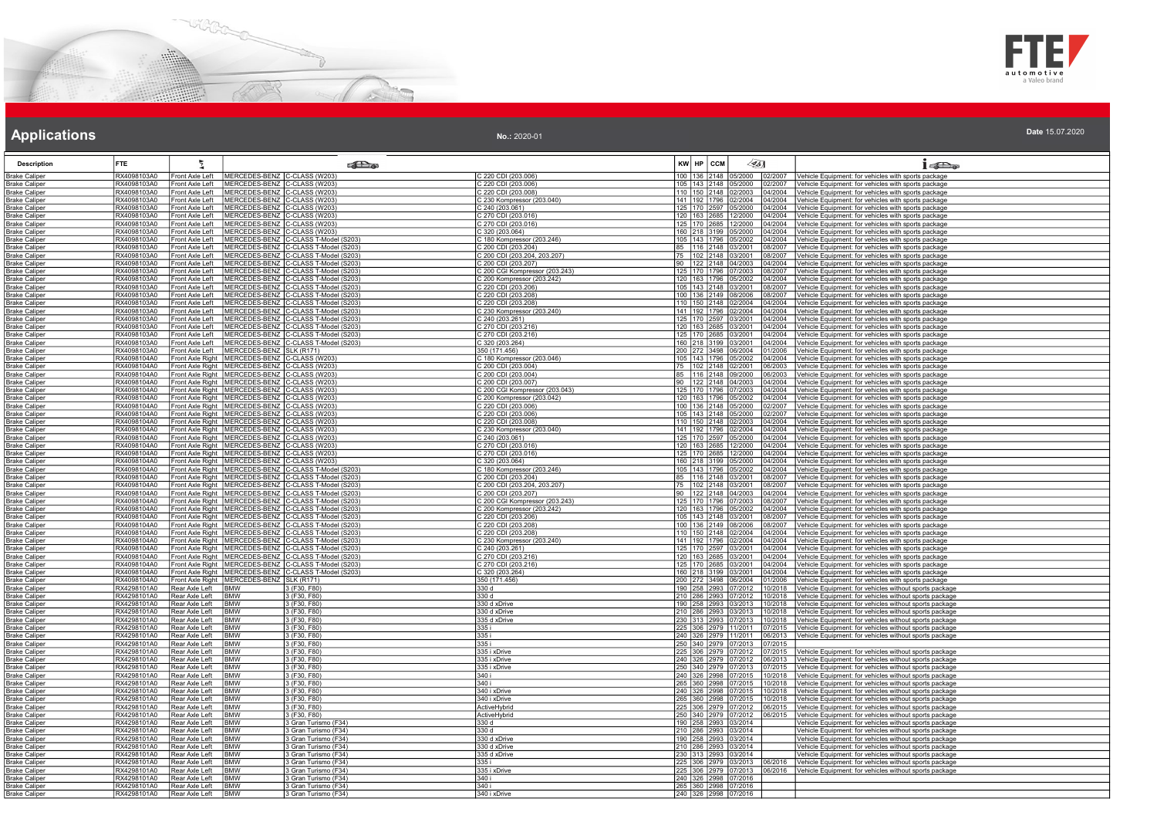



### **Applications Applications Applications**

| No.: 2020-01 | Date 15.07.2020 |
|--------------|-----------------|
|              |                 |

| RX4098103A0<br>Front Axle Left<br>MERCEDES-BENZ C-CLASS (W203<br>C 220 CDI (203.006)<br>100 136 2148<br>05/2000<br>02/2007<br>Vehicle Equipment: for vehicles with sports package<br>MERCEDES-BENZ C-CLASS (W203)<br>105 143 2148 05/2000<br>Front Axle Left<br>Vehicle Equipment: for vehicles with sports package<br>RX4098103A0<br>C 220 CDI (203.006)<br>02/2007<br>MERCEDES-BENZ C-CLASS (W203)<br>MERCEDES-BENZ C-CLASS (W203)<br>MERCEDES-BENZ C-CLASS (W203)<br>Brake Caliper<br>RX4098103A0<br>Front Axle Left<br>220 CDI (203.008)<br>110 150 2148 02/2003<br>04/2004<br>Vehicle Equipment: for vehicles with sports package<br>RX4098103A0<br>Front Axle Left<br>C 230 Kompressor (203.040)<br>141 192 1796 02/2004<br>04/2004<br>Vehicle Equipment: for vehicles with sports package<br><b>Brake Caliper</b><br>$C$ 240 (203.061)<br>RX4098103A0<br>125 170 2597 05/2000<br>04/2004<br>Front Axle Left<br><b>Brake Caliper</b><br>Vehicle Equipment: for vehicles with sports package<br>RX4098103A0<br>Front Axle Left<br>MERCEDES-BENZ C-CLASS (W203)<br>C 270 CDI (203.016)<br><b>Brake Caliper</b><br>120 163 2685 12/2000<br>04/2004<br>Vehicle Equipment: for vehicles with sports package<br>MERCEDES-BENZ C-CLASS (W203)<br><b>Brake Caliper</b><br>RX4098103A0<br>Front Axle Left<br>C 270 CDI (203.016)<br>125 170 2685 12/2000<br>04/2004<br>/ehicle Equipment: for vehicles with sports package<br>RX4098103A0<br>Front Axle Left<br>MERCEDES-BENZ C-CLASS (W203)<br>C 320 (203.064)<br>160 218 3199<br>04/2004<br>Vehicle Equipment: for vehicles with sports package<br><b>Brake Caliper</b><br>05/2000<br>RX4098103A0<br>MERCEDES-BENZ C-CLASS T-Model (S203)<br>105 143 1796<br><b>Brake Caliper</b><br>Front Axle Left<br>2 180 Kompressor (203.246)<br>05/2002<br>04/2004<br>/ehicle Equipment: for vehicles with sports package<br>RX4098103A0<br>MERCEDES-BENZ C-CLASS T-Model (S203)<br>C 200 CDI (203.204)<br>85 116 2148<br>Front Axle Left<br>03/2001<br>08/2007<br>/ehicle Equipment: for vehicles with sports package<br>MERCEDES-BENZ C-CLASS T-Model (S203)<br>C 200 CDI (203.204, 203.207)<br>RX4098103A0<br>Front Axle Left<br>75 102 2148 03/2001<br>08/2007<br>Vehicle Equipment: for vehicles with sports package<br>RX4098103A0<br>MERCEDES-BENZ C-CLASS T-Model (S203)<br>90 122 2148 04/2003<br>Vehicle Equipment: for vehicles with sports package<br><b>Brake Caliper</b><br>Front Axle Left<br>C 200 CDI (203.207)<br>04/2004<br>MERCEDES-BENZ C-CLASS T-Model (S203)<br>C 200 CGI Kompressor (203.243)<br>RX4098103A0<br>Front Axle Left<br>125 170 1796 07/2003<br>Vehicle Equipment: for vehicles with sports package<br><b>Brake Caliper</b><br>08/2007<br><b>Brake Caliper</b><br>RX4098103A0<br>Front Axle Left<br>MERCEDES-BENZ C-CLASS T-Model (S203)<br>C 200 Kompressor (203.242)<br>120 163 1796 05/2002<br>04/2004<br>/ehicle Equipment: for vehicles with sports package<br>RX4098103A0<br>Front Axle Left<br>MERCEDES-BENZ C-CLASS T-Model (S203)<br>MERCEDES-BENZ C-CLASS T-Model (S203)<br>C 220 CDI (203.206)<br>105 143 2148<br>03/2001<br>08/2007<br>/ehicle Equipment: for vehicles with sports package<br><b>Brake Caliper</b><br>C 220 CDI (203.208)<br>100 136 2149 08/2006<br>RX4098103A0<br>Front Axle Left<br>08/2007<br>Vehicle Equipment: for vehicles with sports package<br><b>Brake Caliper</b><br>RX4098103A0<br>Front Axle Left<br>MERCEDES-BENZ C-CLASS T-Model (S203)<br>C 220 CDI (203.208)<br>110 150 2148 02/2004<br>/ehicle Equipment: for vehicles with sports package<br>04/2004<br>MERCEDES-BENZ C-CLASS T-Model (S203)<br>RX4098103A0<br>Front Axle Left<br>C 230 Kompressor (203.240)<br>C 240 (203.261)<br>141 192 1796<br>02/2004<br>04/2004<br>/ehicle Equipment: for vehicles with sports package<br>Front Axle Left<br>MERCEDES-BENZ C-CLASS T-Model (S203)<br>Vehicle Equipment: for vehicles with sports package<br>RX4098103A0<br>125   170   2597   03/2001<br>04/2004<br><b>Brake Caliper</b><br>MERCEDES-BENZ C-CLASS T-Model (S203)<br>RX4098103A0<br>Front Axle Left<br>270 CDI (203.216)<br>120 163 2685<br>3/2001<br>04/2004<br>/ehicle Equipment: for vehicles with sports package<br><b>Brake Caliper</b><br>RX4098103A0<br>MERCEDES-BENZ C-CLASS T-Model (S203)<br><b>Brake Caliper</b><br>Front Axle Left<br>C 270 CDI (203.216)<br>125 170 2685<br>03/2001<br>04/2004<br>/ehicle Equipment: for vehicles with sports package<br>MERCEDES-BENZ C-CLASS T-Model (S203)<br>/ehicle Equipment: for vehicles with sports package<br><b>Brake Caliper</b><br>RX4098103A0<br>Front Axle Left<br>C 320 (203.264)<br>160 218 3199 03/2001<br>04/2004<br>RX4098103A0<br>MERCEDES-BENZ SLK (R171)<br>200 272 3498 06/2004<br>Vehicle Equipment: for vehicles with sports package<br><b>Brake Caliper</b><br>Front Axle Left<br>350 (171.456)<br>01/2006<br>Front Axle Right   MERCEDES-BENZ   C-CLASS (W203)<br>C 180 Kompressor (203.046)<br>105 143 1796 05/2002<br>Vehicle Equipment: for vehicles with sports package<br><b>Brake Caliper</b><br>RX4098104A0<br>04/2004<br>RX4098104A0<br>Front Axle Right MERCEDES-BENZ C-CLASS (W203)<br>200 CDI (203.004)<br>75 102 2148 02/2001<br>06/2003<br>/ehicle Equipment: for vehicles with sports package<br><b>Brake Caliper</b><br>RX4098104A0<br>Front Axle Right MERCEDES-BENZ C-CLASS (W203)<br>Front Axle Right MERCEDES-BENZ C-CLASS (W203)<br>C 200 CDI (203.004)<br>85 116 2148 09/2000<br>90 122 2148 04/2003<br>06/2003<br>Vehicle Equipment: for vehicles with sports package<br>RX4098104A0<br>C 200 CDI (203.007)<br>04/2004<br>/ehicle Equipment: for vehicles with sports package<br>Front Axle Right   MERCEDES-BENZ C-CLASS (W203)<br>RX4098104A0<br>C 200 CGI Kompressor (203.043)<br>125 170 1796 07/2003<br>04/2004<br>/ehicle Equipment: for vehicles with sports package<br><b>Brake Caliper</b><br>RX4098104A0<br>Front Axle Right   MERCEDES-BENZ   C-CLASS (W203)<br>C 200 Kompressor (203.042)<br>120 163 1796 05/2002<br>04/2004<br>Vehicle Equipment: for vehicles with sports package<br>RX4098104A0<br>Front Axle Right   MERCEDES-BENZ C-CLASS (W203)<br>C 220 CDI (203.006)<br>100 136 2148<br>/ehicle Equipment: for vehicles with sports package<br>02/2007<br><b>Brake Caliper</b><br>05/2000<br>RX4098104A0<br>Front Axle Right MERCEDES-BENZ C-CLASS (W203)<br><b>Brake Caliper</b><br>220 CDI (203.006)<br>105 143 2148<br>5/2000<br>02/2007<br>/ehicle Equipment: for vehicles with sports package<br>Front Axle Right   MERCEDES-BENZ C-CLASS (W203)<br>110 150 2148<br><b>Brake Caliper</b><br>RX4098104A0<br>C 220 CDI (203.008)<br>02/2003<br>04/2004<br>/ehicle Equipment: for vehicles with sports package<br>Front Axle Right   MERCEDES-BENZ   C-CLASS (W203)<br>RX4098104A0<br>C 230 Kompressor (203.040)<br>141 192 1796 02/2004<br>04/2004<br>/ehicle Equipment: for vehicles with sports package<br><b>Brake Caliper</b><br>Front Axle Right   MERCEDES-BENZ   C-CLASS (W203)<br>C 240 (203.061)<br>125 170 2597 05/2000<br>Vehicle Equipment: for vehicles with sports package<br>RX4098104A0<br>04/2004<br>Front Axle Right MERCEDES-BENZ C-CLASS (W203)<br>RX4098104A0<br>/ehicle Equipment: for vehicles with sports package<br>C 270 CDI (203.016)<br>120   163   2685   12/2000<br>04/2004<br>RX4098104A0<br>Front Axle Right MERCEDES-BENZ C-CLASS (W203)<br><b>Brake Caliper</b><br>C 270 CDI (203.016)<br>125 170 2685 12/2000<br>04/2004<br>/ehicle Equipment: for vehicles with sports package<br>RX4098104A0<br>Front Axle Right MERCEDES-BENZ C-CLASS (W203)<br>Front Axle Right MERCEDES-BENZ C-CLASS T-Model (S203)<br>C 320 (203.064)<br>160 218 3199 05/2000<br>04/2004<br>Vehicle Equipment: for vehicles with sports package<br><b>Brake Caliper</b><br>105 143 1796 05/2002<br>RX4098104A0<br>C 180 Kompressor (203.246)<br>04/2004<br>Vehicle Equipment: for vehicles with sports package<br><b>Brake Caliper</b><br>Front Axle Right   MERCEDES-BENZ C-CLASS T-Model (S203)<br>C 200 CDI (203.204)<br>RX4098104A0<br>85 116 2148 03/2001<br>08/2007<br>/ehicle Equipment: for vehicles with sports package<br><b>Brake Caliper</b><br>RX4098104A0<br>Front Axle Right   MERCEDES-BENZ   C-CLASS T-Model (S203)<br>C 200 CDI (203.204, 203.207)<br>75 102 2148 03/2001<br>08/2007<br>/ehicle Equipment: for vehicles with sports package<br><b>Brake Caliper</b><br>Front Axle Right MERCEDES-BENZ C-CLASS T-Model (S203)<br>90 122 2148 04/2003<br>RX4098104A0<br>C 200 CDI (203.207)<br>Vehicle Equipment: for vehicles with sports package<br><b>Brake Caliper</b><br>04/2004<br>Front Axle Right MERCEDES-BENZ C-CLASS T-Model (S203)<br>RX4098104A0<br>C 200 CGI Kompressor (203.243)<br>125 170 1796<br>7/2003<br>08/2007<br>/ehicle Equipment: for vehicles with sports package<br><b>Brake Caliper</b><br>Front Axle Right   MERCEDES-BENZ   C-CLASS T-Model (S203)<br>120 163 1796<br>RX4098104A0<br>C 200 Kompressor (203.242)<br>05/2002<br>04/2004<br>/ehicle Equipment: for vehicles with sports package<br>Front Axle Right MERCEDES-BENZ C-CLASS T-Model (S203)<br>C 220 CDI (203.206)<br>/ehicle Equipment: for vehicles with sports package<br>RX4098104A0<br>105 143 2148 03/2001<br>08/2007<br>Front Axle Right   MERCEDES-BENZ   C-CLASS T-Model (S203)<br>C 220 CDI (203.208)<br>100 136 2149 08/2006<br>/ehicle Equipment: for vehicles with sports package<br><b>Brake Caliper</b><br>RX4098104A0<br>08/2007<br>Front Axle Right MERCEDES-BENZ C-CLASS T-Model (S203)<br>110 150 2148 02/2004<br>Vehicle Equipment: for vehicles with sports package<br><b>Brake Caliper</b><br>RX4098104A0<br>C 220 CDI (203.208)<br>04/2004<br>RX4098104A0<br>Front Axle Right   MERCEDES-BENZ   C-CLASS T-Model (S203)<br>C 230 Kompressor (203.240)<br>141 192 1796 02/2004<br>04/2004<br>/ehicle Equipment: for vehicles with sports package<br><b>Brake Caliper</b><br>RX4098104A0<br>Front Axle Right MERCEDES-BENZ C-CLASS T-Model (S203)<br>Front Axle Right MERCEDES-BENZ C-CLASS T-Model (S203)<br>C 240 (203.261)<br>125 170 2597 03/2001<br>04/2004<br>Vehicle Equipment: for vehicles with sports package<br><b>Brake Caliper</b><br>C 270 CDI (203.216)<br>120 163 2685 03/2001<br>RX4098104A0<br>04/2004<br>Vehicle Equipment: for vehicles with sports package<br><b>Brake Caliper</b><br>Front Axle Right   MERCEDES-BENZ C-CLASS T-Model (S203)<br>RX4098104A0<br>C 270 CDI (203.216)<br>125 170 2685 03/2001<br>04/2004<br>/ehicle Equipment: for vehicles with sports package<br><b>Brake Caliper</b><br>RX4098104A0<br>Front Axle Right   MERCEDES-BENZ   C-CLASS T-Model (S203)<br>C 320 (203.264)<br>160 218 3199 03/2001<br>04/2004<br>Vehicle Equipment: for vehicles with sports package<br>RX4098104A0<br>Front Axle Right   MERCEDES-BENZ   SLK (R171)<br>200 272 3498<br>01/2006<br>/ehicle Equipment: for vehicles with sports package<br>350 (171.456)<br>06/2004<br><b>Brake Caliper</b><br>RX4298101A0<br>Rear Axle Left<br><b>BMW</b><br>3 (F30, F80)<br>330 d<br>190 258 2993 0<br>07/2012<br>10/2018<br>/ehicle Equipment: for vehicles without sports package<br><b>Brake Caliper</b><br>RX4298101A0<br>Rear Axle Left<br><b>BMW</b><br>3 (F30, F80)<br>330 d<br>210 286 2993 07/2012<br>10/2018<br>/ehicle Equipment: for vehicles without sports package<br><b>BMW</b><br>190 258 2993 03/2013<br>RX4298101A0<br>Rear Axle Left<br>3 (F30, F80)<br>330 d xDrive<br>10/2018<br>/ehicle Equipment: for vehicles without sports package<br><b>Brake Caliper</b><br>Vehicle Equipment: for vehicles without sports package<br><b>Brake Caliper</b><br>RX4298101A0<br>Rear Axle Left<br><b>BMW</b><br>3 (F30, F80)<br>330 d xDrive<br>210 286 2993 03/2013<br>10/2018<br>/ehicle Equipment: for vehicles without sports package<br><b>Brake Caliper</b><br>RX4298101A0<br>Rear Axle Left<br><b>BMW</b><br>3 (F30, F80)<br>335 d xDrive<br>230 313 2993 07/2013<br>10/2018<br><b>Brake Caliper</b><br>RX4298101A0<br>Rear Axle Left<br><b>BMW</b><br>3 (F30, F80)<br>225 306 2979 11/2011<br>07/2015<br>/ehicle Equipment: for vehicles without sports package<br>335 i<br>RX4298101A0<br>Rear Axle Left<br><b>BMW</b><br>3 (F30, F80)<br>335 i<br>240 326 2979 11/2011<br>06/2013<br>Vehicle Equipment: for vehicles without sports package<br><b>BMW</b><br>335 i<br>250 340 2979 07/2013<br>RX4298101A0<br>Rear Axle Left<br>3 (F30, F80)<br>07/2015<br>RX4298101A0<br>Rear Axle Left<br><b>BMW</b><br>3 (F30, F80)<br>335 i xDrive<br>225 306 2979 07/2012<br>07/2015<br><b>Brake Caliper</b><br>Vehicle Equipment: for vehicles without sports package<br>RX4298101A0<br>Rear Axle Left<br><b>BMW</b><br>3 (F30, F80)<br>335 i xDrive<br>240 326 2979 07/2012<br>/ehicle Equipment: for vehicles without sports package<br><b>Brake Caliper</b><br>06/2013<br>RX4298101A0<br>Rear Axle Left<br>3 (F30, F80)<br>250 340 2979 07/2013<br>Vehicle Equipment: for vehicles without sports package<br><b>Brake Caliper</b><br><b>BMW</b><br>335 i xDrive<br>07/2015<br><b>Brake Caliper</b><br>RX4298101A0<br>Rear Axle Left<br>3 (F30, F80)<br>240 326 2998<br>7/2015<br>10/2018<br>/ehicle Equipment: for vehicles without sports package<br><b>BMW</b><br>340 i<br><b>Brake Caliper</b><br>RX4298101A0<br>Rear Axle Left<br>BMW<br>3 (F30, F80)<br>340 i<br>265 360 2998<br>)7/2015<br>10/2018<br>/ehicle Equipment: for vehicles without sports package<br>RX4298101A0<br>Rear Axle Left<br><b>BMW</b><br>3 (F30, F80)<br>240 326 2998 07/2015<br>Vehicle Equipment: for vehicles without sports package<br>340 i xDrive<br>10/2018<br><b>Brake Caliper</b><br>/ehicle Equipment: for vehicles without sports package<br><b>Brake Caliper</b><br>RX4298101A0<br>Rear Axle Left<br><b>BMW</b><br>3 (F30, F80)<br>340 i xDrive<br>265 360 2998 07/2015<br>10/2018<br>Vehicle Equipment: for vehicles without sports package<br>RX4298101A0<br>Rear Axle Left<br><b>BMW</b><br>3 (F30, F80)<br>ActiveHybrid<br>225 306 2979 07/2012<br>06/2015<br>RX4298101A0<br>Rear Axle Left<br>3 (F30, F80)<br>ActiveHvbrid<br>250 340 2979 07/2012<br>Vehicle Equipment: for vehicles without sports package<br><b>BMW</b><br>06/2015<br>RX4298101A0<br>Rear Axle Left<br>3 Gran Turismo (F34)<br>3 Gran Turismo (F34)<br>330 d<br>190 258 2993 03/2014<br>210 286 2993 03/2014<br>/ehicle Equipment: for vehicles without sports package<br>BMW<br>RX4298101A0<br>Rear Axle Left<br>BMW<br>330 d<br>Vehicle Equipment: for vehicles without sports package<br>190 258 2993 03/2014<br>RX4298101A0<br>Rear Axle Left<br><b>BMW</b><br>330 d xDrive<br>3 Gran Turismo (F34<br>/ehicle Equipment: for vehicles without sports package<br><b>Brake Caliper</b><br>RX4298101A0<br>Rear Axle Left<br><b>BMW</b><br>3 Gran Turismo (F34)<br>330 d xDrive<br>210 286 2993 03/2014<br>/ehicle Equipment: for vehicles without sports package<br><b>Brake Caliper</b><br>RX4298101A0<br>3 Gran Turismo (F34)<br>/ehicle Equipment: for vehicles without sports package<br>Rear Axle Left<br><b>BMW</b><br>335 d xDrive<br>230 313 2993 03/2014<br><b>Brake Caliper</b><br>RX4298101A0<br>Rear Axle Left<br>Gran Turismo (F34)<br>225 306 2979<br>3/2013<br>Vehicle Equipment: for vehicles without sports package<br><b>Brake Caliper</b><br><b>BMW</b><br>335 i<br>06/2016<br>225 306 2979 07/2013<br>RX4298101A0<br>Rear Axle Left<br>BMW<br>3 Gran Turismo (F34)<br>335 i xDrive<br>06/2016<br>Vehicle Equipment: for vehicles without sports package<br><b>BMW</b><br>240 326 2998 07/2016<br>RX4298101A0<br>Rear Axle Left<br>3 Gran Turismo (F34)<br>340 i<br>265 360 2998 07/2016<br><b>Brake Caliper</b><br>RX4298101A0<br>Rear Axle Left<br><b>BMW</b><br>3 Gran Turismo (F34)<br>340 i<br>RX4298101A0 Rear Axle Left<br><b>Brake Caliper</b><br><b>BMW</b><br>3 Gran Turismo (F34)<br>340 i xDrive<br>240 326 2998 07/2016 | <b>Description</b>   | FTE | <b>SET</b> | KW HP CCM | 45] | 15D <sub>o</sub> |
|---------------------------------------------------------------------------------------------------------------------------------------------------------------------------------------------------------------------------------------------------------------------------------------------------------------------------------------------------------------------------------------------------------------------------------------------------------------------------------------------------------------------------------------------------------------------------------------------------------------------------------------------------------------------------------------------------------------------------------------------------------------------------------------------------------------------------------------------------------------------------------------------------------------------------------------------------------------------------------------------------------------------------------------------------------------------------------------------------------------------------------------------------------------------------------------------------------------------------------------------------------------------------------------------------------------------------------------------------------------------------------------------------------------------------------------------------------------------------------------------------------------------------------------------------------------------------------------------------------------------------------------------------------------------------------------------------------------------------------------------------------------------------------------------------------------------------------------------------------------------------------------------------------------------------------------------------------------------------------------------------------------------------------------------------------------------------------------------------------------------------------------------------------------------------------------------------------------------------------------------------------------------------------------------------------------------------------------------------------------------------------------------------------------------------------------------------------------------------------------------------------------------------------------------------------------------------------------------------------------------------------------------------------------------------------------------------------------------------------------------------------------------------------------------------------------------------------------------------------------------------------------------------------------------------------------------------------------------------------------------------------------------------------------------------------------------------------------------------------------------------------------------------------------------------------------------------------------------------------------------------------------------------------------------------------------------------------------------------------------------------------------------------------------------------------------------------------------------------------------------------------------------------------------------------------------------------------------------------------------------------------------------------------------------------------------------------------------------------------------------------------------------------------------------------------------------------------------------------------------------------------------------------------------------------------------------------------------------------------------------------------------------------------------------------------------------------------------------------------------------------------------------------------------------------------------------------------------------------------------------------------------------------------------------------------------------------------------------------------------------------------------------------------------------------------------------------------------------------------------------------------------------------------------------------------------------------------------------------------------------------------------------------------------------------------------------------------------------------------------------------------------------------------------------------------------------------------------------------------------------------------------------------------------------------------------------------------------------------------------------------------------------------------------------------------------------------------------------------------------------------------------------------------------------------------------------------------------------------------------------------------------------------------------------------------------------------------------------------------------------------------------------------------------------------------------------------------------------------------------------------------------------------------------------------------------------------------------------------------------------------------------------------------------------------------------------------------------------------------------------------------------------------------------------------------------------------------------------------------------------------------------------------------------------------------------------------------------------------------------------------------------------------------------------------------------------------------------------------------------------------------------------------------------------------------------------------------------------------------------------------------------------------------------------------------------------------------------------------------------------------------------------------------------------------------------------------------------------------------------------------------------------------------------------------------------------------------------------------------------------------------------------------------------------------------------------------------------------------------------------------------------------------------------------------------------------------------------------------------------------------------------------------------------------------------------------------------------------------------------------------------------------------------------------------------------------------------------------------------------------------------------------------------------------------------------------------------------------------------------------------------------------------------------------------------------------------------------------------------------------------------------------------------------------------------------------------------------------------------------------------------------------------------------------------------------------------------------------------------------------------------------------------------------------------------------------------------------------------------------------------------------------------------------------------------------------------------------------------------------------------------------------------------------------------------------------------------------------------------------------------------------------------------------------------------------------------------------------------------------------------------------------------------------------------------------------------------------------------------------------------------------------------------------------------------------------------------------------------------------------------------------------------------------------------------------------------------------------------------------------------------------------------------------------------------------------------------------------------------------------------------------------------------------------------------------------------------------------------------------------------------------------------------------------------------------------------------------------------------------------------------------------------------------------------------------------------------------------------------------------------------------------------------------------------------------------------------------------------------------------------------------------------------------------------------------------------------------------------------------------------------------------------------------------------------------------------------------------------------------------------------------------------------------------------------------------------------------------------------------------------------------------------------------------------------------------------------------------------------------------------------------------------------------------------------------------------------------------------------------------------------------------------------------------------------------------------------------------------------------------------------------------------------------------------------------------------------------------------------------------------------------------------------------------------------------------------------------------------------------------------------------------------------------------------------------------------------------------------------------------------------------------------------------------------------------------------------------------------------------------------------------------------------------------------------------------------------------------------------------------------------------------------------------------------------------------------------------------------------------------------------------------------------------------------------------------------------------------------------------------------------------------------------------------------------------------------------------------------------------------------------------------------------------------------------------------------------------------------------------------------------------------------------------------------------------------------------------------------------------------------------------------------------------------------------------------------------------------------------------------------------------------------------------------------------------------------------------------------------------------------------------------------------------------------------------------------------------------------------------------------------------------------------------------------------------------------------------------------------------------------------------------------------------------------------------------------------------------------------------------------------------------------------------------------------------------------------------------------------------------------------------------------------------------------------------------------------------------------------------------------------------------------------------------------------------------------------------------------------------------------------------------------------------------------------------------------------------------------------------------------------------------------------------------------------------------------------------------------------------------------------------------------------------------------------------------------------------------------------------------------------------------------------------------------------------------------------------------------------------------------------------------------------------------------------------------------------------------------------------------------------------------------------------------------------------------------------------------------------------------------------------------------------------------------------------------------------------------------------------------------------------------------------------------------------------------------------------------------------------------------------------------------------------------------------------------------------------------------------------------------------------------------------------------------------------------------------------------------------------------------------------------------------------------------------------------------------------------------------------------------------------------------------------------------------------------------------------------------------------------------------------------------------------------------------------------------------------------------------------------------------------------------------------------------------------------------------------------------------------------------------------------------------------------------------------------------------------------------------------------------------------------------------------------------------------------------------------------------------------------------------------------------------------------------------------------------------------------------------------------------------------------------------------------------------------------------------------------------------------------------------------------------------------------------------------------------------------------------------------------------------------------------------------------------------------------------------------------------------------------------------------------------------------------------------------------------------------------------------------------------------------------------------------------------------------------------------------------------------------------------------------------------------------------------------------------------------------------------------------------------------------------------------------------------------------------------------------------------------------------------------------------------------------------------------------------------------------------------------------------------------------------------------------------------------------------------------------------------------------------------------------------------------------------------------------------------------------------------------------------------------------------------------------------------------------------------------------------------------------------------------------------------------------------------------------------------------------------------------------------------------------------------------------------------------------------------------------------------------------------------------------------|----------------------|-----|------------|-----------|-----|------------------|
|                                                                                                                                                                                                                                                                                                                                                                                                                                                                                                                                                                                                                                                                                                                                                                                                                                                                                                                                                                                                                                                                                                                                                                                                                                                                                                                                                                                                                                                                                                                                                                                                                                                                                                                                                                                                                                                                                                                                                                                                                                                                                                                                                                                                                                                                                                                                                                                                                                                                                                                                                                                                                                                                                                                                                                                                                                                                                                                                                                                                                                                                                                                                                                                                                                                                                                                                                                                                                                                                                                                                                                                                                                                                                                                                                                                                                                                                                                                                                                                                                                                                                                                                                                                                                                                                                                                                                                                                                                                                                                                                                                                                                                                                                                                                                                                                                                                                                                                                                                                                                                                                                                                                                                                                                                                                                                                                                                                                                                                                                                                                                                                                                                                                                                                                                                                                                                                                                                                                                                                                                                                                                                                                                                                                                                                                                                                                                                                                                                                                                                                                                                                                                                                                                                                                                                                                                                                                                                                                                                                                                                                                                                                                                                                                                                                                                                                                                                                                                                                                                                                                                                                                                                                                                                                                                                                                                                                                                                                                                                                                                                                                                                                                                                                                                                                                                                                                                                                                                                                                                                                                                                                                                                                                                                                                                                                                                                                                                                                                                                                                                                                                                                                                                                                                                                                                                                                                                                                                                                                                                                                                                                                                                                                                                                                                                                                                                                                                                                                                                                                                                                                                                                                                                                                                                                                                                                                                                                                                                                                                                                                                                                                                                                                                                                                                                                                                                                                                                                                                                                                                                                                                                                                                                                                                                                                                                                                                                                                                                                                                                                                                                                                                                                                                                                                                                                                                                                                                                                                                                                                                                                                                                                                                                                                                                                                                                                                                                                                                                                                                                                                                                                                                                                                                                                                                                                                                                                                                                                                                                                                                                                                                                                                                                                                                                                                                                                                                                                                                                                                                                                                                                                                                                                                                                                                                                                                                                                                                                                                                                                                                                                                                                                                                                                                                                                                                                                                                                                                                                                                                                                                                                                                                                                                                                                                                                                                                                                                                                                                                                                                                                                                                                                                                                                                                                                                                                                                                                                                                                                                                                                                                                                                                                                                                                                                                                                                                                                                                                             | <b>Brake Caliper</b> |     |            |           |     |                  |
|                                                                                                                                                                                                                                                                                                                                                                                                                                                                                                                                                                                                                                                                                                                                                                                                                                                                                                                                                                                                                                                                                                                                                                                                                                                                                                                                                                                                                                                                                                                                                                                                                                                                                                                                                                                                                                                                                                                                                                                                                                                                                                                                                                                                                                                                                                                                                                                                                                                                                                                                                                                                                                                                                                                                                                                                                                                                                                                                                                                                                                                                                                                                                                                                                                                                                                                                                                                                                                                                                                                                                                                                                                                                                                                                                                                                                                                                                                                                                                                                                                                                                                                                                                                                                                                                                                                                                                                                                                                                                                                                                                                                                                                                                                                                                                                                                                                                                                                                                                                                                                                                                                                                                                                                                                                                                                                                                                                                                                                                                                                                                                                                                                                                                                                                                                                                                                                                                                                                                                                                                                                                                                                                                                                                                                                                                                                                                                                                                                                                                                                                                                                                                                                                                                                                                                                                                                                                                                                                                                                                                                                                                                                                                                                                                                                                                                                                                                                                                                                                                                                                                                                                                                                                                                                                                                                                                                                                                                                                                                                                                                                                                                                                                                                                                                                                                                                                                                                                                                                                                                                                                                                                                                                                                                                                                                                                                                                                                                                                                                                                                                                                                                                                                                                                                                                                                                                                                                                                                                                                                                                                                                                                                                                                                                                                                                                                                                                                                                                                                                                                                                                                                                                                                                                                                                                                                                                                                                                                                                                                                                                                                                                                                                                                                                                                                                                                                                                                                                                                                                                                                                                                                                                                                                                                                                                                                                                                                                                                                                                                                                                                                                                                                                                                                                                                                                                                                                                                                                                                                                                                                                                                                                                                                                                                                                                                                                                                                                                                                                                                                                                                                                                                                                                                                                                                                                                                                                                                                                                                                                                                                                                                                                                                                                                                                                                                                                                                                                                                                                                                                                                                                                                                                                                                                                                                                                                                                                                                                                                                                                                                                                                                                                                                                                                                                                                                                                                                                                                                                                                                                                                                                                                                                                                                                                                                                                                                                                                                                                                                                                                                                                                                                                                                                                                                                                                                                                                                                                                                                                                                                                                                                                                                                                                                                                                                                                                                                                                                                             | Brake Caliper        |     |            |           |     |                  |
|                                                                                                                                                                                                                                                                                                                                                                                                                                                                                                                                                                                                                                                                                                                                                                                                                                                                                                                                                                                                                                                                                                                                                                                                                                                                                                                                                                                                                                                                                                                                                                                                                                                                                                                                                                                                                                                                                                                                                                                                                                                                                                                                                                                                                                                                                                                                                                                                                                                                                                                                                                                                                                                                                                                                                                                                                                                                                                                                                                                                                                                                                                                                                                                                                                                                                                                                                                                                                                                                                                                                                                                                                                                                                                                                                                                                                                                                                                                                                                                                                                                                                                                                                                                                                                                                                                                                                                                                                                                                                                                                                                                                                                                                                                                                                                                                                                                                                                                                                                                                                                                                                                                                                                                                                                                                                                                                                                                                                                                                                                                                                                                                                                                                                                                                                                                                                                                                                                                                                                                                                                                                                                                                                                                                                                                                                                                                                                                                                                                                                                                                                                                                                                                                                                                                                                                                                                                                                                                                                                                                                                                                                                                                                                                                                                                                                                                                                                                                                                                                                                                                                                                                                                                                                                                                                                                                                                                                                                                                                                                                                                                                                                                                                                                                                                                                                                                                                                                                                                                                                                                                                                                                                                                                                                                                                                                                                                                                                                                                                                                                                                                                                                                                                                                                                                                                                                                                                                                                                                                                                                                                                                                                                                                                                                                                                                                                                                                                                                                                                                                                                                                                                                                                                                                                                                                                                                                                                                                                                                                                                                                                                                                                                                                                                                                                                                                                                                                                                                                                                                                                                                                                                                                                                                                                                                                                                                                                                                                                                                                                                                                                                                                                                                                                                                                                                                                                                                                                                                                                                                                                                                                                                                                                                                                                                                                                                                                                                                                                                                                                                                                                                                                                                                                                                                                                                                                                                                                                                                                                                                                                                                                                                                                                                                                                                                                                                                                                                                                                                                                                                                                                                                                                                                                                                                                                                                                                                                                                                                                                                                                                                                                                                                                                                                                                                                                                                                                                                                                                                                                                                                                                                                                                                                                                                                                                                                                                                                                                                                                                                                                                                                                                                                                                                                                                                                                                                                                                                                                                                                                                                                                                                                                                                                                                                                                                                                                                                                                                                             |                      |     |            |           |     |                  |
|                                                                                                                                                                                                                                                                                                                                                                                                                                                                                                                                                                                                                                                                                                                                                                                                                                                                                                                                                                                                                                                                                                                                                                                                                                                                                                                                                                                                                                                                                                                                                                                                                                                                                                                                                                                                                                                                                                                                                                                                                                                                                                                                                                                                                                                                                                                                                                                                                                                                                                                                                                                                                                                                                                                                                                                                                                                                                                                                                                                                                                                                                                                                                                                                                                                                                                                                                                                                                                                                                                                                                                                                                                                                                                                                                                                                                                                                                                                                                                                                                                                                                                                                                                                                                                                                                                                                                                                                                                                                                                                                                                                                                                                                                                                                                                                                                                                                                                                                                                                                                                                                                                                                                                                                                                                                                                                                                                                                                                                                                                                                                                                                                                                                                                                                                                                                                                                                                                                                                                                                                                                                                                                                                                                                                                                                                                                                                                                                                                                                                                                                                                                                                                                                                                                                                                                                                                                                                                                                                                                                                                                                                                                                                                                                                                                                                                                                                                                                                                                                                                                                                                                                                                                                                                                                                                                                                                                                                                                                                                                                                                                                                                                                                                                                                                                                                                                                                                                                                                                                                                                                                                                                                                                                                                                                                                                                                                                                                                                                                                                                                                                                                                                                                                                                                                                                                                                                                                                                                                                                                                                                                                                                                                                                                                                                                                                                                                                                                                                                                                                                                                                                                                                                                                                                                                                                                                                                                                                                                                                                                                                                                                                                                                                                                                                                                                                                                                                                                                                                                                                                                                                                                                                                                                                                                                                                                                                                                                                                                                                                                                                                                                                                                                                                                                                                                                                                                                                                                                                                                                                                                                                                                                                                                                                                                                                                                                                                                                                                                                                                                                                                                                                                                                                                                                                                                                                                                                                                                                                                                                                                                                                                                                                                                                                                                                                                                                                                                                                                                                                                                                                                                                                                                                                                                                                                                                                                                                                                                                                                                                                                                                                                                                                                                                                                                                                                                                                                                                                                                                                                                                                                                                                                                                                                                                                                                                                                                                                                                                                                                                                                                                                                                                                                                                                                                                                                                                                                                                                                                                                                                                                                                                                                                                                                                                                                                                                                                                                                                             |                      |     |            |           |     |                  |
|                                                                                                                                                                                                                                                                                                                                                                                                                                                                                                                                                                                                                                                                                                                                                                                                                                                                                                                                                                                                                                                                                                                                                                                                                                                                                                                                                                                                                                                                                                                                                                                                                                                                                                                                                                                                                                                                                                                                                                                                                                                                                                                                                                                                                                                                                                                                                                                                                                                                                                                                                                                                                                                                                                                                                                                                                                                                                                                                                                                                                                                                                                                                                                                                                                                                                                                                                                                                                                                                                                                                                                                                                                                                                                                                                                                                                                                                                                                                                                                                                                                                                                                                                                                                                                                                                                                                                                                                                                                                                                                                                                                                                                                                                                                                                                                                                                                                                                                                                                                                                                                                                                                                                                                                                                                                                                                                                                                                                                                                                                                                                                                                                                                                                                                                                                                                                                                                                                                                                                                                                                                                                                                                                                                                                                                                                                                                                                                                                                                                                                                                                                                                                                                                                                                                                                                                                                                                                                                                                                                                                                                                                                                                                                                                                                                                                                                                                                                                                                                                                                                                                                                                                                                                                                                                                                                                                                                                                                                                                                                                                                                                                                                                                                                                                                                                                                                                                                                                                                                                                                                                                                                                                                                                                                                                                                                                                                                                                                                                                                                                                                                                                                                                                                                                                                                                                                                                                                                                                                                                                                                                                                                                                                                                                                                                                                                                                                                                                                                                                                                                                                                                                                                                                                                                                                                                                                                                                                                                                                                                                                                                                                                                                                                                                                                                                                                                                                                                                                                                                                                                                                                                                                                                                                                                                                                                                                                                                                                                                                                                                                                                                                                                                                                                                                                                                                                                                                                                                                                                                                                                                                                                                                                                                                                                                                                                                                                                                                                                                                                                                                                                                                                                                                                                                                                                                                                                                                                                                                                                                                                                                                                                                                                                                                                                                                                                                                                                                                                                                                                                                                                                                                                                                                                                                                                                                                                                                                                                                                                                                                                                                                                                                                                                                                                                                                                                                                                                                                                                                                                                                                                                                                                                                                                                                                                                                                                                                                                                                                                                                                                                                                                                                                                                                                                                                                                                                                                                                                                                                                                                                                                                                                                                                                                                                                                                                                                                                                                                                             |                      |     |            |           |     |                  |
|                                                                                                                                                                                                                                                                                                                                                                                                                                                                                                                                                                                                                                                                                                                                                                                                                                                                                                                                                                                                                                                                                                                                                                                                                                                                                                                                                                                                                                                                                                                                                                                                                                                                                                                                                                                                                                                                                                                                                                                                                                                                                                                                                                                                                                                                                                                                                                                                                                                                                                                                                                                                                                                                                                                                                                                                                                                                                                                                                                                                                                                                                                                                                                                                                                                                                                                                                                                                                                                                                                                                                                                                                                                                                                                                                                                                                                                                                                                                                                                                                                                                                                                                                                                                                                                                                                                                                                                                                                                                                                                                                                                                                                                                                                                                                                                                                                                                                                                                                                                                                                                                                                                                                                                                                                                                                                                                                                                                                                                                                                                                                                                                                                                                                                                                                                                                                                                                                                                                                                                                                                                                                                                                                                                                                                                                                                                                                                                                                                                                                                                                                                                                                                                                                                                                                                                                                                                                                                                                                                                                                                                                                                                                                                                                                                                                                                                                                                                                                                                                                                                                                                                                                                                                                                                                                                                                                                                                                                                                                                                                                                                                                                                                                                                                                                                                                                                                                                                                                                                                                                                                                                                                                                                                                                                                                                                                                                                                                                                                                                                                                                                                                                                                                                                                                                                                                                                                                                                                                                                                                                                                                                                                                                                                                                                                                                                                                                                                                                                                                                                                                                                                                                                                                                                                                                                                                                                                                                                                                                                                                                                                                                                                                                                                                                                                                                                                                                                                                                                                                                                                                                                                                                                                                                                                                                                                                                                                                                                                                                                                                                                                                                                                                                                                                                                                                                                                                                                                                                                                                                                                                                                                                                                                                                                                                                                                                                                                                                                                                                                                                                                                                                                                                                                                                                                                                                                                                                                                                                                                                                                                                                                                                                                                                                                                                                                                                                                                                                                                                                                                                                                                                                                                                                                                                                                                                                                                                                                                                                                                                                                                                                                                                                                                                                                                                                                                                                                                                                                                                                                                                                                                                                                                                                                                                                                                                                                                                                                                                                                                                                                                                                                                                                                                                                                                                                                                                                                                                                                                                                                                                                                                                                                                                                                                                                                                                                                                                                                                                             |                      |     |            |           |     |                  |
|                                                                                                                                                                                                                                                                                                                                                                                                                                                                                                                                                                                                                                                                                                                                                                                                                                                                                                                                                                                                                                                                                                                                                                                                                                                                                                                                                                                                                                                                                                                                                                                                                                                                                                                                                                                                                                                                                                                                                                                                                                                                                                                                                                                                                                                                                                                                                                                                                                                                                                                                                                                                                                                                                                                                                                                                                                                                                                                                                                                                                                                                                                                                                                                                                                                                                                                                                                                                                                                                                                                                                                                                                                                                                                                                                                                                                                                                                                                                                                                                                                                                                                                                                                                                                                                                                                                                                                                                                                                                                                                                                                                                                                                                                                                                                                                                                                                                                                                                                                                                                                                                                                                                                                                                                                                                                                                                                                                                                                                                                                                                                                                                                                                                                                                                                                                                                                                                                                                                                                                                                                                                                                                                                                                                                                                                                                                                                                                                                                                                                                                                                                                                                                                                                                                                                                                                                                                                                                                                                                                                                                                                                                                                                                                                                                                                                                                                                                                                                                                                                                                                                                                                                                                                                                                                                                                                                                                                                                                                                                                                                                                                                                                                                                                                                                                                                                                                                                                                                                                                                                                                                                                                                                                                                                                                                                                                                                                                                                                                                                                                                                                                                                                                                                                                                                                                                                                                                                                                                                                                                                                                                                                                                                                                                                                                                                                                                                                                                                                                                                                                                                                                                                                                                                                                                                                                                                                                                                                                                                                                                                                                                                                                                                                                                                                                                                                                                                                                                                                                                                                                                                                                                                                                                                                                                                                                                                                                                                                                                                                                                                                                                                                                                                                                                                                                                                                                                                                                                                                                                                                                                                                                                                                                                                                                                                                                                                                                                                                                                                                                                                                                                                                                                                                                                                                                                                                                                                                                                                                                                                                                                                                                                                                                                                                                                                                                                                                                                                                                                                                                                                                                                                                                                                                                                                                                                                                                                                                                                                                                                                                                                                                                                                                                                                                                                                                                                                                                                                                                                                                                                                                                                                                                                                                                                                                                                                                                                                                                                                                                                                                                                                                                                                                                                                                                                                                                                                                                                                                                                                                                                                                                                                                                                                                                                                                                                                                                                                                                                             |                      |     |            |           |     |                  |
|                                                                                                                                                                                                                                                                                                                                                                                                                                                                                                                                                                                                                                                                                                                                                                                                                                                                                                                                                                                                                                                                                                                                                                                                                                                                                                                                                                                                                                                                                                                                                                                                                                                                                                                                                                                                                                                                                                                                                                                                                                                                                                                                                                                                                                                                                                                                                                                                                                                                                                                                                                                                                                                                                                                                                                                                                                                                                                                                                                                                                                                                                                                                                                                                                                                                                                                                                                                                                                                                                                                                                                                                                                                                                                                                                                                                                                                                                                                                                                                                                                                                                                                                                                                                                                                                                                                                                                                                                                                                                                                                                                                                                                                                                                                                                                                                                                                                                                                                                                                                                                                                                                                                                                                                                                                                                                                                                                                                                                                                                                                                                                                                                                                                                                                                                                                                                                                                                                                                                                                                                                                                                                                                                                                                                                                                                                                                                                                                                                                                                                                                                                                                                                                                                                                                                                                                                                                                                                                                                                                                                                                                                                                                                                                                                                                                                                                                                                                                                                                                                                                                                                                                                                                                                                                                                                                                                                                                                                                                                                                                                                                                                                                                                                                                                                                                                                                                                                                                                                                                                                                                                                                                                                                                                                                                                                                                                                                                                                                                                                                                                                                                                                                                                                                                                                                                                                                                                                                                                                                                                                                                                                                                                                                                                                                                                                                                                                                                                                                                                                                                                                                                                                                                                                                                                                                                                                                                                                                                                                                                                                                                                                                                                                                                                                                                                                                                                                                                                                                                                                                                                                                                                                                                                                                                                                                                                                                                                                                                                                                                                                                                                                                                                                                                                                                                                                                                                                                                                                                                                                                                                                                                                                                                                                                                                                                                                                                                                                                                                                                                                                                                                                                                                                                                                                                                                                                                                                                                                                                                                                                                                                                                                                                                                                                                                                                                                                                                                                                                                                                                                                                                                                                                                                                                                                                                                                                                                                                                                                                                                                                                                                                                                                                                                                                                                                                                                                                                                                                                                                                                                                                                                                                                                                                                                                                                                                                                                                                                                                                                                                                                                                                                                                                                                                                                                                                                                                                                                                                                                                                                                                                                                                                                                                                                                                                                                                                                                                                                                             |                      |     |            |           |     |                  |
|                                                                                                                                                                                                                                                                                                                                                                                                                                                                                                                                                                                                                                                                                                                                                                                                                                                                                                                                                                                                                                                                                                                                                                                                                                                                                                                                                                                                                                                                                                                                                                                                                                                                                                                                                                                                                                                                                                                                                                                                                                                                                                                                                                                                                                                                                                                                                                                                                                                                                                                                                                                                                                                                                                                                                                                                                                                                                                                                                                                                                                                                                                                                                                                                                                                                                                                                                                                                                                                                                                                                                                                                                                                                                                                                                                                                                                                                                                                                                                                                                                                                                                                                                                                                                                                                                                                                                                                                                                                                                                                                                                                                                                                                                                                                                                                                                                                                                                                                                                                                                                                                                                                                                                                                                                                                                                                                                                                                                                                                                                                                                                                                                                                                                                                                                                                                                                                                                                                                                                                                                                                                                                                                                                                                                                                                                                                                                                                                                                                                                                                                                                                                                                                                                                                                                                                                                                                                                                                                                                                                                                                                                                                                                                                                                                                                                                                                                                                                                                                                                                                                                                                                                                                                                                                                                                                                                                                                                                                                                                                                                                                                                                                                                                                                                                                                                                                                                                                                                                                                                                                                                                                                                                                                                                                                                                                                                                                                                                                                                                                                                                                                                                                                                                                                                                                                                                                                                                                                                                                                                                                                                                                                                                                                                                                                                                                                                                                                                                                                                                                                                                                                                                                                                                                                                                                                                                                                                                                                                                                                                                                                                                                                                                                                                                                                                                                                                                                                                                                                                                                                                                                                                                                                                                                                                                                                                                                                                                                                                                                                                                                                                                                                                                                                                                                                                                                                                                                                                                                                                                                                                                                                                                                                                                                                                                                                                                                                                                                                                                                                                                                                                                                                                                                                                                                                                                                                                                                                                                                                                                                                                                                                                                                                                                                                                                                                                                                                                                                                                                                                                                                                                                                                                                                                                                                                                                                                                                                                                                                                                                                                                                                                                                                                                                                                                                                                                                                                                                                                                                                                                                                                                                                                                                                                                                                                                                                                                                                                                                                                                                                                                                                                                                                                                                                                                                                                                                                                                                                                                                                                                                                                                                                                                                                                                                                                                                                                                                                                                             | <b>Brake Caliper</b> |     |            |           |     |                  |
|                                                                                                                                                                                                                                                                                                                                                                                                                                                                                                                                                                                                                                                                                                                                                                                                                                                                                                                                                                                                                                                                                                                                                                                                                                                                                                                                                                                                                                                                                                                                                                                                                                                                                                                                                                                                                                                                                                                                                                                                                                                                                                                                                                                                                                                                                                                                                                                                                                                                                                                                                                                                                                                                                                                                                                                                                                                                                                                                                                                                                                                                                                                                                                                                                                                                                                                                                                                                                                                                                                                                                                                                                                                                                                                                                                                                                                                                                                                                                                                                                                                                                                                                                                                                                                                                                                                                                                                                                                                                                                                                                                                                                                                                                                                                                                                                                                                                                                                                                                                                                                                                                                                                                                                                                                                                                                                                                                                                                                                                                                                                                                                                                                                                                                                                                                                                                                                                                                                                                                                                                                                                                                                                                                                                                                                                                                                                                                                                                                                                                                                                                                                                                                                                                                                                                                                                                                                                                                                                                                                                                                                                                                                                                                                                                                                                                                                                                                                                                                                                                                                                                                                                                                                                                                                                                                                                                                                                                                                                                                                                                                                                                                                                                                                                                                                                                                                                                                                                                                                                                                                                                                                                                                                                                                                                                                                                                                                                                                                                                                                                                                                                                                                                                                                                                                                                                                                                                                                                                                                                                                                                                                                                                                                                                                                                                                                                                                                                                                                                                                                                                                                                                                                                                                                                                                                                                                                                                                                                                                                                                                                                                                                                                                                                                                                                                                                                                                                                                                                                                                                                                                                                                                                                                                                                                                                                                                                                                                                                                                                                                                                                                                                                                                                                                                                                                                                                                                                                                                                                                                                                                                                                                                                                                                                                                                                                                                                                                                                                                                                                                                                                                                                                                                                                                                                                                                                                                                                                                                                                                                                                                                                                                                                                                                                                                                                                                                                                                                                                                                                                                                                                                                                                                                                                                                                                                                                                                                                                                                                                                                                                                                                                                                                                                                                                                                                                                                                                                                                                                                                                                                                                                                                                                                                                                                                                                                                                                                                                                                                                                                                                                                                                                                                                                                                                                                                                                                                                                                                                                                                                                                                                                                                                                                                                                                                                                                                                                                                                                             | <b>Brake Caliper</b> |     |            |           |     |                  |
|                                                                                                                                                                                                                                                                                                                                                                                                                                                                                                                                                                                                                                                                                                                                                                                                                                                                                                                                                                                                                                                                                                                                                                                                                                                                                                                                                                                                                                                                                                                                                                                                                                                                                                                                                                                                                                                                                                                                                                                                                                                                                                                                                                                                                                                                                                                                                                                                                                                                                                                                                                                                                                                                                                                                                                                                                                                                                                                                                                                                                                                                                                                                                                                                                                                                                                                                                                                                                                                                                                                                                                                                                                                                                                                                                                                                                                                                                                                                                                                                                                                                                                                                                                                                                                                                                                                                                                                                                                                                                                                                                                                                                                                                                                                                                                                                                                                                                                                                                                                                                                                                                                                                                                                                                                                                                                                                                                                                                                                                                                                                                                                                                                                                                                                                                                                                                                                                                                                                                                                                                                                                                                                                                                                                                                                                                                                                                                                                                                                                                                                                                                                                                                                                                                                                                                                                                                                                                                                                                                                                                                                                                                                                                                                                                                                                                                                                                                                                                                                                                                                                                                                                                                                                                                                                                                                                                                                                                                                                                                                                                                                                                                                                                                                                                                                                                                                                                                                                                                                                                                                                                                                                                                                                                                                                                                                                                                                                                                                                                                                                                                                                                                                                                                                                                                                                                                                                                                                                                                                                                                                                                                                                                                                                                                                                                                                                                                                                                                                                                                                                                                                                                                                                                                                                                                                                                                                                                                                                                                                                                                                                                                                                                                                                                                                                                                                                                                                                                                                                                                                                                                                                                                                                                                                                                                                                                                                                                                                                                                                                                                                                                                                                                                                                                                                                                                                                                                                                                                                                                                                                                                                                                                                                                                                                                                                                                                                                                                                                                                                                                                                                                                                                                                                                                                                                                                                                                                                                                                                                                                                                                                                                                                                                                                                                                                                                                                                                                                                                                                                                                                                                                                                                                                                                                                                                                                                                                                                                                                                                                                                                                                                                                                                                                                                                                                                                                                                                                                                                                                                                                                                                                                                                                                                                                                                                                                                                                                                                                                                                                                                                                                                                                                                                                                                                                                                                                                                                                                                                                                                                                                                                                                                                                                                                                                                                                                                                                                                                                             |                      |     |            |           |     |                  |
|                                                                                                                                                                                                                                                                                                                                                                                                                                                                                                                                                                                                                                                                                                                                                                                                                                                                                                                                                                                                                                                                                                                                                                                                                                                                                                                                                                                                                                                                                                                                                                                                                                                                                                                                                                                                                                                                                                                                                                                                                                                                                                                                                                                                                                                                                                                                                                                                                                                                                                                                                                                                                                                                                                                                                                                                                                                                                                                                                                                                                                                                                                                                                                                                                                                                                                                                                                                                                                                                                                                                                                                                                                                                                                                                                                                                                                                                                                                                                                                                                                                                                                                                                                                                                                                                                                                                                                                                                                                                                                                                                                                                                                                                                                                                                                                                                                                                                                                                                                                                                                                                                                                                                                                                                                                                                                                                                                                                                                                                                                                                                                                                                                                                                                                                                                                                                                                                                                                                                                                                                                                                                                                                                                                                                                                                                                                                                                                                                                                                                                                                                                                                                                                                                                                                                                                                                                                                                                                                                                                                                                                                                                                                                                                                                                                                                                                                                                                                                                                                                                                                                                                                                                                                                                                                                                                                                                                                                                                                                                                                                                                                                                                                                                                                                                                                                                                                                                                                                                                                                                                                                                                                                                                                                                                                                                                                                                                                                                                                                                                                                                                                                                                                                                                                                                                                                                                                                                                                                                                                                                                                                                                                                                                                                                                                                                                                                                                                                                                                                                                                                                                                                                                                                                                                                                                                                                                                                                                                                                                                                                                                                                                                                                                                                                                                                                                                                                                                                                                                                                                                                                                                                                                                                                                                                                                                                                                                                                                                                                                                                                                                                                                                                                                                                                                                                                                                                                                                                                                                                                                                                                                                                                                                                                                                                                                                                                                                                                                                                                                                                                                                                                                                                                                                                                                                                                                                                                                                                                                                                                                                                                                                                                                                                                                                                                                                                                                                                                                                                                                                                                                                                                                                                                                                                                                                                                                                                                                                                                                                                                                                                                                                                                                                                                                                                                                                                                                                                                                                                                                                                                                                                                                                                                                                                                                                                                                                                                                                                                                                                                                                                                                                                                                                                                                                                                                                                                                                                                                                                                                                                                                                                                                                                                                                                                                                                                                                                                                                                             |                      |     |            |           |     |                  |
|                                                                                                                                                                                                                                                                                                                                                                                                                                                                                                                                                                                                                                                                                                                                                                                                                                                                                                                                                                                                                                                                                                                                                                                                                                                                                                                                                                                                                                                                                                                                                                                                                                                                                                                                                                                                                                                                                                                                                                                                                                                                                                                                                                                                                                                                                                                                                                                                                                                                                                                                                                                                                                                                                                                                                                                                                                                                                                                                                                                                                                                                                                                                                                                                                                                                                                                                                                                                                                                                                                                                                                                                                                                                                                                                                                                                                                                                                                                                                                                                                                                                                                                                                                                                                                                                                                                                                                                                                                                                                                                                                                                                                                                                                                                                                                                                                                                                                                                                                                                                                                                                                                                                                                                                                                                                                                                                                                                                                                                                                                                                                                                                                                                                                                                                                                                                                                                                                                                                                                                                                                                                                                                                                                                                                                                                                                                                                                                                                                                                                                                                                                                                                                                                                                                                                                                                                                                                                                                                                                                                                                                                                                                                                                                                                                                                                                                                                                                                                                                                                                                                                                                                                                                                                                                                                                                                                                                                                                                                                                                                                                                                                                                                                                                                                                                                                                                                                                                                                                                                                                                                                                                                                                                                                                                                                                                                                                                                                                                                                                                                                                                                                                                                                                                                                                                                                                                                                                                                                                                                                                                                                                                                                                                                                                                                                                                                                                                                                                                                                                                                                                                                                                                                                                                                                                                                                                                                                                                                                                                                                                                                                                                                                                                                                                                                                                                                                                                                                                                                                                                                                                                                                                                                                                                                                                                                                                                                                                                                                                                                                                                                                                                                                                                                                                                                                                                                                                                                                                                                                                                                                                                                                                                                                                                                                                                                                                                                                                                                                                                                                                                                                                                                                                                                                                                                                                                                                                                                                                                                                                                                                                                                                                                                                                                                                                                                                                                                                                                                                                                                                                                                                                                                                                                                                                                                                                                                                                                                                                                                                                                                                                                                                                                                                                                                                                                                                                                                                                                                                                                                                                                                                                                                                                                                                                                                                                                                                                                                                                                                                                                                                                                                                                                                                                                                                                                                                                                                                                                                                                                                                                                                                                                                                                                                                                                                                                                                                                                                                             |                      |     |            |           |     |                  |
|                                                                                                                                                                                                                                                                                                                                                                                                                                                                                                                                                                                                                                                                                                                                                                                                                                                                                                                                                                                                                                                                                                                                                                                                                                                                                                                                                                                                                                                                                                                                                                                                                                                                                                                                                                                                                                                                                                                                                                                                                                                                                                                                                                                                                                                                                                                                                                                                                                                                                                                                                                                                                                                                                                                                                                                                                                                                                                                                                                                                                                                                                                                                                                                                                                                                                                                                                                                                                                                                                                                                                                                                                                                                                                                                                                                                                                                                                                                                                                                                                                                                                                                                                                                                                                                                                                                                                                                                                                                                                                                                                                                                                                                                                                                                                                                                                                                                                                                                                                                                                                                                                                                                                                                                                                                                                                                                                                                                                                                                                                                                                                                                                                                                                                                                                                                                                                                                                                                                                                                                                                                                                                                                                                                                                                                                                                                                                                                                                                                                                                                                                                                                                                                                                                                                                                                                                                                                                                                                                                                                                                                                                                                                                                                                                                                                                                                                                                                                                                                                                                                                                                                                                                                                                                                                                                                                                                                                                                                                                                                                                                                                                                                                                                                                                                                                                                                                                                                                                                                                                                                                                                                                                                                                                                                                                                                                                                                                                                                                                                                                                                                                                                                                                                                                                                                                                                                                                                                                                                                                                                                                                                                                                                                                                                                                                                                                                                                                                                                                                                                                                                                                                                                                                                                                                                                                                                                                                                                                                                                                                                                                                                                                                                                                                                                                                                                                                                                                                                                                                                                                                                                                                                                                                                                                                                                                                                                                                                                                                                                                                                                                                                                                                                                                                                                                                                                                                                                                                                                                                                                                                                                                                                                                                                                                                                                                                                                                                                                                                                                                                                                                                                                                                                                                                                                                                                                                                                                                                                                                                                                                                                                                                                                                                                                                                                                                                                                                                                                                                                                                                                                                                                                                                                                                                                                                                                                                                                                                                                                                                                                                                                                                                                                                                                                                                                                                                                                                                                                                                                                                                                                                                                                                                                                                                                                                                                                                                                                                                                                                                                                                                                                                                                                                                                                                                                                                                                                                                                                                                                                                                                                                                                                                                                                                                                                                                                                                                                                                                             |                      |     |            |           |     |                  |
|                                                                                                                                                                                                                                                                                                                                                                                                                                                                                                                                                                                                                                                                                                                                                                                                                                                                                                                                                                                                                                                                                                                                                                                                                                                                                                                                                                                                                                                                                                                                                                                                                                                                                                                                                                                                                                                                                                                                                                                                                                                                                                                                                                                                                                                                                                                                                                                                                                                                                                                                                                                                                                                                                                                                                                                                                                                                                                                                                                                                                                                                                                                                                                                                                                                                                                                                                                                                                                                                                                                                                                                                                                                                                                                                                                                                                                                                                                                                                                                                                                                                                                                                                                                                                                                                                                                                                                                                                                                                                                                                                                                                                                                                                                                                                                                                                                                                                                                                                                                                                                                                                                                                                                                                                                                                                                                                                                                                                                                                                                                                                                                                                                                                                                                                                                                                                                                                                                                                                                                                                                                                                                                                                                                                                                                                                                                                                                                                                                                                                                                                                                                                                                                                                                                                                                                                                                                                                                                                                                                                                                                                                                                                                                                                                                                                                                                                                                                                                                                                                                                                                                                                                                                                                                                                                                                                                                                                                                                                                                                                                                                                                                                                                                                                                                                                                                                                                                                                                                                                                                                                                                                                                                                                                                                                                                                                                                                                                                                                                                                                                                                                                                                                                                                                                                                                                                                                                                                                                                                                                                                                                                                                                                                                                                                                                                                                                                                                                                                                                                                                                                                                                                                                                                                                                                                                                                                                                                                                                                                                                                                                                                                                                                                                                                                                                                                                                                                                                                                                                                                                                                                                                                                                                                                                                                                                                                                                                                                                                                                                                                                                                                                                                                                                                                                                                                                                                                                                                                                                                                                                                                                                                                                                                                                                                                                                                                                                                                                                                                                                                                                                                                                                                                                                                                                                                                                                                                                                                                                                                                                                                                                                                                                                                                                                                                                                                                                                                                                                                                                                                                                                                                                                                                                                                                                                                                                                                                                                                                                                                                                                                                                                                                                                                                                                                                                                                                                                                                                                                                                                                                                                                                                                                                                                                                                                                                                                                                                                                                                                                                                                                                                                                                                                                                                                                                                                                                                                                                                                                                                                                                                                                                                                                                                                                                                                                                                                                                                                                             | <b>Brake Caliper</b> |     |            |           |     |                  |
|                                                                                                                                                                                                                                                                                                                                                                                                                                                                                                                                                                                                                                                                                                                                                                                                                                                                                                                                                                                                                                                                                                                                                                                                                                                                                                                                                                                                                                                                                                                                                                                                                                                                                                                                                                                                                                                                                                                                                                                                                                                                                                                                                                                                                                                                                                                                                                                                                                                                                                                                                                                                                                                                                                                                                                                                                                                                                                                                                                                                                                                                                                                                                                                                                                                                                                                                                                                                                                                                                                                                                                                                                                                                                                                                                                                                                                                                                                                                                                                                                                                                                                                                                                                                                                                                                                                                                                                                                                                                                                                                                                                                                                                                                                                                                                                                                                                                                                                                                                                                                                                                                                                                                                                                                                                                                                                                                                                                                                                                                                                                                                                                                                                                                                                                                                                                                                                                                                                                                                                                                                                                                                                                                                                                                                                                                                                                                                                                                                                                                                                                                                                                                                                                                                                                                                                                                                                                                                                                                                                                                                                                                                                                                                                                                                                                                                                                                                                                                                                                                                                                                                                                                                                                                                                                                                                                                                                                                                                                                                                                                                                                                                                                                                                                                                                                                                                                                                                                                                                                                                                                                                                                                                                                                                                                                                                                                                                                                                                                                                                                                                                                                                                                                                                                                                                                                                                                                                                                                                                                                                                                                                                                                                                                                                                                                                                                                                                                                                                                                                                                                                                                                                                                                                                                                                                                                                                                                                                                                                                                                                                                                                                                                                                                                                                                                                                                                                                                                                                                                                                                                                                                                                                                                                                                                                                                                                                                                                                                                                                                                                                                                                                                                                                                                                                                                                                                                                                                                                                                                                                                                                                                                                                                                                                                                                                                                                                                                                                                                                                                                                                                                                                                                                                                                                                                                                                                                                                                                                                                                                                                                                                                                                                                                                                                                                                                                                                                                                                                                                                                                                                                                                                                                                                                                                                                                                                                                                                                                                                                                                                                                                                                                                                                                                                                                                                                                                                                                                                                                                                                                                                                                                                                                                                                                                                                                                                                                                                                                                                                                                                                                                                                                                                                                                                                                                                                                                                                                                                                                                                                                                                                                                                                                                                                                                                                                                                                                                                                                             | <b>Brake Caliper</b> |     |            |           |     |                  |
|                                                                                                                                                                                                                                                                                                                                                                                                                                                                                                                                                                                                                                                                                                                                                                                                                                                                                                                                                                                                                                                                                                                                                                                                                                                                                                                                                                                                                                                                                                                                                                                                                                                                                                                                                                                                                                                                                                                                                                                                                                                                                                                                                                                                                                                                                                                                                                                                                                                                                                                                                                                                                                                                                                                                                                                                                                                                                                                                                                                                                                                                                                                                                                                                                                                                                                                                                                                                                                                                                                                                                                                                                                                                                                                                                                                                                                                                                                                                                                                                                                                                                                                                                                                                                                                                                                                                                                                                                                                                                                                                                                                                                                                                                                                                                                                                                                                                                                                                                                                                                                                                                                                                                                                                                                                                                                                                                                                                                                                                                                                                                                                                                                                                                                                                                                                                                                                                                                                                                                                                                                                                                                                                                                                                                                                                                                                                                                                                                                                                                                                                                                                                                                                                                                                                                                                                                                                                                                                                                                                                                                                                                                                                                                                                                                                                                                                                                                                                                                                                                                                                                                                                                                                                                                                                                                                                                                                                                                                                                                                                                                                                                                                                                                                                                                                                                                                                                                                                                                                                                                                                                                                                                                                                                                                                                                                                                                                                                                                                                                                                                                                                                                                                                                                                                                                                                                                                                                                                                                                                                                                                                                                                                                                                                                                                                                                                                                                                                                                                                                                                                                                                                                                                                                                                                                                                                                                                                                                                                                                                                                                                                                                                                                                                                                                                                                                                                                                                                                                                                                                                                                                                                                                                                                                                                                                                                                                                                                                                                                                                                                                                                                                                                                                                                                                                                                                                                                                                                                                                                                                                                                                                                                                                                                                                                                                                                                                                                                                                                                                                                                                                                                                                                                                                                                                                                                                                                                                                                                                                                                                                                                                                                                                                                                                                                                                                                                                                                                                                                                                                                                                                                                                                                                                                                                                                                                                                                                                                                                                                                                                                                                                                                                                                                                                                                                                                                                                                                                                                                                                                                                                                                                                                                                                                                                                                                                                                                                                                                                                                                                                                                                                                                                                                                                                                                                                                                                                                                                                                                                                                                                                                                                                                                                                                                                                                                                                                                                                                                             |                      |     |            |           |     |                  |
|                                                                                                                                                                                                                                                                                                                                                                                                                                                                                                                                                                                                                                                                                                                                                                                                                                                                                                                                                                                                                                                                                                                                                                                                                                                                                                                                                                                                                                                                                                                                                                                                                                                                                                                                                                                                                                                                                                                                                                                                                                                                                                                                                                                                                                                                                                                                                                                                                                                                                                                                                                                                                                                                                                                                                                                                                                                                                                                                                                                                                                                                                                                                                                                                                                                                                                                                                                                                                                                                                                                                                                                                                                                                                                                                                                                                                                                                                                                                                                                                                                                                                                                                                                                                                                                                                                                                                                                                                                                                                                                                                                                                                                                                                                                                                                                                                                                                                                                                                                                                                                                                                                                                                                                                                                                                                                                                                                                                                                                                                                                                                                                                                                                                                                                                                                                                                                                                                                                                                                                                                                                                                                                                                                                                                                                                                                                                                                                                                                                                                                                                                                                                                                                                                                                                                                                                                                                                                                                                                                                                                                                                                                                                                                                                                                                                                                                                                                                                                                                                                                                                                                                                                                                                                                                                                                                                                                                                                                                                                                                                                                                                                                                                                                                                                                                                                                                                                                                                                                                                                                                                                                                                                                                                                                                                                                                                                                                                                                                                                                                                                                                                                                                                                                                                                                                                                                                                                                                                                                                                                                                                                                                                                                                                                                                                                                                                                                                                                                                                                                                                                                                                                                                                                                                                                                                                                                                                                                                                                                                                                                                                                                                                                                                                                                                                                                                                                                                                                                                                                                                                                                                                                                                                                                                                                                                                                                                                                                                                                                                                                                                                                                                                                                                                                                                                                                                                                                                                                                                                                                                                                                                                                                                                                                                                                                                                                                                                                                                                                                                                                                                                                                                                                                                                                                                                                                                                                                                                                                                                                                                                                                                                                                                                                                                                                                                                                                                                                                                                                                                                                                                                                                                                                                                                                                                                                                                                                                                                                                                                                                                                                                                                                                                                                                                                                                                                                                                                                                                                                                                                                                                                                                                                                                                                                                                                                                                                                                                                                                                                                                                                                                                                                                                                                                                                                                                                                                                                                                                                                                                                                                                                                                                                                                                                                                                                                                                                                                                                                             |                      |     |            |           |     |                  |
|                                                                                                                                                                                                                                                                                                                                                                                                                                                                                                                                                                                                                                                                                                                                                                                                                                                                                                                                                                                                                                                                                                                                                                                                                                                                                                                                                                                                                                                                                                                                                                                                                                                                                                                                                                                                                                                                                                                                                                                                                                                                                                                                                                                                                                                                                                                                                                                                                                                                                                                                                                                                                                                                                                                                                                                                                                                                                                                                                                                                                                                                                                                                                                                                                                                                                                                                                                                                                                                                                                                                                                                                                                                                                                                                                                                                                                                                                                                                                                                                                                                                                                                                                                                                                                                                                                                                                                                                                                                                                                                                                                                                                                                                                                                                                                                                                                                                                                                                                                                                                                                                                                                                                                                                                                                                                                                                                                                                                                                                                                                                                                                                                                                                                                                                                                                                                                                                                                                                                                                                                                                                                                                                                                                                                                                                                                                                                                                                                                                                                                                                                                                                                                                                                                                                                                                                                                                                                                                                                                                                                                                                                                                                                                                                                                                                                                                                                                                                                                                                                                                                                                                                                                                                                                                                                                                                                                                                                                                                                                                                                                                                                                                                                                                                                                                                                                                                                                                                                                                                                                                                                                                                                                                                                                                                                                                                                                                                                                                                                                                                                                                                                                                                                                                                                                                                                                                                                                                                                                                                                                                                                                                                                                                                                                                                                                                                                                                                                                                                                                                                                                                                                                                                                                                                                                                                                                                                                                                                                                                                                                                                                                                                                                                                                                                                                                                                                                                                                                                                                                                                                                                                                                                                                                                                                                                                                                                                                                                                                                                                                                                                                                                                                                                                                                                                                                                                                                                                                                                                                                                                                                                                                                                                                                                                                                                                                                                                                                                                                                                                                                                                                                                                                                                                                                                                                                                                                                                                                                                                                                                                                                                                                                                                                                                                                                                                                                                                                                                                                                                                                                                                                                                                                                                                                                                                                                                                                                                                                                                                                                                                                                                                                                                                                                                                                                                                                                                                                                                                                                                                                                                                                                                                                                                                                                                                                                                                                                                                                                                                                                                                                                                                                                                                                                                                                                                                                                                                                                                                                                                                                                                                                                                                                                                                                                                                                                                                                                                                                             |                      |     |            |           |     |                  |
|                                                                                                                                                                                                                                                                                                                                                                                                                                                                                                                                                                                                                                                                                                                                                                                                                                                                                                                                                                                                                                                                                                                                                                                                                                                                                                                                                                                                                                                                                                                                                                                                                                                                                                                                                                                                                                                                                                                                                                                                                                                                                                                                                                                                                                                                                                                                                                                                                                                                                                                                                                                                                                                                                                                                                                                                                                                                                                                                                                                                                                                                                                                                                                                                                                                                                                                                                                                                                                                                                                                                                                                                                                                                                                                                                                                                                                                                                                                                                                                                                                                                                                                                                                                                                                                                                                                                                                                                                                                                                                                                                                                                                                                                                                                                                                                                                                                                                                                                                                                                                                                                                                                                                                                                                                                                                                                                                                                                                                                                                                                                                                                                                                                                                                                                                                                                                                                                                                                                                                                                                                                                                                                                                                                                                                                                                                                                                                                                                                                                                                                                                                                                                                                                                                                                                                                                                                                                                                                                                                                                                                                                                                                                                                                                                                                                                                                                                                                                                                                                                                                                                                                                                                                                                                                                                                                                                                                                                                                                                                                                                                                                                                                                                                                                                                                                                                                                                                                                                                                                                                                                                                                                                                                                                                                                                                                                                                                                                                                                                                                                                                                                                                                                                                                                                                                                                                                                                                                                                                                                                                                                                                                                                                                                                                                                                                                                                                                                                                                                                                                                                                                                                                                                                                                                                                                                                                                                                                                                                                                                                                                                                                                                                                                                                                                                                                                                                                                                                                                                                                                                                                                                                                                                                                                                                                                                                                                                                                                                                                                                                                                                                                                                                                                                                                                                                                                                                                                                                                                                                                                                                                                                                                                                                                                                                                                                                                                                                                                                                                                                                                                                                                                                                                                                                                                                                                                                                                                                                                                                                                                                                                                                                                                                                                                                                                                                                                                                                                                                                                                                                                                                                                                                                                                                                                                                                                                                                                                                                                                                                                                                                                                                                                                                                                                                                                                                                                                                                                                                                                                                                                                                                                                                                                                                                                                                                                                                                                                                                                                                                                                                                                                                                                                                                                                                                                                                                                                                                                                                                                                                                                                                                                                                                                                                                                                                                                                                                                                                                             |                      |     |            |           |     |                  |
|                                                                                                                                                                                                                                                                                                                                                                                                                                                                                                                                                                                                                                                                                                                                                                                                                                                                                                                                                                                                                                                                                                                                                                                                                                                                                                                                                                                                                                                                                                                                                                                                                                                                                                                                                                                                                                                                                                                                                                                                                                                                                                                                                                                                                                                                                                                                                                                                                                                                                                                                                                                                                                                                                                                                                                                                                                                                                                                                                                                                                                                                                                                                                                                                                                                                                                                                                                                                                                                                                                                                                                                                                                                                                                                                                                                                                                                                                                                                                                                                                                                                                                                                                                                                                                                                                                                                                                                                                                                                                                                                                                                                                                                                                                                                                                                                                                                                                                                                                                                                                                                                                                                                                                                                                                                                                                                                                                                                                                                                                                                                                                                                                                                                                                                                                                                                                                                                                                                                                                                                                                                                                                                                                                                                                                                                                                                                                                                                                                                                                                                                                                                                                                                                                                                                                                                                                                                                                                                                                                                                                                                                                                                                                                                                                                                                                                                                                                                                                                                                                                                                                                                                                                                                                                                                                                                                                                                                                                                                                                                                                                                                                                                                                                                                                                                                                                                                                                                                                                                                                                                                                                                                                                                                                                                                                                                                                                                                                                                                                                                                                                                                                                                                                                                                                                                                                                                                                                                                                                                                                                                                                                                                                                                                                                                                                                                                                                                                                                                                                                                                                                                                                                                                                                                                                                                                                                                                                                                                                                                                                                                                                                                                                                                                                                                                                                                                                                                                                                                                                                                                                                                                                                                                                                                                                                                                                                                                                                                                                                                                                                                                                                                                                                                                                                                                                                                                                                                                                                                                                                                                                                                                                                                                                                                                                                                                                                                                                                                                                                                                                                                                                                                                                                                                                                                                                                                                                                                                                                                                                                                                                                                                                                                                                                                                                                                                                                                                                                                                                                                                                                                                                                                                                                                                                                                                                                                                                                                                                                                                                                                                                                                                                                                                                                                                                                                                                                                                                                                                                                                                                                                                                                                                                                                                                                                                                                                                                                                                                                                                                                                                                                                                                                                                                                                                                                                                                                                                                                                                                                                                                                                                                                                                                                                                                                                                                                                                                                                                                             |                      |     |            |           |     |                  |
|                                                                                                                                                                                                                                                                                                                                                                                                                                                                                                                                                                                                                                                                                                                                                                                                                                                                                                                                                                                                                                                                                                                                                                                                                                                                                                                                                                                                                                                                                                                                                                                                                                                                                                                                                                                                                                                                                                                                                                                                                                                                                                                                                                                                                                                                                                                                                                                                                                                                                                                                                                                                                                                                                                                                                                                                                                                                                                                                                                                                                                                                                                                                                                                                                                                                                                                                                                                                                                                                                                                                                                                                                                                                                                                                                                                                                                                                                                                                                                                                                                                                                                                                                                                                                                                                                                                                                                                                                                                                                                                                                                                                                                                                                                                                                                                                                                                                                                                                                                                                                                                                                                                                                                                                                                                                                                                                                                                                                                                                                                                                                                                                                                                                                                                                                                                                                                                                                                                                                                                                                                                                                                                                                                                                                                                                                                                                                                                                                                                                                                                                                                                                                                                                                                                                                                                                                                                                                                                                                                                                                                                                                                                                                                                                                                                                                                                                                                                                                                                                                                                                                                                                                                                                                                                                                                                                                                                                                                                                                                                                                                                                                                                                                                                                                                                                                                                                                                                                                                                                                                                                                                                                                                                                                                                                                                                                                                                                                                                                                                                                                                                                                                                                                                                                                                                                                                                                                                                                                                                                                                                                                                                                                                                                                                                                                                                                                                                                                                                                                                                                                                                                                                                                                                                                                                                                                                                                                                                                                                                                                                                                                                                                                                                                                                                                                                                                                                                                                                                                                                                                                                                                                                                                                                                                                                                                                                                                                                                                                                                                                                                                                                                                                                                                                                                                                                                                                                                                                                                                                                                                                                                                                                                                                                                                                                                                                                                                                                                                                                                                                                                                                                                                                                                                                                                                                                                                                                                                                                                                                                                                                                                                                                                                                                                                                                                                                                                                                                                                                                                                                                                                                                                                                                                                                                                                                                                                                                                                                                                                                                                                                                                                                                                                                                                                                                                                                                                                                                                                                                                                                                                                                                                                                                                                                                                                                                                                                                                                                                                                                                                                                                                                                                                                                                                                                                                                                                                                                                                                                                                                                                                                                                                                                                                                                                                                                                                                                                                                                             |                      |     |            |           |     |                  |
|                                                                                                                                                                                                                                                                                                                                                                                                                                                                                                                                                                                                                                                                                                                                                                                                                                                                                                                                                                                                                                                                                                                                                                                                                                                                                                                                                                                                                                                                                                                                                                                                                                                                                                                                                                                                                                                                                                                                                                                                                                                                                                                                                                                                                                                                                                                                                                                                                                                                                                                                                                                                                                                                                                                                                                                                                                                                                                                                                                                                                                                                                                                                                                                                                                                                                                                                                                                                                                                                                                                                                                                                                                                                                                                                                                                                                                                                                                                                                                                                                                                                                                                                                                                                                                                                                                                                                                                                                                                                                                                                                                                                                                                                                                                                                                                                                                                                                                                                                                                                                                                                                                                                                                                                                                                                                                                                                                                                                                                                                                                                                                                                                                                                                                                                                                                                                                                                                                                                                                                                                                                                                                                                                                                                                                                                                                                                                                                                                                                                                                                                                                                                                                                                                                                                                                                                                                                                                                                                                                                                                                                                                                                                                                                                                                                                                                                                                                                                                                                                                                                                                                                                                                                                                                                                                                                                                                                                                                                                                                                                                                                                                                                                                                                                                                                                                                                                                                                                                                                                                                                                                                                                                                                                                                                                                                                                                                                                                                                                                                                                                                                                                                                                                                                                                                                                                                                                                                                                                                                                                                                                                                                                                                                                                                                                                                                                                                                                                                                                                                                                                                                                                                                                                                                                                                                                                                                                                                                                                                                                                                                                                                                                                                                                                                                                                                                                                                                                                                                                                                                                                                                                                                                                                                                                                                                                                                                                                                                                                                                                                                                                                                                                                                                                                                                                                                                                                                                                                                                                                                                                                                                                                                                                                                                                                                                                                                                                                                                                                                                                                                                                                                                                                                                                                                                                                                                                                                                                                                                                                                                                                                                                                                                                                                                                                                                                                                                                                                                                                                                                                                                                                                                                                                                                                                                                                                                                                                                                                                                                                                                                                                                                                                                                                                                                                                                                                                                                                                                                                                                                                                                                                                                                                                                                                                                                                                                                                                                                                                                                                                                                                                                                                                                                                                                                                                                                                                                                                                                                                                                                                                                                                                                                                                                                                                                                                                                                                                                                                             | <b>Brake Caliper</b> |     |            |           |     |                  |
|                                                                                                                                                                                                                                                                                                                                                                                                                                                                                                                                                                                                                                                                                                                                                                                                                                                                                                                                                                                                                                                                                                                                                                                                                                                                                                                                                                                                                                                                                                                                                                                                                                                                                                                                                                                                                                                                                                                                                                                                                                                                                                                                                                                                                                                                                                                                                                                                                                                                                                                                                                                                                                                                                                                                                                                                                                                                                                                                                                                                                                                                                                                                                                                                                                                                                                                                                                                                                                                                                                                                                                                                                                                                                                                                                                                                                                                                                                                                                                                                                                                                                                                                                                                                                                                                                                                                                                                                                                                                                                                                                                                                                                                                                                                                                                                                                                                                                                                                                                                                                                                                                                                                                                                                                                                                                                                                                                                                                                                                                                                                                                                                                                                                                                                                                                                                                                                                                                                                                                                                                                                                                                                                                                                                                                                                                                                                                                                                                                                                                                                                                                                                                                                                                                                                                                                                                                                                                                                                                                                                                                                                                                                                                                                                                                                                                                                                                                                                                                                                                                                                                                                                                                                                                                                                                                                                                                                                                                                                                                                                                                                                                                                                                                                                                                                                                                                                                                                                                                                                                                                                                                                                                                                                                                                                                                                                                                                                                                                                                                                                                                                                                                                                                                                                                                                                                                                                                                                                                                                                                                                                                                                                                                                                                                                                                                                                                                                                                                                                                                                                                                                                                                                                                                                                                                                                                                                                                                                                                                                                                                                                                                                                                                                                                                                                                                                                                                                                                                                                                                                                                                                                                                                                                                                                                                                                                                                                                                                                                                                                                                                                                                                                                                                                                                                                                                                                                                                                                                                                                                                                                                                                                                                                                                                                                                                                                                                                                                                                                                                                                                                                                                                                                                                                                                                                                                                                                                                                                                                                                                                                                                                                                                                                                                                                                                                                                                                                                                                                                                                                                                                                                                                                                                                                                                                                                                                                                                                                                                                                                                                                                                                                                                                                                                                                                                                                                                                                                                                                                                                                                                                                                                                                                                                                                                                                                                                                                                                                                                                                                                                                                                                                                                                                                                                                                                                                                                                                                                                                                                                                                                                                                                                                                                                                                                                                                                                                                                                                                             | <b>Brake Caliper</b> |     |            |           |     |                  |
|                                                                                                                                                                                                                                                                                                                                                                                                                                                                                                                                                                                                                                                                                                                                                                                                                                                                                                                                                                                                                                                                                                                                                                                                                                                                                                                                                                                                                                                                                                                                                                                                                                                                                                                                                                                                                                                                                                                                                                                                                                                                                                                                                                                                                                                                                                                                                                                                                                                                                                                                                                                                                                                                                                                                                                                                                                                                                                                                                                                                                                                                                                                                                                                                                                                                                                                                                                                                                                                                                                                                                                                                                                                                                                                                                                                                                                                                                                                                                                                                                                                                                                                                                                                                                                                                                                                                                                                                                                                                                                                                                                                                                                                                                                                                                                                                                                                                                                                                                                                                                                                                                                                                                                                                                                                                                                                                                                                                                                                                                                                                                                                                                                                                                                                                                                                                                                                                                                                                                                                                                                                                                                                                                                                                                                                                                                                                                                                                                                                                                                                                                                                                                                                                                                                                                                                                                                                                                                                                                                                                                                                                                                                                                                                                                                                                                                                                                                                                                                                                                                                                                                                                                                                                                                                                                                                                                                                                                                                                                                                                                                                                                                                                                                                                                                                                                                                                                                                                                                                                                                                                                                                                                                                                                                                                                                                                                                                                                                                                                                                                                                                                                                                                                                                                                                                                                                                                                                                                                                                                                                                                                                                                                                                                                                                                                                                                                                                                                                                                                                                                                                                                                                                                                                                                                                                                                                                                                                                                                                                                                                                                                                                                                                                                                                                                                                                                                                                                                                                                                                                                                                                                                                                                                                                                                                                                                                                                                                                                                                                                                                                                                                                                                                                                                                                                                                                                                                                                                                                                                                                                                                                                                                                                                                                                                                                                                                                                                                                                                                                                                                                                                                                                                                                                                                                                                                                                                                                                                                                                                                                                                                                                                                                                                                                                                                                                                                                                                                                                                                                                                                                                                                                                                                                                                                                                                                                                                                                                                                                                                                                                                                                                                                                                                                                                                                                                                                                                                                                                                                                                                                                                                                                                                                                                                                                                                                                                                                                                                                                                                                                                                                                                                                                                                                                                                                                                                                                                                                                                                                                                                                                                                                                                                                                                                                                                                                                                                                                                                             | <b>Brake Caliper</b> |     |            |           |     |                  |
|                                                                                                                                                                                                                                                                                                                                                                                                                                                                                                                                                                                                                                                                                                                                                                                                                                                                                                                                                                                                                                                                                                                                                                                                                                                                                                                                                                                                                                                                                                                                                                                                                                                                                                                                                                                                                                                                                                                                                                                                                                                                                                                                                                                                                                                                                                                                                                                                                                                                                                                                                                                                                                                                                                                                                                                                                                                                                                                                                                                                                                                                                                                                                                                                                                                                                                                                                                                                                                                                                                                                                                                                                                                                                                                                                                                                                                                                                                                                                                                                                                                                                                                                                                                                                                                                                                                                                                                                                                                                                                                                                                                                                                                                                                                                                                                                                                                                                                                                                                                                                                                                                                                                                                                                                                                                                                                                                                                                                                                                                                                                                                                                                                                                                                                                                                                                                                                                                                                                                                                                                                                                                                                                                                                                                                                                                                                                                                                                                                                                                                                                                                                                                                                                                                                                                                                                                                                                                                                                                                                                                                                                                                                                                                                                                                                                                                                                                                                                                                                                                                                                                                                                                                                                                                                                                                                                                                                                                                                                                                                                                                                                                                                                                                                                                                                                                                                                                                                                                                                                                                                                                                                                                                                                                                                                                                                                                                                                                                                                                                                                                                                                                                                                                                                                                                                                                                                                                                                                                                                                                                                                                                                                                                                                                                                                                                                                                                                                                                                                                                                                                                                                                                                                                                                                                                                                                                                                                                                                                                                                                                                                                                                                                                                                                                                                                                                                                                                                                                                                                                                                                                                                                                                                                                                                                                                                                                                                                                                                                                                                                                                                                                                                                                                                                                                                                                                                                                                                                                                                                                                                                                                                                                                                                                                                                                                                                                                                                                                                                                                                                                                                                                                                                                                                                                                                                                                                                                                                                                                                                                                                                                                                                                                                                                                                                                                                                                                                                                                                                                                                                                                                                                                                                                                                                                                                                                                                                                                                                                                                                                                                                                                                                                                                                                                                                                                                                                                                                                                                                                                                                                                                                                                                                                                                                                                                                                                                                                                                                                                                                                                                                                                                                                                                                                                                                                                                                                                                                                                                                                                                                                                                                                                                                                                                                                                                                                                                                                                                                             |                      |     |            |           |     |                  |
|                                                                                                                                                                                                                                                                                                                                                                                                                                                                                                                                                                                                                                                                                                                                                                                                                                                                                                                                                                                                                                                                                                                                                                                                                                                                                                                                                                                                                                                                                                                                                                                                                                                                                                                                                                                                                                                                                                                                                                                                                                                                                                                                                                                                                                                                                                                                                                                                                                                                                                                                                                                                                                                                                                                                                                                                                                                                                                                                                                                                                                                                                                                                                                                                                                                                                                                                                                                                                                                                                                                                                                                                                                                                                                                                                                                                                                                                                                                                                                                                                                                                                                                                                                                                                                                                                                                                                                                                                                                                                                                                                                                                                                                                                                                                                                                                                                                                                                                                                                                                                                                                                                                                                                                                                                                                                                                                                                                                                                                                                                                                                                                                                                                                                                                                                                                                                                                                                                                                                                                                                                                                                                                                                                                                                                                                                                                                                                                                                                                                                                                                                                                                                                                                                                                                                                                                                                                                                                                                                                                                                                                                                                                                                                                                                                                                                                                                                                                                                                                                                                                                                                                                                                                                                                                                                                                                                                                                                                                                                                                                                                                                                                                                                                                                                                                                                                                                                                                                                                                                                                                                                                                                                                                                                                                                                                                                                                                                                                                                                                                                                                                                                                                                                                                                                                                                                                                                                                                                                                                                                                                                                                                                                                                                                                                                                                                                                                                                                                                                                                                                                                                                                                                                                                                                                                                                                                                                                                                                                                                                                                                                                                                                                                                                                                                                                                                                                                                                                                                                                                                                                                                                                                                                                                                                                                                                                                                                                                                                                                                                                                                                                                                                                                                                                                                                                                                                                                                                                                                                                                                                                                                                                                                                                                                                                                                                                                                                                                                                                                                                                                                                                                                                                                                                                                                                                                                                                                                                                                                                                                                                                                                                                                                                                                                                                                                                                                                                                                                                                                                                                                                                                                                                                                                                                                                                                                                                                                                                                                                                                                                                                                                                                                                                                                                                                                                                                                                                                                                                                                                                                                                                                                                                                                                                                                                                                                                                                                                                                                                                                                                                                                                                                                                                                                                                                                                                                                                                                                                                                                                                                                                                                                                                                                                                                                                                                                                                                                                                                             |                      |     |            |           |     |                  |
|                                                                                                                                                                                                                                                                                                                                                                                                                                                                                                                                                                                                                                                                                                                                                                                                                                                                                                                                                                                                                                                                                                                                                                                                                                                                                                                                                                                                                                                                                                                                                                                                                                                                                                                                                                                                                                                                                                                                                                                                                                                                                                                                                                                                                                                                                                                                                                                                                                                                                                                                                                                                                                                                                                                                                                                                                                                                                                                                                                                                                                                                                                                                                                                                                                                                                                                                                                                                                                                                                                                                                                                                                                                                                                                                                                                                                                                                                                                                                                                                                                                                                                                                                                                                                                                                                                                                                                                                                                                                                                                                                                                                                                                                                                                                                                                                                                                                                                                                                                                                                                                                                                                                                                                                                                                                                                                                                                                                                                                                                                                                                                                                                                                                                                                                                                                                                                                                                                                                                                                                                                                                                                                                                                                                                                                                                                                                                                                                                                                                                                                                                                                                                                                                                                                                                                                                                                                                                                                                                                                                                                                                                                                                                                                                                                                                                                                                                                                                                                                                                                                                                                                                                                                                                                                                                                                                                                                                                                                                                                                                                                                                                                                                                                                                                                                                                                                                                                                                                                                                                                                                                                                                                                                                                                                                                                                                                                                                                                                                                                                                                                                                                                                                                                                                                                                                                                                                                                                                                                                                                                                                                                                                                                                                                                                                                                                                                                                                                                                                                                                                                                                                                                                                                                                                                                                                                                                                                                                                                                                                                                                                                                                                                                                                                                                                                                                                                                                                                                                                                                                                                                                                                                                                                                                                                                                                                                                                                                                                                                                                                                                                                                                                                                                                                                                                                                                                                                                                                                                                                                                                                                                                                                                                                                                                                                                                                                                                                                                                                                                                                                                                                                                                                                                                                                                                                                                                                                                                                                                                                                                                                                                                                                                                                                                                                                                                                                                                                                                                                                                                                                                                                                                                                                                                                                                                                                                                                                                                                                                                                                                                                                                                                                                                                                                                                                                                                                                                                                                                                                                                                                                                                                                                                                                                                                                                                                                                                                                                                                                                                                                                                                                                                                                                                                                                                                                                                                                                                                                                                                                                                                                                                                                                                                                                                                                                                                                                                                                                                             |                      |     |            |           |     |                  |
|                                                                                                                                                                                                                                                                                                                                                                                                                                                                                                                                                                                                                                                                                                                                                                                                                                                                                                                                                                                                                                                                                                                                                                                                                                                                                                                                                                                                                                                                                                                                                                                                                                                                                                                                                                                                                                                                                                                                                                                                                                                                                                                                                                                                                                                                                                                                                                                                                                                                                                                                                                                                                                                                                                                                                                                                                                                                                                                                                                                                                                                                                                                                                                                                                                                                                                                                                                                                                                                                                                                                                                                                                                                                                                                                                                                                                                                                                                                                                                                                                                                                                                                                                                                                                                                                                                                                                                                                                                                                                                                                                                                                                                                                                                                                                                                                                                                                                                                                                                                                                                                                                                                                                                                                                                                                                                                                                                                                                                                                                                                                                                                                                                                                                                                                                                                                                                                                                                                                                                                                                                                                                                                                                                                                                                                                                                                                                                                                                                                                                                                                                                                                                                                                                                                                                                                                                                                                                                                                                                                                                                                                                                                                                                                                                                                                                                                                                                                                                                                                                                                                                                                                                                                                                                                                                                                                                                                                                                                                                                                                                                                                                                                                                                                                                                                                                                                                                                                                                                                                                                                                                                                                                                                                                                                                                                                                                                                                                                                                                                                                                                                                                                                                                                                                                                                                                                                                                                                                                                                                                                                                                                                                                                                                                                                                                                                                                                                                                                                                                                                                                                                                                                                                                                                                                                                                                                                                                                                                                                                                                                                                                                                                                                                                                                                                                                                                                                                                                                                                                                                                                                                                                                                                                                                                                                                                                                                                                                                                                                                                                                                                                                                                                                                                                                                                                                                                                                                                                                                                                                                                                                                                                                                                                                                                                                                                                                                                                                                                                                                                                                                                                                                                                                                                                                                                                                                                                                                                                                                                                                                                                                                                                                                                                                                                                                                                                                                                                                                                                                                                                                                                                                                                                                                                                                                                                                                                                                                                                                                                                                                                                                                                                                                                                                                                                                                                                                                                                                                                                                                                                                                                                                                                                                                                                                                                                                                                                                                                                                                                                                                                                                                                                                                                                                                                                                                                                                                                                                                                                                                                                                                                                                                                                                                                                                                                                                                                                                                                                             |                      |     |            |           |     |                  |
|                                                                                                                                                                                                                                                                                                                                                                                                                                                                                                                                                                                                                                                                                                                                                                                                                                                                                                                                                                                                                                                                                                                                                                                                                                                                                                                                                                                                                                                                                                                                                                                                                                                                                                                                                                                                                                                                                                                                                                                                                                                                                                                                                                                                                                                                                                                                                                                                                                                                                                                                                                                                                                                                                                                                                                                                                                                                                                                                                                                                                                                                                                                                                                                                                                                                                                                                                                                                                                                                                                                                                                                                                                                                                                                                                                                                                                                                                                                                                                                                                                                                                                                                                                                                                                                                                                                                                                                                                                                                                                                                                                                                                                                                                                                                                                                                                                                                                                                                                                                                                                                                                                                                                                                                                                                                                                                                                                                                                                                                                                                                                                                                                                                                                                                                                                                                                                                                                                                                                                                                                                                                                                                                                                                                                                                                                                                                                                                                                                                                                                                                                                                                                                                                                                                                                                                                                                                                                                                                                                                                                                                                                                                                                                                                                                                                                                                                                                                                                                                                                                                                                                                                                                                                                                                                                                                                                                                                                                                                                                                                                                                                                                                                                                                                                                                                                                                                                                                                                                                                                                                                                                                                                                                                                                                                                                                                                                                                                                                                                                                                                                                                                                                                                                                                                                                                                                                                                                                                                                                                                                                                                                                                                                                                                                                                                                                                                                                                                                                                                                                                                                                                                                                                                                                                                                                                                                                                                                                                                                                                                                                                                                                                                                                                                                                                                                                                                                                                                                                                                                                                                                                                                                                                                                                                                                                                                                                                                                                                                                                                                                                                                                                                                                                                                                                                                                                                                                                                                                                                                                                                                                                                                                                                                                                                                                                                                                                                                                                                                                                                                                                                                                                                                                                                                                                                                                                                                                                                                                                                                                                                                                                                                                                                                                                                                                                                                                                                                                                                                                                                                                                                                                                                                                                                                                                                                                                                                                                                                                                                                                                                                                                                                                                                                                                                                                                                                                                                                                                                                                                                                                                                                                                                                                                                                                                                                                                                                                                                                                                                                                                                                                                                                                                                                                                                                                                                                                                                                                                                                                                                                                                                                                                                                                                                                                                                                                                                                                                                                             | <b>Brake Caliper</b> |     |            |           |     |                  |
|                                                                                                                                                                                                                                                                                                                                                                                                                                                                                                                                                                                                                                                                                                                                                                                                                                                                                                                                                                                                                                                                                                                                                                                                                                                                                                                                                                                                                                                                                                                                                                                                                                                                                                                                                                                                                                                                                                                                                                                                                                                                                                                                                                                                                                                                                                                                                                                                                                                                                                                                                                                                                                                                                                                                                                                                                                                                                                                                                                                                                                                                                                                                                                                                                                                                                                                                                                                                                                                                                                                                                                                                                                                                                                                                                                                                                                                                                                                                                                                                                                                                                                                                                                                                                                                                                                                                                                                                                                                                                                                                                                                                                                                                                                                                                                                                                                                                                                                                                                                                                                                                                                                                                                                                                                                                                                                                                                                                                                                                                                                                                                                                                                                                                                                                                                                                                                                                                                                                                                                                                                                                                                                                                                                                                                                                                                                                                                                                                                                                                                                                                                                                                                                                                                                                                                                                                                                                                                                                                                                                                                                                                                                                                                                                                                                                                                                                                                                                                                                                                                                                                                                                                                                                                                                                                                                                                                                                                                                                                                                                                                                                                                                                                                                                                                                                                                                                                                                                                                                                                                                                                                                                                                                                                                                                                                                                                                                                                                                                                                                                                                                                                                                                                                                                                                                                                                                                                                                                                                                                                                                                                                                                                                                                                                                                                                                                                                                                                                                                                                                                                                                                                                                                                                                                                                                                                                                                                                                                                                                                                                                                                                                                                                                                                                                                                                                                                                                                                                                                                                                                                                                                                                                                                                                                                                                                                                                                                                                                                                                                                                                                                                                                                                                                                                                                                                                                                                                                                                                                                                                                                                                                                                                                                                                                                                                                                                                                                                                                                                                                                                                                                                                                                                                                                                                                                                                                                                                                                                                                                                                                                                                                                                                                                                                                                                                                                                                                                                                                                                                                                                                                                                                                                                                                                                                                                                                                                                                                                                                                                                                                                                                                                                                                                                                                                                                                                                                                                                                                                                                                                                                                                                                                                                                                                                                                                                                                                                                                                                                                                                                                                                                                                                                                                                                                                                                                                                                                                                                                                                                                                                                                                                                                                                                                                                                                                                                                                                                                                             | <b>Brake Caliper</b> |     |            |           |     |                  |
|                                                                                                                                                                                                                                                                                                                                                                                                                                                                                                                                                                                                                                                                                                                                                                                                                                                                                                                                                                                                                                                                                                                                                                                                                                                                                                                                                                                                                                                                                                                                                                                                                                                                                                                                                                                                                                                                                                                                                                                                                                                                                                                                                                                                                                                                                                                                                                                                                                                                                                                                                                                                                                                                                                                                                                                                                                                                                                                                                                                                                                                                                                                                                                                                                                                                                                                                                                                                                                                                                                                                                                                                                                                                                                                                                                                                                                                                                                                                                                                                                                                                                                                                                                                                                                                                                                                                                                                                                                                                                                                                                                                                                                                                                                                                                                                                                                                                                                                                                                                                                                                                                                                                                                                                                                                                                                                                                                                                                                                                                                                                                                                                                                                                                                                                                                                                                                                                                                                                                                                                                                                                                                                                                                                                                                                                                                                                                                                                                                                                                                                                                                                                                                                                                                                                                                                                                                                                                                                                                                                                                                                                                                                                                                                                                                                                                                                                                                                                                                                                                                                                                                                                                                                                                                                                                                                                                                                                                                                                                                                                                                                                                                                                                                                                                                                                                                                                                                                                                                                                                                                                                                                                                                                                                                                                                                                                                                                                                                                                                                                                                                                                                                                                                                                                                                                                                                                                                                                                                                                                                                                                                                                                                                                                                                                                                                                                                                                                                                                                                                                                                                                                                                                                                                                                                                                                                                                                                                                                                                                                                                                                                                                                                                                                                                                                                                                                                                                                                                                                                                                                                                                                                                                                                                                                                                                                                                                                                                                                                                                                                                                                                                                                                                                                                                                                                                                                                                                                                                                                                                                                                                                                                                                                                                                                                                                                                                                                                                                                                                                                                                                                                                                                                                                                                                                                                                                                                                                                                                                                                                                                                                                                                                                                                                                                                                                                                                                                                                                                                                                                                                                                                                                                                                                                                                                                                                                                                                                                                                                                                                                                                                                                                                                                                                                                                                                                                                                                                                                                                                                                                                                                                                                                                                                                                                                                                                                                                                                                                                                                                                                                                                                                                                                                                                                                                                                                                                                                                                                                                                                                                                                                                                                                                                                                                                                                                                                                                                                                                             |                      |     |            |           |     |                  |
|                                                                                                                                                                                                                                                                                                                                                                                                                                                                                                                                                                                                                                                                                                                                                                                                                                                                                                                                                                                                                                                                                                                                                                                                                                                                                                                                                                                                                                                                                                                                                                                                                                                                                                                                                                                                                                                                                                                                                                                                                                                                                                                                                                                                                                                                                                                                                                                                                                                                                                                                                                                                                                                                                                                                                                                                                                                                                                                                                                                                                                                                                                                                                                                                                                                                                                                                                                                                                                                                                                                                                                                                                                                                                                                                                                                                                                                                                                                                                                                                                                                                                                                                                                                                                                                                                                                                                                                                                                                                                                                                                                                                                                                                                                                                                                                                                                                                                                                                                                                                                                                                                                                                                                                                                                                                                                                                                                                                                                                                                                                                                                                                                                                                                                                                                                                                                                                                                                                                                                                                                                                                                                                                                                                                                                                                                                                                                                                                                                                                                                                                                                                                                                                                                                                                                                                                                                                                                                                                                                                                                                                                                                                                                                                                                                                                                                                                                                                                                                                                                                                                                                                                                                                                                                                                                                                                                                                                                                                                                                                                                                                                                                                                                                                                                                                                                                                                                                                                                                                                                                                                                                                                                                                                                                                                                                                                                                                                                                                                                                                                                                                                                                                                                                                                                                                                                                                                                                                                                                                                                                                                                                                                                                                                                                                                                                                                                                                                                                                                                                                                                                                                                                                                                                                                                                                                                                                                                                                                                                                                                                                                                                                                                                                                                                                                                                                                                                                                                                                                                                                                                                                                                                                                                                                                                                                                                                                                                                                                                                                                                                                                                                                                                                                                                                                                                                                                                                                                                                                                                                                                                                                                                                                                                                                                                                                                                                                                                                                                                                                                                                                                                                                                                                                                                                                                                                                                                                                                                                                                                                                                                                                                                                                                                                                                                                                                                                                                                                                                                                                                                                                                                                                                                                                                                                                                                                                                                                                                                                                                                                                                                                                                                                                                                                                                                                                                                                                                                                                                                                                                                                                                                                                                                                                                                                                                                                                                                                                                                                                                                                                                                                                                                                                                                                                                                                                                                                                                                                                                                                                                                                                                                                                                                                                                                                                                                                                                                                                                                             |                      |     |            |           |     |                  |
|                                                                                                                                                                                                                                                                                                                                                                                                                                                                                                                                                                                                                                                                                                                                                                                                                                                                                                                                                                                                                                                                                                                                                                                                                                                                                                                                                                                                                                                                                                                                                                                                                                                                                                                                                                                                                                                                                                                                                                                                                                                                                                                                                                                                                                                                                                                                                                                                                                                                                                                                                                                                                                                                                                                                                                                                                                                                                                                                                                                                                                                                                                                                                                                                                                                                                                                                                                                                                                                                                                                                                                                                                                                                                                                                                                                                                                                                                                                                                                                                                                                                                                                                                                                                                                                                                                                                                                                                                                                                                                                                                                                                                                                                                                                                                                                                                                                                                                                                                                                                                                                                                                                                                                                                                                                                                                                                                                                                                                                                                                                                                                                                                                                                                                                                                                                                                                                                                                                                                                                                                                                                                                                                                                                                                                                                                                                                                                                                                                                                                                                                                                                                                                                                                                                                                                                                                                                                                                                                                                                                                                                                                                                                                                                                                                                                                                                                                                                                                                                                                                                                                                                                                                                                                                                                                                                                                                                                                                                                                                                                                                                                                                                                                                                                                                                                                                                                                                                                                                                                                                                                                                                                                                                                                                                                                                                                                                                                                                                                                                                                                                                                                                                                                                                                                                                                                                                                                                                                                                                                                                                                                                                                                                                                                                                                                                                                                                                                                                                                                                                                                                                                                                                                                                                                                                                                                                                                                                                                                                                                                                                                                                                                                                                                                                                                                                                                                                                                                                                                                                                                                                                                                                                                                                                                                                                                                                                                                                                                                                                                                                                                                                                                                                                                                                                                                                                                                                                                                                                                                                                                                                                                                                                                                                                                                                                                                                                                                                                                                                                                                                                                                                                                                                                                                                                                                                                                                                                                                                                                                                                                                                                                                                                                                                                                                                                                                                                                                                                                                                                                                                                                                                                                                                                                                                                                                                                                                                                                                                                                                                                                                                                                                                                                                                                                                                                                                                                                                                                                                                                                                                                                                                                                                                                                                                                                                                                                                                                                                                                                                                                                                                                                                                                                                                                                                                                                                                                                                                                                                                                                                                                                                                                                                                                                                                                                                                                                                                                                                             |                      |     |            |           |     |                  |
|                                                                                                                                                                                                                                                                                                                                                                                                                                                                                                                                                                                                                                                                                                                                                                                                                                                                                                                                                                                                                                                                                                                                                                                                                                                                                                                                                                                                                                                                                                                                                                                                                                                                                                                                                                                                                                                                                                                                                                                                                                                                                                                                                                                                                                                                                                                                                                                                                                                                                                                                                                                                                                                                                                                                                                                                                                                                                                                                                                                                                                                                                                                                                                                                                                                                                                                                                                                                                                                                                                                                                                                                                                                                                                                                                                                                                                                                                                                                                                                                                                                                                                                                                                                                                                                                                                                                                                                                                                                                                                                                                                                                                                                                                                                                                                                                                                                                                                                                                                                                                                                                                                                                                                                                                                                                                                                                                                                                                                                                                                                                                                                                                                                                                                                                                                                                                                                                                                                                                                                                                                                                                                                                                                                                                                                                                                                                                                                                                                                                                                                                                                                                                                                                                                                                                                                                                                                                                                                                                                                                                                                                                                                                                                                                                                                                                                                                                                                                                                                                                                                                                                                                                                                                                                                                                                                                                                                                                                                                                                                                                                                                                                                                                                                                                                                                                                                                                                                                                                                                                                                                                                                                                                                                                                                                                                                                                                                                                                                                                                                                                                                                                                                                                                                                                                                                                                                                                                                                                                                                                                                                                                                                                                                                                                                                                                                                                                                                                                                                                                                                                                                                                                                                                                                                                                                                                                                                                                                                                                                                                                                                                                                                                                                                                                                                                                                                                                                                                                                                                                                                                                                                                                                                                                                                                                                                                                                                                                                                                                                                                                                                                                                                                                                                                                                                                                                                                                                                                                                                                                                                                                                                                                                                                                                                                                                                                                                                                                                                                                                                                                                                                                                                                                                                                                                                                                                                                                                                                                                                                                                                                                                                                                                                                                                                                                                                                                                                                                                                                                                                                                                                                                                                                                                                                                                                                                                                                                                                                                                                                                                                                                                                                                                                                                                                                                                                                                                                                                                                                                                                                                                                                                                                                                                                                                                                                                                                                                                                                                                                                                                                                                                                                                                                                                                                                                                                                                                                                                                                                                                                                                                                                                                                                                                                                                                                                                                                                                                                                             |                      |     |            |           |     |                  |
|                                                                                                                                                                                                                                                                                                                                                                                                                                                                                                                                                                                                                                                                                                                                                                                                                                                                                                                                                                                                                                                                                                                                                                                                                                                                                                                                                                                                                                                                                                                                                                                                                                                                                                                                                                                                                                                                                                                                                                                                                                                                                                                                                                                                                                                                                                                                                                                                                                                                                                                                                                                                                                                                                                                                                                                                                                                                                                                                                                                                                                                                                                                                                                                                                                                                                                                                                                                                                                                                                                                                                                                                                                                                                                                                                                                                                                                                                                                                                                                                                                                                                                                                                                                                                                                                                                                                                                                                                                                                                                                                                                                                                                                                                                                                                                                                                                                                                                                                                                                                                                                                                                                                                                                                                                                                                                                                                                                                                                                                                                                                                                                                                                                                                                                                                                                                                                                                                                                                                                                                                                                                                                                                                                                                                                                                                                                                                                                                                                                                                                                                                                                                                                                                                                                                                                                                                                                                                                                                                                                                                                                                                                                                                                                                                                                                                                                                                                                                                                                                                                                                                                                                                                                                                                                                                                                                                                                                                                                                                                                                                                                                                                                                                                                                                                                                                                                                                                                                                                                                                                                                                                                                                                                                                                                                                                                                                                                                                                                                                                                                                                                                                                                                                                                                                                                                                                                                                                                                                                                                                                                                                                                                                                                                                                                                                                                                                                                                                                                                                                                                                                                                                                                                                                                                                                                                                                                                                                                                                                                                                                                                                                                                                                                                                                                                                                                                                                                                                                                                                                                                                                                                                                                                                                                                                                                                                                                                                                                                                                                                                                                                                                                                                                                                                                                                                                                                                                                                                                                                                                                                                                                                                                                                                                                                                                                                                                                                                                                                                                                                                                                                                                                                                                                                                                                                                                                                                                                                                                                                                                                                                                                                                                                                                                                                                                                                                                                                                                                                                                                                                                                                                                                                                                                                                                                                                                                                                                                                                                                                                                                                                                                                                                                                                                                                                                                                                                                                                                                                                                                                                                                                                                                                                                                                                                                                                                                                                                                                                                                                                                                                                                                                                                                                                                                                                                                                                                                                                                                                                                                                                                                                                                                                                                                                                                                                                                                                                                                                                             |                      |     |            |           |     |                  |
|                                                                                                                                                                                                                                                                                                                                                                                                                                                                                                                                                                                                                                                                                                                                                                                                                                                                                                                                                                                                                                                                                                                                                                                                                                                                                                                                                                                                                                                                                                                                                                                                                                                                                                                                                                                                                                                                                                                                                                                                                                                                                                                                                                                                                                                                                                                                                                                                                                                                                                                                                                                                                                                                                                                                                                                                                                                                                                                                                                                                                                                                                                                                                                                                                                                                                                                                                                                                                                                                                                                                                                                                                                                                                                                                                                                                                                                                                                                                                                                                                                                                                                                                                                                                                                                                                                                                                                                                                                                                                                                                                                                                                                                                                                                                                                                                                                                                                                                                                                                                                                                                                                                                                                                                                                                                                                                                                                                                                                                                                                                                                                                                                                                                                                                                                                                                                                                                                                                                                                                                                                                                                                                                                                                                                                                                                                                                                                                                                                                                                                                                                                                                                                                                                                                                                                                                                                                                                                                                                                                                                                                                                                                                                                                                                                                                                                                                                                                                                                                                                                                                                                                                                                                                                                                                                                                                                                                                                                                                                                                                                                                                                                                                                                                                                                                                                                                                                                                                                                                                                                                                                                                                                                                                                                                                                                                                                                                                                                                                                                                                                                                                                                                                                                                                                                                                                                                                                                                                                                                                                                                                                                                                                                                                                                                                                                                                                                                                                                                                                                                                                                                                                                                                                                                                                                                                                                                                                                                                                                                                                                                                                                                                                                                                                                                                                                                                                                                                                                                                                                                                                                                                                                                                                                                                                                                                                                                                                                                                                                                                                                                                                                                                                                                                                                                                                                                                                                                                                                                                                                                                                                                                                                                                                                                                                                                                                                                                                                                                                                                                                                                                                                                                                                                                                                                                                                                                                                                                                                                                                                                                                                                                                                                                                                                                                                                                                                                                                                                                                                                                                                                                                                                                                                                                                                                                                                                                                                                                                                                                                                                                                                                                                                                                                                                                                                                                                                                                                                                                                                                                                                                                                                                                                                                                                                                                                                                                                                                                                                                                                                                                                                                                                                                                                                                                                                                                                                                                                                                                                                                                                                                                                                                                                                                                                                                                                                                                                                                                                             |                      |     |            |           |     |                  |
|                                                                                                                                                                                                                                                                                                                                                                                                                                                                                                                                                                                                                                                                                                                                                                                                                                                                                                                                                                                                                                                                                                                                                                                                                                                                                                                                                                                                                                                                                                                                                                                                                                                                                                                                                                                                                                                                                                                                                                                                                                                                                                                                                                                                                                                                                                                                                                                                                                                                                                                                                                                                                                                                                                                                                                                                                                                                                                                                                                                                                                                                                                                                                                                                                                                                                                                                                                                                                                                                                                                                                                                                                                                                                                                                                                                                                                                                                                                                                                                                                                                                                                                                                                                                                                                                                                                                                                                                                                                                                                                                                                                                                                                                                                                                                                                                                                                                                                                                                                                                                                                                                                                                                                                                                                                                                                                                                                                                                                                                                                                                                                                                                                                                                                                                                                                                                                                                                                                                                                                                                                                                                                                                                                                                                                                                                                                                                                                                                                                                                                                                                                                                                                                                                                                                                                                                                                                                                                                                                                                                                                                                                                                                                                                                                                                                                                                                                                                                                                                                                                                                                                                                                                                                                                                                                                                                                                                                                                                                                                                                                                                                                                                                                                                                                                                                                                                                                                                                                                                                                                                                                                                                                                                                                                                                                                                                                                                                                                                                                                                                                                                                                                                                                                                                                                                                                                                                                                                                                                                                                                                                                                                                                                                                                                                                                                                                                                                                                                                                                                                                                                                                                                                                                                                                                                                                                                                                                                                                                                                                                                                                                                                                                                                                                                                                                                                                                                                                                                                                                                                                                                                                                                                                                                                                                                                                                                                                                                                                                                                                                                                                                                                                                                                                                                                                                                                                                                                                                                                                                                                                                                                                                                                                                                                                                                                                                                                                                                                                                                                                                                                                                                                                                                                                                                                                                                                                                                                                                                                                                                                                                                                                                                                                                                                                                                                                                                                                                                                                                                                                                                                                                                                                                                                                                                                                                                                                                                                                                                                                                                                                                                                                                                                                                                                                                                                                                                                                                                                                                                                                                                                                                                                                                                                                                                                                                                                                                                                                                                                                                                                                                                                                                                                                                                                                                                                                                                                                                                                                                                                                                                                                                                                                                                                                                                                                                                                                                                                                                             | <b>Brake Caliper</b> |     |            |           |     |                  |
|                                                                                                                                                                                                                                                                                                                                                                                                                                                                                                                                                                                                                                                                                                                                                                                                                                                                                                                                                                                                                                                                                                                                                                                                                                                                                                                                                                                                                                                                                                                                                                                                                                                                                                                                                                                                                                                                                                                                                                                                                                                                                                                                                                                                                                                                                                                                                                                                                                                                                                                                                                                                                                                                                                                                                                                                                                                                                                                                                                                                                                                                                                                                                                                                                                                                                                                                                                                                                                                                                                                                                                                                                                                                                                                                                                                                                                                                                                                                                                                                                                                                                                                                                                                                                                                                                                                                                                                                                                                                                                                                                                                                                                                                                                                                                                                                                                                                                                                                                                                                                                                                                                                                                                                                                                                                                                                                                                                                                                                                                                                                                                                                                                                                                                                                                                                                                                                                                                                                                                                                                                                                                                                                                                                                                                                                                                                                                                                                                                                                                                                                                                                                                                                                                                                                                                                                                                                                                                                                                                                                                                                                                                                                                                                                                                                                                                                                                                                                                                                                                                                                                                                                                                                                                                                                                                                                                                                                                                                                                                                                                                                                                                                                                                                                                                                                                                                                                                                                                                                                                                                                                                                                                                                                                                                                                                                                                                                                                                                                                                                                                                                                                                                                                                                                                                                                                                                                                                                                                                                                                                                                                                                                                                                                                                                                                                                                                                                                                                                                                                                                                                                                                                                                                                                                                                                                                                                                                                                                                                                                                                                                                                                                                                                                                                                                                                                                                                                                                                                                                                                                                                                                                                                                                                                                                                                                                                                                                                                                                                                                                                                                                                                                                                                                                                                                                                                                                                                                                                                                                                                                                                                                                                                                                                                                                                                                                                                                                                                                                                                                                                                                                                                                                                                                                                                                                                                                                                                                                                                                                                                                                                                                                                                                                                                                                                                                                                                                                                                                                                                                                                                                                                                                                                                                                                                                                                                                                                                                                                                                                                                                                                                                                                                                                                                                                                                                                                                                                                                                                                                                                                                                                                                                                                                                                                                                                                                                                                                                                                                                                                                                                                                                                                                                                                                                                                                                                                                                                                                                                                                                                                                                                                                                                                                                                                                                                                                                                                                                                             | <b>Brake Caliper</b> |     |            |           |     |                  |
|                                                                                                                                                                                                                                                                                                                                                                                                                                                                                                                                                                                                                                                                                                                                                                                                                                                                                                                                                                                                                                                                                                                                                                                                                                                                                                                                                                                                                                                                                                                                                                                                                                                                                                                                                                                                                                                                                                                                                                                                                                                                                                                                                                                                                                                                                                                                                                                                                                                                                                                                                                                                                                                                                                                                                                                                                                                                                                                                                                                                                                                                                                                                                                                                                                                                                                                                                                                                                                                                                                                                                                                                                                                                                                                                                                                                                                                                                                                                                                                                                                                                                                                                                                                                                                                                                                                                                                                                                                                                                                                                                                                                                                                                                                                                                                                                                                                                                                                                                                                                                                                                                                                                                                                                                                                                                                                                                                                                                                                                                                                                                                                                                                                                                                                                                                                                                                                                                                                                                                                                                                                                                                                                                                                                                                                                                                                                                                                                                                                                                                                                                                                                                                                                                                                                                                                                                                                                                                                                                                                                                                                                                                                                                                                                                                                                                                                                                                                                                                                                                                                                                                                                                                                                                                                                                                                                                                                                                                                                                                                                                                                                                                                                                                                                                                                                                                                                                                                                                                                                                                                                                                                                                                                                                                                                                                                                                                                                                                                                                                                                                                                                                                                                                                                                                                                                                                                                                                                                                                                                                                                                                                                                                                                                                                                                                                                                                                                                                                                                                                                                                                                                                                                                                                                                                                                                                                                                                                                                                                                                                                                                                                                                                                                                                                                                                                                                                                                                                                                                                                                                                                                                                                                                                                                                                                                                                                                                                                                                                                                                                                                                                                                                                                                                                                                                                                                                                                                                                                                                                                                                                                                                                                                                                                                                                                                                                                                                                                                                                                                                                                                                                                                                                                                                                                                                                                                                                                                                                                                                                                                                                                                                                                                                                                                                                                                                                                                                                                                                                                                                                                                                                                                                                                                                                                                                                                                                                                                                                                                                                                                                                                                                                                                                                                                                                                                                                                                                                                                                                                                                                                                                                                                                                                                                                                                                                                                                                                                                                                                                                                                                                                                                                                                                                                                                                                                                                                                                                                                                                                                                                                                                                                                                                                                                                                                                                                                                                                                                                             |                      |     |            |           |     |                  |
|                                                                                                                                                                                                                                                                                                                                                                                                                                                                                                                                                                                                                                                                                                                                                                                                                                                                                                                                                                                                                                                                                                                                                                                                                                                                                                                                                                                                                                                                                                                                                                                                                                                                                                                                                                                                                                                                                                                                                                                                                                                                                                                                                                                                                                                                                                                                                                                                                                                                                                                                                                                                                                                                                                                                                                                                                                                                                                                                                                                                                                                                                                                                                                                                                                                                                                                                                                                                                                                                                                                                                                                                                                                                                                                                                                                                                                                                                                                                                                                                                                                                                                                                                                                                                                                                                                                                                                                                                                                                                                                                                                                                                                                                                                                                                                                                                                                                                                                                                                                                                                                                                                                                                                                                                                                                                                                                                                                                                                                                                                                                                                                                                                                                                                                                                                                                                                                                                                                                                                                                                                                                                                                                                                                                                                                                                                                                                                                                                                                                                                                                                                                                                                                                                                                                                                                                                                                                                                                                                                                                                                                                                                                                                                                                                                                                                                                                                                                                                                                                                                                                                                                                                                                                                                                                                                                                                                                                                                                                                                                                                                                                                                                                                                                                                                                                                                                                                                                                                                                                                                                                                                                                                                                                                                                                                                                                                                                                                                                                                                                                                                                                                                                                                                                                                                                                                                                                                                                                                                                                                                                                                                                                                                                                                                                                                                                                                                                                                                                                                                                                                                                                                                                                                                                                                                                                                                                                                                                                                                                                                                                                                                                                                                                                                                                                                                                                                                                                                                                                                                                                                                                                                                                                                                                                                                                                                                                                                                                                                                                                                                                                                                                                                                                                                                                                                                                                                                                                                                                                                                                                                                                                                                                                                                                                                                                                                                                                                                                                                                                                                                                                                                                                                                                                                                                                                                                                                                                                                                                                                                                                                                                                                                                                                                                                                                                                                                                                                                                                                                                                                                                                                                                                                                                                                                                                                                                                                                                                                                                                                                                                                                                                                                                                                                                                                                                                                                                                                                                                                                                                                                                                                                                                                                                                                                                                                                                                                                                                                                                                                                                                                                                                                                                                                                                                                                                                                                                                                                                                                                                                                                                                                                                                                                                                                                                                                                                                                                                                                             |                      |     |            |           |     |                  |
|                                                                                                                                                                                                                                                                                                                                                                                                                                                                                                                                                                                                                                                                                                                                                                                                                                                                                                                                                                                                                                                                                                                                                                                                                                                                                                                                                                                                                                                                                                                                                                                                                                                                                                                                                                                                                                                                                                                                                                                                                                                                                                                                                                                                                                                                                                                                                                                                                                                                                                                                                                                                                                                                                                                                                                                                                                                                                                                                                                                                                                                                                                                                                                                                                                                                                                                                                                                                                                                                                                                                                                                                                                                                                                                                                                                                                                                                                                                                                                                                                                                                                                                                                                                                                                                                                                                                                                                                                                                                                                                                                                                                                                                                                                                                                                                                                                                                                                                                                                                                                                                                                                                                                                                                                                                                                                                                                                                                                                                                                                                                                                                                                                                                                                                                                                                                                                                                                                                                                                                                                                                                                                                                                                                                                                                                                                                                                                                                                                                                                                                                                                                                                                                                                                                                                                                                                                                                                                                                                                                                                                                                                                                                                                                                                                                                                                                                                                                                                                                                                                                                                                                                                                                                                                                                                                                                                                                                                                                                                                                                                                                                                                                                                                                                                                                                                                                                                                                                                                                                                                                                                                                                                                                                                                                                                                                                                                                                                                                                                                                                                                                                                                                                                                                                                                                                                                                                                                                                                                                                                                                                                                                                                                                                                                                                                                                                                                                                                                                                                                                                                                                                                                                                                                                                                                                                                                                                                                                                                                                                                                                                                                                                                                                                                                                                                                                                                                                                                                                                                                                                                                                                                                                                                                                                                                                                                                                                                                                                                                                                                                                                                                                                                                                                                                                                                                                                                                                                                                                                                                                                                                                                                                                                                                                                                                                                                                                                                                                                                                                                                                                                                                                                                                                                                                                                                                                                                                                                                                                                                                                                                                                                                                                                                                                                                                                                                                                                                                                                                                                                                                                                                                                                                                                                                                                                                                                                                                                                                                                                                                                                                                                                                                                                                                                                                                                                                                                                                                                                                                                                                                                                                                                                                                                                                                                                                                                                                                                                                                                                                                                                                                                                                                                                                                                                                                                                                                                                                                                                                                                                                                                                                                                                                                                                                                                                                                                                                                                                                             |                      |     |            |           |     |                  |
|                                                                                                                                                                                                                                                                                                                                                                                                                                                                                                                                                                                                                                                                                                                                                                                                                                                                                                                                                                                                                                                                                                                                                                                                                                                                                                                                                                                                                                                                                                                                                                                                                                                                                                                                                                                                                                                                                                                                                                                                                                                                                                                                                                                                                                                                                                                                                                                                                                                                                                                                                                                                                                                                                                                                                                                                                                                                                                                                                                                                                                                                                                                                                                                                                                                                                                                                                                                                                                                                                                                                                                                                                                                                                                                                                                                                                                                                                                                                                                                                                                                                                                                                                                                                                                                                                                                                                                                                                                                                                                                                                                                                                                                                                                                                                                                                                                                                                                                                                                                                                                                                                                                                                                                                                                                                                                                                                                                                                                                                                                                                                                                                                                                                                                                                                                                                                                                                                                                                                                                                                                                                                                                                                                                                                                                                                                                                                                                                                                                                                                                                                                                                                                                                                                                                                                                                                                                                                                                                                                                                                                                                                                                                                                                                                                                                                                                                                                                                                                                                                                                                                                                                                                                                                                                                                                                                                                                                                                                                                                                                                                                                                                                                                                                                                                                                                                                                                                                                                                                                                                                                                                                                                                                                                                                                                                                                                                                                                                                                                                                                                                                                                                                                                                                                                                                                                                                                                                                                                                                                                                                                                                                                                                                                                                                                                                                                                                                                                                                                                                                                                                                                                                                                                                                                                                                                                                                                                                                                                                                                                                                                                                                                                                                                                                                                                                                                                                                                                                                                                                                                                                                                                                                                                                                                                                                                                                                                                                                                                                                                                                                                                                                                                                                                                                                                                                                                                                                                                                                                                                                                                                                                                                                                                                                                                                                                                                                                                                                                                                                                                                                                                                                                                                                                                                                                                                                                                                                                                                                                                                                                                                                                                                                                                                                                                                                                                                                                                                                                                                                                                                                                                                                                                                                                                                                                                                                                                                                                                                                                                                                                                                                                                                                                                                                                                                                                                                                                                                                                                                                                                                                                                                                                                                                                                                                                                                                                                                                                                                                                                                                                                                                                                                                                                                                                                                                                                                                                                                                                                                                                                                                                                                                                                                                                                                                                                                                                                                                                                             |                      |     |            |           |     |                  |
|                                                                                                                                                                                                                                                                                                                                                                                                                                                                                                                                                                                                                                                                                                                                                                                                                                                                                                                                                                                                                                                                                                                                                                                                                                                                                                                                                                                                                                                                                                                                                                                                                                                                                                                                                                                                                                                                                                                                                                                                                                                                                                                                                                                                                                                                                                                                                                                                                                                                                                                                                                                                                                                                                                                                                                                                                                                                                                                                                                                                                                                                                                                                                                                                                                                                                                                                                                                                                                                                                                                                                                                                                                                                                                                                                                                                                                                                                                                                                                                                                                                                                                                                                                                                                                                                                                                                                                                                                                                                                                                                                                                                                                                                                                                                                                                                                                                                                                                                                                                                                                                                                                                                                                                                                                                                                                                                                                                                                                                                                                                                                                                                                                                                                                                                                                                                                                                                                                                                                                                                                                                                                                                                                                                                                                                                                                                                                                                                                                                                                                                                                                                                                                                                                                                                                                                                                                                                                                                                                                                                                                                                                                                                                                                                                                                                                                                                                                                                                                                                                                                                                                                                                                                                                                                                                                                                                                                                                                                                                                                                                                                                                                                                                                                                                                                                                                                                                                                                                                                                                                                                                                                                                                                                                                                                                                                                                                                                                                                                                                                                                                                                                                                                                                                                                                                                                                                                                                                                                                                                                                                                                                                                                                                                                                                                                                                                                                                                                                                                                                                                                                                                                                                                                                                                                                                                                                                                                                                                                                                                                                                                                                                                                                                                                                                                                                                                                                                                                                                                                                                                                                                                                                                                                                                                                                                                                                                                                                                                                                                                                                                                                                                                                                                                                                                                                                                                                                                                                                                                                                                                                                                                                                                                                                                                                                                                                                                                                                                                                                                                                                                                                                                                                                                                                                                                                                                                                                                                                                                                                                                                                                                                                                                                                                                                                                                                                                                                                                                                                                                                                                                                                                                                                                                                                                                                                                                                                                                                                                                                                                                                                                                                                                                                                                                                                                                                                                                                                                                                                                                                                                                                                                                                                                                                                                                                                                                                                                                                                                                                                                                                                                                                                                                                                                                                                                                                                                                                                                                                                                                                                                                                                                                                                                                                                                                                                                                                                                                                                             |                      |     |            |           |     |                  |
|                                                                                                                                                                                                                                                                                                                                                                                                                                                                                                                                                                                                                                                                                                                                                                                                                                                                                                                                                                                                                                                                                                                                                                                                                                                                                                                                                                                                                                                                                                                                                                                                                                                                                                                                                                                                                                                                                                                                                                                                                                                                                                                                                                                                                                                                                                                                                                                                                                                                                                                                                                                                                                                                                                                                                                                                                                                                                                                                                                                                                                                                                                                                                                                                                                                                                                                                                                                                                                                                                                                                                                                                                                                                                                                                                                                                                                                                                                                                                                                                                                                                                                                                                                                                                                                                                                                                                                                                                                                                                                                                                                                                                                                                                                                                                                                                                                                                                                                                                                                                                                                                                                                                                                                                                                                                                                                                                                                                                                                                                                                                                                                                                                                                                                                                                                                                                                                                                                                                                                                                                                                                                                                                                                                                                                                                                                                                                                                                                                                                                                                                                                                                                                                                                                                                                                                                                                                                                                                                                                                                                                                                                                                                                                                                                                                                                                                                                                                                                                                                                                                                                                                                                                                                                                                                                                                                                                                                                                                                                                                                                                                                                                                                                                                                                                                                                                                                                                                                                                                                                                                                                                                                                                                                                                                                                                                                                                                                                                                                                                                                                                                                                                                                                                                                                                                                                                                                                                                                                                                                                                                                                                                                                                                                                                                                                                                                                                                                                                                                                                                                                                                                                                                                                                                                                                                                                                                                                                                                                                                                                                                                                                                                                                                                                                                                                                                                                                                                                                                                                                                                                                                                                                                                                                                                                                                                                                                                                                                                                                                                                                                                                                                                                                                                                                                                                                                                                                                                                                                                                                                                                                                                                                                                                                                                                                                                                                                                                                                                                                                                                                                                                                                                                                                                                                                                                                                                                                                                                                                                                                                                                                                                                                                                                                                                                                                                                                                                                                                                                                                                                                                                                                                                                                                                                                                                                                                                                                                                                                                                                                                                                                                                                                                                                                                                                                                                                                                                                                                                                                                                                                                                                                                                                                                                                                                                                                                                                                                                                                                                                                                                                                                                                                                                                                                                                                                                                                                                                                                                                                                                                                                                                                                                                                                                                                                                                                                                                                                                                             | <b>Brake Caliper</b> |     |            |           |     |                  |
|                                                                                                                                                                                                                                                                                                                                                                                                                                                                                                                                                                                                                                                                                                                                                                                                                                                                                                                                                                                                                                                                                                                                                                                                                                                                                                                                                                                                                                                                                                                                                                                                                                                                                                                                                                                                                                                                                                                                                                                                                                                                                                                                                                                                                                                                                                                                                                                                                                                                                                                                                                                                                                                                                                                                                                                                                                                                                                                                                                                                                                                                                                                                                                                                                                                                                                                                                                                                                                                                                                                                                                                                                                                                                                                                                                                                                                                                                                                                                                                                                                                                                                                                                                                                                                                                                                                                                                                                                                                                                                                                                                                                                                                                                                                                                                                                                                                                                                                                                                                                                                                                                                                                                                                                                                                                                                                                                                                                                                                                                                                                                                                                                                                                                                                                                                                                                                                                                                                                                                                                                                                                                                                                                                                                                                                                                                                                                                                                                                                                                                                                                                                                                                                                                                                                                                                                                                                                                                                                                                                                                                                                                                                                                                                                                                                                                                                                                                                                                                                                                                                                                                                                                                                                                                                                                                                                                                                                                                                                                                                                                                                                                                                                                                                                                                                                                                                                                                                                                                                                                                                                                                                                                                                                                                                                                                                                                                                                                                                                                                                                                                                                                                                                                                                                                                                                                                                                                                                                                                                                                                                                                                                                                                                                                                                                                                                                                                                                                                                                                                                                                                                                                                                                                                                                                                                                                                                                                                                                                                                                                                                                                                                                                                                                                                                                                                                                                                                                                                                                                                                                                                                                                                                                                                                                                                                                                                                                                                                                                                                                                                                                                                                                                                                                                                                                                                                                                                                                                                                                                                                                                                                                                                                                                                                                                                                                                                                                                                                                                                                                                                                                                                                                                                                                                                                                                                                                                                                                                                                                                                                                                                                                                                                                                                                                                                                                                                                                                                                                                                                                                                                                                                                                                                                                                                                                                                                                                                                                                                                                                                                                                                                                                                                                                                                                                                                                                                                                                                                                                                                                                                                                                                                                                                                                                                                                                                                                                                                                                                                                                                                                                                                                                                                                                                                                                                                                                                                                                                                                                                                                                                                                                                                                                                                                                                                                                                                                                                                                                             | Brake Caliper        |     |            |           |     |                  |
|                                                                                                                                                                                                                                                                                                                                                                                                                                                                                                                                                                                                                                                                                                                                                                                                                                                                                                                                                                                                                                                                                                                                                                                                                                                                                                                                                                                                                                                                                                                                                                                                                                                                                                                                                                                                                                                                                                                                                                                                                                                                                                                                                                                                                                                                                                                                                                                                                                                                                                                                                                                                                                                                                                                                                                                                                                                                                                                                                                                                                                                                                                                                                                                                                                                                                                                                                                                                                                                                                                                                                                                                                                                                                                                                                                                                                                                                                                                                                                                                                                                                                                                                                                                                                                                                                                                                                                                                                                                                                                                                                                                                                                                                                                                                                                                                                                                                                                                                                                                                                                                                                                                                                                                                                                                                                                                                                                                                                                                                                                                                                                                                                                                                                                                                                                                                                                                                                                                                                                                                                                                                                                                                                                                                                                                                                                                                                                                                                                                                                                                                                                                                                                                                                                                                                                                                                                                                                                                                                                                                                                                                                                                                                                                                                                                                                                                                                                                                                                                                                                                                                                                                                                                                                                                                                                                                                                                                                                                                                                                                                                                                                                                                                                                                                                                                                                                                                                                                                                                                                                                                                                                                                                                                                                                                                                                                                                                                                                                                                                                                                                                                                                                                                                                                                                                                                                                                                                                                                                                                                                                                                                                                                                                                                                                                                                                                                                                                                                                                                                                                                                                                                                                                                                                                                                                                                                                                                                                                                                                                                                                                                                                                                                                                                                                                                                                                                                                                                                                                                                                                                                                                                                                                                                                                                                                                                                                                                                                                                                                                                                                                                                                                                                                                                                                                                                                                                                                                                                                                                                                                                                                                                                                                                                                                                                                                                                                                                                                                                                                                                                                                                                                                                                                                                                                                                                                                                                                                                                                                                                                                                                                                                                                                                                                                                                                                                                                                                                                                                                                                                                                                                                                                                                                                                                                                                                                                                                                                                                                                                                                                                                                                                                                                                                                                                                                                                                                                                                                                                                                                                                                                                                                                                                                                                                                                                                                                                                                                                                                                                                                                                                                                                                                                                                                                                                                                                                                                                                                                                                                                                                                                                                                                                                                                                                                                                                                                                                                                                             |                      |     |            |           |     |                  |
|                                                                                                                                                                                                                                                                                                                                                                                                                                                                                                                                                                                                                                                                                                                                                                                                                                                                                                                                                                                                                                                                                                                                                                                                                                                                                                                                                                                                                                                                                                                                                                                                                                                                                                                                                                                                                                                                                                                                                                                                                                                                                                                                                                                                                                                                                                                                                                                                                                                                                                                                                                                                                                                                                                                                                                                                                                                                                                                                                                                                                                                                                                                                                                                                                                                                                                                                                                                                                                                                                                                                                                                                                                                                                                                                                                                                                                                                                                                                                                                                                                                                                                                                                                                                                                                                                                                                                                                                                                                                                                                                                                                                                                                                                                                                                                                                                                                                                                                                                                                                                                                                                                                                                                                                                                                                                                                                                                                                                                                                                                                                                                                                                                                                                                                                                                                                                                                                                                                                                                                                                                                                                                                                                                                                                                                                                                                                                                                                                                                                                                                                                                                                                                                                                                                                                                                                                                                                                                                                                                                                                                                                                                                                                                                                                                                                                                                                                                                                                                                                                                                                                                                                                                                                                                                                                                                                                                                                                                                                                                                                                                                                                                                                                                                                                                                                                                                                                                                                                                                                                                                                                                                                                                                                                                                                                                                                                                                                                                                                                                                                                                                                                                                                                                                                                                                                                                                                                                                                                                                                                                                                                                                                                                                                                                                                                                                                                                                                                                                                                                                                                                                                                                                                                                                                                                                                                                                                                                                                                                                                                                                                                                                                                                                                                                                                                                                                                                                                                                                                                                                                                                                                                                                                                                                                                                                                                                                                                                                                                                                                                                                                                                                                                                                                                                                                                                                                                                                                                                                                                                                                                                                                                                                                                                                                                                                                                                                                                                                                                                                                                                                                                                                                                                                                                                                                                                                                                                                                                                                                                                                                                                                                                                                                                                                                                                                                                                                                                                                                                                                                                                                                                                                                                                                                                                                                                                                                                                                                                                                                                                                                                                                                                                                                                                                                                                                                                                                                                                                                                                                                                                                                                                                                                                                                                                                                                                                                                                                                                                                                                                                                                                                                                                                                                                                                                                                                                                                                                                                                                                                                                                                                                                                                                                                                                                                                                                                                                                                                                             |                      |     |            |           |     |                  |
|                                                                                                                                                                                                                                                                                                                                                                                                                                                                                                                                                                                                                                                                                                                                                                                                                                                                                                                                                                                                                                                                                                                                                                                                                                                                                                                                                                                                                                                                                                                                                                                                                                                                                                                                                                                                                                                                                                                                                                                                                                                                                                                                                                                                                                                                                                                                                                                                                                                                                                                                                                                                                                                                                                                                                                                                                                                                                                                                                                                                                                                                                                                                                                                                                                                                                                                                                                                                                                                                                                                                                                                                                                                                                                                                                                                                                                                                                                                                                                                                                                                                                                                                                                                                                                                                                                                                                                                                                                                                                                                                                                                                                                                                                                                                                                                                                                                                                                                                                                                                                                                                                                                                                                                                                                                                                                                                                                                                                                                                                                                                                                                                                                                                                                                                                                                                                                                                                                                                                                                                                                                                                                                                                                                                                                                                                                                                                                                                                                                                                                                                                                                                                                                                                                                                                                                                                                                                                                                                                                                                                                                                                                                                                                                                                                                                                                                                                                                                                                                                                                                                                                                                                                                                                                                                                                                                                                                                                                                                                                                                                                                                                                                                                                                                                                                                                                                                                                                                                                                                                                                                                                                                                                                                                                                                                                                                                                                                                                                                                                                                                                                                                                                                                                                                                                                                                                                                                                                                                                                                                                                                                                                                                                                                                                                                                                                                                                                                                                                                                                                                                                                                                                                                                                                                                                                                                                                                                                                                                                                                                                                                                                                                                                                                                                                                                                                                                                                                                                                                                                                                                                                                                                                                                                                                                                                                                                                                                                                                                                                                                                                                                                                                                                                                                                                                                                                                                                                                                                                                                                                                                                                                                                                                                                                                                                                                                                                                                                                                                                                                                                                                                                                                                                                                                                                                                                                                                                                                                                                                                                                                                                                                                                                                                                                                                                                                                                                                                                                                                                                                                                                                                                                                                                                                                                                                                                                                                                                                                                                                                                                                                                                                                                                                                                                                                                                                                                                                                                                                                                                                                                                                                                                                                                                                                                                                                                                                                                                                                                                                                                                                                                                                                                                                                                                                                                                                                                                                                                                                                                                                                                                                                                                                                                                                                                                                                                                                                                                                                             |                      |     |            |           |     |                  |
|                                                                                                                                                                                                                                                                                                                                                                                                                                                                                                                                                                                                                                                                                                                                                                                                                                                                                                                                                                                                                                                                                                                                                                                                                                                                                                                                                                                                                                                                                                                                                                                                                                                                                                                                                                                                                                                                                                                                                                                                                                                                                                                                                                                                                                                                                                                                                                                                                                                                                                                                                                                                                                                                                                                                                                                                                                                                                                                                                                                                                                                                                                                                                                                                                                                                                                                                                                                                                                                                                                                                                                                                                                                                                                                                                                                                                                                                                                                                                                                                                                                                                                                                                                                                                                                                                                                                                                                                                                                                                                                                                                                                                                                                                                                                                                                                                                                                                                                                                                                                                                                                                                                                                                                                                                                                                                                                                                                                                                                                                                                                                                                                                                                                                                                                                                                                                                                                                                                                                                                                                                                                                                                                                                                                                                                                                                                                                                                                                                                                                                                                                                                                                                                                                                                                                                                                                                                                                                                                                                                                                                                                                                                                                                                                                                                                                                                                                                                                                                                                                                                                                                                                                                                                                                                                                                                                                                                                                                                                                                                                                                                                                                                                                                                                                                                                                                                                                                                                                                                                                                                                                                                                                                                                                                                                                                                                                                                                                                                                                                                                                                                                                                                                                                                                                                                                                                                                                                                                                                                                                                                                                                                                                                                                                                                                                                                                                                                                                                                                                                                                                                                                                                                                                                                                                                                                                                                                                                                                                                                                                                                                                                                                                                                                                                                                                                                                                                                                                                                                                                                                                                                                                                                                                                                                                                                                                                                                                                                                                                                                                                                                                                                                                                                                                                                                                                                                                                                                                                                                                                                                                                                                                                                                                                                                                                                                                                                                                                                                                                                                                                                                                                                                                                                                                                                                                                                                                                                                                                                                                                                                                                                                                                                                                                                                                                                                                                                                                                                                                                                                                                                                                                                                                                                                                                                                                                                                                                                                                                                                                                                                                                                                                                                                                                                                                                                                                                                                                                                                                                                                                                                                                                                                                                                                                                                                                                                                                                                                                                                                                                                                                                                                                                                                                                                                                                                                                                                                                                                                                                                                                                                                                                                                                                                                                                                                                                                                                                                                                             |                      |     |            |           |     |                  |
|                                                                                                                                                                                                                                                                                                                                                                                                                                                                                                                                                                                                                                                                                                                                                                                                                                                                                                                                                                                                                                                                                                                                                                                                                                                                                                                                                                                                                                                                                                                                                                                                                                                                                                                                                                                                                                                                                                                                                                                                                                                                                                                                                                                                                                                                                                                                                                                                                                                                                                                                                                                                                                                                                                                                                                                                                                                                                                                                                                                                                                                                                                                                                                                                                                                                                                                                                                                                                                                                                                                                                                                                                                                                                                                                                                                                                                                                                                                                                                                                                                                                                                                                                                                                                                                                                                                                                                                                                                                                                                                                                                                                                                                                                                                                                                                                                                                                                                                                                                                                                                                                                                                                                                                                                                                                                                                                                                                                                                                                                                                                                                                                                                                                                                                                                                                                                                                                                                                                                                                                                                                                                                                                                                                                                                                                                                                                                                                                                                                                                                                                                                                                                                                                                                                                                                                                                                                                                                                                                                                                                                                                                                                                                                                                                                                                                                                                                                                                                                                                                                                                                                                                                                                                                                                                                                                                                                                                                                                                                                                                                                                                                                                                                                                                                                                                                                                                                                                                                                                                                                                                                                                                                                                                                                                                                                                                                                                                                                                                                                                                                                                                                                                                                                                                                                                                                                                                                                                                                                                                                                                                                                                                                                                                                                                                                                                                                                                                                                                                                                                                                                                                                                                                                                                                                                                                                                                                                                                                                                                                                                                                                                                                                                                                                                                                                                                                                                                                                                                                                                                                                                                                                                                                                                                                                                                                                                                                                                                                                                                                                                                                                                                                                                                                                                                                                                                                                                                                                                                                                                                                                                                                                                                                                                                                                                                                                                                                                                                                                                                                                                                                                                                                                                                                                                                                                                                                                                                                                                                                                                                                                                                                                                                                                                                                                                                                                                                                                                                                                                                                                                                                                                                                                                                                                                                                                                                                                                                                                                                                                                                                                                                                                                                                                                                                                                                                                                                                                                                                                                                                                                                                                                                                                                                                                                                                                                                                                                                                                                                                                                                                                                                                                                                                                                                                                                                                                                                                                                                                                                                                                                                                                                                                                                                                                                                                                                                                                                                                                             |                      |     |            |           |     |                  |
|                                                                                                                                                                                                                                                                                                                                                                                                                                                                                                                                                                                                                                                                                                                                                                                                                                                                                                                                                                                                                                                                                                                                                                                                                                                                                                                                                                                                                                                                                                                                                                                                                                                                                                                                                                                                                                                                                                                                                                                                                                                                                                                                                                                                                                                                                                                                                                                                                                                                                                                                                                                                                                                                                                                                                                                                                                                                                                                                                                                                                                                                                                                                                                                                                                                                                                                                                                                                                                                                                                                                                                                                                                                                                                                                                                                                                                                                                                                                                                                                                                                                                                                                                                                                                                                                                                                                                                                                                                                                                                                                                                                                                                                                                                                                                                                                                                                                                                                                                                                                                                                                                                                                                                                                                                                                                                                                                                                                                                                                                                                                                                                                                                                                                                                                                                                                                                                                                                                                                                                                                                                                                                                                                                                                                                                                                                                                                                                                                                                                                                                                                                                                                                                                                                                                                                                                                                                                                                                                                                                                                                                                                                                                                                                                                                                                                                                                                                                                                                                                                                                                                                                                                                                                                                                                                                                                                                                                                                                                                                                                                                                                                                                                                                                                                                                                                                                                                                                                                                                                                                                                                                                                                                                                                                                                                                                                                                                                                                                                                                                                                                                                                                                                                                                                                                                                                                                                                                                                                                                                                                                                                                                                                                                                                                                                                                                                                                                                                                                                                                                                                                                                                                                                                                                                                                                                                                                                                                                                                                                                                                                                                                                                                                                                                                                                                                                                                                                                                                                                                                                                                                                                                                                                                                                                                                                                                                                                                                                                                                                                                                                                                                                                                                                                                                                                                                                                                                                                                                                                                                                                                                                                                                                                                                                                                                                                                                                                                                                                                                                                                                                                                                                                                                                                                                                                                                                                                                                                                                                                                                                                                                                                                                                                                                                                                                                                                                                                                                                                                                                                                                                                                                                                                                                                                                                                                                                                                                                                                                                                                                                                                                                                                                                                                                                                                                                                                                                                                                                                                                                                                                                                                                                                                                                                                                                                                                                                                                                                                                                                                                                                                                                                                                                                                                                                                                                                                                                                                                                                                                                                                                                                                                                                                                                                                                                                                                                                                                                                                             | <b>Brake Caliper</b> |     |            |           |     |                  |
|                                                                                                                                                                                                                                                                                                                                                                                                                                                                                                                                                                                                                                                                                                                                                                                                                                                                                                                                                                                                                                                                                                                                                                                                                                                                                                                                                                                                                                                                                                                                                                                                                                                                                                                                                                                                                                                                                                                                                                                                                                                                                                                                                                                                                                                                                                                                                                                                                                                                                                                                                                                                                                                                                                                                                                                                                                                                                                                                                                                                                                                                                                                                                                                                                                                                                                                                                                                                                                                                                                                                                                                                                                                                                                                                                                                                                                                                                                                                                                                                                                                                                                                                                                                                                                                                                                                                                                                                                                                                                                                                                                                                                                                                                                                                                                                                                                                                                                                                                                                                                                                                                                                                                                                                                                                                                                                                                                                                                                                                                                                                                                                                                                                                                                                                                                                                                                                                                                                                                                                                                                                                                                                                                                                                                                                                                                                                                                                                                                                                                                                                                                                                                                                                                                                                                                                                                                                                                                                                                                                                                                                                                                                                                                                                                                                                                                                                                                                                                                                                                                                                                                                                                                                                                                                                                                                                                                                                                                                                                                                                                                                                                                                                                                                                                                                                                                                                                                                                                                                                                                                                                                                                                                                                                                                                                                                                                                                                                                                                                                                                                                                                                                                                                                                                                                                                                                                                                                                                                                                                                                                                                                                                                                                                                                                                                                                                                                                                                                                                                                                                                                                                                                                                                                                                                                                                                                                                                                                                                                                                                                                                                                                                                                                                                                                                                                                                                                                                                                                                                                                                                                                                                                                                                                                                                                                                                                                                                                                                                                                                                                                                                                                                                                                                                                                                                                                                                                                                                                                                                                                                                                                                                                                                                                                                                                                                                                                                                                                                                                                                                                                                                                                                                                                                                                                                                                                                                                                                                                                                                                                                                                                                                                                                                                                                                                                                                                                                                                                                                                                                                                                                                                                                                                                                                                                                                                                                                                                                                                                                                                                                                                                                                                                                                                                                                                                                                                                                                                                                                                                                                                                                                                                                                                                                                                                                                                                                                                                                                                                                                                                                                                                                                                                                                                                                                                                                                                                                                                                                                                                                                                                                                                                                                                                                                                                                                                                                                                                                                             | <b>Brake Caliper</b> |     |            |           |     |                  |
|                                                                                                                                                                                                                                                                                                                                                                                                                                                                                                                                                                                                                                                                                                                                                                                                                                                                                                                                                                                                                                                                                                                                                                                                                                                                                                                                                                                                                                                                                                                                                                                                                                                                                                                                                                                                                                                                                                                                                                                                                                                                                                                                                                                                                                                                                                                                                                                                                                                                                                                                                                                                                                                                                                                                                                                                                                                                                                                                                                                                                                                                                                                                                                                                                                                                                                                                                                                                                                                                                                                                                                                                                                                                                                                                                                                                                                                                                                                                                                                                                                                                                                                                                                                                                                                                                                                                                                                                                                                                                                                                                                                                                                                                                                                                                                                                                                                                                                                                                                                                                                                                                                                                                                                                                                                                                                                                                                                                                                                                                                                                                                                                                                                                                                                                                                                                                                                                                                                                                                                                                                                                                                                                                                                                                                                                                                                                                                                                                                                                                                                                                                                                                                                                                                                                                                                                                                                                                                                                                                                                                                                                                                                                                                                                                                                                                                                                                                                                                                                                                                                                                                                                                                                                                                                                                                                                                                                                                                                                                                                                                                                                                                                                                                                                                                                                                                                                                                                                                                                                                                                                                                                                                                                                                                                                                                                                                                                                                                                                                                                                                                                                                                                                                                                                                                                                                                                                                                                                                                                                                                                                                                                                                                                                                                                                                                                                                                                                                                                                                                                                                                                                                                                                                                                                                                                                                                                                                                                                                                                                                                                                                                                                                                                                                                                                                                                                                                                                                                                                                                                                                                                                                                                                                                                                                                                                                                                                                                                                                                                                                                                                                                                                                                                                                                                                                                                                                                                                                                                                                                                                                                                                                                                                                                                                                                                                                                                                                                                                                                                                                                                                                                                                                                                                                                                                                                                                                                                                                                                                                                                                                                                                                                                                                                                                                                                                                                                                                                                                                                                                                                                                                                                                                                                                                                                                                                                                                                                                                                                                                                                                                                                                                                                                                                                                                                                                                                                                                                                                                                                                                                                                                                                                                                                                                                                                                                                                                                                                                                                                                                                                                                                                                                                                                                                                                                                                                                                                                                                                                                                                                                                                                                                                                                                                                                                                                                                                                                                                                             |                      |     |            |           |     |                  |
|                                                                                                                                                                                                                                                                                                                                                                                                                                                                                                                                                                                                                                                                                                                                                                                                                                                                                                                                                                                                                                                                                                                                                                                                                                                                                                                                                                                                                                                                                                                                                                                                                                                                                                                                                                                                                                                                                                                                                                                                                                                                                                                                                                                                                                                                                                                                                                                                                                                                                                                                                                                                                                                                                                                                                                                                                                                                                                                                                                                                                                                                                                                                                                                                                                                                                                                                                                                                                                                                                                                                                                                                                                                                                                                                                                                                                                                                                                                                                                                                                                                                                                                                                                                                                                                                                                                                                                                                                                                                                                                                                                                                                                                                                                                                                                                                                                                                                                                                                                                                                                                                                                                                                                                                                                                                                                                                                                                                                                                                                                                                                                                                                                                                                                                                                                                                                                                                                                                                                                                                                                                                                                                                                                                                                                                                                                                                                                                                                                                                                                                                                                                                                                                                                                                                                                                                                                                                                                                                                                                                                                                                                                                                                                                                                                                                                                                                                                                                                                                                                                                                                                                                                                                                                                                                                                                                                                                                                                                                                                                                                                                                                                                                                                                                                                                                                                                                                                                                                                                                                                                                                                                                                                                                                                                                                                                                                                                                                                                                                                                                                                                                                                                                                                                                                                                                                                                                                                                                                                                                                                                                                                                                                                                                                                                                                                                                                                                                                                                                                                                                                                                                                                                                                                                                                                                                                                                                                                                                                                                                                                                                                                                                                                                                                                                                                                                                                                                                                                                                                                                                                                                                                                                                                                                                                                                                                                                                                                                                                                                                                                                                                                                                                                                                                                                                                                                                                                                                                                                                                                                                                                                                                                                                                                                                                                                                                                                                                                                                                                                                                                                                                                                                                                                                                                                                                                                                                                                                                                                                                                                                                                                                                                                                                                                                                                                                                                                                                                                                                                                                                                                                                                                                                                                                                                                                                                                                                                                                                                                                                                                                                                                                                                                                                                                                                                                                                                                                                                                                                                                                                                                                                                                                                                                                                                                                                                                                                                                                                                                                                                                                                                                                                                                                                                                                                                                                                                                                                                                                                                                                                                                                                                                                                                                                                                                                                                                                                                                                                             |                      |     |            |           |     |                  |
|                                                                                                                                                                                                                                                                                                                                                                                                                                                                                                                                                                                                                                                                                                                                                                                                                                                                                                                                                                                                                                                                                                                                                                                                                                                                                                                                                                                                                                                                                                                                                                                                                                                                                                                                                                                                                                                                                                                                                                                                                                                                                                                                                                                                                                                                                                                                                                                                                                                                                                                                                                                                                                                                                                                                                                                                                                                                                                                                                                                                                                                                                                                                                                                                                                                                                                                                                                                                                                                                                                                                                                                                                                                                                                                                                                                                                                                                                                                                                                                                                                                                                                                                                                                                                                                                                                                                                                                                                                                                                                                                                                                                                                                                                                                                                                                                                                                                                                                                                                                                                                                                                                                                                                                                                                                                                                                                                                                                                                                                                                                                                                                                                                                                                                                                                                                                                                                                                                                                                                                                                                                                                                                                                                                                                                                                                                                                                                                                                                                                                                                                                                                                                                                                                                                                                                                                                                                                                                                                                                                                                                                                                                                                                                                                                                                                                                                                                                                                                                                                                                                                                                                                                                                                                                                                                                                                                                                                                                                                                                                                                                                                                                                                                                                                                                                                                                                                                                                                                                                                                                                                                                                                                                                                                                                                                                                                                                                                                                                                                                                                                                                                                                                                                                                                                                                                                                                                                                                                                                                                                                                                                                                                                                                                                                                                                                                                                                                                                                                                                                                                                                                                                                                                                                                                                                                                                                                                                                                                                                                                                                                                                                                                                                                                                                                                                                                                                                                                                                                                                                                                                                                                                                                                                                                                                                                                                                                                                                                                                                                                                                                                                                                                                                                                                                                                                                                                                                                                                                                                                                                                                                                                                                                                                                                                                                                                                                                                                                                                                                                                                                                                                                                                                                                                                                                                                                                                                                                                                                                                                                                                                                                                                                                                                                                                                                                                                                                                                                                                                                                                                                                                                                                                                                                                                                                                                                                                                                                                                                                                                                                                                                                                                                                                                                                                                                                                                                                                                                                                                                                                                                                                                                                                                                                                                                                                                                                                                                                                                                                                                                                                                                                                                                                                                                                                                                                                                                                                                                                                                                                                                                                                                                                                                                                                                                                                                                                                                                                                                             |                      |     |            |           |     |                  |
|                                                                                                                                                                                                                                                                                                                                                                                                                                                                                                                                                                                                                                                                                                                                                                                                                                                                                                                                                                                                                                                                                                                                                                                                                                                                                                                                                                                                                                                                                                                                                                                                                                                                                                                                                                                                                                                                                                                                                                                                                                                                                                                                                                                                                                                                                                                                                                                                                                                                                                                                                                                                                                                                                                                                                                                                                                                                                                                                                                                                                                                                                                                                                                                                                                                                                                                                                                                                                                                                                                                                                                                                                                                                                                                                                                                                                                                                                                                                                                                                                                                                                                                                                                                                                                                                                                                                                                                                                                                                                                                                                                                                                                                                                                                                                                                                                                                                                                                                                                                                                                                                                                                                                                                                                                                                                                                                                                                                                                                                                                                                                                                                                                                                                                                                                                                                                                                                                                                                                                                                                                                                                                                                                                                                                                                                                                                                                                                                                                                                                                                                                                                                                                                                                                                                                                                                                                                                                                                                                                                                                                                                                                                                                                                                                                                                                                                                                                                                                                                                                                                                                                                                                                                                                                                                                                                                                                                                                                                                                                                                                                                                                                                                                                                                                                                                                                                                                                                                                                                                                                                                                                                                                                                                                                                                                                                                                                                                                                                                                                                                                                                                                                                                                                                                                                                                                                                                                                                                                                                                                                                                                                                                                                                                                                                                                                                                                                                                                                                                                                                                                                                                                                                                                                                                                                                                                                                                                                                                                                                                                                                                                                                                                                                                                                                                                                                                                                                                                                                                                                                                                                                                                                                                                                                                                                                                                                                                                                                                                                                                                                                                                                                                                                                                                                                                                                                                                                                                                                                                                                                                                                                                                                                                                                                                                                                                                                                                                                                                                                                                                                                                                                                                                                                                                                                                                                                                                                                                                                                                                                                                                                                                                                                                                                                                                                                                                                                                                                                                                                                                                                                                                                                                                                                                                                                                                                                                                                                                                                                                                                                                                                                                                                                                                                                                                                                                                                                                                                                                                                                                                                                                                                                                                                                                                                                                                                                                                                                                                                                                                                                                                                                                                                                                                                                                                                                                                                                                                                                                                                                                                                                                                                                                                                                                                                                                                                                                                                                                                             |                      |     |            |           |     |                  |
|                                                                                                                                                                                                                                                                                                                                                                                                                                                                                                                                                                                                                                                                                                                                                                                                                                                                                                                                                                                                                                                                                                                                                                                                                                                                                                                                                                                                                                                                                                                                                                                                                                                                                                                                                                                                                                                                                                                                                                                                                                                                                                                                                                                                                                                                                                                                                                                                                                                                                                                                                                                                                                                                                                                                                                                                                                                                                                                                                                                                                                                                                                                                                                                                                                                                                                                                                                                                                                                                                                                                                                                                                                                                                                                                                                                                                                                                                                                                                                                                                                                                                                                                                                                                                                                                                                                                                                                                                                                                                                                                                                                                                                                                                                                                                                                                                                                                                                                                                                                                                                                                                                                                                                                                                                                                                                                                                                                                                                                                                                                                                                                                                                                                                                                                                                                                                                                                                                                                                                                                                                                                                                                                                                                                                                                                                                                                                                                                                                                                                                                                                                                                                                                                                                                                                                                                                                                                                                                                                                                                                                                                                                                                                                                                                                                                                                                                                                                                                                                                                                                                                                                                                                                                                                                                                                                                                                                                                                                                                                                                                                                                                                                                                                                                                                                                                                                                                                                                                                                                                                                                                                                                                                                                                                                                                                                                                                                                                                                                                                                                                                                                                                                                                                                                                                                                                                                                                                                                                                                                                                                                                                                                                                                                                                                                                                                                                                                                                                                                                                                                                                                                                                                                                                                                                                                                                                                                                                                                                                                                                                                                                                                                                                                                                                                                                                                                                                                                                                                                                                                                                                                                                                                                                                                                                                                                                                                                                                                                                                                                                                                                                                                                                                                                                                                                                                                                                                                                                                                                                                                                                                                                                                                                                                                                                                                                                                                                                                                                                                                                                                                                                                                                                                                                                                                                                                                                                                                                                                                                                                                                                                                                                                                                                                                                                                                                                                                                                                                                                                                                                                                                                                                                                                                                                                                                                                                                                                                                                                                                                                                                                                                                                                                                                                                                                                                                                                                                                                                                                                                                                                                                                                                                                                                                                                                                                                                                                                                                                                                                                                                                                                                                                                                                                                                                                                                                                                                                                                                                                                                                                                                                                                                                                                                                                                                                                                                                                                                                                             |                      |     |            |           |     |                  |
|                                                                                                                                                                                                                                                                                                                                                                                                                                                                                                                                                                                                                                                                                                                                                                                                                                                                                                                                                                                                                                                                                                                                                                                                                                                                                                                                                                                                                                                                                                                                                                                                                                                                                                                                                                                                                                                                                                                                                                                                                                                                                                                                                                                                                                                                                                                                                                                                                                                                                                                                                                                                                                                                                                                                                                                                                                                                                                                                                                                                                                                                                                                                                                                                                                                                                                                                                                                                                                                                                                                                                                                                                                                                                                                                                                                                                                                                                                                                                                                                                                                                                                                                                                                                                                                                                                                                                                                                                                                                                                                                                                                                                                                                                                                                                                                                                                                                                                                                                                                                                                                                                                                                                                                                                                                                                                                                                                                                                                                                                                                                                                                                                                                                                                                                                                                                                                                                                                                                                                                                                                                                                                                                                                                                                                                                                                                                                                                                                                                                                                                                                                                                                                                                                                                                                                                                                                                                                                                                                                                                                                                                                                                                                                                                                                                                                                                                                                                                                                                                                                                                                                                                                                                                                                                                                                                                                                                                                                                                                                                                                                                                                                                                                                                                                                                                                                                                                                                                                                                                                                                                                                                                                                                                                                                                                                                                                                                                                                                                                                                                                                                                                                                                                                                                                                                                                                                                                                                                                                                                                                                                                                                                                                                                                                                                                                                                                                                                                                                                                                                                                                                                                                                                                                                                                                                                                                                                                                                                                                                                                                                                                                                                                                                                                                                                                                                                                                                                                                                                                                                                                                                                                                                                                                                                                                                                                                                                                                                                                                                                                                                                                                                                                                                                                                                                                                                                                                                                                                                                                                                                                                                                                                                                                                                                                                                                                                                                                                                                                                                                                                                                                                                                                                                                                                                                                                                                                                                                                                                                                                                                                                                                                                                                                                                                                                                                                                                                                                                                                                                                                                                                                                                                                                                                                                                                                                                                                                                                                                                                                                                                                                                                                                                                                                                                                                                                                                                                                                                                                                                                                                                                                                                                                                                                                                                                                                                                                                                                                                                                                                                                                                                                                                                                                                                                                                                                                                                                                                                                                                                                                                                                                                                                                                                                                                                                                                                                                                                                                             |                      |     |            |           |     |                  |
|                                                                                                                                                                                                                                                                                                                                                                                                                                                                                                                                                                                                                                                                                                                                                                                                                                                                                                                                                                                                                                                                                                                                                                                                                                                                                                                                                                                                                                                                                                                                                                                                                                                                                                                                                                                                                                                                                                                                                                                                                                                                                                                                                                                                                                                                                                                                                                                                                                                                                                                                                                                                                                                                                                                                                                                                                                                                                                                                                                                                                                                                                                                                                                                                                                                                                                                                                                                                                                                                                                                                                                                                                                                                                                                                                                                                                                                                                                                                                                                                                                                                                                                                                                                                                                                                                                                                                                                                                                                                                                                                                                                                                                                                                                                                                                                                                                                                                                                                                                                                                                                                                                                                                                                                                                                                                                                                                                                                                                                                                                                                                                                                                                                                                                                                                                                                                                                                                                                                                                                                                                                                                                                                                                                                                                                                                                                                                                                                                                                                                                                                                                                                                                                                                                                                                                                                                                                                                                                                                                                                                                                                                                                                                                                                                                                                                                                                                                                                                                                                                                                                                                                                                                                                                                                                                                                                                                                                                                                                                                                                                                                                                                                                                                                                                                                                                                                                                                                                                                                                                                                                                                                                                                                                                                                                                                                                                                                                                                                                                                                                                                                                                                                                                                                                                                                                                                                                                                                                                                                                                                                                                                                                                                                                                                                                                                                                                                                                                                                                                                                                                                                                                                                                                                                                                                                                                                                                                                                                                                                                                                                                                                                                                                                                                                                                                                                                                                                                                                                                                                                                                                                                                                                                                                                                                                                                                                                                                                                                                                                                                                                                                                                                                                                                                                                                                                                                                                                                                                                                                                                                                                                                                                                                                                                                                                                                                                                                                                                                                                                                                                                                                                                                                                                                                                                                                                                                                                                                                                                                                                                                                                                                                                                                                                                                                                                                                                                                                                                                                                                                                                                                                                                                                                                                                                                                                                                                                                                                                                                                                                                                                                                                                                                                                                                                                                                                                                                                                                                                                                                                                                                                                                                                                                                                                                                                                                                                                                                                                                                                                                                                                                                                                                                                                                                                                                                                                                                                                                                                                                                                                                                                                                                                                                                                                                                                                                                                                                                                                             | <b>Brake Caliper</b> |     |            |           |     |                  |
|                                                                                                                                                                                                                                                                                                                                                                                                                                                                                                                                                                                                                                                                                                                                                                                                                                                                                                                                                                                                                                                                                                                                                                                                                                                                                                                                                                                                                                                                                                                                                                                                                                                                                                                                                                                                                                                                                                                                                                                                                                                                                                                                                                                                                                                                                                                                                                                                                                                                                                                                                                                                                                                                                                                                                                                                                                                                                                                                                                                                                                                                                                                                                                                                                                                                                                                                                                                                                                                                                                                                                                                                                                                                                                                                                                                                                                                                                                                                                                                                                                                                                                                                                                                                                                                                                                                                                                                                                                                                                                                                                                                                                                                                                                                                                                                                                                                                                                                                                                                                                                                                                                                                                                                                                                                                                                                                                                                                                                                                                                                                                                                                                                                                                                                                                                                                                                                                                                                                                                                                                                                                                                                                                                                                                                                                                                                                                                                                                                                                                                                                                                                                                                                                                                                                                                                                                                                                                                                                                                                                                                                                                                                                                                                                                                                                                                                                                                                                                                                                                                                                                                                                                                                                                                                                                                                                                                                                                                                                                                                                                                                                                                                                                                                                                                                                                                                                                                                                                                                                                                                                                                                                                                                                                                                                                                                                                                                                                                                                                                                                                                                                                                                                                                                                                                                                                                                                                                                                                                                                                                                                                                                                                                                                                                                                                                                                                                                                                                                                                                                                                                                                                                                                                                                                                                                                                                                                                                                                                                                                                                                                                                                                                                                                                                                                                                                                                                                                                                                                                                                                                                                                                                                                                                                                                                                                                                                                                                                                                                                                                                                                                                                                                                                                                                                                                                                                                                                                                                                                                                                                                                                                                                                                                                                                                                                                                                                                                                                                                                                                                                                                                                                                                                                                                                                                                                                                                                                                                                                                                                                                                                                                                                                                                                                                                                                                                                                                                                                                                                                                                                                                                                                                                                                                                                                                                                                                                                                                                                                                                                                                                                                                                                                                                                                                                                                                                                                                                                                                                                                                                                                                                                                                                                                                                                                                                                                                                                                                                                                                                                                                                                                                                                                                                                                                                                                                                                                                                                                                                                                                                                                                                                                                                                                                                                                                                                                                                                                                                             | <b>Brake Caliper</b> |     |            |           |     |                  |
|                                                                                                                                                                                                                                                                                                                                                                                                                                                                                                                                                                                                                                                                                                                                                                                                                                                                                                                                                                                                                                                                                                                                                                                                                                                                                                                                                                                                                                                                                                                                                                                                                                                                                                                                                                                                                                                                                                                                                                                                                                                                                                                                                                                                                                                                                                                                                                                                                                                                                                                                                                                                                                                                                                                                                                                                                                                                                                                                                                                                                                                                                                                                                                                                                                                                                                                                                                                                                                                                                                                                                                                                                                                                                                                                                                                                                                                                                                                                                                                                                                                                                                                                                                                                                                                                                                                                                                                                                                                                                                                                                                                                                                                                                                                                                                                                                                                                                                                                                                                                                                                                                                                                                                                                                                                                                                                                                                                                                                                                                                                                                                                                                                                                                                                                                                                                                                                                                                                                                                                                                                                                                                                                                                                                                                                                                                                                                                                                                                                                                                                                                                                                                                                                                                                                                                                                                                                                                                                                                                                                                                                                                                                                                                                                                                                                                                                                                                                                                                                                                                                                                                                                                                                                                                                                                                                                                                                                                                                                                                                                                                                                                                                                                                                                                                                                                                                                                                                                                                                                                                                                                                                                                                                                                                                                                                                                                                                                                                                                                                                                                                                                                                                                                                                                                                                                                                                                                                                                                                                                                                                                                                                                                                                                                                                                                                                                                                                                                                                                                                                                                                                                                                                                                                                                                                                                                                                                                                                                                                                                                                                                                                                                                                                                                                                                                                                                                                                                                                                                                                                                                                                                                                                                                                                                                                                                                                                                                                                                                                                                                                                                                                                                                                                                                                                                                                                                                                                                                                                                                                                                                                                                                                                                                                                                                                                                                                                                                                                                                                                                                                                                                                                                                                                                                                                                                                                                                                                                                                                                                                                                                                                                                                                                                                                                                                                                                                                                                                                                                                                                                                                                                                                                                                                                                                                                                                                                                                                                                                                                                                                                                                                                                                                                                                                                                                                                                                                                                                                                                                                                                                                                                                                                                                                                                                                                                                                                                                                                                                                                                                                                                                                                                                                                                                                                                                                                                                                                                                                                                                                                                                                                                                                                                                                                                                                                                                                                                                                                                             | <b>Brake Caliper</b> |     |            |           |     |                  |
|                                                                                                                                                                                                                                                                                                                                                                                                                                                                                                                                                                                                                                                                                                                                                                                                                                                                                                                                                                                                                                                                                                                                                                                                                                                                                                                                                                                                                                                                                                                                                                                                                                                                                                                                                                                                                                                                                                                                                                                                                                                                                                                                                                                                                                                                                                                                                                                                                                                                                                                                                                                                                                                                                                                                                                                                                                                                                                                                                                                                                                                                                                                                                                                                                                                                                                                                                                                                                                                                                                                                                                                                                                                                                                                                                                                                                                                                                                                                                                                                                                                                                                                                                                                                                                                                                                                                                                                                                                                                                                                                                                                                                                                                                                                                                                                                                                                                                                                                                                                                                                                                                                                                                                                                                                                                                                                                                                                                                                                                                                                                                                                                                                                                                                                                                                                                                                                                                                                                                                                                                                                                                                                                                                                                                                                                                                                                                                                                                                                                                                                                                                                                                                                                                                                                                                                                                                                                                                                                                                                                                                                                                                                                                                                                                                                                                                                                                                                                                                                                                                                                                                                                                                                                                                                                                                                                                                                                                                                                                                                                                                                                                                                                                                                                                                                                                                                                                                                                                                                                                                                                                                                                                                                                                                                                                                                                                                                                                                                                                                                                                                                                                                                                                                                                                                                                                                                                                                                                                                                                                                                                                                                                                                                                                                                                                                                                                                                                                                                                                                                                                                                                                                                                                                                                                                                                                                                                                                                                                                                                                                                                                                                                                                                                                                                                                                                                                                                                                                                                                                                                                                                                                                                                                                                                                                                                                                                                                                                                                                                                                                                                                                                                                                                                                                                                                                                                                                                                                                                                                                                                                                                                                                                                                                                                                                                                                                                                                                                                                                                                                                                                                                                                                                                                                                                                                                                                                                                                                                                                                                                                                                                                                                                                                                                                                                                                                                                                                                                                                                                                                                                                                                                                                                                                                                                                                                                                                                                                                                                                                                                                                                                                                                                                                                                                                                                                                                                                                                                                                                                                                                                                                                                                                                                                                                                                                                                                                                                                                                                                                                                                                                                                                                                                                                                                                                                                                                                                                                                                                                                                                                                                                                                                                                                                                                                                                                                                                                                                                             | <b>Brake Caliper</b> |     |            |           |     |                  |
|                                                                                                                                                                                                                                                                                                                                                                                                                                                                                                                                                                                                                                                                                                                                                                                                                                                                                                                                                                                                                                                                                                                                                                                                                                                                                                                                                                                                                                                                                                                                                                                                                                                                                                                                                                                                                                                                                                                                                                                                                                                                                                                                                                                                                                                                                                                                                                                                                                                                                                                                                                                                                                                                                                                                                                                                                                                                                                                                                                                                                                                                                                                                                                                                                                                                                                                                                                                                                                                                                                                                                                                                                                                                                                                                                                                                                                                                                                                                                                                                                                                                                                                                                                                                                                                                                                                                                                                                                                                                                                                                                                                                                                                                                                                                                                                                                                                                                                                                                                                                                                                                                                                                                                                                                                                                                                                                                                                                                                                                                                                                                                                                                                                                                                                                                                                                                                                                                                                                                                                                                                                                                                                                                                                                                                                                                                                                                                                                                                                                                                                                                                                                                                                                                                                                                                                                                                                                                                                                                                                                                                                                                                                                                                                                                                                                                                                                                                                                                                                                                                                                                                                                                                                                                                                                                                                                                                                                                                                                                                                                                                                                                                                                                                                                                                                                                                                                                                                                                                                                                                                                                                                                                                                                                                                                                                                                                                                                                                                                                                                                                                                                                                                                                                                                                                                                                                                                                                                                                                                                                                                                                                                                                                                                                                                                                                                                                                                                                                                                                                                                                                                                                                                                                                                                                                                                                                                                                                                                                                                                                                                                                                                                                                                                                                                                                                                                                                                                                                                                                                                                                                                                                                                                                                                                                                                                                                                                                                                                                                                                                                                                                                                                                                                                                                                                                                                                                                                                                                                                                                                                                                                                                                                                                                                                                                                                                                                                                                                                                                                                                                                                                                                                                                                                                                                                                                                                                                                                                                                                                                                                                                                                                                                                                                                                                                                                                                                                                                                                                                                                                                                                                                                                                                                                                                                                                                                                                                                                                                                                                                                                                                                                                                                                                                                                                                                                                                                                                                                                                                                                                                                                                                                                                                                                                                                                                                                                                                                                                                                                                                                                                                                                                                                                                                                                                                                                                                                                                                                                                                                                                                                                                                                                                                                                                                                                                                                                                                                                                             |                      |     |            |           |     |                  |
|                                                                                                                                                                                                                                                                                                                                                                                                                                                                                                                                                                                                                                                                                                                                                                                                                                                                                                                                                                                                                                                                                                                                                                                                                                                                                                                                                                                                                                                                                                                                                                                                                                                                                                                                                                                                                                                                                                                                                                                                                                                                                                                                                                                                                                                                                                                                                                                                                                                                                                                                                                                                                                                                                                                                                                                                                                                                                                                                                                                                                                                                                                                                                                                                                                                                                                                                                                                                                                                                                                                                                                                                                                                                                                                                                                                                                                                                                                                                                                                                                                                                                                                                                                                                                                                                                                                                                                                                                                                                                                                                                                                                                                                                                                                                                                                                                                                                                                                                                                                                                                                                                                                                                                                                                                                                                                                                                                                                                                                                                                                                                                                                                                                                                                                                                                                                                                                                                                                                                                                                                                                                                                                                                                                                                                                                                                                                                                                                                                                                                                                                                                                                                                                                                                                                                                                                                                                                                                                                                                                                                                                                                                                                                                                                                                                                                                                                                                                                                                                                                                                                                                                                                                                                                                                                                                                                                                                                                                                                                                                                                                                                                                                                                                                                                                                                                                                                                                                                                                                                                                                                                                                                                                                                                                                                                                                                                                                                                                                                                                                                                                                                                                                                                                                                                                                                                                                                                                                                                                                                                                                                                                                                                                                                                                                                                                                                                                                                                                                                                                                                                                                                                                                                                                                                                                                                                                                                                                                                                                                                                                                                                                                                                                                                                                                                                                                                                                                                                                                                                                                                                                                                                                                                                                                                                                                                                                                                                                                                                                                                                                                                                                                                                                                                                                                                                                                                                                                                                                                                                                                                                                                                                                                                                                                                                                                                                                                                                                                                                                                                                                                                                                                                                                                                                                                                                                                                                                                                                                                                                                                                                                                                                                                                                                                                                                                                                                                                                                                                                                                                                                                                                                                                                                                                                                                                                                                                                                                                                                                                                                                                                                                                                                                                                                                                                                                                                                                                                                                                                                                                                                                                                                                                                                                                                                                                                                                                                                                                                                                                                                                                                                                                                                                                                                                                                                                                                                                                                                                                                                                                                                                                                                                                                                                                                                                                                                                                                                                                                             |                      |     |            |           |     |                  |
|                                                                                                                                                                                                                                                                                                                                                                                                                                                                                                                                                                                                                                                                                                                                                                                                                                                                                                                                                                                                                                                                                                                                                                                                                                                                                                                                                                                                                                                                                                                                                                                                                                                                                                                                                                                                                                                                                                                                                                                                                                                                                                                                                                                                                                                                                                                                                                                                                                                                                                                                                                                                                                                                                                                                                                                                                                                                                                                                                                                                                                                                                                                                                                                                                                                                                                                                                                                                                                                                                                                                                                                                                                                                                                                                                                                                                                                                                                                                                                                                                                                                                                                                                                                                                                                                                                                                                                                                                                                                                                                                                                                                                                                                                                                                                                                                                                                                                                                                                                                                                                                                                                                                                                                                                                                                                                                                                                                                                                                                                                                                                                                                                                                                                                                                                                                                                                                                                                                                                                                                                                                                                                                                                                                                                                                                                                                                                                                                                                                                                                                                                                                                                                                                                                                                                                                                                                                                                                                                                                                                                                                                                                                                                                                                                                                                                                                                                                                                                                                                                                                                                                                                                                                                                                                                                                                                                                                                                                                                                                                                                                                                                                                                                                                                                                                                                                                                                                                                                                                                                                                                                                                                                                                                                                                                                                                                                                                                                                                                                                                                                                                                                                                                                                                                                                                                                                                                                                                                                                                                                                                                                                                                                                                                                                                                                                                                                                                                                                                                                                                                                                                                                                                                                                                                                                                                                                                                                                                                                                                                                                                                                                                                                                                                                                                                                                                                                                                                                                                                                                                                                                                                                                                                                                                                                                                                                                                                                                                                                                                                                                                                                                                                                                                                                                                                                                                                                                                                                                                                                                                                                                                                                                                                                                                                                                                                                                                                                                                                                                                                                                                                                                                                                                                                                                                                                                                                                                                                                                                                                                                                                                                                                                                                                                                                                                                                                                                                                                                                                                                                                                                                                                                                                                                                                                                                                                                                                                                                                                                                                                                                                                                                                                                                                                                                                                                                                                                                                                                                                                                                                                                                                                                                                                                                                                                                                                                                                                                                                                                                                                                                                                                                                                                                                                                                                                                                                                                                                                                                                                                                                                                                                                                                                                                                                                                                                                                                                                                                                             |                      |     |            |           |     |                  |
|                                                                                                                                                                                                                                                                                                                                                                                                                                                                                                                                                                                                                                                                                                                                                                                                                                                                                                                                                                                                                                                                                                                                                                                                                                                                                                                                                                                                                                                                                                                                                                                                                                                                                                                                                                                                                                                                                                                                                                                                                                                                                                                                                                                                                                                                                                                                                                                                                                                                                                                                                                                                                                                                                                                                                                                                                                                                                                                                                                                                                                                                                                                                                                                                                                                                                                                                                                                                                                                                                                                                                                                                                                                                                                                                                                                                                                                                                                                                                                                                                                                                                                                                                                                                                                                                                                                                                                                                                                                                                                                                                                                                                                                                                                                                                                                                                                                                                                                                                                                                                                                                                                                                                                                                                                                                                                                                                                                                                                                                                                                                                                                                                                                                                                                                                                                                                                                                                                                                                                                                                                                                                                                                                                                                                                                                                                                                                                                                                                                                                                                                                                                                                                                                                                                                                                                                                                                                                                                                                                                                                                                                                                                                                                                                                                                                                                                                                                                                                                                                                                                                                                                                                                                                                                                                                                                                                                                                                                                                                                                                                                                                                                                                                                                                                                                                                                                                                                                                                                                                                                                                                                                                                                                                                                                                                                                                                                                                                                                                                                                                                                                                                                                                                                                                                                                                                                                                                                                                                                                                                                                                                                                                                                                                                                                                                                                                                                                                                                                                                                                                                                                                                                                                                                                                                                                                                                                                                                                                                                                                                                                                                                                                                                                                                                                                                                                                                                                                                                                                                                                                                                                                                                                                                                                                                                                                                                                                                                                                                                                                                                                                                                                                                                                                                                                                                                                                                                                                                                                                                                                                                                                                                                                                                                                                                                                                                                                                                                                                                                                                                                                                                                                                                                                                                                                                                                                                                                                                                                                                                                                                                                                                                                                                                                                                                                                                                                                                                                                                                                                                                                                                                                                                                                                                                                                                                                                                                                                                                                                                                                                                                                                                                                                                                                                                                                                                                                                                                                                                                                                                                                                                                                                                                                                                                                                                                                                                                                                                                                                                                                                                                                                                                                                                                                                                                                                                                                                                                                                                                                                                                                                                                                                                                                                                                                                                                                                                                                                                                             | <b>Brake Caliper</b> |     |            |           |     |                  |
|                                                                                                                                                                                                                                                                                                                                                                                                                                                                                                                                                                                                                                                                                                                                                                                                                                                                                                                                                                                                                                                                                                                                                                                                                                                                                                                                                                                                                                                                                                                                                                                                                                                                                                                                                                                                                                                                                                                                                                                                                                                                                                                                                                                                                                                                                                                                                                                                                                                                                                                                                                                                                                                                                                                                                                                                                                                                                                                                                                                                                                                                                                                                                                                                                                                                                                                                                                                                                                                                                                                                                                                                                                                                                                                                                                                                                                                                                                                                                                                                                                                                                                                                                                                                                                                                                                                                                                                                                                                                                                                                                                                                                                                                                                                                                                                                                                                                                                                                                                                                                                                                                                                                                                                                                                                                                                                                                                                                                                                                                                                                                                                                                                                                                                                                                                                                                                                                                                                                                                                                                                                                                                                                                                                                                                                                                                                                                                                                                                                                                                                                                                                                                                                                                                                                                                                                                                                                                                                                                                                                                                                                                                                                                                                                                                                                                                                                                                                                                                                                                                                                                                                                                                                                                                                                                                                                                                                                                                                                                                                                                                                                                                                                                                                                                                                                                                                                                                                                                                                                                                                                                                                                                                                                                                                                                                                                                                                                                                                                                                                                                                                                                                                                                                                                                                                                                                                                                                                                                                                                                                                                                                                                                                                                                                                                                                                                                                                                                                                                                                                                                                                                                                                                                                                                                                                                                                                                                                                                                                                                                                                                                                                                                                                                                                                                                                                                                                                                                                                                                                                                                                                                                                                                                                                                                                                                                                                                                                                                                                                                                                                                                                                                                                                                                                                                                                                                                                                                                                                                                                                                                                                                                                                                                                                                                                                                                                                                                                                                                                                                                                                                                                                                                                                                                                                                                                                                                                                                                                                                                                                                                                                                                                                                                                                                                                                                                                                                                                                                                                                                                                                                                                                                                                                                                                                                                                                                                                                                                                                                                                                                                                                                                                                                                                                                                                                                                                                                                                                                                                                                                                                                                                                                                                                                                                                                                                                                                                                                                                                                                                                                                                                                                                                                                                                                                                                                                                                                                                                                                                                                                                                                                                                                                                                                                                                                                                                                                                                                                             | <b>Brake Caliper</b> |     |            |           |     |                  |
|                                                                                                                                                                                                                                                                                                                                                                                                                                                                                                                                                                                                                                                                                                                                                                                                                                                                                                                                                                                                                                                                                                                                                                                                                                                                                                                                                                                                                                                                                                                                                                                                                                                                                                                                                                                                                                                                                                                                                                                                                                                                                                                                                                                                                                                                                                                                                                                                                                                                                                                                                                                                                                                                                                                                                                                                                                                                                                                                                                                                                                                                                                                                                                                                                                                                                                                                                                                                                                                                                                                                                                                                                                                                                                                                                                                                                                                                                                                                                                                                                                                                                                                                                                                                                                                                                                                                                                                                                                                                                                                                                                                                                                                                                                                                                                                                                                                                                                                                                                                                                                                                                                                                                                                                                                                                                                                                                                                                                                                                                                                                                                                                                                                                                                                                                                                                                                                                                                                                                                                                                                                                                                                                                                                                                                                                                                                                                                                                                                                                                                                                                                                                                                                                                                                                                                                                                                                                                                                                                                                                                                                                                                                                                                                                                                                                                                                                                                                                                                                                                                                                                                                                                                                                                                                                                                                                                                                                                                                                                                                                                                                                                                                                                                                                                                                                                                                                                                                                                                                                                                                                                                                                                                                                                                                                                                                                                                                                                                                                                                                                                                                                                                                                                                                                                                                                                                                                                                                                                                                                                                                                                                                                                                                                                                                                                                                                                                                                                                                                                                                                                                                                                                                                                                                                                                                                                                                                                                                                                                                                                                                                                                                                                                                                                                                                                                                                                                                                                                                                                                                                                                                                                                                                                                                                                                                                                                                                                                                                                                                                                                                                                                                                                                                                                                                                                                                                                                                                                                                                                                                                                                                                                                                                                                                                                                                                                                                                                                                                                                                                                                                                                                                                                                                                                                                                                                                                                                                                                                                                                                                                                                                                                                                                                                                                                                                                                                                                                                                                                                                                                                                                                                                                                                                                                                                                                                                                                                                                                                                                                                                                                                                                                                                                                                                                                                                                                                                                                                                                                                                                                                                                                                                                                                                                                                                                                                                                                                                                                                                                                                                                                                                                                                                                                                                                                                                                                                                                                                                                                                                                                                                                                                                                                                                                                                                                                                                                                                                                                             |                      |     |            |           |     |                  |
|                                                                                                                                                                                                                                                                                                                                                                                                                                                                                                                                                                                                                                                                                                                                                                                                                                                                                                                                                                                                                                                                                                                                                                                                                                                                                                                                                                                                                                                                                                                                                                                                                                                                                                                                                                                                                                                                                                                                                                                                                                                                                                                                                                                                                                                                                                                                                                                                                                                                                                                                                                                                                                                                                                                                                                                                                                                                                                                                                                                                                                                                                                                                                                                                                                                                                                                                                                                                                                                                                                                                                                                                                                                                                                                                                                                                                                                                                                                                                                                                                                                                                                                                                                                                                                                                                                                                                                                                                                                                                                                                                                                                                                                                                                                                                                                                                                                                                                                                                                                                                                                                                                                                                                                                                                                                                                                                                                                                                                                                                                                                                                                                                                                                                                                                                                                                                                                                                                                                                                                                                                                                                                                                                                                                                                                                                                                                                                                                                                                                                                                                                                                                                                                                                                                                                                                                                                                                                                                                                                                                                                                                                                                                                                                                                                                                                                                                                                                                                                                                                                                                                                                                                                                                                                                                                                                                                                                                                                                                                                                                                                                                                                                                                                                                                                                                                                                                                                                                                                                                                                                                                                                                                                                                                                                                                                                                                                                                                                                                                                                                                                                                                                                                                                                                                                                                                                                                                                                                                                                                                                                                                                                                                                                                                                                                                                                                                                                                                                                                                                                                                                                                                                                                                                                                                                                                                                                                                                                                                                                                                                                                                                                                                                                                                                                                                                                                                                                                                                                                                                                                                                                                                                                                                                                                                                                                                                                                                                                                                                                                                                                                                                                                                                                                                                                                                                                                                                                                                                                                                                                                                                                                                                                                                                                                                                                                                                                                                                                                                                                                                                                                                                                                                                                                                                                                                                                                                                                                                                                                                                                                                                                                                                                                                                                                                                                                                                                                                                                                                                                                                                                                                                                                                                                                                                                                                                                                                                                                                                                                                                                                                                                                                                                                                                                                                                                                                                                                                                                                                                                                                                                                                                                                                                                                                                                                                                                                                                                                                                                                                                                                                                                                                                                                                                                                                                                                                                                                                                                                                                                                                                                                                                                                                                                                                                                                                                                                                                                                                             |                      |     |            |           |     |                  |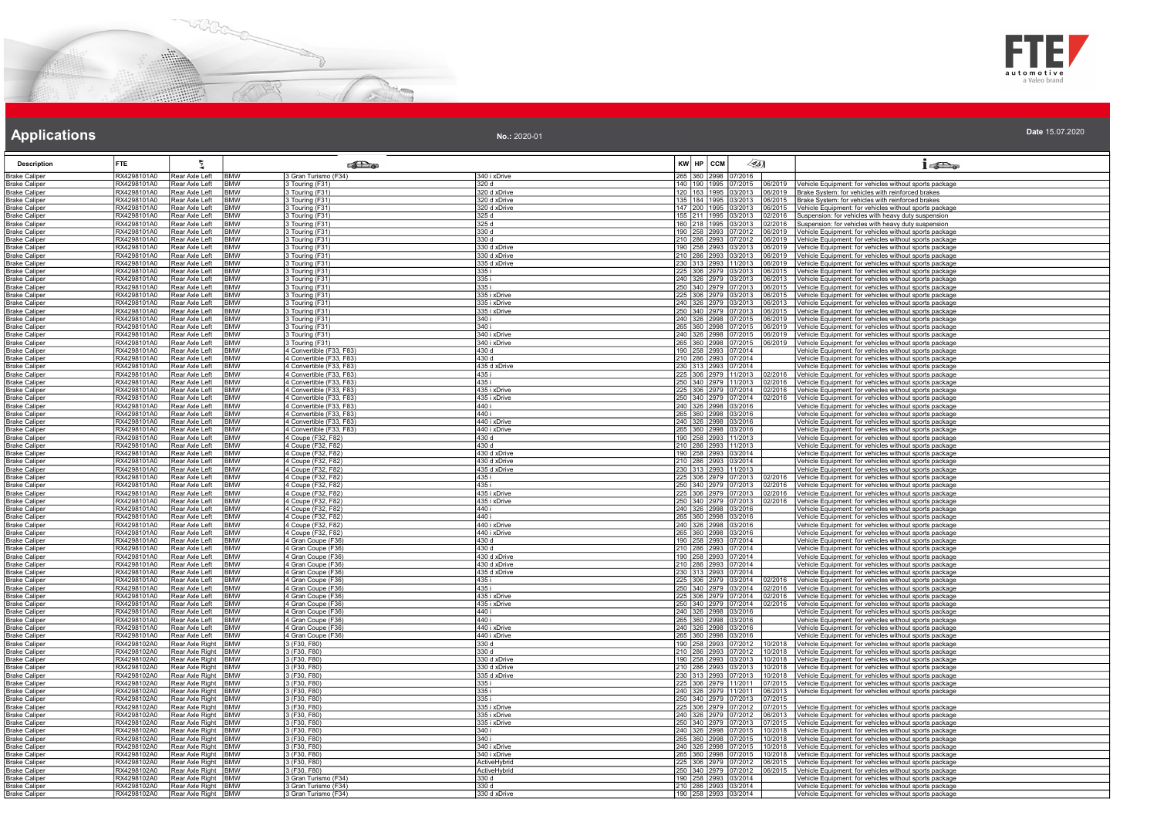



| <b>Description</b>                           | <b>FTE</b>                 | ŧ                                          |                          | <b>SET</b>                                           |                       | $KW$ $HP$ $CCM$ | 451                                                     | $1 - 5$                                                                                                          |
|----------------------------------------------|----------------------------|--------------------------------------------|--------------------------|------------------------------------------------------|-----------------------|-----------------|---------------------------------------------------------|------------------------------------------------------------------------------------------------------------------|
| <b>Brake Caliper</b>                         | RX4298101A0                | Rear Axle Left                             | <b>BMW</b>               | 3 Gran Turismo (F34)                                 | 340 i xDrive          |                 | 265 360 2998 07/2016                                    |                                                                                                                  |
| <b>Brake Caliper</b>                         | RX4298101A0                | Rear Axle Left                             | <b>BMW</b>               | 3 Touring (F31)                                      | 320 d                 |                 | 140 190 1995 07/2015<br>06/2019                         | Vehicle Equipment: for vehicles without sports package                                                           |
| <b>Brake Caliper</b>                         | RX4298101A0                | Rear Axle Left                             | <b>BMW</b>               | 3 Touring (F31)                                      | 320 d xDrive          |                 | 120   163   1995   03/2013<br>06/2019                   | Brake System: for vehicles with reinforced brakes                                                                |
| <b>Brake Caliper</b>                         | RX4298101A0                | Rear Axle Left                             | <b>BMW</b>               | 3 Touring (F31)                                      | 320 d xDrive          |                 | 135 184 1995 03/2013<br>06/2015                         | Brake System: for vehicles with reinforced brakes                                                                |
| <b>Brake Caliper</b>                         | RX4298101A0                | Rear Axle Left                             | <b>RMW</b>               | 3 Touring (F31)                                      | 320 d xDrive          |                 | 147 200 1995 03/2013<br>06/2015                         | Vehicle Equipment: for vehicles without sports package                                                           |
| <b>Brake Caliper</b>                         | RX4298101A0                | Rear Axle Left                             | <b>BMW</b>               | 3 Touring (F31)                                      | 325 d                 |                 | 155 211 1995 03/2013<br>)2/2016                         | Suspension: for vehicles with heavy duty suspension                                                              |
| <b>Brake Caliper</b>                         | RX4298101A0                | Rear Axle Left                             | <b>BMW</b>               | 3 Touring (F31)                                      | 325 d                 |                 | 160 218 1995 03/2013<br>2/2016                          | Suspension: for vehicles with heavy duty suspension                                                              |
| <b>Brake Caliper</b>                         | RX4298101A0                | Rear Axle Left                             | <b>BMW</b>               | 3 Touring (F31)                                      | 330 d                 |                 | 190 258 2993 07/2012<br>06/2019                         | Vehicle Equipment: for vehicles without sports package                                                           |
| Brake Caliper                                | RX4298101A0                | Rear Axle Left                             | <b>BMW</b>               | 3 Touring (F31)                                      | 330 d                 |                 | 210 286 2993 07/2012<br>6/2019                          | Vehicle Equipment: for vehicles without sports package                                                           |
| <b>Brake Caliper</b>                         | RX4298101A0                | Rear Axle Left                             | <b>BMW</b>               | 3 Touring (F31)                                      | 330 d xDrive          |                 | 190 258 2993 03/2013<br>06/2019                         | Vehicle Equipment: for vehicles without sports package                                                           |
| <b>Brake Caliper</b>                         | RX4298101A0                | Rear Axle Left                             | <b>BMW</b>               | 3 Touring (F31)                                      | 330 d xDrive          |                 | 210 286 2993 03/2013<br>06/2019                         | Vehicle Equipment: for vehicles without sports package                                                           |
| <b>Brake Caliper</b>                         | RX4298101A0<br>RX4298101A0 | Rear Axle Left<br>Rear Axle Left           | <b>BMW</b><br><b>BMW</b> | Touring (F31)<br>3 Touring (F31)                     | 335 d xDrive<br>335 i |                 | 230 313 2993 11/2013<br>6/2019<br>225 306 2979 03/2013  | Vehicle Equipment: for vehicles without sports package<br>/ehicle Equipment: for vehicles without sports package |
| Brake Caliper<br><b>Brake Caliper</b>        | RX4298101A0                | Rear Axle Left                             | <b>BMW</b>               | 3 Touring (F31)                                      | 335 i                 |                 | 6/2015<br>240 326 2979 03/2013<br>06/2013               | Vehicle Equipment: for vehicles without sports package                                                           |
| <b>Brake Caliper</b>                         | RX4298101A0                | Rear Axle Left                             | <b>BMW</b>               | 3 Touring (F31)                                      | 335 i                 |                 | 250 340 2979 07/2013<br>06/2015                         | Vehicle Equipment: for vehicles without sports package                                                           |
| <b>Brake Caliper</b>                         | RX4298101A0                | Rear Axle Left                             | <b>BMW</b>               | 3 Touring (F31)                                      | 335 i xDrive          |                 | 225 306 2979 03/2013<br>06/2015                         | Vehicle Equipment: for vehicles without sports package                                                           |
| <b>Brake Caliper</b>                         | RX4298101A0                | Rear Axle Left                             | <b>BMW</b>               | 3 Touring (F31)                                      | 335 i xDrive          |                 | 240 326 2979 03/2013<br>06/2013                         | Vehicle Equipment: for vehicles without sports package                                                           |
| <b>Brake Caliper</b>                         | RX4298101A0                | Rear Axle Left                             | <b>BMW</b>               | 3 Touring (F31)                                      | 335 i xDrive          |                 | 250 340 2979 07/2013<br>6/2015                          | Vehicle Equipment: for vehicles without sports package                                                           |
| <b>Brake Caliper</b>                         | RX4298101A0                | Rear Axle Left                             | <b>BMW</b>               | 3 Touring (F31)                                      | 340 i                 |                 | 240 326 2998 07/2015<br>06/2019                         | Vehicle Equipment: for vehicles without sports package                                                           |
| <b>Brake Caliper</b>                         | RX4298101A0                | Rear Axle Left                             | <b>BMW</b>               | 3 Touring (F31)                                      | 340 i                 |                 | 265 360 2998 07/2015<br>06/2019                         | Vehicle Equipment: for vehicles without sports package                                                           |
| <b>Brake Caliper</b>                         | RX4298101A0                | Rear Axle Left                             | <b>BMW</b>               | 3 Touring (F31)                                      | 340 i xDrive          |                 | 240 326 2998 07/2015<br>06/2019                         | Vehicle Equipment: for vehicles without sports package                                                           |
| <b>Brake Caliper</b>                         | RX4298101A0                | Rear Axle Left                             | <b>BMW</b>               | 3 Touring (F31)                                      | 340 i xDrive          |                 | 265 360 2998 07/2015<br>16/2019                         | Vehicle Equipment: for vehicles without sports package                                                           |
| <b>Brake Caliper</b>                         | RX4298101A0<br>RX4298101A0 | Rear Axle Left<br>Rear Axle Left           | <b>BMW</b><br><b>BMW</b> | 4 Convertible (F33, F83)<br>4 Convertible (F33, F83) | 430 d<br>430 d        |                 | 190 258 2993 07/2014                                    | Vehicle Equipment: for vehicles without sports package<br>Vehicle Equipment: for vehicles without sports package |
| <b>Brake Caliper</b><br><b>Brake Caliper</b> | RX4298101A0                | Rear Axle Left                             | <b>BMW</b>               | 4 Convertible (F33, F83)                             | 435 d xDrive          |                 | 210 286 2993 07/2014<br>230 313 2993 07/2014            | Vehicle Equipment: for vehicles without sports package                                                           |
| <b>Brake Caliper</b>                         | RX4298101A0                | Rear Axle Left                             | <b>BMW</b>               | 4 Convertible (F33, F83)                             | 435 i                 |                 | 225 306 2979 11/2013<br>2/2016                          | Vehicle Equipment: for vehicles without sports package                                                           |
| <b>Brake Caliper</b>                         | RX4298101A0                | Rear Axle Left                             | <b>BMW</b>               | 4 Convertible (F33, F83)                             | 435 i                 |                 | 250 340 2979 11/2013<br>2/2016                          | Vehicle Equipment: for vehicles without sports package                                                           |
| <b>Brake Caliper</b>                         | RX4298101A0                | Rear Axle Left                             | <b>BMW</b>               | 4 Convertible (F33, F83)                             | 435 i xDrive          |                 | 225 306 2979 07/2014<br>02/2016                         | Vehicle Equipment: for vehicles without sports package                                                           |
| <b>Brake Caliper</b>                         | RX4298101A0                | Rear Axle Left                             | <b>BMW</b>               | 4 Convertible (F33, F83)                             | 435 i xDrive          |                 | 250 340 2979 07/2014<br>02/2016                         | Vehicle Equipment: for vehicles without sports package                                                           |
| <b>Brake Caliper</b>                         | RX4298101A0                | Rear Axle Left                             | <b>BMW</b>               | 4 Convertible (F33, F83)                             | 440 i                 |                 | 240 326 2998 03/2016                                    | Vehicle Equipment: for vehicles without sports package                                                           |
| <b>Brake Caliper</b>                         | RX4298101A0                | Rear Axle Left                             | <b>BMW</b>               | 4 Convertible (F33, F83)                             | 440 i                 |                 | 265 360 2998 03/2016<br>240 326 2998 03/2016            | Vehicle Equipment: for vehicles without sports package                                                           |
| <b>Brake Caliper</b>                         | RX4298101A0                | Rear Axle Left                             | <b>BMW</b>               | 4 Convertible (F33, F83)                             | 440 i xDrive          |                 |                                                         | Vehicle Equipment: for vehicles without sports package                                                           |
| <b>Brake Caliper</b>                         | RX4298101A0                | Rear Axle Left                             | <b>BMW</b>               | 4 Convertible (F33, F83)                             | 440 i xDrive          |                 | 265 360 2998 03/2016                                    | Vehicle Equipment: for vehicles without sports package                                                           |
| <b>Brake Caliper</b>                         | RX4298101A0                | Rear Axle Left                             | <b>BMW</b>               | 4 Coupe (F32, F82)                                   | 430 d                 |                 | 190 258 2993 11/2013                                    | Vehicle Equipment: for vehicles without sports package                                                           |
| <b>Brake Caliper</b><br><b>Brake Caliper</b> | RX4298101A0<br>RX4298101A0 | Rear Axle Left<br>Rear Axle Left           | <b>BMW</b><br><b>BMW</b> | 4 Coupe (F32, F82)<br>4 Coupe (F32, F82)             | 430 d<br>430 d xDrive |                 | 210 286 2993 11/2013<br>190 258 2993 03/2014            | Vehicle Equipment: for vehicles without sports package<br>Vehicle Equipment: for vehicles without sports package |
| <b>Brake Caliper</b>                         | RX4298101A0                | Rear Axle Left                             | <b>BMW</b>               |                                                      | 430 d xDrive          |                 | 210 286 2993 03/2014                                    | Vehicle Equipment: for vehicles without sports package                                                           |
| <b>Brake Caliper</b>                         | RX4298101A0                | Rear Axle Left                             | <b>BMW</b>               | 4 Coupe (F32, F82)<br>4 Coupe (F32, F82)             | 435 d xDrive          |                 | 230 313 2993 11/2013                                    | Vehicle Equipment: for vehicles without sports package                                                           |
| <b>Brake Caliper</b>                         | RX4298101A0                | Rear Axle Left                             | <b>BMW</b>               | 4 Coupe (F32, F82)                                   | 435 i                 |                 | 225 306 2979 07/2013<br>02/2016                         | Vehicle Equipment: for vehicles without sports package                                                           |
| <b>Brake Caliper</b>                         | RX4298101A0                | Rear Axle Left                             | <b>BMW</b>               | 4 Coupe (F32, F82)                                   | 435 i                 |                 | 250 340 2979 07/2013<br>2/2016                          | Vehicle Equipment: for vehicles without sports package                                                           |
| <b>Brake Caliper</b>                         | RX4298101A0                | Rear Axle Left                             | <b>BMW</b>               | 4 Coupe (F32, F82)                                   | 435 i xDrive          |                 | 225 306 2979 07/2013<br>02/2016                         | Vehicle Equipment: for vehicles without sports package                                                           |
| <b>Brake Caliper</b>                         | RX4298101A0                | Rear Axle Left                             | <b>BMW</b>               | 4 Coupe (F32, F82)                                   | 435 i xDrive          |                 | 250 340 2979 07/2013<br>12/2016                         | Vehicle Equipment: for vehicles without sports package                                                           |
| <b>Brake Caliper</b>                         | RX4298101A0                | Rear Axle Left                             | <b>BMW</b>               | 4 Coupe (F32, F82)                                   | 440 i                 |                 | 240 326 2998 03/2016<br>265 360 2998 03/2016            | Vehicle Equipment: for vehicles without sports package                                                           |
| <b>Brake Caliper</b>                         | RX4298101A0                | Rear Axle Left                             | <b>BMW</b>               | 4 Coupe (F32, F82)                                   | 440 i                 |                 |                                                         | Vehicle Equipment: for vehicles without sports package                                                           |
| <b>Brake Caliper</b>                         | RX4298101A0                | Rear Axle Left                             | <b>BMW</b>               | 4 Coupe (F32, F82)                                   | 440 i xDrive          |                 | 240 326 2998 03/2016                                    | Vehicle Equipment: for vehicles without sports package                                                           |
| <b>Brake Caliper</b><br><b>Brake Caliper</b> | RX4298101A0<br>RX4298101A0 | Rear Axle Left<br>Rear Axle Left           | <b>BMW</b><br><b>BMW</b> | 4 Coupe (F32, F82)                                   | 440 i xDrive<br>430 d |                 | 265 360 2998 03/2016<br>190 258 2993 07/2014            | Vehicle Equipment: for vehicles without sports package                                                           |
| <b>Brake Caliper</b>                         | RX4298101A0                | Rear Axle Left                             | <b>RMW</b>               | 4 Gran Coupe (F36)<br>4 Gran Coupe (F36)             | 430 d                 |                 | 210 286 2993 07/2014                                    | Vehicle Equipment: for vehicles without sports package<br>Vehicle Equipment: for vehicles without sports package |
| <b>Brake Caliper</b>                         | RX4298101A0                | Rear Axle Left                             | BMW                      | 4 Gran Coupe (F36)                                   | 430 d xDrive          |                 | 190 258 2993 07/2014                                    | Vehicle Equipment: for vehicles without sports package                                                           |
| <b>Brake Caliper</b>                         | RX4298101A0                | Rear Axle Left                             | <b>BMW</b>               | 4 Gran Coupe (F36)                                   | 430 d xDrive          |                 | 210 286 2993 07/2014                                    | Vehicle Equipment: for vehicles without sports package                                                           |
| <b>Brake Caliper</b>                         | RX4298101A0                | Rear Axle Left                             | <b>BMW</b>               | 4 Gran Coupe (F36)                                   | 435 d xDrive          |                 | 230 313 2993 07/2014                                    | Vehicle Equipment: for vehicles without sports package                                                           |
| <b>Brake Caliper</b>                         | RX4298101A0                | Rear Axle Left                             | <b>BMW</b>               | 4 Gran Coupe (F36)                                   | 435 i                 |                 | 225 306 2979 03/2014<br>)2/2016                         | Vehicle Equipment: for vehicles without sports package                                                           |
| <b>Brake Caliper</b>                         | RX4298101A0                | Rear Axle Left                             | <b>BMW</b>               | 4 Gran Coupe (F36)                                   | 435 i                 |                 | 250 340 2979 03/2014<br>02/2016                         | Vehicle Equipment: for vehicles without sports package                                                           |
| <b>Brake Caliper</b>                         | RX4298101A0                | Rear Axle Left                             | <b>BMW</b>               | 4 Gran Coupe (F36)                                   | 435 i xDrive          |                 | 225 306 2979 07/2014<br>2/2016                          | Vehicle Equipment: for vehicles without sports package                                                           |
| <b>Brake Caliper</b>                         | RX4298101A0                | Rear Axle Left                             | BMW                      | 4 Gran Coupe (F36)                                   | 435 i xDrive          |                 | 250 340 2979 07/2014<br>12/2016                         | Vehicle Equipment: for vehicles without sports package                                                           |
| <b>Brake Caliper</b>                         | RX4298101A0<br>RX4298101A0 | Rear Axle Left<br>Rear Axle Left           | <b>BMW</b><br><b>BMW</b> | 4 Gran Coupe (F36)                                   | 440 i<br>440 i        |                 | 240 326 2998 03/2016<br>265 360 2998 03/2016            | Vehicle Equipment: for vehicles without sports package                                                           |
| <b>Brake Caliper</b><br><b>Brake Caliper</b> | RX4298101A0                | Rear Axle Left                             | <b>BMW</b>               | 4 Gran Coupe (F36)<br>4 Gran Coupe (F36)             | 440 i xDrive          |                 | 240 326 2998 03/2016                                    | Vehicle Equipment: for vehicles without sports package<br>Vehicle Equipment: for vehicles without sports package |
| <b>Brake Caliper</b>                         | RX4298101A0                | Rear Axle Left                             | <b>BMW</b>               | 4 Gran Coupe (F36)                                   | 440 i xDrive          |                 | 265 360 2998 03/2016                                    | Vehicle Equipment: for vehicles without sports package                                                           |
| <b>Brake Caliper</b>                         | RX4298102A0                | Rear Axle Right                            | <b>BMW</b>               | 3 (F30, F80)                                         | 330 d                 |                 | 190 258 2993 07/2012<br>0/2018                          | Vehicle Equipment: for vehicles without sports package                                                           |
| <b>Brake Caliper</b>                         | RX4298102A0                | Rear Axle Right                            | <b>BMW</b>               | 3 (F30, F80)                                         | 330 d                 |                 | 210 286 2993 07/2012<br>0/2018                          | Vehicle Equipment: for vehicles without sports package                                                           |
| Brake Caliper                                | RX4298102A0                | Rear Axle Right                            | <b>BMW</b>               | 3 (F30, F80)                                         | 330 d xDrive          |                 | 190 258 2993 03/2013<br>10/2018                         | Vehicle Equipment: for vehicles without sports package                                                           |
| <b>Brake Caliper</b>                         | RX4298102A0                | Rear Axle Right                            | <b>BMW</b>               | 3 (F30, F80)                                         | 330 d xDrive          |                 | 210 286 2993 03/2013<br>0/2018                          | Vehicle Equipment: for vehicles without sports package                                                           |
| <b>Brake Caliper</b>                         | RX4298102A0                | Rear Axle Right                            | <b>BMW</b>               | 3 (F30, F80)                                         | 335 d xDrive          |                 | 230 313 2993 07/2013<br>0/2018                          | Vehicle Equipment: for vehicles without sports package                                                           |
| <b>Brake Caliper</b>                         | RX4298102A0                | Rear Axle Right   BMW                      |                          | 3 (F30, F80)                                         | 335 i                 |                 | 225 306 2979 11/2011<br>)7/2015                         | Vehicle Equipment: for vehicles without sports package                                                           |
| <b>Brake Caliper</b>                         | RX4298102A0                | Rear Axle Right BMW                        |                          | 3 (F30, F80)                                         | 1335 i                |                 | 240 326 2979 11/2011<br>06/2013                         | Vehicle Equipment: for vehicles without sports package                                                           |
| <b>Brake Caliper</b>                         | RX4298102A0<br>RX4298102A0 | Rear Axle Right                            | <b>BMW</b>               | 3 (F30, F80)<br>3 (F30, F80)                         | 335 i<br>335 i xDrive |                 | 250 340 2979 07/2013<br>225 306 2979 07/2012<br>07/2015 |                                                                                                                  |
| <b>Brake Caliper</b><br><b>Brake Caliper</b> | RX4298102A0                | Rear Axle Right   BMW<br>Rear Axle Right   | <b>BMW</b>               | 3 (F30, F80)                                         | 335 i xDrive          |                 | )7/2015<br>240 326 2979 07/2012<br>06/2013              | Vehicle Equipment: for vehicles without sports package<br>Vehicle Equipment: for vehicles without sports package |
| <b>Brake Caliper</b>                         | RX4298102A0                | Rear Axle Right BMW                        |                          | 3 (F30, F80)                                         | 335 i xDrive          |                 | 250 340 2979 07/2013<br>7/2015                          | Vehicle Equipment: for vehicles without sports package                                                           |
| Brake Caliper                                | RX4298102A0                | Rear Axle Right   BMW                      |                          | 3 (F30, F80)                                         | 340 i                 |                 | 240 326 2998 07/2015<br>10/2018                         | Vehicle Equipment: for vehicles without sports package                                                           |
| <b>Brake Caliper</b>                         | RX4298102A0                | Rear Axle Right                            | <b>BMW</b>               | 3 (F30, F80)                                         | 340 i                 |                 | 265 360 2998 07/2015<br>0/2018                          | Vehicle Equipment: for vehicles without sports package                                                           |
| <b>Brake Caliper</b>                         | RX4298102A0                | Rear Axle Right                            | <b>BMW</b>               | 3 (F30, F80)                                         | 340 i xDrive          |                 | 240 326 2998 07/2015<br>0/2018                          | Vehicle Equipment: for vehicles without sports package                                                           |
| Brake Caliper                                | RX4298102A0                | Rear Axle Right                            | <b>BMW</b>               | 3 (F30, F80)                                         | 340 i xDrive          |                 | 265 360 2998 07/2015<br>0/2018                          | /ehicle Equipment: for vehicles without sports package                                                           |
| <b>Brake Caliper</b>                         | RX4298102A0                | Rear Axle Right BMW                        |                          | 3(F30, F80)                                          | ActiveHybrid          |                 | 225 306 2979 07/2012<br>06/2015                         | Vehicle Equipment: for vehicles without sports package                                                           |
| <b>Brake Caliper</b>                         | RX4298102A0                | Rear Axle Right BMW                        |                          | 3 (F30, F80)                                         | ActiveHybrid          |                 | 250 340 2979 07/2012<br>06/2015                         | Vehicle Equipment: for vehicles without sports package                                                           |
| <b>Brake Caliper</b>                         | RX4298102A0                | Rear Axle Right BMW                        |                          | 3 Gran Turismo (F34)                                 | 330 d                 |                 | 190 258 2993 03/2014                                    | Vehicle Equipment: for vehicles without sports package                                                           |
| <b>Brake Caliper</b>                         | RX4298102A0<br>RX4298102A0 | Rear Axle Right BMW<br>Rear Axle Right BMW |                          | 3 Gran Turismo (F34)                                 | 330 d<br>330 d xDrive |                 | 210 286 2993 03/2014<br>190 258 2993 03/2014            | Vehicle Equipment: for vehicles without sports package<br>Vehicle Equipment: for vehicles without sports package |
| <b>Brake Caliper</b>                         |                            |                                            |                          | 3 Gran Turismo (F34)                                 |                       |                 |                                                         |                                                                                                                  |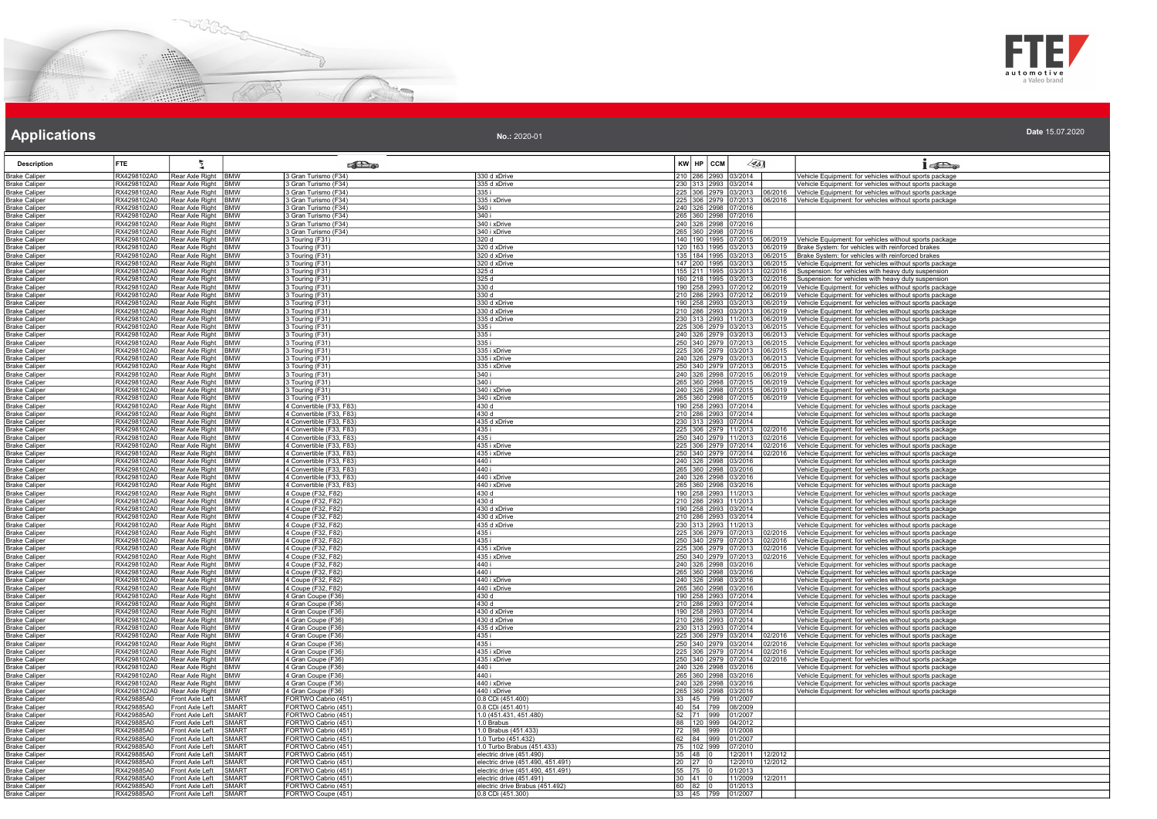



| No.: 2020-01 | Date 15.07.2020 |  |  |  |
|--------------|-----------------|--|--|--|
|--------------|-----------------|--|--|--|

| Description                                  | FTE.                       | ł.                                           |                              | ூ                                                    |                                                               |         | KW HP CCM                                                                                     | $\mathscr{L}$ 5]   |                    | $1 - 5$                                                                                                                 |
|----------------------------------------------|----------------------------|----------------------------------------------|------------------------------|------------------------------------------------------|---------------------------------------------------------------|---------|-----------------------------------------------------------------------------------------------|--------------------|--------------------|-------------------------------------------------------------------------------------------------------------------------|
| <b>Brake Caliper</b>                         | RX4298102A0                | Rear Axle Right BMW                          |                              | 3 Gran Turismo (F34)                                 | 330 d xDrive                                                  |         | 210 286 2993 03/2014                                                                          |                    |                    | Vehicle Equipment: for vehicles without sports package                                                                  |
| <b>Brake Caliper</b>                         | RX4298102A0                | Rear Axle Right BMW                          |                              | 3 Gran Turismo (F34)                                 | 335 d xDrive                                                  |         | 230 313 2993 03/2014                                                                          |                    |                    | Vehicle Equipment: for vehicles without sports package                                                                  |
| <b>Brake Caliper</b><br><b>Brake Caliper</b> | RX4298102A0<br>RX4298102A0 | Rear Axle Right BMW<br>Rear Axle Right BMW   |                              | Gran Turismo (F34)<br>3 Gran Turismo (F34)           | 335 i<br>335 i xDrive                                         |         | 225 306 2979 03/2013<br>225 306 2979 07/2013                                                  |                    | 6/2016             | Vehicle Equipment: for vehicles without sports package<br>6/2016 Vehicle Equipment: for vehicles without sports package |
| Brake Caliper                                | RX4298102A0                | Rear Axle Right BMW                          |                              | 3 Gran Turismo (F34)                                 | 340 i                                                         |         | 240 326 2998 07/2016                                                                          |                    |                    |                                                                                                                         |
| <b>Brake Caliper</b>                         | RX4298102A0                | Rear Axle Right BMW                          |                              | 3 Gran Turismo (F34)                                 | 340 i                                                         |         | 265 360 2998 07/2016                                                                          |                    |                    |                                                                                                                         |
| <b>Brake Caliper</b>                         | RX4298102A0                | Rear Axle Right BMW                          |                              | 3 Gran Turismo (F34)                                 | 340 i xDrive                                                  |         | 240 326 2998 07/2016                                                                          |                    |                    |                                                                                                                         |
| <b>Brake Caliper</b>                         | RX4298102A0                | Rear Axle Right BMW                          |                              | 3 Gran Turismo (F34)                                 | 340 i xDrive                                                  |         | 265 360 2998 07/2016                                                                          |                    |                    |                                                                                                                         |
| <b>Brake Caliper</b><br><b>Brake Caliper</b> | RX4298102A0<br>RX4298102A0 | Rear Axle Right BMW<br>Rear Axle Right BMW   |                              | 3 Touring (F31)<br>3 Touring (F31)                   | 320 d<br>320 d xDrive                                         |         | 140 190 1995 07/2015<br>120 163 1995 03/2013                                                  |                    | 16/2019            | 06/2019 Vehicle Equipment: for vehicles without sports package<br>Brake System: for vehicles with reinforced brakes     |
| <b>Brake Caliper</b>                         | RX4298102A0                | Rear Axle Right BMW                          |                              | 3 Touring (F31)                                      | 320 d xDrive                                                  |         | 135 184 1995 03/2013                                                                          |                    |                    | 06/2015 Brake System: for vehicles with reinforced brakes                                                               |
| <b>Brake Caliper</b>                         | RX4298102A0                | Rear Axle Right BMW                          |                              | 3 Touring (F31)                                      | 320 d xDrive                                                  |         | 147 200 1995 03/2013                                                                          |                    | 16/2015            | Vehicle Equipment: for vehicles without sports package                                                                  |
| <b>Brake Caliper</b>                         | RX4298102A0                | Rear Axle Right BMW                          |                              | 3 Touring (F31)                                      | 325 d                                                         |         | 155 211 1995 03/2013                                                                          |                    | 2/2016             | Suspension: for vehicles with heavy duty suspension                                                                     |
| <b>Brake Caliper</b>                         | RX4298102A0                | Rear Axle Right                              | <b>IBMW</b>                  | 3 Touring (F31)                                      | 325 d                                                         |         | 160 218 1995 03/2013                                                                          |                    | 2/2016             | Suspension: for vehicles with heavy duty suspension                                                                     |
| <b>Brake Caliper</b><br><b>Brake Caliper</b> | RX4298102A0<br>RX4298102A0 | Rear Axle Right BMW<br>Rear Axle Right BMW   |                              | 3 Touring (F31)<br>3 Touring (F31)                   | 330 d<br>330 d                                                |         | 190 258 2993 07/2012<br>210 286 2993 07/2012                                                  |                    | 6/2019<br>06/2019  | Vehicle Equipment: for vehicles without sports package<br>Vehicle Equipment: for vehicles without sports package        |
| <b>Brake Caliper</b>                         | RX4298102A0                | Rear Axle Right BMW                          |                              | 3 Touring (F31)                                      | 330 d xDrive                                                  |         | 190 258 2993 03/2013                                                                          |                    | 16/2019            | Vehicle Equipment: for vehicles without sports package                                                                  |
| <b>Brake Caliper</b>                         | RX4298102A0                | Rear Axle Right   BMW                        |                              | 3 Touring (F31)                                      | 330 d xDrive                                                  |         | 210 286 2993 03/2013                                                                          |                    | 06/2019            | Vehicle Equipment: for vehicles without sports package                                                                  |
| Brake Caliper                                | RX4298102A0                | Rear Axle Right BMW                          |                              | 3 Touring (F31)                                      | 335 d xDrive                                                  |         | 230 313 2993 11/2013                                                                          |                    | 06/2019            | Vehicle Equipment: for vehicles without sports package                                                                  |
| <b>Brake Caliper</b>                         | RX4298102A0<br>RX4298102A0 | Rear Axle Right BMW                          |                              | 3 Touring (F31)                                      | 335 i<br>335 i                                                |         | 225 306 2979 03/2013<br>240 326 2979 03/2013                                                  |                    | 6/2015             | Vehicle Equipment: for vehicles without sports package                                                                  |
| <b>Brake Caliper</b><br><b>Brake Caliper</b> | RX4298102A0                | Rear Axle Right BMW<br>Rear Axle Right BMW   |                              | 3 Touring (F31)<br>3 Touring (F31)                   | 335 i                                                         |         | 250 340 2979 07/2013                                                                          |                    | 06/2013<br>06/2015 | Vehicle Equipment: for vehicles without sports package<br>Vehicle Equipment: for vehicles without sports package        |
| <b>Brake Caliper</b>                         | RX4298102A0                | Rear Axle Right BMW                          |                              | 3 Touring (F31)                                      | 335 i xDrive                                                  |         | 225 306 2979 03/2013                                                                          |                    | 6/2015             | Vehicle Equipment: for vehicles without sports package                                                                  |
| Brake Caliper                                | RX4298102A0                | Rear Axle Right BMW                          |                              | 3 Touring (F31)                                      | 335 i xDrive                                                  |         | 240 326 2979 03/2013                                                                          |                    | 06/2013            | Vehicle Equipment: for vehicles without sports package                                                                  |
| <b>Brake Caliper</b>                         | RX4298102A0                | Rear Axle Right   BMW                        |                              | 3 Touring (F31)                                      | 335 i xDrive                                                  |         | 250 340 2979 07/2013                                                                          |                    | 6/2015             | Vehicle Equipment: for vehicles without sports package                                                                  |
| <b>Brake Caliper</b><br><b>Brake Caliper</b> | RX4298102A0<br>RX4298102A0 | Rear Axle Right BMW<br>Rear Axle Right BMW   |                              | 3 Touring (F31)<br>3 Touring (F31)                   | 340 i<br>340 i                                                |         | 240 326 2998 07/2015<br>265 360 2998 07/2015                                                  |                    | 6/2019<br>06/2019  | Vehicle Equipment: for vehicles without sports package<br>Vehicle Equipment: for vehicles without sports package        |
| <b>Brake Caliper</b>                         | RX4298102A0                | Rear Axle Right BMW                          |                              | 3 Touring (F31)                                      | 340 i xDrive                                                  |         | 240 326 2998 07/2015                                                                          |                    | 6/2019             | Vehicle Equipment: for vehicles without sports package                                                                  |
| <b>Brake Caliper</b>                         | RX4298102A0                | Rear Axle Right BMW                          |                              | 3 Touring (F31)                                      | 340 i xDrive                                                  |         | 265 360 2998 07/2015                                                                          |                    | 06/2019            | Vehicle Equipment: for vehicles without sports package                                                                  |
| <b>Brake Caliper</b>                         | RX4298102A0                | Rear Axle Right BMW                          |                              | 4 Convertible (F33, F83)                             | 430 d                                                         |         | 190 258 2993 07/2014                                                                          |                    |                    | Vehicle Equipment: for vehicles without sports package                                                                  |
| <b>Brake Caliper</b>                         | RX4298102A0<br>RX4298102A0 | Rear Axle Right BMW                          |                              | 4 Convertible (F33, F83)<br>4 Convertible (F33, F83) | 430 d<br>435 d xDrive                                         |         | 210 286 2993 07/2014<br>230 313 2993 07/2014                                                  |                    |                    | /ehicle Equipment: for vehicles without sports package                                                                  |
| Brake Caliper<br><b>Brake Caliper</b>        | RX4298102A0                | Rear Axle Right BMW<br>Rear Axle Right BMW   |                              | 4 Convertible (F33, F83)                             | 435 i                                                         |         | 225 306 2979 11/2013                                                                          |                    | 2/2016             | Vehicle Equipment: for vehicles without sports package<br>Vehicle Equipment: for vehicles without sports package        |
| <b>Brake Caliper</b>                         | RX4298102A0                | Rear Axle Right BMW                          |                              | 4 Convertible (F33, F83)                             | 435 i                                                         |         | 250 340 2979 11/2013                                                                          |                    | 2/2016             | Vehicle Equipment: for vehicles without sports package                                                                  |
| <b>Brake Caliper</b>                         | RX4298102A0                | Rear Axle Right BMW                          |                              | 4 Convertible (F33, F83)                             | 435 i xDrive                                                  |         | 225 306 2979 07/2014                                                                          |                    | 02/2016            | Vehicle Equipment: for vehicles without sports package                                                                  |
| <b>Brake Caliper</b>                         | RX4298102A0<br>RX4298102A0 | Rear Axle Right BMW                          |                              | 4 Convertible (F33, F83)<br>4 Convertible (F33, F83) | 435 i xDrive<br>440 i                                         |         | 250 340 2979 07/2014                                                                          |                    | 2/2016             | Vehicle Equipment: for vehicles without sports package                                                                  |
| <b>Brake Caliper</b><br><b>Brake Caliper</b> | RX4298102A0                | Rear Axle Right BMW<br>Rear Axle Right BMW   |                              | 4 Convertible (F33, F83)                             | 440 i                                                         |         | 240 326 2998 03/2016<br>265 360 2998 03/2016                                                  |                    |                    | Vehicle Equipment: for vehicles without sports package<br>Vehicle Equipment: for vehicles without sports package        |
| Brake Caliper                                | RX4298102A0                | Rear Axle Right BMW                          |                              | 4 Convertible (F33, F83)                             | 440 i xDrive                                                  |         | 240 326 2998 03/2016                                                                          |                    |                    | Vehicle Equipment: for vehicles without sports package                                                                  |
| <b>Brake Caliper</b>                         | RX4298102A0                | Rear Axle Right BMW                          |                              | 4 Convertible (F33, F83)                             | 440 i xDrive                                                  |         | 265 360 2998 03/2016                                                                          |                    |                    | Vehicle Equipment: for vehicles without sports package                                                                  |
| <b>Brake Caliper</b>                         | RX4298102A0                | Rear Axle Right BMW                          |                              | 4 Coupe (F32, F82)                                   | 430 d                                                         |         | 190 258 2993 11/2013                                                                          |                    |                    | Vehicle Equipment: for vehicles without sports package                                                                  |
| <b>Brake Caliper</b><br><b>Brake Caliper</b> | RX4298102A0<br>RX4298102A0 | Rear Axle Right BMW<br>Rear Axle Right BMW   |                              | 4 Coupe (F32, F82)<br>4 Coupe (F32, F82)             | 430 d<br>430 d xDrive                                         |         | 210 286 2993 11/2013<br>190 258 2993 03/2014                                                  |                    |                    | Vehicle Equipment: for vehicles without sports package<br>Vehicle Equipment: for vehicles without sports package        |
| <b>Brake Caliper</b>                         | RX4298102A0                | Rear Axle Right BMW                          |                              | 4 Coupe (F32, F82)                                   | 430 d xDrive                                                  |         | 210 286 2993 03/2014                                                                          |                    |                    | Vehicle Equipment: for vehicles without sports package                                                                  |
| <b>Brake Caliper</b>                         | RX4298102A0                | Rear Axle Right BMW                          |                              | 4 Coupe (F32, F82)                                   | 435 d xDrive                                                  |         | 230 313 2993 11/2013                                                                          |                    |                    | Vehicle Equipment: for vehicles without sports package                                                                  |
| <b>Brake Caliper</b>                         | RX4298102A0<br>RX4298102A0 | Rear Axle Right<br>Rear Axle Right           | <b>BMW</b><br>BMW            | 4 Coupe (F32, F82)<br>4 Coupe (F32, F82)             | 435 i<br>435 i                                                |         | 225 306 2979 07/2013<br>250 340 2979 07/2013                                                  |                    | 2/2016<br>2/2016   | Vehicle Equipment: for vehicles without sports package<br>Vehicle Equipment: for vehicles without sports package        |
| <b>Brake Caliper</b><br><b>Brake Caliper</b> | RX4298102A0                | Rear Axle Right   BMW                        |                              | 4 Coupe (F32, F82)                                   | 435 i xDrive                                                  |         | 225 306 2979 07/2013                                                                          |                    | 2/2016             | Vehicle Equipment: for vehicles without sports package                                                                  |
| <b>Brake Caliper</b>                         | RX4298102A0                | Rear Axle Right BMW                          |                              | 4 Coupe (F32, F82)                                   | 435 i xDrive                                                  |         | 250 340 2979 07/2013                                                                          |                    | 2/2016             | Vehicle Equipment: for vehicles without sports package                                                                  |
| <b>Brake Caliper</b>                         | RX4298102A0                | Rear Axle Right BMW                          |                              | 4 Coupe (F32, F82)                                   | 440 i                                                         |         | 240 326 2998 03/2016                                                                          |                    |                    | Vehicle Equipment: for vehicles without sports package                                                                  |
| Brake Caliper<br><b>Brake Caliper</b>        | RX4298102A0<br>RX4298102A0 | Rear Axle Right   BMW<br>Rear Axle Right BMW |                              | 4 Coupe (F32, F82)                                   | 440 i<br>440 i xDrive                                         |         | 265 360 2998 03/2016<br>240 326 2998 03/2016                                                  |                    |                    | Vehicle Equipment: for vehicles without sports package<br>Vehicle Equipment: for vehicles without sports package        |
| <b>Brake Caliper</b>                         | RX4298102A0                | Rear Axle Right BMW                          |                              | 4 Coupe (F32, F82)<br>4 Coupe (F32, F82)             | 440 i xDrive                                                  |         | 265 360 2998 03/2016                                                                          |                    |                    | Vehicle Equipment: for vehicles without sports package                                                                  |
| <b>Brake Caliper</b>                         | RX4298102A0                | Rear Axle Right BMW                          |                              | 4 Gran Coupe (F36)                                   | 430 d                                                         |         | 190 258 2993 07/2014                                                                          |                    |                    | Vehicle Equipment: for vehicles without sports package                                                                  |
| <b>Brake Caliper</b>                         | RX4298102A0                | Rear Axle Right BMW                          |                              | 4 Gran Coupe (F36)                                   | 430 d                                                         |         | 210 286 2993 07/2014                                                                          |                    |                    | Vehicle Equipment: for vehicles without sports package                                                                  |
| <b>Brake Caliper</b>                         | RX4298102A0                | Rear Axle Right BMW                          |                              | 4 Gran Coupe (F36)                                   | 430 d xDrive                                                  |         | 190 258 2993 07/2014                                                                          |                    |                    | Vehicle Equipment: for vehicles without sports package                                                                  |
| Brake Caliper<br>Brake Caliper               | RX4298102A0<br>RX4298102A0 | Rear Axle Right<br>Rear Axle Right BMW       | <b>IBMW</b>                  | 4 Gran Coupe (F36)<br>4 Gran Coupe (F36)             | 430 d xDrive<br>435 d xDrive                                  |         | 210 286 2993 07/2014<br>230 313 2993 07/2014                                                  |                    |                    | Vehicle Equipment: for vehicles without sports package<br>/ehicle Equipment: for vehicles without sports package        |
| <b>Brake Caliper</b>                         | RX4298102A0                | Rear Axle Right BMW                          |                              | 4 Gran Coupe (F36)                                   | 435 i                                                         |         | 225 306 2979 03/2014                                                                          |                    | 02/2016            | Vehicle Equipment: for vehicles without sports package                                                                  |
| <b>Brake Caliper</b>                         | RX4298102A0                | Rear Axle Right BMW                          |                              | 4 Gran Coupe (F36)                                   | 435 i                                                         |         | 250 340 2979 03/2014                                                                          |                    | 2/2016             | Vehicle Equipment: for vehicles without sports package                                                                  |
| <b>Brake Caliper</b>                         | RX4298102A0                | Rear Axle Right BMW                          |                              | 4 Gran Coupe (F36)                                   | 435 i xDrive                                                  |         | 225 306 2979 07/2014                                                                          |                    | 2/2016             | Vehicle Equipment: for vehicles without sports package                                                                  |
| Brake Caliper<br><b>Brake Caliper</b>        | RX4298102A0<br>RX4298102A0 | Rear Axle Right BMW<br>Rear Axle Right   BMW |                              | 4 Gran Coupe (F36)<br>4 Gran Coupe (F36)             | 435 i xDrive<br>440 i                                         |         | 250 340 2979 07/2014                                                                          |                    | 02/2016            | Vehicle Equipment: for vehicles without sports package<br>/ehicle Equipment: for vehicles without sports package        |
| <b>Brake Caliper</b>                         | RX4298102A0                | Rear Axle Right BMW                          |                              | 4 Gran Coupe (F36)                                   | 440 i                                                         |         | 240 326 2998 03/2016<br>265 360 2998 03/2016                                                  |                    |                    | Vehicle Equipment: for vehicles without sports package                                                                  |
| <b>Brake Caliper</b>                         | RX4298102A0                | Rear Axle Right BMW                          |                              | 4 Gran Coupe (F36)                                   | 440 i xDrive                                                  |         | 240 326 2998 03/2016                                                                          |                    |                    | Vehicle Equipment: for vehicles without sports package                                                                  |
| <b>Brake Caliper</b>                         | RX4298102A0                | Rear Axle Right BMW                          |                              | 4 Gran Coupe (F36)                                   | 440 i xDrive                                                  |         | 265 360 2998 03/2016                                                                          |                    |                    | Vehicle Equipment: for vehicles without sports package                                                                  |
| <b>Brake Caliper</b><br><b>Brake Caliper</b> | RX429885A0<br>RX429885A0   | Front Axle Left<br>Front Axle Left           | <b>SMART</b><br><b>SMART</b> | FORTWO Cabrio (451)<br>FORTWO Cabrio (451)           | 0.8 CDi (451.400)<br>0.8 CDi (451.401)                        |         | 33 45 799 01/2007                                                                             |                    |                    |                                                                                                                         |
| <b>Brake Caliper</b>                         | RX429885A0                 | Front Axle Left                              | SMART                        | FORTWO Cabrio (451)                                  | 1.0 (451.431, 451.480)                                        |         | 40 54 799 08/2009<br>52 71 999 01/2007                                                        |                    |                    |                                                                                                                         |
| <b>Brake Caliper</b>                         | RX429885A0                 | Front Axle Left                              | SMART                        | FORTWO Cabrio (451)                                  | 1.0 Brabus                                                    |         | 88 120 999 04/2012                                                                            |                    |                    |                                                                                                                         |
| <b>Brake Caliper</b>                         | RX429885A0                 | Front Axle Left                              | SMART                        | FORTWO Cabrio (451)                                  | 1.0 Brabus (451.433)                                          |         | 72 98 999 01/2008                                                                             |                    |                    |                                                                                                                         |
| <b>Brake Caliper</b><br><b>Brake Caliper</b> | RX429885A0<br>RX429885A0   | Front Axle Left<br>Front Axle Left           | <b>SMART</b><br>SMART        | FORTWO Cabrio (451)<br>FORTWO Cabrio (451)           | 1.0 Turbo (451.432)<br>1.0 Turbo Brabus (451.433)             |         | 62 84 999 01/2007<br>75 102 999                                                               | 07/2010            |                    |                                                                                                                         |
| <b>Brake Caliper</b>                         | RX429885A0                 | Front Axle Left                              | <b>SMART</b>                 | FORTWO Cabrio (451)                                  | electric drive (451.490)                                      |         |                                                                                               | 12/2011            | 2/2012             |                                                                                                                         |
| <b>Brake Caliper</b>                         | RX429885A0                 | Front Axle Left                              | SMART                        | FORTWO Cabrio (451)                                  | electric drive (451.490, 451.491)                             |         | $\begin{array}{ c c c c }\n\hline\n35 & 48 & 0 \\ \hline\n20 & 27 & 0 \\ \hline\n\end{array}$ | 12/2010            | 2/2012             |                                                                                                                         |
| <b>Brake Caliper</b><br><b>Brake Caliper</b> | RX429885A0<br>RX429885A0   | Front Axle Left<br>Front Axle Left           | SMART<br><b>SMART</b>        | FORTWO Cabrio (451)<br>FORTWO Cabrio (451)           | electric drive (451.490, 451.491)<br>electric drive (451.491) | 55 75 0 | $30 \mid 41 \mid 0$                                                                           | 01/2013<br>11/2009 | 12/2011            |                                                                                                                         |
| <b>Brake Caliper</b>                         | RX429885A0                 | Front Axle Left                              | <b>SMART</b>                 | FORTWO Cabrio (451)                                  | electric drive Brabus (451.492)                               |         | 60 82 0                                                                                       | 01/2013            |                    |                                                                                                                         |
| <b>Brake Caliper</b>                         | RX429885A0                 | Front Axle Left                              | SMART                        | FORTWO Coupe (451)                                   | 0.8 CDi (451.300)                                             |         | 33 45 799 01/2007                                                                             |                    |                    |                                                                                                                         |
|                                              |                            |                                              |                              |                                                      |                                                               |         |                                                                                               |                    |                    |                                                                                                                         |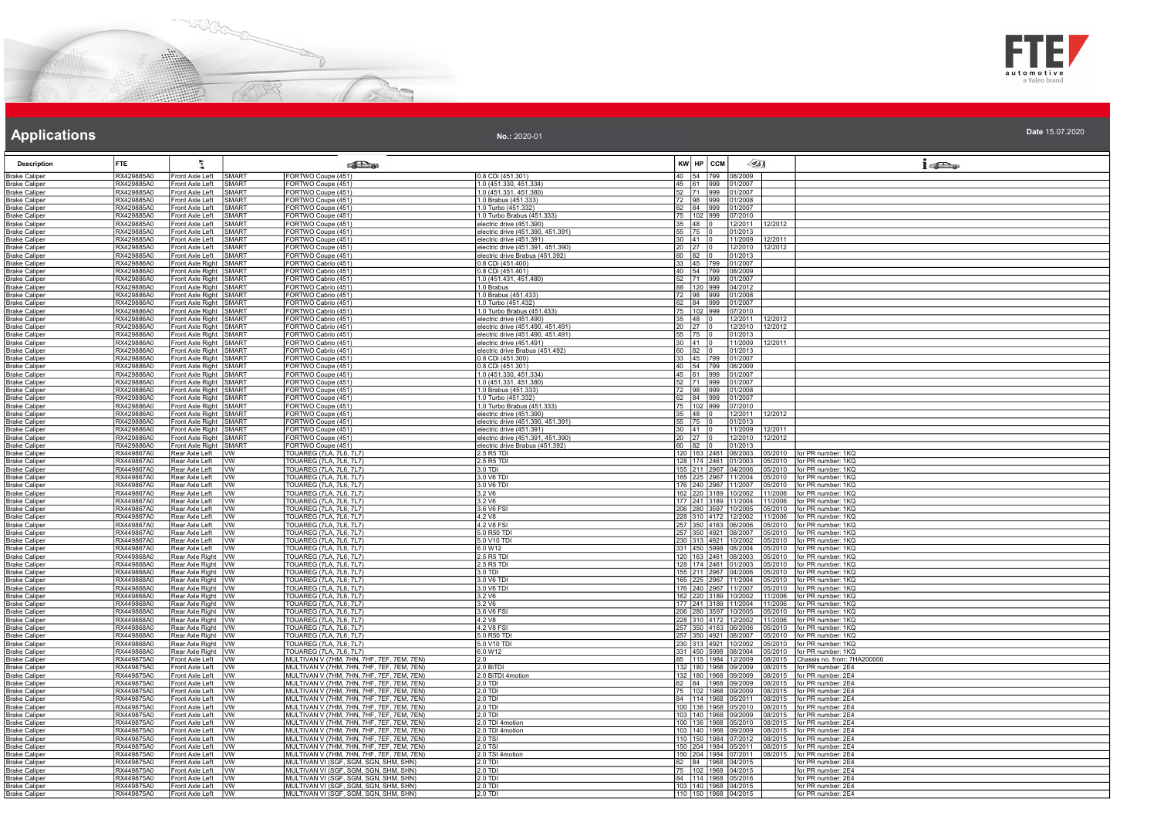



### **Applications Applications Applications**

| <b>Description</b>                           | <b>FTE</b>               | 气                                                | <b>Call a</b>                                                                                       |                                                                       | $\sqrt{351}$<br>KW HP CCM                                                          | $1 - 20$                                           |
|----------------------------------------------|--------------------------|--------------------------------------------------|-----------------------------------------------------------------------------------------------------|-----------------------------------------------------------------------|------------------------------------------------------------------------------------|----------------------------------------------------|
| <b>Brake Caliper</b>                         | RX429885A0               | Front Axle Left                                  | <b>SMART</b><br>FORTWO Coupe (451)                                                                  | 0.8 CDi (451.301)                                                     | 40 54 799<br>08/2009                                                               |                                                    |
| <b>Brake Caliper</b>                         | RX429885A0               | Front Axle Left<br>Front Axle Left               | SMART<br>FORTWO Coupe (451)<br>SMART                                                                | 1.0 (451.330, 451.334)<br>1.0 (451.331, 451.380)                      | 45 61 999 01/2007                                                                  |                                                    |
| <b>Brake Caliper</b><br><b>Brake Caliper</b> | RX429885A0<br>RX429885A0 | Front Axle Left                                  | FORTWO Coupe (451)<br>SMART<br>ORTWO Coupe (451)                                                    | 1.0 Brabus (451.333)                                                  | 52 71 999 01/2007                                                                  |                                                    |
| <b>Brake Caliper</b>                         | RX429885A0               | Front Axle Left                                  | FORTWO Coupe (451)<br>SMART                                                                         | 1.0 Turbo (451.332)                                                   | 72 98 999 01/2008<br>62 84 999 01/2007                                             |                                                    |
| <b>Brake Caliper</b>                         | RX429885A0               | Front Axle Left                                  | FORTWO Coupe (451)<br>SMART                                                                         | 1.0 Turbo Brabus (451.333)                                            | 75 102 999<br>07/2010                                                              |                                                    |
| <b>Brake Caliper</b>                         | RX429885A0               | Front Axle Left                                  | FORTWO Coupe (451)<br>SMART                                                                         | electric drive (451.390)                                              | $35$ 48 0<br>12/2011<br>12/2012                                                    |                                                    |
| <b>Brake Caliper</b>                         | RX429885A0<br>RX429885A0 | Front Axle Left                                  | SMART<br>FORTWO Coupe (451)<br>SMART                                                                | electric drive (451.390, 451.391)                                     | 55 75 0<br>01/2013<br>$30 \ 41 \ 0$                                                |                                                    |
| Brake Caliper<br><b>Brake Caliper</b>        | RX429885A0               | Front Axle Left<br>Front Axle Left               | FORTWO Coupe (451)<br>SMART<br>FORTWO Coupe (451)                                                   | electric drive (451.391)<br>lectric drive (451.391, 451.390)          | 11/2009<br>12/2011<br>$20$ 27  <br>12/2010<br>12/2012                              |                                                    |
| <b>Brake Caliper</b>                         | RX429885A0               | Front Axle Left                                  | SMART<br>FORTWO Coupe (451)                                                                         | electric drive Brabus (451.392)                                       | $60$ $82$ 0<br>01/2013                                                             |                                                    |
| <b>Brake Caliper</b>                         | RX429886A0               | Front Axle Right                                 | SMART<br>FORTWO Cabrio (451)                                                                        | 0.8 CDi (451.400)                                                     | 33 45 799<br>01/2007                                                               |                                                    |
| <b>Brake Caliper</b>                         | RX429886A0               | Front Axle Right SMART                           | FORTWO Cabrio (451)                                                                                 | 0.8 CDi (451.401)                                                     | 40 54 799 08/2009                                                                  |                                                    |
| <b>Brake Caliper</b><br><b>Brake Caliper</b> | RX429886A0<br>RX429886A0 | Front Axle Right SMART<br>Front Axle Right SMART | FORTWO Cabrio (451)<br>FORTWO Cabrio (451)                                                          | 1.0 (451.431, 451.480)<br>1.0 Brabus                                  | 52 71 999 01/2007<br>88 120 999 04/2012                                            |                                                    |
| <b>Brake Caliper</b>                         | RX429886A0               | Front Axle Right SMART                           | FORTWO Cabrio (451)                                                                                 | 1.0 Brabus (451.433)                                                  |                                                                                    |                                                    |
| <b>Brake Caliper</b>                         | RX429886A0               | Front Axle Right SMART                           | FORTWO Cabrio (451)                                                                                 | 1.0 Turbo (451.432)                                                   | 72 98 999 01/2008<br>62 84 999 01/2007                                             |                                                    |
| <b>Brake Caliper</b>                         | RX429886A0               | Front Axle Right SMART                           | FORTWO Cabrio (451)                                                                                 | 1.0 Turbo Brabus (451.433)                                            | 75 102 999<br>07/2010                                                              |                                                    |
| <b>Brake Caliper</b>                         | RX429886A0               | Front Axle Right SMART<br>Front Axle Right SMART | FORTWO Cabrio (451)<br>FORTWO Cabrio (451)                                                          | electric drive (451.490)                                              | $35$ 48 0<br>12/2011 12/2012                                                       |                                                    |
| <b>Brake Caliper</b><br><b>Brake Caliper</b> | RX429886A0<br>RX429886A0 | Front Axle Right SMART                           | FORTWO Cabrio (451)                                                                                 | electric drive (451.490, 451.491)<br>electric drive (451.490, 451.491 | $20$ 27 0<br>12/2010<br>12/2012<br>55<br>01/2013                                   |                                                    |
| <b>Brake Caliper</b>                         | RX429886A0               | ront Axle Right SMART                            | FORTWO Cabrio (451)                                                                                 | lectric drive (451.491)                                               | $30 \t 41$<br>11/2009<br>12/2011                                                   |                                                    |
| <b>Brake Caliper</b>                         | RX429886A0               | Front Axle Right SMART                           | FORTWO Cabrio (451)                                                                                 | electric drive Brabus (451.492)                                       | $60$ 82 0<br>01/2013                                                               |                                                    |
| <b>Brake Caliper</b>                         | RX429886A0               | Front Axle Right SMART                           | FORTWO Coupe (451)                                                                                  | 0.8 CDi (451.300)                                                     | 33 45 799<br>01/2007                                                               |                                                    |
| <b>Brake Caliper</b><br><b>Brake Caliper</b> | RX429886A0<br>RX429886A0 | Front Axle Right SMART<br>Front Axle Right SMART | FORTWO Coupe (451)<br>FORTWO Coupe (451)                                                            | 0.8 CDi (451.301)<br>1.0 (451.330, 451.334)                           | 40 54 799 08/2009<br>45 61 999 01/2007                                             |                                                    |
| <b>Brake Caliper</b>                         | RX429886A0               | Front Axle Right SMART                           | FORTWO Coupe (451)                                                                                  | 1.0 (451.331, 451.380)                                                | 52 71 999 01/2007                                                                  |                                                    |
| <b>Brake Caliper</b>                         | RX429886A0               | Front Axle Right SMART                           | FORTWO Coupe (451)                                                                                  | 1.0 Brabus (451.333)                                                  | 72 98 999 01/2008                                                                  |                                                    |
| <b>Brake Caliper</b>                         | RX429886A0               | Front Axle Right SMART                           | FORTWO Coupe (451)                                                                                  | 1.0 Turbo (451.332)                                                   | 62 84 999 01/2007                                                                  |                                                    |
| <b>Brake Caliper</b>                         | RX429886A0               | Front Axle Right SMART                           | FORTWO Coupe (451)                                                                                  | 1.0 Turbo Brabus (451.333)                                            | 75 102 999<br>07/2010                                                              |                                                    |
| <b>Brake Caliper</b><br><b>Brake Caliper</b> | RX429886A0<br>RX429886A0 | Front Axle Right SMART<br>Front Axle Right SMART | FORTWO Coupe (451)<br>FORTWO Coupe (451)                                                            | electric drive (451.390)<br>electric drive (451.390, 451.391)         | $35$ 48 0<br>12/2011<br>12/2012<br>55 75 0<br>01/2013                              |                                                    |
| <b>Brake Caliper</b>                         | RX429886A0               | Front Axle Right SMART                           | FORTWO Coupe (451)                                                                                  | lectric drive (451.391)                                               | $30 \ 41$<br>11/2009<br>12/2011                                                    |                                                    |
| <b>Brake Caliper</b>                         | RX429886A0               | Front Axle Right SMART                           | FORTWO Coupe (451)                                                                                  | lectric drive (451.391, 451.390)                                      | $20$ $27$ $\vert$<br>12/2010<br>12/2012                                            |                                                    |
| <b>Brake Caliper</b>                         | RX429886A0               | Front Axle Right SMART                           | FORTWO Coupe (451)                                                                                  | electric drive Brabus (451.392)                                       | $60$ $82$ $0$<br>01/2013                                                           |                                                    |
| <b>Brake Caliper</b><br><b>Brake Caliper</b> | RX449867A0<br>RX449867A0 | Rear Axle Left<br>Rear Axle Left                 | <b>IWW</b><br>TOUAREG (7LA, 7L6, 7L7)<br><b>IVW</b><br>TOUAREG (7LA, 7L6, 7L7)                      | 2.5 R5 TDI<br>2.5 R5 TDI                                              | 120 163 2461 08/2003<br>05/2010<br>128   174   2461   01/2003                      | for PR number: 1KQ<br>05/2010   for PR number: 1KQ |
| Brake Caliper                                | RX449867A0               | Rear Axle Left VW                                | <b>TOUAREG (7LA, 7L6, 7L7)</b>                                                                      | $3.0$ TDI                                                             | 155 211 2967 04/2006 05/2010                                                       | for PR number: 1KO                                 |
| <b>Brake Caliper</b>                         | RX449867A0               | Rear Axle Left                                   | vw<br>TOUAREG (7LA, 7L6, 7L7)                                                                       | 3.0 V6 TDI                                                            | 165 225 2967 11/2004<br>05/2010                                                    | for PR number: 1KQ                                 |
| <b>Brake Caliper</b>                         | RX449867A0               | Rear Axle Left   VW                              | <b>TOUAREG (7LA, 7L6, 7L7)</b>                                                                      | 3.0 V6 TDI                                                            | 176 240 2967 11/2007                                                               | 05/2010 for PR number: 1KQ                         |
| <b>Brake Caliper</b>                         | RX449867A0<br>RX449867A0 | Rear Axle Left<br>Rear Axle Left                 | TOUAREG (7LA, 7L6, 7L7)<br><b>Ivw</b><br>TOUAREG (7LA, 7L6, 7L7)                                    | 3.2V6                                                                 | 162 220 3189 10/2002<br>11/2006<br>177 241 3189 11/2004 11/2006                    | for PR number: 1KQ<br>for PR number: 1KQ           |
| <b>Brake Caliper</b><br><b>Brake Caliper</b> | RX449867A0               | Rear Axle Left                                   | lvw.<br> WV<br>TOUAREG (7LA, 7L6, 7L7)                                                              | 3.2 V6<br>3.6 V6 FSI                                                  | 206 280 3597 10/2005<br>05/2010                                                    | for PR number: 1KQ                                 |
| <b>Brake Caliper</b>                         | RX449867A0               | Rear Axle Left                                   | TOUAREG (7LA, 7L6, 7L7)<br><b>VW</b>                                                                | 4.2 V8                                                                | 228 310 4172 12/2002<br>11/2006                                                    | for PR number: 1KQ                                 |
| <b>Brake Caliper</b>                         | RX449867A0               | Rear Axle Left                                   | TOUAREG (7LA, 7L6, 7L7)<br>lvw                                                                      | 4.2 V8 FSI                                                            | 257 350 4163 06/2006<br>05/2010                                                    | for PR number: 1KQ                                 |
| Brake Caliper<br><b>Brake Caliper</b>        | RX449867A0<br>RX449867A0 | Rear Axle Left<br>Rear Axle Left                 | <b>TOUAREG</b> (7LA, 7L6, 7L7)<br><b>IVW</b><br><b>TOUAREG (7LA, 7L6, 7L7)</b><br><b>W</b>          | 5.0 R50 TD<br>5.0 V10 TDI                                             | 257 350 4921 08/2007<br>05/2010<br>230 313 4921 10/2002<br>05/2010                 | for PR number: 1KQ<br>for PR number: 1KQ           |
| <b>Brake Caliper</b>                         | RX449867A0               | Rear Axle Left   VW                              | TOUAREG (7LA, 7L6, 7L7)                                                                             | 6.0 W12                                                               | 331 450 5998 08/2004 05/2010                                                       | for PR number: 1KQ                                 |
| <b>Brake Caliper</b>                         | RX449868A0               | Rear Axle Right   VW                             | TOUAREG (7LA, 7L6, 7L7)                                                                             | 2.5 R5 TDI                                                            | 120   163   2461   08/2003<br>05/2010                                              | for PR number: 1KQ                                 |
| <b>Brake Caliper</b>                         | RX449868A0               | Rear Axle Right   VW                             | <b>TOUAREG (7LA, 7L6, 7L7)</b>                                                                      | 2.5 R5 TDI                                                            | 128 174 2461 01/2003<br>05/2010                                                    | for PR number: 1KQ                                 |
| <b>Brake Caliper</b>                         | RX449868A0               | Rear Axle Right   VW                             | TOUAREG (7LA, 7L6, 7L7)                                                                             | 3.0 TDI                                                               | 155 211 2967 04/2006<br>05/2010                                                    | for PR number: 1KQ                                 |
| <b>Brake Caliper</b><br><b>Brake Caliper</b> | RX449868A0<br>RX449868A0 | Rear Axle Right W<br>Rear Axle Right   VW        | <b>TOUAREG (7LA, 7L6, 7L7)</b><br>TOUAREG (7LA, 7L6, 7L7)                                           | 3.0 V6 TD<br>3.0 V6 TDI                                               | 165 225 2967 11/2004 05/2010 for PR number: 1KQ<br>176 240 2967 11/2007<br>05/2010 | for PR number: 1KQ                                 |
| <b>Brake Caliper</b>                         | RX449868A0               | Rear Axle Right   VW                             | TOUAREG (7LA, 7L6, 7L7)                                                                             | 3.2 V6                                                                | 162 220 3189 10/2002 11/2006                                                       | for PR number: 1KQ                                 |
| <b>Brake Caliper</b>                         | RX449868A0               | Rear Axle Right   VW                             | <b>TOUAREG (7LA, 7L6, 7L7)</b>                                                                      | 3.2 V6                                                                | 177 241 3189 11/2004 11/2006                                                       | for PR number: 1KQ                                 |
| <b>Brake Caliper</b>                         | RX449868A0               | Rear Axle Right WW                               | <b>TOUAREG (7LA, 7L6, 7L7)</b>                                                                      | 3.6 V6 FSI                                                            | 206 280 3597 10/2005<br>05/2010                                                    | for PR number: 1KQ                                 |
| <b>Brake Caliper</b><br><b>Brake Caliper</b> | RX449868A0<br>RX449868A0 | Rear Axle Right   VW<br>Rear Axle Right   VW     | TOUAREG (7LA, 7L6, 7L7)<br>TOUAREG (7LA, 7L6, 7L7)                                                  | 4.2 V8<br>4.2 V8 FSI                                                  | 228 310 4172 12/2002 11/2006<br>257 350 4163 06/2006<br>05/2010                    | for PR number: 1KQ<br>for PR number: 1KQ           |
| <b>Brake Caliper</b>                         | RX449868A0               | Rear Axle Right   VW                             | TOUAREG (7LA, 7L6, 7L7)                                                                             | 5.0 R50 TDI                                                           | 257 350 4921 08/2007<br>05/2010                                                    | for PR number: 1KQ                                 |
| <b>Brake Caliper</b>                         | RX449868A0               | Rear Axle Right   VW                             | TOUAREG (7LA, 7L6, 7L7)                                                                             | 5.0 V10 TDI                                                           | 230 313 4921 10/2002<br>05/2010                                                    | for PR number: 1KQ                                 |
| <b>Brake Caliper</b>                         | RX449868A0               | Rear Axle Right   VW                             | <b>TOUAREG (7LA, 7L6, 7L7)</b>                                                                      | 6.0 W12                                                               | 331 450 5998 08/2004<br>05/2010                                                    | for PR number: 1KQ                                 |
| <b>Brake Caliper</b>                         | RX449875A0               | Front Axle Left VW                               | MULTIVAN V (7HM, 7HN, 7HF, 7EF, 7EM, 7EN)                                                           |                                                                       | 85 115 1984 12/2009<br>08/2015                                                     | Chassis no. from: 7HA200000                        |
| <b>Brake Caliper</b><br><b>Brake Caliper</b> | RX449875A0<br>RX449875A0 | Front Axle Left VW<br>Front Axle Left VW         | MULTIVAN V (7HM, 7HN, 7HF, 7EF, 7EM, 7EN)<br>MULTIVAN V (7HM, 7HN, 7HF, 7EF, 7EM, 7EN)              | 2.0 BiTDI<br>2.0 BiTDI 4motion                                        | 132 180 1968 09/2009<br>08/2015<br>132 180 1968 09/2009<br>08/2015                 | for PR number: 2E4<br>for PR number: 2E4           |
| <b>Brake Caliper</b>                         | RX449875A0               | Front Axle Left VW                               | MULTIVAN V (7HM, 7HN, 7HF, 7EF, 7EM, 7EN)                                                           | 2.0 TDI                                                               | 62 84 1968 09/2009<br>08/2015                                                      | for PR number: 2E4                                 |
| Brake Caliper                                | RX449875A0               | Front Axle Left                                  | MULTIVAN V (7HM, 7HN, 7HF, 7EF, 7EM, 7EN)<br><b>IVW</b>                                             | 2.0 TDI                                                               | 75   102   1968   09/2009<br>08/2015                                               | for PR number: 2E4                                 |
| <b>Brake Caliper</b>                         | RX449875A0               | Front Axle Left                                  | MULTIVAN V (7HM, 7HN, 7HF, 7EF, 7EM, 7EN)<br>Ivw                                                    | 2.0 TDI                                                               | 84 114 1968 05/2011<br>08/2015                                                     | for PR number: 2E4                                 |
| <b>Brake Caliper</b><br>Brake Caliper        | RX449875A0<br>RX449875A0 | ront Axle Left<br>Front Axle Left IVW            | MULTIVAN V (7HM, 7HN, 7HF, 7EF, 7EM, 7EN)<br><b>VW</b><br>MULTIVAN V (7HM, 7HN, 7HF, 7EF, 7EM, 7EN) | 2.0 TD<br>20 TDL                                                      | 100 136 1968 05/2010<br>08/2015<br>103 140 1968 09/2009 08/2015                    | for PR number: 2E4<br>for PR number: 2E4           |
| <b>Brake Caliper</b>                         | RX449875A0               | Front Axle Left VW                               | MULTIVAN V (7HM, 7HN, 7HF, 7EF, 7EM, 7EN)                                                           | 2.0 TDI 4motion                                                       | 100 136 1968 05/2010<br>08/2015                                                    | for PR number: 2E4                                 |
| <b>Brake Caliper</b>                         | RX449875A0               | Front Axle Left VW                               | MULTIVAN V (7HM, 7HN, 7HF, 7EF, 7EM, 7EN)                                                           | 2.0 TDI 4motion                                                       | 103 140 1968 09/2009<br>08/2015                                                    | for PR number: 2E4                                 |
| <b>Brake Caliper</b>                         | RX449875A0               | Front Axle Left VW                               | MULTIVAN V (7HM, 7HN, 7HF, 7EF, 7EM, 7EN)                                                           | 2.0 TSI                                                               | 110 150 1984 07/2012 08/2015                                                       | for PR number: 2E4                                 |
| Brake Caliper                                | RX449875A0<br>RX449875A0 | Front Axle Left   VW<br>Front Axle Left VW       | MULTIVAN V (7HM, 7HN, 7HF, 7EF, 7EM, 7EN)<br>MULTIVAN V (7HM, 7HN, 7HF, 7EF, 7EM, 7EN)              | 2.0 TSI<br>2.0 TSI 4motion                                            | 150 204 1984 05/2011 08/2015                                                       | for PR number: 2E4                                 |
| <b>Brake Caliper</b><br><b>Brake Caliper</b> | RX449875A0               | Front Axle Left VW                               | MULTIVAN VI (SGF, SGM, SGN, SHM, SHN)                                                               | $2.0$ TDI                                                             | 150 204 1984 07/2011 08/2015 for PR number: 2E4<br>62 84 1968 04/2015              | for PR number: 2E4                                 |
| <b>Brake Caliper</b>                         | RX449875A0               | Front Axle Left VW                               | MULTIVAN VI (SGF, SGM, SGN, SHM, SHN)                                                               | 2.0 TDI                                                               | 75 102 1968 04/2015                                                                | for PR number: 2E4                                 |
| <b>Brake Caliper</b>                         | RX449875A0               | Front Axle Left   VW                             | MULTIVAN VI (SGF, SGM, SGN, SHM, SHN)                                                               | 2.0 TDI                                                               | 84 114 1968 05/2016                                                                | for PR number: 2E4                                 |
| <b>Brake Caliper</b>                         | RX449875A0               | Front Axle Left   VW                             | MULTIVAN VI (SGF, SGM, SGN, SHM, SHN)                                                               | 2.0 TDI                                                               | 103 140 1968 04/2015                                                               | for PR number: 2E4                                 |
| <b>Brake Caliper</b>                         | RX449875A0               | Front Axle Left VW                               | MULTIVAN VI (SGF, SGM, SGN, SHM, SHN)                                                               | 2.0 TDI                                                               | 110 150 1968 04/2015                                                               | for PR number: 2E4                                 |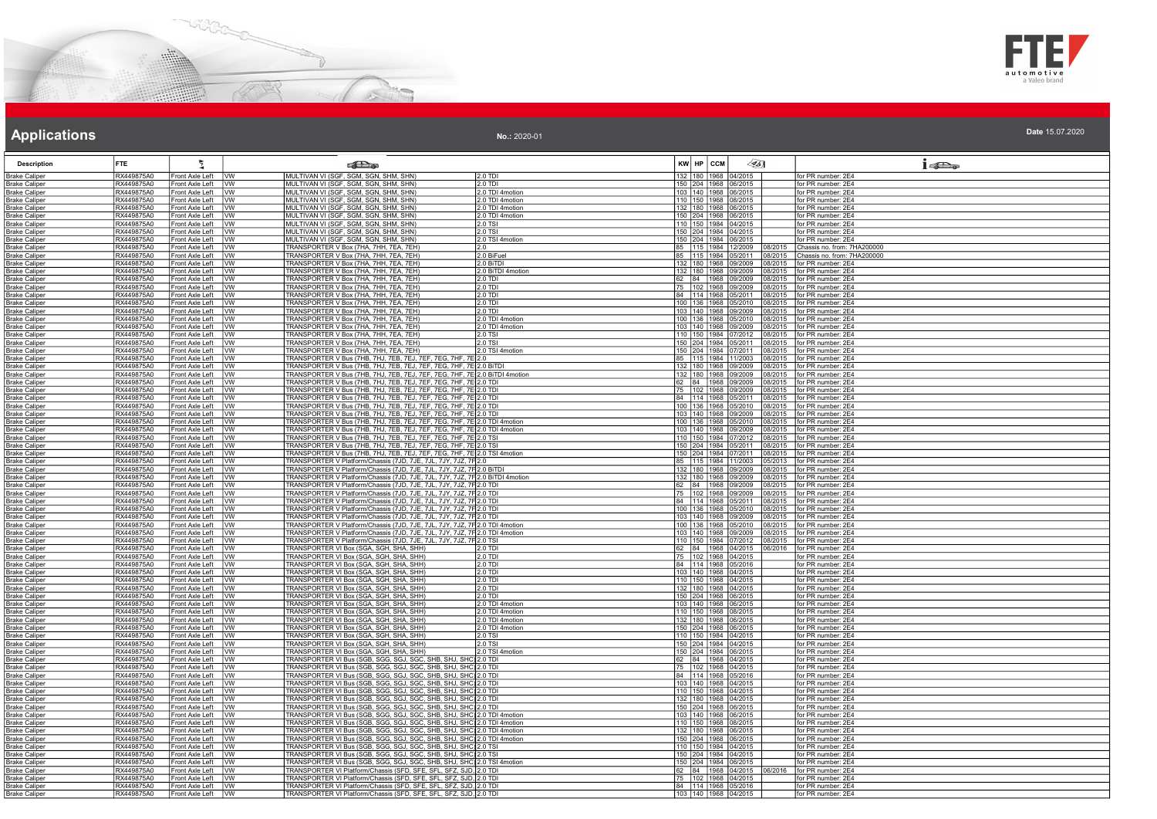



| Date 15.07.2020<br>No.: 2020-01 |
|---------------------------------|
|---------------------------------|

| <b>Description</b>                            | FTE.                     | ÷.                                           | <b>Extra</b>                                                                                                                                                       | KW HP CCM<br>$\llap{65}$                                               | 1522                                             |
|-----------------------------------------------|--------------------------|----------------------------------------------|--------------------------------------------------------------------------------------------------------------------------------------------------------------------|------------------------------------------------------------------------|--------------------------------------------------|
| <b>Brake Caliper</b>                          | RX449875A0               | Front Axle Left VW                           | MULTIVAN VI (SGF, SGM, SGN, SHM, SHN)<br>2.0 TDI                                                                                                                   | 132 180 1968 04/2015                                                   | for PR number: 2E4                               |
| Brake Caliper                                 | RX449875A0               | Front Axle Left                              | MULTIVAN VI (SGF, SGM, SGN, SHM, SHN)<br>lvw.<br>2.0 TDI                                                                                                           | 150 204 1968 06/2015                                                   | for PR number: 2E4                               |
| <b>Brake Caliper</b>                          | RX449875A0               | Front Axle Left VW                           | MULTIVAN VI (SGF, SGM, SGN, SHM, SHN)<br>2.0 TDI 4motion                                                                                                           | 103 140 1968 06/2015                                                   | for PR number: 2E4                               |
| <b>Brake Caliper</b>                          | RX449875A0               | Front Axle Left   VW                         | MULTIVAN VI (SGF, SGM, SGN, SHM, SHN)<br>2.0 TDI 4motion                                                                                                           | 110 150 1968 08/2015                                                   | for PR number: 2E4                               |
| <b>Brake Caliper</b>                          | RX449875A0<br>RX449875A0 | Front Axle Left   VW<br>Front Axle Left VW   | MULTIVAN VI (SGF, SGM, SGN, SHM, SHN)<br>2.0 TDI 4motion<br>2.0 TDI 4motion                                                                                        | 132 180 1968 06/2015<br>150 204 1968 06/2015                           | for PR number: 2E4<br>for PR number: 2E4         |
| <b>Brake Caliper</b><br><b>Brake Caliper</b>  | RX449875A0               | Front Axle Left                              | MULTIVAN VI (SGF, SGM, SGN, SHM, SHN)<br>lvw<br>2.0 TSI                                                                                                            | 110 150 1984 04/2015                                                   | for PR number: 2E4                               |
| Brake Caliper                                 | RX449875A0               | Front Axle Left   VW                         | MULTIVAN VI (SGF, SGM, SGN, SHM, SHN)<br>MULTIVAN VI (SGF, SGM, SGN, SHM, SHN)<br>2.0 TSI                                                                          | 150 204 1984 04/2015                                                   | for PR number: 2E4                               |
| <b>Brake Caliper</b>                          | RX449875A0               | Front Axle Left VW                           | MULTIVAN VI (SGF, SGM, SGN, SHM, SHN)<br>2.0 TSI 4motion                                                                                                           | 150 204 1984 06/2015                                                   | for PR number: 2E4                               |
| <b>Brake Caliper</b>                          | RX449875A0               | Front Axle Left VW                           | TRANSPORTER V Box (7HA, 7HH, 7EA, 7EH)<br>2.0                                                                                                                      | 85 115 1984 12/2009 08/2015                                            | Chassis no. from: 7HA200000                      |
| Brake Caliper                                 | RX449875A0               | Front Axle Left                              | TRANSPORTER V Box (7HA, 7HH, 7EA, 7EH)<br>20 BiFuel<br><b>IVW</b>                                                                                                  | 85 115 1984 05/2011 08/2015                                            | Chassis no. from: 7HA200000                      |
| <b>Brake Caliper</b>                          | RX449875A0               | Front Axle Left                              | TRANSPORTER V Box (7HA, 7HH, 7EA, 7EH)<br>2.0 BITDI<br>Ivw                                                                                                         | 132 180 1968 09/2009<br>08/2015                                        | for PR number: 2E4                               |
| <b>Brake Caliper</b>                          | RX449875A0               | Front Axle Left                              | <b>IVW</b><br>TRANSPORTER V Box (7HA, 7HH, 7EA, 7EH)<br>2.0 BiTDI 4motion                                                                                          | 132  180  1968  09/2009<br>08/2015                                     | for PR number: 2E4                               |
| <b>Brake Caliper</b>                          | RX449875A0               | Front Axle Left                              | $\overline{\mathsf{I}^{\mathsf{vw}}}$<br>TRANSPORTER V Box (7HA, 7HH, 7EA, 7EH)<br>$2.0$ TDI                                                                       | 62 84 1968 09/2009<br>08/2015                                          | for PR number: 2E4                               |
| <b>Brake Caliper</b>                          | RX449875A0               | Front Axle Left   VW                         | TRANSPORTER V Box (7HA, 7HH, 7EA, 7EH)<br>2.0 TDI                                                                                                                  | 75 102 1968 09/2009<br>08/2015                                         | for PR number: 2E4                               |
| <b>Brake Caliper</b><br><b>Brake Caliper</b>  | RX449875A0<br>RX449875A0 | Front Axle Left   VW<br>Front Axle Left VW   | TRANSPORTER V Box (7HA, 7HH, 7EA, 7EH)<br>2.0 TDI<br>TRANSPORTER V Box (7HA, 7HH, 7EA, 7EH)<br>$2.0$ TDI                                                           | 84   114   1968   05/2011   08/2015<br>100 136 1968 05/2010<br>08/2015 | for PR number: 2E4<br>for PR number: 2E4         |
| <b>Brake Caliper</b>                          | RX449875A0               | Front Axle Left VW                           | TRANSPORTER V Box (7HA, 7HH, 7EA, 7EH)<br>2.0 TDI                                                                                                                  | 103 140 1968 09/2009                                                   | 08/2015 for PR number: 2E4                       |
| <b>Brake Caliper</b>                          | RX449875A0               | Front Axle Left   VW                         | TRANSPORTER V Box (7HA, 7HH, 7EA, 7EH)<br>2.0 TDI 4motion                                                                                                          | 100 136 1968 05/2010<br>08/2015                                        | for PR number: 2E4                               |
| <b>Brake Caliper</b>                          | RX449875A0               | Front Axle Left VW                           | TRANSPORTER V Box (7HA, 7HH, 7EA, 7EH)<br>2.0 TDI 4motion                                                                                                          | 103 140 1968 09/2009<br>08/2015                                        | for PR number: 2E4                               |
| <b>Brake Caliper</b>                          | RX449875A0               | Front Axle Left                              | <b>I</b> VW<br>TRANSPORTER V Box (7HA, 7HH, 7EA, 7EH)<br>2.0 TSI                                                                                                   | 110 150 1984 07/2012<br>08/2015                                        | for PR number: 2E4                               |
| <b>Brake Caliper</b>                          | RX449875A0               | Front Axle Left VW                           | TRANSPORTER V Box (7HA, 7HH, 7EA, 7EH)<br>20 TSI                                                                                                                   | 150 204 1984 05/2011 08/2015                                           | for PR number: 2E4                               |
| <b>Brake Caliper</b>                          | RX449875A0               | Front Axle Left                              | TRANSPORTER V Box (7HA, 7HH, 7EA, 7EH)<br>2.0 TSI 4motion<br><b>I</b> w                                                                                            | 150 204 1984 07/2011<br>08/2015                                        | for PR number: 2E4                               |
| Brake Caliper                                 | RX449875A0               | Front Axle Left                              | TRANSPORTER V Bus (7HB, 7HJ, 7EB, 7EJ, 7EF, 7EG, 7HF, 7<br>lvw                                                                                                     | 85 115 1984 11/2003<br>08/2015                                         | for PR number: 2E4                               |
| <b>Brake Caliper</b>                          | RX449875A0               | Front Axle Left VW                           | TRANSPORTER V Bus (7HB, 7HJ, 7EB, 7EJ, 7EF, 7EG, 7HF, 7E 2.0 BITD)                                                                                                 | 132 180 1968 09/2009 08/2015 for PR number: 2E4                        |                                                  |
| <b>Brake Caliper</b>                          | RX449875A0               | Front Axle Left   VW                         | TRANSPORTER V Bus (7HB, 7HJ, 7EB, 7EJ, 7EF, 7EG, 7HF, 7E 2.0 BITDI 4motion                                                                                         | 132 180 1968 09/2009<br>08/2015                                        | for PR number: 2E4                               |
| <b>Brake Caliper</b>                          | RX449875A0<br>RX449875A0 | Front Axle Left   VW                         | TRANSPORTER V Bus (7HB, 7HJ, 7EB, 7EJ, 7EF, 7EG, 7HF, 7E 2.0 TDI                                                                                                   | 62 84 1968 09/2009 08/2015                                             | for PR number: 2E4<br>for PR number: 2E4         |
| <b>Brake Caliper</b>                          | RX449875A0               | Front Axle Left VW<br>Front Axle Left        | <u>TRANSPORTER V Bus (7HB, 7HJ, 7EB, 7EJ, 7EF, 7EG, 7HF, 7E<math>\vert</math>2.0 TDI</u><br>TRANSPORTER V Bus (7HB, 7HJ, 7EB, 7EJ, 7EF, 7EG, 7HF, 7E<br><b>IVW</b> | 75 102 1968 09/2009 08/2015<br>84 114 1968 05/2011<br>08/2015          | for PR number: 2E4                               |
| Brake Caliper<br>Brake Caliper                | RX449875A0               | Front Axle Left VW                           | TRANSPORTER V Bus (7HB, 7HJ, 7EB, 7EJ, 7EF, 7EG, 7HF, 7E 2.0 TDI                                                                                                   | 100 136 1968 05/2010 08/2015 for PR number: 2E4                        |                                                  |
| <b>Brake Caliper</b>                          | RX449875A0               | Front Axle Left VW                           | TRANSPORTER V Bus (7HB, 7HJ, 7EB, 7EJ, 7EF, 7EG, 7HF, 7E 2.0 TDI                                                                                                   | 103 140 1968 09/2009<br>08/2015                                        | for PR number: 2E4                               |
| <b>Brake Caliper</b>                          | RX449875A0               | Front Axle Left VW                           | TRANSPORTER V Bus (7HB, 7HJ, 7EB, 7EJ, 7EF, 7EG, 7HF, 7E 2.0 TDI 4motion                                                                                           | 100   136   1968   05/2010   08/2015   for PR number: 2E4              |                                                  |
| Brake Caliper                                 | RX449875A0               | Front Axle Left                              | TRANSPORTER V Bus (7HB, 7HJ, 7EB, 7EJ, 7EF, 7EG, 7HF, 7E 2.0 TDI 4motion<br>Ivw                                                                                    | 103 140 1968 09/2009<br>08/2015                                        | for PR number: 2E4                               |
| <b>Brake Caliper</b>                          | RX449875A0               | Front Axle Left                              | TRANSPORTER V Bus (7HB, 7HJ, 7EB, 7EJ, 7EF, 7EG, 7HF, 7E 2.0 TSI<br>Ivw                                                                                            | 110 150 1984 07/2012<br>08/2015                                        | for PR number: 2E4                               |
| <b>Brake Caliper</b>                          | RX449875A0               | Front Axle Left                              | lvw<br>TRANSPORTER V Bus (7HB, 7HJ, 7EB, 7EJ, 7EF, 7EG, 7HF, 7E 2.0 TSI                                                                                            | 150 204 1984 05/2011<br>08/2015                                        | for PR number: 2E4                               |
| <b>Brake Caliper</b>                          | RX449875A0               | Front Axle Left                              | TRANSPORTER V Bus (7HB, 7HJ, 7EB, 7EJ, 7EF, 7EG, 7HF, 7E 2.0 TSI 4motion<br><b>I</b> W                                                                             | 150 204 1984 07/2011<br>08/2015                                        | for PR number: 2E4                               |
| <b>Brake Caliper</b>                          | RX449875A0               | Front Axle Left   VW                         | TRANSPORTER V Platform/Chassis (7JD, 7JE, 7JL, 7JY, 7JZ, 7F 2.0                                                                                                    | 85   115   1984   11/2003<br>05/2013                                   | for PR number: 2E4                               |
| <b>Brake Caliper</b>                          | RX449875A0               | Front Axle Left   VW<br>Front Axle Left   VW | TRANSPORTER V Platform/Chassis (7JD, 7JE, 7JL, 7JY, 7JZ, 7F 2.0 BITDI                                                                                              | 132  180  1968  09/2009<br>08/2015                                     | for PR number: 2E4                               |
| <u> Brake Caliper</u><br><b>Brake Caliper</b> | RX449875A0<br>RX449875A0 | Front Axle Left   VW                         | TRANSPORTER V Platform/Chassis (7JD, 7JE, 7JL, 7JY, 7JZ, 7F 2.0 BITDI 4motion                                                                                      | 132 180 1968 09/2009<br>08/2015<br>62 84 1968 09/2009<br>08/2015       | for PR number: 2E4<br>for PR number: 2E4         |
| <b>Brake Caliper</b>                          | RX449875A0               | Front Axle Left VW                           | TRANSPORTER V Platform/Chassis (7JD, 7JE, 7JL, 7JY, 7JZ, 7F 2.0 TDI<br>TRANSPORTER V Platform/Chassis (7JD, 7JE, 7JL, 7JY, 7JZ, 7F 2.0 TDI                         | 75 102 1968 09/2009 08/2015                                            | for PR number: 2E4                               |
| <b>Brake Caliper</b>                          | RX449875A0               | Front Axle Left VW                           | TRANSPORTER V Platform/Chassis (7JD, 7JE, 7JL, 7JY, 7JZ, 7F 2.0 TDI                                                                                                | 84 114 1968 05/2011<br>08/2015                                         | for PR number: 2E4                               |
| <b>Brake Caliper</b>                          | RX449875A0               | Front Axle Left                              | TRANSPORTER V Platform/Chassis (7JD, 7JE, 7JL, 7JY, 7JZ, 7F 2.0 TDI<br>Ivw                                                                                         | 100 136 1968 05/2010<br>08/2015                                        | for PR number: 2E4                               |
| Brake Caliper                                 | RX449875A0               | Front Axle Left   VW                         | TRANSPORTER V Platform/Chassis (7JD, 7JE, 7JL, 7JY, 7JZ, 7F 2.0 TDI                                                                                                | 103 140 1968 09/2009 08/2015                                           | for PR number: 2E4                               |
| <b>Brake Caliper</b>                          | RX449875A0               | Front Axle Left                              | TRANSPORTER V Platform/Chassis (7JD, 7JE, 7JL, 7JY, 7JZ, 7F 2.0 TDI 4motion<br>Ivw                                                                                 | 100 136 1968 05/2010<br>08/2015                                        | for PR number: 2E4                               |
| Brake Caliper                                 | RX449875A0               | Front Axle Left                              | <b>WW</b><br>TRANSPORTER V Platform/Chassis (7JD, 7JE, 7JL, 7JY, 7JZ, 7F 2.0 TDI 4motion                                                                           | 103 140 1968 09/2009<br>08/2015                                        | for PR number: 2E4                               |
| <b>Brake Caliper</b>                          | RX449875A0               | Front Axle Left VW                           | TRANSPORTER V Platform/Chassis (7JD, 7JE, 7JL, 7JY, 7JZ, 7F 2.0 TSI                                                                                                | 110 150 1984 07/2012 08/2015                                           | for PR number: 2E4                               |
| <b>Brake Caliper</b><br><b>Brake Caliper</b>  | RX449875A0<br>RX449875A0 | Front Axle Left   VW<br>Front Axle Left   VW | TRANSPORTER VI Box (SGA, SGH, SHA, SHH)<br>2.0 TDI<br>TRANSPORTER VI Box (SGA, SGH, SHA, SHH)<br>2.0 TDI                                                           | 62 84 1968 04/2015<br>06/2016<br>75   102   1968   04/2015             | for PR number: 2E4<br>for PR number: 2E4         |
| Brake Caliper                                 | RX449875A0               | Front Axle Left   VW                         | TRANSPORTER VI Box (SGA, SGH, SHA, SHH)<br>2.0 TDI                                                                                                                 | 84 114 1968 05/2016                                                    | for PR number: 2E4                               |
| <b>Brake Caliper</b>                          | RX449875A0               | Front Axle Left   VW                         | TRANSPORTER VI Box (SGA, SGH, SHA, SHH)<br>2.0 TDI                                                                                                                 | 103 140 1968 04/2015                                                   | for PR number: 2E4                               |
| <b>Brake Caliper</b>                          | RX449875A0               | Front Axle Left   VW                         | TRANSPORTER VI Box (SGA, SGH, SHA, SHH)<br>2.0 TDI                                                                                                                 | 110 150 1968 04/2015                                                   | for PR number: 2E4                               |
| <b>Brake Caliper</b>                          | RX449875A0               | Front Axle Left   VW                         | TRANSPORTER VI Box (SGA, SGH, SHA, SHH)<br>$2.0$ TDI                                                                                                               | 132 180 1968 04/2015                                                   | for PR number: 2E4                               |
| <b>Brake Caliper</b>                          | RX449875A0               | Front Axle Left VW                           | TRANSPORTER VI Box (SGA, SGH, SHA, SHH)<br>2.0 TDI                                                                                                                 | 150 204 1968 06/2015                                                   | for PR number: 2E4                               |
| Brake Caliper                                 | RX449875A0               | Front Axle Left                              | TRANSPORTER VI Box (SGA, SGH, SHA, SHH)<br>lvw.<br>2.0 TDI 4motion                                                                                                 | 103 140 1968 06/2015                                                   | for PR number: 2E4                               |
| <b>Brake Caliper</b>                          | RX449875A0               | Front Axle Left                              | TRANSPORTER VI Box (SGA, SGH, SHA, SHH)<br>2.0 TDI 4motion<br>Ivw                                                                                                  | 110 150 1968 08/2015                                                   | for PR number: 2E4                               |
| <b>Brake Caliper</b><br><b>Brake Caliper</b>  | RX449875A0<br>RX449875A0 | Front Axle Left<br>Front Axle Left           | TRANSPORTER VI Box (SGA, SGH, SHA, SHH)<br>2.0 TDI 4motion<br>Ivw<br>TRANSPORTER VI Box (SGA, SGH, SHA, SHH)<br><b>W</b><br>2.0 TDI 4motion                        | 132 180 1968 06/2015<br>150 204 1968 06/2015                           | for PR number: 2E4<br>for PR number: 2E4         |
| <b>Brake Caliper</b>                          | RX449875A0               | Front Axle Left VW                           | TRANSPORTER VI Box (SGA, SGH, SHA, SHH)<br>2.0 TSI                                                                                                                 | 110 150 1984 04/2015                                                   | for PR number: 2E4                               |
| <b>Brake Caliper</b>                          | RX449875A0               | Front Axle Left   VW                         | TRANSPORTER VI Box (SGA, SGH, SHA, SHH)<br>2.0 TSI                                                                                                                 | 150 204 1984 04/2015                                                   | for PR number: 2E4                               |
| Brake Caliper                                 | RX449875A0               | Front Axle Left   VW                         | TRANSPORTER VI Box (SGA, SGH, SHA, SHH)<br>2.0 TSI 4motion                                                                                                         | 150 204 1984 06/2015                                                   | for PR number: 2E4                               |
| <b>Brake Caliper</b>                          | RX449875A0               | Front Axle Left VW                           | TRANSPORTER VI Bus (SGB, SGG, SGJ, SGC, SHB, SHJ, SHC) 2.0 TDI<br>TRANSPORTER VI Bus (SGB, SGG, SGJ, SGC, SHB, SHJ, SHC) 2.0 TDI                                   |                                                                        | for PR number: 2E4                               |
| <b>Brake Caliper</b>                          | RX449875A0               | Front Axle Left   VW                         |                                                                                                                                                                    | 62 84 1968 04/2015<br>75 102 1968 04/2015                              | for PR number: 2E4                               |
| <b>Brake Caliper</b>                          | RX449875A0               | Front Axle Left VW                           | TRANSPORTER VI Bus (SGB, SGG, SGJ, SGC, SHB, SHJ, SHC) 2.0 TDI                                                                                                     | 84 114 1968 05/2016                                                    | for PR number: 2E4                               |
| <b>Brake Caliper</b>                          | RX449875A0               | Front Axle Left                              | TRANSPORTER VI Bus (SGB, SGG, SGJ, SGC, SHB, SHJ, SHC) 2.0 TDI<br><b>I</b> w                                                                                       | 103 140 1968 04/2015                                                   | for PR number: 2E4                               |
| Brake Caliper                                 | RX449875A0<br>RX449875A0 | Front Axle Left<br>Front Axle Left           | <b>IVW</b><br>TRANSPORTER VI Bus (SGB, SGG, SGJ, SGC, SHB, SHJ, SHC) 2.0 TDI                                                                                       | 110 150 1968 04/2015                                                   | for PR number: 2E4<br>for PR number: 2E4         |
| <b>Brake Caliper</b><br><b>Brake Caliper</b>  | RX449875A0               | ront Axle Left                               | TRANSPORTER VI Bus (SGB, SGG, SGJ, SGC, SHB, SHJ, SHC) 2.0 TDI<br>lvw<br><b>Ivw</b>                                                                                | 132 180 1968 04/2015<br>150 204 1968 06/2015                           | for PR number: 2E4                               |
| <b>Brake Caliper</b>                          | RX449875A0               | Front Axle Left VW                           | TRANSPORTER VI Bus (SGB, SGG, SGJ, SGC, SHB, SHJ, SHC 2.0 TDI<br>TRANSPORTER VI Bus (SGB, SGG, SGJ, SGC, SHB, SHJ, SHC 2.0 TDI 4motion                             | 103 140 1968 06/2015                                                   | for PR number: 2E4                               |
| <b>Brake Caliper</b>                          | RX449875A0               | Front Axle Left   VW                         | TRANSPORTER VI Bus (SGB, SGG, SGJ, SGC, SHB, SHJ, SHC) 2.0 TDI 4motion                                                                                             | 110 150 1968 08/2015                                                   | for PR number: 2E4                               |
| <b>Brake Caliper</b>                          | RX449875A0               | Front Axle Left   VW                         | TRANSPORTER VI Bus (SGB, SGG, SGJ, SGC, SHB, SHJ, SHC) 2.0 TDI 4motion                                                                                             | 132   180   1968   06/2015                                             | for PR number: 2E4                               |
| Brake Caliper                                 | RX449875A0               | Front Axle Left VW                           | TRANSPORTER VI Bus (SGB, SGG, SGJ, SGC, SHB, SHJ, SHC) 2.0 TDI 4motion                                                                                             | 150 204 1968 06/2015                                                   | for PR number: 2E4                               |
| <b>Brake Caliper</b>                          | RX449875A0               | Front Axle Left VW                           | TRANSPORTER VI Bus (SGB, SGG, SGJ, SGC, SHB, SHJ, SHC) 2.0 TSI                                                                                                     | 110 150 1984 04/2015                                                   | for PR number: 2E4                               |
| <b>Brake Caliper</b>                          | RX449875A0               | Front Axle Left                              | TRANSPORTER VI Bus (SGB, SGG, SGJ, SGC, SHB, SHJ, SHC) 2.0 TSI<br><b>IVW</b>                                                                                       | 150 204 1984 04/2015                                                   | for PR number: 2E4                               |
| <b>Brake Caliper</b>                          | RX449875A0               | Front Axle Left VW                           | TRANSPORTER VI Bus (SGB, SGG, SGJ, SGC, SHB, SHJ, SHC) 2.0 TSI 4motion<br>TRANSPORTER VI Platform/Chassis (SFD, SFE, SFL, SFZ, SJD, 2.0 TDI<br><b>I</b> W          | 150 204 1984 06/2015<br>62 84 1968 04/2015                             | for PR number: 2E4<br>06/2016 for PR number: 2E4 |
| <b>Brake Caliper</b><br><b>Brake Caliper</b>  | RX449875A0<br>RX449875A0 | Front Axle Left<br>Front Axle Left           | TRANSPORTER VI Platform/Chassis (SFD, SFE, SFL, SFZ, SJD, 2.0 TDI<br><b>IVW</b>                                                                                    | 75 102 1968 04/2015                                                    | for PR number: 2E4                               |
| <b>Brake Caliper</b>                          | RX449875A0               | Front Axle Left WW                           | TRANSPORTER VI Platform/Chassis (SFD, SFE, SFL, SFZ, SJD, 2.0 TDI                                                                                                  | 84 114 1968 05/2016                                                    | for PR number: 2E4                               |
| <b>Brake Caliper</b>                          | RX449875A0               | Front Axle Left VW                           | TRANSPORTER VI Platform/Chassis (SFD, SFE, SFL, SFZ, SJD, 2.0 TDI                                                                                                  | 103 140 1968 04/2015                                                   | for PR number: 2E4                               |
|                                               |                          |                                              |                                                                                                                                                                    |                                                                        |                                                  |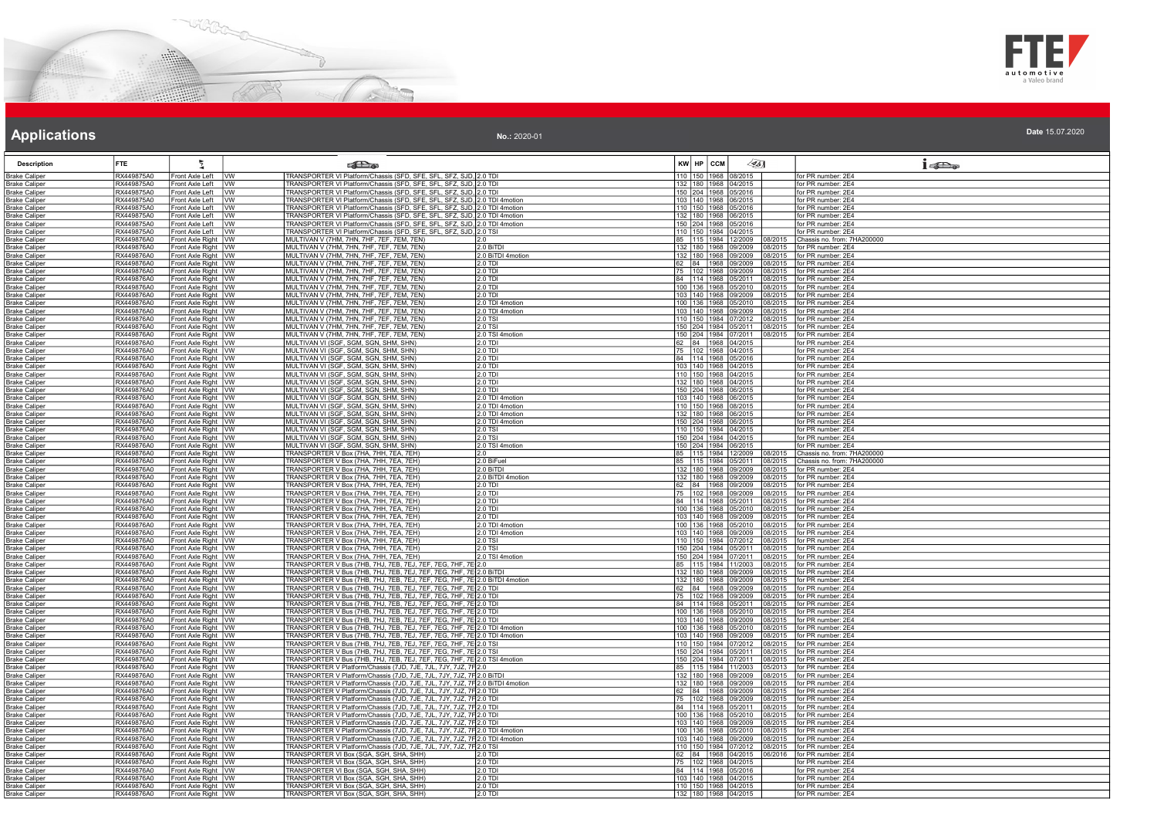



| No.: 2020-01 | Date 15.07.2020 |
|--------------|-----------------|
|              |                 |

| <b>Description</b>                           | <b>FTE</b>               |                                              | <b>SEL</b> as                                                                                                                                          |                            | $\llap{0.1cm}$<br>KW HP CCM                                                              | $1 - 5$                                            |
|----------------------------------------------|--------------------------|----------------------------------------------|--------------------------------------------------------------------------------------------------------------------------------------------------------|----------------------------|------------------------------------------------------------------------------------------|----------------------------------------------------|
| <b>Brake Caliper</b>                         | RX449875A0               | Front Axle Left<br><b>IVW</b>                | TRANSPORTER VI Platform/Chassis (SFD, SFE, SFL, SFZ, SJD, 2.0 TD                                                                                       |                            | 110<br>1968 08/2015                                                                      | for PR number: 2E4                                 |
| Brake Caliper                                | RX449875A0               | Front Axle Left VW                           | TRANSPORTER VI Platform/Chassis (SED, SEE, SEL, SEZ, SJD, 2.0 TD)                                                                                      |                            | 132 180 1968 04/2015                                                                     | for PR number: 2F4                                 |
| <b>Brake Caliper</b>                         | RX449875A0<br>RX449875A0 | Front Axle Left VW                           | TRANSPORTER VI Platform/Chassis (SFD, SFE, SFL, SFZ, SJD, 2.0 TDI                                                                                      |                            | 150 204 1968 05/2016                                                                     | for PR number: 2E4                                 |
| <b>Brake Caliper</b><br><b>Brake Caliper</b> | RX449875A0               | Front Axle Left   VW<br>Front Axle Left   VW | TRANSPORTER VI Platform/Chassis (SFD, SFE, SFL, SFZ, SJD, 2.0 TDI 4motion<br>TRANSPORTER VI Platform/Chassis (SFD, SFE, SFL, SFZ, SJD, 2.0 TDI 4motion |                            | 103 140 1968 06/2015<br>110 150 1968 05/2016                                             | for PR number: 2E4<br>for PR number: 2E4           |
| <b>Brake Caliper</b>                         | RX449875A0               | Front Axle Left   VW                         | TRANSPORTER VI Platform/Chassis (SFD, SFE, SFL, SFZ, SJD, 2.0 TDI 4motion                                                                              |                            | 132 180 1968 06/2015                                                                     | for PR number: 2E4                                 |
| Brake Caliper                                | RX449875A0               | Front Axle Left   VW                         | TRANSPORTER VI Platform/Chassis (SFD, SFE, SFL, SFZ, SJD, 2.0 TDI 4motion                                                                              |                            | 150 204 1968 05/2016                                                                     | for PR number: 2E4                                 |
| <b>Brake Caliper</b>                         | RX449875A0               | Front Axle Left   VW                         | TRANSPORTER VI Platform/Chassis (SFD, SFE, SFL, SFZ, SJD, 2.0 TSI                                                                                      |                            | 110 150 1984 04/2015                                                                     | for PR number: 2E4                                 |
| <b>Brake Caliper</b>                         | RX449876A0               | Front Axle Right VW                          | MULTIVAN V (7HM, 7HN, 7HF, 7EF, 7EM, 7EN)                                                                                                              | 2.0                        | 85 115 1984 12/2009<br>08/2015                                                           | Chassis no. from: 7HA200000                        |
| <b>Brake Caliper</b>                         | RX449876A0               | Front Axle Right VW                          | MULTIVAN V (7HM, 7HN, 7HF, 7EF, 7EM, 7EN)                                                                                                              | 2.0 BiTDI                  | 132 180 1968 09/2009                                                                     | 08/2015   for PR number: 2E4                       |
| <b>Brake Caliper</b>                         | RX449876A0               | Front Axle Right   VW                        | MULTIVAN V (7HM, 7HN, 7HF, 7EF, 7EM, 7EN)                                                                                                              | 2.0 BiTDI 4motion          | 132 180 1968 09/2009<br>08/2015                                                          | for PR number: 2E4                                 |
| <b>Brake Caliper</b>                         | RX449876A0               | Front Axle Right VW                          | MULTIVAN V (7HM, 7HN, 7HF, 7EF, 7EM, 7EN)                                                                                                              | 2.0 TDI                    | 62 84 1968 09/2009<br>08/2015                                                            | for PR number: 2E4                                 |
| <b>Brake Caliper</b><br><b>Brake Caliper</b> | RX449876A0<br>RX449876A0 | Front Axle Right   VW<br>Front Axle Right VW | MULTIVAN V (7HM, 7HN, 7HF, 7EF, 7EM, 7EN)<br>MULTIVAN V (7HM, 7HN, 7HF, 7EF, 7EM, 7EN)                                                                 | 2.0 TDI<br>$2.0$ TDI       | 75 102 1968 09/2009<br>08/2015<br>84 114 1968 05/2011<br>08/2015                         | for PR number: 2E4<br>for PR number: 2E4           |
| <b>Brake Caliper</b>                         | RX449876A0               | Front Axle Right VW                          | MULTIVAN V (7HM, 7HN, 7HF, 7EF, 7EM, 7EN)                                                                                                              | 2.0 TDI                    | 100 136 1968 05/2010<br>08/2015                                                          | for PR number: 2E4                                 |
| <b>Brake Caliper</b>                         | RX449876A0               | Front Axle Right VW                          | MULTIVAN V (7HM, 7HN, 7HF, 7EF, 7EM, 7EN)                                                                                                              | 2.0 TDI                    | 103 140 1968 09/2009<br>08/2015                                                          | for PR number: 2E4                                 |
| <b>Brake Caliper</b>                         | RX449876A0               | Front Axle Right   VW                        | MULTIVAN V (7HM, 7HN, 7HF, 7EF, 7EM, 7EN)                                                                                                              | 2.0 TDI 4motion            | 100 136 1968 05/2010<br>08/2015                                                          | for PR number: 2E4                                 |
| <b>Brake Caliper</b>                         | RX449876A0               | Front Axle Right VW                          | MULTIVAN V (7HM, 7HN, 7HF, 7EF, 7EM, 7EN)                                                                                                              | 2.0 TDI 4motion            | 103 140 1968 09/2009<br>08/2015                                                          | for PR number: 2E4                                 |
| <b>Brake Caliper</b>                         | RX449876A0               | Front Axle Right VW                          | MULTIVAN V (7HM, 7HN, 7HF, 7EF, 7EM, 7EN)                                                                                                              | $2.0$ TSI                  | 110 150 1984 07/2012                                                                     | 08/2015 for PR number: 2E4                         |
| <b>Brake Caliper</b>                         | RX449876A0               | Front Axle Right VW                          | MULTIVAN V (7HM, 7HN, 7HF, 7EF, 7EM, 7EN)                                                                                                              | 2.0 TSI                    | 150 204 1984 05/2011<br>08/2015                                                          | for PR number: 2E4                                 |
| <b>Brake Caliper</b>                         | RX449876A0               | Front Axle Right VW                          | MULTIVAN V (7HM, 7HN, 7HF, 7EF, 7EM, 7EN)                                                                                                              | 2.0 TSI 4motion            | 150 204 1984 07/2011                                                                     | 08/2015   for PR number: 2E4                       |
| <b>Brake Caliper</b>                         | RX449876A0               | Front Axle Right   VW                        | MULTIVAN VI (SGF, SGM, SGN, SHM, SHN)                                                                                                                  | 2.0 TDI                    | 62 84 1968 04/2015                                                                       | for PR number: 2F4                                 |
| <b>Brake Caliper</b>                         | RX449876A0<br>RX449876A0 | Front Axle Right VW                          | MULTIVAN VI (SGF, SGM, SGN, SHM, SHN)<br>MULTIVAN VI (SGF, SGM, SGN, SHM, SHN)                                                                         | 2.0 TD<br>2.0 TDI          | 75 102 1968 04/2015                                                                      | for PR number: 2E4                                 |
| <b>Brake Caliper</b><br><b>Brake Caliper</b> | RX449876A0               | Front Axle Right   VW<br>Front Axle Right WW | MULTIVAN VI (SGF, SGM, SGN, SHM, SHN)                                                                                                                  | $2.0$ TDI                  | 84 114 1968 05/2016<br>103 140 1968 04/2015                                              | for PR number: 2E4<br>for PR number: 2E4           |
| <b>Brake Caliper</b>                         | RX449876A0               | Front Axle Right VW                          | MULTIVAN VI (SGF, SGM, SGN, SHM, SHN)                                                                                                                  | 2.0 TDI                    | 110 150 1968 04/2015                                                                     | for PR number: 2E4                                 |
| <b>Brake Caliper</b>                         | RX449876A0               | Front Axle Right   VW                        | MULTIVAN VI (SGF, SGM, SGN, SHM, SHN)                                                                                                                  | 2.0 TDI                    | 132 180 1968 04/2015                                                                     | for PR number: 2E4                                 |
| <b>Brake Caliper</b>                         | RX449876A0               | Front Axle Right VW                          | MULTIVAN VI (SGF, SGM, SGN, SHM, SHN)                                                                                                                  | 2.0 TDI                    | 150 204 1968 06/2015                                                                     | for PR number: 2E4                                 |
| <b>Brake Caliper</b>                         | RX449876A0               | Front Axle Right VW                          | MULTIVAN VI (SGF, SGM, SGN, SHM, SHN)                                                                                                                  | 2.0 TDI 4motion            | 103 140 1968 06/2015                                                                     | for PR number: 2E4                                 |
| <b>Brake Caliper</b>                         | RX449876A0               | Front Axle Right VW                          | MULTIVAN VI (SGF, SGM, SGN, SHM, SHN)                                                                                                                  | 2.0 TDI 4motion            | 110 150 1968 08/2015                                                                     | for PR number: 2E4                                 |
| <b>Brake Caliper</b>                         | RX449876A0               | Front Axle Right   VW                        | MULTIVAN VI (SGF, SGM, SGN, SHM, SHN)                                                                                                                  | 2.0 TDI 4motion            | 132 180 1968 06/2015                                                                     | for PR number: 2E4                                 |
| <b>Brake Caliper</b>                         | RX449876A0<br>RX449876A0 | Front Axle Right   VW                        | MULTIVAN VI (SGF, SGM, SGN, SHM, SHN)                                                                                                                  | 2.0 TDI 4motion            | 150 204 1968 06/2015<br>110 150 1984 04/2015                                             | for PR number: 2E4<br>for PR number: 2E4           |
| <b>Brake Caliper</b><br><b>Brake Caliper</b> | RX449876A0               | Front Axle Right VW<br>Front Axle Right VW   | MULTIVAN VI (SGF, SGM, SGN, SHM, SHN)<br>MULTIVAN VI (SGF, SGM, SGN, SHM, SHN)                                                                         | 2.0 TSI<br>2.0 TSI         | 150 204 1984 04/2015                                                                     | for PR number: 2E4                                 |
| <b>Brake Caliper</b>                         | RX449876A0               | Front Axle Right VW                          | MULTIVAN VI (SGF, SGM, SGN, SHM, SHN)                                                                                                                  | 2.0 TSI 4motion            | 150 204 1984 06/2015                                                                     | for PR number: 2E4                                 |
| <b>Brake Caliper</b>                         | RX449876A0               | Front Axle Right VW                          | TRANSPORTER V Box (7HA, 7HH, 7EA, 7EH)                                                                                                                 | 2.0                        | 85 115 1984 12/2009<br>08/2015                                                           | Chassis no. from: 7HA200000                        |
| <b>Brake Caliper</b>                         | RX449876A0               | Front Axle Right VW                          | TRANSPORTER V Box (7HA, 7HH, 7EA, 7EH)                                                                                                                 | 2.0 BiFuel                 | 85 115 1984 05/2011                                                                      | 08/2015 Chassis no. from: 7HA200000                |
| <b>Brake Caliper</b>                         | RX449876A0               | Front Axle Right VW                          | TRANSPORTER V Box (7HA, 7HH, 7EA, 7EH)                                                                                                                 | 2.0 BITDI                  | 132  180  1968  09/2009<br>08/2015                                                       | for PR number: 2E4                                 |
| <b>Brake Caliper</b>                         | RX449876A0               | Front Axle Right VW                          | TRANSPORTER V Box (7HA, 7HH, 7EA, 7EH)                                                                                                                 | 2.0 BiTDI 4motion          | 132 180 1968 09/2009<br>08/2015                                                          | for PR number: 2E4                                 |
| <b>Brake Caliper</b>                         | RX449876A0<br>RX449876A0 | Front Axle Right VW<br>Front Axle Right VW   | TRANSPORTER V Box (7HA, 7HH, 7EA, 7EH)<br>TRANSPORTER V Box (7HA, 7HH, 7EA, 7EH)                                                                       | 2.0 TDI<br>2.0 TDI         | 62<br>84 1968 09/2009<br>08/2015<br>75  102  1968  09/2009  08/2015   for PR number: 2E4 | for PR number: 2E4                                 |
| <b>Brake Caliper</b><br><b>Brake Caliper</b> | RX449876A0               | Front Axle Right VW                          | TRANSPORTER V Box (7HA, 7HH, 7EA, 7EH)                                                                                                                 | 2.0 TDI                    | 84 114 1968 05/2011<br>08/2015                                                           | for PR number: 2E4                                 |
| <b>Brake Caliper</b>                         | RX449876A0               | Front Axle Right VW                          | TRANSPORTER V Box (7HA, 7HH, 7EA, 7EH)                                                                                                                 | 2.0 TDI                    | 100 136 1968 05/2010                                                                     | 08/2015 for PR number: 2E4                         |
| <b>Brake Caliper</b>                         | RX449876A0               | Front Axle Right   VW                        | TRANSPORTER V Box (7HA, 7HH, 7EA, 7EH)                                                                                                                 | 2.0 TDI                    | 103 140 1968 09/2009<br>08/2015                                                          | for PR number: 2E4                                 |
| <b>Brake Caliper</b>                         | RX449876A0               | Front Axle Right   VW                        | TRANSPORTER V Box (7HA, 7HH, 7EA, 7EH)                                                                                                                 | 2.0 TDI 4motion            | 100 136 1968 05/2010<br>8/2015                                                           | for PR number: 2E4                                 |
| <b>Brake Caliper</b>                         | RX449876A0               | Front Axle Right VW                          | TRANSPORTER V Box (7HA, 7HH, 7EA, 7EH)                                                                                                                 | 2.0 TDI 4motion            | 103 140 1968 09/2009<br>08/2015                                                          | for PR number: 2E4                                 |
| <b>Brake Caliper</b>                         | RX449876A0               | Front Axle Right VW                          | TRANSPORTER V Box (7HA, 7HH, 7EA, 7EH)<br>TRANSPORTER V Box (7HA, 7HH, 7EA, 7EH)                                                                       | $2.0$ TSI                  | 110 150 1984 07/2012<br>08/2015                                                          | for PR number: 2E4                                 |
| <b>Brake Caliper</b><br><b>Brake Caliper</b> | RX449876A0<br>RX449876A0 | Front Axle Right VW<br>Front Axle Right   VW | TRANSPORTER V Box (7HA, 7HH, 7EA, 7EH)                                                                                                                 | 2.0 TSI<br>2.0 TSI 4motion | 150 204 1984 05/2011<br>08/2015<br>150 204 1984 07/2011<br>08/2015                       | for PR number: 2E4<br>for PR number: 2E4           |
| <b>Brake Caliper</b>                         | RX449876A0               | Front Axle Right   VW                        | TRANSPORTER V Bus (7HB, 7HJ, 7EB, 7EJ, 7EF, 7EG, 7HF, 7E 2.0                                                                                           |                            | 85 115 1984 11/2003<br>08/2015                                                           | for PR number: 2E4                                 |
| <b>Brake Caliper</b>                         | RX449876A0               | Front Axle Right VW                          | TRANSPORTER V Bus (7HB, 7HJ, 7EB, 7EJ, 7EF, 7EG, 7HF, 7E 2.0 BITDI                                                                                     |                            | 132 180 1968 09/2009<br>08/2015                                                          | for PR number: 2E4                                 |
| <b>Brake Caliper</b>                         | RX449876A0               | Front Axle Right   VW                        | TRANSPORTER V Bus (7HB, 7HJ, 7EB, 7EJ, 7EF, 7EG, 7HF, 7E 2.0 BITDI 4motion                                                                             |                            | 132 180 1968 09/2009<br>08/2015                                                          | for PR number: 2E4                                 |
| <b>Brake Caliper</b>                         | RX449876A0               | Front Axle Right   VW                        | TRANSPORTER V Bus (7HB, 7HJ, 7EB, 7EJ, 7EF, 7EG, 7HF, 7E 2.0 TDI                                                                                       |                            | 62 84 1968 09/2009<br>08/2015                                                            | for PR number: 2E4                                 |
| <b>Brake Caliper</b>                         | RX449876A0               | Front Axle Right VW                          | TRANSPORTER V Bus (7HB, 7HJ, 7EB, 7EJ, 7EF, 7EG, 7HF, 7E 2.0 TDI                                                                                       |                            | 75 102 1968 09/2009                                                                      | 08/2015 for PR number: 2E4                         |
| <b>Brake Caliper</b>                         | RX449876A0<br>RX449876A0 | Front Axle Right VW                          | TRANSPORTER V Bus (7HB, 7HJ, 7EB, 7EJ, 7EF, 7EG, 7HF, 7E 2.0 TDI                                                                                       |                            | 84 114 1968 05/2011<br>08/2015<br>08/2015                                                | for PR number: 2E4<br>for PR number: 2E4           |
| <b>Brake Caliper</b>                         | RX449876A0               | Front Axle Right VW<br>Front Axle Right VW   | TRANSPORTER V Bus (7HB, 7HJ, 7EB, 7EJ, 7EF, 7EG, 7HF, 7E 2.0 TDI<br>TRANSPORTER V Bus (7HB, 7HJ, 7EB, 7EJ, 7EF, 7EG, 7HF, 7E 2.0 TDI                   |                            | 100 136 1968 05/2010<br>103 140 1968 09/2009<br>18/2015                                  | for PR number: 2E4                                 |
| Brake Caliper<br><b>Brake Caliper</b>        | RX449876A0               | Front Axle Right VW                          | TRANSPORTER V Bus (7HB, 7HJ, 7EB, 7EJ, 7EF, 7EG, 7HF, 7E 2.0 TDI 4motion                                                                               |                            | 100 136 1968 05/2010<br>08/2015                                                          | for PR number: 2E4                                 |
| <b>Brake Caliper</b>                         | RX449876A0               | Front Axle Right VW                          | TRANSPORTER V Bus (7HB, 7HJ, 7EB, 7EJ, 7EF, 7EG, 7HF, 7E 2.0 TDI 4motion                                                                               |                            | 103 140 1968 09/2009<br>08/2015                                                          | for PR number: 2E4                                 |
| <b>Brake Caliper</b>                         | RX449876A0               | Front Axle Right VW                          | TRANSPORTER V Bus (7HB, 7HJ, 7EB, 7EJ, 7EF, 7EG, 7HF, 7E 2.0 TSI                                                                                       |                            | 110 150 1984 07/2012<br>08/2015                                                          | for PR number: 2E4                                 |
| <b>Brake Caliper</b>                         | RX449876A0               | Front Axle Right   VW                        | TRANSPORTER V Bus (7HB, 7HJ, 7EB, 7EJ, 7EF, 7EG, 7HF, 7E 2.0 TS                                                                                        |                            | 150 204 1984 05/2011<br>08/2015                                                          | for PR number: 2E4                                 |
| <b>Brake Caliper</b>                         | RX449876A0               | Front Axle Right   VW                        | TRANSPORTER V Bus (7HB, 7HJ, 7EB, 7EJ, 7EF, 7EG, 7HF, 7E 2.0 TSI 4motion                                                                               |                            | 150 204 1984 07/2011<br>08/2015                                                          | for PR number: 2E4                                 |
| <b>Brake Caliper</b>                         | RX449876A0               | Front Axle Right VW                          | TRANSPORTER V Platform/Chassis (7JD, 7JE, 7JL, 7JY, 7JZ, 7F2.0                                                                                         |                            | 85 115 1984 11/2003<br>05/2013                                                           | for PR number: 2E4                                 |
| <b>Brake Caliper</b>                         | RX449876A0               | Front Axle Right VW                          | TRANSPORTER V Platform/Chassis (7JD, 7JE, 7JL, 7JY, 7JZ, 7F 2.0 BITDI                                                                                  |                            | 132 180 1968 09/2009<br>08/2015                                                          | for PR number: 2E4                                 |
| <b>Brake Caliper</b><br><b>Brake Caliper</b> | RX449876A0<br>RX449876A0 | Front Axle Right VW<br>Front Axle Right   VW | TRANSPORTER V Platform/Chassis (7JD, 7JE, 7JL, 7JY, 7JZ, 7F 2.0 BiTDI 4motion<br>TRANSPORTER V Platform/Chassis (7JD, 7JE, 7JL, 7JY, 7JZ, 7F 2.0 TDI   |                            | 132 180 1968 09/2009<br>62 84 1968 09/2009<br>08/2015                                    | 08/2015   for PR number: 2E4<br>for PR number: 2E4 |
| <b>Brake Caliper</b>                         | RX449876A0               | Front Axle Right   VW                        | TRANSPORTER V Platform/Chassis (7JD, 7JE, 7JL, 7JY, 7JZ, 7F2.0 TDI                                                                                     |                            | 75   102   1968   09/2009<br>8/2015                                                      | for PR number: 2E4                                 |
| Brake Caliper                                | RX449876A0               | Front Axle Right VW                          | TRANSPORTER V Platform/Chassis (7JD, 7JE, 7JL, 7JY, 7JZ, 7F2.0 TDI                                                                                     |                            | 84 114 1968 05/2011<br>08/2015                                                           | for PR number: 2E4                                 |
| <b>Brake Caliper</b>                         | RX449876A0               | Front Axle Right VW                          | TRANSPORTER V Platform/Chassis (7JD, 7JE, 7JL, 7JY, 7JZ, 7F 2.0 TDI                                                                                    |                            | 100 136 1968 05/2010<br>08/2015                                                          | for PR number: 2E4                                 |
| <b>Brake Caliper</b>                         | RX449876A0               | Front Axle Right VW                          | TRANSPORTER V Platform/Chassis (7JD, 7JE, 7JL, 7JY, 7JZ, 7F 2.0 TDI                                                                                    |                            | 103 140 1968 09/2009<br>08/2015                                                          | for PR number: 2E4                                 |
| <b>Brake Caliper</b>                         | RX449876A0               | Front Axle Right VW                          | TRANSPORTER V Platform/Chassis (7JD, 7JE, 7JL, 7JY, 7JZ, 7F 2.0 TDI 4motion                                                                            |                            | 100 136 1968 05/2010                                                                     | 08/2015   for PR number: 2E4                       |
| <b>Brake Caliper</b>                         | RX449876A0<br>RX449876A0 | Front Axle Right VW<br>Front Axle Right VW   | TRANSPORTER V Platform/Chassis (7JD, 7JE, 7JL, 7JY, 7JZ, 7F 2.0 TDI 4motion<br>TRANSPORTER V Platform/Chassis (7JD, 7JE, 7JL, 7JY, 7JZ, 7F 2.0 TSI     |                            | 103 140 1968 09/2009<br>08/2015<br>110 150 1984 07/2012<br>08/2015                       | for PR number: 2E4<br>for PR number: 2E4           |
| <b>Brake Caliper</b><br><b>Brake Caliper</b> | RX449876A0               | Front Axle Right VW                          | TRANSPORTER VI Box (SGA, SGH, SHA, SHH)                                                                                                                | 2.0 TD                     | 62 84 1968 04/2015<br>06/2016                                                            | for PR number: 2E4                                 |
| <b>Brake Caliper</b>                         | RX449876A0               | Front Axle Right   VW                        | TRANSPORTER VI Box (SGA, SGH, SHA, SHH)                                                                                                                | $2.0$ TDI                  | 75 102 1968 04/2015                                                                      | for PR number: 2E4                                 |
| <b>Brake Caliper</b>                         | RX449876A0               | Front Axle Right   VW                        | TRANSPORTER VI Box (SGA, SGH, SHA, SHH)                                                                                                                | $2.0$ TDI                  | 84 114 1968 05/2016                                                                      | for PR number: 2E4                                 |
| <b>Brake Caliper</b>                         | RX449876A0               | Front Axle Right   VW                        | TRANSPORTER VI Box (SGA, SGH, SHA, SHH)                                                                                                                | 2.0 TDI                    | 103 140 1968 04/2015                                                                     | for PR number: 2E4                                 |
| Brake Caliper                                | RX449876A0               | Front Axle Right   VW                        | TRANSPORTER VI Box (SGA, SGH, SHA, SHH)                                                                                                                | $2.0$ TD                   | 110 150 1968 04/2015                                                                     | for PR number: 2E4                                 |
| <b>Brake Caliper</b>                         | RX449876A0               | Front Axle Right VW                          | TRANSPORTER VI Box (SGA, SGH, SHA, SHH)                                                                                                                | 2.0 TDI                    | 132 180 1968 04/2015                                                                     | for PR number: 2E4                                 |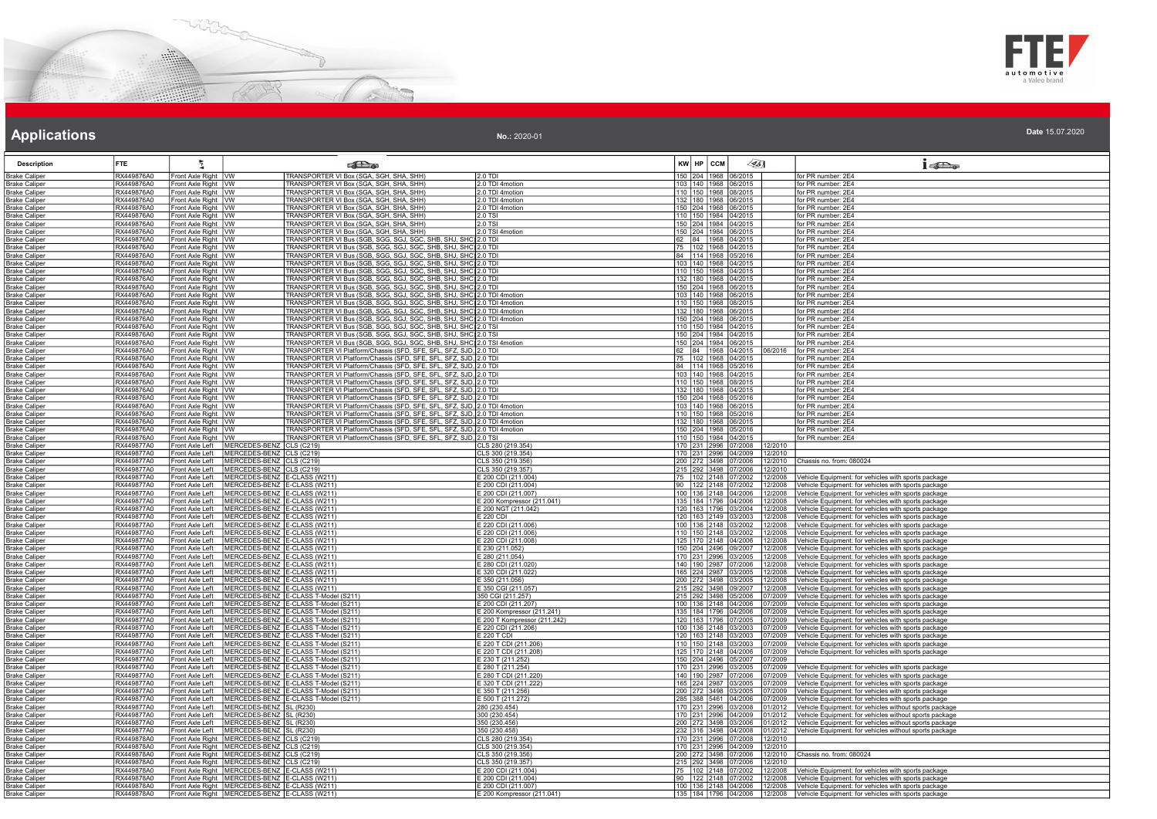



### **Applications Applications Applications**

| No.: 2020-01 | Date 15.07.2020 |
|--------------|-----------------|
|              |                 |

| <b>Description</b>                           | <b>FTE</b>               |                                                | கில                                                                                                                                                    |                                           | $\sqrt{351}$<br>KW HP CCM                                             | $1 - \sum_{\alpha}$                                                                                        |
|----------------------------------------------|--------------------------|------------------------------------------------|--------------------------------------------------------------------------------------------------------------------------------------------------------|-------------------------------------------|-----------------------------------------------------------------------|------------------------------------------------------------------------------------------------------------|
| <b>Brake Caliper</b>                         | RX449876A0               | Front Axle Right VW                            | TRANSPORTER VI Box (SGA, SGH, SHA, SHH)                                                                                                                | 2.0 TDI                                   | 150 204 1968 06/2015                                                  | for PR number: 2E4                                                                                         |
| Brake Caliper                                | RX449876A0               | Front Axle Right   VW                          | TRANSPORTER VI Box (SGA, SGH, SHA, SHH)                                                                                                                | 2.0 TDI 4motion                           | 103 140 1968 06/2015                                                  | for PR number: 2E4                                                                                         |
| <b>Brake Caliper</b>                         | RX449876A0               | Front Axle Right   VW                          | TRANSPORTER VI Box (SGA, SGH, SHA, SHH)                                                                                                                | 2.0 TDI 4motion                           | 110 150 1968 08/2015                                                  | for PR number: 2E4                                                                                         |
| <b>Brake Caliper</b>                         | RX449876A0<br>RX449876A0 | Front Axle Right VW                            | TRANSPORTER VI Box (SGA, SGH, SHA, SHH)<br>TRANSPORTER VI Box (SGA, SGH, SHA, SHH)                                                                     | 2.0 TDI 4motion<br>2.0 TDI 4motion        | 132 180 1968 06/2015<br>150 204 1968 06/2015                          | for PR number: 2E4                                                                                         |
| <b>Brake Caliper</b><br><b>Brake Caliper</b> | RX449876A0               | Front Axle Right   VW<br>Front Axle Right VW   | TRANSPORTER VI Box (SGA, SGH, SHA, SHH)                                                                                                                | $2.0$ TSI                                 | 110 150 1984 04/2015                                                  | for PR number: 2E4<br>for PR number: 2E4                                                                   |
| Brake Caliper                                | RX449876A0               | Front Axle Right   VW                          | TRANSPORTER VI Box (SGA, SGH, SHA, SHH)                                                                                                                | 2.0 TSI                                   | 150 204 1984 04/2015                                                  | for PR number: 2E4                                                                                         |
| <b>Brake Caliper</b>                         | RX449876A0               | Front Axle Right VW                            | TRANSPORTER VI Box (SGA, SGH, SHA, SHH)                                                                                                                | 2.0 TSI 4motion                           | 150 204 1984 06/2015                                                  | for PR number: 2E4                                                                                         |
| <b>Brake Caliper</b>                         | RX449876A0               | Front Axle Right   VW                          | TRANSPORTER VI Bus (SGB, SGG, SGJ, SGC, SHB, SHJ, SHC) 2.0 TDI                                                                                         |                                           | 62 84 1968 04/2015                                                    | for PR number: 2E4                                                                                         |
| <b>Brake Caliper</b>                         | RX449876A0               | Front Axle Right   VW                          | TRANSPORTER VI Bus (SGB, SGG, SGJ, SGC, SHB, SHJ, SHC) 2.0 TDI                                                                                         |                                           | 75 102 1968 04/2015                                                   | for PR number: 2E4                                                                                         |
| Brake Caliper                                | RX449876A0               | Front Axle Right   VW                          | TRANSPORTER VI Bus (SGB, SGG, SGJ, SGC, SHB, SHJ, SHC) 2.0 TDI                                                                                         |                                           | 84 114 1968 05/2016                                                   | for PR number: 2E4                                                                                         |
| <b>Brake Caliper</b>                         | RX449876A0               | Front Axle Right VW                            | TRANSPORTER VI Bus (SGB, SGG, SGJ, SGC, SHB, SHJ, SHC) 2.0 TDI                                                                                         |                                           | 103 140 1968 04/2015                                                  | for PR number: 2E4                                                                                         |
| <b>Brake Caliper</b>                         | RX449876A0<br>RX449876A0 | Front Axle Right VW                            | TRANSPORTER VI Bus (SGB, SGG, SGJ, SGC, SHB, SHJ, SHC) 2.0 TDI<br>TRANSPORTER VI Bus (SGB, SGG, SGJ, SGC, SHB, SHJ, SHC) 2.0 TDI                       |                                           | 110 150 1968 04/2015<br>132 180 1968 04/2015                          | for PR number: 2E4<br>for PR number: 2E4                                                                   |
| <b>Brake Caliper</b><br><b>Brake Caliper</b> | RX449876A0               | Front Axle Right   VW<br>Front Axle Right   VW | <u>TRANSPORTER VI Bus (SGB, SGG, SGJ, SGC, SHB, SHJ, SHC) 2.0 TDI</u>                                                                                  |                                           | 150 204 1968 06/2015                                                  | for PR number: 2E4                                                                                         |
| <b>Brake Caliper</b>                         | RX449876A0               | Front Axle Right VW                            | TRANSPORTER VI Bus (SGB, SGG, SGJ, SGC, SHB, SHJ, SHC) 2.0 TDI 4motion                                                                                 |                                           | 103 140 1968 06/2015                                                  | for PR number: 2E4                                                                                         |
| <b>Brake Caliper</b>                         | RX449876A0               | Front Axle Right VW                            | TRANSPORTER VI Bus (SGB, SGG, SGJ, SGC, SHB, SHJ, SHC) 2.0 TDI 4motion                                                                                 |                                           | 110 150 1968 08/2015                                                  | for PR number: 2E4                                                                                         |
| <b>Brake Caliper</b>                         | RX449876A0               | Front Axle Right   VW                          | TRANSPORTER VI Bus (SGB, SGG, SGJ, SGC, SHB, SHJ, SHC) 2.0 TDI 4motion                                                                                 |                                           | 132 180 1968 06/2015                                                  | for PR number: 2E4                                                                                         |
| <b>Brake Caliper</b>                         | RX449876A0               | Front Axle Right   VW                          | TRANSPORTER VI Bus (SGB, SGG, SGJ, SGC, SHB, SHJ, SHC) 2.0 TDI 4motion                                                                                 |                                           | 150 204 1968 06/2015                                                  | for PR number: 2E4                                                                                         |
| <b>Brake Caliper</b>                         | RX449876A0               | Front Axle Right   VW                          | TRANSPORTER VI Bus (SGB, SGG, SGJ, SGC, SHB, SHJ, SHC) 2.0 TSI                                                                                         |                                           | 110 150 1984 04/2015                                                  | for PR number: 2E4                                                                                         |
| <b>Brake Caliper</b>                         | RX449876A0               | Front Axle Right VW                            | TRANSPORTER VI Bus (SGB, SGG, SGJ, SGC, SHB, SHJ, SHC) 2.0 TSI                                                                                         |                                           | 150 204 1984 04/2015                                                  | for PR number: 2E4                                                                                         |
| Brake Caliper<br><b>Brake Caliper</b>        | RX449876A0<br>RX449876A0 | Front Axle Right   VW                          | TRANSPORTER VI Bus (SGB, SGG, SGJ, SGC, SHB, SHJ, SHC) 2.0 TSI 4motion<br>TRANSPORTER VI Platform/Chassis (SFD, SFE, SFL, SFZ, SJD, 2.0 TDI            |                                           | 150 204 1984 06/2015<br>62 84 1968 04/2015                            | for PR number: 2E4<br>06/2016 for PR number: 2E4                                                           |
| <b>Brake Caliper</b>                         | RX449876A0               | Front Axle Right VW<br>Front Axle Right VW     | TRANSPORTER VI Platform/Chassis (SFD, SFE, SFL, SFZ, SJD, 2.0 TD                                                                                       |                                           | 75 102 1968 04/2015                                                   | for PR number: 2E4                                                                                         |
| <b>Brake Caliper</b>                         | RX449876A0               | Front Axle Right VW                            | TRANSPORTER VI Platform/Chassis (SFD, SFE, SFL, SFZ, SJD, 2.0 TDI                                                                                      |                                           | 84   114   1968   05/2016                                             | for PR number: 2E4                                                                                         |
| <b>Brake Caliper</b>                         | RX449876A0               | Front Axle Right VW                            | <u>TRANSPORTER VI Platform/Chassis (SFD, SFE, SFL, SFZ, SJD, 2.0 TDI</u>                                                                               |                                           | 103 140 1968 04/2015                                                  | for PR number: 2E4                                                                                         |
| <b>Brake Caliper</b>                         | RX449876A0               | Front Axle Right   VW                          | TRANSPORTER VI Platform/Chassis (SFD, SFE, SFL, SFZ, SJD, 2.0 TDI                                                                                      |                                           | 110 150 1968 08/2015                                                  | for PR number: 2E4                                                                                         |
| <b>Brake Caliper</b>                         | RX449876A0               | Front Axle Right VW                            | TRANSPORTER VI Platform/Chassis (SFD, SFE, SFL, SFZ, SJD, 2.0 TDI                                                                                      |                                           | 132 180 1968 04/2015                                                  | for PR number: 2E4                                                                                         |
| <b>Brake Caliper</b>                         | RX449876A0               | Front Axle Right VW                            | TRANSPORTER VI Platform/Chassis (SFD, SFE, SFL, SFZ, SJD, 2.0 TDI                                                                                      |                                           | 150 204 1968 05/2016                                                  | for PR number: 2E4                                                                                         |
| <b>Brake Caliper</b>                         | RX449876A0               | Front Axle Right VW                            | TRANSPORTER VI Platform/Chassis (SFD, SFE, SFL, SFZ, SJD, 2.0 TDI 4motion                                                                              |                                           | 103 140 1968 06/2015                                                  | for PR number: 2E4                                                                                         |
| <b>Brake Caliper</b>                         | RX449876A0               | Front Axle Right   VW                          | TRANSPORTER VI Platform/Chassis (SFD, SFE, SFL, SFZ, SJD, 2.0 TDI 4motion                                                                              |                                           | 110 150 1968 05/2016                                                  | for PR number: 2E4                                                                                         |
| <b>Brake Caliper</b>                         | RX449876A0               | Front Axle Right VW                            | TRANSPORTER VI Platform/Chassis (SFD, SFE, SFL, SFZ, SJD, 2.0 TDI 4motion<br>TRANSPORTER VI Platform/Chassis (SFD, SFE, SFL, SFZ, SJD, 2.0 TDI 4motion |                                           | 132 180 1968 06/2015<br>150 204 1968 05/2016                          | for PR number: 2E4                                                                                         |
| Brake Caliper<br><b>Brake Caliper</b>        | RX449876A0<br>RX449876A0 | Front Axle Right   VW                          | TRANSPORTER VI Platform/Chassis (SFD, SFE, SFL, SFZ, SJD, 2.0 TSI                                                                                      |                                           | 110 150 1984 04/2015                                                  | for PR number: 2E4<br>for PR number: 2E4                                                                   |
| <b>Brake Caliper</b>                         | RX449877A0               | Front Axle Right   VW                          | Front Axle Left   MERCEDES-BENZ   CLS (C219)                                                                                                           | CLS 280 (219.354)                         | 170 231 2996 07/2008<br>12/2010                                       |                                                                                                            |
| <b>Brake Caliper</b>                         | RX449877A0               | Front Axle Left                                | MERCEDES-BENZ CLS (C219)                                                                                                                               | CLS 300 (219.354)                         | 170 231 2996 04/2009<br>12/2010                                       |                                                                                                            |
| Brake Caliper                                | RX449877A0               | Front Axle Left                                | MERCEDES-BENZ CLS (C219)                                                                                                                               | CLS 350 (219.356)                         | 200 272 3498 07/2006<br>12/2010                                       | Chassis no. from: 080024                                                                                   |
| <b>Brake Caliper</b>                         | RX449877A0               | Front Axle Left                                | MERCEDES-BENZ CLS (C219)                                                                                                                               | CLS 350 (219.357)                         | 215 292 3498 07/2006<br>12/2010                                       |                                                                                                            |
| <b>Brake Caliper</b>                         | RX449877A0               | Front Axle Left                                | MERCEDES-BENZ E-CLASS (W211                                                                                                                            | E 200 CDI (211.004)                       | 75 102 2148 07/2002<br>12/2008                                        | Vehicle Equipment: for vehicles with sports package                                                        |
| <b>Brake Caliper</b>                         | RX449877A0               | Front Axle Left                                | MERCEDES-BENZ E-CLASS (W211)                                                                                                                           | E 200 CDI (211.004)                       | 90 122 2148 07/2002<br>12/2008                                        | Vehicle Equipment: for vehicles with sports package                                                        |
| <b>Brake Caliper</b>                         | RX449877A0               | Front Axle Left                                | MERCEDES-BENZ E-CLASS (W211)                                                                                                                           | E 200 CDI (211.007)                       | 100 136 2148 04/2006<br>12/2008                                       | Vehicle Equipment: for vehicles with sports package                                                        |
| <u>Brake Caliper</u>                         | RX449877A0               | Front Axle Left                                | MERCEDES-BENZ E-CLASS (W211)                                                                                                                           | E 200 Kompressor (211.041)                | 135 184 1796 04/2006<br>2/2008                                        | Vehicle Equipment: for vehicles with sports package                                                        |
| <b>Brake Caliper</b>                         | RX449877A0<br>RX449877A0 | Front Axle Left<br>Front Axle Left             | MERCEDES-BENZ E-CLASS (W211)<br>MERCEDES-BENZ E-CLASS (W211)                                                                                           | E 200 NGT (211.042)<br>E 220 CDI          | 120 163 1796 03/2004<br>12/2008<br>120 163 2149 03/2003               | Vehicle Equipment: for vehicles with sports package                                                        |
| Brake Caliper<br><b>Brake Caliper</b>        | RX449877A0               | Front Axle Left                                | MERCEDES-BENZ E-CLASS (W211)                                                                                                                           | E 220 CDI (211.006)                       | 12/2008<br>100 136 2148 03/2002<br>12/2008                            | Vehicle Equipment: for vehicles with sports package<br>Vehicle Equipment: for vehicles with sports package |
| <b>Brake Caliper</b>                         | RX449877A0               | Front Axle Left                                | MERCEDES-BENZ E-CLASS (W211)                                                                                                                           | E 220 CDI (211.006)                       | 110 150 2148 03/2002<br>12/2008                                       | Vehicle Equipment: for vehicles with sports package                                                        |
| <b>Brake Caliper</b>                         | RX449877A0               | Front Axle Left                                | MERCEDES-BENZ E-CLASS (W211)                                                                                                                           | E 220 CDI (211.008)                       | 125 170 2148 04/2006<br>12/2008                                       | Vehicle Equipment: for vehicles with sports package                                                        |
| <b>Brake Caliper</b>                         | RX449877A0               | Front Axle Left                                | MERCEDES-BENZ E-CLASS (W211)                                                                                                                           | E 230 (211.052)                           | 150 204 2496 09/2007<br>12/2008                                       | Vehicle Equipment: for vehicles with sports package                                                        |
| <b>Brake Caliper</b>                         | RX449877A0               | Front Axle Left                                | MERCEDES-BENZ   E-CLASS (W211)                                                                                                                         | E 280 (211.054)                           | 170 231 2996 03/2005<br>12/2008                                       | Vehicle Equipment: for vehicles with sports package                                                        |
| <b>Brake Caliper</b>                         | RX449877A0               | Front Axle Left                                | MERCEDES-BENZ E-CLASS (W211)                                                                                                                           | E 280 CDI (211.020)                       | 140 190 2987 07/2006 12/2008                                          | Vehicle Equipment: for vehicles with sports package                                                        |
| <b>Brake Caliper</b>                         | RX449877A0               | Front Axle Left                                | MERCEDES-BENZ E-CLASS (W211)                                                                                                                           | E 320 CDI (211.022)                       | 165 224 2987 03/2005<br>12/2008                                       | Vehicle Equipment: for vehicles with sports package                                                        |
| <b>Brake Caliper</b>                         | RX449877A0               | Front Axle Left                                | MERCEDES-BENZ   E-CLASS (W211)                                                                                                                         | E 350 (211.056)                           | 200 272 3498 03/2005<br>12/2008                                       | Vehicle Equipment: for vehicles with sports package                                                        |
| <b>Brake Caliper</b>                         | RX449877A0<br>RX449877A0 | Front Axle Left<br>Front Axle Left             | MERCEDES-BENZ E-CLASS (W211)<br>MERCEDES-BENZ E-CLASS T-Model (S211)                                                                                   | E 350 CGI (211.057)<br>350 CGI (211.257)  | 215 292 3498 09/2007<br>12/2008<br>3498 05/2006<br>215 292<br>07/2009 | Vehicle Equipment: for vehicles with sports package                                                        |
| Brake Caliper<br>Brake Caliper               | RX449877A0               | Front Axle Left                                | MERCEDES-BENZ E-CLASS T-Model (S211)                                                                                                                   | E 200 CDI (211.207)                       | 100 136 2148 04/2006<br>07/2009                                       | Vehicle Equipment: for vehicles with sports package<br>Vehicle Equipment: for vehicles with sports package |
| <b>Brake Caliper</b>                         | RX449877A0               | Front Axle Left                                | MERCEDES-BENZ E-CLASS T-Model (S211)                                                                                                                   | E 200 Kompressor (211.241)                | 135 184 1796 04/2006<br>07/2009                                       | Vehicle Equipment: for vehicles with sports package                                                        |
| <b>Brake Caliper</b>                         | RX449877A0               | Front Axle Left                                | MERCEDES-BENZ E-CLASS T-Model (S211)                                                                                                                   | E 200 T Kompressor (211.242)              | 120 163 1796 07/2005<br>07/2009                                       | Vehicle Equipment: for vehicles with sports package                                                        |
| <b>Brake Caliper</b>                         | RX449877A0               | Front Axle Left                                | MERCEDES-BENZ E-CLASS T-Model (S211)                                                                                                                   | E 220 CDI (211.206)                       | 100 136 2148 03/2003<br>07/2009                                       | Vehicle Equipment: for vehicles with sports package                                                        |
| <b>Brake Caliper</b>                         | RX449877A0               | Front Axle Left                                | MERCEDES-BENZ E-CLASS T-Model (S211)                                                                                                                   | E 220 T CDI                               | 2148 03/2003<br>120 163<br>07/2009                                    | Vehicle Equipment: for vehicles with sports package                                                        |
| <b>Brake Caliper</b>                         | RX449877A0               | Front Axle Left                                | MERCEDES-BENZ   E-CLASS T-Model (S211)                                                                                                                 | E 220 T CDI (211.206)                     | 110 150 2148 03/2003<br>07/2009                                       | Vehicle Equipment: for vehicles with sports package                                                        |
| <b>Brake Caliper</b>                         | RX449877A0               | Front Axle Left                                | MERCEDES-BENZ E-CLASS T-Model (S211)                                                                                                                   | E 220 T CDI (211.208)                     | 125 170 2148 04/2006<br>07/2009                                       | Vehicle Equipment: for vehicles with sports package                                                        |
| <b>Brake Caliper</b>                         | RX449877A0               | Front Axle Left                                | MERCEDES-BENZ E-CLASS T-Model (S211)                                                                                                                   | E 230 T (211.252)                         | 150 204 2496 05/2007<br>07/2009                                       |                                                                                                            |
| <b>Brake Caliper</b><br><u>Brake Caliper</u> | RX449877A0<br>RX449877A0 | Front Axle Left<br>Front Axle Left             | MERCEDES-BENZ E-CLASS T-Model (S211)<br>MERCEDES-BENZ E-CLASS T-Model (S211)                                                                           | E 280 T (211.254)<br>E 280 T CDI (211.220 | 170 231 2996 03/2005<br>17/2009<br>140 190 2987 07/2006<br>7/2009     | Vehicle Equipment: for vehicles with sports package<br>Vehicle Equipment: for vehicles with sports package |
| <b>Brake Caliper</b>                         | RX449877A0               | Front Axle Left                                | MERCEDES-BENZ E-CLASS T-Model (S211)                                                                                                                   | E 320 T CDI (211.222)                     | 165 224 2987 03/2005<br>07/2009                                       | Vehicle Equipment: for vehicles with sports package                                                        |
| Brake Caliper                                | RX449877A0               | Front Axle Left                                | MERCEDES-BENZ E-CLASS T-Model (S211)                                                                                                                   | E 350 T (211.256)                         | 200 272 3498 03/2005<br>17/2009                                       | Vehicle Equipment: for vehicles with sports package                                                        |
| <b>Brake Caliper</b>                         | RX449877A0               | Front Axle Left                                | MERCEDES-BENZ E-CLASS T-Model (S211)                                                                                                                   | E 500 T (211.272)                         | 285 388 5461 04/2006<br>07/2009                                       | Vehicle Equipment: for vehicles with sports package                                                        |
| <b>Brake Caliper</b>                         | RX449877A0               | Front Axle Left                                | MERCEDES-BENZ SL (R230)                                                                                                                                | 280 (230.454)                             | 170 231 2996 03/2008<br>01/2012                                       | Vehicle Equipment: for vehicles without sports package                                                     |
| <b>Brake Caliper</b>                         | RX449877A0               | Front Axle Left                                | MERCEDES-BENZ SL (R230)                                                                                                                                | 300 (230.454)                             | 170 231 2996 04/2009<br>01/2012                                       | Vehicle Equipment: for vehicles without sports package                                                     |
| <b>Brake Caliper</b>                         | RX449877A0               | Front Axle Left                                | MERCEDES-BENZ SL (R230)                                                                                                                                | 350 (230.456)                             | 200 272 3498 03/2006<br>01/2012                                       | Vehicle Equipment: for vehicles without sports package                                                     |
| <b>Brake Caliper</b>                         | RX449877A0               | Front Axle Left                                | MERCEDES-BENZ   SL (R230)                                                                                                                              | 350 (230.458)                             | 232 316 3498 04/2008<br>01/2012                                       | Vehicle Equipment: for vehicles without sports package                                                     |
| <b>Brake Caliper</b>                         | RX449878A0               |                                                | Front Axle Right   MERCEDES-BENZ   CLS (C219                                                                                                           | CLS 280 (219.354)                         | 170 231 2996 07/2008 12/2010                                          |                                                                                                            |
| <b>Brake Caliper</b><br><b>Brake Caliper</b> | RX449878A0<br>RX449878A0 |                                                | Front Axle Right   MERCEDES-BENZ   CLS (C219)<br>Front Axle Right   MERCEDES-BENZ   CLS (C219)                                                         | CLS 300 (219.354)<br>CLS 350 (219.356)    | 170 231 2996 04/2009<br>12/2010<br>200 272 3498 07/2006<br>12/2010    | Chassis no. from: 080024                                                                                   |
| <u>Brake Caliper</u>                         | RX449878A0               |                                                | Front Axle Right   MERCEDES-BENZ   CLS (C219)                                                                                                          | CLS 350 (219.357)                         | 215 292 3498 07/2006<br>12/2010                                       |                                                                                                            |
| <b>Brake Caliper</b>                         | RX449878A0               |                                                |                                                                                                                                                        | E 200 CDI (211.004)                       | 2148 07/2002<br>12/2008                                               | Vehicle Equipment: for vehicles with sports package                                                        |
| <b>Brake Caliper</b>                         | RX449878A0               |                                                | Front Axle Right MERCEDES-BENZ E-CLASS (W211)<br>Front Axle Right MERCEDES-BENZ E-CLASS (W211)                                                         | E 200 CDI (211.004)                       | 90 122 2148 07/2002<br>12/2008                                        | Vehicle Equipment: for vehicles with sports package                                                        |
| <b>Brake Caliper</b>                         | RX449878A0               |                                                | Front Axle Right MERCEDES-BENZ E-CLASS (W211)                                                                                                          | E 200 CDI (211.007)                       | 100 136 2148 04/2006                                                  | 12/2008 Vehicle Equipment: for vehicles with sports package                                                |
| <b>Brake Caliper</b>                         | RX449878A0               |                                                | Front Axle Right   MERCEDES-BENZ   E-CLASS (W211)                                                                                                      | E 200 Kompressor (211.041)                |                                                                       | 135   184   1796   04/2006   12/2008   Vehicle Equipment: for vehicles with sports package                 |
|                                              |                          |                                                |                                                                                                                                                        |                                           |                                                                       |                                                                                                            |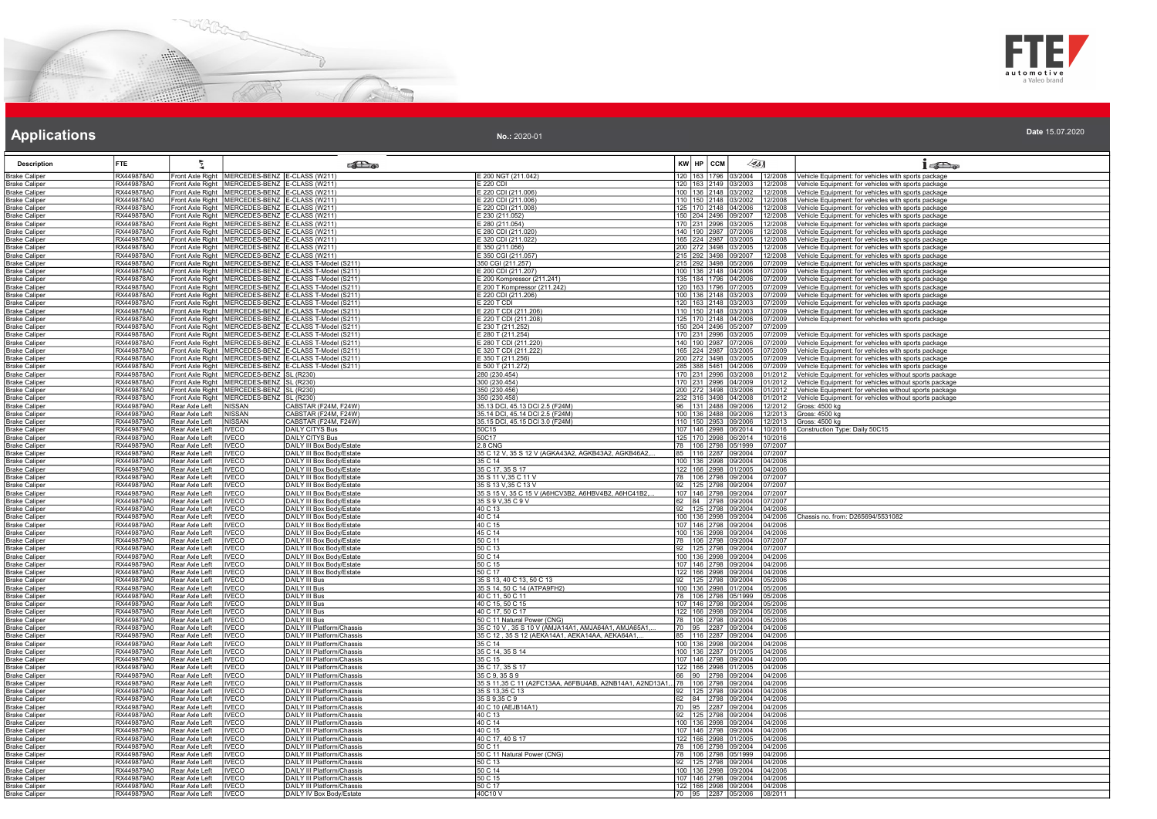



| No.: 2020-01 | Date 15.07.2020 |
|--------------|-----------------|
|              |                 |

| <b>Description</b>                           | <b>FTE</b>               | 튚                                |                                                                                                        | <b>SET</b>                                                                                                             |                                                                                    | KW HP CCM | 451                                                |                    | $15D_2$                                                                                                            |
|----------------------------------------------|--------------------------|----------------------------------|--------------------------------------------------------------------------------------------------------|------------------------------------------------------------------------------------------------------------------------|------------------------------------------------------------------------------------|-----------|----------------------------------------------------|--------------------|--------------------------------------------------------------------------------------------------------------------|
| Brake Calipe                                 | RX449878A0               |                                  | Front Axle Right   MERCEDES-BENZ   E-CLASS (W211)                                                      |                                                                                                                        | E 200 NGT (211.042)                                                                |           | 120 163 1796 03/2004                               |                    | 12/2008 Vehicle Equipment: for vehicles with sports package                                                        |
| <b>Brake Caliper</b>                         | RX449878A0               |                                  | Front Axle Right   MERCEDES-BENZ   E-CLASS (W211)                                                      |                                                                                                                        | E 220 CDI                                                                          | 120 163   | 2149 03/2003                                       | 12/2008            | Vehicle Equipment: for vehicles with sports package                                                                |
| <b>Brake Caliper</b>                         | RX449878A0               |                                  | Front Axle Right   MERCEDES-BENZ   E-CLASS (W211)                                                      |                                                                                                                        | E 220 CDI (211.006)                                                                |           | 100 136 2148 03/2002                               | 12/2008            | Vehicle Equipment: for vehicles with sports package                                                                |
| <b>Brake Caliper</b>                         | RX449878A0               |                                  | Front Axle Right   MERCEDES-BENZ   E-CLASS (W211)                                                      |                                                                                                                        | E 220 CDI (211.006)                                                                |           | 110 150 2148 03/2002                               | 12/2008            | Vehicle Equipment: for vehicles with sports package                                                                |
| <b>Brake Caliper</b>                         | RX449878A0               |                                  | Front Axle Right   MERCEDES-BENZ   E-CLASS (W211)                                                      |                                                                                                                        | E 220 CDI (211.008)                                                                |           | 125 170 2148 04/2006                               | 12/2008            | /ehicle Equipment: for vehicles with sports package                                                                |
| <b>Brake Caliper</b>                         | RX449878A0<br>RX449878A0 |                                  | Front Axle Right   MERCEDES-BENZ   E-CLASS (W211)<br>Front Axle Right   MERCEDES-BENZ   E-CLASS (W211) |                                                                                                                        | E 230 (211.052)<br>E 280 (211.054)                                                 |           | 150 204 2496 09/2007<br>170 231 2996 03/2005       | 12/2008<br>12/2008 | Vehicle Equipment: for vehicles with sports package                                                                |
| <b>Brake Caliper</b><br><b>Brake Caliper</b> | RX449878A0               |                                  | Front Axle Right   MERCEDES-BENZ E-CLASS (W211)                                                        |                                                                                                                        | E 280 CDI (211.020)                                                                |           | 140 190 2987 07/2006                               | 12/2008            | <u> Vehicle Equipment: for vehicles with sports package</u><br>Vehicle Equipment: for vehicles with sports package |
| Brake Caliper                                | RX449878A0               |                                  | Front Axle Right   MERCEDES-BENZ   E-CLASS (W211)                                                      |                                                                                                                        | E 320 CDI (211.022)                                                                |           | 165 224 2987 03/2005                               | 2/2008             | Vehicle Equipment: for vehicles with sports package                                                                |
| <b>Brake Caliper</b>                         | RX449878A0               |                                  | Front Axle Right   MERCEDES-BENZ   E-CLASS (W211)                                                      |                                                                                                                        | E 350 (211.056)                                                                    |           | 200 272 3498 03/2005                               | 2/2008             | Vehicle Equipment: for vehicles with sports package                                                                |
| <b>Brake Caliper</b>                         | RX449878A0               |                                  | Front Axle Right   MERCEDES-BENZ   E-CLASS (W211)                                                      |                                                                                                                        | E 350 CGI (211.057)                                                                |           | 215 292 3498 09/2007                               | 12/2008            | Vehicle Equipment: for vehicles with sports package                                                                |
| <b>Brake Caliper</b><br><b>Brake Caliper</b> | RX449878A0<br>RX449878A0 |                                  |                                                                                                        | Front Axle Right   MERCEDES-BENZ   E-CLASS T-Model (S211)<br>Front Axle Right   MERCEDES-BENZ   E-CLASS T-Model (S211) | 350 CGI (211.257)<br>E 200 CDI (211.207)                                           |           | 215 292 3498 05/2006<br>100 136 2148 04/2006       | 17/2009<br>7/2009  | Vehicle Equipment: for vehicles with sports package<br>Vehicle Equipment: for vehicles with sports package         |
| <b>Brake Caliper</b>                         | RX449878A0               |                                  |                                                                                                        | Front Axle Right   MERCEDES-BENZ   E-CLASS T-Model (S211)                                                              | E 200 Kompressor (211.241)                                                         |           | 135   184   1796   04/2006                         | /7/2009            | Vehicle Equipment: for vehicles with sports package                                                                |
| <b>Brake Caliper</b>                         | RX449878A0               |                                  |                                                                                                        | Front Axle Right   MERCEDES-BENZ   E-CLASS T-Model (S211)                                                              | E 200 T Kompressor (211.242)                                                       |           | 120 163 1796 07/2005                               | 07/2009            | Vehicle Equipment: for vehicles with sports package                                                                |
| <b>Brake Caliper</b>                         | RX449878A0               |                                  |                                                                                                        | Front Axle Right   MERCEDES-BENZ   E-CLASS T-Model (S211)                                                              | E 220 CDI (211.206)                                                                |           | 100 136 2148 03/2003                               | 7/2009             | /ehicle Equipment: for vehicles with sports package                                                                |
| <b>Brake Caliper</b>                         | RX449878A0               |                                  |                                                                                                        | Front Axle Right   MERCEDES-BENZ   E-CLASS T-Model (S211)                                                              | E 220 T CDI                                                                        |           | 120 163 2148 03/2003                               | 07/2009            | Vehicle Equipment: for vehicles with sports package                                                                |
| <b>Brake Caliper</b>                         | RX449878A0               |                                  |                                                                                                        | Front Axle Right   MERCEDES-BENZ   E-CLASS T-Model (S211)                                                              | E 220 T CDI (211.206)                                                              |           | 110 150 2148 03/2003                               | 07/2009            | Vehicle Equipment: for vehicles with sports package                                                                |
| <b>Brake Caliper</b><br><b>Brake Caliper</b> | RX449878A0<br>RX449878A0 |                                  |                                                                                                        | Front Axle Right   MERCEDES-BENZ   E-CLASS T-Model (S211)<br>Front Axle Right   MERCEDES-BENZ   E-CLASS T-Model (S211) | E 220 T CDI (211.208)<br>E 230 T (211.252)                                         |           | 125 170 2148 04/2006<br>150 204 2496 05/2007       | 07/2009<br>17/2009 | Vehicle Equipment: for vehicles with sports package                                                                |
| <b>Brake Caliper</b>                         | RX449878A0               |                                  |                                                                                                        | Front Axle Right   MERCEDES-BENZ   E-CLASS T-Model (S211)                                                              | E 280 T (211.254)                                                                  | 170 1231  | 2996 03/2005                                       | 7/2009             | /ehicle Equipment: for vehicles with sports package                                                                |
| <b>Brake Caliper</b>                         | RX449878A0               |                                  |                                                                                                        | Front Axle Right   MERCEDES-BENZ   E-CLASS T-Model (S211)                                                              | E 280 T CDI (211.220)                                                              |           | 140 190 2987 07/2006                               | 7/2009             | Vehicle Equipment: for vehicles with sports package                                                                |
| <b>Brake Caliper</b>                         | RX449878A0               |                                  |                                                                                                        | Front Axle Right   MERCEDES-BENZ   E-CLASS T-Model (S211)                                                              | E 320 T CDI (211.222)                                                              |           | 165 224 2987 03/2005                               | 7/2009             | Vehicle Equipment: for vehicles with sports package                                                                |
| <b>Brake Caliper</b>                         | RX449878A0               |                                  |                                                                                                        | Front Axle Right MERCEDES-BENZ E-CLASS T-Model (S211)                                                                  | E 350 T (211.256)                                                                  |           | 200 272 3498 03/2005                               | 7/2009             | /ehicle Equipment: for vehicles with sports package                                                                |
| <b>Brake Caliper</b>                         | RX449878A0<br>RX449878A0 |                                  |                                                                                                        | Front Axle Right   MERCEDES-BENZ   E-CLASS T-Model (S211)                                                              | E 500 T (211.272)                                                                  |           | 285 388 5461 04/2006                               | )7/2009            | Vehicle Equipment: for vehicles with sports package                                                                |
| Brake Caliper<br>Brake Caliper               | RX449878A0               |                                  | Front Axle Right   MERCEDES-BENZ   SL (R230)<br>Front Axle Right   MERCEDES-BENZ   SL (R230)           |                                                                                                                        | 280 (230.454)<br>300 (230.454)                                                     |           | 170 231 2996 03/2008<br>170 231 2996 04/2009       | 1/2012<br>01/2012  | Vehicle Equipment: for vehicles without sports package<br>Vehicle Equipment: for vehicles without sports package   |
| Brake Caliper                                | RX449878A0               |                                  | ront Axle Right   MERCEDES-BENZ   SL (R230)                                                            |                                                                                                                        | 350 (230.456)                                                                      |           | 200 272 3498 03/2006                               | 01/2012            | Vehicle Equipment: for vehicles without sports package                                                             |
| <b>Brake Caliper</b>                         | RX449878A0               |                                  | Front Axle Right   MERCEDES-BENZ   SL (R230)                                                           |                                                                                                                        | 350 (230.458)                                                                      |           | 232 316 3498 04/2008                               | 01/2012            | Vehicle Equipment: for vehicles without sports package                                                             |
| <b>Brake Caliper</b>                         | RX449879A0               | Rear Axle Left                   | NISSAN                                                                                                 | CABSTAR (F24M, F24W)                                                                                                   | 35.13 DCI, 45.13 DCI 2.5 (F24M)                                                    |           | 96 131 2488 09/2006                                | 12/2012            | Gross: 4500 kg                                                                                                     |
| <b>Brake Caliper</b>                         | RX449879A0               | Rear Axle Left                   | <b>NISSAN</b>                                                                                          | CABSTAR (F24M, F24W)                                                                                                   | 35.14 DCI, 45.14 DCI 2.5 (F24M)                                                    |           | 100 136 2488 09/2006                               | 2/2013             | Gross: 4500 kg                                                                                                     |
| Brake Caliper                                | RX449879A0<br>RX449879A0 | Rear Axle Left<br>Rear Axle Left | NISSAN                                                                                                 | CABSTAR (F24M, F24W)                                                                                                   | 35.15 DCI, 45.15 DCI 3.0 (F24M)<br>50C15                                           |           | 110  150  2953  09/2006                            | $\frac{2/2013}{ }$ | Gross: 4500 kg                                                                                                     |
| Brake Caliper<br>Brake Caliper               | RX449879A0               | Rear Axle Left                   | <b>IVECO</b><br><b>IVECO</b>                                                                           | DAILY CITYS Bus<br><b>DAILY CITYS Bus</b>                                                                              | 50C17                                                                              |           | 107   146   2998   06/2014<br>125 170 2998 06/2014 | 10/2016<br>10/2016 | Construction Type: Daily 50C15                                                                                     |
| <b>Brake Caliper</b>                         | RX449879A0               | Rear Axle Left                   | <b>IVECO</b>                                                                                           | DAILY III Box Body/Estate                                                                                              | <b>2.8 CNG</b>                                                                     |           | 78 106 2798 05/1999                                | 07/2007            |                                                                                                                    |
| <b>Brake Caliper</b>                         | RX449879A0               | Rear Axle Left                   | <b>IVECO</b>                                                                                           | DAILY III Box Body/Estate                                                                                              | 35 C 12 V, 35 S 12 V (AGKA43A2, AGKB43A2, AGKB46A2,                                |           | 85   116   2287   09/2004                          | 07/2007            |                                                                                                                    |
| <b>Brake Caliper</b>                         | RX449879A0               | Rear Axle Left                   | <b>IVECO</b>                                                                                           | DAILY III Box Body/Estate                                                                                              | 35 C 14                                                                            |           | 100 136 2998 09/2004                               | 04/2006            |                                                                                                                    |
| <b>Brake Caliper</b>                         | RX449879A0               | Rear Axle Left                   | <b>IVECO</b>                                                                                           | DAILY III Box Body/Estate                                                                                              | 35 C 17, 35 S 17                                                                   |           | 122   166   2998   01/2005<br>78 106 2798 09/2004  | 04/2006            |                                                                                                                    |
| <b>Brake Caliper</b><br><b>Brake Caliper</b> | RX449879A0<br>RX449879A0 | Rear Axle Left<br>Rear Axle Left | <b>IVECO</b><br><b>IVECO</b>                                                                           | DAILY III Box Body/Estate<br>DAILY III Box Body/Estate                                                                 | 35 S 11 V, 35 C 11 V<br>35 S 13 V.35 C 13 V                                        |           | 92 125 2798 09/2004                                | 07/2007<br>07/2007 |                                                                                                                    |
| <b>Brake Caliper</b>                         | RX449879A0               | Rear Axle Left                   | <b>IVECO</b>                                                                                           | DAILY III Box Body/Estate                                                                                              | 35 S 15 V, 35 C 15 V (A6HCV3B2, A6HBV4B2, A6HC41B2,                                |           | 107 146 2798 09/2004                               | 07/2007            |                                                                                                                    |
| <b>Brake Caliper</b>                         | RX449879A0               | Rear Axle Left                   | <b>IVECO</b>                                                                                           | DAILY III Box Body/Estate                                                                                              | 35 S 9 V, 35 C 9 V                                                                 |           | 62 84 2798 09/2004                                 | 17/2007            |                                                                                                                    |
| Br <u>ake Caliper</u>                        | XX449879A0               | Rear Axle Left                   | <b>IVECO</b>                                                                                           | <b>DAILY III Box Body/Estate</b>                                                                                       | 40 C 13                                                                            | 92 125    | 2798 09/2004                                       | 14/2006            |                                                                                                                    |
| Brake Caliper                                | RX449879A0               | Rear Axle Left                   | <b>IVECO</b>                                                                                           | DAILY III Box Body/Estate                                                                                              | 40 C 14                                                                            |           | 100 136 2998 09/2004                               | 04/2006            | Chassis no. from: D265694/5531082                                                                                  |
| Brake Caliper<br><b>Brake Caliper</b>        | RX449879A0<br>RX449879A0 | Rear Axle Left<br>Rear Axle Left | <b>IVECO</b><br><b>IVECO</b>                                                                           | DAILY III Box Body/Estate<br>DAILY III Box Body/Estate                                                                 | 40 C 15<br>45 C 14                                                                 |           | 107 146 2798 09/2004<br>100 136 2998 09/2004       | 04/2006<br>04/2006 |                                                                                                                    |
| <b>Brake Caliper</b>                         | RX449879A0               | Rear Axle Left                   | <b>IVECO</b>                                                                                           | DAILY III Box Body/Estate                                                                                              | 50 C 11                                                                            |           | 78 106 2798 09/2004                                | 07/2007            |                                                                                                                    |
| <b>Brake Caliper</b>                         | RX449879A0               | Rear Axle Left                   | <b>IVECO</b>                                                                                           | DAILY III Box Body/Estate                                                                                              | 50 C 13                                                                            | 92 125    | 2798 09/2004                                       | 07/2007            |                                                                                                                    |
| <b>Brake Caliper</b>                         | RX449879A0               | Rear Axle Left                   | <b>IVECO</b>                                                                                           | DAILY III Box Body/Estate                                                                                              | 50 C 14                                                                            |           | 100 136 2998 09/2004                               | 04/2006            |                                                                                                                    |
| <u> Brake Caliper</u>                        | RX449879A0               | Rear Axle Left                   | <b>IVECO</b>                                                                                           | DAILY III Box Body/Estate                                                                                              | 50 C 15                                                                            |           | 107 146 2798 09/2004                               | 04/2006            |                                                                                                                    |
| <b>Brake Caliper</b>                         | RX449879A0<br>RX449879A0 | Rear Axle Left<br>Rear Axle Left | <b>IVECO</b><br><b>IVECO</b>                                                                           | DAILY III Box Body/Estate<br><b>DAILY III Bus</b>                                                                      | 50 C 17<br>35 S 13, 40 C 13, 50 C 13                                               |           | 122 166 2998 09/2004<br>92 125 2798 09/2004        | 04/2006<br>05/2006 |                                                                                                                    |
| Brake Caliper<br><b>Brake Caliper</b>        | RX449879A0               | Rear Axle Left                   | <b>IVECO</b>                                                                                           | DAILY III Bus                                                                                                          | 35 S 14, 50 C 14 (ATPA9FH2)                                                        |           | 100 136 2998 01/2004                               | 15/2006            |                                                                                                                    |
| Brake Caliper                                | XX449879A0               | Rear Axle Left                   | <b>IVECO</b>                                                                                           | DAILY III Bus                                                                                                          | 40 C 11, 50 C 11                                                                   | 78 106    | 2798 05/1999                                       | 15/2006            |                                                                                                                    |
| <b>Brake Caliper</b>                         | RX449879A0               | Rear Axle Left                   | <b>IVECO</b>                                                                                           | DAILY III Bus                                                                                                          | 40 C 15, 50 C 15                                                                   |           | 107   146   2798   09/2004                         | 05/2006            |                                                                                                                    |
| Brake Caliper                                | RX449879A0               | Rear Axle Left                   | <b>IVECO</b>                                                                                           | DAILY III Bus                                                                                                          | 40 C 17, 50 C 17                                                                   |           | 122 166 2998 09/2004                               | 05/2006            |                                                                                                                    |
| <b>Brake Caliper</b>                         | RX449879A0<br>RX449879A0 | Rear Axle Left                   | <b>IVECO</b>                                                                                           | DAILY III Bus<br><b>DAILY III Platform/Chassis</b>                                                                     | 50 C 11 Natural Power (CNG)<br>35 C 10 V, 35 S 10 V (AMJA14A1, AMJA64A1, AMJA65A1, |           | 78   106   2798   09/2004                          | 05/2006            |                                                                                                                    |
| <b>Brake Caliper</b><br><b>Brake Caliper</b> | RX449879A0               | Rear Axle Left<br>Rear Axle Left | <b>IVECO</b><br><b>IVECO</b>                                                                           | DAILY III Platform/Chassis                                                                                             | 35 C 12, 35 S 12 (AEKA14A1, AEKA14AA, AEKA64A1,                                    |           | 70  95  2287  09/2004<br>85 116 2287 09/2004       | 04/2006<br>04/2006 |                                                                                                                    |
| <b>Brake Caliper</b>                         | RX449879A0               | Rear Axle Left                   | <b>IVECO</b>                                                                                           | DAILY III Platform/Chassis                                                                                             | 35 C 14                                                                            |           | 100 136 2998 09/2004                               | 04/2006            |                                                                                                                    |
| <b>Brake Caliper</b>                         | RX449879A0               | Rear Axle Left                   | <b>IVECO</b>                                                                                           | DAILY III Platform/Chassis                                                                                             | 35 C 14, 35 S 14                                                                   |           | 100 136 2287 01/2005                               | 04/2006            |                                                                                                                    |
| <b>Brake Caliper</b>                         | RX449879A0               | Rear Axle Left                   | <b>IVECO</b>                                                                                           | DAILY III Platform/Chassis                                                                                             | 35 C 15                                                                            |           | 107 146 2798 09/2004                               | 04/2006            |                                                                                                                    |
| <b>Brake Caliper</b>                         | RX449879A0               | Rear Axle Left                   | <b>IVECO</b>                                                                                           | DAILY III Platform/Chassis                                                                                             | 35 C 17, 35 S 17                                                                   |           | 122 166 2998 01/2005                               | 04/2006            |                                                                                                                    |
| Brake Caliper<br>Brake Caliper               | RX449879A0<br>RX449879A0 | Rear Axle Left<br>Rear Axle Left | <b>IVECO</b><br><b>IVECO</b>                                                                           | DAILY III Platform/Chassis<br>DAILY III Platform/Chassis                                                               | 35 C 9, 35 S 9<br>35 S 11,35 C 11 (A2FC13AA, A6FBU4AB, A2NB14A1, A2ND13A1, 78 106  | 66 90     | 2798 09/2004<br>2798 09/2004                       | 04/2006<br>04/2006 |                                                                                                                    |
| <b>Brake Caliper</b>                         | RX449879A0               | Rear Axle Left                   | <b>IVECO</b>                                                                                           | DAILY III Platform/Chassis                                                                                             | 35 S 13,35 C 13                                                                    |           | 92 125 2798 09/2004                                | 04/2006            |                                                                                                                    |
| <b>Brake Caliper</b>                         | RX449879A0               | Rear Axle Left                   | <b>IVECO</b>                                                                                           | DAILY III Platform/Chassis                                                                                             | 35 S 9,35 C 9                                                                      |           | 62 84 2798 09/2004                                 | 04/2006            |                                                                                                                    |
| <b>Brake Caliper</b>                         | RX449879A0               | Rear Axle Left                   | <b>IVECO</b>                                                                                           | DAILY III Platform/Chassis                                                                                             | 40 C 10 (AEJB14A1)                                                                 |           | 70 95 2287 09/2004                                 | 04/2006            |                                                                                                                    |
| Brake Caliper                                | RX449879A0               | Rear Axle Left                   | <b>IVECO</b>                                                                                           | DAILY III Platform/Chassis                                                                                             | 140 C 13                                                                           |           | 92 125 2798 09/2004                                | 04/2006            |                                                                                                                    |
| <b>Brake Caliper</b>                         | RX449879A0<br>RX449879A0 | Rear Axle Left<br>Rear Axle Left | <b>IVECO</b>                                                                                           | DAILY III Platform/Chassis<br>DAILY III Platform/Chassis                                                               | 40 C 14<br>40 C 15                                                                 |           | 100 136 2998 09/2004                               | 04/2006<br>04/2006 |                                                                                                                    |
| <b>Brake Caliper</b><br><b>Brake Caliper</b> | RX449879A0               | Rear Axle Left                   | <b>IVECO</b><br><b>IVECO</b>                                                                           | DAILY III Platform/Chassis                                                                                             | 40 C 17, 40 S 17                                                                   |           | 107 146 2798 09/2004<br>122 166 2998 01/2005       | 04/2006            |                                                                                                                    |
| <b>Brake Caliper</b>                         | RX449879A0               | Rear Axle Left                   | <b>IVECO</b>                                                                                           | DAILY III Platform/Chassis                                                                                             | 50 C 11                                                                            |           | 78 106 2798 09/2004                                | 04/2006            |                                                                                                                    |
| <b>Brake Caliper</b>                         | RX449879A0               | Rear Axle Left                   | <b>IVECO</b>                                                                                           | DAILY III Platform/Chassis                                                                                             | 50 C 11 Natural Power (CNG)                                                        |           | 78   106   2798   05/1999                          | 04/2006            |                                                                                                                    |
| Brake Caliper                                | RX449879A0               | Rear Axle Left                   | <b>IVECO</b>                                                                                           | DAILY III Platform/Chassis                                                                                             | 150 C 13                                                                           | 92 125    | 2798 09/2004                                       | 04/2006            |                                                                                                                    |
| Brake Caliper                                | RX449879A0               | Rear Axle Left                   | <b>IVECO</b>                                                                                           | <b>DAILY III Platform/Chassis</b>                                                                                      | 50 C 14                                                                            | 100 136   | 2998 09/2004                                       | 04/2006            |                                                                                                                    |
| <b>Brake Caliper</b>                         | RX449879A0<br>RX449879A0 | Rear Axle Left<br>Rear Axle Left | <b>IVECO</b><br><b>IVECO</b>                                                                           | DAILY III Platform/Chassis<br><b>DAILY III Platform/Chassis</b>                                                        | 50 C 15<br>50 C 17                                                                 |           | 107 146 2798 09/2004<br>122 166 2998 09/2004       | 04/2006<br>04/2006 |                                                                                                                    |
| <b>Brake Caliper</b><br><b>Brake Caliper</b> | RX449879A0               | Rear Axle Left                   | <b>IVECO</b>                                                                                           | DAILY IV Box Body/Estate                                                                                               | 40C10 V                                                                            |           | 70 95 2287 05/2006                                 | 08/2011            |                                                                                                                    |
|                                              |                          |                                  |                                                                                                        |                                                                                                                        |                                                                                    |           |                                                    |                    |                                                                                                                    |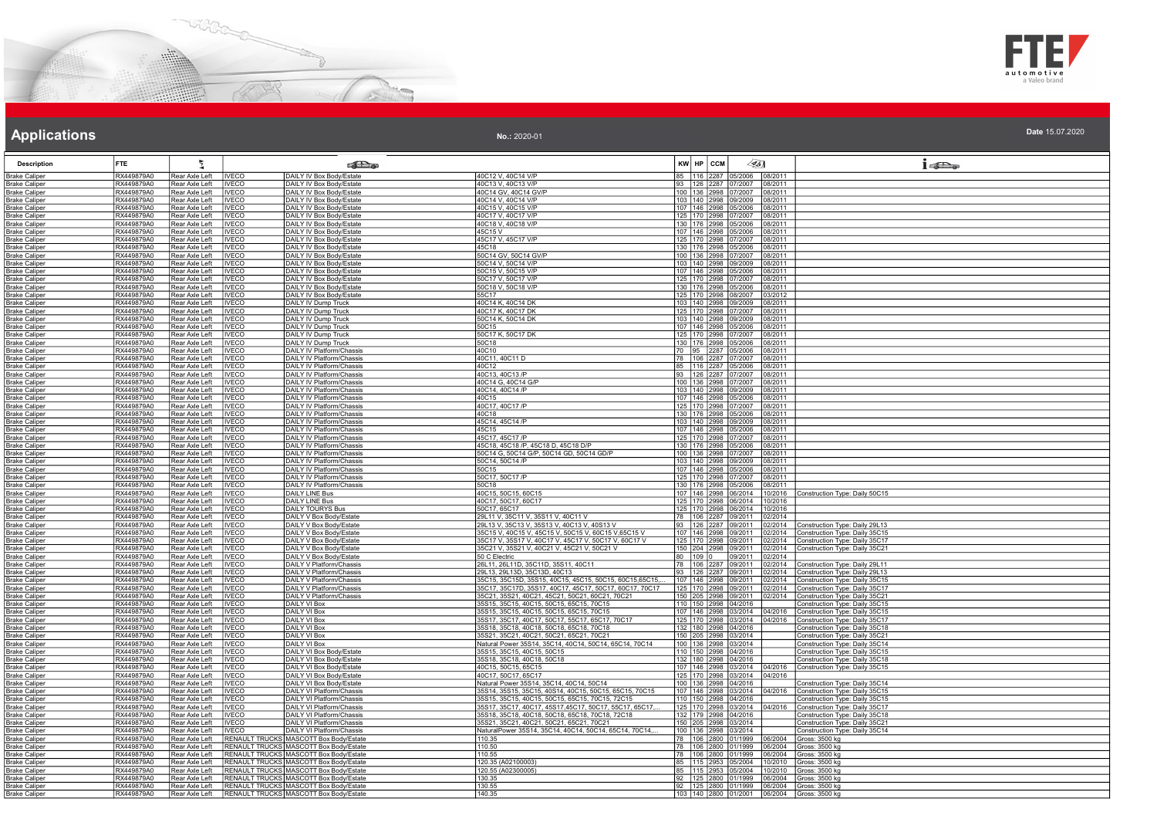



| <b>Description</b>                           | <b>FTE</b>                      |                                  |                              | <b>SET</b>                                                                       |                                                                                                    |             | KW HP CCM    | 45)                                                |                    | $1 - 5$                                                          |
|----------------------------------------------|---------------------------------|----------------------------------|------------------------------|----------------------------------------------------------------------------------|----------------------------------------------------------------------------------------------------|-------------|--------------|----------------------------------------------------|--------------------|------------------------------------------------------------------|
| <b>Brake Caliper</b>                         | RX449879A0                      | Rear Axle Left                   | <b>IVECO</b>                 | DAILY IV Box Body/Estate                                                         | 40C12 V, 40C14 V/P                                                                                 |             | 116 2287     | 5/2006                                             | 08/2011            |                                                                  |
| Brake Caliper                                | RX449879A0                      | Rear Axle Left                   | <b>INFCO</b>                 | DAILY IV Box Body/Estate                                                         | 40C13 V. 40C13 V/P                                                                                 |             |              | 93   126   2287   07/2007   08/2011                |                    |                                                                  |
| <b>Brake Caliper</b>                         | RX449879A0                      | Rear Axle Left                   | <b>IVECO</b>                 | DAILY IV Box Body/Estate                                                         | 40C14 GV, 40C14 GV/P                                                                               |             |              | 100 136 2998 07/2007                               | 08/2011            |                                                                  |
| <b>Brake Caliper</b><br><b>Brake Caliper</b> | RX449879A0<br>RX449879A0        | Rear Axle Left<br>Rear Axle Left | <b>IVECO</b><br><b>IVECO</b> | DAILY IV Box Body/Estate<br>DAILY IV Box Body/Estate                             | 40C14 V, 40C14 V/P<br>40C15 V, 40C15 V/P                                                           |             |              | 103 140 2998 09/2009<br>107 146 2998 05/2006       | 08/2011<br>08/2011 |                                                                  |
| <b>Brake Caliper</b>                         | RX449879A0                      | Rear Axle Left                   | <b>IVECO</b>                 | DAILY IV Box Body/Estate                                                         | 40C17 V, 40C17 V/P                                                                                 |             |              | 125 170 2998 07/2007                               | 08/2011            |                                                                  |
| <b>Brake Caliper</b>                         | RX449879A0                      | Rear Axle Left                   | <b>IVECO</b>                 | DAILY IV Box Body/Estate                                                         | 40C18 V, 40C18 V/P                                                                                 |             |              | 130 176 2998 05/2006                               | 08/2011            |                                                                  |
| <b>Brake Caliper</b>                         | RX449879A0                      | Rear Axle Left                   | <b>IVECO</b>                 | DAILY IV Box Body/Estate                                                         | 45C15V                                                                                             |             |              | 107 146 2998 05/2006                               | 08/2011            |                                                                  |
| <b>Brake Caliper</b>                         | RX449879A0                      | Rear Axle Left                   | <b>IVECO</b>                 | DAILY IV Box Body/Estate                                                         | 45C17 V, 45C17 V/P                                                                                 |             |              | 125 170 2998 07/2007                               | 08/2011            |                                                                  |
| <b>Brake Caliper</b>                         | RX449879A0                      | Rear Axle Left                   | <b>IVECO</b>                 | DAILY IV Box Body/Estate                                                         | 45C18                                                                                              |             |              | 130   176   2998   05/2006                         | 08/2011            |                                                                  |
| <b>Brake Caliper</b>                         | <b>XX449879A0</b><br>RX449879A0 | Rear Axle Left<br>Rear Axle Left | <b>IVECO</b>                 | DAILY IV Box Body/Estate<br>DAILY IV Box Body/Estate                             | 50C14 GV, 50C14 GV/P<br>50C14 V, 50C14 V/P                                                         |             |              | 100 136 2998 07/2007<br>103 140 2998 09/2009       | 08/2011<br>08/2011 |                                                                  |
| <b>Brake Caliper</b><br><b>Brake Caliper</b> | RX449879A0                      | Rear Axle Left                   | <b>IVECO</b><br><b>IVECO</b> | DAILY IV Box Body/Estate                                                         | 50C15 V, 50C15 V/P                                                                                 |             |              | 107 146 2998 05/2006                               | 08/2011            |                                                                  |
| <b>Brake Caliper</b>                         | RX449879A0                      | Rear Axle Left                   | <b>IVECO</b>                 | DAILY IV Box Body/Estate                                                         | 50C17 V, 50C17 V/P                                                                                 |             |              | 125 170 2998 07/2007                               | 08/2011            |                                                                  |
| <b>Brake Caliper</b>                         | RX449879A0                      | Rear Axle Left                   | <b>IVECO</b>                 | DAILY IV Box Body/Estate                                                         | 50C18 V, 50C18 V/P                                                                                 |             |              | 130 176 2998 05/2006                               | 08/2011            |                                                                  |
| <u> Brake Caliper</u>                        | RX449879A0                      | Rear Axle Left                   | <b>IVECO</b>                 | DAILY IV Box Body/Estate                                                         | 55C17                                                                                              |             |              | 125 170 2998 08/2007                               | 03/2012            |                                                                  |
| <b>Brake Caliper</b>                         | RX449879A0                      | Rear Axle Left                   | <b>IVECO</b>                 | DAILY IV Dump Truck                                                              | 40C14 K, 40C14 DK                                                                                  |             |              | 103 140 2998 09/2009                               | 08/2011            |                                                                  |
| <b>Brake Caliper</b>                         | RX449879A0<br>RX449879A0        | Rear Axle Left<br>Rear Axle Left | <b>IVECO</b><br><b>IVECO</b> | DAILY IV Dump Truck<br>DAILY IV Dump Truck                                       | 40C17 K, 40C17 DK<br>50C14 K, 50C14 DK                                                             |             |              | 125 170 2998 07/2007<br>103 140 2998 09/2009       | 08/2011<br>08/2011 |                                                                  |
| <b>Brake Caliper</b><br><b>Brake Caliper</b> | RX449879A0                      | Rear Axle Left                   | <b>IVECO</b>                 | DAILY IV Dump Truck                                                              | 50C15                                                                                              |             |              | 107 146 2998 05/2006                               | 08/2011            |                                                                  |
| <b>Brake Caliper</b>                         | RX449879A0                      | Rear Axle Left                   | <b>IVECO</b>                 | DAILY IV Dump Truck                                                              | 50C17 K, 50C17 DK                                                                                  |             |              | 125   170   2998   07/2007                         | 08/2011            |                                                                  |
| <b>Brake Caliper</b>                         | <b>XX449879A0</b>               | Rear Axle Left                   | IVECO                        | <b>DAILY IV Dump Truck</b>                                                       | 50C18                                                                                              |             | 130 176 2998 | 05/2006                                            | 08/2011            |                                                                  |
| <b>Brake Caliper</b>                         | RX449879A0                      | Rear Axle Left                   | <b>IVECO</b>                 | DAILY IV Platform/Chassis                                                        | 40C10                                                                                              |             |              | 70 95 2287 05/2006                                 | 08/2011            |                                                                  |
| <b>Brake Caliper</b>                         | RX449879A0                      | Rear Axle Left                   | <b>IVECO</b>                 | DAILY IV Platform/Chassis                                                        | 40C11, 40C11 D                                                                                     |             |              | 78 106 2287 07/2007                                | 08/2011            |                                                                  |
| <b>Brake Caliper</b>                         | RX449879A0                      | Rear Axle Left                   | <b>IVECO</b>                 | DAILY IV Platform/Chassis                                                        | 40C12                                                                                              |             |              | 85 116 2287 05/2006                                | 08/2011            |                                                                  |
| <b>Brake Caliper</b>                         | RX449879A0<br>RX449879A0        | Rear Axle Left<br>Rear Axle Left | <b>IVECO</b>                 | DAILY IV Platform/Chassis<br>DAILY IV Platform/Chassis                           | 40C13, 40C13 /P                                                                                    |             |              | 93 126 2287 07/2007                                | 08/2011            |                                                                  |
| <b>Brake Caliper</b>                         | RX449879A0                      | Rear Axle Left                   | <b>IVECO</b><br>IVECO        | DAILY IV Platform/Chassis                                                        | 40C14 G, 40C14 G/P<br>40C14, 40C14 /P                                                              |             |              | 100   136   2998   07/2007<br>103 140 2998 09/2009 | 08/2011<br>08/2011 |                                                                  |
| <b>Brake Caliper</b><br><b>Brake Caliper</b> | RX449879A0                      | Rear Axle Left                   | <b>IVECO</b>                 | DAILY IV Platform/Chassis                                                        | 40C15                                                                                              |             |              | 107 146 2998 05/2006 08/2011                       |                    |                                                                  |
| <b>Brake Caliper</b>                         | RX449879A0                      | Rear Axle Left                   | <b>IVECO</b>                 | DAILY IV Platform/Chassis                                                        | 40C17, 40C17 /P                                                                                    |             |              | 125 170 2998 07/2007                               | 08/2011            |                                                                  |
| <b>Brake Caliper</b>                         | RX449879A0                      | Rear Axle Left                   | <b>IVECO</b>                 | DAILY IV Platform/Chassis                                                        | 40C18                                                                                              |             |              | 130 176 2998 05/2006                               | 08/2011            |                                                                  |
| <b>Brake Caliper</b>                         | RX449879A0                      | Rear Axle Left                   | <b>IVECO</b>                 | DAILY IV Platform/Chassis                                                        | 45C14, 45C14 /P                                                                                    |             |              | 103   140   2998   09/2009                         | 08/2011            |                                                                  |
| <b>Brake Caliper</b>                         | RX449879A0                      | Rear Axle Left                   | <b>IVECO</b>                 | DAILY IV Platform/Chassis                                                        | 45C15                                                                                              |             |              | 107 146 2998 05/2006                               | 08/2011            |                                                                  |
| Brake Caliper                                | RX449879A0<br>RX449879A0        | Rear Axle Left<br>Rear Axle Left | <b>IVECO</b><br><b>IVECO</b> | DAILY IV Platform/Chassis<br>DAILY IV Platform/Chassis                           | 45C17, 45C17 /P<br>45C18, 45C18 /P, 45C18 D, 45C18 D/P                                             |             |              | 125 170 2998 07/2007<br>130 176 2998 05/2006       | 08/2011<br>08/2011 |                                                                  |
| <b>Brake Caliper</b><br><b>Brake Caliper</b> | RX449879A0                      | Rear Axle Left                   | <b>IVECO</b>                 | <b>DAILY IV Platform/Chassis</b>                                                 | 50C14 G, 50C14 G/P, 50C14 GD, 50C14 GD/P                                                           |             |              | 100 136 2998 07/2007                               | 08/2011            |                                                                  |
| <b>Brake Caliper</b>                         | RX449879A0                      | Rear Axle Left                   | <b>IVECO</b>                 | DAILY IV Platform/Chassis                                                        | 50C14, 50C14 /P                                                                                    |             |              | 103   140   2998   09/2009                         | 08/2011            |                                                                  |
| <b>Brake Caliper</b>                         | RX449879A0                      | Rear Axle Left                   | IVECO                        | <b>DAILY IV Platform/Chassis</b>                                                 | 50C15                                                                                              |             |              | 107 146 2998 05/2006                               | 08/2011            |                                                                  |
| <b>Brake Caliper</b>                         | RX449879A0                      | Rear Axle Left                   | <b>IVECO</b>                 | DAILY IV Platform/Chassis                                                        | 50C17, 50C17 /P                                                                                    |             |              | 125 170 2998 07/2007                               | 08/2011            |                                                                  |
| <b>Brake Caliper</b>                         | RX449879A0                      | Rear Axle Left                   | <b>IVECO</b>                 | DAILY IV Platform/Chassis                                                        | 50C18                                                                                              |             |              | 130 176 2998 05/2006                               | 08/2011            |                                                                  |
| <b>Brake Caliper</b>                         | RX449879A0                      | Rear Axle Left                   | <b>IVECO</b>                 | <b>DAILY LINE Bus</b>                                                            | 40C15, 50C15, 60C15                                                                                |             |              | 107 146 2998 06/2014                               | 10/2016            | Construction Type: Daily 50C15                                   |
| <b>Brake Caliper</b>                         | RX449879A0<br>RX449879A0        | Rear Axle Left                   | <b>IVECO</b>                 | DAILY LINE Bus                                                                   | 40C17, 50C17, 60C17                                                                                |             |              | 125 170 2998 06/2014                               | 10/2016            |                                                                  |
| <b>Brake Caliper</b><br><b>Brake Caliper</b> | RX449879A0                      | Rear Axle Left<br>Rear Axle Left | <u>IVECO</u><br><b>IVECO</b> | <b>DAILY TOURYS Bus</b><br>DAILY V Box Body/Estate                               | 50C17, 65C17<br>29L11 V, 35C11 V, 35S11 V, 40C11 V                                                 |             |              | 125 170 2998 06/2014<br>78   106   2287   09/2011  | 10/2016<br>02/2014 |                                                                  |
| <b>Brake Caliper</b>                         | RX449879A0                      | Rear Axle Left                   | <b>IVECO</b>                 | DAILY V Box Body/Estate                                                          | 29L13 V, 35C13 V, 35S13 V, 40C13 V, 40S13 V                                                        |             |              | 93 126 2287 09/2011                                | )2/2014            | Construction Type: Daily 29L13                                   |
| <b>Brake Caliper</b>                         | RX449879A0                      | Rear Axle Left                   | <b>IVECO</b>                 | DAILY V Box Body/Estate                                                          | 35C15 V, 40C15 V, 45C15 V, 50C15 V, 60C15 V, 65C15 V                                               |             |              | 107 146 2998 09/2011                               | 02/2014            | Construction Type: Daily 35C15                                   |
| <b>Brake Caliper</b>                         | RX449879A0                      | Rear Axle Left                   | <b>IVECO</b>                 | DAILY V Box Body/Estate                                                          | 35C17 V, 35S17 V, 40C17 V, 45C17 V, 50C17 V, 60C17 V                                               |             |              | 125 170 2998 09/2011                               | 02/2014            | Construction Type: Daily 35C17                                   |
| <b>Brake Caliper</b>                         | RX449879A0                      | Rear Axle Left                   | <b>IVECO</b>                 | DAILY V Box Body/Estate                                                          | 35C21 V, 35S21 V, 40C21 V, 45C21 V, 50C21 V                                                        |             |              | 150 204 2998 09/2011                               | 02/2014            | Construction Type: Daily 35C21                                   |
| <b>Brake Caliper</b>                         | RX449879A0                      | Rear Axle Left                   | <b>IVECO</b>                 | DAILY V Box Body/Estate                                                          | 50 C Electric                                                                                      | 80 109 10   |              | 09/2011                                            | 02/2014            |                                                                  |
| <b>Brake Caliper</b><br><b>Brake Caliper</b> | RX449879A0<br>RX449879A0        | Rear Axle Left<br>Rear Axle Left | <b>IVECO</b><br><b>IVECO</b> | DAILY V Platform/Chassis<br>DAILY V Platform/Chassis                             | 26L11, 26L11D, 35C11D, 35S11, 40C11<br>29L13, 29L13D, 35C13D, 40C13                                | 78 106 2287 |              | 09/2011<br>93 126 2287 09/2011                     | 02/2014<br>02/2014 | Construction Type: Daily 29L11<br>Construction Type: Daily 29L13 |
| <b>Brake Caliper</b>                         | RX449879A0                      | Rear Axle Left                   | <b>IVECO</b>                 | DAILY V Platform/Chassis                                                         | 35C15, 35C15D, 35S15, 40C15, 45C15, 50C15, 60C15, 65C15                                            |             |              | 107   146   2998   09/2011                         | 02/2014            | Construction Type: Daily 35C15                                   |
| <b>Brake Caliper</b>                         | RX449879A0                      | Rear Axle Left                   | <b>IVECO</b>                 | DAILY V Platform/Chassis                                                         | 35C17, 35C17D, 35S17, 40C17, 45C17, 50C17, 60C17, 70C17                                            |             |              | 125 170 2998 09/2011                               | 2/2014             | Construction Type: Daily 35C17                                   |
| <b>Brake Caliper</b>                         | RX449879A0                      | Rear Axle Left                   | IVECO                        | DAILY V Platform/Chassis                                                         | 35C21, 35S21, 40C21, 45C21, 50C21, 60C21, 70C21                                                    |             |              | 150 205 2998 09/2011                               | )2/2014            | Construction Type: Daily 35C21                                   |
| <b>Brake Caliper</b>                         | RX449879A0                      | Rear Axle Left                   | IVECO                        | DAILY VI Box                                                                     | 35S15, 35C15, 40C15, 50C15, 65C15, 70C15                                                           |             |              | 110 150 2998 04/2016                               |                    | Construction Type: Daily 35C15                                   |
| <b>Brake Caliper</b>                         | RX449879A0                      | Rear Axle Left                   | <b>IVECO</b>                 | <b>DAILY VI Box</b>                                                              | 35S15, 35C15, 40C15, 50C15, 65C15, 70C15                                                           |             |              | 107 146 2998 03/2014                               | 04/2016            | Construction Type: Daily 35C15                                   |
| <b>Brake Caliper</b><br><b>Brake Caliper</b> | RX449879A0<br>RX449879A0        | Rear Axle Left<br>Rear Axle Left | <b>IVECO</b><br><b>IVECO</b> | <b>DAILY VI Box</b><br><b>DAILY VI Box</b>                                       | 35S17, 35C17, 40C17, 50C17, 55C17, 65C17, 70C17<br>35S18, 35C18, 40C18, 50C18, 65C18, 70C18        |             |              | 125 170 2998 03/2014<br>132   180   2998   04/2016 | 04/2016            | Construction Type: Daily 35C17<br>Construction Type: Daily 35C18 |
| <b>Brake Caliper</b>                         | RX449879A0                      | Rear Axle Left                   | <b>IVECO</b>                 | DAILY VI Box                                                                     | 35S21, 35C21, 40C21, 50C21, 65C21, 70C21                                                           |             |              | 150 205 2998 03/2014                               |                    | Construction Type: Daily 35C21                                   |
| <b>Brake Caliper</b>                         | RX449879A0                      | Rear Axle Left                   | <b>IVECO</b>                 | <b>DAILY VI Box</b>                                                              | Natural Power 35S14, 35C14, 40C14, 50C14, 65C14, 70C14                                             |             |              | 100 136 2998 03/2014                               |                    | Construction Type: Daily 35C14                                   |
| <b>Brake Caliper</b>                         | RX449879A0                      | Rear Axle Left                   | <b>IVECO</b>                 | DAILY VI Box Body/Estate                                                         | 35S15, 35C15, 40C15, 50C15                                                                         |             |              | 110 150 2998 04/2016                               |                    | Construction Type: Daily 35C15                                   |
| <b>Brake Caliper</b>                         | RX449879A0                      | Rear Axle Left                   | <b>IVECO</b>                 | DAILY VI Box Body/Estate                                                         | 35S18, 35C18, 40C18, 50C18                                                                         |             |              | 132 180 2998 04/2016                               |                    | Construction Type: Daily 35C18                                   |
| <b>Brake Caliper</b>                         | RX449879A0                      | Rear Axle Left                   | <b>IVECO</b>                 | DAILY VI Box Body/Estate                                                         | 40C15, 50C15, 65C15                                                                                |             |              | 107 146 2998 03/2014                               | 04/2016            | Construction Type: Daily 35C15                                   |
| <b>Brake Caliper</b>                         | RX449879A0                      | Rear Axle Left                   | <b>IVECO</b>                 | DAILY VI Box Body/Estate                                                         | 40C17, 50C17, 65C17                                                                                |             |              | 125 170 2998 03/2014                               | 04/2016            |                                                                  |
| <b>Brake Caliper</b>                         | RX449879A0<br>RX449879A0        | Rear Axle Left<br>Rear Axle Left | <b>IVECO</b>                 | DAILY VI Box Body/Estate<br>DAILY VI Platform/Chassis                            | Natural Power 35S14, 35C14, 40C14, 50C14<br>35S14, 35S15, 35C15, 40S14, 40C15, 50C15, 65C15, 70C15 |             |              | 100 136 2998 04/2016<br>107 146 2998 03/2014       | 04/2016            | Construction Type: Daily 35C14                                   |
| <b>Brake Caliper</b><br><b>Brake Caliper</b> | RX449879A0                      | Rear Axle Left                   | <b>IVECO</b><br><b>IVECO</b> | DAILY VI Platform/Chassis                                                        | 35S15, 35C15, 40C15, 50C15, 65C15, 70C15, 72C15                                                    |             |              | 110 150 2998 04/2016                               |                    | Construction Type: Daily 35C15<br>Construction Type: Daily 35C15 |
| <b>Brake Caliper</b>                         | RX449879A0                      | Rear Axle Left                   | <b>IVECO</b>                 | DAILY VI Platform/Chassis                                                        | 35S17, 35C17, 40C17, 45S17, 45C17, 50C17, 55C17, 65C17,                                            |             |              | 125 170 2998 03/2014                               | 04/2016            | Construction Type: Daily 35C17                                   |
| <b>Brake Caliper</b>                         | RX449879A0                      | Rear Axle Left                   | <b>IVECO</b>                 | DAILY VI Platform/Chassis                                                        | 35S18, 35C18, 40C18, 50C18, 65C18, 70C18, 72C18                                                    |             |              | 132 179 2998 04/2016                               |                    | Construction Type: Daily 35C18                                   |
| <b>Brake Caliper</b>                         | RX449879A0                      | Rear Axle Left                   | <b>IVECO</b>                 | DAILY VI Platform/Chassis                                                        | 35S21, 35C21, 40C21, 50C21, 65C21, 70C21                                                           |             |              | 150 205 2998 03/2014                               |                    | Construction Type: Daily 35C21                                   |
| <b>Brake Caliper</b>                         | RX449879A0                      | Rear Axle Left                   | <b>IVECO</b>                 | DAILY VI Platform/Chassis                                                        | NaturalPower 35S14, 35C14, 40C14, 50C14, 65C14, 70C14,                                             |             |              | 100 136 2998 03/2014                               |                    | Construction Type: Daily 35C14                                   |
| <b>Brake Caliper</b>                         | RX449879A0                      | Rear Axle Left                   |                              | RENAULT TRUCKS MASCOTT Box Body/Estate                                           | 110.35                                                                                             |             |              | 78 106 2800 01/1999                                | 06/2004            | Gross: 3500 kg                                                   |
| <b>Brake Caliper</b>                         | RX449879A0<br>RX449879A0        | Rear Axle Left                   |                              | RENAULT TRUCKS MASCOTT Box Body/Estate                                           | 110.50<br>110.55                                                                                   |             |              | 78 106 2800 01/1999                                | 06/2004            | Fross: 3500 kg                                                   |
| <b>Brake Caliper</b>                         | RX449879A0                      | Rear Axle Left<br>Rear Axle Left |                              | RENAULT TRUCKS MASCOTT Box Body/Estate<br>RENAULT TRUCKS MASCOTT Box Body/Estate | 120.35 (A02100003)                                                                                 |             |              | 78   106   2800   01/1999<br>85 115 2953 05/2004   | 06/2004<br>10/2010 | Gross: 3500 kg<br>Gross: 3500 kg                                 |
| <b>Brake Caliper</b><br>Brake Caliper        | RX449879A0                      | Rear Axle Left                   |                              | RENAULT TRUCKS MASCOTT Box Body/Estate                                           | 120.55 (A02300005)                                                                                 | 85 115 2953 |              | 05/2004                                            | 0/2010             | Gross: 3500 kg                                                   |
| <b>Brake Caliper</b>                         | RX449879A0                      | Rear Axle Left                   |                              | RENAULT TRUCKS MASCOTT Box Body/Estate                                           | 130.35                                                                                             |             |              | 92 125 2800 01/1999                                | 06/2004            | Gross: 3500 kg                                                   |
| <b>Brake Caliper</b>                         | RX449879A0                      | Rear Axle Left                   |                              | RENAULT TRUCKS MASCOTT Box Body/Estate                                           | 130.55                                                                                             |             |              | 92 125 2800 01/1999                                | 06/2004            | Gross: 3500 kg                                                   |
| <b>Brake Caliper</b>                         | RX449879A0                      | Rear Axle Left                   |                              | RENAULT TRUCKS MASCOTT Box Body/Estate                                           | 140.35                                                                                             |             |              | 103 140 2800 01/2001 06/2004                       |                    | Gross: 3500 kg                                                   |
|                                              |                                 |                                  |                              |                                                                                  |                                                                                                    |             |              |                                                    |                    |                                                                  |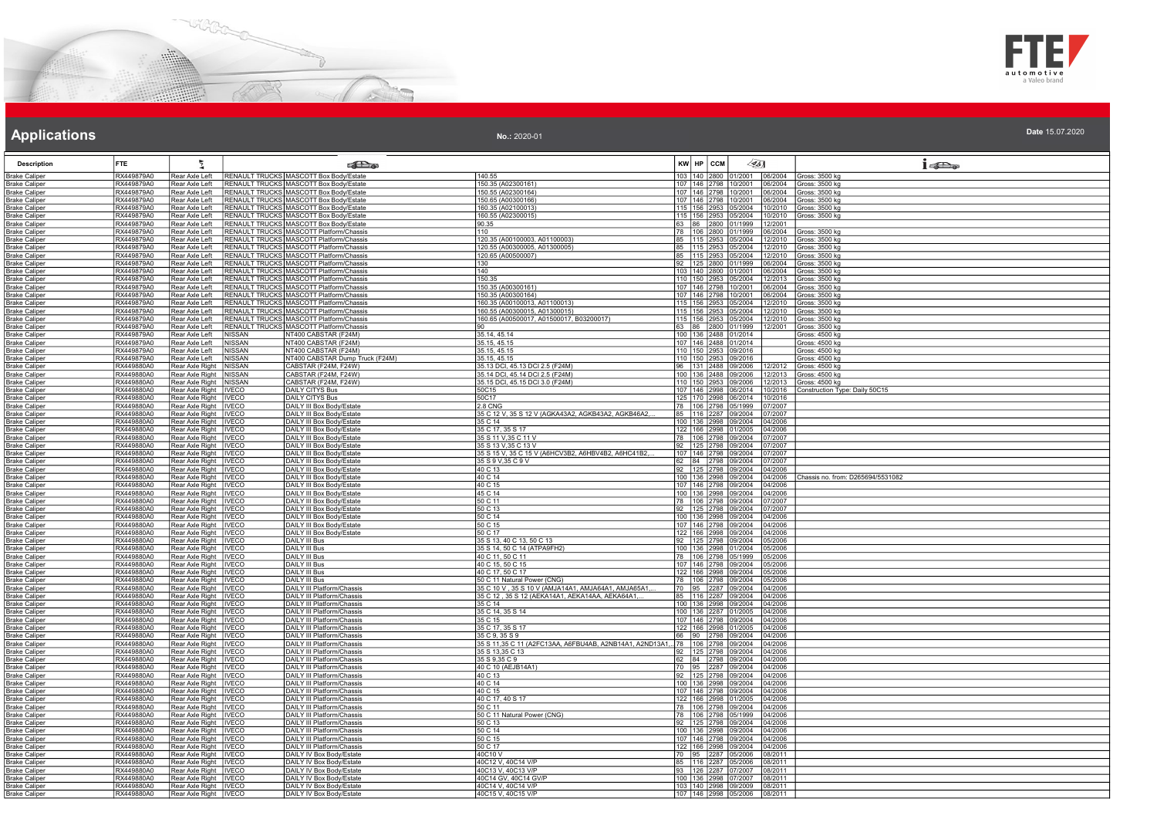



### **Applications Applications Applications**

| No.: 2020-01 | Date 15.07.2020 |
|--------------|-----------------|
|              |                 |

| <b>Description</b>                           | <b>FTE</b>               | 气                                                  |                                | <b>SER</b>                                                                         |                                                                |         | KW HP CCM                                           | $\llap{0.1cm}$ |                    | $i$ and                           |
|----------------------------------------------|--------------------------|----------------------------------------------------|--------------------------------|------------------------------------------------------------------------------------|----------------------------------------------------------------|---------|-----------------------------------------------------|----------------|--------------------|-----------------------------------|
| <b>Brake Caliper</b>                         | RX449879A0               | Rear Axle Left                                     |                                | RENAULT TRUCKS MASCOTT Box Body/Estate                                             | 140.55                                                         |         | 103 140 2800 01/2001                                |                | 06/2004            | Gross: 3500 kg                    |
| <u> Brake Caliper</u>                        | RX449879A0               | Rear Axle Left                                     |                                | RENAULT TRUCKS MASCOTT Box Body/Estate                                             | 150.35 (A02300161)                                             |         | 107 146 2798 10/2001                                |                | 06/2004            | Gross: 3500 kg                    |
| <b>Brake Caliper</b>                         | RX449879A0<br>RX449879A0 | Rear Axle Left<br>Rear Axle Left                   |                                | RENAULT TRUCKS MASCOTT Box Body/Estate<br>RENAULT TRUCKS MASCOTT Box Body/Estate   | 150.55 (A02300164)<br>150.65 (A00300166)                       |         | 107 146 2798 10/2001<br>107 146 2798 10/2001        |                | 16/2004            | Gross: 3500 kg                    |
| <b>Brake Caliper</b><br><b>Brake Caliper</b> | RX449879A0               | Rear Axle Left                                     |                                | RENAULT TRUCKS MASCOTT Box Body/Estate                                             | 160.35 (A02100013)                                             |         | 115 156 2953 05/2004                                |                | 06/2004<br>0/2010  | Gross: 3500 kg<br>Gross: 3500 kg  |
| <b>Brake Caliper</b>                         | RX449879A0               | Rear Axle Left                                     |                                | RENAULT TRUCKS MASCOTT Box Body/Estate                                             | 160.55 (A02300015)                                             |         | 115 156 2953 05/2004                                |                | 0/2010             | Gross: 3500 kg                    |
| <b>Brake Caliper</b>                         | RX449879A0               | Rear Axle Left                                     |                                | RENAULT TRUCKS MASCOTT Box Body/Estate                                             | 90.35                                                          |         | 63 86 2800 01/1999                                  |                | 2/2001             |                                   |
| <b>Brake Caliper</b>                         | RX449879A0               | Rear Axle Left                                     |                                | RENAULT TRUCKS MASCOTT Platform/Chassis                                            | 110                                                            |         | 78 106 2800                                         | 01/1999        | 6/2004             | Gross: 3500 kg                    |
| <b>Brake Caliper</b>                         | RX449879A0<br>RX449879A0 | Rear Axle Left                                     |                                | RENAULT TRUCKS MASCOTT Platform/Chassis<br>RENAULT TRUCKS MASCOTT Platform/Chassis | 120.35 (A00100003, A01100003)                                  |         | 85 115 2953<br>85 115 2953 05/2004                  | 5/2004         | 2/2010             | Gross: 3500 kg                    |
| <b>Brake Caliper</b><br><b>Brake Caliper</b> | RX449879A0               | Rear Axle Left<br>Rear Axle Left                   |                                | RENAULT TRUCKS MASCOTT Platform/Chassis                                            | 120.55 (A00300005. A01300005)<br>120.65 (A00500007)            |         | 85 115 2953 05/2004                                 |                | 12/2010<br>2/2010  | Gross: 3500 kg<br>Gross: 3500 kg  |
| <b>Brake Caliper</b>                         | RX449879A0               | Rear Axle Left                                     |                                | RENAULT TRUCKS MASCOTT Platform/Chassis                                            | 130                                                            |         | 92 125 2800 01/1999                                 |                | 6/2004             | Gross: 3500 kg                    |
| <b>Brake Caliper</b>                         | RX449879A0               | Rear Axle Left                                     |                                | RENAULT TRUCKS MASCOTT Platform/Chassis                                            | 140                                                            |         | 103  140  2800  01/2001                             |                | 06/2004            | Gross: 3500 kg                    |
| <b>Brake Caliper</b>                         | RX449879A0               | Rear Axle Left                                     |                                | RENAULT TRUCKS MASCOTT Platform/Chassis                                            | 150.35                                                         |         | 110 150 2953 05/2004                                |                | 2/2013             | Gross: 3500 kg                    |
| <b>Brake Caliper</b>                         | RX449879A0               | Rear Axle Left                                     |                                | RENAULT TRUCKS MASCOTT Platform/Chassis                                            | 150.35 (A00300161)                                             |         | 107 146 2798 10/2001                                |                | 6/2004             | Gross: 3500 kg                    |
| <b>Brake Caliper</b><br><b>Brake Caliper</b> | RX449879A0<br>RX449879A0 | Rear Axle Left<br>Rear Axle Left                   |                                | RENAULT TRUCKS MASCOTT Platform/Chassis<br>RENAULT TRUCKS MASCOTT Platform/Chassis | 150.35 (A00300164)<br>160.35 (A00100013, A01100013)            |         | 107 146 2798 10/2001<br>115 156 2953 05/2004        |                | 06/2004<br>12/2010 | Gross: 3500 kg<br>Gross: 3500 kg  |
| <b>Brake Caliper</b>                         | RX449879A0               | Rear Axle Left                                     |                                | RENAULT TRUCKS MASCOTT Platform/Chassis                                            | 160.55 (A00300015, A01300015)                                  |         | 115   156   2953   05/2004                          |                | 2/2010             | Gross: 3500 kg                    |
| <b>Brake Caliper</b>                         | RX449879A0               | Rear Axle Left                                     |                                | RENAULT TRUCKS MASCOTT Platform/Chassis                                            | 160.65 (A00500017, A01500017, B03200017)                       |         | 115 156 2953                                        | 05/2004        | 2/2010             | Gross: 3500 kg                    |
| <b>Brake Caliper</b>                         | RX449879A0               | Rear Axle Left                                     |                                | RENAULT TRUCKS MASCOTT Platform/Chassis                                            |                                                                |         | 63 86 2800 01/1999                                  |                | 2/2001             | Gross: 3500 kg                    |
| <b>Brake Caliper</b>                         | RX449879A0               | Rear Axle Left                                     | NISSAN                         | NT400 CABSTAR (F24M)                                                               | 35.14, 45.14                                                   |         | 100 136 2488 01/2014                                |                |                    | Gross: 4500 kg                    |
| <b>Brake Caliper</b>                         | RX449879A0               | Rear Axle Left                                     | <b>NISSAN</b>                  | NT400 CABSTAR (F24M)                                                               | 35.15, 45.15                                                   |         | 107 146 2488 01/2014                                |                |                    | Gross: 4500 kg                    |
| <b>Brake Caliper</b>                         | RX449879A0<br>RX449879A0 | Rear Axle Left                                     | <b>NISSAN</b><br><b>NISSAN</b> | NT400 CABSTAR (F24M)                                                               | 35.15, 45.15                                                   |         | 110 150 2953 09/2016                                |                |                    | Gross: 4500 kg                    |
| <b>Brake Caliper</b><br><b>Brake Caliper</b> | RX449880A0               | Rear Axle Left<br>Rear Axle Right                  | NISSAN                         | NT400 CABSTAR Dump Truck (F24M)<br>CABSTAR (F24M, F24W)                            | 35.15, 45.15<br>35.13 DCI, 45.13 DCI 2.5 (F24M)                |         | 110 150 2953 09/2016<br>96   131   2488   09/2006   |                | 2/2012             | Gross: 4500 kg<br>Gross: 4500 kg  |
| Brake Caliper                                | RX449880A0               | Rear Axle Right                                    | NISSAN                         | CABSTAR (F24M, F24W)                                                               | 35.14 DCI, 45.14 DCI 2.5 (F24M)                                |         | 100 136 2488                                        | 09/2006        | 2/2013             | Gross: 4500 kg                    |
| <b>Brake Caliper</b>                         | RX449880A0               | Rear Axle Right NISSAN                             |                                | CABSTAR (F24M, F24W)                                                               | 35.15 DCI, 45.15 DCI 3.0 (F24M)                                |         | 110 150 2953 09/2006                                |                | 12/2013            | Gross: 4500 kg                    |
| <b>Brake Caliper</b>                         | RX449880A0               | Rear Axle Right   IVECO                            |                                | <b>DAILY CITYS Bus</b>                                                             | 50C15                                                          |         | 107 146 2998 06/2014                                |                | 0/2016             | Construction Type: Daily 50C15    |
| <b>Brake Caliper</b>                         | RX449880A0               | Rear Axle Right   IVECO                            |                                | DAILY CITYS Bus                                                                    | 50C17                                                          |         | 125 170 2998 06/2014                                |                | 0/2016             |                                   |
| <b>Brake Caliper</b>                         | RX449880A0<br>RX449880A0 | Rear Axle Right   IVECO                            |                                | DAILY III Box Body/Estate                                                          | <b>2.8 CNG</b>                                                 |         | 78   106   2798   05/1999                           |                | )7/2007            |                                   |
| <b>Brake Caliper</b><br><b>Brake Caliper</b> | RX449880A0               | Rear Axle Right<br>Rear Axle Right   IVECO         | <b>IVECO</b>                   | DAILY III Box Body/Estate<br>DAILY III Box Body/Estate                             | 35 C 12 V, 35 S 12 V (AGKA43A2, AGKB43A2, AGKB46A2,<br>35 C 14 |         | 85 116 2287 09/2004<br>100 136 2998 09/2004         |                | 7/2007<br>4/2006   |                                   |
| <b>Brake Caliper</b>                         | RX449880A0               | Rear Axle Right   IVECO                            |                                | <b>DAILY III Box Body/Estate</b>                                                   | 35 C 17, 35 S 17                                               |         | 122 166 2998 01/2005                                |                | 4/2006             |                                   |
| <b>Brake Caliper</b>                         | RX449880A0               | Rear Axle Right   IVECO                            |                                | DAILY III Box Body/Estate                                                          | 35 S 11 V, 35 C 11 V                                           |         | 78 106 2798 09/2004                                 |                | 7/2007             |                                   |
| <b>Brake Caliper</b>                         | RX449880A0               | Rear Axle Right   IVECO                            |                                | DAILY III Box Body/Estate                                                          | 35 S 13 V, 35 C 13 V                                           |         | 92   125   2798   09/2004                           |                | 17/2007            |                                   |
| <b>Brake Caliper</b>                         | RX449880A0               | Rear Axle Right   IVECO                            |                                | DAILY III Box Body/Estate                                                          | 35 S 15 V, 35 C 15 V (A6HCV3B2, A6HBV4B2, A6HC41B2,            |         | 107   146   2798   09/2004                          |                | 7/2007             |                                   |
| <b>Brake Caliper</b>                         | RX449880A0               | Rear Axle Right   IVECO                            |                                | DAILY III Box Body/Estate                                                          | 35 S 9 V, 35 C 9 V<br>40 C 13                                  |         | 62 84 2798 09/2004<br>92 125 2798 09/2004           |                | 7/2007             |                                   |
| <b>Brake Caliper</b><br><b>Brake Caliper</b> | RX449880A0<br>RX449880A0 | Rear Axle Right   IVECO<br>Rear Axle Right   IVECO |                                | DAILY III Box Body/Estate<br>DAILY III Box Body/Estate                             | 40 C 14                                                        |         | 100 136 2998 09/2004                                |                | 04/2006<br>4/2006  | Chassis no. from: D265694/5531082 |
| <b>Brake Caliper</b>                         | RX449880A0               | Rear Axle Right   IVECO                            |                                | DAILY III Box Body/Estate                                                          | 40 C 15                                                        |         | 107   146   2798   09/2004                          |                | 04/2006            |                                   |
| <b>Brake Caliper</b>                         | RX449880A0               | Rear Axle Right   IVECO                            |                                | DAILY III Box Body/Estate                                                          | 45 C 14                                                        |         | 100 136 2998 09/2004                                |                | 14/2006            |                                   |
| <b>Brake Caliper</b>                         | RX449880A0               | Rear Axle Right   IVECO                            |                                | DAILY III Box Body/Estate                                                          | 50 C 11                                                        |         | 78 106 2798 09/2004                                 |                | 7/2007             |                                   |
| <b>Brake Caliper</b>                         | RX449880A0<br>RX449880A0 | Rear Axle Right                                    | <b>IVECO</b>                   | DAILY III Box Body/Estate                                                          | 50 C 13<br>50 C 14                                             |         | 92 125 2798                                         | 09/2004        | 7/2007             |                                   |
| <b>Brake Caliper</b><br><b>Brake Caliper</b> | RX449880A0               | Rear Axle Right   IVECO<br>Rear Axle Right   IVECO |                                | DAILY III Box Body/Estate<br>DAILY III Box Body/Estate                             | 50 C 15                                                        |         | 100 136 2998 09/2004<br>107 146 2798 09/2004        |                | 04/2006<br>4/2006  |                                   |
| <b>Brake Caliper</b>                         | RX449880A0               | Rear Axle Right   IVECO                            |                                | DAILY III Box Body/Estate                                                          | 50 C 17                                                        |         | 122 166 2998 09/2004                                |                | 04/2006            |                                   |
| <b>Brake Caliper</b>                         | RX449880A0               | Rear Axle Right   IVECO                            |                                | DAILY III Bus                                                                      | 35 S 13, 40 C 13, 50 C 13                                      |         | 92   125   2798   09/2004                           |                | 05/2006            |                                   |
| <b>Brake Caliper</b>                         | RX449880A0               | Rear Axle Right   IVECO                            |                                | DAILY III Bus                                                                      | 35 S 14, 50 C 14 (ATPA9FH2)                                    |         | 100 136 2998 01/2004                                |                | 5/2006             |                                   |
| <b>Brake Caliper</b>                         | RX449880A0               | Rear Axle Right   IVECO                            |                                | DAILY III Bus                                                                      | 40 C 11, 50 C 11                                               |         | 78 106 2798 05/1999                                 |                | 15/2006            |                                   |
| <b>Brake Caliper</b>                         | RX449880A0<br>RX449880A0 | Rear Axle Right   IVECO<br>Rear Axle Right   IVECO |                                | DAILY III Bus<br>DAILY III Bus                                                     | 40 C 15, 50 C 15<br>40 C 17, 50 C 17                           |         | 107 146 2798 09/2004<br>122 166 2998 09/2004        |                | 15/2006<br>5/2006  |                                   |
| <b>Brake Caliper</b><br><b>Brake Caliper</b> | RX449880A0               | Rear Axle Right   IVECO                            |                                | DAILY III Bus                                                                      | 50 C 11 Natural Power (CNG)                                    |         | 78   106   2798   09/2004                           |                | 15/2006            |                                   |
| <b>Brake Caliper</b>                         | RX449880A0               | Rear Axle Right   IVECO                            |                                | DAILY III Platform/Chassis                                                         | 35 C 10 V, 35 S 10 V (AMJA14A1, AMJA64A1, AMJA65A1             | 70   95 |                                                     | 2287 09/2004   | 4/2006             |                                   |
| <b>Brake Caliper</b>                         | RX449880A0               | Rear Axle Right   IVECO                            |                                | DAILY III Platform/Chassis                                                         | 35 C 12, 35 S 12 (AEKA14A1, AEKA14AA, AEKA64A1,                |         | 85   116   2287   09/2004                           |                | 4/2006             |                                   |
| Brake Caliper                                | RX449880A0               | Rear Axle Right   IVECO                            |                                | DAILY III Platform/Chassis                                                         | 35 C 14                                                        |         | 100 136 2998 09/2004                                |                | 14/2006            |                                   |
| <b>Brake Caliper</b>                         | RX449880A0               | Rear Axle Right   IVECO                            |                                | DAILY III Platform/Chassis                                                         | 35 C 14, 35 S 14                                               |         | 100 136 2287 01/2005                                |                | 04/2006            |                                   |
| <b>Brake Caliper</b><br><b>Brake Caliper</b> | RX449880A0<br>RX449880A0 | Rear Axle Right   IVECO<br>Rear Axle Right   IVECO |                                | DAILY III Platform/Chassis<br><b>DAILY III Platform/Chassis</b>                    | 35 C 15<br>35 C 17, 35 S 17                                    |         | 107  146  2798  09/2004<br> 122  166  2998  01/2005 |                | 04/2006<br>04/2006 |                                   |
| <b>Brake Caliper</b>                         | RX449880A0               | Rear Axle Right   IVECO                            |                                | <b>DAILY III Platform/Chassis</b>                                                  | 35 C 9, 35 S 9                                                 | 66.     | 90 2798 09/2004                                     |                | 14/2006            |                                   |
| <b>Brake Caliper</b>                         | RX449880A0               | Rear Axle Right   IVECO                            |                                | DAILY III Platform/Chassis                                                         | 35 S 11,35 C 11 (A2FC13AA, A6FBU4AB, A2NB14A1, A2ND13A1, 78    |         | 106 2798 09/2004                                    |                | 04/2006            |                                   |
| <b>Brake Caliper</b>                         | RX449880A0               | Rear Axle Right   IVECO                            |                                | DAILY III Platform/Chassis                                                         | 35 S 13,35 C 13                                                |         | 92 125 2798 09/2004                                 |                | 04/2006            |                                   |
| <b>Brake Caliper</b>                         | RX449880A0               | Rear Axle Right   IVECO                            |                                | DAILY III Platform/Chassis                                                         | 35 S 9,35 C 9                                                  |         | 62 84 2798 09/2004                                  |                | 4/2006             |                                   |
| <b>Brake Caliper</b>                         | RX449880A0<br>RX449880A0 | Rear Axle Right   IVECO                            |                                | DAILY III Platform/Chassis<br>DAILY III Platform/Chassis                           | 40 C 10 (AEJB14A1)                                             |         | 70 95 2287 09/2004                                  |                | 4/2006<br>4/2006   |                                   |
| <b>Brake Caliper</b><br>Brake Caliper        | RX449880A0               | Rear Axle Right   IVECO<br>Rear Axle Right   IVECO |                                | DAILY III Platform/Chassis                                                         | 40 C 13<br>40 C 14                                             |         | 92   125   2798   09/2004<br>100 136 2998 09/2004   |                | 4/2006             |                                   |
| Brake Caliper                                | RX449880A0               | Rear Axle Right   IVECO                            |                                | DAILY III Platform/Chassis                                                         | 40 C 15                                                        |         | 107 146 2798 09/2004                                |                | 14/2006            |                                   |
| <b>Brake Caliper</b>                         | RX449880A0               | Rear Axle Right   IVECO                            |                                | DAILY III Platform/Chassis                                                         | 40 C 17, 40 S 17                                               |         | 122 166 2998 01/2005                                |                | 14/2006            |                                   |
| <b>Brake Caliper</b>                         | RX449880A0               | Rear Axle Right   IVECO                            |                                | DAILY III Platform/Chassis                                                         | 50 C 11                                                        |         | 78   106   2798   09/2004                           |                | 04/2006            |                                   |
| <b>Brake Caliper</b>                         | RX449880A0               | Rear Axle Right   IVECO                            |                                | DAILY III Platform/Chassis                                                         | 50 C 11 Natural Power (CNG)                                    |         | 78   106   2798   05/1999                           |                | 04/2006            |                                   |
| <b>Brake Caliper</b><br><b>Brake Caliper</b> | RX449880A0<br>RX449880A0 | Rear Axle Right   IVECO<br>Rear Axle Right   IVECO |                                | DAILY III Platform/Chassis<br>DAILY III Platform/Chassis                           | 50 C 13<br>50 C 14                                             |         | 92   125   2798   09/2004<br>100 136 2998 09/2004   |                | 04/2006<br>14/2006 |                                   |
| <b>Brake Caliper</b>                         | RX449880A0               | Rear Axle Right   IVECO                            |                                | DAILY III Platform/Chassis                                                         | 50 C 15                                                        |         | 107 146 2798 09/2004                                |                | 04/2006            |                                   |
| <b>Brake Caliper</b>                         | RX449880A0               | Rear Axle Right   IVECO                            |                                | <b>DAILY III Platform/Chassis</b>                                                  | 50 C 17                                                        |         | 122 166 2998 09/2004                                |                | 04/2006            |                                   |
| <b>Brake Caliper</b>                         | RX449880A0               | Rear Axle Right   IVECO                            |                                | DAILY IV Box Body/Estate                                                           | 40C10 V                                                        |         | 70 95 2287 05/2006                                  |                | 08/2011            |                                   |
| <b>Brake Caliper</b>                         | RX449880A0               | Rear Axle Right   IVECO                            |                                | DAILY IV Box Body/Estate                                                           | 40C12 V, 40C14 V/P                                             |         | 85   116   2287   05/2006                           |                | 8/2011             |                                   |
| <b>Brake Caliper</b>                         | RX449880A0               | Rear Axle Right   IVECO                            |                                | DAILY IV Box Body/Estate                                                           | 40C13 V, 40C13 V/P                                             |         | 93 126 2287 07/2007                                 |                | 8/2011             |                                   |
| <b>Brake Caliper</b><br><b>Brake Caliper</b> | RX449880A0<br>RX449880A0 | Rear Axle Right   IVECO<br>Rear Axle Right   IVECO |                                | DAILY IV Box Body/Estate<br>DAILY IV Box Body/Estate                               | 40C14 GV, 40C14 GV/P<br>40C14 V, 40C14 V/P                     |         | 100 136 2998<br>103 140 2998 09/2009                | 07/2007        | 8/2011<br>08/2011  |                                   |
| <b>Brake Caliper</b>                         | RX449880A0               | Rear Axle Right   IVECO                            |                                | DAILY IV Box Body/Estate                                                           | 40C15 V, 40C15 V/P                                             |         | 107 146 2998 05/2006                                |                | 08/2011            |                                   |
|                                              |                          |                                                    |                                |                                                                                    |                                                                |         |                                                     |                |                    |                                   |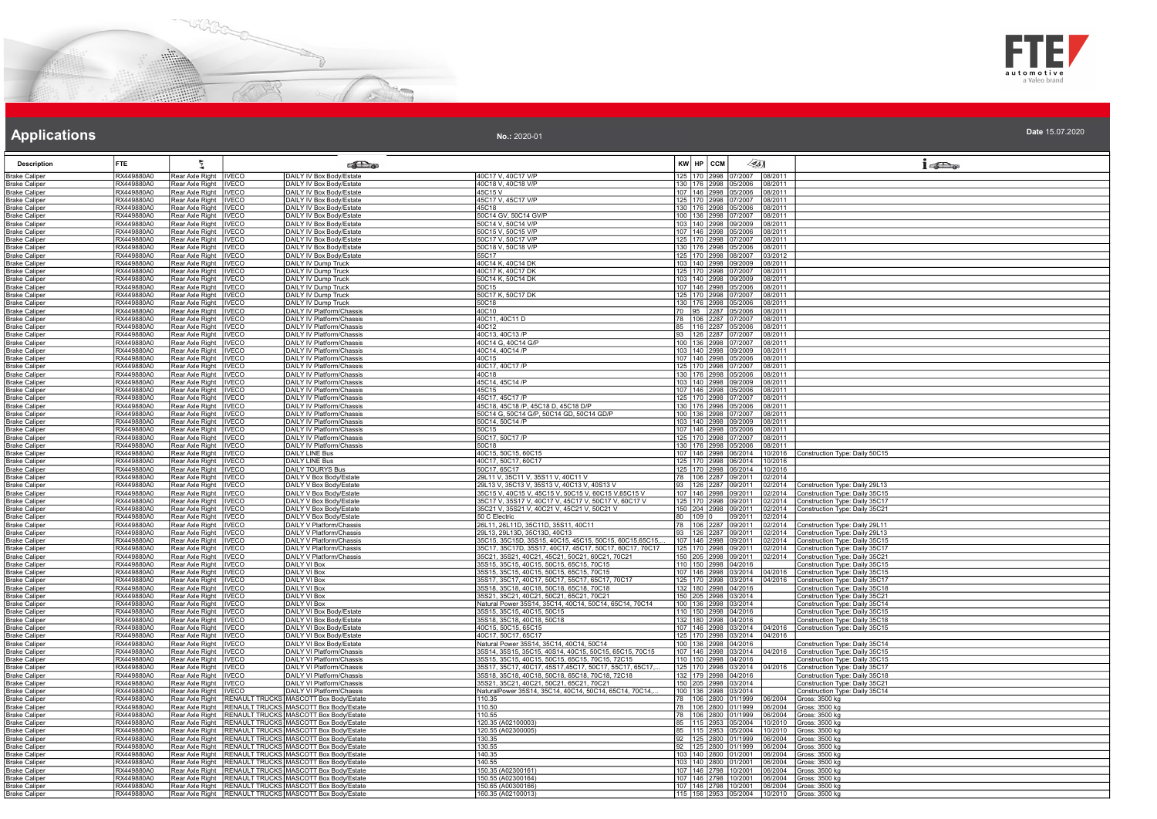



| No.: 2020-01 | Date 15.07.2020 |
|--------------|-----------------|
|--------------|-----------------|

| <b>Description</b>                            | FTE                      | 芝                                          |                              | <b>RE</b>                                                                                        |                                                                                                    | KW HP CCM                | $\leq 51$                                             |                    | $1 - 20$                                                         |
|-----------------------------------------------|--------------------------|--------------------------------------------|------------------------------|--------------------------------------------------------------------------------------------------|----------------------------------------------------------------------------------------------------|--------------------------|-------------------------------------------------------|--------------------|------------------------------------------------------------------|
| <b>Brake Caliper</b>                          | RX449880A0               | Rear Axle Right                            | <b>IVECO</b>                 | DAILY IV Box Body/Estate                                                                         | 40C17 V, 40C17 V/P                                                                                 |                          | 125 170 2998 07/2007 08/2011                          |                    |                                                                  |
| <u> Brake Caliper</u>                         | RX449880A0               | Rear Axle Right                            | <b>IVECO</b>                 | DAILY IV Box Body/Estate                                                                         | 40C18 V, 40C18 V/P                                                                                 |                          | 130 176 2998 05/2006 08/2011                          |                    |                                                                  |
| <b>Brake Caliper</b>                          | RX449880A0               | Rear Axle Right   IVECO                    |                              | DAILY IV Box Body/Estate                                                                         | 45C15V                                                                                             |                          | 107   146   2998   05/2006   08/2011                  |                    |                                                                  |
| <b>Brake Caliper</b>                          | RX449880A0               | Rear Axle Right                            | <b>IVECO</b>                 | DAILY IV Box Body/Estate                                                                         | 45C17 V, 45C17 V/P                                                                                 |                          | 125 170 2998 07/2007                                  | 08/2011            |                                                                  |
| Brake Caliper                                 | RX449880A0               | Rear Axle Right                            | <b>IVECO</b>                 | DAILY IV Box Body/Estate                                                                         | 45C18                                                                                              |                          | 130 176 2998 05/2006                                  | 08/2011            |                                                                  |
| <b>Brake Caliper</b>                          | RX449880A0               | Rear Axle Right                            | <b>IVECO</b>                 | DAILY IV Box Body/Estate                                                                         | 50C14 GV, 50C14 GV/P                                                                               |                          | 100 136 2998 07/2007                                  | 08/2011            |                                                                  |
| <b>Brake Caliper</b>                          | RX449880A0               | Rear Axle Right                            | <b>IVECO</b>                 | DAILY IV Box Body/Estate                                                                         | 50C14 V, 50C14 V/P                                                                                 |                          | 103 140 2998 09/2009                                  | 08/2011            |                                                                  |
| <b>Brake Caliper</b>                          | RX449880A0               | Rear Axle Right                            | <b>IVECO</b>                 | DAILY IV Box Body/Estate                                                                         | 50C15 V, 50C15 V/P                                                                                 |                          | 107 146 2998 05/2006                                  | 08/2011            |                                                                  |
| Brake Caliper                                 | RX449880A0<br>RX449880A0 | Rear Axle Right<br>Rear Axle Right         | <b>IVECO</b><br>IIVECO       | DAILY IV Box Body/Estate                                                                         | 50C17 V, 50C17 V/P<br>50C18 V, 50C18 V/P                                                           |                          | 125 170 2998 07/2007<br>130   176   2998   05/2006    | 08/2011<br>08/2011 |                                                                  |
| <u> Brake Caliper</u><br><b>Brake Caliper</b> | RX449880A0               | Rear Axle Right                            | <b>IVECO</b>                 | DAILY IV Box Body/Estate<br>DAILY IV Box Body/Estate                                             | 55C17                                                                                              |                          | 125 170 2998 08/2007                                  | 03/2012            |                                                                  |
| <b>Brake Caliper</b>                          | RX449880A0               | Rear Axle Right                            | <b>IVECO</b>                 | DAILY IV Dump Truck                                                                              | 40C14 K, 40C14 DK                                                                                  |                          | 103 140 2998 09/2009                                  | 08/2011            |                                                                  |
| <b>Brake Caliper</b>                          | RX449880A0               | Rear Axle Right                            | <b>IVECO</b>                 | DAILY IV Dump Truck                                                                              | 40C17 K. 40C17 DK                                                                                  |                          | 125 170 2998 07/2007                                  | 08/2011            |                                                                  |
| <b>Brake Caliper</b>                          | RX449880A0               | Rear Axle Right                            | <b>IVECO</b>                 | DAILY IV Dump Truck                                                                              | 50C14 K, 50C14 DK                                                                                  |                          | 103   140   2998   09/2009                            | 08/2011            |                                                                  |
| <b>Brake Caliper</b>                          | RX449880A0               | Rear Axle Right   IVECO                    |                              | DAILY IV Dump Truck                                                                              | 50C15                                                                                              |                          | 107   146   2998   05/2006                            | 08/2011            |                                                                  |
| <b>Brake Caliper</b>                          | RX449880A0               | Rear Axle Right                            | <b>IVECO</b>                 | DAILY IV Dump Truck                                                                              | 50C17 K, 50C17 DK                                                                                  |                          | 125 170 2998 07/2007                                  | 08/2011            |                                                                  |
| <b>Brake Caliper</b>                          | RX449880A0               | Rear Axle Right   IVECO                    |                              | DAILY IV Dump Truck                                                                              | 50C18                                                                                              |                          | 130 176 2998 05/2006                                  | 08/2011            |                                                                  |
| <b>Brake Caliper</b>                          | RX449880A0               | Rear Axle Right   IVECO                    |                              | DAILY IV Platform/Chassis                                                                        | 40C10                                                                                              |                          | 70 95 2287 05/2006                                    | 08/2011            |                                                                  |
| <b>Brake Caliper</b>                          | RX449880A0               | Rear Axle Right   IVECO                    |                              | DAILY IV Platform/Chassis                                                                        | 40C11, 40C11 D                                                                                     |                          | 78 106 2287 07/2007                                   | 08/2011            |                                                                  |
| <b>Brake Caliper</b>                          | RX449880A0<br>RX449880A0 | Rear Axle Right<br>Rear Axle Right         | <b>IVECO</b><br><b>IVECO</b> | DAILY IV Platform/Chassis<br>DAILY IV Platform/Chassis                                           | 40C12<br>40C13, 40C13 /P                                                                           |                          | 85 116 2287 05/2006                                   | 08/2011<br>08/2011 |                                                                  |
| <b>Brake Caliper</b><br><b>Brake Caliper</b>  | RX449880A0               | Rear Axle Right                            | <b>IVECO</b>                 | DAILY IV Platform/Chassis                                                                        | 40C14 G, 40C14 G/P                                                                                 |                          | 93 126 2287 07/2007<br>100 136 2998 07/2007           | 08/2011            |                                                                  |
| <b>Brake Caliper</b>                          | RX449880A0               | Rear Axle Right                            | <b>IVECO</b>                 | DAILY IV Platform/Chassis                                                                        | 40C14, 40C14 /P                                                                                    |                          | 103 140 2998 09/2009                                  | 08/2011            |                                                                  |
| <b>Brake Caliper</b>                          | RX449880A0               | Rear Axle Right                            | <b>IVECO</b>                 | DAILY IV Platform/Chassis                                                                        | 40C15                                                                                              |                          | 107 146 2998 05/2006                                  | 08/2011            |                                                                  |
| <b>Brake Caliper</b>                          | RX449880A0               | Rear Axle Right   IVECO                    |                              | DAILY IV Platform/Chassis                                                                        | 40C17, 40C17 /P                                                                                    |                          | 125 170 2998 07/2007 08/2011                          |                    |                                                                  |
| <b>Brake Caliper</b>                          | RX449880A0               | Rear Axle Right                            | <b>IVECO</b>                 | DAILY IV Platform/Chassis                                                                        | 40C18                                                                                              |                          | 130   176   2998   05/2006                            | 08/2011            |                                                                  |
| <b>Brake Caliper</b>                          | RX449880A0               | Rear Axle Right                            | <b>INECO</b>                 | DAILY IV Platform/Chassis                                                                        | 45C14, 45C14 /P                                                                                    |                          | 103 140 2998 09/2009                                  | 08/2011            |                                                                  |
| <b>Brake Caliper</b>                          | RX449880A0               | Rear Axle Right                            | <b>IVECO</b>                 | DAILY IV Platform/Chassis                                                                        | 45C15                                                                                              |                          | 107 146 2998 05/2006                                  | 08/2011            |                                                                  |
| <b>Brake Caliper</b>                          | RX449880A0               | Rear Axle Right   IVECO                    |                              | DAILY IV Platform/Chassis                                                                        | 45C17, 45C17 /P                                                                                    |                          | 125 170 2998 07/2007 08/2011                          |                    |                                                                  |
| <b>Brake Caliper</b>                          | RX449880A0               | Rear Axle Right                            | <b>INECO</b>                 | DAILY IV Platform/Chassis                                                                        | 45C18, 45C18 /P, 45C18 D, 45C18 D/P                                                                |                          | 130 176 2998 05/2006                                  | 08/2011            |                                                                  |
| <b>Brake Caliper</b>                          | RX449880A0               | Rear Axle Right                            | <b>IVECO</b>                 | DAILY IV Platform/Chassis                                                                        | 50C14 G, 50C14 G/P, 50C14 GD, 50C14 GD/P                                                           |                          | 100 136 2998 07/2007                                  | 08/2011            |                                                                  |
| Brake Caliper                                 | RX449880A0<br>RX449880A0 | Rear Axle Right                            | <b>IVECO</b><br><b>INECO</b> | DAILY IV Platform/Chassis<br>DAILY IV Platform/Chassis                                           | 50C14, 50C14 /P<br>50C15                                                                           |                          | 103  140  2998  09/2009<br>107   146   2998   05/2006 | 08/2011<br>08/2011 |                                                                  |
| Brake Caliper<br><b>Brake Caliper</b>         | RX449880A0               | Rear Axle Right<br>Rear Axle Right   IVECO |                              | DAILY IV Platform/Chassis                                                                        | 50C17, 50C17 /P                                                                                    |                          | 125 170 2998 07/2007 08/2011                          |                    |                                                                  |
| <b>Brake Caliper</b>                          | RX449880A0               | Rear Axle Right                            | <b>IVECO</b>                 | DAILY IV Platform/Chassis                                                                        | 50C18                                                                                              |                          | 130 176 2998 05/2006                                  | 08/2011            |                                                                  |
| <b>Brake Caliper</b>                          | RX449880A0               | Rear Axle Right   IVECO                    |                              | DAILY LINE Bus                                                                                   | 40C15, 50C15, 60C15                                                                                |                          | 107   146   2998   06/2014   10/2016                  |                    | Construction Type: Daily 50C15                                   |
| <b>Brake Caliper</b>                          | RX449880A0               | Rear Axle Right   IVECO                    |                              | <b>DAILY LINE Bus</b>                                                                            | 40C17, 50C17, 60C17                                                                                |                          | 125 170 2998 06/2014 10/2016                          |                    |                                                                  |
| Brake Caliper                                 | RX449880A0               | Rear Axle Right                            | <b>IVECO</b>                 | DAILY TOURYS Bus                                                                                 | 50C17, 65C17                                                                                       |                          | 125 170 2998 06/2014 10/2016                          |                    |                                                                  |
| <b>Brake Caliper</b>                          | RX449880A0               | Rear Axle Right                            | <b>IVECO</b>                 | DAILY V Box Body/Estate                                                                          | 29L11 V, 35C11 V, 35S11 V, 40C11 V                                                                 |                          | 78 106 2287 09/2011                                   | 02/2014            |                                                                  |
| <b>Brake Caliper</b>                          | RX449880A0               | Rear Axle Right                            | <b>IVECO</b>                 | DAILY V Box Body/Estate                                                                          | 29L13 V, 35C13 V, 35S13 V, 40C13 V, 40S13 V                                                        |                          | 93 126 2287 09/2011                                   | 02/2014            | Construction Type: Daily 29L13                                   |
| <b>Brake Caliper</b>                          | RX449880A0               | Rear Axle Right   IVECO                    |                              | DAILY V Box Body/Estate                                                                          | 35C15 V, 40C15 V, 45C15 V, 50C15 V, 60C15 V, 65C15 V                                               |                          | 107 146 2998 09/2011                                  | 02/2014            | Construction Type: Daily 35C15                                   |
| <b>Brake Caliper</b>                          | RX449880A0               | Rear Axle Right                            | <b>IVECO</b>                 | DAILY V Box Body/Estate                                                                          | 35C17 V, 35S17 V, 40C17 V, 45C17 V, 50C17 V, 60C17 V                                               |                          | 125 170 2998 09/2011                                  | 2/2014             | Construction Type: Daily 35C17                                   |
| Brake Caliper                                 | RX449880A0<br>RX449880A0 | Rear Axle Right<br>Rear Axle Right         | <b>IVECO</b><br><b>IVECO</b> | DAILY V Box Body/Estate<br>DAILY V Box Body/Estate                                               | 5C21 V, 35S21 V, 40C21 V, 45C21 V, 50C21 V<br>50 C Electric                                        | 150 204 2998<br>80 109 0 | 09/2011<br>09/2011                                    | 2/2014<br>02/2014  | onstruction Type: Daily 35C21                                    |
| Brake Caliper<br><b>Brake Caliper</b>         | RX449880A0               | Rear Axle Right                            | <b>IVECO</b>                 | DAILY V Platform/Chassis                                                                         | 26L11, 26L11D, 35C11D, 35S11, 40C11                                                                |                          | 78 106 2287 09/2011                                   | 2/2014             | Construction Type: Daily 29L11                                   |
| <b>Brake Caliper</b>                          | RX449880A0               | Rear Axle Right                            | <b>IVECO</b>                 | DAILY V Platform/Chassis                                                                         | 29L13, 29L13D, 35C13D, 40C13                                                                       |                          | 93 126 2287 09/2011                                   | 02/2014            | Construction Type: Daily 29L13                                   |
| <b>Brake Caliper</b>                          | RX449880A0               | Rear Axle Right   IVECO                    |                              | DAILY V Platform/Chassis                                                                         | 35C15, 35C15D, 35S15, 40C15, 45C15, 50C15, 60C15, 65C15                                            |                          | 107 146 2998 09/2011                                  | 2/2014             | Construction Type: Daily 35C15                                   |
| Brake Caliper                                 | RX449880A0               | Rear Axle Right                            | <b>IVECO</b>                 | DAILY V Platform/Chassis                                                                         | 35C17, 35C17D, 35S17, 40C17, 45C17, 50C17, 60C17, 70C17                                            |                          | 125 170 2998 09/2011                                  | 2/2014             | Construction Type: Daily 35C17                                   |
| <b>Brake Caliper</b>                          | RX449880A0               | Rear Axle Right                            | <b>IVECO</b>                 | DAILY V Platform/Chassis                                                                         | 35C21, 35S21, 40C21, 45C21, 50C21, 60C21, 70C21                                                    |                          | 150 205 2998 09/2011                                  | 02/2014            | Construction Type: Daily 35C21                                   |
| <b>Brake Caliper</b>                          | RX449880A0               | Rear Axle Right                            | <b>IVECO</b>                 | <b>DAILY VI Box</b>                                                                              | 35S15, 35C15, 40C15, 50C15, 65C15, 70C15                                                           |                          | 110 150 2998 04/2016                                  |                    | Construction Type: Daily 35C15                                   |
| <b>Brake Caliper</b>                          | RX449880A0               | Rear Axle Right                            | <b>IVECO</b>                 | <b>DAILY VI Box</b>                                                                              | 35S15, 35C15, 40C15, 50C15, 65C15, 70C15                                                           |                          | 107 146 2998 03/2014                                  | 04/2016            | Construction Type: Daily 35C15                                   |
| <b>Brake Caliper</b>                          | RX449880A0               | Rear Axle Right                            | <b>INECO</b>                 | <b>DAILY VI Box</b>                                                                              | 35S17, 35C17, 40C17, 50C17, 55C17, 65C17, 70C17                                                    |                          | 125 170 2998 03/2014                                  | 04/2016            | Construction Type: Daily 35C17                                   |
| <b>Brake Caliper</b>                          | RX449880A0               | Rear Axle Right                            | <b>IVECO</b>                 | <b>DAILY VI Box</b>                                                                              | 35S18, 35C18, 40C18, 50C18, 65C18, 70C18                                                           |                          | 132 180 2998 04/2016                                  |                    | Construction Type: Daily 35C18                                   |
| Brake Caliper                                 | RX449880A0               | Rear Axle Right                            | <b>IVECO</b>                 | DAILY VI Box                                                                                     | 5S21, 35C21, 40C21, 50C21, 65C21, 70C21                                                            |                          | 150 205 2998 03/2014                                  |                    | Construction Type: Daily 35C21                                   |
| <b>Brake Caliper</b><br><b>Brake Caliper</b>  | RX449880A0<br>RX449880A0 | Rear Axle Right<br>Rear Axle Right   IVECO | <b>IVECO</b>                 | DAILY VI Box<br>DAILY VI Box Body/Estate                                                         | Natural Power 35S14, 35C14, 40C14, 50C14, 65C14, 70C14<br>35S15, 35C15, 40C15, 50C15               |                          | 100 136 2998 03/2014<br>110 150 2998 04/2016          |                    | Construction Type: Daily 35C14<br>Construction Type: Daily 35C15 |
| <b>Brake Caliper</b>                          | RX449880A0               | Rear Axle Right                            | <b>IVECO</b>                 | DAILY VI Box Body/Estate                                                                         | 35S18, 35C18, 40C18, 50C18                                                                         |                          | 132 180 2998 04/2016                                  |                    | Construction Type: Daily 35C18                                   |
| <b>Brake Caliper</b>                          | RX449880A0               | Rear Axle Right   IVECO                    |                              | DAILY VI Box Body/Estate                                                                         | 40C15, 50C15, 65C15                                                                                |                          | 107   146   2998   03/2014   04/2016                  |                    | Construction Type: Daily 35C15                                   |
| <b>Brake Caliper</b>                          | RX449880A0               | Rear Axle Right                            | <b>IVECO</b>                 | DAILY VI Box Body/Estate                                                                         | 40C17, 50C17, 65C17                                                                                |                          | 125 170 2998 03/2014 04/2016                          |                    |                                                                  |
| <b>Brake Caliper</b>                          | RX449880A0               | Rear Axle Right                            | <b>IVECO</b>                 | DAILY VI Box Body/Estate                                                                         | Natural Power 35S14, 35C14, 40C14, 50C14                                                           |                          | 100 136 2998 04/2016                                  |                    | onstruction Type: Daily 35C14                                    |
| <b>Brake Caliper</b>                          | RX449880A0               | Rear Axle Right                            | <b>IVECO</b>                 | DAILY VI Platform/Chassis                                                                        | 35S14, 35S15, 35C15, 40S14, 40C15, 50C15, 65C15, 70C15                                             |                          | 107 146 2998 03/2014                                  | 04/2016            | Construction Type: Daily 35C15                                   |
| <b>Brake Caliper</b>                          | RX449880A0               | Rear Axle Right                            | <b>IVECO</b>                 | DAILY VI Platform/Chassis                                                                        | 35S15, 35C15, 40C15, 50C15, 65C15, 70C15, 72C15                                                    |                          | 110 150 2998 04/2016                                  |                    | Construction Type: Daily 35C15                                   |
| <b>Brake Caliper</b>                          | RX449880A0               | Rear Axle Right                            | <b>INECO</b>                 | DAILY VI Platform/Chassis                                                                        | 35S17, 35C17, 40C17, 45S17,45C17, 50C17, 55C17, 65C17,                                             |                          | 125 170 2998 03/2014                                  | 04/2016            | Construction Type: Daily 35C17                                   |
| <b>Brake Caliper</b>                          | RX449880A0<br>RX449880A0 | Rear Axle Right                            | <b>IVECO</b><br><b>IVECO</b> | DAILY VI Platform/Chassis<br>DAILY VI Platform/Chassis                                           | 35S18, 35C18, 40C18, 50C18, 65C18, 70C18, 72C18                                                    |                          | 132 179 2998 04/2016                                  |                    | Construction Type: Daily 35C18                                   |
| Brake Caliper<br><b>Brake Caliper</b>         | RX449880A0               | Rear Axle Right<br>Rear Axle Right         | <b>IVECO</b>                 | DAILY VI Platform/Chassis                                                                        | 5S21, 35C21, 40C21, 50C21, 65C21, 70C21<br>NaturalPower 35S14, 35C14, 40C14, 50C14, 65C14, 70C14,. |                          | 150 205 2998 03/2014<br>100 136 2998 03/2014          |                    | Construction Type: Daily 35C21<br>onstruction Type: Daily 35C14  |
| <b>Brake Caliper</b>                          | RX449880A0               | Rear Axle Right                            |                              | RENAULT TRUCKS MASCOTT Box Body/Estate                                                           | 110.35                                                                                             |                          | 78 106 2800 01/1999                                   | 06/2004            | Gross: 3500 kg                                                   |
| <b>Brake Caliper</b>                          | RX449880A0               | Rear Axle Right                            |                              | RENAULT TRUCKS MASCOTT Box Body/Estate                                                           | 110.50                                                                                             |                          | 78   106   2800   01/1999                             | 06/2004            | Gross: 3500 kg                                                   |
| <b>Brake Caliper</b>                          | RX449880A0               | Rear Axle Right                            |                              | RENAULT TRUCKS MASCOTT Box Body/Estate                                                           | 110.55                                                                                             |                          | 78 106 2800 01/1999                                   | 06/2004            | Gross: 3500 kg                                                   |
| <b>Brake Caliper</b>                          | RX449880A0               | Rear Axle Right                            |                              | RENAULT TRUCKS MASCOTT Box Body/Estate                                                           | 120.35 (A02100003)                                                                                 |                          | 85   115   2953   05/2004                             | 10/2010            | Gross: 3500 kg                                                   |
| <b>Brake Caliper</b>                          | RX449880A0               | Rear Axle Right                            |                              | RENAULT TRUCKS MASCOTT Box Body/Estate                                                           | 120.55 (A02300005)                                                                                 |                          | 85 115 2953 05/2004                                   | 10/2010            | Gross: 3500 kg                                                   |
| <b>Brake Caliper</b>                          | RX449880A0               | Rear Axle Right                            |                              | RENAULT TRUCKS MASCOTT Box Body/Estate                                                           | 130.35                                                                                             |                          | 92 125 2800 01/1999                                   | 06/2004            | Gross: 3500 kg                                                   |
| <b>Brake Caliper</b>                          | RX449880A0               | Rear Axle Right                            |                              | RENAULT TRUCKS MASCOTT Box Body/Estate                                                           | 130.55                                                                                             |                          | 92 125 2800 01/1999                                   | 06/2004            | Gross: 3500 kg                                                   |
| Brake Caliper                                 | RX449880A0               | Rear Axle Right                            |                              | RENAULT TRUCKS MASCOTT Box Body/Estate                                                           | 140.35                                                                                             |                          | 103 140 2800 01/2001                                  | 06/2004            | Gross: 3500 kg                                                   |
| Brake Caliper                                 | RX449880A0<br>RX449880A0 | Rear Axle Right                            |                              | RENAULT TRUCKS MASCOTT Box Body/Estate                                                           | 140.55                                                                                             |                          | 103 140 2800 01/2001                                  | 06/2004            | Gross: 3500 kg                                                   |
| Brake Caliper<br><b>Brake Caliper</b>         | RX449880A0               | Rear Axle Right                            |                              | RENAULT TRUCKS MASCOTT Box Body/Estate<br>Rear Axle Right RENAULT TRUCKS MASCOTT Box Body/Estate | 150.35 (A02300161)<br>150.55 (A02300164)                                                           |                          | 107   146   2798   10/2001<br>107 146 2798 10/2001    | 06/2004<br>06/2004 | Gross: 3500 kg<br>Gross: 3500 kg                                 |
| <b>Brake Caliper</b>                          | RX449880A0               |                                            |                              | Rear Axle Right   RENAULT TRUCKS   MASCOTT Box Body/Estate                                       | 150.65 (A00300166)                                                                                 |                          | 107 146 2798 10/2001                                  | 06/2004            | Gross: 3500 kg                                                   |
| <b>Brake Caliper</b>                          | RX449880A0               |                                            |                              | Rear Axle Right   RENAULT TRUCKS   MASCOTT Box Body/Estate                                       | 160.35 (A02100013)                                                                                 |                          | 115 156 2953 05/2004 10/2010                          |                    | Gross: 3500 kg                                                   |
|                                               |                          |                                            |                              |                                                                                                  |                                                                                                    |                          |                                                       |                    |                                                                  |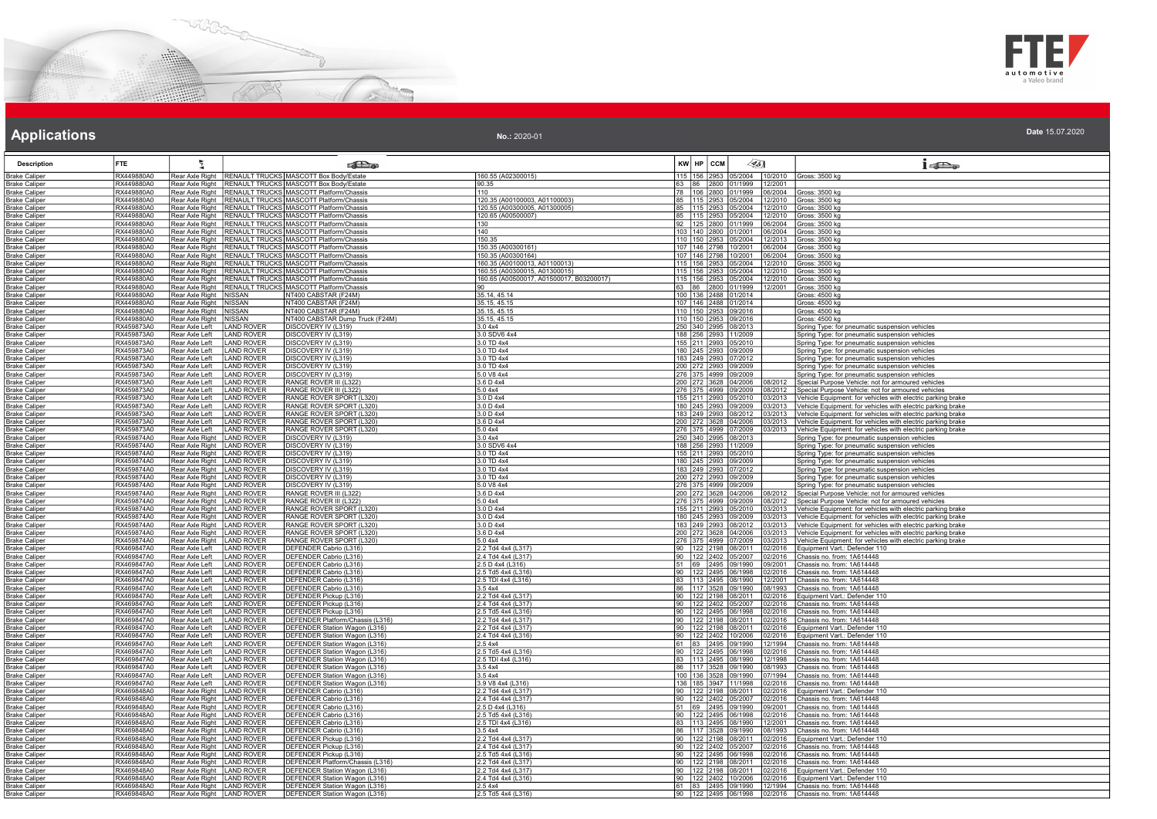



### **Applications Applications Applications**

| <b>Description</b>                           | FTE.                     | 튓                                                            |                                        | <b>SER</b>                                                                                                                 |                                          | $KW$ $HP$ $CCM$                                 | $\llbracket \mathcal{L} \rbrack$                       | $1 - 20$                                                                                                                   |
|----------------------------------------------|--------------------------|--------------------------------------------------------------|----------------------------------------|----------------------------------------------------------------------------------------------------------------------------|------------------------------------------|-------------------------------------------------|--------------------------------------------------------|----------------------------------------------------------------------------------------------------------------------------|
| <b>Brake Caliper</b>                         | RX449880A0               |                                                              |                                        | Rear Axle Right   RENAULT TRUCKS MASCOTT Box Body/Estate                                                                   | 160.55 (A02300015)                       |                                                 | 115 156 2953 05/2004 10/2010                           | Gross: 3500 kg                                                                                                             |
| <b>Brake Caliper</b>                         | RX449880A0<br>RX449880A0 |                                                              |                                        | Rear Axle Right   RENAULT TRUCKS   MASCOTT Box Body/Estate<br>Rear Axle Right   RENAULT TRUCKS   MASCOTT Platform/Chassis  | 90.35<br>110                             | 63                                              | 86 2800 01/1999 12/2001<br>78 106 2800 01/1999 06/2004 |                                                                                                                            |
| <b>Brake Caliper</b><br><b>Brake Caliper</b> | RX449880A0               |                                                              |                                        | Rear Axle Right RENAULT TRUCKS MASCOTT Platform/Chassis                                                                    | 120.35 (A00100003, A01100003             |                                                 | 85   115   2953   05/2004   12/2010                    | Gross: 3500 kg<br>Gross: 3500 kg                                                                                           |
| <b>Brake Caliper</b>                         | RX449880A0               |                                                              |                                        | Rear Axle Right   RENAULT TRUCKS   MASCOTT Platform/Chassis                                                                | 120.55 (A00300005, A01300005)            |                                                 | 85 115 2953 05/2004 12/2010                            | Gross: 3500 kg                                                                                                             |
| <b>Brake Caliper</b>                         | RX449880A0               |                                                              |                                        | Rear Axle Right RENAULT TRUCKS MASCOTT Platform/Chassis                                                                    | 120.65 (A00500007)                       |                                                 | 12/2010<br>85   115   2953   05/2004                   | Gross: 3500 kg                                                                                                             |
| <b>Brake Caliper</b>                         | RX449880A0               |                                                              |                                        | Rear Axle Right   RENAULT TRUCKS   MASCOTT Platform/Chassis                                                                | 130                                      | 92 125 2800 01/1999                             | 06/2004                                                | Gross: 3500 kg                                                                                                             |
| <b>Brake Caliper</b>                         | RX449880A0               |                                                              |                                        | Rear Axle Right   RENAULT TRUCKS MASCOTT Platform/Chassis                                                                  | 140                                      | 103 140 2800 01/2001                            | 06/2004                                                | Gross: 3500 kg                                                                                                             |
| <b>Brake Caliper</b>                         | RX449880A0               |                                                              |                                        | Rear Axle Right   RENAULT TRUCKS   MASCOTT Platform/Chassis                                                                | 150.35                                   |                                                 | 110 150 2953 05/2004<br>12/2013                        | Gross: 3500 kg                                                                                                             |
| <b>Brake Caliper</b><br><b>Brake Caliper</b> | RX449880A0<br>RX449880A0 |                                                              |                                        | Rear Axle Right   RENAULT TRUCKS   MASCOTT Platform/Chassis<br>Rear Axle Right   RENAULT TRUCKS   MASCOTT Platform/Chassis | 150.35 (A00300161)<br>150.35 (A00300164) | 107 146 2798 10/2001<br>107 146 2798 10/2001    | 06/2004<br>06/2004                                     | Gross: 3500 kg<br>Gross: 3500 kg                                                                                           |
| <b>Brake Caliper</b>                         | RX449880A0               |                                                              |                                        | Rear Axle Right   RENAULT TRUCKS   MASCOTT Platform/Chassis                                                                | 160.35 (A00100013, A01100013)            |                                                 | 115 156 2953 05/2004<br>12/2010                        | Gross: 3500 kg                                                                                                             |
| <b>Brake Caliper</b>                         | RX449880A0               |                                                              |                                        | Rear Axle Right   RENAULT TRUCKS   MASCOTT Platform/Chassis                                                                | 160.55 (A00300015, A01300015)            |                                                 | 115 156 2953 05/2004<br>12/2010                        | Gross: 3500 kg                                                                                                             |
| <b>Brake Caliper</b>                         | RX449880A0               |                                                              |                                        | Rear Axle Right   RENAULT TRUCKS   MASCOTT Platform/Chassis                                                                | 160.65 (A00500017, A01500017, B03200017) |                                                 | 115  156  2953  05/2004  12/2010                       | Gross: 3500 kg                                                                                                             |
| <b>Brake Caliper</b>                         | RX449880A0               |                                                              |                                        | Rear Axle Right   RENAULT TRUCKS   MASCOTT Platform/Chassis                                                                |                                          |                                                 | 63 86 2800 01/1999<br>12/2001                          | Gross: 3500 kg                                                                                                             |
| <b>Brake Caliper</b>                         | RX449880A0<br>RX449880A0 | Rear Axle Right NISSAN                                       |                                        | NT400 CABSTAR (F24M)<br>NT400 CABSTAR (F24M)                                                                               | 35.14, 45.14<br>35.15, 45.15             | 100 136 2488 01/2014<br>107 146 2488 01/2014    |                                                        | Gross: 4500 kg<br>Gross: 4500 kg                                                                                           |
| <b>Brake Caliper</b><br><b>Brake Caliper</b> | RX449880A0               | Rear Axle Right   NISSAN<br>Rear Axle Right   NISSAN         |                                        | NT400 CABSTAR (F24M)                                                                                                       | 35.15, 45.15                             | 110 150 2953 09/2016                            |                                                        | Gross: 4500 kg                                                                                                             |
| <b>Brake Caliper</b>                         | RX449880A0               | Rear Axle Right                                              | NISSAN                                 | NT400 CABSTAR Dump Truck (F24M)                                                                                            | 35.15, 45.15                             | 110 150 2953 09/2016                            |                                                        | Gross: 4500 kg                                                                                                             |
| <b>Brake Caliper</b>                         | RX459873A0               | Rear Axle Left                                               | <b>LAND ROVER</b>                      | DISCOVERY IV (L319)                                                                                                        | 3.04x4                                   | 250 340 2995 08/2013                            |                                                        | Spring Type: for pneumatic suspension vehicles                                                                             |
| <b>Brake Caliper</b>                         | RX459873A0               | Rear Axle Left                                               | <b>LAND ROVER</b>                      | DISCOVERY IV (L319)                                                                                                        | 3.0 SDV6 4x4                             | 188 256 2993 11/2009                            |                                                        | Spring Type: for pneumatic suspension vehicles                                                                             |
| <b>Brake Caliper</b>                         | RX459873A0               | Rear Axle Left                                               | <b>LAND ROVER</b>                      | DISCOVERY IV (L319)                                                                                                        | 3.0 TD 4x4                               | 155 211 2993 05/2010                            |                                                        | Spring Type: for pneumatic suspension vehicles                                                                             |
| <b>Brake Caliper</b>                         | RX459873A0<br>RX459873A0 | Rear Axle Left<br>Rear Axle Left                             | <b>LAND ROVER</b><br><b>LAND ROVER</b> | DISCOVERY IV (L319)                                                                                                        | 3.0 TD 4x4<br>3.0 TD 4x4                 | 180 245 2993 09/2009                            |                                                        | Spring Type: for pneumatic suspension vehicles                                                                             |
| <b>Brake Caliper</b><br><b>Brake Caliper</b> | RX459873A0               | Rear Axle Left                                               | LAND ROVER                             | DISCOVERY IV (L319)<br>DISCOVERY IV (L319)                                                                                 | 3.0 TD 4x4                               | 183  249  2993  07/2012<br>200 272 2993 09/2009 |                                                        | Spring Type: for pneumatic suspension vehicles<br>Spring Type: for pneumatic suspension vehicles                           |
| <b>Brake Caliper</b>                         | RX459873A0               | Rear Axle Left                                               | <b>LAND ROVER</b>                      | DISCOVERY IV (L319)                                                                                                        | 5.0 V8 4x4                               | 276 375 4999 09/2009                            |                                                        | Spring Type: for pneumatic suspension vehicles                                                                             |
| <b>Brake Caliper</b>                         | RX459873A0               | Rear Axle Left                                               | <b>LAND ROVER</b>                      | RANGE ROVER III (L322)                                                                                                     | 3.6 D 4x4                                |                                                 | 200 272 3628 04/2006<br>08/2012                        | Special Purpose Vehicle: not for armoured vehicles                                                                         |
| <b>Brake Caliper</b>                         | RX459873A0               | Rear Axle Left                                               | <b>LAND ROVER</b>                      | RANGE ROVER III (L322)                                                                                                     | 5.0 4x4                                  | 276 375 4999 09/2009                            | 08/2012                                                | Special Purpose Vehicle: not for armoured vehicles                                                                         |
| <b>Brake Caliper</b>                         | RX459873A0               | Rear Axle Left                                               | <b>LAND ROVER</b>                      | RANGE ROVER SPORT (L320)                                                                                                   | 3.0 D 4x4                                | 155 211 2993 05/2010                            | 03/2013                                                | Vehicle Equipment: for vehicles with electric parking brake                                                                |
| Brake Caliper                                | RX459873A0               | Rear Axle Left                                               | LAND ROVER                             | RANGE ROVER SPORT (L320)                                                                                                   | 3.0 D 4x4                                | 180 245 2993 09/2009                            | 03/2013                                                | Vehicle Equipment: for vehicles with electric parking brake                                                                |
| <b>Brake Caliper</b><br><b>Brake Caliper</b> | RX459873A0<br>RX459873A0 | Rear Axle Left<br>Rear Axle Left                             | <b>LAND ROVER</b><br><b>LAND ROVER</b> | RANGE ROVER SPORT (L320)<br>RANGE ROVER SPORT (L320)                                                                       | 3.0 D 4x4<br>3.6 D 4x4                   | 183 249 2993 08/2012<br>200 272 3628 04/2006    | 3/2013<br>03/2013                                      | /ehicle Equipment: for vehicles with electric parking brake<br>Vehicle Equipment: for vehicles with electric parking brake |
| <b>Brake Caliper</b>                         | RX459873A0               | Rear Axle Left                                               | <b>LAND ROVER</b>                      | RANGE ROVER SPORT (L320)                                                                                                   | 5.04x4                                   | 276 375 4999 07/2009                            | 03/2013                                                | Vehicle Equipment: for vehicles with electric parking brake                                                                |
| <b>Brake Caliper</b>                         | RX459874A0               | Rear Axle Right   LAND ROVER                                 |                                        | DISCOVERY IV (L319)                                                                                                        | 3.04x4                                   | 250 340 2995 08/2013                            |                                                        | Spring Type: for pneumatic suspension vehicles                                                                             |
| <b>Brake Caliper</b>                         | RX459874A0               | Rear Axle Right   LAND ROVER                                 |                                        | DISCOVERY IV (L319)                                                                                                        | 3.0 SDV6 4x4                             | 188 256 2993 11/2009                            |                                                        | Spring Type: for pneumatic suspension vehicles                                                                             |
| <b>Brake Caliper</b>                         | RX459874A0               | Rear Axle Right LAND ROVER                                   |                                        | DISCOVERY IV (L319)                                                                                                        | 3.0 TD 4x4                               | 155 211 2993 05/2010                            |                                                        | Spring Type: for pneumatic suspension vehicles                                                                             |
| <b>Brake Caliper</b>                         | RX459874A0<br>RX459874A0 | Rear Axle Right   LAND ROVER                                 |                                        | DISCOVERY IV (L319)                                                                                                        | 3.0 TD 4x4                               | 180 245 2993 09/2009                            |                                                        | Spring Type: for pneumatic suspension vehicles                                                                             |
| <b>Brake Caliper</b><br><b>Brake Caliper</b> | RX459874A0               | Rear Axle Right   LAND ROVER<br>Rear Axle Right LAND ROVER   |                                        | DISCOVERY IV (L319)<br>DISCOVERY IV (L319)                                                                                 | 3.0 TD 4x4<br>3.0 TD 4x4                 | 183 249 2993 07/2012<br>200 272 2993 09/2009    |                                                        | Spring Type: for pneumatic suspension vehicles<br>Spring Type: for pneumatic suspension vehicles                           |
| <b>Brake Caliper</b>                         | RX459874A0               | Rear Axle Right   LAND ROVER                                 |                                        | DISCOVERY IV (L319)                                                                                                        | 5.0 V8 4x4                               | 276 375 4999 09/2009                            |                                                        | Spring Type: for pneumatic suspension vehicles                                                                             |
| <b>Brake Caliper</b>                         | RX459874A0               | Rear Axle Right   LAND ROVER                                 |                                        | RANGE ROVER III (L322)                                                                                                     | 3.6 D 4x4                                | 200 272 3628 04/2006                            | 08/2012                                                | Special Purpose Vehicle: not for armoured vehicles                                                                         |
| <b>Brake Caliper</b>                         | RX459874A0               | Rear Axle Right   LAND ROVER                                 |                                        | RANGE ROVER III (L322)                                                                                                     | 5.0 4x4                                  | 276 375 4999 09/2009                            | 08/2012                                                | Special Purpose Vehicle: not for armoured vehicles                                                                         |
| <b>Brake Caliper</b>                         | RX459874A0               | Rear Axle Right   LAND ROVER                                 |                                        | RANGE ROVER SPORT (L320)                                                                                                   | 3.0 D 4x4                                | 155 211 2993 05/2010                            | 3/2013                                                 | Vehicle Equipment: for vehicles with electric parking brake                                                                |
| <b>Brake Caliper</b>                         | RX459874A0<br>RX459874A0 | Rear Axle Right   LAND ROVER<br>Rear Axle Right   LAND ROVER |                                        | RANGE ROVER SPORT (L320)<br>RANGE ROVER SPORT (L320)                                                                       | 3.0 D 4x4<br>3.0 D 4x4                   | 180 245 2993 09/2009<br>183 249 2993 08/2012    | 03/2013<br>03/2013                                     | Vehicle Equipment: for vehicles with electric parking brake<br>Vehicle Equipment: for vehicles with electric parking brake |
| <b>Brake Caliper</b><br><b>Brake Caliper</b> | RX459874A0               | Rear Axle Right   LAND ROVER                                 |                                        | RANGE ROVER SPORT (L320)                                                                                                   | 3.6 D 4x4                                | 200 272 3628 04/2006                            | 03/2013                                                | Vehicle Equipment: for vehicles with electric parking brake                                                                |
| <b>Brake Caliper</b>                         | RX459874A0               | Rear Axle Right   LAND ROVER                                 |                                        | RANGE ROVER SPORT (L320)                                                                                                   | 5.0 4x4                                  | 276 375 4999 07/2009                            | 03/2013                                                | Vehicle Equipment: for vehicles with electric parking brake                                                                |
| <b>Brake Caliper</b>                         | RX469847A0               | Rear Axle Left                                               | <b>LAND ROVER</b>                      | DEFENDER Cabrio (L316)                                                                                                     | 2.2 Td4 4x4 (L317)                       | 90 122 2198 08/2011                             | 02/2016                                                | Equipment Vart.: Defender 110                                                                                              |
| <b>Brake Caliper</b>                         | RX469847A0               | Rear Axle Left                                               | LAND ROVER                             | DEFENDER Cabrio (L316)                                                                                                     | 2.4 Td4 4x4 (L317)                       | 90 122 2402 05/2007                             | 02/2016                                                | Chassis no. from: 1A614448                                                                                                 |
| <b>Brake Caliper</b><br><b>Brake Caliper</b> | RX469847A0<br>RX469847A0 | Rear Axle Left<br>Rear Axle Left                             | LAND ROVER<br><b>LAND ROVER</b>        | DEFENDER Cabrio (L316)<br>DEFENDER Cabrio (L316)                                                                           | 2.5 D 4x4 (L316)<br>2.5 Td5 4x4 (L316)   | 51 69 2495 09/1990<br>90 122 2495 06/1998       | 09/2001<br>02/2016                                     | Chassis no. from: 1A614448<br>Chassis no. from: 1A614448                                                                   |
| <b>Brake Caliper</b>                         | RX469847A0               | Rear Axle Left                                               | <b>LAND ROVER</b>                      | DEFENDER Cabrio (L316)                                                                                                     | 2.5 TDI 4x4 (L316)                       | 83 113 2495 08/1990                             | 12/2001                                                | Chassis no. from: 1A614448                                                                                                 |
| <b>Brake Caliper</b>                         | RX469847A0               | Rear Axle Left                                               | LAND ROVER                             | DEFENDER Cabrio (L316)                                                                                                     | 3.54x4                                   | 86   117   3528   09/1990                       | 08/1993                                                | Chassis no. from: 1A614448                                                                                                 |
| <b>Brake Caliper</b>                         | RX469847A0               | Rear Axle Left                                               | <b>LAND ROVER</b>                      | DEFENDER Pickup (L316)                                                                                                     | 2.2 Td4 4x4 (L317)                       | 90 122 2198 08/2011                             | 02/2016                                                | Equipment Vart.: Defender 110                                                                                              |
| <b>Brake Caliper</b>                         | RX469847A0               | Rear Axle Left                                               | <b>LAND ROVER</b>                      | DEFENDER Pickup (L316)                                                                                                     | 2.4 Td4 4x4 (L317)                       | 90 122 2402 05/2007                             | 02/2016                                                | Chassis no. from: 1A614448                                                                                                 |
| Brake Caliper<br><b>Brake Caliper</b>        | RX469847A0<br>RX469847A0 | Rear Axle Left<br>Rear Axle Left                             | <b>LAND ROVER</b><br><b>LAND ROVER</b> | DEFENDER Pickup (L316)<br>DEFENDER Platform/Chassis (L316)                                                                 | 2.5 Td5 4x4 (L316)<br>2.2 Td4 4x4 (L317) | 90 122 2495 06/1998<br>90 122 2198 08/2011      | 02/2016<br>02/2016                                     | Chassis no. from: 1A614448<br>Chassis no. from: 1A614448                                                                   |
| <b>Brake Caliper</b>                         | RX469847A0               | Rear Axle Left                                               | <b>LAND ROVER</b>                      | DEFENDER Station Wagon (L316)                                                                                              | 2.2 Td4 4x4 (L317)                       | 90 122 2198 08/2011                             | 02/2016                                                | Equipment Vart.: Defender 110                                                                                              |
| <b>Brake Caliper</b>                         | RX469847A0               | Rear Axle Left                                               | <b>LAND ROVER</b>                      | <b>DEFENDER Station Wagon (L316)</b>                                                                                       | 2.4 Td4 4x4 (L316)                       | 90 122 2402 10/2006                             | 02/2016                                                | Equipment Vart.: Defender 110                                                                                              |
| <b>Brake Caliper</b>                         | RX469847A0               | Rear Axle Left                                               | AND ROVER                              | DEFENDER Station Wagon (L316)                                                                                              | 2.54x4                                   | 61 83 2495 09/1990                              | 12/1994                                                | Chassis no. from: 1A614448                                                                                                 |
| <b>Brake Caliper</b>                         | RX469847A0               | Rear Axle Left                                               | <b>LAND ROVER</b>                      | DEFENDER Station Wagon (L316)                                                                                              | 2.5 Td5 4x4 (L316)                       | 90 122 2495 06/1998                             | 02/2016                                                | Chassis no. from: 1A614448                                                                                                 |
| <b>Brake Caliper</b>                         | RX469847A0<br>RX469847A0 | Rear Axle Left                                               | <b>LAND ROVER</b>                      | DEFENDER Station Wagon (L316)<br>DEFENDER Station Wagon (L316)                                                             | 2.5 TDI 4x4 (L316)<br>3.54x4             | 83 113 2495 08/1990                             | 12/1998<br>08/1993                                     | Chassis no. from: 1A614448<br>Chassis no. from: 1A614448                                                                   |
| <b>Brake Caliper</b><br><b>Brake Caliper</b> | RX469847A0               | Rear Axle Left<br>Rear Axle Left                             | <b>LAND ROVER</b><br><b>LAND ROVER</b> | DEFENDER Station Wagon (L316)                                                                                              | 3.54x4                                   | 86 117 3528 09/1990<br>100 136 3528 09/1990     | 07/1994                                                | Chassis no. from: 1A614448                                                                                                 |
| <b>Brake Caliper</b>                         | RX469847A0               | Rear Axle Left                                               | <b>LAND ROVER</b>                      | DEFENDER Station Wagon (L316)                                                                                              | 3.9 V8 4x4 (L316)                        | 136   185   3947   11/1998                      | 02/2016                                                | Chassis no. from: 1A614448                                                                                                 |
| <b>Brake Caliper</b>                         | RX469848A0               | Rear Axle Right                                              | <b>LAND ROVER</b>                      | DEFENDER Cabrio (L316)                                                                                                     | 2.2 Td4 4x4 (L317)                       | 90 122 2198 08/2011                             | )2/2016                                                | Equipment Vart.: Defender 110                                                                                              |
| <b>Brake Caliper</b>                         | RX469848A0               | Rear Axle Right   LAND ROVER                                 |                                        | DEFENDER Cabrio (L316)                                                                                                     | 2.4 Td4 4x4 (L317)                       | 90 122 2402 05/2007                             | 2/2016                                                 | Chassis no. from: 1A614448                                                                                                 |
| Brake Caliper                                | RX469848A0               | Rear Axle Right   LAND ROVER                                 |                                        | DEFENDER Cabrio (L316)                                                                                                     | 2.5 D 4x4 (L316)                         | 51 69 2495 09/1990                              | 09/2001                                                | Chassis no. from: 1A614448                                                                                                 |
| <b>Brake Caliper</b>                         | RX469848A0<br>RX469848A0 | Rear Axle Right   LAND ROVER                                 |                                        | DEFENDER Cabrio (L316)                                                                                                     | 2.5 Td5 4x4 (L316)                       | 90 122 2495 06/1998                             | 02/2016                                                | Chassis no. from: 1A614448                                                                                                 |
| <b>Brake Caliper</b><br><b>Brake Caliper</b> | RX469848A0               | Rear Axle Right   LAND ROVER<br>Rear Axle Right   LAND ROVER |                                        | DEFENDER Cabrio (L316)<br>DEFENDER Cabrio (L316)                                                                           | 2.5 TDI 4x4 (L316)<br>3.54x4             | 83 113 2495 08/1990                             | 12/2001<br>86   117   3528   09/1990<br>08/1993        | Chassis no. from: 1A614448<br>Chassis no. from: 1A614448                                                                   |
| <b>Brake Caliper</b>                         | RX469848A0               | Rear Axle Right   LAND ROVER                                 |                                        | DEFENDER Pickup (L316)                                                                                                     | 2.2 Td4 4x4 (L317)                       | 90 122 2198 08/2011                             | 02/2016                                                | Equipment Vart.: Defender 110                                                                                              |
| <b>Brake Caliper</b>                         | RX469848A0               | Rear Axle Right LAND ROVER                                   |                                        | DEFENDER Pickup (L316)                                                                                                     | 2.4 Td4 4x4 (L317)                       | 90 122 2402 05/2007                             | 02/2016                                                | Chassis no. from: 1A614448                                                                                                 |
| <b>Brake Caliper</b>                         | RX469848A0               | Rear Axle Right LAND ROVER                                   |                                        | DEFENDER Pickup (L316)                                                                                                     | 2.5 Td5 4x4 (L316)                       | 90 122 2495 06/1998                             | 02/2016                                                | Chassis no. from: 1A614448                                                                                                 |
| <b>Brake Caliper</b>                         | RX469848A0               | Rear Axle Right   LAND ROVER                                 |                                        | DEFENDER Platform/Chassis (L316)                                                                                           | 2.2 Td4 4x4 (L317)                       | 90 122 2198 08/2011                             | 02/2016                                                | Chassis no. from: 1A614448                                                                                                 |
| <b>Brake Caliper</b>                         | RX469848A0<br>RX469848A0 | Rear Axle Right LAND ROVER<br>Rear Axle Right   LAND ROVER   |                                        | DEFENDER Station Wagon (L316)<br>DEFENDER Station Wagon (L316)                                                             | 2.2 Td4 4x4 (L317)<br>2.4 Td4 4x4 (L316) | 90 122 2198 08/2011                             | 02/2016<br>02/2016                                     | Equipment Vart.: Defender 110<br>Equipment Vart.: Defender 110                                                             |
| <b>Brake Caliper</b><br><b>Brake Caliper</b> | RX469848A0               | Rear Axle Right   LAND ROVER                                 |                                        | DEFENDER Station Wagon (L316)                                                                                              | 2.5 4x4                                  | 90 122 2402 10/2006                             | 61 83 2495 09/1990<br>12/1994                          | Chassis no. from: 1A614448                                                                                                 |
| <b>Brake Caliper</b>                         | RX469848A0               | Rear Axle Right   LAND ROVER                                 |                                        | DEFENDER Station Wagon (L316)                                                                                              | 2.5 Td5 4x4 (L316)                       |                                                 | 90 122 2495 06/1998 02/2016                            | Chassis no. from: 1A614448                                                                                                 |
|                                              |                          |                                                              |                                        |                                                                                                                            |                                          |                                                 |                                                        |                                                                                                                            |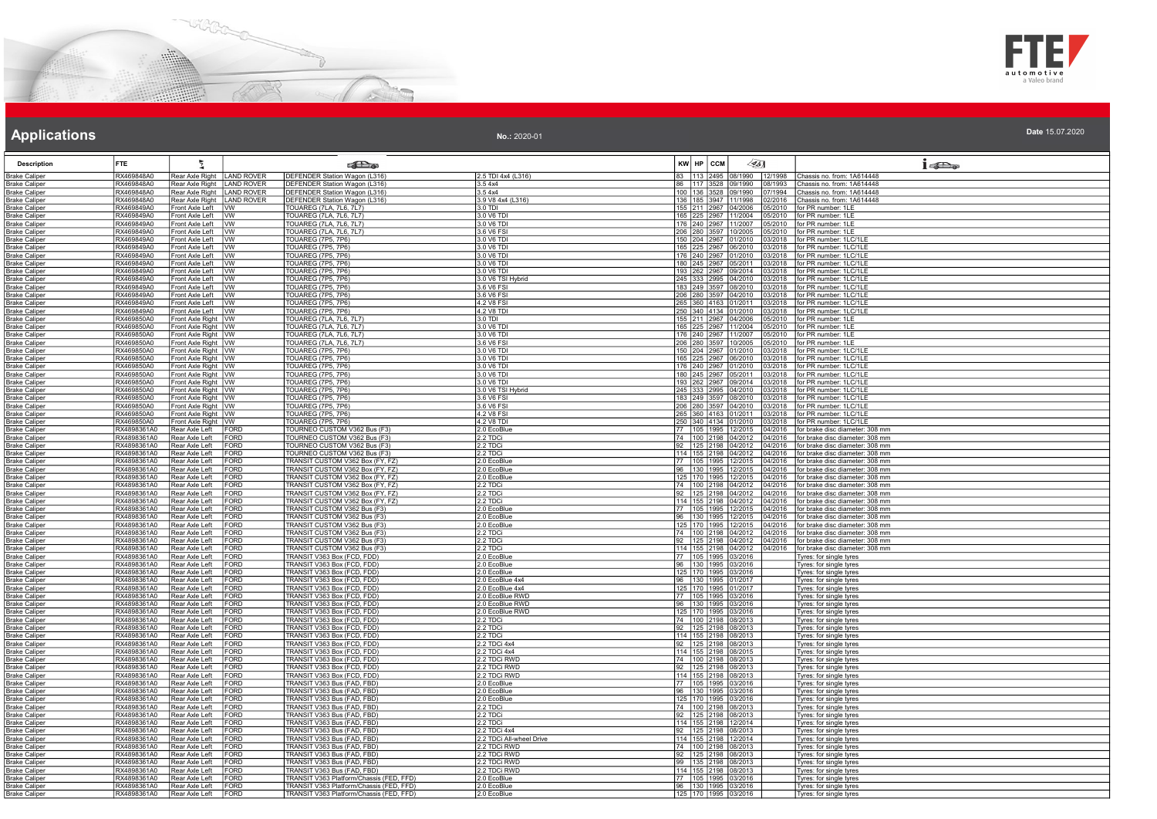



| <b>Description</b>                           | <b>FTE</b>                 | Σ                                                  |                     | <b>Colle</b>                                                            |                                    | $KW$ $HP$ $CCM$ | $\sqrt{351}$                                                       | $1 - \sum_{\alpha}$                                                          |
|----------------------------------------------|----------------------------|----------------------------------------------------|---------------------|-------------------------------------------------------------------------|------------------------------------|-----------------|--------------------------------------------------------------------|------------------------------------------------------------------------------|
| <b>Brake Caliper</b>                         | RX469848A0                 | Rear Axle Right   LAND ROVER                       |                     | DEFENDER Station Wagon (L316)                                           | 2.5 TDI 4x4 (L316)                 |                 | 83   113   2495   08/1990   12/1998   Chassis no. from: 1A614448   |                                                                              |
| <b>Brake Caliper</b>                         | RX469848A0                 | Rear Axle Right                                    | <b>LAND ROVER</b>   | DEFENDER Station Wagon (L316)                                           | 3.54x4                             | 86<br>1117      | 3528 09/1990<br>08/1993                                            | Chassis no. from: 1A614448                                                   |
| <b>Brake Caliper</b>                         | RX469848A0                 | Rear Axle Right   LAND ROVER                       |                     | DEFENDER Station Wagon (L316)                                           | 3.54x4                             | 100 136         | 3528 09/1990<br>07/1994                                            | Chassis no. from: 1A614448                                                   |
| <b>Brake Caliper</b><br><b>Brake Caliper</b> | RX469848A0<br>RX469849A0   | Rear Axle Right   LAND ROVER<br>Front Axle Left VW |                     | DEFENDER Station Wagon (L316)<br><b>TOUAREG (7LA, 7L6, 7L7)</b>         | 3.9 V8 4x4 (L316)<br>3.0 TDI       |                 | 136 185 3947 11/1998<br>02/2016<br>155 211 2967 04/2006<br>05/2010 | Chassis no. from: 1A614448<br>for PR number: 1LE                             |
| <b>Brake Caliper</b>                         | RX469849A0                 | Front Axle Left VW                                 |                     | TOUAREG (7LA, 7L6, 7L7)                                                 | 3.0 V6 TD                          |                 | 165 225 2967 11/2004                                               | 05/2010 for PR number: 1LE                                                   |
| <b>Brake Caliper</b>                         | RX469849A0                 | Front Axle Left VW                                 |                     | <b>TOUAREG (7LA, 7L6, 7L7)</b>                                          | 3.0 V6 TDI                         |                 | 176 240 2967 11/2007<br>05/2010                                    | for PR number: 1LE                                                           |
| <b>Brake Caliper</b>                         | RX469849A0                 | Front Axle Left VW                                 |                     | TOUAREG (7LA, 7L6, 7L7)                                                 | 3.6 V6 FSI                         |                 | 280 3597 10/2005<br>05/2010                                        | for PR number: 1LE                                                           |
| <b>Brake Caliper</b>                         | RX469849A0                 | Front Axle Left   VW                               |                     | TOUAREG (7P5, 7P6)                                                      | 3.0 V6 TDI                         |                 | 150 204 2967 01/2010<br>03/2018                                    | for PR number: 1LC/1LE                                                       |
| <b>Brake Caliper</b>                         | RX469849A0                 | Front Axle Left VW                                 |                     | <b>TOUAREG (7P5, 7P6)</b>                                               | 3.0 V6 TDI                         |                 | 165 225 2967 06/2010<br>03/2018                                    | for PR number: 1LC/1LE                                                       |
| <b>Brake Caliper</b>                         | RX469849A0                 | Front Axle Left VW                                 |                     | <b>TOUAREG (7P5, 7P6)</b>                                               | 3.0 V6 TDI                         |                 | 176 240 2967 01/2010                                               | 03/2018   for PR number: 1LC/1LE                                             |
| <b>Brake Caliper</b>                         | RX469849A0                 | Front Axle Left                                    | <b>IVW</b>          | <b>TOUAREG (7P5, 7P6)</b>                                               | 3.0 V6 TDI                         |                 | 180 245 2967 05/2011                                               | 03/2018   for PR number: 1LC/1LE                                             |
| <b>Brake Caliper</b><br><b>Brake Caliper</b> | RX469849A0<br>RX469849A0   | Front Axle Left VW<br>Front Axle Left              | Ivw                 | TOUAREG (7P5, 7P6)<br>TOUAREG (7P5, 7P6)                                | 3.0 V6 TDI<br>3.0 V6 TSI Hybrid    |                 | 193 262 2967 09/2014<br>245 333 2995 04/2010<br>03/2018            | 03/2018   for PR number: 1LC/1LE<br>for PR number: 1LC/1LE                   |
| <b>Brake Caliper</b>                         | RX469849A0                 | Front Axle Left                                    | VW                  | <b>TOUAREG (7P5, 7P6)</b>                                               | 3.6 V6 FSI                         |                 | 183 249 3597 08/2010<br>3/2018                                     | for PR number: 1LC/1LE                                                       |
| Brake Caliper                                | RX469849A0                 | Front Axle Left   VW                               |                     | TOUAREG (7P5, 7P6)                                                      | 3.6 V6 FSI                         |                 | 206 280 3597 04/2010                                               | 03/2018   for PR number: 1LC/1LE                                             |
| <b>Brake Caliper</b>                         | RX469849A0                 | Front Axle Left VW                                 |                     | TOUAREG (7P5, 7P6)                                                      | 4.2 V8 FSI                         |                 | 265 360 4163 01/2011                                               | 03/2018 for PR number: 1LC/1LE                                               |
| <b>Brake Caliper</b>                         | RX469849A0                 | Front Axle Left   VW                               |                     | <b>TOUAREG (7P5, 7P6)</b>                                               | 4.2 V8 TDI                         |                 | 250 340 4134 01/2010                                               | 03/2018   for PR number: 1LC/1LE                                             |
| Brake Caliper                                | RX469850A0                 | Front Axle Right   VW                              |                     | TOUAREG (7LA, 7L6, 7L7)                                                 | 3.0 TDI                            |                 | 155 211 2967 04/2006                                               | 05/2010   for PR number: 1LE                                                 |
| <b>Brake Caliper</b>                         | RX469850A0                 | Front Axle Right   VW                              |                     | <b>TOUAREG (7LA, 7L6, 7L7)</b>                                          | 3.0 V6 TDI                         | 165<br>225      | 2967 11/2004<br>5/2010                                             | for PR number: 1LE                                                           |
| <b>Brake Caliper</b>                         | RX469850A0                 | Front Axle Right   VW                              |                     | TOUAREG (7LA, 7L6, 7L7)                                                 | 3.0 V6 TDI                         |                 | 176 240 2967 11/2007<br>05/2010                                    | for PR number: 1LE                                                           |
| <b>Brake Caliper</b>                         | RX469850A0                 | Front Axle Right VW                                |                     | <b>TOUAREG (7LA, 7L6, 7L7)</b>                                          | 3.6 V6 FSI                         |                 | 206 280 3597 10/2005<br>05/2010                                    | for PR number: 1LE                                                           |
| <b>Brake Caliper</b>                         | RX469850A0                 | Front Axle Right VW                                |                     | TOUAREG (7P5, 7P6)                                                      | 3.0 V6 TDI                         |                 | 150 204 2967 01/2010                                               | 03/2018 Ifor PR number: 1LC/1LE                                              |
| <b>Brake Caliper</b><br><b>Brake Caliper</b> | RX469850A0<br>RX469850A0   | Front Axle Right VW<br>Front Axle Right   VW       |                     | TOUAREG (7P5, 7P6)<br><b>TOUAREG</b> (7P5, 7P6)                         | 3.0 V6 TDI<br>3.0 V6 TDI           |                 | 165 225 2967 06/2010                                               | 03/2018 for PR number: 1LC/1LE<br>03/2018 for PR number: 1LC/1LE             |
| <b>Brake Caliper</b>                         | RX469850A0                 | Front Axle Right   VW                              |                     | TOUAREG (7P5, 7P6)                                                      | 3.0 V6 TDI                         |                 | 176 240 2967 01/2010<br>180 245 2967 05/2011<br>03/2018            | for PR number: 1LC/1LE                                                       |
| <b>Brake Caliper</b>                         | RX469850A0                 | ront Axle Right   VW                               |                     | TOUAREG (7P5, 7P6)                                                      | 3.0 V6 TDI                         |                 | 193 262 2967 09/2014<br>3/2018                                     | for PR number: 1LC/1LE                                                       |
| <b>Brake Caliper</b>                         | RX469850A0                 | Front Axle Right VW                                |                     | <b>TOUAREG (7P5, 7P6)</b>                                               | 3.0 V6 TSI Hybrid                  |                 | 245 333 2995 04/2010<br>03/2018                                    | for PR number: 1LC/1LE                                                       |
| <b>Brake Caliper</b>                         | RX469850A0                 | Front Axle Right VW                                |                     | <b>TOUAREG (7P5, 7P6)</b>                                               | 3.6 V6 FSI                         |                 | 183 249 3597 08/2010<br>03/2018                                    | for PR number: 1LC/1LE                                                       |
| <b>Brake Caliper</b>                         | RX469850A0                 | Front Axle Right   VW                              |                     | <b>TOUAREG (7P5, 7P6)</b>                                               | 3.6 V6 FSI                         |                 | 206 280 3597 04/2010                                               | 03/2018   for PR number: 1LC/1LE                                             |
| <b>Brake Caliper</b>                         | RX469850A0                 | Front Axle Right VW                                |                     | TOUAREG (7P5, 7P6)                                                      | 4.2 V8 FSI                         |                 | 265 360 4163 01/2011<br>03/2018                                    | for PR number: 1LC/1LE                                                       |
| Brake Caliper                                | RX469850A0                 | Front Axle Right   VW                              |                     | TOUAREG (7P5, 7P6)                                                      | 4.2 V8 TDI                         |                 | 250 340 4134 01/2010<br>77 105 1995 12/2015<br>03/2018             | for PR number: 1LC/1LE                                                       |
| <b>Brake Caliper</b>                         | RX4898361A0                | Rear Axle Left                                     | FORD                | TOURNEO CUSTOM V362 Bus (F3)                                            | 2.0 EcoBlue                        |                 | 04/2016                                                            | for brake disc diameter: 308 mm                                              |
| <b>Brake Caliper</b>                         | RX4898361A0                | Rear Axle Left                                     | FORD                | TOURNEO CUSTOM V362 Bus (F3)<br>TOURNEO CUSTOM V362 Bus (F3)            | 2.2 TDCi                           |                 | 74 100 2198 04/2012<br>04/2016                                     | for brake disc diameter: 308 mm                                              |
| <b>Brake Caliper</b><br><b>Brake Caliper</b> | RX4898361A0<br>RX4898361A0 | Rear Axle Left<br>Rear Axle Left                   | FORD<br>FORD        | TOURNEO CUSTOM V362 Bus (F3)                                            | 2.2 TDCi<br>2.2 TDCi               |                 | 92 125 2198 04/2012<br>04/2016<br>114 155 2198 04/2012             | for brake disc diameter: 308 mm<br>04/2016   for brake disc diameter: 308 mm |
| Brake Caliper                                | RX4898361A0                | Rear Axle Left                                     | FORD                | TRANSIT CUSTOM V362 Box (FY, FZ)                                        | 2.0 EcoBlue                        |                 | 77   105   1995   12/2015<br>04/2016                               | for brake disc diameter: 308 mm                                              |
| <b>Brake Caliper</b>                         | RX4898361A0                | Rear Axle Left                                     | ORD                 | TRANSIT CUSTOM V362 Box (FY, FZ)                                        | 2.0 EcoBlue                        | 96 130          | 1995 12/2015<br>04/2016                                            | for brake disc diameter: 308 mm                                              |
| <b>Brake Caliper</b>                         | RX4898361A0                | Rear Axle Left                                     | FORD                | TRANSIT CUSTOM V362 Box (FY, FZ)                                        | 2.0 EcoBlue                        |                 | 125 170 1995 12/2015<br>04/2016                                    | for brake disc diameter: 308 mm                                              |
| Brake Caliper                                | RX4898361A0                | Rear Axle Left                                     | FORD                | TRANSIT CUSTOM V362 Box (FY, FZ)                                        | 2.2 TDCi                           |                 | 74 100 2198 04/2012<br>04/2016                                     | for brake disc diameter: 308 mm                                              |
| <b>Brake Caliper</b>                         | RX4898361A0                | Rear Axle Left                                     | FORD                | TRANSIT CUSTOM V362 Box (FY, FZ)                                        | 2.2 TDCi                           |                 | 92 125 2198 04/2012<br>04/2016                                     | for brake disc diameter: 308 mm                                              |
| <b>Brake Caliper</b>                         | RX4898361A0                | Rear Axle Left                                     | FORD                | TRANSIT CUSTOM V362 Box (FY, FZ)                                        | 2.2 TDCi                           |                 | 114 155 2198 04/2012<br>04/2016                                    | for brake disc diameter: 308 mm                                              |
| Brake Caliper                                | RX4898361A0                | Rear Axle Left                                     | <b>FORD</b>         | TRANSIT CUSTOM V362 Bus (F3)                                            | 2.0 EcoBlue                        |                 | 77   105   1995   12/2015<br>04/2016                               | Ifor brake disc diameter: 308 mm                                             |
| <b>Brake Caliper</b>                         | RX4898361A0                | Rear Axle Left                                     | FORD                | TRANSIT CUSTOM V362 Bus (F3)                                            | 2.0 EcoBlue                        |                 | 96 130 1995 12/2015<br>04/2016                                     | for brake disc diameter: 308 mm                                              |
| <b>Brake Caliper</b>                         | RX4898361A0<br>RX4898361A0 | Rear Axle Left<br>Rear Axle Left                   | FORD<br>FORD        | TRANSIT CUSTOM V362 Bus (F3)<br>TRANSIT CUSTOM V362 Bus (F3)            | 2.0 EcoBlue<br>2.2 TDCi            |                 | 125 170 1995 12/2015<br>04/2016<br>74 100 2198 04/2012<br>04/2016  | for brake disc diameter: 308 mm<br>for brake disc diameter: 308 mm           |
| <b>Brake Caliper</b><br><b>Brake Caliper</b> | RX4898361A0                | Rear Axle Left                                     | FORD                | TRANSIT CUSTOM V362 Bus (F3)                                            | 2.2 TDCi                           |                 | 92 125 2198 04/2012                                                | 04/2016 for brake disc diameter: 308 mm                                      |
| <b>Brake Caliper</b>                         | RX4898361A0                | Rear Axle Left                                     | FORD                | TRANSIT CUSTOM V362 Bus (F3)                                            | 2.2 TDCi                           |                 | 114  155  2198  04/2012                                            | 04/2016   for brake disc diameter: 308 mm                                    |
| <u> Brake Caliper</u>                        | RX4898361A0                | Rear Axle Left                                     | FORD                | TRANSIT V363 Box (FCD, FDD)                                             | 2.0 EcoBlue                        |                 | 77 105 1995 03/2016                                                | Tyres: for single tyres                                                      |
| <b>Brake Caliper</b>                         | RX4898361A0                | Rear Axle Left                                     | FORD                | TRANSIT V363 Box (FCD, FDD)                                             | 2.0 EcoBlue                        |                 | 96 130 1995 03/2016                                                | Tyres: for single tyres                                                      |
| <b>Brake Caliper</b>                         | RX4898361A0                | Rear Axle Left                                     | FORD                | TRANSIT V363 Box (FCD, FDD)                                             | 2.0 EcoBlue                        |                 | 125 170 1995 03/2016                                               | Tyres: for single tyres                                                      |
| <b>Brake Caliper</b>                         | RX4898361A0                | Rear Axle Left                                     | FORD                | TRANSIT V363 Box (FCD, FDD)                                             | 2.0 EcoBlue 4x4                    |                 | 96 130 1995 01/2017                                                | Tyres: for single tyres                                                      |
| <b>Brake Caliper</b>                         | RX4898361A0                | Rear Axle Left                                     | FORD                | TRANSIT V363 Box (FCD, FDD)                                             | 2.0 EcoBlue 4x4                    |                 | 125 170 1995 01/2017                                               | Tyres: for single tyres                                                      |
| <b>Brake Caliper</b>                         | RX4898361A0<br>RX4898361A0 | Rear Axle Left<br>Rear Axle Left                   | FORD<br>FORD        | TRANSIT V363 Box (FCD, FDD)                                             | 2.0 EcoBlue RWD<br>2.0 EcoBlue RWD |                 | 77 105 1995 03/2016                                                | Tyres: for single tyres                                                      |
| Brake Caliper<br><b>Brake Caliper</b>        | RX4898361A0                | Rear Axle Left                                     | FORD                | TRANSIT V363 Box (FCD, FDD)<br>TRANSIT V363 Box (FCD, FDD)              | 2.0 EcoBlue RWD                    | 96 130          | 1995 03/2016<br>125 170 1995 03/2016                               | Tyres: for single tyres<br>Tyres: for single tyres                           |
| <b>Brake Caliper</b>                         | RX4898361A0                | Rear Axle Left                                     | FORD                | TRANSIT V363 Box (FCD, FDD)                                             | 2.2 TDCi                           |                 | 74 100 2198 08/2013                                                | Tyres: for single tyres                                                      |
| <b>Brake Caliper</b>                         | RX4898361A0                | Rear Axle Left                                     | FORD                | TRANSIT V363 Box (FCD, FDD                                              | 2.2 TDCi                           |                 | 92 125 2198 08/2013                                                | Tyres: for single tyres                                                      |
| <b>Brake Caliper</b>                         | RX4898361A0                | Rear Axle Left                                     | FORD                | TRANSIT V363 Box (FCD, FDD)                                             | 2.2 TDCi                           |                 | 114 155 2198 08/2013                                               | Tyres: for single tyres                                                      |
| <b>Brake Caliper</b>                         | RX4898361A0                | Rear Axle Left                                     | FORD                | TRANSIT V363 Box (FCD, FDD)                                             | 2.2 TDCi 4x4                       |                 | 92 125 2198 08/2013                                                | Tyres: for single tyres                                                      |
| <u> Brake Caliper</u>                        | RX4898361A0                | Rear Axle Left                                     | FORD                | TRANSIT V363 Box (FCD, FDD)                                             | 2.2 TDCi 4x4                       |                 | 114 155 2198 08/2015                                               | Tyres: for single tyres                                                      |
| <b>Brake Caliper</b>                         | RX4898361A0                | Rear Axle Left                                     | FORD                | TRANSIT V363 Box (FCD, FDD)                                             | 2.2 TDCi RWD                       |                 | 74 100 2198 08/2013                                                | Tyres: for single tyres                                                      |
| <b>Brake Caliper</b>                         | RX4898361A0                | Rear Axle Left                                     | FORD                | TRANSIT V363 Box (FCD, FDD)                                             | 2.2 TDCi RWD                       |                 | 92 125 2198 08/2013                                                | Tyres: for single tyres                                                      |
| <b>Brake Caliper</b>                         | RX4898361A0                | Rear Axle Left                                     | FORD<br><b>FORD</b> | TRANSIT V363 Box (FCD, FDD)                                             | 2.2 TDCi RWD                       |                 | 114 155 2198 08/2013                                               | Tyres: for single tyres                                                      |
| <b>Brake Caliper</b>                         | RX4898361A0<br>RX4898361A0 | Rear Axle Left<br>Rear Axle Left                   |                     | TRANSIT V363 Bus (FAD, FBD)<br>TRANSIT V363 Bus (FAD, FBD)              | 2.0 EcoBlue                        |                 | 77 105 1995 03/2016<br>96   130   1995   03/2016                   | Tyres: for single tyres                                                      |
| Brake Caliper<br><b>Brake Caliper</b>        | RX4898361A0                | Rear Axle Left                                     | FORD<br>FORD        | TRANSIT V363 Bus (FAD, FBD)                                             | 2.0 EcoBlue<br>2.0 EcoBlue         |                 | 125 170 1995 03/2016                                               | Tyres: for single tyres<br>Tyres: for single tyres                           |
| <b>Brake Caliper</b>                         | RX4898361A0                | Rear Axle Left                                     | FORD                | TRANSIT V363 Bus (FAD, FBD)                                             | 2.2 TDCi                           |                 | 74 100 2198 08/2013                                                | Tyres: for single tyres                                                      |
| Brake Caliper                                | RX4898361A0                | Rear Axle Left                                     | FORD                | TRANSIT V363 Bus (FAD, FBD)                                             | 2.2 TDCi                           |                 | 92 125 2198 08/2013                                                | Tyres: for single tyres                                                      |
| <b>Brake Caliper</b>                         | RX4898361A0                | Rear Axle Left                                     | FORD                | TRANSIT V363 Bus (FAD, FBD)                                             | 2.2 TDCi                           |                 | 114 155 2198 12/2014                                               | Tyres: for single tyres                                                      |
| <b>Brake Caliper</b>                         | RX4898361A0                | Rear Axle Left                                     | FORD                | TRANSIT V363 Bus (FAD, FBD)                                             | 2.2 TDCi 4x4                       |                 | 92 125 2198 08/2013                                                | Tyres: for single tyres                                                      |
| <b>Brake Caliper</b>                         | RX4898361A0                | Rear Axle Left                                     | FORD                | TRANSIT V363 Bus (FAD, FBD)                                             | 2.2 TDCi All-wheel Drive           |                 | 114 155 2198 12/2014                                               | Tyres: for single tyres                                                      |
| <b>Brake Caliper</b>                         | RX4898361A0                | Rear Axle Left                                     | FORD                | TRANSIT V363 Bus (FAD, FBD)                                             | 2.2 TDCi RWD                       |                 | 74 100 2198 08/2013                                                | Tyres: for single tyres                                                      |
| <b>Brake Caliper</b>                         | RX4898361A0                | Rear Axle Left                                     | FORD                | TRANSIT V363 Bus (FAD, FBD)                                             | 2.2 TDCi RWD                       |                 | 92 125 2198 08/2013                                                | Tyres: for single tyres                                                      |
| <b>Brake Caliper</b>                         | RX4898361A0                | Rear Axle Left                                     | <b>FORD</b>         | TRANSIT V363 Bus (FAD, FBD)                                             | 2.2 TDCi RWD                       |                 | 99 135 2198 08/2013                                                | Tyres: for single tyres                                                      |
| <b>Brake Caliper</b><br><b>Brake Caliper</b> | RX4898361A0<br>RX4898361A0 | Rear Axle Left<br>Rear Axle Left                   | FORD<br><b>FORD</b> | TRANSIT V363 Bus (FAD, FBD)<br>TRANSIT V363 Platform/Chassis (FED, FFD) | 2.2 TDCi RWD<br>2.0 EcoBlue        |                 | 114 155 2198 08/2013<br>77 105 1995 03/2016                        | Tyres: for single tyres<br>Tyres: for single tyres                           |
| <b>Brake Caliper</b>                         | RX4898361A0                | Rear Axle Left                                     | FORD                | TRANSIT V363 Platform/Chassis (FED, FFD)                                | 2.0 EcoBlue                        |                 | 96 130 1995 03/2016                                                | Tyres: for single tyres                                                      |
| <b>Brake Caline</b>                          | RX4898361A0                | Rear Axle Left                                     | FORD                | TRANSIT V363 Platform/Chassis (FED, FFD)                                | 2.0 EcoBlue                        |                 | 125 170 1995 03/2016                                               | Tyres: for single tyres                                                      |
|                                              |                            |                                                    |                     |                                                                         |                                    |                 |                                                                    |                                                                              |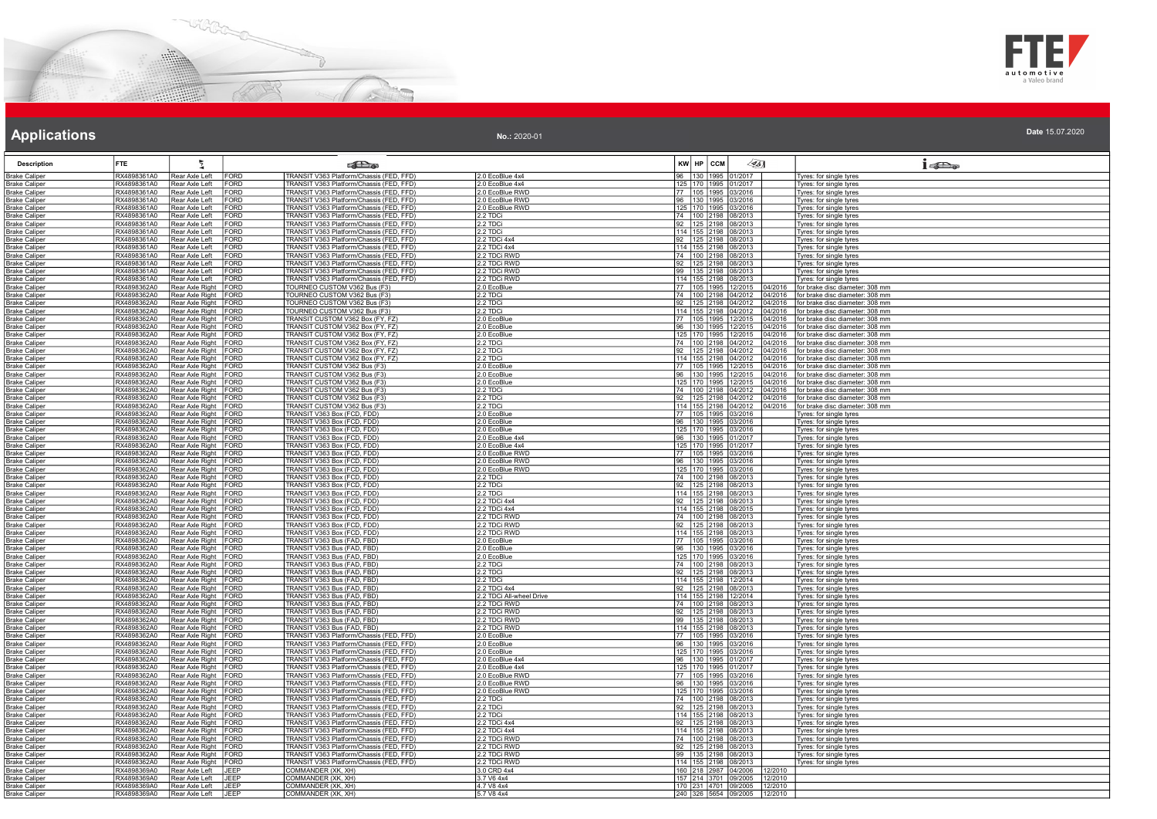



Date 15.07.2020 No.: 2020-01

| <b>Description</b>                           | <b>FTE</b>                 | 气                                            |                            | கில                                                                                                                              |                                    | KW HP CCM | 45]                                               |                    | $1 - 5$                                                            |
|----------------------------------------------|----------------------------|----------------------------------------------|----------------------------|----------------------------------------------------------------------------------------------------------------------------------|------------------------------------|-----------|---------------------------------------------------|--------------------|--------------------------------------------------------------------|
| <b>Brake Caliper</b>                         | RX4898361A0                | Rear Axle Left                               | FORD                       | TRANSIT V363 Platform/Chassis (FED, FFD)                                                                                         | 2.0 EcoBlue 4x4                    |           | 96 130 1995 01/2017                               |                    | Tyres: for single tyres                                            |
| <u> Brake Caliper</u>                        | RX4898361A0                | Rear Axle Left                               | <b>FORD</b>                | TRANSIT V363 Platform/Chassis (FED, FFD)                                                                                         | 2.0 EcoBlue 4x4                    |           | 125 170 1995 01/2017                              |                    | Tyres: for single tyres                                            |
| <b>Brake Caliper</b><br>Brake Caliper        | RX4898361A0<br>RX4898361A0 | Rear Axle Left<br>Rear Axle Left             | FORD<br>FORD               | TRANSIT V363 Platform/Chassis (FED, FFD)<br>TRANSIT V363 Platform/Chassis (FED, FFD)                                             | .0 EcoBlue RWD<br>2.0 EcoBlue RWD  |           | 105 1995 03/2016<br>96 130 1995 03/2016           |                    | yres: for single tyres<br>Tyres: for single tyres                  |
| <b>Brake Caliper</b>                         | RX4898361A0                | Rear Axle Left                               | FORD                       | TRANSIT V363 Platform/Chassis (FED, FFD)                                                                                         | 2.0 EcoBlue RWD                    |           | 125 170 1995 03/2016                              |                    | Tyres: for single tyres                                            |
| <b>Brake Caliper</b>                         | RX4898361A0                | Rear Axle Left                               | FORD                       | TRANSIT V363 Platform/Chassis (FED, FFD)                                                                                         | 2.2 TDCi                           |           | 74 100 2198 08/2013                               |                    | Tyres: for single tyres                                            |
| <b>Brake Caliper</b>                         | RX4898361A0                | Rear Axle Left                               | <b>FORD</b>                | TRANSIT V363 Platform/Chassis (FED, FFD)                                                                                         | 2.2 TDCi                           |           | 92 125 2198 08/2013                               |                    | Tyres: for single tyres                                            |
| <b>Brake Caliper</b><br><b>Brake Caliper</b> | RX4898361A0<br>RX4898361A0 | Rear Axle Left<br>Rear Axle Left             | FORD<br>FORD               | TRANSIT V363 Platform/Chassis (FED, FFD)                                                                                         | 2.2 TDCi<br>2.2 TDCi 4x4           |           | 114 155 2198 08/2013                              |                    | Tyres: for single tyres<br>Tyres: for single tyres                 |
| <b>Brake Caliper</b>                         | RX4898361A0                | Rear Axle Left                               | FORD                       | TRANSIT V363 Platform/Chassis (FED, FFD)<br>TRANSIT V363 Platform/Chassis (FED, FFD)                                             | 2.2 TDCi 4x4                       |           | 92 125 2198 08/2013<br>114 155 2198 08/2013       |                    | Tyres: for single tyres                                            |
| <b>Brake Caliper</b>                         | RX4898361A0                | Rear Axle Left                               | FORD                       | TRANSIT V363 Platform/Chassis (FED, FFD)                                                                                         | 2.2 TDCi RWD                       |           | 74 100 2198 08/2013                               |                    | Tyres: for single tyres                                            |
| <b>Brake Caliper</b>                         | RX4898361A0                | Rear Axle Left<br>Rear Axle Left             | <b>FORD</b><br><b>FORD</b> | TRANSIT V363 Platform/Chassis (FED, FFD)<br>TRANSIT V363 Platform/Chassis (FED, FFD)                                             | 2.2 TDCi RWD                       |           | 92 125 2198 08/2013                               |                    | Tyres: for single tyres                                            |
| <b>Brake Caliper</b><br><b>Brake Caliper</b> | RX4898361A0<br>RX4898361A0 | Rear Axle Left                               | <b>FORD</b>                | TRANSIT V363 Platform/Chassis (FED, FFD)                                                                                         | 2.2 TDCi RWD<br>2.2 TDCi RWD       |           | 99   135   2198   08/2013<br>114 155 2198 08/2013 |                    | Tyres: for single tyres<br>yres: for single tyres                  |
| <b>Brake Caliper</b>                         | RX4898362A0                | Rear Axle Right FORD                         |                            | TOURNEO CUSTOM V362 Bus (F3)                                                                                                     | 2.0 EcoBlue                        |           | 77 105 1995 12/2015                               | 04/2016            | for brake disc diameter: 308 mm                                    |
| <b>Brake Caliper</b>                         | RX4898362A0                | Rear Axle Right FORD                         |                            | TOURNEO CUSTOM V362 Bus (F3)                                                                                                     | 2.2 TDCi                           |           | 74 100 2198 04/2012                               |                    | 04/2016   for brake disc diameter: 308 mm                          |
| <b>Brake Caliper</b>                         | RX4898362A0<br>RX4898362A0 | Rear Axle Right FORD<br>Rear Axle Right FORD |                            | TOURNEO CUSTOM V362 Bus (F3)<br>TOURNEO CUSTOM V362 Bus (F3)                                                                     | 2.2 TDCi                           |           | 92 125 2198 04/2012                               | 04/2016<br>04/2016 | for brake disc diameter: 308 mm<br>for brake disc diameter: 308 mm |
| <b>Brake Caliper</b><br><b>Brake Caliper</b> | RX4898362A0                | Rear Axle Right FORD                         |                            | TRANSIT CUSTOM V362 Box (FY, FZ)                                                                                                 | 2.2 TDCi<br>2.0 EcoBlue            |           | 114 155 2198 04/2012<br>77 105 1995 12/2015       | 04/2016            | for brake disc diameter: 308 mm                                    |
| <b>Brake Caliper</b>                         | RX4898362A0                | Rear Axle Right FORD                         |                            | TRANSIT CUSTOM V362 Box (FY, FZ)<br>TRANSIT CUSTOM V362 Box (FY, FZ)                                                             | 2.0 EcoBlue                        |           |                                                   | 04/2016            | for brake disc diameter: 308 mm                                    |
| <b>Brake Caliper</b>                         | RX4898362A0                | Rear Axle Right FORD                         |                            |                                                                                                                                  | 2.0 EcoBlue                        |           | 96 130 1995 12/2015<br>125 170 1995 12/2015       | 04/2016            | for brake disc diameter: 308 mm                                    |
| <b>Brake Caliper</b>                         | RX4898362A0<br>RX4898362A0 | Rear Axle Right FORD<br>Rear Axle Right FORD |                            | TRANSIT CUSTOM V362 Box (FY, FZ)<br>TRANSIT CUSTOM V362 Box (FY, FZ)                                                             | 2.2 TDCi<br>2.2 TDCi               | 92   125  | 74 100 2198 04/2012<br>2198 04/2012               | 04/2016<br>04/2016 | for brake disc diameter: 308 mm<br>for brake disc diameter: 308 mm |
| <b>Brake Caliper</b><br>Brake Caliper        | RX4898362A0                | Rear Axle Right FORD                         |                            | TRANSIT CUSTOM V362 Box (FY, FZ)                                                                                                 | 2.2 TDCi                           |           | 114 155 2198 04/2012                              | 04/2016            | for brake disc diameter: 308 mm                                    |
| Brake Caliper                                | RX4898362A0                | Rear Axle Right FORD                         |                            | TRANSIT CUSTOM V362 Bus (F3)                                                                                                     | .0 EcoBlue                         |           | 77 105 1995 12/2015                               | 04/2016            | for brake disc diameter: 308 mm                                    |
| <b>Brake Caliper</b>                         | RX4898362A0                | Rear Axle Right FORD                         |                            | TRANSIT CUSTOM V362 Bus (F3)                                                                                                     | 2.0 EcoBlue                        |           | 96 130 1995 12/2015                               | 04/2016            | for brake disc diameter: 308 mm                                    |
| <b>Brake Caliper</b><br><b>Brake Caliper</b> | RX4898362A0<br>RX4898362A0 | Rear Axle Right FORD<br>Rear Axle Right FORD |                            | TRANSIT CUSTOM V362 Bus (F3)<br>TRANSIT CUSTOM V362 Bus (F3)                                                                     | 2.0 EcoBlue<br>2.2 TDCi            |           | 125 170 1995 12/2015<br>74 100 2198 04/2012       | 04/2016<br>04/2016 | for brake disc diameter: 308 mm<br>for brake disc diameter: 308 mm |
| <b>Brake Caliper</b>                         | RX4898362A0                | Rear Axle Right FORD                         |                            | TRANSIT CUSTOM V362 Bus (F3)                                                                                                     | 2.2 TDCi                           |           | 92 125 2198 04/2012                               |                    | 04/2016 for brake disc diameter: 308 mm                            |
| <b>Brake Caliper</b>                         | RX4898362A0                | Rear Axle Right FORD                         |                            | TRANSIT CUSTOM V362 Bus (F3)                                                                                                     | 2.2 TDCi                           |           | 114 155 2198 04/2012                              | 04/2016            | for brake disc diameter: 308 mm                                    |
| <b>Brake Caliper</b>                         | RX4898362A0                | Rear Axle Right FORD                         |                            | TRANSIT V363 Box (FCD, FDD)                                                                                                      | 2.0 EcoBlue                        |           | 77 105 1995 03/2016<br>96 130 1995 03/2016        |                    | yres: for single tyres                                             |
| <b>Brake Caliper</b><br><b>Brake Caliper</b> | RX4898362A0<br>RX4898362A0 | Rear Axle Right FORD<br>Rear Axle Right FORD |                            | TRANSIT V363 Box (FCD, FDD)<br>TRANSIT V363 Box (FCD, FDD)                                                                       | 2.0 EcoBlue<br>.0 EcoBlue          |           | 125 170 1995 03/2016                              |                    | Tyres: for single tyres<br>Tyres: for single tyres                 |
| <b>Brake Caliper</b>                         | RX4898362A0                | Rear Axle Right FORD                         |                            | TRANSIT V363 Box (FCD, FDD)                                                                                                      | 2.0 EcoBlue 4x4                    |           | 96 130 1995 01/2017                               |                    | Tyres: for single tyres                                            |
| <b>Brake Caliper</b>                         | RX4898362A0                | Rear Axle Right FORD                         |                            | TRANSIT V363 Box (FCD, FDD)                                                                                                      | .0 EcoBlue 4x4                     |           | 125 170 1995 01/2017                              |                    | Tyres: for single tyres                                            |
| <b>Brake Caliper</b>                         | RX4898362A0                | Rear Axle Right                              | FORD                       | FRANSIT V363 Box (FCD, FDD)<br>TRANSIT V363 Box (FCD, FDD)                                                                       | .0 EcoBlue RWD                     |           | 77 105 1995 03/2016                               |                    | yres: for single tyres                                             |
| <b>Brake Caliper</b><br><b>Brake Caliper</b> | RX4898362A0<br>RX4898362A0 | Rear Axle Right FORD<br>Rear Axle Right FORD |                            | TRANSIT V363 Box (FCD, FDD)                                                                                                      | 2.0 EcoBlue RWD<br>2.0 EcoBlue RWD |           | 96   130   1995   03/2016<br>125 170 1995 03/2016 |                    | Tyres: for single tyres<br>Tyres: for single tyres                 |
| <b>Brake Caliper</b>                         | RX4898362A0                | Rear Axle Right FORD                         |                            | TRANSIT V363 Box (FCD, FDD)                                                                                                      | 2.2 TDCi                           |           | 74 100 2198 08/2013                               |                    | Tyres: for single tyres                                            |
| <b>Brake Caliper</b>                         | RX4898362A0                | Rear Axle Right FORD                         |                            | TRANSIT V363 Box (FCD, FDD)                                                                                                      | 2.2 TDCi                           |           | 92 125 2198 08/2013                               |                    | Tyres: for single tyres                                            |
| <b>Brake Caliper</b>                         | RX4898362A0<br>RX4898362A0 | Rear Axle Right FORD<br>Rear Axle Right FORD |                            | TRANSIT V363 Box (FCD, FDD)                                                                                                      | 2.2 TDCi<br>2.2 TDCi 4x4           |           | 114 155 2198 08/2013                              |                    | Tyres: for single tyres<br>Tyres: for single tyres                 |
| <b>Brake Caliper</b><br><b>Brake Caliper</b> | RX4898362A0                | Rear Axle Right FORD                         |                            | TRANSIT V363 Box (FCD, FDD)<br>TRANSIT V363 Box (FCD, FDD)                                                                       | 2.2 TDCi 4x4                       |           | 92 125 2198 08/2013<br>114 155 2198 08/2015       |                    | Tyres: for single tyres                                            |
| <b>Brake Caliper</b>                         | RX4898362A0                | Rear Axle Right FORD                         |                            | TRANSIT V363 Box (FCD, FDD)                                                                                                      | 2.2 TDCi RWD                       |           | 74 100 2198 08/2013                               |                    | Tyres: for single tyres                                            |
| <b>Brake Caliper</b>                         | RX4898362A0                | Rear Axle Right FORD                         |                            | TRANSIT V363 Box (FCD, FDD)<br>TRANSIT V363 Box (FCD, FDD)                                                                       | 2.2 TDCi RWD                       |           | 92 125 2198 08/2013                               |                    | Tyres: for single tyres                                            |
| <b>Brake Caliper</b><br><b>Brake Caliper</b> | RX4898362A0<br>RX4898362A0 | Rear Axle Right FORD<br>Rear Axle Right      | FORD                       | TRANSIT V363 Bus (FAD, FBD)                                                                                                      | 2.2 TDCi RWD<br>2.0 EcoBlue        |           | 114 155 2198 08/2013<br>77 105 1995 03/2016       |                    | Tyres: for single tyres<br>Tyres: for single tyres                 |
| <b>Brake Caliper</b>                         | RX4898362A0                | Rear Axle Right FORD                         |                            | TRANSIT V363 Bus (FAD, FBD)                                                                                                      | 2.0 EcoBlue                        | 96        | 130 1995 03/2016                                  |                    | yres: for single tyres                                             |
| <b>Brake Caliper</b>                         | RX4898362A0                | Rear Axle Right FORD                         |                            | TRANSIT V363 Bus (FAD, FBD)                                                                                                      | 2.0 EcoBlue                        |           | 125 170 1995 03/2016                              |                    | Tyres: for single tyres                                            |
| <b>Brake Caliper</b><br><b>Brake Caliper</b> | RX4898362A0<br>RX4898362A0 | Rear Axle Right FORD<br>Rear Axle Right FORD |                            | TRANSIT V363 Bus (FAD, FBD)<br>TRANSIT V363 Bus (FAD, FBD)                                                                       | 2.2 TDCi<br>2.2 TDCi               |           | 74 100 2198 08/2013<br>92 125 2198 08/2013        |                    | Tyres: for single tyres<br>Tyres: for single tyres                 |
| <b>Brake Caliper</b>                         | RX4898362A0                | Rear Axle Right FORD                         |                            | TRANSIT V363 Bus (FAD, FBD)                                                                                                      | 2.2 TDCi                           |           | 114 155 2198 12/2014                              |                    | Tyres: for single tyres                                            |
| <b>Brake Caliper</b>                         | RX4898362A0                | Rear Axle Right FORD                         |                            | TRANSIT V363 Bus (FAD, FBD)<br>TRANSIT V363 Bus (FAD, FBD)                                                                       | 2.2 TDCi 4x4                       |           | 92 125 2198 08/2013                               |                    | Tyres: for single tyres                                            |
| <b>Brake Caliper</b>                         | RX4898362A0                | Rear Axle Right FORD                         |                            |                                                                                                                                  | 2.2 TDCi All-wheel Drive           |           | 114 155 2198 12/2014                              |                    | Tyres: for single tyres                                            |
| <b>Brake Caliper</b><br><b>Brake Caliper</b> | RX4898362A0<br>RX4898362A0 | Rear Axle Right FORD<br>Rear Axle Right FORD |                            | TRANSIT V363 Bus (FAD, FBD)<br>TRANSIT V363 Bus (FAD, FBD)                                                                       | 2.2 TDCi RWD<br>2.2 TDCi RWD       |           | 74 100 2198 08/2013<br>92 125 2198 08/2013        |                    | Tyres: for single tyres<br>Tyres: for single tyres                 |
| <b>Brake Caliper</b>                         | RX4898362A0                | Rear Axle Right FORD                         |                            | TRANSIT V363 Bus (FAD, FBD)                                                                                                      | <u>2.2 TDCi RWD</u>                |           | 99 135 2198 08/2013                               |                    | Tyres: for single tyres                                            |
| <b>Brake Caliper</b>                         | RX4898362A0                | Rear Axle Right FORD                         |                            | TRANSIT V363 Bus (FAD, FBD)                                                                                                      | 2.2 TDCi RWD                       |           | 114 155 2198 08/2013                              |                    | Tyres: for single tyres                                            |
| <b>Brake Caliper</b><br><b>Brake Caliper</b> | RX4898362A0<br>RX4898362A0 | Rear Axle Right FORD<br>Rear Axle Right FORD |                            | TRANSIT V363 Platform/Chassis (FED, FFD)<br>TRANSIT V363 Platform/Chassis (FED, FFD)                                             | 2.0 EcoBlue<br>2.0 EcoBlue         |           | 77 105 1995 03/2016<br>96 130 1995 03/2016        |                    | yres: for single tyres<br>Tyres: for single tyres                  |
| <b>Brake Caliper</b>                         | RX4898362A0                | Rear Axle Right FORD                         |                            | TRANSIT V363 Platform/Chassis (FED, FFD)                                                                                         | 2.0 EcoBlue                        |           | 125 170 1995 03/2016                              |                    | Tyres: for single tyres                                            |
| <b>Brake Caliper</b>                         | RX4898362A0                | Rear Axle Right FORD                         |                            | TRANSIT V363 Platform/Chassis (FED, FFD)                                                                                         | 2.0 EcoBlue 4x4                    |           | 96 130 1995 01/2017                               |                    | Tyres: for single tyres                                            |
| <b>Brake Caliper</b>                         | RX4898362A0                | Rear Axle Right FORD                         |                            | TRANSIT V363 Platform/Chassis (FED, FFD)                                                                                         | 2.0 EcoBlue 4x4                    |           | 125   170   1995   01/2017                        |                    | Tyres: for single tyres                                            |
| <b>Brake Caliper</b><br><b>Brake Caliper</b> | RX4898362A0<br>RX4898362A0 | Rear Axle Right FORD<br>Rear Axle Right FORD |                            | TRANSIT V363 Platform/Chassis (FED, FFD)<br>TRANSIT V363 Platform/Chassis (FED, FFD)                                             | 2.0 EcoBlue RWD<br>2.0 EcoBlue RWD |           | 77 105 1995 03/2016<br>96 130 1995 03/2016        |                    | Tyres: for single tyres<br>Tyres: for single tyres                 |
| <b>Brake Caliper</b>                         | RX4898362A0                | Rear Axle Right FORD                         |                            | TRANSIT V363 Platform/Chassis (FED, FFD)                                                                                         | 2.0 EcoBlue RWD                    |           | 125 170 1995 03/2016                              |                    | Tyres: for single tyres                                            |
| <b>Brake Caliper</b>                         | RX4898362A0                | Rear Axle Right FORD                         |                            | TRANSIT V363 Platform/Chassis (FED, FFD)<br>TRANSIT V363 Platform/Chassis (FED, FFD)<br>TRANSIT V363 Platform/Chassis (FED, FFD) | 2.2 TDCi                           |           | 74 100 2198 08/2013                               |                    | Tyres: for single tyres                                            |
| <b>Brake Caliper</b>                         | RX4898362A0<br>RX4898362A0 | Rear Axle Right FORD<br>Rear Axle Right      | FORD                       |                                                                                                                                  | 2.2 TDCi<br>2.2 TDCi               |           | 92 125 2198 08/2013<br>114 155 2198 08/2013       |                    | Tyres: for single tyres                                            |
| Brake Caliper<br><b>Brake Caliper</b>        | RX4898362A0                | Rear Axle Right FORD                         |                            | TRANSIT V363 Platform/Chassis (FED, FFD)                                                                                         | 2.2 TDCi 4x4                       |           | 92   125   2198   08/2013                         |                    | Tyres: for single tyres<br>yres: for single tyres                  |
| <b>Brake Caliper</b>                         | RX4898362A0                | Rear Axle Right FORD                         |                            | TRANSIT V363 Platform/Chassis (FED, FFD)                                                                                         | 2.2 TDCi 4x4                       |           | 114 155 2198 08/2013                              |                    | Tyres: for single tyres                                            |
| <b>Brake Caliper</b>                         | RX4898362A0                | Rear Axle Right FORD                         |                            | TRANSIT V363 Platform/Chassis (FED, FFD)                                                                                         | 2.2 TDCi RWD                       |           | 74 100 2198 08/2013                               |                    | Tyres: for single tyres                                            |
| <b>Brake Caliper</b>                         | RX4898362A0<br>RX4898362A0 | Rear Axle Right FORD<br>Rear Axle Right FORD |                            | TRANSIT V363 Platform/Chassis (FED, FFD)<br>TRANSIT V363 Platform/Chassis (FED, FFD)                                             | 2.2 TDCi RWD                       |           | 92 125 2198 08/2013<br>99 135 2198 08/2013        |                    | Tyres: for single tyres                                            |
| <b>Brake Caliper</b><br><b>Brake Caliper</b> | RX4898362A0                | Rear Axle Right                              | FORD                       | TRANSIT V363 Platform/Chassis (FED, FFD)                                                                                         | 2.2 TDCi RWD<br>2.2 TDCi RWD       |           | 114 155 2198 08/2013                              |                    | Tyres: for single tyres<br>Tyres: for single tyres                 |
| <b>Brake Caliper</b>                         | RX4898369A0                | Rear Axle Left                               | JEEP                       | COMMANDER (XK, XH)                                                                                                               | 3.0 CRD 4x4                        |           | 160 218 2987 04/2006 12/2010                      |                    |                                                                    |
| <b>Brake Caliper</b>                         | RX4898369A0                | Rear Axle Left                               | <b>JEEP</b>                | COMMANDER (XK, XH)                                                                                                               | 3.7 V6 4x4                         |           | 157 214 3701 09/2005                              | 12/2010            |                                                                    |
| <b>Brake Caliper</b><br><b>Brake Caliper</b> | RX4898369A0<br>RX4898369A0 | Rear Axle Left<br>Rear Axle Left             | <b>JEEP</b><br>IJEEP       | COMMANDER (XK, XH)<br>COMMANDER (XK, XH)                                                                                         | 4.7 V8 4x4<br>5.7 V8 4x4           |           | 170 231 4701 09/2005<br>240 326 5654 09/2005      | 12/2010<br>12/2010 |                                                                    |
|                                              |                            |                                              |                            |                                                                                                                                  |                                    |           |                                                   |                    |                                                                    |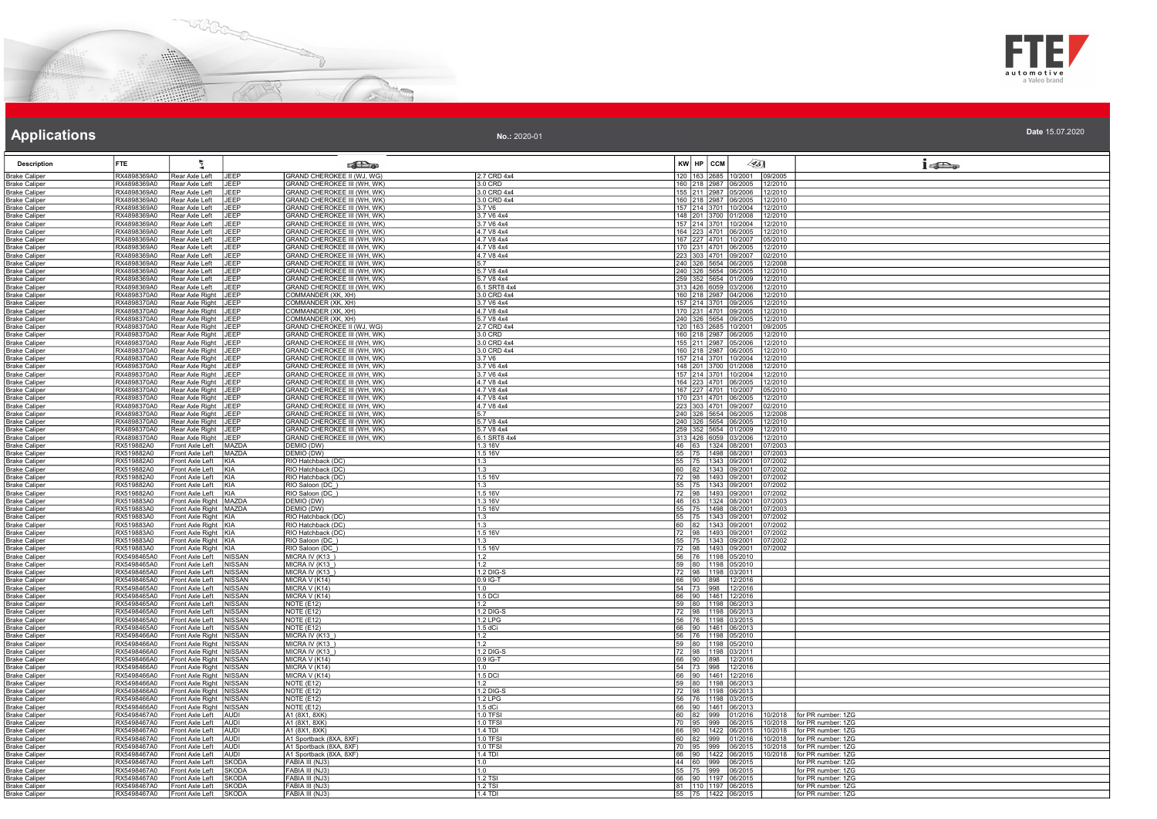



| No.: 2020-01 | Date 15.07.2020 |
|--------------|-----------------|
|              |                 |

| <b>Description</b>                           | <b>FTE</b>                 |                                                      |                  | <b>Redistri</b>                                                   |                           | 45]<br>KW HP CCM                                     | 15D <sub>o</sub>                                              |
|----------------------------------------------|----------------------------|------------------------------------------------------|------------------|-------------------------------------------------------------------|---------------------------|------------------------------------------------------|---------------------------------------------------------------|
| <b>Brake Caliper</b>                         | RX4898369A0                | Rear Axle Left                                       | JEFP             | GRAND CHEROKEE II (WJ, WG)                                        | 2.7 CRD 4x4               | 120 163<br>865 10/2001                               | 09/2005                                                       |
| <b>Brake Caliper</b>                         | RX4898369A0                | Rear Axle Left                                       | <b>JFFP</b>      | <b>GRAND CHEROKEE III (WH, WK)</b>                                | $3.0$ CRD                 | 160 218 2987 06/2005 12/2010                         |                                                               |
| <b>Brake Caliper</b>                         | RX4898369A0                | Rear Axle Left                                       | <b>JEEP</b>      | <b>GRAND CHEROKEE III (WH, WK)</b>                                | 3.0 CRD 4x4               | 155 211 2987 05/2006                                 | 12/2010                                                       |
| <b>Brake Caliper</b>                         | RX4898369A0                | Rear Axle Left                                       | JEEP             | GRAND CHEROKEE III (WH, WK)                                       | 3.0 CRD 4x4               | 160 218 2987 06/2005 12/2010                         |                                                               |
| <b>Brake Caliper</b>                         | RX4898369A0                | Rear Axle Left                                       | <b>JFFP</b>      | GRAND CHEROKEE III (WH, WK)                                       | 3.7 V6                    | 157 214 3701 10/2004 12/2010                         |                                                               |
| <b>Brake Caliper</b>                         | RX4898369A0                | Rear Axle Left                                       | JEFP             | GRAND CHEROKEE III (WH, WK)                                       | 3.7 V6 4x4                | 148 201 3700 01/2008                                 | 12/2010                                                       |
| <b>Brake Caliper</b>                         | RX4898369A0<br>RX4898369A0 | Rear Axle Left<br>Rear Axle Left                     | JEEP<br>JEEP     | GRAND CHEROKEE III (WH, WK)<br><b>GRAND CHEROKEE III (WH, WK)</b> | 3.7 V6 4x4<br>4.7 V8 4x4  | 157 214 3701 10/2004 12/2010<br>164 223 4701 06/2005 | 12/2010                                                       |
| <b>Brake Caliper</b><br><b>Brake Caliper</b> | RX4898369A0                | Rear Axle Left                                       | JEEP             | <b>GRAND CHEROKEE III (WH, WK)</b>                                | 4.7 V8 4x4                | 167 227 4701 10/2007                                 | 05/2010                                                       |
| <b>Brake Caliper</b>                         | RX4898369A0                | Rear Axle Left                                       | <b>JEFP</b>      | GRAND CHEROKEE III (WH, WK)                                       | 4.7 V8 4x4                | 170 231 4701 06/2005                                 | 12/2010                                                       |
| <b>Brake Caliper</b>                         | RX4898369A0                | Rear Axle Left                                       | JEFP             | <b>GRAND CHEROKEE III (WH, WK)</b>                                | 4.7 V8 4x4                | 223 303 4701 09/2007                                 | )2/2010                                                       |
| <b>Brake Caliper</b>                         | RX4898369A0                | Rear Axle Left                                       | JEEP             | <b>GRAND CHEROKEE III (WH, WK)</b>                                |                           | 240 326 5654 06/2005                                 | 12/2008                                                       |
| <b>Brake Caliper</b>                         | RX4898369A0                | Rear Axle Left                                       | <b>JEFP</b>      | GRAND CHEROKEE III (WH, WK)                                       | 5.7 V8 4x4                | 240 326 5654 06/2005                                 | 12/2010                                                       |
| <b>Brake Caliper</b>                         | RX4898369A0                | Rear Axle Left                                       | <b>JEEP</b>      | <b>GRAND CHEROKEE III (WH. WK)</b>                                | 5.7 V8 4x4                | 259 352 5654 01/2009                                 | 12/2010                                                       |
| <b>Brake Caliper</b>                         | RX4898369A0                | Rear Axle Left                                       | JEFP             | GRAND CHEROKEE III (WH, WK)                                       | 6.1 SRT8 4x4              | 313 426 6059 03/2006                                 | 12/2010                                                       |
| <b>Brake Caliper</b>                         | RX4898370A0                | Rear Axle Right   JEEP                               |                  | COMMANDER (XK, XH)                                                | 3.0 CRD 4x4               | 160 218 2987 04/2006 12/2010                         |                                                               |
| <b>Brake Caliper</b>                         | RX4898370A0                | Rear Axle Right                                      | <b>JFFP</b>      | COMMANDER (XK, XH)                                                | 3.7 V6 4x4                | 157 214 3701 09/2005                                 | 12/2010                                                       |
| <b>Brake Caliper</b>                         | RX4898370A0<br>RX4898370A0 | Rear Axle Right JEEP                                 |                  | COMMANDER (XK, XH)                                                | 4.7 V8 4x4                | 170 231 4701 09/2005<br>240 326 5654 09/2005 12/2010 | 12/2010                                                       |
| <b>Brake Caliper</b>                         | RX4898370A0                | Rear Axle Right JEEP<br>Rear Axle Right JEEP         |                  | COMMANDER (XK, XH)<br>GRAND CHEROKEE II (WJ, WG)                  | 5.7 V8 4x4<br>2.7 CRD 4x4 | 120 163 2685 10/2001                                 | 09/2005                                                       |
| <b>Brake Caliper</b><br><b>Brake Caliper</b> | RX4898370A0                | Rear Axle Right JEEP                                 |                  | GRAND CHEROKEE III (WH, WK)                                       | 3.0 CRD                   | 160 218 2987 06/2005                                 | 12/2010                                                       |
| <b>Brake Caliper</b>                         | RX4898370A0                | Rear Axle Right JEEP                                 |                  | GRAND CHEROKEE III (WH, WK)                                       | 3.0 CRD 4x4               | 155 211 2987 05/2006                                 | 12/2010                                                       |
| <b>Brake Caliper</b>                         | RX4898370A0                | Rear Axle Right                                      | <b>JEFP</b>      | GRAND CHEROKEE III (WH. WK)                                       | 3.0 CRD 4x4               | 160 218 2987 06/2005                                 | 2/2010                                                        |
| <b>Brake Caliper</b>                         | RX4898370A0                | Rear Axle Right JEEP                                 |                  | GRAND CHEROKEE III (WH, WK)                                       | 3.7 V6                    | 157 214 3701 10/2004                                 | 12/2010                                                       |
| <b>Brake Caliper</b>                         | RX4898370A0                | Rear Axle Right JEEP                                 |                  | <b>GRAND CHEROKEE III (WH, WK)</b>                                | 3.7 V6 4x4                | 148 201 3700 01/2008                                 | 12/2010                                                       |
| <b>Brake Caliper</b>                         | RX4898370A0                | Rear Axle Right                                      | <b>JEFP</b>      | GRAND CHEROKEE III (WH, WK)                                       | 3.7 V6 4x4                | 157 214 3701 10/2004                                 | 12/2010                                                       |
| <b>Brake Caliper</b>                         | RX4898370A0                | Rear Axle Right JEEP                                 |                  | GRAND CHEROKEE III (WH, WK)                                       | 4.7 V8 4x4                | 164 223 4701 06/2005                                 | 12/2010                                                       |
| <b>Brake Caliper</b>                         | RX4898370A0                | Rear Axle Right                                      | LIEEP            | GRAND CHEROKEE III (WH, WK)                                       | 4.7 V8 4x4                | 167 227 4701 10/2007                                 | 05/2010                                                       |
| <b>Brake Caliper</b>                         | RX4898370A0                | Rear Axle Right                                      | <b>JEFP</b>      | GRAND CHEROKEE III (WH, WK)                                       | 4.7 V8 4x4                | 170 231 4701 06/2005                                 | 12/2010                                                       |
| <b>Brake Caliper</b>                         | RX4898370A0                | Rear Axle Right JEEP                                 |                  | <b>GRAND CHEROKEE III (WH, WK)</b>                                | 4.7 V8 4x4<br>5.7         | 223 303 4701 09/2007                                 | 02/2010                                                       |
| <b>Brake Caliper</b><br><b>Brake Caliper</b> | RX4898370A0<br>RX4898370A0 | Rear Axle Right JEEP<br>Rear Axle Right JEEP         |                  | GRAND CHEROKEE III (WH, WK)<br>GRAND CHEROKEE III (WH, WK)        | 5.7 V8 4x4                | 240 326 5654 06/2005<br>240 326 5654 06/2005         | 12/2008<br>12/2010                                            |
| <b>Brake Caliper</b>                         | RX4898370A0                | Rear Axle Right JEEP                                 |                  | GRAND CHEROKEE III (WH, WK)                                       | 5.7 V8 4x4                | 259 352 5654 01/2009                                 | 12/2010                                                       |
| <b>Brake Caliper</b>                         | RX4898370A0                | Rear Axle Right                                      | <b>JEFP</b>      | GRAND CHEROKEE III (WH, WK)                                       | 6.1 SRT8 4x4              | 313 426 6059 03/2006                                 | 2/2010                                                        |
| <b>Brake Caliper</b>                         | RX519882A0                 | Front Axle Left   MAZDA                              |                  | DEMIO (DW)                                                        | 1.3 16V                   | 46 63 1324 08/2001                                   | 07/2003                                                       |
| <b>Brake Caliper</b>                         | RX519882A0                 | Front Axle Left                                      | MAZDA            | DEMIO (DW)                                                        | 1.5 16V                   | 55 75 1498 08/2001                                   | 07/2003                                                       |
| <b>Brake Caliper</b>                         | RX519882A0                 | Front Axle Left                                      | <b>KIA</b>       | RIO Hatchback (DC)                                                | 1.3                       | 55 75 1343 09/2001                                   | 07/2002                                                       |
| <b>Brake Caliper</b>                         | RX519882A0                 | Front Axle Left   KIA                                |                  | RIO Hatchback (DC)                                                | 1.3                       | 60 82 1343 09/2001                                   | 07/2002                                                       |
| <b>Brake Caliper</b>                         | RX519882A0                 | Front Axle Left                                      | KIA              | RIO Hatchback (DC)                                                | 1.5 16V                   | 72 98 1493 09/2001                                   | 07/2002                                                       |
| <b>Brake Caliper</b>                         | RX519882A0                 | Front Axle Left KIA                                  |                  | RIO Saloon (DC_)                                                  | 1.3                       | 55 75 1343 09/2001                                   | 07/2002                                                       |
| <b>Brake Caliper</b>                         | RX519882A0<br>RX519883A0   | Front Axle Left                                      | KIA              | RIO Saloon (DC_)                                                  | 1.516V<br>1.3 16V         | 72 98 1493 09/2001<br>46 63 1324 08/2001             | 07/2002                                                       |
| <b>Brake Caliper</b><br><b>Brake Caliper</b> | RX519883A0                 | Front Axle Right   MAZDA<br>Front Axle Right   MAZDA |                  | DEMIO (DW)<br>DEMIO (DW)                                          | 1.5 16V                   | 55 75 1498 08/2001                                   | 07/2003<br>07/2003                                            |
| <b>Brake Caliper</b>                         | RX519883A0                 | Front Axle Right   KIA                               |                  | RIO Hatchback (DC)                                                | 1.3                       | 55 75 1343 09/2001                                   | 7/2002                                                        |
| <b>Brake Caliper</b>                         | RX519883A0                 | Front Axle Right   KIA                               |                  | RIO Hatchback (DC)                                                | 13                        | 60 82 1343 09/2001                                   | 17/2002                                                       |
| <b>Brake Caliper</b>                         | RX519883A0                 | Front Axle Right                                     | KIA              | RIO Hatchback (DC)                                                | 1.5 16V                   | 72<br>1493 09/2001<br>98                             | 17/2002                                                       |
| <b>Brake Caliper</b>                         | RX519883A0                 | Front Axle Right   KIA                               |                  | RIO Saloon (DC_)                                                  | $\overline{1.3}$          | 55 75 1343 09/2001                                   | 07/2002                                                       |
| <b>Brake Caliper</b>                         | RX519883A0                 | Front Axle Right KIA                                 |                  | RIO Saloon (DC )                                                  | 1.5 16V                   | 72 98 1493 09/2001                                   | 07/2002                                                       |
| <b>Brake Caliper</b>                         | RX5498465A0                | Front Axle Left NISSAN                               |                  | MICRA IV (K13)                                                    | 1.2                       | 56 76 1198 05/2010                                   |                                                               |
| <b>Brake Caliper</b>                         | RX5498465A0                | Front Axle Left                                      | NISSAN           | MICRA IV (K13)                                                    | $1.2$                     | 59 80 1198 05/2010                                   |                                                               |
| <b>Brake Caliper</b>                         | RX5498465A0                | Front Axle Left                                      | <b>NISSAN</b>    | MICRA IV (K13                                                     | 1.2 DIG-S                 | 72 98 1198 03/2011                                   |                                                               |
| <b>Brake Caliper</b><br><b>Brake Caliper</b> | RX5498465A0<br>RX5498465A0 | Front Axle Left<br>Front Axle Left                   | NISSAN<br>NISSAN | MICRA V (K14)<br>MICRA V (K14)                                    | 0.9 IG-T<br>1.0           | 66 90 898 12/2016<br>54 73 998 12/2016               |                                                               |
| <b>Brake Caliper</b>                         | RX5498465A0                | Front Axle Left                                      | NISSAN           | MICRA V (K14)                                                     | 1.5 DCI                   | 66 90 1461 12/2016                                   |                                                               |
| <b>Brake Caliper</b>                         | RX5498465A0                | Front Axle Left                                      | NISSAN           | NOTE (E12)                                                        | 1.2                       | 59 80 1198 06/2013                                   |                                                               |
| <b>Brake Caliper</b>                         | RX5498465A0                | Front Axle Left                                      | NISSAN           | NOTE (E12)                                                        | 1.2 DIG-S                 | 72 98 1198 06/2013                                   |                                                               |
| <b>Brake Caliper</b>                         | RX5498465A0                | Front Axle Left                                      | NISSAN           | NOTE (E12)                                                        | 1.2 LPG                   | 56 76 1198 03/2015                                   |                                                               |
| <b>Brake Caliper</b>                         | RX5498465A0                | Front Axle Left                                      | NISSAN           | NOTE (E12)                                                        | 1.5 dCi                   | 66 90 1461 06/2013                                   |                                                               |
| <b>Brake Caliper</b>                         | RX5498466A0                | Front Axle Right NISSAN                              |                  | MICRA IV (K13)                                                    | 1.2                       | 56 76 1198 05/2010                                   |                                                               |
| <b>Brake Caliper</b>                         | RX5498466A0                | Front Axle Right NISSAN                              |                  | MICRA IV (K13)                                                    | 1.2                       | 59 80 1198 05/2010                                   |                                                               |
| <b>Brake Caliper</b>                         | RX5498466A0<br>RX5498466A0 | Front Axle Right NISSAN<br>Front Axle Right NISSAN   |                  | MICRA IV (K13)<br>MICRA V (K14)                                   | 1.2 DIG-S<br>$0.9$ IG-T   | 72 98 1198 03/2011                                   |                                                               |
| <b>Brake Caliper</b><br><b>Brake Caliper</b> | RX5498466A0                | Front Axle Right NISSAN                              |                  | MICRA V (K14)                                                     | 1.0                       | 66 90 898 12/2016<br>54 73 998 12/2016               |                                                               |
| <b>Brake Caliper</b>                         | RX5498466A0                | Front Axle Right NISSAN                              |                  | MICRA V (K14)                                                     | 1.5 DCI                   | 66 90 1461 12/2016                                   |                                                               |
| <b>Brake Caliper</b>                         | RX5498466A0                | Front Axle Right NISSAN                              |                  | <b>NOTE (E12)</b>                                                 | 1.2                       | 59 80 1198 06/2013                                   |                                                               |
| <b>Brake Caliper</b>                         | RX5498466A0                | Front Axle Right NISSAN                              |                  | NOTE (E12)                                                        | 1.2 DIG-S                 | 72 98 1198 06/2013                                   |                                                               |
| <b>Brake Caliper</b>                         | RX5498466A0                | Front Axle Right NISSAN                              |                  | NOTE (E12)                                                        | 1.2 LPG                   | 56 76 1198 03/2015                                   |                                                               |
| <b>Brake Caliper</b>                         | RX5498466A0                | Front Axle Right                                     | <b>NISSAN</b>    | <b>NOTE (E12)</b>                                                 | $1.5 dC$ i                | 66 90 1461 06/2013                                   |                                                               |
| <b>Brake Caliper</b>                         | RX5498467A0                | Front Axle Left                                      | AUDI             | A1 (8X1, 8XK)                                                     | 1.0 TFSI                  | 60 82 999 01/2016                                    | 10/2018   for PR number: 1ZG                                  |
| <b>Brake Caliper</b>                         | RX5498467A0                | Front Axle Left                                      | AUDI             | A1 (8X1, 8XK)                                                     | 1.0 TFSI                  | 70 95 999 06/2015                                    | 0/2018 for PR number: 1ZG                                     |
| <b>Brake Caliper</b>                         | RX5498467A0                | Front Axle Left                                      | AUDI             | A1 (8X1, 8XK)                                                     | $1.4$ TDI                 | 66 90 1422 06/2015                                   | 10/2018   for PR number: 1ZG                                  |
| <b>Brake Caliper</b>                         | RX5498467A0<br>RX5498467A0 | Front Axle Left<br>Front Axle Left                   | AUDI<br>AUDI     | A1 Sportback (8XA, 8XF)<br>A1 Sportback (8XA, 8XF)                | 1.0 TFSI<br>10 TFS        | 60 82 999 01/2016                                    | 10/2018   for PR number: 1ZG<br>for PR number: 1ZG<br>10/2018 |
| <b>Brake Caliper</b><br><b>Brake Caliper</b> | RX5498467A0                | Front Axle Left                                      | <b>AUDI</b>      | A1 Sportback (8XA, 8XF)                                           | 1.4 TDI                   | 70 95 999 06/2015<br>66 90 1422 06/2015              | 0/2018<br>for PR number: 1ZG                                  |
| <b>Brake Caliper</b>                         | RX5498467A0                | Front Axle Left                                      | <b>SKODA</b>     | FABIA III (NJ3)                                                   | 1.0                       | 44 60 999 06/2015                                    | for PR number: 1ZG                                            |
| <b>Brake Caliper</b>                         | RX5498467A0                | Front Axle Left                                      | <b>SKODA</b>     | FABIA III (NJ3)                                                   | 1.0                       | 55 75 999 06/2015                                    | for PR number: 1ZG                                            |
| <b>Brake Caliper</b>                         | RX5498467A0                | Front Axle Left                                      | <b>SKODA</b>     | FABIA III (NJ3)                                                   | $1.2$ TSI                 | 66 90 1197 06/2015                                   | for PR number: 1ZG                                            |
| <b>Brake Caliper</b>                         | RX5498467A0                | Front Axle Left                                      | <b>SKODA</b>     | FABIA III (NJ3)                                                   | 1.2 TSI                   | 81  110  1197  06/2015                               | for PR number: 1ZG                                            |
| <b>Brake Caliper</b>                         | RX5498467A0                | Front Axle Left                                      | SKODA            | FABIA III (NJ3)                                                   | $1.4$ TDI                 | 55 75 1422 06/2015                                   | for PR number: 1ZG                                            |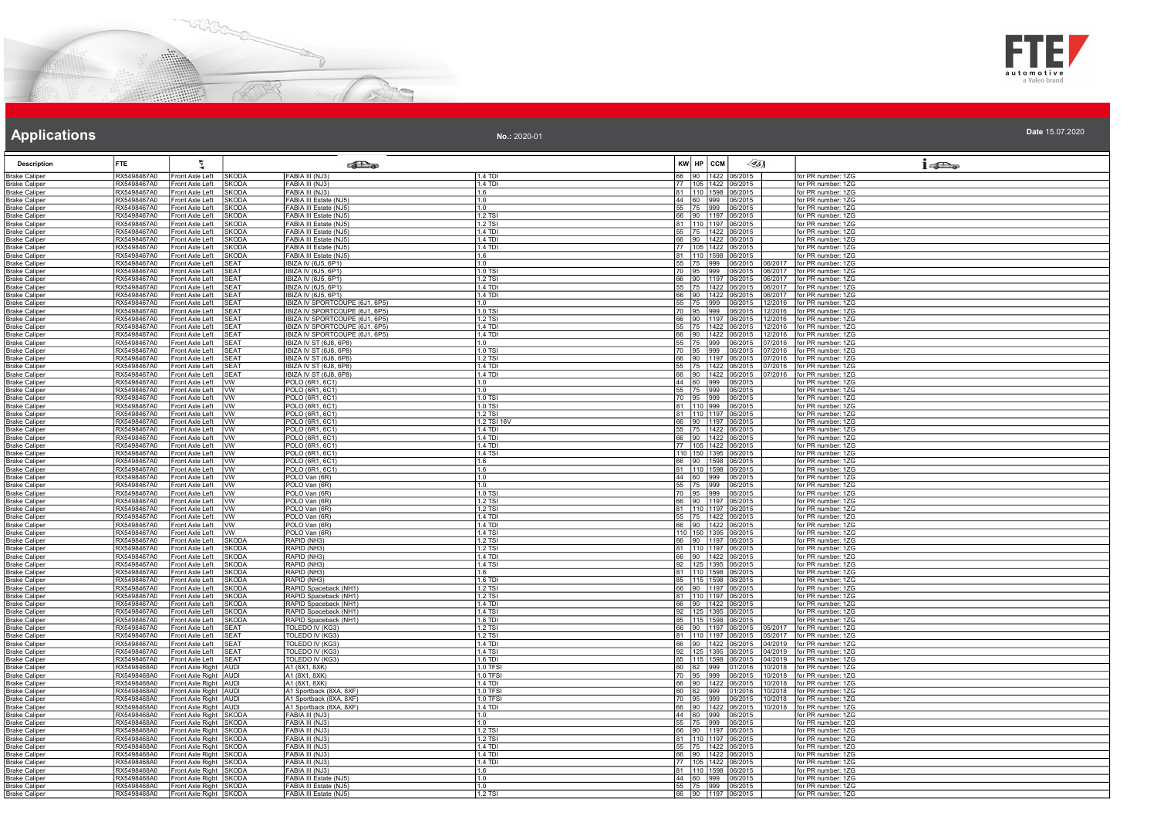



| Applications                                 |                            |                                                  |                              |                                                                  | No.: 2020-01              |                     |                                                                                                                                                                                                                  | Date 15.07.2020                          |
|----------------------------------------------|----------------------------|--------------------------------------------------|------------------------------|------------------------------------------------------------------|---------------------------|---------------------|------------------------------------------------------------------------------------------------------------------------------------------------------------------------------------------------------------------|------------------------------------------|
| <b>Description</b>                           | FTE                        |                                                  |                              | <b>SEL</b> @                                                     |                           | KW HP CCM           | 451                                                                                                                                                                                                              | i                                        |
| <b>Brake Caliper</b>                         | RX5498467A0                | Front Axle Left                                  | <b>SKODA</b>                 | FABIA III (NJ3)                                                  | $1.4$ TDI                 |                     | 66 90 1422 06/2015                                                                                                                                                                                               | for PR number: 1ZG                       |
| <b>Brake Caliper</b>                         | RX5498467A0                | Front Axle Left                                  | <b>SKODA</b>                 | FABIA III (NJ3)                                                  | 1.4 TDI                   |                     | 77 105 1422 06/2015                                                                                                                                                                                              | for PR number: 1ZG                       |
| <b>Brake Caliper</b>                         | RX5498467A0                | Front Axle Left                                  | <b>SKODA</b>                 | FABIA III (NJ3)                                                  | 1.6                       |                     | 81 10 1598 06/2015                                                                                                                                                                                               | for PR number: 1ZG                       |
| <b>Brake Caliper</b>                         | RX5498467A0                | Front Axle Left                                  | <b>SKODA</b>                 | FABIA III Estate (NJ5)                                           | 1.0                       |                     | 44 60 999 06/2015<br>55 75 999 06/2015                                                                                                                                                                           | for PR number: 1ZG                       |
| <b>Brake Caliper</b>                         | RX5498467A0                | Front Axle Left                                  | <b>SKODA</b>                 | FABIA III Estate (NJ5)                                           | 1 ۵                       |                     |                                                                                                                                                                                                                  | for PR number: 1ZG                       |
| <b>Brake Caliper</b>                         | RX5498467A0<br>RX5498467A0 | Front Axle Left                                  | <b>SKODA</b>                 | FABIA III Estate (NJ5)                                           | 1.2 TSI                   |                     | 66 90 1197 06/2015                                                                                                                                                                                               | for PR number: 1ZG                       |
| <b>Brake Caliper</b><br><b>Brake Caliper</b> | RX5498467A0                | Front Axle Left<br>ront Axle Left                | <b>SKODA</b><br><b>SKODA</b> | FABIA III Estate (NJ5)<br>FABIA III Estate (NJ5)                 | 1.2 TSI<br>1.4 TDI        |                     | 81 110 1197 06/2015                                                                                                                                                                                              | for PR number: 1ZG<br>for PR number: 1ZG |
| <b>Brake Caliper</b>                         | RX5498467A0                | ront Axle Left                                   | <b>SKODA</b>                 | FABIA III Estate (NJ5)                                           | 14 TD                     |                     | 55 75 1422 06/2015<br>66 90 1422 06/2015                                                                                                                                                                         | for PR number: 1ZG                       |
| <b>Brake Caliper</b>                         | RX5498467A0                | Front Axle Left                                  | <b>SKODA</b>                 | FABIA III Estate (NJ5)                                           | 1.4 TDI                   |                     | 77 105 1422 06/2015                                                                                                                                                                                              | for PR number: 1ZG                       |
| <b>Brake Caliper</b>                         | RX5498467A0                | Front Axle Left                                  | <b>SKODA</b>                 | FABIA III Estate (NJ5)                                           | 11.6                      |                     | 81   110   1598   06/2015                                                                                                                                                                                        | for PR number: 1ZG                       |
| <b>Brake Caliper</b>                         | RX5498467A0                | Front Axle Left                                  | <b>SFAT</b>                  | IBIZA IV (6J5, 6P1)                                              | 1.0                       |                     | 55 75 999 06/2015<br>70 95 999 06/2015<br>06/2017                                                                                                                                                                | for PR number: 1ZG                       |
| <b>Brake Caliper</b>                         | RX5498467A0                | ront Axle Left                                   | <b>SEAT</b>                  | IBIZA IV (6J5, 6P1)                                              | 1.0 TSI                   |                     | 06/2015<br>06/2017                                                                                                                                                                                               | for PR number: 1ZG                       |
| <b>Brake Caliper</b>                         | RX5498467A0                | Front Axle Left                                  | <b>SEAT</b>                  | <b>IBIZA IV (6J5, 6P1)</b>                                       | 1.2 TSI                   |                     | 66 90 1197 06/2015<br>06/2017                                                                                                                                                                                    | for PR number: 1ZG                       |
| <b>Brake Caliper</b>                         | RX5498467A0                | ront Axle Left                                   | <b>SEAT</b>                  | IBIZA IV (6J5, 6P1)                                              | 1.4 TDI                   |                     | 55 75 1422 06/2015<br>06/2017                                                                                                                                                                                    | for PR number: 1ZG                       |
| <b>Brake Caliper</b>                         | RX5498467A0                | ront Axle Left                                   | <b>SFAT</b>                  | <b>IBIZA IV (6J5, 6P1)</b>                                       | $1.4$ TDI                 | 66 90 1422          | 16/2017<br>06/2015                                                                                                                                                                                               | for PR number: 1ZG                       |
| <b>Brake Caliper</b>                         | RX5498467A0<br>RX5498467A0 | ront Axle Left                                   | <b>SEAT</b>                  | IBIZA IV SPORTCOUPE (6J1, 6P5                                    | 1 <sub>0</sub><br>1.0 TSI |                     | 06/2015<br>12/2016                                                                                                                                                                                               | for PR number: 1ZG                       |
| <b>Brake Caliper</b>                         | RX5498467A0                | Front Axle Left<br>Front Axle Left               | <b>SEAT</b><br><b>SEAT</b>   | IBIZA IV SPORTCOUPE (6J1, 6P5)<br>IBIZA IV SPORTCOUPE (6J1, 6P5) | 1.2 TSI                   | 70 95 999           | 06/2015<br>12/2016<br>66 90 1197 06/2015<br>12/2016                                                                                                                                                              | for PR number: 1ZG<br>for PR number: 1ZG |
| <b>Brake Caliper</b>                         | RX5498467A0                | Front Axle Left                                  | <b>ISFAT</b>                 | IBIZA IV SPORTCOUPE (6J1, 6P5)                                   | 1.4 TDI                   |                     | 06/2015<br>12/2016                                                                                                                                                                                               | for PR number: 1ZG                       |
| <b>Brake Caliper</b><br><b>Brake Caliper</b> | RX5498467A0                | Front Axle Left                                  | <b>SEAT</b>                  | IBIZA IV SPORTCOUPE (6J1, 6P5                                    | 1.4 TDI                   | 55 75 1422<br>66 90 | 1422<br>06/2015<br>12/2016                                                                                                                                                                                       | for PR number: 1ZG                       |
| <b>Brake Caliper</b>                         | RX5498467A0                | Front Axle Left                                  | <b>SFAT</b>                  | IBIZA IV ST (6J8, 6P8)                                           | 1.0                       |                     | 55 75 999 06/2015<br>07/2016                                                                                                                                                                                     | for PR number: 1ZG                       |
| <b>Brake Caliper</b>                         | RX5498467A0                | Front Axle Left                                  | SFAT                         | IBIZA IV ST (6J8, 6P8)                                           | $1.0$ TSI                 | 70 95               | 999 <br>07/2016<br>06/2015                                                                                                                                                                                       | for PR number: 1ZG                       |
| <b>Brake Caliper</b>                         | RX5498467A0                | Front Axle Left                                  | <b>ISFAT</b>                 | IBIZA IV ST (6J8, 6P8)                                           | 1 2 TSI                   |                     | 66 90 1197 06/2015<br>07/2016                                                                                                                                                                                    | for PR number: 17G                       |
| <b>Brake Caliper</b>                         | RX5498467A0                | ront Axle Left                                   | SEAT                         | IBIZA IV ST (6J8, 6P8)                                           | $1.4$ TDI                 | 55 75               | 1422<br>06/2015<br>07/2016                                                                                                                                                                                       | for PR number: 1ZG                       |
| <b>Brake Caliper</b>                         | RX5498467A0                | Front Axle Left                                  | SEAT                         | IBIZA IV ST (6J8, 6P8)                                           | $1.4$ TDI                 |                     | 66 90 1422 06/2015<br>07/2016                                                                                                                                                                                    | for PR number: 1ZG                       |
| <b>Brake Caliper</b>                         | RX5498467A0                | Front Axle Left                                  | <b>I</b> w                   | POLO (6R1, 6C1)                                                  | 1.0                       |                     | 44 60 999 06/2015                                                                                                                                                                                                | for PR number: 1ZG                       |
| <b>Brake Caliper</b>                         | RX5498467A0                | Front Axle Left                                  | <b>IVW</b>                   | POLO (6R1, 6C1)                                                  | 1.0                       |                     | 55 75 999 06/2015                                                                                                                                                                                                | for PR number: 1ZG                       |
| <b>Brake Caliper</b>                         | RX5498467A0                | ront Axle Left                                   | Ivw                          | POLO (6R1, 6C1)<br>POLO (6R1, 6C1)                               | 1.0 TSI                   |                     |                                                                                                                                                                                                                  | for PR number: 1ZG                       |
| <b>Brake Caliper</b>                         | RX5498467A0                | Front Axle Left                                  | Tvw                          |                                                                  | 1.0 TSI                   |                     | $\begin{array}{ c c c c c c c c c } \hline \rule{0pt}{2.2ex}70 & 95 & 999 & 06/2015 \\\hline \rule{0pt}{2.2ex}81 & 110 & 999 & 06/2015 \\\hline \rule{0pt}{2.2ex}81 & 110 & 1197 & 06/2015 \\\hline \end{array}$ | for PR number: 1ZG                       |
| <b>Brake Caliper</b>                         | RX5498467A0                | Front Axle Left                                  | $\overline{\mathsf{w}}$      | POLO (6R1, 6C1)                                                  | 1.2 TSI                   |                     |                                                                                                                                                                                                                  | for PR number: 1ZG                       |
| <b>Brake Caliper</b><br><b>Brake Caliper</b> | RX5498467A0<br>RX5498467A0 | ront Axle Left<br>ront Axle Left                 | <b>IVW</b><br>Ivw            | POLO (6R1, 6C1)<br>POLO (6R1, 6C1)                               | 1.2 TSI 16V<br>$1.4$ TDI  |                     | 66 90 1197 06/2015                                                                                                                                                                                               | for PR number: 1ZG<br>for PR number: 1ZG |
| <b>Brake Caliper</b>                         | RX5498467A0                | ront Axle Left                                   | vw                           | POLO (6R1, 6C1)                                                  | 1.4 TDI                   |                     | 55 75 1422 06/2015<br>66 90 1422 06/2015                                                                                                                                                                         | for PR number: 1ZG                       |
| <b>Brake Caliper</b>                         | RX5498467A0                | Front Axle Left                                  | <b>W</b>                     | POLO (6R1, 6C1)                                                  | 1.4 TDI                   |                     | 77 105 1422 06/2015                                                                                                                                                                                              | for PR number: 1ZG                       |
| <b>Brake Caliper</b>                         | RX5498467A0                | Front Axle Left   VW                             |                              | POLO (6R1, 6C1)                                                  | 1.4 TSI                   |                     | 110 150 1395 06/2015                                                                                                                                                                                             | for PR number: 1ZG                       |
| <b>Brake Caliper</b>                         | RX5498467A0                | ront Axle Left                                   | <b>IVW</b>                   | POLO (6R1, 6C1)                                                  | 1.6                       |                     |                                                                                                                                                                                                                  | for PR number: 1ZG                       |
| <b>Brake Caliper</b>                         | RX5498467A0                | Front Axle Left                                  | <b>I</b> W                   | POLO (6R1, 6C1)                                                  | 1.6                       |                     | 66 90 1598 06/2015<br>81 110 1598 06/2015                                                                                                                                                                        | for PR number: 1ZG                       |
| <b>Brake Caliper</b>                         | RX5498467A0                | Front Axle Left                                  | <b>Tww</b>                   | POLO Van (6R)                                                    | 1.0                       |                     | 44 60 999 06/2015                                                                                                                                                                                                | for PR number: 1ZG                       |
| <b>Brake Caliper</b>                         | RX5498467A0                | Front Axle Left                                  | <b>IVW</b>                   | POLO Van (6R)                                                    | 11.0                      |                     | 55 75 999 06/2015                                                                                                                                                                                                | for PR number: 1ZG                       |
| <b>Brake Caliper</b>                         | RX5498467A0                | Front Axle Left                                  | <b>IVW</b>                   | POLO Van (6R)                                                    | $1.0$ TSI                 |                     | 70 95 999 06/2015                                                                                                                                                                                                | for PR number: 17G                       |
| <b>Brake Caliper</b>                         | RX5498467A0                | ront Axle Left                                   | Iw                           | POLO Van (6R)                                                    | 1.2 TSI                   |                     | 66 90 1197 06/2015                                                                                                                                                                                               | for PR number: 1ZG                       |
| <b>Brake Caliper</b>                         | RX5498467A0                | Front Axle Left                                  | <b>IWW</b>                   | POLO Van (6R)                                                    | 1.2 TSI                   |                     | 81 110 1197 06/2015                                                                                                                                                                                              | for PR number: 1ZG                       |
| <b>Brake Caliper</b>                         | RX5498467A0<br>RX5498467A0 | Front Axle Left                                  | <b>IVW</b>                   | POLO Van (6R)                                                    | $1.4$ TDI<br>1.4 TDI      |                     | 55 75 1422 06/2015                                                                                                                                                                                               | for PR number: 1ZG                       |
| <b>Brake Caliper</b>                         |                            | Front Axle Left                                  | <b>IVW</b><br>lww            | POLO Van (6R)                                                    | 1.4 TSI                   |                     | 66 90 1422 06/2015                                                                                                                                                                                               | for PR number: 1ZG<br>for PR number: 1ZG |
| <b>Brake Caliper</b><br><b>Brake Caliper</b> | RX5498467A0<br>RX5498467A0 | ront Axle Left<br>Front Axle Left                | SKODA                        | POLO Van (6R)<br>RAPID (NH3)                                     | 1.2 TSI                   |                     | 110 150 1395 06/2015<br>66 90 1197 06/2015                                                                                                                                                                       | for PR number: 1ZG                       |
| <b>Brake Caliper</b>                         | RX5498467A0                | ront Axle Left                                   | <b>SKODA</b>                 | RAPID (NH3)                                                      | 1.2 TSI                   |                     | 81 110 1197 06/2015                                                                                                                                                                                              | for PR number: 1ZG                       |
| <b>Brake Caliper</b>                         | RX5498467A0                | Front Axle Left                                  | <b>SKODA</b>                 | RAPID (NH3)                                                      | 1.4 TDI                   |                     | 66 90 1422 06/2015                                                                                                                                                                                               | for PR number: 1ZG                       |
| <b>Brake Caliper</b>                         | RX5498467A0                | Front Axle Left                                  | <b>SKODA</b>                 | RAPID (NH3)                                                      | 1.4 TSI                   |                     |                                                                                                                                                                                                                  | for PR number: 1ZG                       |
| <b>Brake Caliper</b>                         | RX5498467A0                | ront Axle Left                                   | <b>SKODA</b>                 | RAPID (NH3)                                                      | 1.6                       |                     | 92 125 1395 06/2015<br>81 110 1598 06/2015                                                                                                                                                                       | for PR number: 1ZG                       |
| <b>Brake Caliper</b>                         | RX5498467A0                | Front Axle Left                                  | <b>SKODA</b>                 | RAPID (NH3)                                                      | 1.6 TDI                   |                     | 85 115 1598 06/2015                                                                                                                                                                                              | for PR number: 1ZG                       |
| <b>Brake Caliper</b>                         | RX5498467A0                | Front Axle Left                                  | <b>SKODA</b>                 | RAPID Spaceback (NH1)                                            | 1.2 TSI                   |                     | 66 90 1197 06/2015                                                                                                                                                                                               | for PR number: 1ZG                       |
| <b>Brake Caliper</b>                         | RX5498467A0                | ront Axle Left                                   | <b>SKODA</b>                 | RAPID Spaceback (NH1                                             | 1.2 TSI                   |                     | 81 110 1197 06/2015<br>66 90 1422 06/2015                                                                                                                                                                        | for PR number: 1ZG                       |
| <b>Brake Caliper</b>                         | RX5498467A0                | Front Axle Left                                  | SKODA                        | RAPID Spaceback (NH1)                                            | $1.4$ TDI                 |                     |                                                                                                                                                                                                                  | for PR number: 1ZG                       |
| <b>Brake Caliper</b>                         | RX5498467A0                | Front Axle Left                                  | <b>SKODA</b>                 | RAPID Spaceback (NH1)                                            | <b>1.4 TSI</b>            |                     | 92 125 1395 06/2015                                                                                                                                                                                              | for PR number: 1ZG                       |
| <b>Brake Caliper</b>                         | RX5498467A0                | ront Axle Left                                   | <b>SKODA</b>                 | RAPID Spaceback (NH1)                                            | 1.6 TDI                   |                     | 85   115   1598   06/2015                                                                                                                                                                                        | for PR number: 1ZG                       |
| <b>Brake Caliper</b>                         | RX5498467A0<br>RX5498467A0 | ront Axle Left<br>ront Axle Left                 | <b>SEAT</b><br><b>SEAT</b>   | TOLEDO IV (KG3)<br>TOLEDO IV (KG3)                               | 1.2 TSI<br>1.2 TSI        | 81 110 1197         | 66  90  1197  06/2015<br>05/2017<br>06/2015<br>05/2017                                                                                                                                                           | for PR number: 1ZG<br>for PR number: 1ZG |
| <b>Brake Caliper</b><br><b>Brake Caliper</b> | RX5498467A0                | Front Axle Left                                  | <b>ISEAT</b>                 | TOLEDO IV (KG3)                                                  | $1.4$ TDI                 |                     | 66 90 1422 06/2015<br>04/2019                                                                                                                                                                                    | for PR number: 17G                       |
| <b>Brake Caliper</b>                         | RX5498467A0                | ront Axle Left                                   | <b>SFAT</b>                  | TOLEDO IV (KG3)                                                  | 1.4 TSI                   |                     | 92 125 1395 06/2015<br>04/2019                                                                                                                                                                                   | for PR number: 1ZG                       |
| <b>Brake Caliper</b>                         | RX5498467A0                | Front Axle Left                                  | <b>SEAT</b>                  | TOLEDO IV (KG3)                                                  | 1.6 TD                    | 85   115   1598     | 04/2019<br>06/2015                                                                                                                                                                                               | for PR number: 1ZG                       |
| <b>Brake Caliper</b>                         | RX5498468A0                | ront Axle Right   AUDI                           |                              | A1 (8X1, 8XK)                                                    | 1.0 TFS                   | 60 82 999           | 01/2016<br>10/2018                                                                                                                                                                                               | for PR number: 1ZG                       |
| <b>Brake Caliper</b>                         | RX5498468A0                | Front Axle Right AUDI                            |                              | A1 (8X1, 8XK)                                                    | 1.0 TFS                   | 70 95 999           | 06/2015<br>10/2018                                                                                                                                                                                               | for PR number: 1ZG                       |
| <b>Brake Caliper</b>                         | RX5498468A0                | Front Axle Right   AUDI                          |                              | A1 (8X1, 8XK)                                                    | 1.4 TDI                   |                     | 66 90 1422 06/2015<br>10/2018                                                                                                                                                                                    | for PR number: 1ZG                       |
| <b>Brake Caliper</b>                         | RX5498468A0                | Front Axle Right AUDI                            |                              | A1 Sportback (8XA, 8XF)                                          | $1.0$ TFS                 | 60 82 999           | 10/2018<br>01/2016                                                                                                                                                                                               | for PR number: 1ZG                       |
| <b>Brake Caliper</b>                         | RX5498468A0                | ront Axle Right AUDI                             |                              | A1 Sportback (8XA, 8XF)                                          | 1.0 TFS                   | 70 95               | 999 <br>06/2015<br>0/2018                                                                                                                                                                                        | for PR number: 1ZG                       |
| <b>Brake Caliper</b>                         | RX5498468A0                | Front Axle Right AUDI                            |                              | A1 Sportback (8XA, 8XF)                                          | $1.4$ TDI                 |                     | 66 90 1422 06/2015<br>10/2018                                                                                                                                                                                    | for PR number: 1ZG                       |
| <b>Brake Caliper</b>                         | RX5498468A0                | Front Axle Right SKODA                           |                              | FABIA III (NJ3)                                                  | 1.0                       |                     | 44 60 999 06/2015                                                                                                                                                                                                | for PR number: 1ZG                       |
| <b>Brake Caliper</b>                         | RX5498468A0                | Front Axle Right SKODA<br>ront Axle Right SKODA  |                              | FABIA III (NJ3)                                                  | 11.0                      |                     | 55 75 999 06/2015                                                                                                                                                                                                | for PR number: 1ZG<br>for PR number: 1ZG |
| <b>Brake Caliper</b>                         | RX5498468A0                |                                                  |                              | FABIA III (NJ3)                                                  | 1.2 TSI                   |                     |                                                                                                                                                                                                                  |                                          |
| <b>Brake Caliper</b><br><b>Brake Caliper</b> | RX5498468A0<br>RX5498468A0 | Front Axle Right SKODA<br>Front Axle Right SKODA |                              | FABIA III (NJ3)<br>FABIA III (NJ3)                               | 1.2 TSI<br>1.4 TDI        |                     | 66 90 1197 06/2015<br>81 110 1197 06/2015<br>55 75 1422 06/2015                                                                                                                                                  | for PR number: 1ZG<br>for PR number: 1ZG |
| <b>Brake Caliper</b>                         | RX5498468A0                | Front Axle Right SKODA                           |                              | FABIA III (NJ3)                                                  | 1.4 TDI                   |                     | 66 90 1422 06/2015                                                                                                                                                                                               | for PR number: 1ZG                       |
| <b>Brake Caliper</b>                         | RX5498468A0                | ront Axle Right SKODA                            |                              | FABIA III (NJ3)                                                  | $1.4$ TDI                 |                     |                                                                                                                                                                                                                  | for PR number: 1ZG                       |
| <b>Brake Caliper</b>                         | RX5498468A0                | Front Axle Right SKODA                           |                              | FABIA III (NJ3)                                                  | 1.6                       |                     |                                                                                                                                                                                                                  | for PR number: 1ZG                       |
| <b>Brake Caliper</b>                         | RX5498468A0                | Front Axle Right SKODA                           |                              | FABIA III Estate (NJ5)                                           | 1.0                       |                     | 44 60 999 06/2015                                                                                                                                                                                                | for PR number: 1ZG                       |
| <b>Brake Caliper</b>                         | RX5498468A0                | Front Axle Right SKODA                           |                              | FABIA III Estate (NJ5)                                           | 1.0                       |                     | 55 75 999 06/2015                                                                                                                                                                                                | for PR number: 1ZG                       |
| <b>Brake Caliper</b>                         | RX5498468A0                | Front Axle Right SKODA                           |                              | FABIA III Estate (NJ5                                            | $1.2$ TS                  |                     | 66 90 1197 06/2015                                                                                                                                                                                               | for PR number: 17G                       |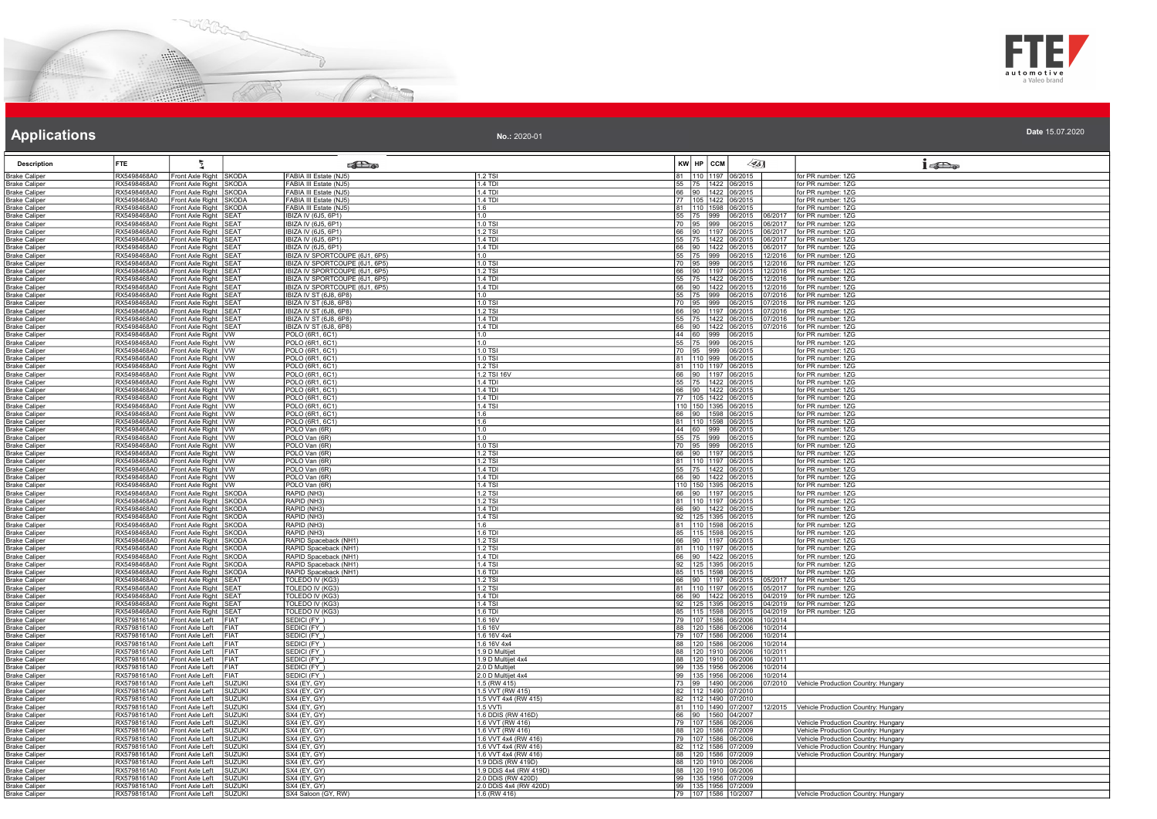



| No.: 2020-01 | Date 15.07.2020 |
|--------------|-----------------|
|              |                 |

| <b>Description</b>                           | <b>FTE</b>                 |                                                |                                | <b>SET a</b>                                             |                                              | KW HP CCM |                                                  | $\sqrt{351}$ |                    | 15D <sub>o</sub>                                                           |
|----------------------------------------------|----------------------------|------------------------------------------------|--------------------------------|----------------------------------------------------------|----------------------------------------------|-----------|--------------------------------------------------|--------------|--------------------|----------------------------------------------------------------------------|
| <b>Brake Caliper</b>                         | RX5498468A0                | Front Axle Right SKODA                         |                                | FABIA III Estate (NJ5                                    | 1.2 TSI                                      |           | 81 110 1197 06/2015                              |              |                    | for PR number: 1ZG                                                         |
| <b>Brake Caliper</b>                         | RX5498468A0                | Front Axle Right SKODA                         |                                | FABIA III Estate (NJ5)                                   | 1.4 TDI                                      |           | 55 75 1422 06/2015                               |              |                    | for PR number: 1ZG                                                         |
| <b>Brake Caliper</b>                         | RX5498468A0                | Front Axle Right SKODA                         |                                | FABIA III Estate (NJ5)                                   | $1.4$ TDI                                    |           | 66 90 1422 06/2015                               |              |                    | for PR number: 1ZG                                                         |
| <b>Brake Caliper</b><br><b>Brake Caliper</b> | RX5498468A0<br>RX5498468A0 | Front Axle Right SKODA<br>Front Axle Right     | <b>ISKODA</b>                  | FABIA III Estate (NJ5)<br>FABIA III Estate (NJ5)         | 1.4 TDI<br>1.6                               |           | 77 105 1422 06/2015<br>81 110 1598 06/2015       |              |                    | for PR number: 1ZG<br>for PR number: 1ZG                                   |
| <b>Brake Caliper</b>                         | RX5498468A0                | Front Axle Right SEAT                          |                                | IBIZA IV (6J5, 6P1)                                      | 1.0                                          |           | 55 75 999 06/2015                                |              | 06/2017            | for PR number: 1ZG                                                         |
| <b>Brake Caliper</b>                         | RX5498468A0                | Front Axle Right SEAT                          |                                | IBIZA IV (6J5, 6P1)                                      | 1.0 TSI                                      |           | 70 95 999 06/2015                                |              | 06/2017            | for PR number: 1ZG                                                         |
| <b>Brake Caliper</b>                         | RX5498468A0                | Front Axle Right SEAT                          |                                | IBIZA IV (6J5, 6P1)                                      | 1.2 TSI                                      |           | 66 90 1197 06/2015                               |              | 06/2017            | for PR number: 1ZG                                                         |
| <b>Brake Caliper</b>                         | RX5498468A0<br>RX5498468A0 | Front Axle Right SEAT                          |                                | IBIZA IV (6J5, 6P1)                                      | 1.4 TDI<br>1.4 TDI                           |           | 55 75 1422 06/2015                               |              | 06/2017            | for PR number: 1ZG<br>for PR number: 1ZG                                   |
| <b>Brake Caliper</b><br><b>Brake Caliper</b> | RX5498468A0                | Front Axle Right SEAT<br>Front Axle Right SEAT |                                | IBIZA IV (6J5, 6P1)<br>IBIZA IV SPORTCOUPE (6J1, 6P5)    | 1.0                                          |           | 66 90 1422 06/2015                               |              | 06/2017<br>12/2016 | for PR number: 1ZG                                                         |
| <b>Brake Caliper</b>                         | RX5498468A0                | Front Axle Right SEAT                          |                                | IBIZA IV SPORTCOUPE (6J1, 6P5)                           | 1.0 TSI                                      |           | 55 75 999 06/2015<br>70 95 999 06/2015           |              | 12/2016            | for PR number: 1ZG                                                         |
| <b>Brake Caliper</b>                         | RX5498468A0                | Front Axle Right SEAT                          |                                | IBIZA IV SPORTCOUPE (6J1, 6P5)                           | 1.2 TSI                                      |           | 66 90 1197 06/2015                               |              | 12/2016            | for PR number: 1ZG                                                         |
| <b>Brake Caliper</b>                         | RX5498468A0                | Front Axle Right SEAT                          |                                | IBIZA IV SPORTCOUPE (6J1, 6P5)                           | 1.4 TDI                                      |           | 55 75 1422 06/2015                               |              | 12/2016            | for PR number: 1ZG                                                         |
| <b>Brake Caliper</b><br><b>Brake Caliper</b> | RX5498468A0<br>RX5498468A0 | Front Axle Right SEAT<br>Front Axle Right SEAT |                                | IBIZA IV SPORTCOUPE (6J1, 6P5)<br>IBIZA IV ST (6J8, 6P8) | 1.4 TDI<br>1.0                               |           | 66 90 1422 06/2015<br>55 75 999 06/2015          |              | 12/2016<br>7/2016  | for PR number: 1ZG<br>for PR number: 1ZG                                   |
| <b>Brake Caliper</b>                         | RX5498468A0                | Front Axle Right SEAT                          |                                | IBIZA IV ST (6J8, 6P8)                                   | 1.0 TSI                                      |           | 70 95 999 06/2015                                |              | 7/2016             | for PR number: 1ZG                                                         |
| <b>Brake Caliper</b>                         | RX5498468A0                | Front Axle Right                               | <b>SEAT</b>                    | IBIZA IV ST (6J8, 6P8)                                   | $1.2$ TSI                                    |           | 66 90 1197 06/2015                               |              | 7/2016             | for PR number: 1ZG                                                         |
| <b>Brake Caliper</b>                         | RX5498468A0                | Front Axle Right SEAT                          |                                | IBIZA IV ST (6J8, 6P8)                                   | 1.4 TDI                                      |           | 55 75 1422 06/2015                               |              | 07/2016            | for PR number: 1ZG                                                         |
| <b>Brake Caliper</b>                         | RX5498468A0                | Front Axle Right SEAT                          |                                | IBIZA IV ST (6J8, 6P8)                                   | $1.4$ TDI                                    |           | 66 90 1422 06/2015                               |              | 7/2016             | for PR number: 1ZG                                                         |
| Brake Caliper<br><b>Brake Caliper</b>        | RX5498468A0<br>RX5498468A0 | Front Axle Right VW<br>Front Axle Right VW     |                                | POLO (6R1, 6C1)<br>POLO (6R1, 6C1)                       | 1.0<br>1.0                                   |           | 44 60 999 06/2015<br>55 75 999 06/2015           |              |                    | or PR number: 1ZG<br>for PR number: 1ZG                                    |
| <b>Brake Caliper</b>                         | RX5498468A0                | Front Axle Right VW                            |                                | POLO (6R1, 6C1)                                          | 1.0 TSI                                      |           | 70 95 999 06/2015                                |              |                    | for PR number: 1ZG                                                         |
| <b>Brake Caliper</b>                         | RX5498468A0                | Front Axle Right VW                            |                                | POLO (6R1, 6C1)                                          | 1.0 TSI                                      |           | 81 110 999 06/2015                               |              |                    | for PR number: 1ZG                                                         |
| <b>Brake Caliper</b>                         | RX5498468A0                | Front Axle Right   VW                          |                                | POLO (6R1, 6C1)                                          | $1.2$ TSI                                    |           | 81 110 1197 06/2015                              |              |                    | for PR number: 1ZG                                                         |
| Brake Caliper                                | RX5498468A0                | Front Axle Right VW                            |                                | POLO (6R1, 6C1)                                          | 1.2 TSI 16V                                  |           | 66 90 1197 06/2015                               |              |                    | for PR number: 1ZG                                                         |
| <b>Brake Caliper</b>                         | RX5498468A0<br>RX5498468A0 | Front Axle Right VW                            |                                | POLO (6R1, 6C1)<br>POLO (6R1, 6C1)                       | $1.4$ TDI<br>$1.4$ TDI                       |           | 55 75 1422 06/2015                               |              |                    | for PR number: 1ZG                                                         |
| <b>Brake Caliper</b><br><b>Brake Caliper</b> | RX5498468A0                | Front Axle Right VW<br>Front Axle Right VW     |                                | POLO (6R1, 6C1)                                          | 1.4 TDI                                      |           | 66 90 1422 06/2015<br>77 105 1422 06/2015        |              |                    | for PR number: 1ZG<br>for PR number: 1ZG                                   |
| <b>Brake Caliper</b>                         | RX5498468A0                | Front Axle Right   VW                          |                                | POLO (6R1, 6C1)                                          | <b>1.4 TSI</b>                               |           | 110 150 1395 06/2015                             |              |                    | for PR number: 1ZG                                                         |
| <b>Brake Caliper</b>                         | RX5498468A0                | Front Axle Right VW                            |                                | POLO (6R1, 6C1)                                          | 1.6                                          |           | 66 90 1598 06/2015                               |              |                    | for PR number: 1ZG                                                         |
| <b>Brake Caliper</b>                         | RX5498468A0                | Front Axle Right VW                            |                                | POLO (6R1, 6C1)                                          | 1.6                                          |           | 81 110 1598 06/2015                              |              |                    | for PR number: 1ZG                                                         |
| <b>Brake Caliper</b>                         | RX5498468A0<br>RX5498468A0 | Front Axle Right VW<br>Front Axle Right VW     |                                | POLO Van (6R)<br>POLO Van (6R)                           | 1.0                                          |           | 44 60 999 06/2015<br>55 75 999 06/2015           |              |                    | for PR number: 1ZG<br>for PR number: 1ZG                                   |
| <b>Brake Caliper</b><br><b>Brake Caliper</b> | RX5498468A0                | Front Axle Right   VW                          |                                | POLO Van (6R)                                            | 1.0<br>1.0 TSI                               |           | 70 95 999 06/2015                                |              |                    | for PR number: 1ZG                                                         |
| <b>Brake Caliper</b>                         | RX5498468A0                | Front Axle Right VW                            |                                | POLO Van (6R)                                            | $1.2$ TSI                                    |           | 66 90 1197 06/2015                               |              |                    | for PR number: 1ZG                                                         |
| <b>Brake Caliper</b>                         | RX5498468A0                | Front Axle Right VW                            |                                | POLO Van (6R)                                            | 1.2 TSI                                      |           | 81 110 1197 06/2015                              |              |                    | for PR number: 1ZG                                                         |
| <b>Brake Caliper</b>                         | RX5498468A0                | Front Axle Right VW                            |                                | POLO Van (6R)                                            | $1.4$ TDI                                    |           | 55 75 1422 06/2015                               |              |                    | for PR number: 1ZG                                                         |
| <b>Brake Caliper</b>                         | RX5498468A0                | Front Axle Right VW                            |                                | POLO Van (6R)                                            | 1.4 TDI                                      |           | 66 90 1422 06/2015                               |              |                    | for PR number: 1ZG                                                         |
| <b>Brake Caliper</b><br><b>Brake Caliper</b> | RX5498468A0<br>RX5498468A0 | Front Axle Right VW<br>Front Axle Right SKODA  |                                | POLO Van (6R)<br>RAPID (NH3)                             | 1.4 TSI<br>$1.2$ TSI                         |           | 110 150 1395 06/2015<br>66 90 1197 06/2015       |              |                    | for PR number: 1ZG<br>for PR number: 1ZG                                   |
| <b>Brake Caliper</b>                         | RX5498468A0                | Front Axle Right SKODA                         |                                | RAPID (NH3)                                              | 1.2 TSI                                      |           | 81 110 1197 06/2015                              |              |                    | for PR number: 1ZG                                                         |
| <b>Brake Caliper</b>                         | RX5498468A0                | Front Axle Right SKODA                         |                                | RAPID (NH3)                                              | $1.4$ TDI                                    |           | 66 90 1422 06/2015                               |              |                    | for PR number: 1ZG                                                         |
| <b>Brake Caliper</b>                         | RX5498468A0                | Front Axle Right SKODA                         |                                | RAPID (NH3)                                              | 1.4 TSI                                      |           | 92 125 1395 06/2015                              |              |                    | for PR number: 1ZG                                                         |
| <b>Brake Caliper</b>                         | RX5498468A0<br>RX5498468A0 | Front Axle Right SKODA<br>Front Axle Right     | <b>SKODA</b>                   | RAPID (NH3)<br>RAPID (NH3)                               | 1.6<br>$1.6$ TDI                             |           | 81   110   1598   06/2015<br>85 115 1598 06/2015 |              |                    | for PR number: 1ZG<br>for PR number: 1ZG                                   |
| <b>Brake Caliper</b><br><b>Brake Caliper</b> | RX5498468A0                | Front Axle Right                               | <b>SKODA</b>                   | RAPID Spaceback (NH1)                                    | $1.2$ TSI<br>66                              |           | 90 1197 06/2015                                  |              |                    | for PR number: 1ZG                                                         |
| <b>Brake Caliper</b>                         | RX5498468A0                | Front Axle Right SKODA                         |                                | RAPID Spaceback (NH1)                                    | 1.2 TSI                                      |           | 81 110 1197 06/2015                              |              |                    | for PR number: 1ZG                                                         |
| <b>Brake Caliper</b>                         | RX5498468A0                | Front Axle Right SKODA                         |                                | RAPID Spaceback (NH1)                                    | 1.4 TDI                                      |           | 66 90 1422 06/2015                               |              |                    | for PR number: 1ZG                                                         |
| <b>Brake Caliper</b>                         | RX5498468A0                | Front Axle Right SKODA                         |                                | RAPID Spaceback (NH1)                                    | 1.4 TSI                                      |           | 92 125 1395 06/2015                              |              |                    | for PR number: 1ZG                                                         |
| <b>Brake Caliper</b><br><b>Brake Caliper</b> | RX5498468A0<br>RX5498468A0 | Front Axle Right SKODA<br>Front Axle Right     | <b>SEAT</b>                    | RAPID Spaceback (NH1)<br>TOLEDO IV (KG3)                 | 1.6 TDI<br>$1.2$ TSI                         |           | 85 115 1598 06/2015<br>90 1197 06/2015           |              | 5/2017             | for PR number: 1ZG<br>for PR number: 1ZG                                   |
| <b>Brake Caliper</b>                         | RX5498468A0                | Front Axle Right SEAT                          |                                | TOLEDO IV (KG3)                                          | 1.2 TSI                                      |           | 81 110 1197 06/2015                              |              | 05/2017            | for PR number: 1ZG                                                         |
| <b>Brake Caliper</b>                         | RX5498468A0                | Front Axle Right SEAT                          |                                | TOLEDO IV (KG3)                                          | 1.4 TDI                                      |           | 66 90 1422 06/2015                               |              | 04/2019            | for PR number: 1ZG                                                         |
| <b>Brake Caliper</b>                         | RX5498468A0                | Front Axle Right SEAT                          |                                | TOLEDO IV (KG3)                                          | <b>1.4 TSI</b>                               |           | 92 125 1395 06/2015                              |              | 04/2019            | for PR number: 1ZG                                                         |
| <b>Brake Caliper</b>                         | RX5498468A0                | Front Axle Right                               | <b>SFAT</b>                    | TOLEDO IV (KG3)                                          | $16$ TDI                                     |           | 85 115 1598 06/2015                              |              | 04/2019            | for PR number: 1ZG                                                         |
| <b>Brake Caliper</b><br><b>Brake Caliper</b> | RX5798161A0<br>RX5798161A0 | Front Axle Left<br>Front Axle Left             | FIAT<br>FIAT                   | SEDICI (FY)<br>SEDICI (FY_)                              | 79<br>1.6 16V<br>1.6 16V                     |           | 107 1586 06/2006<br>88 120 1586 06/2006          |              | 0/2014<br>10/2014  |                                                                            |
| <b>Brake Caliper</b>                         | RX5798161A0                | Front Axle Left                                | <b>FIAT</b>                    | SEDICI (FY)                                              | 1.6 16V 4x4                                  |           | 79 107 1586 06/2006                              |              | 0/2014             |                                                                            |
| <b>Brake Caliper</b>                         | RX5798161A0                | Front Axle Left                                | FIAT                           | SEDICI (FY)                                              | 1.6 16V 4x4                                  |           | 88 120 1586 06/2006                              |              | 10/2014            |                                                                            |
| <b>Brake Caliper</b>                         | RX5798161A0                | Front Axle Left                                | <b>FIAT</b>                    | SEDICI (FY)                                              | 1.9 D Multijet                               |           | 88 120 1910 06/2006                              |              | 10/2011            |                                                                            |
| <b>Brake Caliper</b>                         | RX5798161A0                | Front Axle Left                                | FIAT                           | SEDICI (FY)                                              | 1.9 D Multijet 4x4                           |           | 88 120 1910 06/2006                              |              | 0/2011             |                                                                            |
| <b>Brake Caliper</b>                         | RX5798161A0<br>RX5798161A0 | Front Axle Left<br>Front Axle Left             | FIAT<br><b>FIAT</b>            | SEDICI (FY_)<br>SEDICI (FY)                              | 2.0 D Multijet<br>2.0 D Multijet 4x4         |           | 99 135 1956 06/2006<br>99 135 1956 06/2006       |              | 10/2014<br>0/2014  |                                                                            |
| <b>Brake Caliper</b><br><b>Brake Caliper</b> | RX5798161A0                | Front Axle Left                                | <b>SUZUKI</b>                  | SX4 (EY, GY)                                             | 1.5 (RW 415)                                 |           | 73 99 1490 06/2006                               |              | 07/2010            | Vehicle Production Country: Hungary                                        |
| <b>Brake Caliper</b>                         | RX5798161A0                | Front Axle Left                                | SUZUKI                         | SX4 (EY, GY)                                             | 1.5 VVT (RW 415)                             |           | 82 112 1490 07/2010                              |              |                    |                                                                            |
| <b>Brake Caliper</b>                         | RX5798161A0                | Front Axle Left                                | SUZUKI                         | SX4 (EY, GY)                                             | 1.5 VVT 4x4 (RW 415)                         |           | 82 112 1490 07/2010                              |              |                    |                                                                            |
| <b>Brake Caliper</b>                         | RX5798161A0                | Front Axle Left                                | <b>SUZUKI</b>                  | SX4 (EY, GY)                                             | 1.5 VVTi                                     |           | 81 110 1490 07/2007                              |              |                    | 12/2015 Vehicle Production Country: Hungary                                |
| <b>Brake Caliper</b><br><b>Brake Caliper</b> | RX5798161A0<br>RX5798161A0 | Front Axle Left<br>Front Axle Left             | <b>SUZUKI</b><br><b>SUZUKI</b> | SX4 (EY, GY)<br>SX4 (EY, GY)                             | 1.6 DDIS (RW 416D)<br>1.6 VVT (RW 416)       |           | 66 90 1560 04/2007<br>79 107 1586 06/2006        |              |                    |                                                                            |
| <b>Brake Caliper</b>                         | RX5798161A0                | Front Axle Left                                | SUZUKI                         | SX4 (EY, GY)                                             | 1.6 VVT (RW 416)                             |           | 88   120   1586   07/2009                        |              |                    | Vehicle Production Country: Hungary<br>Vehicle Production Country: Hungary |
| <b>Brake Caliper</b>                         | RX5798161A0                | Front Axle Left                                | Suzuki                         | SX4 (EY, GY)                                             | 1.6 VVT 4x4 (RW 416)                         |           |                                                  |              |                    | Vehicle Production Country: Hungary                                        |
| <b>Brake Caliper</b>                         | RX5798161A0                | Front Axle Left                                | <b>SUZUKI</b>                  | SX4 (EY, GY)                                             | 1.6 VVT 4x4 (RW 416)                         |           | 79 107 1586 06/2006<br>82 112 1586 07/2009       |              |                    | Vehicle Production Country: Hungary                                        |
| <b>Brake Caliper</b>                         | RX5798161A0                | Front Axle Left                                | <b>SUZUKI</b>                  | SX4 (EY, GY)                                             | 1.6 VVT 4x4 (RW 416)                         |           | 88 120 1586 07/2009                              |              |                    | Vehicle Production Country: Hungary                                        |
| <b>Brake Caliper</b>                         | RX5798161A0                | Front Axle Left                                | <b>SUZUKI</b>                  | SX4 (EY, GY)                                             | 1.9 DDiS (RW 419D)                           |           | 88 120 1910 06/2006                              |              |                    |                                                                            |
| <b>Brake Caliper</b><br>Brake Caliper        | RX5798161A0<br>RX5798161A0 | Front Axle Left<br>Front Axle Left             | SUZUKI<br><b>SUZUKI</b>        | SX4 (EY, GY)<br><b>SX4 (EY, GY)</b>                      | 1.9 DDiS 4x4 (RW 419D)<br>2.0 DDiS (RW 420D) |           | 88 120 1910 06/2006<br>99 135 1956 07/2009       |              |                    |                                                                            |
| <b>Brake Caliper</b>                         | RX5798161A0                | Front Axle Left                                | <b>SUZUKI</b>                  | SX4 (EY, GY)                                             | 2.0 DDiS 4x4 (RW 420D)                       |           | 99 135 1956 07/2009                              |              |                    |                                                                            |
| <b>Brake Caliper</b>                         | RX5798161A0                | Front Axle Left                                | <b>SUZUKI</b>                  | SX4 Saloon (GY, RW)                                      | 1.6 (RW 416)                                 |           | 79 107 1586 10/2007                              |              |                    | Vehicle Production Country: Hungary                                        |
|                                              |                            |                                                |                                |                                                          |                                              |           |                                                  |              |                    |                                                                            |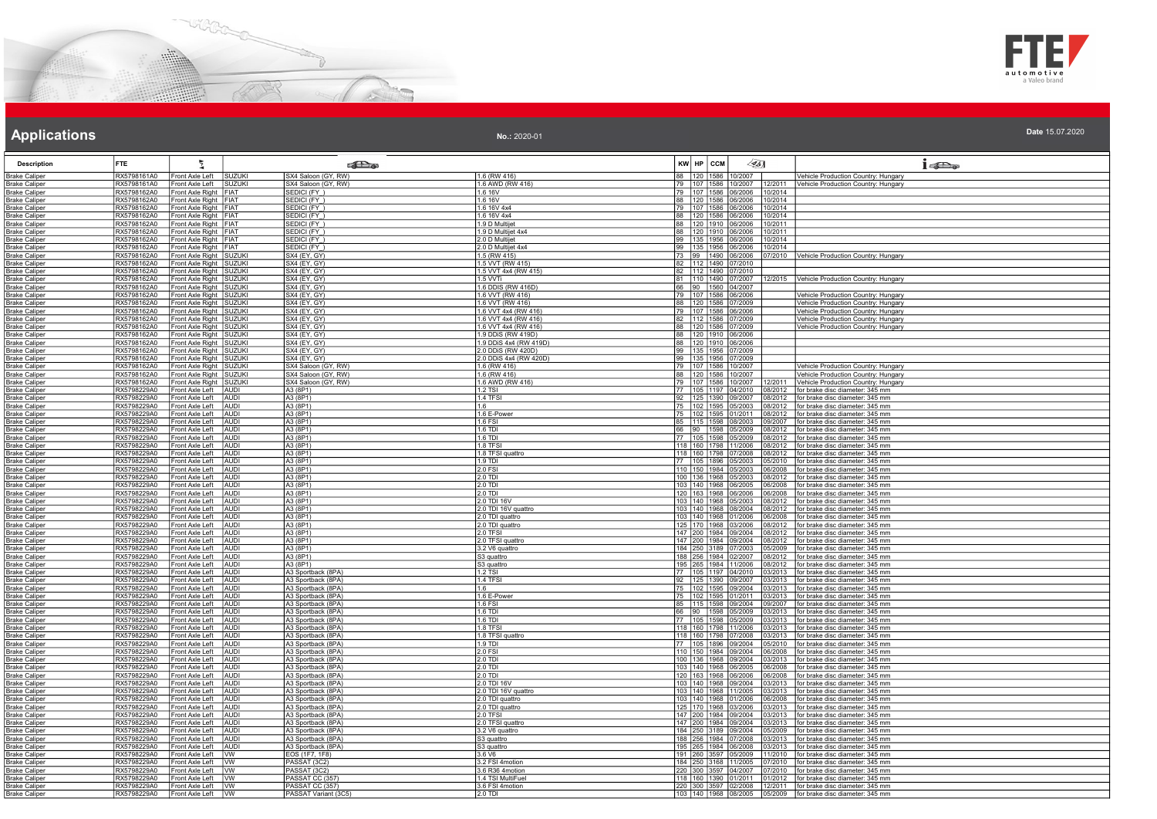



| <b>Description</b>                           | <b>FTE</b>                 | 气                                                  |                            | <b>Extra</b>                             |                                              | KW HP CCM                                    |                  | $\mathscr{A}_{5}$                                                  | $1 - 5$                                                                    |
|----------------------------------------------|----------------------------|----------------------------------------------------|----------------------------|------------------------------------------|----------------------------------------------|----------------------------------------------|------------------|--------------------------------------------------------------------|----------------------------------------------------------------------------|
| <b>Brake Caliper</b>                         | RX5798161A0                | Front Axle Left                                    | SUZUKI                     | SX4 Saloon (GY, RW)                      | 1.6 (RW 416)                                 |                                              | 120 1586 10/2007 |                                                                    | Vehicle Production Country: Hungary                                        |
| <b>Brake Caliper</b>                         | RX5798161A0                | Front Axle Left   SUZUKI                           |                            | SX4 Saloon (GY, RW)                      | 1.6 AWD (RW 416)                             |                                              |                  | 79 107 1586 10/2007 12/2011                                        | Vehicle Production Country: Hungary                                        |
| <b>Brake Caliper</b>                         | RX5798162A0<br>RX5798162A0 | Front Axle Right FIAT                              |                            | <b>SEDICI (FY)</b>                       | 1.6 16V<br>1.6 16V                           |                                              |                  | 79   107   1586   06/2006   10/2014                                |                                                                            |
| <b>Brake Caliper</b><br><b>Brake Caliper</b> | RX5798162A0                | Front Axle Right FIAT<br>Front Axle Right FIAT     |                            | SEDICI (FY_)<br>SEDICI (FY)              | 1.6 16V 4x4                                  |                                              |                  | 88   120   1586   06/2006   10/2014<br>79 107 1586 06/2006 10/2014 |                                                                            |
| <b>Brake Caliper</b>                         | RX5798162A0                | Front Axle Right   FIAT                            |                            | SEDICI (FY)                              | 1.6 16V 4x4                                  |                                              |                  | 88 120 1586 06/2006 10/2014                                        |                                                                            |
| <b>Brake Caliper</b>                         | RX5798162A0                | Front Axle Right FIAT                              |                            | SEDICI (FY)                              | 1.9 D Multijet                               |                                              |                  | 88   120   1910   06/2006   10/2011                                |                                                                            |
| <b>Brake Caliper</b>                         | RX5798162A0                | Front Axle Right FIAT                              |                            | SEDI <u>CI (FY_)</u>                     | 1.9 D Multijet 4x4                           | 88 120 1910 06/2006                          |                  | 10/2011                                                            |                                                                            |
| <b>Brake Caliper</b>                         | RX5798162A0                | Front Axle Right FIAT                              |                            | EDICI (FY)                               | 2.0 D Multijet                               | 99 135 1956 06/2006                          |                  | 10/2014                                                            |                                                                            |
| <b>Brake Caliper</b><br><b>Brake Caliper</b> | RX5798162A0<br>RX5798162A0 | Front Axle Right FIAT<br>Front Axle Right SUZUKI   |                            | SEDICI (FY)<br>SX4 (EY, GY)              | 2.0 D Multijet 4x4<br>1.5 (RW 415)           | 99 135 1956 06/2006<br>73 99 1490 06/2006    |                  | 10/2014<br>07/2010                                                 | Vehicle Production Country: Hungary                                        |
| <b>Brake Caliper</b>                         | RX5798162A0                | Front Axle Right SUZUKI                            |                            | SX4 (EY, GY)                             | 1.5 VVT (RW 415)                             | 82 112 1490 07/2010                          |                  |                                                                    |                                                                            |
| <b>Brake Caliper</b>                         | RX5798162A0                | Front Axle Right SUZUKI                            |                            | SX4 (EY, GY)                             | 1.5 VVT 4x4 (RW 415)                         | 82   112   1490   07/2010                    |                  |                                                                    |                                                                            |
| <b>Brake Caliper</b>                         | RX5798162A0                | Front Axle Right SUZUKI                            |                            | SX4 (EY, GY)                             | 1.5 VVTi                                     | 81 110 1490 07/2007                          |                  |                                                                    | 12/2015 Vehicle Production Country: Hungary                                |
| <b>Brake Caliper</b>                         | RX5798162A0                | Front Axle Right SUZUKI                            |                            | SX4 (EY, GY)                             | 1.6 DDIS (RW 416D)                           | 66 90 1560 04/2007<br>79 107 1586 06/2006    |                  |                                                                    |                                                                            |
| <b>Brake Caliper</b><br><b>Brake Caliper</b> | RX5798162A0<br>RX5798162A0 | Front Axle Right SUZUKI<br>Front Axle Right SUZUKI |                            | SX4 (EY, GY)<br>SX4 (EY, GY)             | 1.6 VVT (RW 416)<br>1.6 VVT (RW 416)         | 88 120 1586 07/2009                          |                  |                                                                    | Vehicle Production Country: Hungary<br>Vehicle Production Country: Hungary |
| <b>Brake Caliper</b>                         | RX5798162A0                | Front Axle Right SUZUKI                            |                            | SX4 (EY, GY)                             | 1.6 VVT 4x4 (RW 416)                         | 79 107 1586 06/2006                          |                  |                                                                    | Vehicle Production Country: Hungary                                        |
| <b>Brake Caliper</b>                         | RX5798162A0                | Front Axle Right SUZUKI                            |                            | SX4 (EY, GY)                             | 1.6 VVT 4x4 (RW 416)                         | 82   112   1586   07/2009                    |                  |                                                                    | Vehicle Production Country: Hungary                                        |
| <b>Brake Caliper</b>                         | RX5798162A0                | Front Axle Right SUZUKI                            |                            | 3X4 (EY, GY)                             | 1.6 VVT 4x4 (RW 416)                         | 88 120 1586 07/2009                          |                  |                                                                    | Vehicle Production Country: Hungary                                        |
| <b>Brake Caliper</b>                         | RX5798162A0<br>RX5798162A0 | Front Axle Right SUZUKI                            |                            | SX4 (EY, GY)                             | 1.9 DDiS (RW 419D)                           | 88 120 1910 06/2006                          |                  |                                                                    |                                                                            |
| <b>Brake Caliper</b><br><b>Brake Caliper</b> | RX5798162A0                | Front Axle Right SUZUKI<br>Front Axle Right SUZUKI |                            | <b>SX4 (EY, GY)</b><br>SX4 (EY, GY)      | 1.9 DDiS 4x4 (RW 419D)<br>2.0 DDIS (RW 420D) | 88 120 1910 06/2006<br>99 135 1956 07/2009   |                  |                                                                    |                                                                            |
| <b>Brake Caliper</b>                         | RX5798162A0                | Front Axle Right SUZUKI                            |                            | SX4 (EY, GY)                             | 2.0 DDiS 4x4 (RW 420D)                       | 99 135 1956 07/2009                          |                  |                                                                    |                                                                            |
| <b>Brake Caliper</b>                         | RX5798162A0                | Front Axle Right SUZUKI                            |                            | SX4 Saloon (GY, RW)                      | 1.6 (RW 416)                                 | 79 107 1586 10/2007                          |                  |                                                                    | Vehicle Production Country: Hungary                                        |
| <b>Brake Caliper</b>                         | RX5798162A0                | Front Axle Right SUZUKI                            |                            | SX4 Saloon (GY, RW)                      | 1.6 (RW 416)                                 | 88 120 1586 10/2007<br>79 107 1586 10/2007   |                  |                                                                    | /ehicle Production Country: Hungary                                        |
| <b>Brake Caliper</b>                         | RX5798162A0                | Front Axle Right SUZUKI                            | AUDI                       | SX4 Saloon (GY, RW)                      | 1.6 AWD (RW 416)                             |                                              |                  | 12/2011                                                            | Vehicle Production Country: Hungary                                        |
| <b>Brake Caliper</b><br><b>Brake Caliper</b> | RX5798229A0<br>RX5798229A0 | Front Axle Left<br>Front Axle Left                 | AUDI                       | A3 (8P1)<br>A3 (8P1)                     | 1.2 TSI<br>1.4 TFSI                          | 77 105 1197 04/2010<br>92 125 1390 09/2007   |                  | 08/2012<br>08/2012                                                 | for brake disc diameter: 345 mm<br>for brake disc diameter: 345 mm         |
| <b>Brake Caliper</b>                         | RX5798229A0                | Front Axle Left                                    | <b>AUDI</b>                | A3 (8P1)                                 | 1.6                                          | 75   102   1595   05/2003                    |                  | 08/2012                                                            | for brake disc diameter: 345 mm                                            |
| <b>Brake Caliper</b>                         | RX5798229A0                | Front Axle Left                                    | <b>AUDI</b>                | A3 (8P1)                                 | 1.6 E-Power                                  |                                              | 102 1595 01/2011 | 08/2012                                                            | for brake disc diameter: 345 mm                                            |
| <b>Brake Caliper</b>                         | RX5798229A0                | Front Axle Left                                    | <b>AUDI</b>                | A3 (8P1)                                 | 1.6 FSI                                      | 115 1598                                     | 08/2003          | 09/2007                                                            | for brake disc diameter: 345 mm                                            |
| <b>Brake Caliper</b><br><b>Brake Caliper</b> | RX5798229A0<br>RX5798229A0 | Front Axle Left<br>Front Axle Left                 | <b>TAUDI</b><br>AUDI       | A3 (8P1)<br>A3 (8P1)                     | $\sqrt{1.6}$ TDI<br>1.6 TDI                  | 66 90 1598 05/2009<br>77 105 1598 05/2009    |                  | 08/2012<br>08/2012                                                 | for brake disc diameter: 345 mm<br>for brake disc diameter: 345 mm         |
| <b>Brake Caliper</b>                         | RX5798229A0                | Front Axle Left                                    | AUDI                       | A3 (8P1)                                 | <b>1.8 TFSI</b>                              | 118 160 1798 11/2006                         |                  | 08/2012                                                            | for brake disc diameter: 345 mm                                            |
| <b>Brake Caliper</b>                         | RX5798229A0                | Front Axle Left                                    | <b>JAUDI</b>               | A3 (8P1)                                 | 11.8 TFSI quattro                            | 118 160 1798 07/2008                         |                  | 08/2012                                                            | for brake disc diameter: 345 mm                                            |
| <b>Brake Caliper</b>                         | RX5798229A0                | Front Axle Left                                    | <b>AUDI</b>                | A3 (8P1)                                 | $1.9$ TDI                                    | 77 105 1896 05/2003                          |                  | 05/2010                                                            | for brake disc diameter: 345 mm                                            |
| <b>Brake Caliper</b><br><b>Brake Caliper</b> | RX5798229A0<br>RX5798229A0 | Front Axle Left<br>Front Axle Left                 | AUDI<br><b>AUDI</b>        | A3 (8P1)<br>A3 (8P1)                     | 2.0 FSI<br>2.0 TDI                           | 110 150 1984 05/2003<br>100 136 1968 05/2003 |                  | 06/2008<br>08/2012                                                 | for brake disc diameter: 345 mm<br>for brake disc diameter: 345 mm         |
| <b>Brake Caliper</b>                         | RX5798229A0                | Front Axle Left                                    | AUDI                       | A3 (8P1)                                 | 2.0 TDI                                      | 103 140 1968 06/2005                         |                  | 06/2008                                                            | for brake disc diameter: 345 mm                                            |
| <b>Brake Caliper</b>                         | RX5798229A0                | Front Axle Left                                    | <b>AUDI</b>                | A3 (8P1)                                 | 2.0 TDI                                      | 120   163   1968   06/2006                   |                  | 06/2008                                                            | for brake disc diameter: 345 mm                                            |
| <b>Brake Caliper</b>                         | RX5798229A0                | Front Axle Left                                    | AUDI                       | A3 (8P1)                                 | 2.0 TDI 16V                                  | 103 140 1968 05/2003                         |                  | 08/2012                                                            | for brake disc diameter: 345 mm                                            |
| <b>Brake Caliper</b><br><b>Brake Caliper</b> | RX5798229A0<br>RX5798229A0 | Front Axle Left<br>Front Axle Left                 | <b>AUDI</b><br><b>AUDI</b> | A3 (8P1)<br>A3 (8P1)                     | 2.0 TDI 16V quattro<br>2.0 TDI quattro       | 103 140 1968 08/2004<br>103 140 1968 01/2006 |                  | 08/2012<br>06/2008                                                 | for brake disc diameter: 345 mm<br>for brake disc diameter: 345 mm         |
| <b>Brake Caliper</b>                         | RX5798229A0                | Front Axle Left                                    | <b>AUDI</b>                | A3 (8P1)                                 | 2.0 TDI quattro                              | 125 170 1968                                 | 03/2006          | 08/2012                                                            | for brake disc diameter: 345 mm                                            |
| <b>Brake Caliper</b>                         | RX5798229A0                | Front Axle Left                                    | AUDI                       | A3 (8P1)                                 | 2.0 TFSI                                     | 147 200 1984 09/2004                         |                  | 08/2012                                                            | for brake disc diameter: 345 mm                                            |
| <b>Brake Caliper</b>                         | RX5798229A0                | Front Axle Left                                    | AUDI                       | A3 (8P1)                                 | 2.0 TFSI quattro                             | 147 200 1984 09/2004                         |                  | 08/2012                                                            | for brake disc diameter: 345 mm                                            |
| <b>Brake Caliper</b><br><b>Brake Caliper</b> | RX5798229A0<br>RX5798229A0 | Front Axle Left<br>Front Axle Left                 | <b>AUDI</b><br><b>AUDI</b> | A3 (8P1)<br>A3 (8P1)                     | 3.2 V6 quattro<br>S3 quattro                 | 184 250 3189 07/2003                         | 256 1984 02/2007 | 05/2009<br>08/2012                                                 | for brake disc diameter: 345 mm<br>for brake disc diameter: 345 mm         |
| <b>Brake Caliper</b>                         | RX5798229A0                | Front Axle Left                                    | <b>AUDI</b>                | A3 (8P1)                                 | S3 quattro                                   | 195 265 1984 11/2006                         |                  | 08/2012                                                            | for brake disc diameter: 345 mm                                            |
| <b>Brake Caliper</b>                         | RX5798229A0                | Front Axle Left                                    | AUDI                       | A3 Sportback (8PA)                       | 1.2 TSI                                      | 77 105 1197 04/2010                          |                  | 03/2013                                                            | for brake disc diameter: 345 mm                                            |
| <b>Brake Caliper</b>                         | RX5798229A0                | Front Axle Left                                    | AUDI                       | A3 Sportback (8PA)                       | 1.4 TFSI                                     | 92 125 1390 09/2007                          |                  | 03/2013                                                            | for brake disc diameter: 345 mm                                            |
| <b>Brake Caliper</b>                         | RX5798229A0<br>RX5798229A0 | Front Axle Left<br>Front Axle Left                 | <b>AUDI</b><br><b>AUDI</b> | A3 Sportback (8PA)<br>A3 Sportback (8PA) | 1.6<br>1.6 F-Power                           | 75 102 1595 09/2004                          | 102 1595 01/2011 | 03/2013<br>03/2013                                                 | for brake disc diameter: 345 mm<br>for brake disc diameter: 345 mm         |
| <b>Brake Caliper</b><br><b>Brake Caliper</b> | RX5798229A0                | Front Axle Left                                    | <b>AUDI</b>                | A3 Sportback (8PA)                       | 1.6 FSI                                      | 85 115 1598                                  | 09/2004          | 09/2007                                                            | for brake disc diameter: 345 mm                                            |
| <b>Brake Caliper</b>                         | RX5798229A0                | Front Axle Left                                    | AUDI                       | A3 Sportback (8PA)                       | 1.6 TDI                                      | 66 90 1598 05/2009                           |                  | 03/2013                                                            | for brake disc diameter: 345 mm                                            |
| <b>Brake Caliper</b>                         | RX5798229A0                | Front Axle Left                                    | AUDI                       | A3 Sportback (8PA)                       | 1.6 TDI                                      | 77 105 1598 05/2009                          |                  | 03/2013                                                            | for brake disc diameter: 345 mm                                            |
| <b>Brake Caliper</b>                         | RX5798229A0                | Front Axle Left                                    | AUDI                       | A3 Sportback (8PA)                       | <b>1.8 TFSI</b>                              | 118  160  1798  11/2006                      |                  | 03/2013                                                            | for brake disc diameter: 345 mm                                            |
| <b>Brake Caliper</b><br><b>Brake Caliper</b> | RX5798229A0<br>RX5798229A0 | Front Axle Left<br>Front Axle Left                 | <b>AUDI</b><br><b>AUDI</b> | A3 Sportback (8PA)<br>A3 Sportback (8PA) | 1.8 TFSI quattro<br>1.9 TDI                  | 118 160 1798 07/2008<br>77 105 1896 09/2004  |                  | 03/2013<br>05/2010                                                 | for brake disc diameter: 345 mm<br>for brake disc diameter: 345 mm         |
| <b>Brake Caliper</b>                         | RX5798229A0                | Front Axle Left                                    | <b>AUDI</b>                | A3 Sportback (8PA)                       | 2.0 FSI                                      | 110 150 1984 09/2004                         |                  | 06/2008                                                            | for brake disc diameter: 345 mm                                            |
| <b>Brake Caliper</b>                         | RX5798229A0                | Front Axle Left                                    | AUDI                       | A3 Sportback (8PA)                       | $2.0$ TDI                                    | 100 136 1968                                 | 09/2004          | 03/2013                                                            | for brake disc diameter: 345 mm                                            |
| <b>Brake Caliper</b>                         | RX5798229A0                | Front Axle Left                                    | AUDI                       | A3 Sportback (8PA)                       | $2.0$ TDI                                    | 103 140 1968 06/2005                         |                  | 06/2008                                                            | for brake disc diameter: 345 mm                                            |
| <b>Brake Caliper</b><br><b>Brake Caliper</b> | RX5798229A0<br>RX5798229A0 | Front Axle Left<br>Front Axle Left                 | <b>AUDI</b><br><b>AUDI</b> | A3 Sportback (8PA)<br>A3 Sportback (8PA) | 2.0 TDI<br>2.0 TDI 16V                       | 120 163 1968 06/2006<br>103 140 1968         | 09/2004          | 06/2008<br>03/2013                                                 | for brake disc diameter: 345 mm<br>for brake disc diameter: 345 mm         |
| <b>Brake Caliper</b>                         | RX5798229A0                | Front Axle Left                                    | <b>AUDI</b>                | A3 Sportback (8PA)                       | .0 TDI 16V quattro                           | 103 140 1968 11/2005                         |                  | 03/2013                                                            | for brake disc diameter: 345 mm                                            |
| <b>Brake Caliper</b>                         | RX5798229A0                | Front Axle Left                                    | <b>AUDI</b>                | A3 Sportback (8PA)                       | 2.0 TDI quattro                              | 103 140 1968 01/2006                         |                  | 06/2008                                                            | for brake disc diameter: 345 mm                                            |
| <b>Brake Caliper</b>                         | RX5798229A0                | Front Axle Left                                    | <b>AUDI</b>                | A3 Sportback (8PA)                       | 2.0 TDI quattro                              | 125 170 1968 03/2006                         |                  | 03/2013                                                            | for brake disc diameter: 345 mm                                            |
| <b>Brake Caliper</b><br><b>Brake Caliper</b> | RX5798229A0<br>RX5798229A0 | Front Axle Left<br>Front Axle Left                 | AUDI<br><b>AUDI</b>        | A3 Sportback (8PA)<br>A3 Sportback (8PA) | 2.0 TFSI<br>2.0 TFSI quattro                 | 147 200 1984 09/2004<br>147 200 1984 09/2004 |                  | 03/2013<br>03/2013                                                 | for brake disc diameter: 345 mm<br>for brake disc diameter: 345 mm         |
| <b>Brake Caliper</b>                         | RX5798229A0                | Front Axle Left                                    | <b>AUDI</b>                | A3 Sportback (8PA)                       | 3.2 V6 quattro                               | 184 250 3189 09/2004                         |                  | 05/2009                                                            | for brake disc diameter: 345 mm                                            |
| <b>Brake Caliper</b>                         | RX5798229A0                | Front Axle Left                                    | <b>AUDI</b>                | A3 Sportback (8PA)                       | S3 quattro                                   | 188 256 1984 07/2008                         |                  | 03/2013                                                            | for brake disc diameter: 345 mm                                            |
| <b>Brake Caliper</b>                         | RX5798229A0                | Front Axle Left                                    | TAUDI                      | A3 Sportback (8PA)                       | S3 quattro                                   | 195 265 1984 06/2008                         |                  | 03/2013                                                            | for brake disc diameter: 345 mm                                            |
| <b>Brake Caliper</b><br><b>Brake Caliper</b> | RX5798229A0<br>RX5798229A0 | Front Axle Left<br>Front Axle Left                 | <b>WW</b><br>lvw           | EOS (1F7, 1F8)<br>PASSAT (3C2)           | 3.6 V6<br>3.2 FSI 4motion                    | 191 260 3597 05/2009<br>184 250 3168 11/2005 |                  | 11/2010<br>07/2010                                                 | for brake disc diameter: 345 mm<br>for brake disc diameter: 345 mm         |
| <b>Brake Caliper</b>                         | RX5798229A0                | Front Axle Left                                    | Ivw                        | PASSAT <sub>(3C2)</sub>                  | 3.6 R36 4motion                              | 220 300 3597 04/2007                         |                  | 07/2010                                                            | for brake disc diameter: 345 mm                                            |
| <b>Brake Caliper</b>                         | RX5798229A0                | Front Axle Left                                    | lvw                        | PASSAT CC (357)                          | 1.4 TSI MultiFuel                            | 118 160 1390                                 | 01/2011          | 01/2012                                                            | for brake disc diameter: 345 mm                                            |
| <b>Brake Caliper</b>                         | RX5798229A0                | Front Axle Left                                    | vw                         | PASSAT CC (357)                          | 3.6 FSI 4motion<br>$2.0$ TD                  | 220 300 3597 02/2008                         |                  | 12/2011                                                            | for brake disc diameter: 345 mm                                            |
| <b>Brake Caliper</b>                         | RX5798229A0                | Front Axle Left                                    | $\overline{w}$             | PASSAT Variant (3C5                      |                                              | 103 140 1968 08/2005                         |                  | 05/2009                                                            | for brake disc diameter: 345 mm                                            |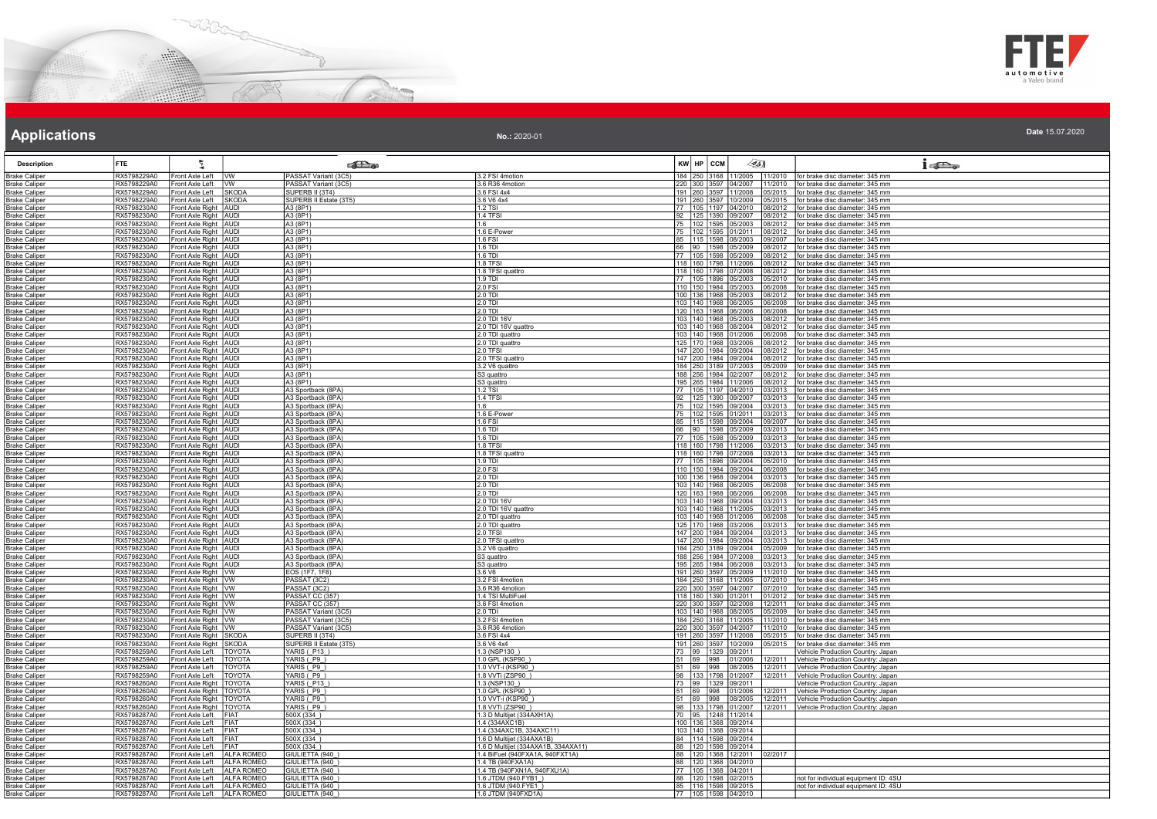



### **Applications Applications Applications**

| <b>Description</b>                           | <b>FTE</b>                 | ž                                              |                   | கில                    |                                     | $KW$ $HP$ $CCM$ | $\sqrt{351}$                                      |                   | $1 - 5$                                                            |
|----------------------------------------------|----------------------------|------------------------------------------------|-------------------|------------------------|-------------------------------------|-----------------|---------------------------------------------------|-------------------|--------------------------------------------------------------------|
| <b>Brake Caliper</b>                         | RX5798229A0                | Front Axle Left VW                             |                   | PASSAT Variant (3C5)   | 3.2 FSI 4motion                     |                 | 184 250 3168 11/2005                              |                   | 11/2010 for brake disc diameter: 345 mm                            |
| <b>Brake Caliper</b>                         | RX5798229A0                | Front Axle Left   VW                           |                   | PASSAT Variant (3C5)   | 3.6 R36 4motion                     |                 |                                                   |                   | 220 300 3597 04/2007 11/2010 for brake disc diameter: 345 mm       |
| Brake Caliper                                | RX5798229A0                | Front Axle Left   SKODA                        |                   | SUPERB II (3T4)        | 3.6 FSI 4x4                         |                 | 191  260  3597  11/2008                           |                   | 05/2015   for brake disc diameter: 345 mm                          |
| <b>Brake Caliper</b>                         | RX5798229A0                | Front Axle Left SKODA                          |                   | SUPERB II Estate (3T5) | 3.6 V6 4x4                          |                 | 191 260 3597 10/2009                              | 15/2015           | for brake disc diameter: 345 mm                                    |
| <b>Brake Caliper</b>                         | RX5798230A0                | Front Axle Right AUDI                          |                   | A3 (8P1)               | $1.2$ TSI                           |                 | 77   105   1197   04/2010                         | 08/2012           | for brake disc diameter: 345 mm                                    |
| <b>Brake Caliper</b>                         | RX5798230A0                | Front Axle Right AUDI                          |                   | A3(8P1)                | 1.4 TFSI                            |                 | 92 125 1390 09/2007                               | 08/2012           | for brake disc diameter: 345 mm                                    |
| <b>Brake Caliper</b>                         | RX5798230A0                | Front Axle Right AUDI                          |                   | A3 (8P1)               | 1.6                                 |                 | 75 102 1595 05/2003                               | 08/2012           | for brake disc diameter: 345 mm                                    |
| <b>Brake Caliper</b>                         | RX5798230A0                | Front Axle Right   AUDI                        |                   | A3 (8P1)               | 1.6 E-Power                         |                 | 75 102 1595 01/2011                               | 08/2012           | for brake disc diameter: 345 mm                                    |
| Brake Caliper                                | RX5798230A0                | Front Axle Right AUDI                          |                   | A3 (8P1)               | 1.6 FSI                             |                 | 85 115 1598 08/2003                               | 9/2007            | for brake disc diameter: 345 mm                                    |
| <b>Brake Caliper</b>                         | RX5798230A0                | Front Axle Right   AUDI                        |                   | A3 (8P1)               | 16 TDI                              |                 | 66 90 1598 05/2009                                | 08/2012           | Ifor brake disc diameter: 345 mm                                   |
| <b>Brake Caliper</b>                         | RX5798230A0                | Front Axle Right AUDI                          |                   | A3 (8P1)               | 1.6 TDI                             |                 | 77 105 1598 05/2009                               | 8/2012            | for brake disc diameter: 345 mm                                    |
| <b>Brake Caliper</b>                         | RX5798230A0                | Front Axle Right AUDI                          |                   | A3 (8P1)               | 1.8 TFSI                            |                 | 118 160 1798 11/2006                              | 8/2012            | for brake disc diameter: 345 mm                                    |
| <b>Brake Caliper</b>                         | RX5798230A0                | Front Axle Right AUDI                          |                   | A3 (8P1)               | 1.8 TFSI quattro                    |                 | 118 160 1798 07/2008                              | 08/2012           | for brake disc diameter: 345 mm                                    |
| <b>Brake Caliper</b>                         | RX5798230A0                | Front Axle Right   AUDI                        |                   | A3 (8P1)               | $1.9$ TDI                           |                 | 77   105   1896   05/2003                         | 05/2010           | for brake disc diameter: 345 mm                                    |
| <b>Brake Caliper</b>                         | RX5798230A0                | Front Axle Right   AUDI                        |                   | A3 (8P1)               | 2.0 FSI                             |                 | 110 150 1984 05/2003                              |                   | 06/2008 for brake disc diameter: 345 mm                            |
| <b>Brake Caliper</b>                         | RX5798230A0                | Front Axle Right   AUDI                        |                   | A3 (8P1)               | $2.0$ TDI                           |                 | 100 136 1968 05/2003                              | <u>08/2012</u>    | for brake disc diameter: 345 mm                                    |
| <b>Brake Caliper</b>                         | RX5798230A0                | Front Axle Right   AUDI                        |                   | A3 (8P1)               | 2.0 TDI                             |                 | 103   140   1968   06/2005                        | 06/2008           | for brake disc diameter: 345 mm                                    |
| <b>Brake Caliper</b>                         | RX5798230A0                | Front Axle Right AUDI                          |                   | A3 (8P1)               | 2.0 TDI                             |                 | 120 163 1968 06/2006                              | 06/2008           | for brake disc diameter: 345 mm                                    |
| <b>Brake Caliper</b>                         | RX5798230A0                | Front Axle Right AUDI                          |                   | A3 (8P1)               | 2.0 TDI 16V                         |                 | 103 140 1968 05/2003                              |                   | 08/2012   for brake disc diameter: 345 mm                          |
| <b>Brake Caliper</b>                         | RX5798230A0                | Front Axle Right AUDI                          |                   | A3 (8P1)               | 2.0 TDI 16V quattro                 |                 | 103 140 1968 08/2004                              | 08/2012           | for brake disc diameter: 345 mm                                    |
|                                              | RX5798230A0                | Front Axle Right AUDI                          |                   | A3 (8P1)               | 2.0 TDI quattro                     |                 | 103 140 1968 01/2006                              |                   | 06/2008 for brake disc diameter: 345 mm                            |
| <b>Brake Caliper</b><br>Brake Caliper        | RX5798230A0                | Front Axle Right   AUDI                        |                   | A3 (8P1)               | 2.0 TDI quattro                     |                 | 125   170   1968   03/2006                        |                   | 08/2012   for brake disc diameter: 345 mm                          |
|                                              |                            |                                                |                   | A3 (8P1)               | 2.0 TFSI                            |                 |                                                   | 8/2012            |                                                                    |
| <b>Brake Caliper</b><br><b>Brake Caliper</b> | RX5798230A0<br>RX5798230A0 | Front Axle Right AUDI<br>Front Axle Right AUDI |                   | A3 (8P1)               | 2.0 TFSI quattro                    |                 | 147 200 1984 09/2004<br>147 200 1984 09/2004      | 18/2012           | for brake disc diameter: 345 mm<br>for brake disc diameter: 345 mm |
| <b>Brake Caliper</b>                         | RX5798230A0                | Front Axle Right AUDI                          |                   | A3 (8P1)               | 3.2 V6 quattro                      |                 | 184 250 3189 07/2003                              |                   |                                                                    |
|                                              | RX5798230A0                | Front Axle Right AUDI                          |                   | A3 (8P1)               |                                     |                 | 188 256 1984 02/2007                              | 05/2009<br>8/2012 | for brake disc diameter: 345 mm                                    |
| <b>Brake Caliper</b>                         |                            | Front Axle Right   AUDI                        |                   | A3 (8P1)               | S3 quattro<br>S3 quattro            |                 | 195 265 1984 11/2006                              |                   | for brake disc diameter: 345 mm                                    |
| <b>Brake Caliper</b>                         | RX5798230A0                |                                                |                   |                        |                                     |                 |                                                   |                   | 08/2012   for brake disc diameter: 345 mm                          |
| <b>Brake Caliper</b>                         | RX5798230A0                | Front Axle Right AUDI                          |                   | A3 Sportback (8PA)     | 1.2 TSI<br>1.4 TFSI                 |                 | 77   105   1197   04/2010                         | 03/2013           | for brake disc diameter: 345 mm                                    |
| <b>Brake Caliper</b>                         | RX5798230A0                | Front Axle Right   AUDI                        |                   | A3 Sportback (8PA)     | 1.6                                 |                 | 92 125 1390 09/2007                               | )3/2013           | for brake disc diameter: 345 mm                                    |
| <b>Brake Caliper</b>                         | RX5798230A0                | Front Axle Right AUDI<br>Front Axle Right AUDI |                   | A3 Sportback (8PA)     | 1.6 E-Power                         |                 | 102 1595 09/2004<br>75 102 1595 01/2011           | 3/2013<br>3/2013  | for brake disc diameter: 345 mm                                    |
| <b>Brake Caliper</b>                         | RX5798230A0<br>RX5798230A0 | Front Axle Right AUDI                          |                   | A3 Sportback (8PA)     | 1.6 FSI                             |                 | 85 115 1598 09/2004                               | 09/2007           | for brake disc diameter: 345 mm                                    |
| <b>Brake Caliper</b>                         | RX5798230A0                |                                                |                   | A3 Sportback (8PA)     | $1.6$ TDI                           |                 | 66 90 1598 05/2009                                |                   | for brake disc diameter: 345 mm                                    |
| <b>Brake Caliper</b>                         |                            | Front Axle Right AUDI                          |                   | A3 Sportback (8PA)     |                                     |                 |                                                   |                   | 03/2013   for brake disc diameter: 345 mm                          |
| <b>Brake Caliper</b>                         | RX5798230A0                | Front Axle Right   AUDI                        |                   | A3 Sportback (8PA)     | 1.6 TDI<br>1.8 TFSI                 |                 | 77   105   1598   05/2009<br>118 160 1798 11/2006 | 03/2013           | for brake disc diameter: 345 mm                                    |
| <u> Brake Caliper</u>                        | RX5798230A0<br>RX5798230A0 | Front Axle Right   AUDI                        |                   | A3 Sportback (8PA)     |                                     |                 | 118 160 1798 07/2008                              | 3/2013            | for brake disc diameter: 345 mm                                    |
| <b>Brake Caliper</b>                         |                            | Front Axle Right AUDI                          |                   | A3 Sportback (8PA)     | 1.8 TFSI quattro                    |                 |                                                   | 13/2013           | for brake disc diameter: 345 mm                                    |
| <b>Brake Caliper</b>                         | RX5798230A0                | Front Axle Right   AUDI                        |                   | A3 Sportback (8PA)     | 1.9 TDI                             |                 | 77   105   1896   09/2004                         | 15/2010           | Ifor brake disc diameter: 345 mm                                   |
| <b>Brake Caliper</b>                         | RX5798230A0                | Front Axle Right AUDI                          |                   | A3 Sportback (8PA)     | $2.0$ FSI                           |                 | 110 150 1984 09/2004                              | 06/2008           | for brake disc diameter: 345 mm                                    |
| <b>Brake Caliper</b>                         | RX5798230A0                | Front Axle Right AUDI                          |                   | A3 Sportback (8PA)     | 2.0 TDI                             |                 | 100 136 1968 09/2004                              | 03/2013           | Ifor brake disc diameter: 345 mm                                   |
| <b>Brake Caliper</b>                         | RX5798230A0                | Front Axle Right   AUDI                        |                   | A3 Sportback (8PA)     | 2.0 TDI                             |                 | 103   140   1968   06/2005                        | 06/2008           | for brake disc diameter: 345 mm                                    |
| <b>Brake Caliper</b>                         | RX5798230A0                | Front Axle Right AUDI                          |                   | A3 Sportback (8PA)     | 2.0 TDI                             |                 | 120 163 1968 06/2006                              | 06/2008           | for brake disc diameter: 345 mm                                    |
| <b>Brake Caliper</b>                         | RX5798230A0                | Front Axle Right AUDI                          |                   | A3 Sportback (8PA)     | 2.0 TDI 16V                         |                 | 103 140 1968 09/2004                              | 3/2013            | for brake disc diameter: 345 mm                                    |
| <b>Brake Caliper</b>                         | RX5798230A0                | Front Axle Right   AUDI                        |                   | A3 Sportback (8PA)     | 2.0 TDI 16V quattro                 |                 | 103 140 1968 11/2005                              | 03/2013           | for brake disc diameter: 345 mm                                    |
| <b>Brake Caliper</b>                         | RX5798230A0                | Front Axle Right AUDI                          |                   | A3 Sportback (8PA)     | 2.0 TDI quattro                     |                 | 103 140 1968 01/2006                              | 06/2008           | for brake disc diameter: 345 mm                                    |
| Brake Caliper                                | RX5798230A0                | Front Axle Right AUDI                          |                   | A3 Sportback (8PA)     | 2.0 TDI quattro                     |                 | 125 170 1968 03/2006                              | 3/2013            | for brake disc diameter: 345 mm                                    |
| <b>Brake Caliper</b>                         | RX5798230A0                | Front Axle Right   AUDI                        |                   | A3 Sportback (8PA)     | 2.0 TFSI                            |                 | 147 200 1984 09/2004                              |                   | 03/2013   for brake disc diameter: 345 mm                          |
| <b>Brake Caliper</b>                         | RX5798230A0                | Front Axle Right   AUDI                        |                   | A3 Sportback (8PA)     | 2.0 TFSI quattro                    |                 | 147 200 1984 09/2004                              | 3/2013            | for brake disc diameter: 345 mm                                    |
| <b>Brake Caliper</b>                         | RX5798230A0                | Front Axle Right AUDI                          |                   | A3 Sportback (8PA)     | 3.2 V6 quattro                      |                 | 184 250 3189 09/2004                              | 5/2009            | for brake disc diameter: 345 mm                                    |
| <b>Brake Caliper</b>                         | RX5798230A0                | Front Axle Right AUDI                          |                   | A3 Sportback (8PA)     | S3 quattro                          |                 | 188 256 1984 07/2008                              | 3/2013            | for brake disc diameter: 345 mm                                    |
| <b>Brake Caliper</b>                         | RX5798230A0                | Front Axle Right AUDI                          |                   | A3 Sportback (8PA)     | S3 quattro                          |                 | 195 265 1984 06/2008                              | 3/2013            | for brake disc diameter: 345 mm                                    |
| <b>Brake Caliper</b>                         | RX5798230A0                | Front Axle Right VW                            |                   | EOS (1F7, 1F8)         | 3.6 V6                              |                 | 191 260 3597 05/2009                              | 1/2010            | Ifor brake disc diameter: 345 mm                                   |
| <b>Brake Caliper</b>                         | RX5798230A0                | Front Axle Right VW                            |                   | PASSAT (3C2)           | 3.2 FSI 4motion                     |                 | 184 250 3168 11/2005                              | 07/2010           | for brake disc diameter: 345 mm                                    |
| <b>Brake Caliper</b>                         | RX5798230A0                | Front Axle Right VW                            |                   | PASSAT (3C2)           | 3.6 R36 4motion                     |                 | 220 300 3597 04/2007                              | 07/2010           | for brake disc diameter: 345 mm                                    |
| <b>Brake Caliper</b>                         | RX5798230A0                | Front Axle Right   VW                          |                   | PASSAT CC (357)        | 1.4 TSI MultiFue                    |                 | 118   160   1390   01/2011                        | 1/2012            | for brake disc diameter: 345 mm                                    |
| <b>Brake Caliper</b>                         | RX5798230A0                | Front Axle Right VW                            |                   | PASSAT CC (357)        | 3.6 FSI 4motion                     |                 | 220 300 3597 02/2008                              | 12/2011           | for brake disc diameter: 345 mm                                    |
| <b>Brake Caliper</b>                         | RX5798230A0                | Front Axle Right   VW                          |                   | PASSAT Variant (3C5    | 2.0 TDI                             |                 | 103 140 1968 08/2005                              | 05/2009           | for brake disc diameter: 345 mm                                    |
| <b>Brake Caliper</b>                         | RX5798230A0                | Front Axle Right VW                            |                   | PASSAT Variant (3C5)   | 3.2 FSI 4motion                     |                 | 184 250 3168 11/2005                              | 1/2010            | for brake disc diameter: 345 mm                                    |
| <b>Brake Caliper</b>                         | RX5798230A0                | Front Axle Right VW                            |                   | PASSAT Variant (3C5)   | 3.6 R36 4motion                     |                 | 220 300 3597 04/2007                              |                   | 11/2010   for brake disc diameter: 345 mm                          |
| <b>Brake Caliper</b>                         | RX5798230A0                | Front Axle Right SKODA                         |                   | SUPERB II (3T4)        | 3.6 FSI 4x4                         |                 | 191 260 3597 11/2008                              | 15/2015           | for brake disc diameter: 345 mm                                    |
| Brake Caliper                                | RX5798230A0                | Front Axle Right SKODA                         |                   | SUPERB II Estate (3T5) | 3.6 V6 4x4                          |                 | 191 260 3597 10/2009                              | 5/2015            | for brake disc diameter: 345 mm                                    |
| <b>Brake Caliper</b>                         | RX5798259A0                | Front Axle Left                                | <b>TOYOTA</b>     | YARIS (P13)            | 1.3 (NSP130                         |                 | 99 1329 09/2011                                   |                   | Vehicle Production Country: Japan                                  |
| <b>Brake Caliper</b>                         | RX5798259A0                | Front Axle Left                                | <b>TOYOTA</b>     | YARIS (P9)             | 1.0 GPL (KSP90                      |                 | 51 69 998 01/2006                                 | 2/2011            | Vehicle Production Country: Japan                                  |
| <b>Brake Caliper</b>                         | RX5798259A0                | Front Axle Left                                | <b>TOYOTA</b>     | YARIS (P9)             | 1.0 VVT-i (KSP90                    |                 | 51 69 998 08/2005                                 | 12/2011           | Vehicle Production Country: Japan                                  |
| <b>Brake Caliper</b>                         | RX5798259A0                | Front Axle Left                                | <b>TOYOTA</b>     | YARIS (P9)             | 1.8 VVTi (ZSP90                     |                 | 98 133 1798 01/2007                               | 2/2011            | Vehicle Production Country: Japan                                  |
| <b>Brake Caliper</b>                         | RX5798260A0                | Front Axle Right   TOYOTA                      |                   | YARIS (P13)            | 1.3 (NSP130)                        |                 | 73 99 1329 09/2011                                |                   | Vehicle Production Country: Japan                                  |
| Brake Caliper                                | RX5798260A0                | Front Axle Right   TOYOTA                      |                   | YARIS (P9)             | 1.0 GPL (KSP90                      |                 | 51 69 998 01/2006                                 |                   | 2/2011 Vehicle Production Country: Japan                           |
| <b>Brake Caliper</b>                         | RX5798260A0                | Front Axle Right   TOYOTA                      |                   | YARIS ( P9 )           | 1.0 VVT-i (KSP90_)                  |                 | 51 69 998 08/2005<br>98 133 1798 01/2007          |                   | 2/2011 Vehicle Production Country: Japan                           |
| <b>Brake Caliper</b>                         | RX5798260A0                | Front Axle Right   TOYOTA                      |                   | YARIS (P9)             | 1.8 VVTi (ZSP90                     |                 |                                                   |                   | 12/2011 Vehicle Production Country: Japan                          |
| <b>Brake Caliper</b>                         | RX5798287A0                | Front Axle Left FIAT                           |                   | 500X(334)              | 1.3 D Multijet (334AXH1A)           |                 | 70 95 1248 11/2014                                |                   |                                                                    |
| <b>Brake Caliper</b>                         | RX5798287A0                | Front Axle Left                                | FIAT              | 500X (334)             | 1.4 (334AXC1B)                      |                 | 100 136 1368 09/2014                              |                   |                                                                    |
| Brake Caliper                                | RX5798287A0                | Front Axle Left                                | FIAT              | 500X (334)             | 1.4 (334AXC1B, 334AXC11)            |                 | 103   140   1368   09/2014                        |                   |                                                                    |
| <b>Brake Caliper</b>                         | RX5798287A0                | Front Axle Left                                | FIAT              | 500X (334)             | 1.6 D Multijet (334AXA1B)           |                 | 84 114 1598 09/2014                               |                   |                                                                    |
| Brake Caliper                                | RX5798287A0                | Front Axle Left                                | FIAT              | 500X (334_)            | 1.6 D Multijet (334AXA1B, 334AXA11) |                 | 88 120 1598 09/2014                               |                   |                                                                    |
| Brake Caliper                                | RX5798287A0                | Front Axle Left                                | <b>ALFA ROMEO</b> | GIULIETTA (940         | 1.4 BiFuel (940FXA1A, 940FXT1A)     |                 | 88 120 1368 12/2011                               | 02/2017           |                                                                    |
| <b>Brake Caliper</b>                         | RX5798287A0                | Front Axle Left                                | <b>ALFA ROMEO</b> | GIULIETTA (940)        | 1.4 TB (940FXA1A)                   |                 | 88 120 1368 04/2010                               |                   |                                                                    |
| <b>Brake Caliper</b>                         | RX5798287A0                | Front Axle Left                                | <b>ALFA ROMEO</b> | GIULIETTA (940)        | 1.4 TB (940FXN1A, 940FXU1A)         |                 | 77 105 1368 04/2011                               |                   |                                                                    |
| <b>Brake Caliper</b>                         | RX5798287A0                | Front Axle Left   ALFA ROMEO                   |                   | GIULIETTA (940)        | 1.6 JTDM (940.FYB1)                 |                 | 88 120 1598 02/2015                               |                   | not for individual equipment ID: 4SU                               |
| <b>Brake Caliper</b>                         | RX5798287A0                | Front Axle Left   ALFA ROMEO                   |                   | GIULIETTA (940_)       | 1.6 JTDM (940.FYE1                  |                 | 85 116 1598 09/2015                               |                   | not for individual equipment ID: 4SU                               |
| <b>Brake Caliper</b>                         | RX5798287A0                | Front Axle Left   ALFA ROMEO                   |                   | GIULIETTA (940)        | 1.6 JTDM (940FXD1A)                 |                 | 77 105 1598 04/2010                               |                   |                                                                    |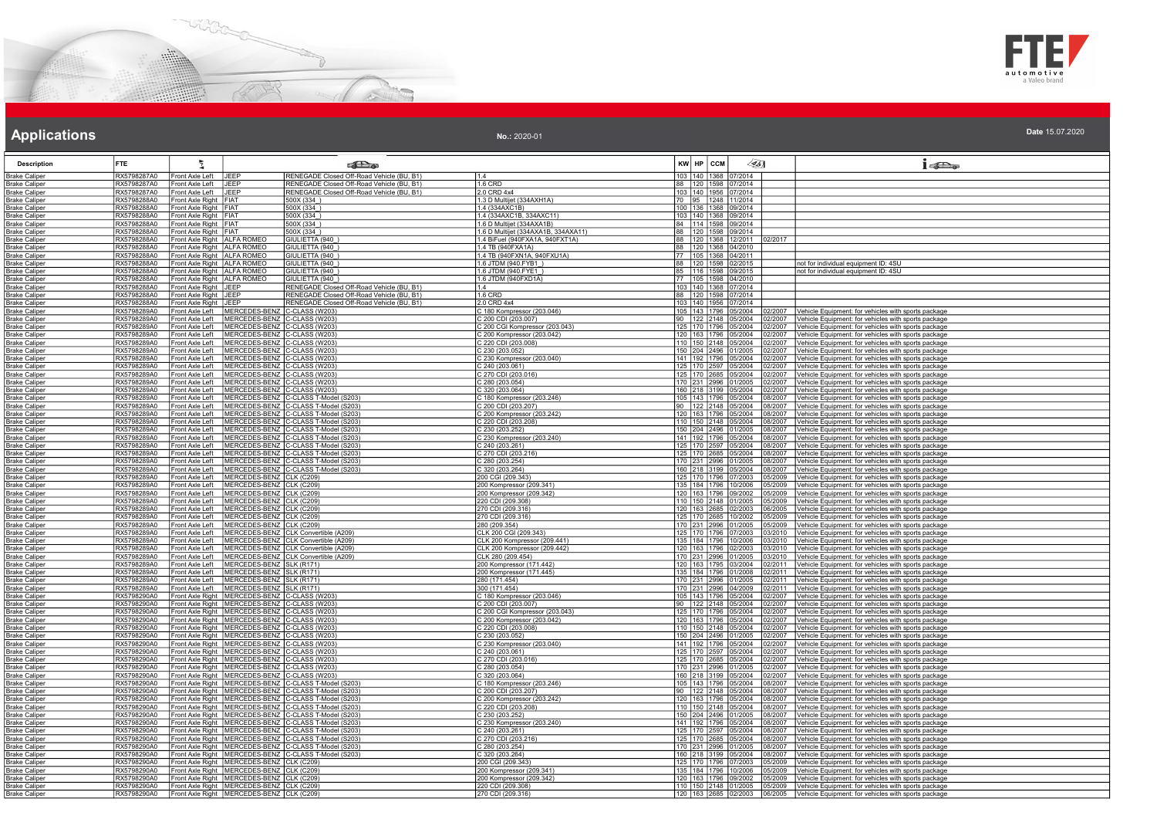



| No.: 2020-01 | Date 15.07.2020 |
|--------------|-----------------|
|              |                 |

| <b>Description</b>                           | FTE.                       | Σ                                                          |                                                                                                                    | <b>SEL</b> @ |                                                           | KW HP CCM                                   | 45]                                             | $1 - \sum_{\alpha}$                                                                                        |
|----------------------------------------------|----------------------------|------------------------------------------------------------|--------------------------------------------------------------------------------------------------------------------|--------------|-----------------------------------------------------------|---------------------------------------------|-------------------------------------------------|------------------------------------------------------------------------------------------------------------|
| <b>Brake Caliper</b>                         | RX5798287A0                | Front Axle Left                                            | RENEGADE Closed Off-Road Vehicle (BU, B1)<br>JEEP                                                                  | 11.4         |                                                           | 103   140   1368   07/2014                  |                                                 |                                                                                                            |
| <b>Brake Caliper</b>                         | RX5798287A0                | Front Axle Left                                            | RENEGADE Closed Off-Road Vehicle (BU, B1)<br><b>JEEP</b>                                                           |              | $1.6$ CRD                                                 | 88 120 1598 07/2014                         |                                                 |                                                                                                            |
| <b>Brake Caliper</b>                         | RX5798287A0                | Front Axle Left                                            | JEEP<br>RENEGADE Closed Off-Road Vehicle (BU, B1)                                                                  |              | 2.0 CRD 4x4                                               | 103   140   1956   07/2014                  |                                                 |                                                                                                            |
| <b>Brake Caliper</b>                         | RX5798288A0                | Front Axle Right FIAT                                      | 500X (334_)                                                                                                        |              | 1.3 D Multijet (334AXH1A)                                 | 70 95 1248 11/2014                          |                                                 |                                                                                                            |
| <b>Brake Caliper</b>                         | RX5798288A0                | Front Axle Right FIAT                                      | 500X (334)                                                                                                         |              | 1.4 (334AXC1B)                                            | 100 136 1368 09/2014                        |                                                 |                                                                                                            |
| <b>Brake Caliper</b>                         | RX5798288A0                | Front Axle Right FIAT                                      | 500X (334_)                                                                                                        |              | 1.4 (334AXC1B, 334AXC11)                                  | 103 140 1368 09/2014                        |                                                 |                                                                                                            |
| <b>Brake Caliper</b>                         | RX5798288A0                | Front Axle Right FIAT                                      | 500X (334)                                                                                                         |              | 1.6 D Multijet (334AXA1B)                                 | 84 114 1598 09/2014                         |                                                 |                                                                                                            |
| <b>Brake Caliper</b>                         | RX5798288A0                | Front Axle Right FIAT                                      | 500X (334)                                                                                                         |              | 1.6 D Multijet (334AXA1B, 334AXA11)                       | 88 120 1598 09/2014                         |                                                 |                                                                                                            |
| <b>Brake Caliper</b>                         | RX5798288A0                | Front Axle Right   ALFA ROMEO                              | GIULIETTA (940<br>GIULIETTA (940)                                                                                  |              | 1.4 BiFuel (940FXA1A, 940FXT1A)                           |                                             | 88   120   1368   12/2011  <br>02/2017          |                                                                                                            |
| <b>Brake Caliper</b><br><b>Brake Caliper</b> | RX5798288A0<br>RX5798288A0 | Front Axle Right ALFA ROMEO<br>Front Axle Right ALFA ROMEO | GIULIETTA (940)                                                                                                    |              | 1.4 TB (940FXA1A)<br>1.4 TB (940FXN1A, 940FXU1A)          | 88 120 1368 04/2010<br>77 105 1368 04/2011  |                                                 |                                                                                                            |
| <b>Brake Caliper</b>                         | RX5798288A0                | Front Axle Right ALFA ROMEO                                | GIULIETTA (940_)                                                                                                   |              | 1.6 JTDM (940.FYB1_)                                      | 88 120 1598 02/2015                         |                                                 | not for individual equipment ID: 4SU                                                                       |
| <b>Brake Caliper</b>                         | RX5798288A0                | Front Axle Right ALFA ROMEO                                | GIULIETTA (940)                                                                                                    |              | 1.6 JTDM (940.FYE1)                                       | 85 116 1598 09/2015                         |                                                 | not for individual equipment ID: 4SU                                                                       |
| <b>Brake Caliper</b>                         | RX5798288A0                | Front Axle Right   ALFA ROMEO                              | GIULIETTA (940)                                                                                                    |              | 1.6 JTDM (940FXD1A)                                       | 77 105 1598 04/2010                         |                                                 |                                                                                                            |
| <b>Brake Caliper</b>                         | RX5798288A0                | Front Axle Right JEEP                                      | RENEGADE Closed Off-Road Vehicle (BU, B1)                                                                          | 14           |                                                           | 103   140   1368   07/2014                  |                                                 |                                                                                                            |
| <b>Brake Caliper</b>                         | RX5798288A0                | Front Axle Right JEEP                                      | RENEGADE Closed Off-Road Vehicle (BU, B1)                                                                          |              | 1.6 CRD                                                   | 88 120 1598 07/2014                         |                                                 |                                                                                                            |
| <b>Brake Caliper</b>                         | RX5798288A0                | Front Axle Right JEEP                                      | RENEGADE Closed Off-Road Vehicle (BU, B1)                                                                          |              | 2.0 CRD 4x4                                               | 103 140 1956 07/2014                        |                                                 |                                                                                                            |
| <b>Brake Caliper</b>                         | RX5798289A0                | Front Axle Left                                            | MERCEDES-BENZ C-CLASS (W203)                                                                                       |              | C 180 Kompressor (203.046)                                |                                             |                                                 | 105 143 1796 05/2004 02/2007 Vehicle Equipment: for vehicles with sports package                           |
| <b>Brake Caliper</b>                         | RX5798289A0                | Front Axle Left                                            | MERCEDES-BENZ C-CLASS (W203)                                                                                       |              | 200 CDI (203.007)                                         | 90   122   2148   05/2004                   | 02/2007                                         | Vehicle Equipment: for vehicles with sports package                                                        |
| <b>Brake Caliper</b>                         | RX5798289A0                | Front Axle Left                                            | MERCEDES-BENZ C-CLASS (W203)                                                                                       |              | C 200 CGI Kompressor (203.043)                            | 125 170 1796 05/2004                        | 02/2007                                         | Vehicle Equipment: for vehicles with sports package                                                        |
| Brake Caliper                                | RX5798289A0                | Front Axle Left                                            | MERCEDES-BENZ C-CLASS (W203)                                                                                       |              | 200 Kompressor (203.042)                                  | 120 163 1796 05/2004                        | 02/2007                                         | /ehicle Equipment: for vehicles with sports package                                                        |
| <b>Brake Caliper</b>                         | RX5798289A0                | ront Axle Left                                             | MERCEDES-BENZ C-CLASS (W203)                                                                                       |              | C 220 CDI (203.008)<br>C 230 (203.052)                    | 110 150 2148 05/2004                        | 02/2007                                         | /ehicle Equipment: for vehicles with sports package                                                        |
| <b>Brake Caliper</b>                         | RX5798289A0<br>RX5798289A0 | Front Axle Left<br>Front Axle Left                         | MERCEDES-BENZ C-CLASS (W203)<br>MERCEDES-BENZ C-CLASS (W203)                                                       |              |                                                           | 150 204 2496 01/2005                        | 02/2007                                         | Vehicle Equipment: for vehicles with sports package                                                        |
| <b>Brake Caliper</b><br><b>Brake Caliper</b> | RX5798289A0                | Front Axle Left                                            | MERCEDES-BENZ C-CLASS (W203)                                                                                       |              | C 230 Kompressor (203.040)<br>240 (203.061)               | 141 192 1796 05/2004                        | 02/2007<br>125   170   2597   05/2004   02/2007 | ehicle Equipment: for vehicles with sports package                                                         |
| <b>Brake Caliper</b>                         | RX5798289A0                | Front Axle Left                                            | MERCEDES-BENZ C-CLASS (W203)                                                                                       |              | C 270 CDI (203.016)                                       |                                             | 125 170 2685 05/2004 02/2007                    | Vehicle Equipment: for vehicles with sports package<br>Vehicle Equipment: for vehicles with sports package |
| Brake Caliper                                | RX5798289A0                | Front Axle Left                                            | MERCEDES-BENZ C-CLASS (W203)                                                                                       |              | 280 (203.054)                                             | 170 231 2996 01/2005                        | 02/2007                                         | ehicle Equipment: for vehicles with sports package                                                         |
| <b>Brake Caliper</b>                         | RX5798289A0                | Front Axle Left                                            | MERCEDES-BENZ C-CLASS (W203)                                                                                       |              | 320 (203.064)                                             | 160 218 3199 05/2004                        | 02/2007                                         | /ehicle Equipment: for vehicles with sports package                                                        |
| <b>Brake Caliper</b>                         | RX5798289A0                | Front Axle Left                                            | MERCEDES-BENZ C-CLASS T-Model (S203                                                                                |              | 2 180 Kompressor (203.246)                                | 105 143 1796 05/2004                        | 08/2007                                         | Vehicle Equipment: for vehicles with sports package                                                        |
| <b>Brake Caliper</b>                         | RX5798289A0                | Front Axle Left                                            | MERCEDES-BENZ C-CLASS T-Model (S203)                                                                               |              | C 200 CDI (203.207)                                       |                                             | 90 122 2148 05/2004 08/2007                     | Vehicle Equipment: for vehicles with sports package                                                        |
| <b>Brake Caliper</b>                         | RX5798289A0                | Front Axle Left                                            | MERCEDES-BENZ C-CLASS T-Model (S203)                                                                               |              | C 200 Kompressor (203.242)                                | 120 163 1796 05/2004                        | 08/2007                                         | /ehicle Equipment: for vehicles with sports package                                                        |
| Brake Caliper                                | RX5798289A0                | Front Axle Left                                            | MERCEDES-BENZ C-CLASS T-Model (S203)                                                                               |              | 220 CDI (203.208)                                         | 110 150 2148 0                              | 5/2004<br>08/2007                               | ehicle Equipment: for vehicles with sports package                                                         |
| <b>Brake Caliper</b>                         | RX5798289A0                | ront Axle Left                                             | MERCEDES-BENZ C-CLASS T-Model (S203)                                                                               |              | 230 (203.252)                                             | 150 204 2496 01/2005                        | 08/2007                                         | /ehicle Equipment: for vehicles with sports package                                                        |
| <b>Brake Caliper</b>                         | RX5798289A0                | Front Axle Left                                            | MERCEDES-BENZ C-CLASS T-Model (S203)                                                                               |              | 230 Kompressor (203.240)                                  | 141 192 1796 05/2004                        | 08/2007                                         | /ehicle Equipment: for vehicles with sports package                                                        |
| <b>Brake Caliper</b>                         | RX5798289A0                | Front Axle Left                                            | MERCEDES-BENZ C-CLASS T-Model (S203)                                                                               |              | C 240 (203.261)                                           | 125 170 2597 05/2004                        | 08/2007                                         | /ehicle Equipment: for vehicles with sports package                                                        |
| <b>Brake Caliper</b>                         | RX5798289A0                | Front Axle Left                                            | MERCEDES-BENZ C-CLASS T-Model (S203)                                                                               |              | C 270 CDI (203.216)                                       |                                             | 125   170   2685   05/2004   08/2007            | /ehicle Equipment: for vehicles with sports package                                                        |
| <b>Brake Caliper</b>                         | RX5798289A0                | Front Axle Left                                            | MERCEDES-BENZ C-CLASS T-Model (S203                                                                                |              | 280 (203.254)                                             | 170 231 2996 01/2005                        | 08/2007                                         | ehicle Equipment: for vehicles with sports package                                                         |
| <b>Brake Caliper</b>                         | RX5798289A0                | Front Axle Left                                            | MERCEDES-BENZ C-CLASS T-Model (S203)                                                                               |              | 320 (203.264)                                             |                                             | 160 218 3199 05/2004 08/2007                    | /ehicle Equipment: for vehicles with sports package                                                        |
| <b>Brake Caliper</b>                         | RX5798289A0                | Front Axle Left<br>Front Axle Left                         | MERCEDES-BENZ CLK (C209)                                                                                           |              | 200 CGI (209.343)                                         | 125 170 1796 07/2003                        | 05/2009                                         | /ehicle Equipment: for vehicles with sports package                                                        |
| <b>Brake Caliper</b>                         | RX5798289A0<br>RX5798289A0 | Front Axle Left                                            | MERCEDES-BENZ CLK (C209)<br>MERCEDES-BENZ CLK (C209)                                                               |              | 200 Kompressor (209.341)<br>200 Kompressor (209.342)      | 120 163 1796 09/2002                        | 135 184 1796 10/2006 05/2009<br>05/2009         | Vehicle Equipment: for vehicles with sports package<br>Vehicle Equipment: for vehicles with sports package |
| <b>Brake Caliper</b>                         |                            | Front Axle Left                                            | MERCEDES-BENZ CLK (C209)                                                                                           |              |                                                           | 110 150 2148 01/2005                        |                                                 |                                                                                                            |
| <b>Brake Caliper</b><br><b>Brake Caliper</b> | RX5798289A0<br>RX5798289A0 | Front Axle Left                                            | MERCEDES-BENZ CLK (C209)                                                                                           |              | 220 CDI (209.308)<br>270 CDI (209.316)                    | 120 163 2685 02/2003                        | 05/2009<br>06/2005                              | /ehicle Equipment: for vehicles with sports package<br>ehicle Equipment: for vehicles with sports package  |
| <b>Brake Caliper</b>                         | RX5798289A0                | ront Axle Left                                             | MERCEDES-BENZ<br>CLK (C209)                                                                                        |              | 270 CDI (209.316                                          | 125   170   2685   10/2002                  | 05/2009                                         | ehicle Equipment: for vehicles with sports package                                                         |
| <b>Brake Caliper</b>                         | RX5798289A0                | Front Axle Left                                            | MERCEDES-BENZ CLK (C209)                                                                                           |              | 280 (209.354)                                             | 170 231 2996 01/2005                        | 05/2009                                         | Vehicle Equipment: for vehicles with sports package                                                        |
| <b>Brake Caliper</b>                         | RX5798289A0                | Front Axle Left                                            | MERCEDES-BENZ CLK Convertible (A209)                                                                               |              | CLK 200 CGI (209.343)                                     | 125 170 1796 07/2003                        | 03/2010                                         | ehicle Equipment: for vehicles with sports package                                                         |
| <b>Brake Caliper</b>                         | RX5798289A0                | Front Axle Left                                            | MERCEDES-BENZ CLK Convertible (A209)                                                                               |              | CLK 200 Kompressor (209.441)                              |                                             | 135   184   1796   10/2006   03/2010            | Vehicle Equipment: for vehicles with sports package                                                        |
| <b>Brake Caliper</b>                         | RX5798289A0                | Front Axle Left                                            | MERCEDES-BENZ CLK Convertible (A209)                                                                               |              | CLK 200 Kompressor (209.442)                              | 120 163 1796 02/2003                        | 03/2010                                         | Vehicle Equipment: for vehicles with sports package                                                        |
| <b>Brake Caliper</b>                         | RX5798289A0                | Front Axle Left                                            | MERCEDES-BENZ CLK Convertible (A209)                                                                               |              | CLK 280 (209.454)                                         | 170 231 2996 01/2005                        | 03/2010                                         | /ehicle Equipment: for vehicles with sports package                                                        |
| <b>Brake Caliper</b>                         | RX5798289A0                | Front Axle Left                                            | MERCEDES-BENZ SLK (R171)                                                                                           |              | 200 Kompressor (171.442)                                  |                                             | 120 163 1795 03/2004 02/2011                    | Vehicle Equipment: for vehicles with sports package                                                        |
| <b>Brake Caliper</b>                         | RX5798289A0                | Front Axle Left                                            | MERCEDES-BENZ SLK (R171)                                                                                           |              | 200 Kompressor (171.445)                                  | 135 184 1796 01/2008                        | 02/2011                                         | /ehicle Equipment: for vehicles with sports package                                                        |
| <b>Brake Caliper</b>                         | RX5798289A0                | Front Axle Left                                            | MERCEDES-BENZ SLK (R171)                                                                                           |              | 280 (171.454)                                             | 170 231 2996 01/2005                        | 02/2011                                         | Vehicle Equipment: for vehicles with sports package                                                        |
| <b>Brake Caliper</b>                         | RX5798289A0                | Front Axle Left                                            | MERCEDES-BENZ SLK (R171)                                                                                           |              | 300 (171.454)                                             | 170 231 2996 04/2009                        | 02/2011                                         | /ehicle Equipment: for vehicles with sports package                                                        |
| <b>Brake Caliper</b>                         | RX5798290A0                |                                                            | Front Axle Right   MERCEDES-BENZ C-CLASS (W203)                                                                    |              | 180 Kompressor (203.046)                                  | 105 143 1796 05/2004                        | 02/2007                                         | ehicle Equipment: for vehicles with sports package                                                         |
| <b>Brake Caliper</b>                         | RX5798290A0<br>RX5798290A0 |                                                            | Front Axle Right   MERCEDES-BENZ   C-CLASS (W203)                                                                  |              | 200 CDI (203.007)                                         | 90 122 2148 05/2004<br>125 170 1796 05/2004 | 02/2007                                         | /ehicle Equipment: for vehicles with sports package                                                        |
| <b>Brake Caliper</b><br><b>Brake Caliper</b> | RX5798290A0                |                                                            | Front Axle Right MERCEDES-BENZ C-CLASS (W203)<br>Front Axle Right   MERCEDES-BENZ   C-CLASS (W203)                 |              | 200 CGI Kompressor (203.043<br>C 200 Kompressor (203.042) | 120   163   1796   05/2004                  | 02/2007<br>02/2007                              | /ehicle Equipment: for vehicles with sports package<br>Vehicle Equipment: for vehicles with sports package |
| Brake Caliper                                | RX5798290A0                |                                                            | Front Axle Right   MERCEDES-BENZ C-CLASS (W203)                                                                    |              | 220 CDI (203.008)                                         |                                             | 110 150 2148 05/2004 02/2007                    | /ehicle Equipment: for vehicles with sports package                                                        |
| <b>Brake Caliper</b>                         | RX5798290A0                |                                                            | Front Axle Right   MERCEDES-BENZ   C-CLASS (W203)                                                                  |              | 230 (203.052)                                             | 150 204 2496 01/2005                        | 02/2007                                         | /ehicle Equipment: for vehicles with sports package                                                        |
| <b>Brake Caliper</b>                         | RX5798290A0                |                                                            | Front Axle Right   MERCEDES-BENZ C--CLASS (W203)                                                                   |              | 230 Kompressor (203.040)                                  |                                             | 141 192 1796 05/2004 02/2007                    | Vehicle Equipment: for vehicles with sports package                                                        |
| <b>Brake Caliper</b>                         | RX5798290A0                |                                                            | Front Axle Right   MERCEDES-BENZ C-CLASS (W203)                                                                    |              | 240 (203.061)                                             | 125 170 2597 05/2004                        | 02/2007                                         | /ehicle Equipment: for vehicles with sports package                                                        |
| <b>Brake Caliper</b>                         | RX5798290A0                |                                                            | Front Axle Right   MERCEDES-BENZ   C-CLASS (W203)                                                                  |              | 270 CDI (203.016)                                         | 125 170 2685 05/2004                        | 02/2007                                         | /ehicle Equipment: for vehicles with sports package                                                        |
| <b>Brake Caliper</b>                         | RX5798290A0                |                                                            | Front Axle Right   MERCEDES-BENZ   C-CLASS (W203)                                                                  |              | 280 (203.054)                                             | 170 231 2996 01/2005                        | 02/2007                                         | Vehicle Equipment: for vehicles with sports package                                                        |
| Brake Caliper                                | RX5798290A0                |                                                            | Front Axle Right   MERCEDES-BENZ C-CLASS (W203)                                                                    |              | 320 (203.064)                                             | 160 218 3199 05/2004                        | 02/2007                                         | ehicle Equipment: for vehicles with sports package                                                         |
| <b>Brake Caliper</b>                         | RX5798290A0                |                                                            | Front Axle Right   MERCEDES-BENZ C-CLASS T-Model (S203)                                                            |              | 180 Kompressor (203.246)                                  | 105 143 1796 05/2004                        | 08/2007                                         | ehicle Equipment: for vehicles with sports package                                                         |
| <b>Brake Caliper</b>                         | RX5798290A0                |                                                            | Front Axle Right   MERCEDES-BENZ   C-CLASS T-Model (S203)                                                          |              | 200 CDI (203.207)                                         | 90 122 2148 05/2004                         | 08/2007                                         | ehicle Equipment: for vehicles with sports package                                                         |
| <b>Brake Caliper</b>                         | RX5798290A0                |                                                            | Front Axle Right   MERCEDES-BENZ   C-CLASS T-Model (S203)                                                          |              | 200 Kompressor (203.242)                                  | 120 163 1796 05/2004                        | 08/2007                                         | /ehicle Equipment: for vehicles with sports package                                                        |
| <b>Brake Caliper</b>                         | RX5798290A0                |                                                            | Front Axle Right   MERCEDES-BENZ   C-CLASS T-Model (S203)                                                          |              | C 220 CDI (203.208)                                       |                                             | 110 150 2148 05/2004 08/2007                    | Vehicle Equipment: for vehicles with sports package                                                        |
| <b>Brake Caliper</b>                         | RX5798290A0                |                                                            | Front Axle Right   MERCEDES-BENZ   C-CLASS T-Model (S203)                                                          |              | C 230 (203.252)                                           | 150 204 2496 01/2005                        | 08/2007                                         | /ehicle Equipment: for vehicles with sports package                                                        |
| <b>Brake Caliper</b>                         | RX5798290A0                |                                                            | Front Axle Right   MERCEDES-BENZ C-CLASS T-Model (S203)                                                            |              | 230 Kompressor (203.240)                                  |                                             | 141   192   1796   05/2004   08/2007            | /ehicle Equipment: for vehicles with sports package                                                        |
| <b>Brake Caliper</b>                         | RX5798290A0                |                                                            | Front Axle Right   MERCEDES-BENZ   C-CLASS T-Model (S203)<br>Front Axle Right MERCEDES-BENZ C-CLASS T-Model (S203) |              | 240 (203.261)                                             | 125 170 2597 05/2004                        | 08/2007                                         | /ehicle Equipment: for vehicles with sports package                                                        |
| <b>Brake Caliper</b><br><b>Brake Caliper</b> | RX5798290A0<br>RX5798290A0 |                                                            | Front Axle Right   MERCEDES-BENZ C-CLASS T-Model (S203)                                                            |              | C 270 CDI (203.216)<br>C 280 (203.254)                    | 170 231 2996 01/2005                        | 125 170 2685 05/2004 08/2007<br>08/2007         | Vehicle Equipment: for vehicles with sports package<br>ehicle Equipment: for vehicles with sports package  |
| <b>Brake Caliper</b>                         | RX5798290A0                |                                                            | Front Axle Right   MERCEDES-BENZ   C-CLASS T-Model (S203)                                                          |              | 320 (203.264)                                             | 160 218 3199 05/2004                        | 08/2007                                         | /ehicle Equipment: for vehicles with sports package                                                        |
| Brake Caliper                                | RX5798290A0                |                                                            | Front Axle Right   MERCEDES-BENZ   CLK (C209)                                                                      |              | 200 CGI (209.343)                                         | 125   170   1796   07/2003                  | 05/2009                                         | /ehicle Equipment: for vehicles with sports package                                                        |
| <b>Brake Caliper</b>                         | RX5798290A0                |                                                            |                                                                                                                    |              | 200 Kompressor (209.341)                                  | 135 184 1796 10/2006                        | 05/2009                                         | ehicle Equipment: for vehicles with sports package                                                         |
| <b>Brake Caliper</b>                         | RX5798290A0                |                                                            | Front Axle Right MERCEDES-BENZ CLK (C209)<br>Front Axle Right MERCEDES-BENZ CLK (C209)                             |              | 200 Kompressor (209.342)                                  | 120 163 1796 09/2002                        | 05/2009                                         | Vehicle Equipment: for vehicles with sports package                                                        |
| <b>Brake Caliper</b>                         | RX5798290A0                |                                                            | Front Axle Right   MERCEDES-BENZ   CLK (C209)                                                                      |              | 220 CDI (209.308)                                         |                                             | 110 150 2148 01/2005 05/2009                    | Vehicle Equipment: for vehicles with sports package                                                        |
| <b>Brake Caliper</b>                         | RX5798290A0                |                                                            | Front Axle Right   MERCEDES-BENZ   CLK (C209)                                                                      |              | 270 CDI (209.316                                          |                                             | 120 163 2685 02/2003 06/2005                    | Vehicle Equipment: for vehicles with sports package                                                        |
|                                              |                            |                                                            |                                                                                                                    |              |                                                           |                                             |                                                 |                                                                                                            |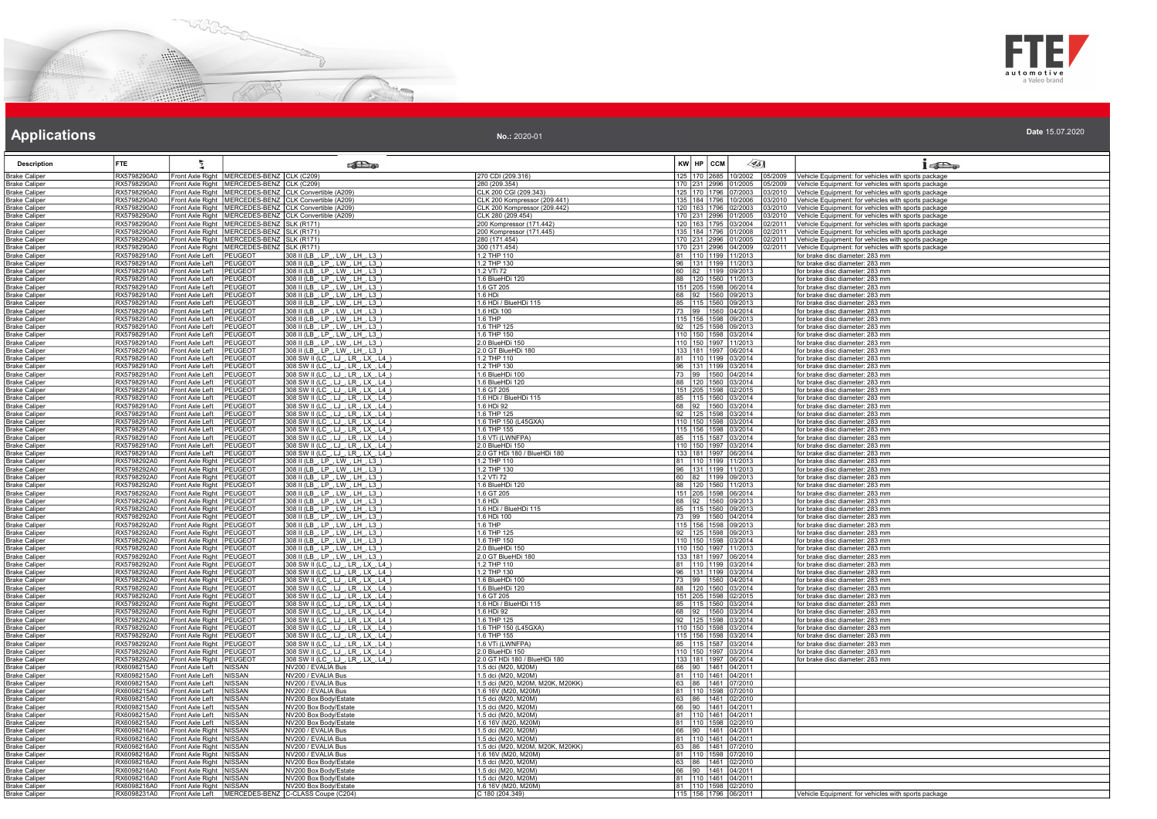



| No.: 2020-01 |  |  | Date 15.07.2020 |  |
|--------------|--|--|-----------------|--|
|--------------|--|--|-----------------|--|

| <b>Description</b>                           | <b>FTE</b>                 | ÷.                                                     |                                               | <b>SEP</b>                                                                                         |                                                         | KW HP CCM    | $\llap{65}$                                  |                  | $1 - 20$                                                                                                   |
|----------------------------------------------|----------------------------|--------------------------------------------------------|-----------------------------------------------|----------------------------------------------------------------------------------------------------|---------------------------------------------------------|--------------|----------------------------------------------|------------------|------------------------------------------------------------------------------------------------------------|
| <b>Brake Caliper</b>                         | RX5798290A0                |                                                        | Front Axle Right   MERCEDES-BENZ   CLK (C209) |                                                                                                    | 270 CDI (209.316)                                       | 125 170 2685 | 10/2002 05/2009                              |                  | Vehicle Equipment: for vehicles with sports package                                                        |
| <b>Brake Caliper</b>                         | RX5798290A0                |                                                        | Front Axle Right   MERCEDES-BENZ   CLK (C209) |                                                                                                    | 280 (209.354)                                           |              | 170 231 2996 01/2005                         | 05/2009          | /ehicle Equipment: for vehicles with sports package                                                        |
| Brake Caliper                                | RX5798290A0                |                                                        |                                               | Front Axle Right   MERCEDES-BENZ   CLK Convertible (A209)                                          | CLK 200 CGI (209.343)                                   |              | 125 170 1796 07/2003                         | 03/2010          | Vehicle Equipment: for vehicles with sports package                                                        |
| <b>Brake Caliper</b>                         | RX5798290A0                |                                                        |                                               | Front Axle Right   MERCEDES-BENZ   CLK Convertible (A209)                                          | CLK 200 Kompressor (209.441)                            |              | 135 184 1796 10/2006                         | 3/2010           | /ehicle Equipment: for vehicles with sports package                                                        |
| <b>Brake Caliper</b>                         | RX5798290A0                |                                                        |                                               | Front Axle Right   MERCEDES-BENZ   CLK Convertible (A209)                                          | CLK 200 Kompressor (209.442)                            |              | 120 163 1796 02/2003                         | 03/2010          | Vehicle Equipment: for vehicles with sports package                                                        |
| <b>Brake Caliper</b>                         | RX5798290A0<br>RX5798290A0 |                                                        | Front Axle Right   MERCEDES-BENZ   SLK (R171) | Front Axle Right MERCEDES-BENZ CLK Convertible (A209)                                              | CLK 280 (209.454)                                       |              | 170 231 2996 01/2005<br>120 163 1795 03/2004 | 3/2010<br>2/2011 | Vehicle Equipment: for vehicles with sports package                                                        |
| <b>Brake Caliper</b><br><b>Brake Caliper</b> | RX5798290A0                |                                                        | Front Axle Right   MERCEDES-BENZ   SLK (R171) |                                                                                                    | 200 Kompressor (171.442)<br>200 Kompressor (171.445)    |              | 135 184 1796 01/2008                         | 02/2011          | /ehicle Equipment: for vehicles with sports package<br>Vehicle Equipment: for vehicles with sports package |
| <b>Brake Caliper</b>                         | RX5798290A0                |                                                        | Front Axle Right   MERCEDES-BENZ   SLK (R171) |                                                                                                    | 280 (171.454)                                           |              | 170 231 2996 01/2005                         | 02/2011          | Vehicle Equipment: for vehicles with sports package                                                        |
| <b>Brake Caliper</b>                         | RX5798290A0                |                                                        | Front Axle Right   MERCEDES-BENZ   SLK (R171) |                                                                                                    | 300 (171.454)                                           |              | 170 231 2996 04/2009                         | 02/2011          | Vehicle Equipment: for vehicles with sports package                                                        |
| Brake Caliper                                | RX5798291A0                | Front Axle Left                                        | PEUGEOT                                       | 308 II (LB_, LP_, LW_, LH_, L3_)                                                                   | 1.2 THP 110                                             |              | 81   110   1199   11/2013                    |                  | for brake disc diameter: 283 mm                                                                            |
| <b>Brake Caliper</b>                         | RX5798291A0                | Front Axle Left                                        | <b>PEUGEOT</b>                                | 308 II (LB, LP, LW, LH, L3)                                                                        | 1.2 THP 130                                             |              | 96 131 1199 11/2013                          |                  | or brake disc diameter: 283 mm                                                                             |
| <b>Brake Caliper</b>                         | RX5798291A0                | Front Axle Left                                        | PEUGEOT                                       | 308 II (LB_, LP_, LW_, LH_, L3_)                                                                   | 1.2 VTi 72                                              |              | 60 82 1199 09/2013                           |                  | or brake disc diameter: 283 mm                                                                             |
| <b>Brake Caliper</b>                         | RX5798291A0                | Front Axle Left                                        | PEUGEOT                                       | 308 II (LB., LP., LW., LH., L3.)                                                                   | 1.6 BlueHDi 120                                         |              | 88 120 1560 11/2013                          |                  | for brake disc diameter: 283 mm                                                                            |
| <b>Brake Caliper</b>                         | RX5798291A0                | Front Axle Left                                        | PEUGEOT                                       | 308 II (LB, LP, LW, LH, L3)                                                                        | 1.6 GT 205                                              |              | 151 205 1598 06/2014                         |                  | for brake disc diameter: 283 mm                                                                            |
| <b>Brake Caliper</b><br>Brake Caliper        | RX5798291A0<br>RX5798291A0 | Front Axle Left<br>Front Axle Left                     | PEUGEOT<br>PEUGEOT                            | 308 II (LB_, LP_, LW_, LH_, L3_)                                                                   | 1.6 HDi<br>1.6 HDi / BlueHDi 115                        |              | 68 92 1560 09/2013<br>85 115 1560 09/2013    |                  | for brake disc diameter: 283 mm<br>for brake disc diameter: 283 mm                                         |
| <b>Brake Caliper</b>                         | RX5798291A0                | Front Axle Left                                        | PEUGEOT                                       | 308 II (LB_, LP_, LW_, LH_, L3_)<br>308 II (LB, LP, LW, LH, L3)                                    | 1.6 HDi 100                                             |              | 73 99 1560 04/2014                           |                  | or brake disc diameter: 283 mm                                                                             |
| <b>Brake Caliper</b>                         | RX5798291A0                | Front Axle Left                                        | PEUGEOT                                       | 308 II (LB _, LP _, LW _, LH _, L3 _)                                                              | 1.6 THP                                                 |              | 115 156 1598 09/2013                         |                  | for brake disc diameter: 283 mm                                                                            |
| <b>Brake Caliper</b>                         | RX5798291A0                | Front Axle Left                                        | PEUGEOT                                       | 308 II (LB, LP, LW, LH, L3)                                                                        | 1.6 THP 125                                             |              | 92 125 1598 09/2013                          |                  | for brake disc diameter: 283 mm                                                                            |
| <b>Brake Caliper</b>                         | RX5798291A0                | Front Axle Left                                        | PEUGEOT                                       | 308 II (LB_, LP_, LW_, LH_, L3_)                                                                   | 1.6 THP 150                                             |              | 110 150 1598 03/2014                         |                  | for brake disc diameter: 283 mm                                                                            |
| Brake Caliper                                | RX5798291A0                | Front Axle Left                                        | PEUGEOT                                       | 308 II (LB_, LP_, LW_, LH_, L3_)                                                                   | 2.0 BlueHDi 150                                         |              | 110 150 1997 11/2013                         |                  | for brake disc diameter: 283 mm                                                                            |
| <b>Brake Caliper</b>                         | RX5798291A0                | Front Axle Left                                        | PEUGEOT                                       | 308 II (LB _, LP _, LW _, LH _, L3 _)                                                              | 2.0 GT BlueHDi 180                                      |              | 133 181 1997 06/2014                         |                  | for brake disc diameter: 283 mm                                                                            |
| Brake Caliper                                | RX5798291A0                | Front Axle Left                                        | PEUGEOT                                       | 308 SW II (LC , LJ , LR , LX , L4                                                                  | 1.2 THP 110                                             |              | 81 110 1199 03/2014                          |                  | for brake disc diameter: 283 mm                                                                            |
| <b>Brake Caliper</b>                         | RX5798291A0                | Front Axle Left                                        | PEUGEOT                                       | 308 SW II (LC, LJ, LR, LX, L4)                                                                     | 1.2 THP 130                                             |              | 96 131 1199 03/2014                          |                  | for brake disc diameter: 283 mm                                                                            |
| <b>Brake Caliper</b>                         | RX5798291A0                | Front Axle Left                                        | PEUGEOT                                       | 308 SW II (LC, LJ, LR, LX, L4)                                                                     | 1.6 BlueHDi 100                                         |              | 73 99 1560 04/2014                           |                  | for brake disc diameter: 283 mm                                                                            |
| <b>Brake Caliper</b>                         | RX5798291A0                | Front Axle Left<br>Front Axle Left                     | PEUGEOT                                       | 308 SW II (LC_, LJ_, LR_, LX_, L4_)                                                                | 1.6 BlueHDi 120                                         |              | 88 120 1560 03/2014                          |                  | for brake disc diameter: 283 mm                                                                            |
| <b>Brake Caliper</b><br><b>Brake Caliper</b> | RX5798291A0<br>RX5798291A0 | Front Axle Left                                        | PEUGEOT                                       | 308 SW II (LC, LJ, LR, LX, L4)                                                                     | 1.6 GT 205<br>1.6 HDi / BlueHDi 115                     |              | 151 205 1598 02/2015<br>85 115 1560 03/2014  |                  | for brake disc diameter: 283 mm<br>or brake disc diameter: 283 mm                                          |
| Brake Caliper                                | RX5798291A0                | Front Axle Left                                        | PEUGEOT<br>PEUGEOT                            | 308 SW II (LC , LJ , LR , LX , L4 )<br>308 SW II (LC , LJ , LR , LX , L4 )                         | 1.6 HDi 92                                              |              | 68 92 1560 03/2014                           |                  | for brake disc diameter: 283 mm                                                                            |
| <b>Brake Caliper</b>                         | RX5798291A0                | Front Axle Left                                        | PEUGEOT                                       | 308 SW II (LC, LJ, LR, LX, L4)                                                                     | 1.6 THP 125                                             |              | 92 125 1598 03/2014                          |                  | for brake disc diameter: 283 mm                                                                            |
| <b>Brake Caliper</b>                         | RX5798291A0                | Front Axle Left                                        | PEUGEOT                                       | 308 SW II (LC , LJ , LR , LX , L4 )                                                                | 1.6 THP 150 (L45GXA)                                    |              | 110 150 1598 03/2014                         |                  | for brake disc diameter: 283 mm                                                                            |
| Brake Caliper                                | RX5798291A0                | Front Axle Left                                        | PEUGEOT                                       | 308 SW II (LC_, LJ_, LR_, LX_, L4_)                                                                | 1.6 THP 155                                             |              | 115 156 1598 03/2014                         |                  | for brake disc diameter: 283 mm                                                                            |
| Brake Caliper                                | RX5798291A0                | Front Axle Left                                        | PEUGEOT                                       | 308 SW II (LC , LJ , LR , LX , L4 )<br>308 SW II (LC , LJ , LR , LX , L4 )                         | 1.6 VTi (LWNFPA)                                        |              | 85 115 1587 03/2014                          |                  | or brake disc diameter: 283 mm                                                                             |
| <b>Brake Caliper</b>                         | RX5798291A0                | Front Axle Left                                        | PEUGEOT                                       |                                                                                                    | 2.0 BlueHDi 150                                         |              | 110 150 1997 03/2014                         |                  | for brake disc diameter: 283 mm                                                                            |
| <b>Brake Caliper</b>                         | RX5798291A0                | Front Axle Left                                        | PEUGEOT                                       | 308 SW II (LC, LJ, LR, LX, L4)                                                                     | 2.0 GT HDi 180 / BlueHDi 180                            |              | 133 181 1997 06/2014                         |                  | for brake disc diameter: 283 mm                                                                            |
| <b>Brake Caliper</b>                         | RX5798292A0                | Front Axle Right   PEUGEOT                             |                                               | 308 II (LB, LP, LW, LH, L3)                                                                        | 1.2 THP 110<br>1.2 THP 130                              |              | 81 110 1199 11/2013<br>96 131 1199 11/2013   |                  | for brake disc diameter: 283 mm                                                                            |
| <b>Brake Caliper</b>                         | RX5798292A0<br>RX5798292A0 | Front Axle Right   PEUGEOT<br>Front Axle Right PEUGEOT |                                               | 308 II (LB_, LP_, LW_, LH_, L3_)<br>308 II (LB _, LP _, LW _, LH _, L3 _)                          | 1.2 VTi 72                                              |              | 60 82 1199 09/2013                           |                  | for brake disc diameter: 283 mm<br>or brake disc diameter: 283 mm                                          |
| <b>Brake Caliper</b><br><b>Brake Caliper</b> | RX5798292A0                | Front Axle Right PEUGEOT                               |                                               | 308 II (LB_, LP_, LW_, LH_, L3_)                                                                   | 1.6 BlueHDi 120                                         |              | 88 120 1560 11/2013                          |                  | for brake disc diameter: 283 mm                                                                            |
| <b>Brake Caliper</b>                         | RX5798292A0                | Front Axle Right PEUGEOT                               |                                               | 308 II (LB, LP, LW, LH, L3)                                                                        | $1.6$ GT 205                                            |              | 151 205 1598 06/2014                         |                  | for brake disc diameter: 283 mm                                                                            |
| Brake Caliper                                | RX5798292A0                | Front Axle Right PEUGEOT                               |                                               | 308 II (LB, LP, LW, LH, L3)                                                                        | 1.6 HDi                                                 |              | 68 92 1560 09/2013                           |                  | for brake disc diameter: 283 mm                                                                            |
| <b>Brake Caliper</b>                         | RX5798292A0                | Front Axle Right PEUGEOT                               |                                               | 308 II (LB_, LP_, LW_, LH_, L3_)                                                                   | 1.6 HDi / BlueHDi 115                                   |              | 85   115   1560   09/2013                    |                  | for brake disc diameter: 283 mm                                                                            |
| <b>Brake Caliper</b>                         | RX5798292A0                | Front Axle Right PEUGEOT                               |                                               | 308 II (LB_, LP_, LW_, LH_, L3_)                                                                   | 1.6 HDi 100                                             |              | 73 99 1560 04/2014                           |                  | or brake disc diameter: 283 mm                                                                             |
| <b>Brake Caliper</b>                         | RX5798292A0                | Front Axle Right PEUGEOT                               |                                               | 308 II (LB_, LP_, LW_, LH_, L3_)                                                                   | 1.6 THP                                                 |              | 115 156 1598 09/2013                         |                  | for brake disc diameter: 283 mm                                                                            |
| <b>Brake Caliper</b><br><b>Brake Caliper</b> | RX5798292A0<br>RX5798292A0 | Front Axle Right PEUGEOT<br>Front Axle Right PEUGEOT   |                                               | 308 II (LB_, LP_, LW_, LH_, L3_)<br>308 II (LB, LP, LW, LH, L3)                                    | 1.6 THP 125<br>1.6 THP 150                              |              | 92 125 1598 09/2013<br>110 150 1598 03/2014  |                  | for brake disc diameter: 283 mm<br>for brake disc diameter: 283 mm                                         |
| <b>Brake Caliper</b>                         | RX5798292A0                | Front Axle Right PEUGEOT                               |                                               | 308 II (LB_, LP_, LW_, LH_, L3_)                                                                   | 2.0 BlueHDi 150                                         |              | 110 150 1997 11/2013                         |                  | for brake disc diameter: 283 mm                                                                            |
| Brake Caliper                                | RX5798292A0                | Front Axle Right   PEUGEOT                             |                                               | 308 II (LB_, LP_, LW_, LH_, L3_)                                                                   | 2.0 GT BlueHDi 180                                      |              | 133 181 1997 06/2014                         |                  | for brake disc diameter: 283 mm                                                                            |
| <b>Brake Caliper</b>                         | RX5798292A0                | Front Axle Right PEUGEOT                               |                                               |                                                                                                    | 1.2 THP 110                                             |              | 81 110 1199 03/2014                          |                  | or brake disc diameter: 283 mm                                                                             |
| <b>Brake Caliper</b>                         | RX5798292A0                | Front Axle Right   PEUGEOT                             |                                               | 308 SW II (LC, LJ, LR, LX, L4)<br>308 SW II (LC, LJ, LR, LX, L4)<br>308 SW II (LC, LJ, LR, LX, L4) | 1.2 THP 130                                             |              | 96 131 1199 03/2014                          |                  | for brake disc diameter: 283 mm                                                                            |
| <b>Brake Caliper</b>                         | RX5798292A0                | Front Axle Right PEUGEOT                               |                                               |                                                                                                    | 1.6 BlueHDi 100                                         |              | 73 99 1560 04/2014                           |                  | for brake disc diameter: 283 mm                                                                            |
| <b>Brake Caliper</b>                         | RX5798292A0                | Front Axle Right PEUGEOT                               |                                               | 308 SW II (LC, LJ, LR, LX, L4)                                                                     | 1.6 BlueHDi 120                                         |              | 88 120 1560 03/2014                          |                  | for brake disc diameter: 283 mm                                                                            |
| <b>Brake Caliper</b>                         | RX5798292A0                | Front Axle Right PEUGEOT                               |                                               | 308 SW II (LC_, LJ_, LR_, LX_, L4_)                                                                | 1.6 GT 205                                              |              | 151 205 1598 02/2015                         |                  | for brake disc diameter: 283 mm                                                                            |
| Brake Caliper                                | RX5798292A0                | Front Axle Right PEUGEOT                               |                                               | 308 SW II (LC_, LJ_, LR_, LX_, L4_)                                                                | 1.6 HDi / BlueHDi 115                                   |              | 85 115 1560 03/2014                          |                  | or brake disc diameter: 283 mm                                                                             |
| <b>Brake Caliper</b><br>Brake Caliper        | RX5798292A0<br>RX5798292A0 | Front Axle Right PEUGEOT<br>Front Axle Right PEUGEOT   |                                               | 308 SW II (LC_, LJ_, LR_, LX_, L4_)<br>308 SW <u>II (LC , LJ , LR , LX , L4 )</u>                  | 1.6 HDi 92<br>1.6 THP 125                               |              | 68 92 1560 03/2014<br>92 125 1598 03/2014    |                  | or brake disc diameter: 283 mm<br>for brake disc diameter: 283 mm                                          |
| <b>Brake Caliper</b>                         | RX5798292A0                | Front Axle Right PEUGEOT                               |                                               | 308 SW II (LC, LJ, LR, LX, L4)                                                                     | 1.6 THP 150 (L45GXA)                                    |              | 110 150 1598 03/2014                         |                  | for brake disc diameter: 283 mm                                                                            |
| <b>Brake Caliper</b>                         | RX5798292A0                | Front Axle Right   PEUGEOT                             |                                               | 308 SW II (LC_, LJ_, LR_, LX_, L4_)                                                                | 1.6 THP 155                                             |              | 115 156 1598 03/2014                         |                  | for brake disc diameter: 283 mm                                                                            |
| <b>Brake Caliper</b>                         | RX5798292A0                | Front Axle Right   PEUGEOT                             |                                               | 308 SW II (LC_, LJ_, LR_, LX_, L4_)                                                                | 1.6 VTi (LWNFPA)                                        |              | 85 115 1587 03/2014                          |                  | for brake disc diameter: 283 mm                                                                            |
| <b>Brake Caliper</b>                         | RX5798292A0                | Front Axle Right PEUGEOT                               |                                               |                                                                                                    | 2.0 BlueHDi 150                                         |              | 110 150 1997 03/2014                         |                  | or brake disc diameter: 283 mm                                                                             |
| <b>Brake Caliper</b>                         | RX5798292A0                | Front Axle Right   PEUGEOT                             |                                               | 308 SW II (LC , LJ , LR , LX , L4 )<br>308 SW II (LC , LJ , LR , LX , L4 )                         | 2.0 GT HDi 180 / BlueHDi 180                            |              | 133 181 1997 06/2014                         |                  | for brake disc diameter: 283 mm                                                                            |
| <b>Brake Caliper</b>                         | RX6098215A0                | Front Axle Left                                        | <b>NISSAN</b>                                 | NV200 / EVALIA Bus                                                                                 | 1.5 dci (M20, M20M)                                     |              | 66 90 1461 04/2011                           |                  |                                                                                                            |
| <b>Brake Caliper</b>                         | RX6098215A0                | Front Axle Left                                        | NISSAN                                        | NV200 / EVALIA Bus                                                                                 | 1.5 dci (M20, M20M)                                     |              | 81 110 1461 04/2011                          |                  |                                                                                                            |
| <b>Brake Caliper</b><br><b>Brake Caliper</b> | RX6098215A0<br>RX6098215A0 | Front Axle Left<br>ront Axle Left                      | <b>NISSAN</b><br><b>NISSAN</b>                | NV200 / EVALIA Bus<br>NV200 / EVALIA Bus                                                           | 1.5 dci (M20, M20M, M20K, M20KK)<br>1.6 16V (M20, M20M) |              | 63 86 1461 07/2010<br>81 110 1598 07/2010    |                  |                                                                                                            |
| <b>Brake Caliper</b>                         | RX6098215A0                | ront Axle Left                                         | NISSAN                                        | NV200 Box Body/Estate                                                                              | 1.5 dci (M20, M20M)                                     |              | 63 86 1461 02/2010                           |                  |                                                                                                            |
| Brake Caliper                                | RX6098215A0                | Front Axle Left                                        | <b>NISSAN</b>                                 | NV200 Box Body/Estate                                                                              | 1.5 dci (M20, M20M)                                     |              | 66 90 1461 04/2011                           |                  |                                                                                                            |
| <b>Brake Caliper</b>                         | RX6098215A0                | Front Axle Left                                        | NISSAN                                        | NV200 Box Body/Estate                                                                              | 1.5 dci (M20, M20M)                                     |              | 81 110 1461 04/2011                          |                  |                                                                                                            |
| <b>Brake Caliper</b>                         | RX6098215A0                | Front Axle Left                                        | NISSAN                                        | NV200 Box Body/Estate                                                                              | 1.6 16V (M20, M20M)                                     |              | 81   110   1598   02/2010                    |                  |                                                                                                            |
| <b>Brake Caliper</b>                         | RX6098216A0                | Front Axle Right                                       | <b>NISSAN</b>                                 | NV200 / EVALIA Bus                                                                                 | 1.5 dci (M20, M20M)                                     |              | 66 90 1461 04/2011                           |                  |                                                                                                            |
| <b>Brake Caliper</b>                         | RX6098216A0                | Front Axle Right NISSAN                                |                                               | NV200 / EVALIA Bus                                                                                 | 1.5 dci (M20, M20M)                                     |              | 81 110 1461 04/2011<br>63 86 1461 07/2010    |                  |                                                                                                            |
| <b>Brake Caliper</b>                         | RX6098216A0                | Front Axle Right NISSAN                                |                                               | NV200 / EVALIA Bus                                                                                 | 1.5 dci (M20, M20M, M20K, M20KK)                        |              |                                              |                  |                                                                                                            |
| <b>Brake Caliper</b>                         | RX6098216A0                | Front Axle Right NISSAN                                |                                               | NV200 / EVALIA Bus                                                                                 | 1.6 16V (M20, M20M)                                     |              | 81 110 1598 07/2010                          |                  |                                                                                                            |
| <b>Brake Caliper</b>                         | RX6098216A0                | Front Axle Right NISSAN                                |                                               | NV200 Box Body/Estate                                                                              | 1.5 dci (M20, M20M)                                     |              | 63 86 1461 02/2010                           |                  |                                                                                                            |
| Brake Caliper<br><b>Brake Caliper</b>        | RX6098216A0<br>RX6098216A0 | Front Axle Right   NISSAN<br>Front Axle Right NISSAN   |                                               | NV200 Box Body/Estate<br>NV200 Box Body/Estate                                                     | 1.5 dci (M20, M20M)<br>1.5 dci (M20, M20M)              |              | 66 90 1461 04/2011<br>81 110 1461 04/2011    |                  |                                                                                                            |
| <b>Brake Caliper</b>                         | RX6098216A0                | Front Axle Right NISSAN                                |                                               | NV200 Box Body/Estate                                                                              | 1.6 16V (M20, M20M)                                     |              | 81 110 1598 02/2010                          |                  |                                                                                                            |
| <b>Brake Caliper</b>                         | RX6098231A0                |                                                        |                                               | Front Axle Left MERCEDES-BENZ C-CLASS Coupe (C204)                                                 | C 180 (204.349)                                         |              | 115 156 1796 06/2011                         |                  | Vehicle Equipment: for vehicles with sports package                                                        |
|                                              |                            |                                                        |                                               |                                                                                                    |                                                         |              |                                              |                  |                                                                                                            |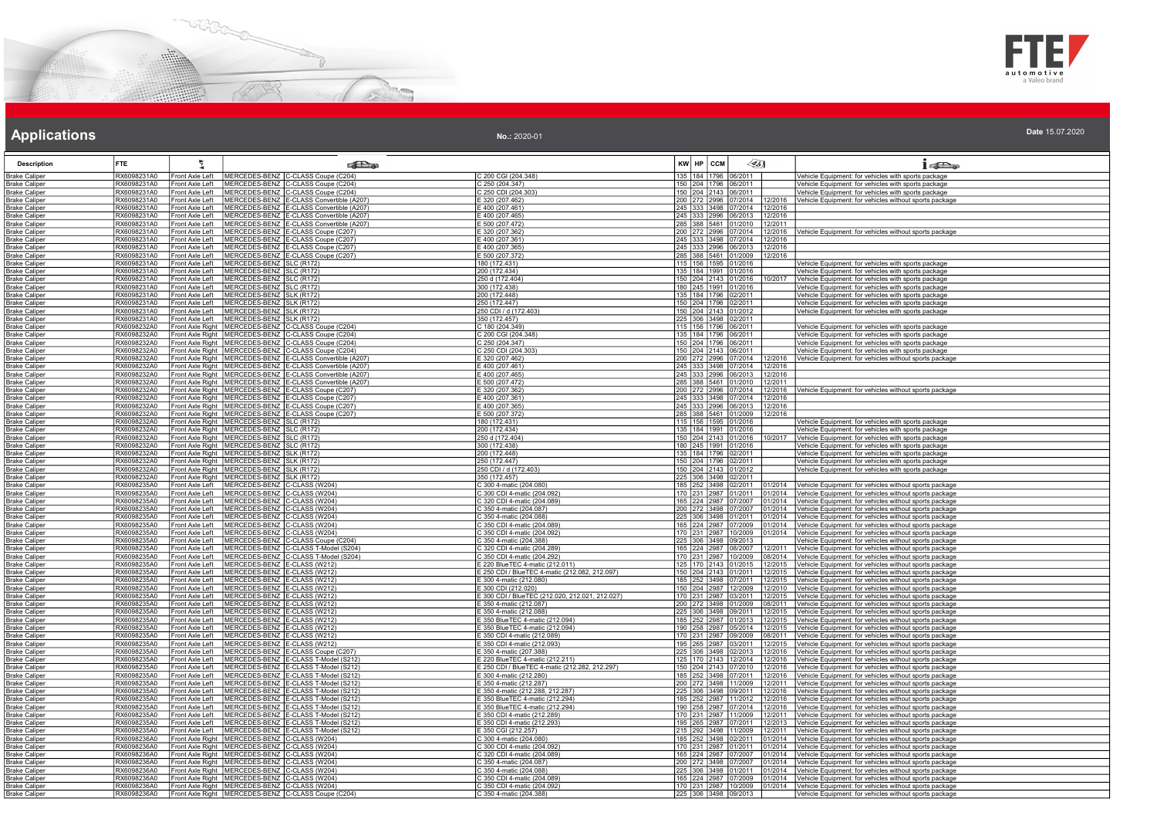



| <b>Description</b>                           | <b>FTE</b>                 | 气                                  |                                                                                                      | <b>Call a</b>                                                                                                      |                                                                | KW HP CCM                                    | $\mathscr{L}$ 5] |                    | $1 - 5$                                                                                                          |
|----------------------------------------------|----------------------------|------------------------------------|------------------------------------------------------------------------------------------------------|--------------------------------------------------------------------------------------------------------------------|----------------------------------------------------------------|----------------------------------------------|------------------|--------------------|------------------------------------------------------------------------------------------------------------------|
| Brake Caliper                                | RX6098231A0                | Front Axle Left                    |                                                                                                      | MERCEDES-BENZ C-CLASS Coupe (C204)                                                                                 | C 200 CGI (204.348)                                            | 135 184 1796 06/2011                         |                  |                    | Vehicle Equipment: for vehicles with sports package                                                              |
| <b>Brake Caliper</b>                         | RX6098231A0                | Front Axle Left                    |                                                                                                      | MERCEDES-BENZ C-CLASS Coupe (C204)                                                                                 | 250 (204.347)                                                  | 150 204 1796 06/2011                         |                  |                    | /ehicle Equipment: for vehicles with sports package                                                              |
| <b>Brake Caliper</b>                         | RX6098231A0                | Front Axle Left                    |                                                                                                      | MERCEDES-BENZ C-CLASS Coupe (C204)                                                                                 | C 250 CDI (204.303)                                            | 150 204 2143 06/2011                         |                  |                    | Vehicle Equipment: for vehicles with sports package                                                              |
| Brake Caliper                                | RX6098231A0                | Front Axle Left                    |                                                                                                      | MERCEDES-BENZ E-CLASS Convertible (A207)                                                                           | E 320 (207.462)                                                | 200 272 2996 07/2014                         |                  | 12/2016            | Vehicle Equipment: for vehicles without sports package                                                           |
| <b>Brake Caliper</b>                         | RX6098231A0                | ront Axle Left                     |                                                                                                      | MERCEDES-BENZ E-CLASS Convertible (A207)                                                                           | E 400 (207.461)                                                | 245 333 3498 07/2014                         |                  | 12/2016            |                                                                                                                  |
| <b>Brake Caliper</b>                         | RX6098231A0                | Front Axle Left                    |                                                                                                      | MERCEDES-BENZ E-CLASS Convertible (A207)                                                                           | E 400 (207.465)                                                | 245 333 2996 06/2013                         |                  | 12/2016            |                                                                                                                  |
| <b>Brake Caliper</b>                         | RX6098231A0<br>RX6098231A0 | Front Axle Left                    |                                                                                                      | MERCEDES-BENZ E-CLASS Convertible (A207)<br>MERCEDES-BENZ E-CLASS Coupe (C207)                                     | E 500 (207.472)                                                | 285 388 5461 01/2010                         |                  | 2/2011             |                                                                                                                  |
| <b>Brake Caliper</b>                         | RX6098231A0                | ront Axle Left<br>Front Axle Left  |                                                                                                      | MERCEDES-BENZ E-CLASS Coupe (C207)                                                                                 | 320 (207.362)<br>E 400 (207.361                                | 200 272 2996 07/2014<br>245 333 3498 07/2014 |                  | 12/2016<br>12/2016 | Vehicle Equipment: for vehicles without sports package                                                           |
| Brake Caliper<br><b>Brake Caliper</b>        | RX6098231A0                | Front Axle Left                    |                                                                                                      | MERCEDES-BENZ E-CLASS Coupe (C207)                                                                                 | E 400 (207.365)                                                | 245 333 2996 06/2013                         |                  | 12/2016            |                                                                                                                  |
| <b>Brake Caliper</b>                         | RX6098231A0                | Front Axle Left                    |                                                                                                      | MERCEDES-BENZ E-CLASS Coupe (C207)                                                                                 | E 500 (207.372)                                                | 285 388 5461 01/2009                         |                  | 12/2016            |                                                                                                                  |
| <b>Brake Caliper</b>                         | RX6098231A0                | Front Axle Left                    | MERCEDES-BENZ SLC (R172)                                                                             |                                                                                                                    | 180 (172.431)                                                  | 115 156 1595 01/2016                         |                  |                    | Vehicle Equipment: for vehicles with sports package                                                              |
| Brake Caliper                                | RX6098231A0                | Front Axle Left                    | MERCEDES-BENZ SLC (R172)                                                                             |                                                                                                                    | 200 (172.434)                                                  | 135 184 1991 01/2016                         |                  |                    | Vehicle Equipment: for vehicles with sports package                                                              |
| Brake Caliper                                | RX6098231A0                | Front Axle Left                    | MERCEDES-BENZ SLC (R172)                                                                             |                                                                                                                    | 250 d (172.404)                                                | 150 204 2143 01/2016                         |                  | 10/2017            | Vehicle Equipment: for vehicles with sports package                                                              |
| <b>Brake Caliper</b>                         | RX6098231A0                | Front Axle Left                    | MERCEDES-BENZ SLC (R172)                                                                             |                                                                                                                    | 300 (172.438)                                                  | 180 245 1991 01/2016                         |                  |                    | Vehicle Equipment: for vehicles with sports package                                                              |
| <b>Brake Caliper</b>                         | RX6098231A0                | Front Axle Left                    | MERCEDES-BENZ SLK (R172)                                                                             |                                                                                                                    | 200 (172.448)                                                  | 135 184 1796 02/2011                         |                  |                    | Vehicle Equipment: for vehicles with sports package                                                              |
| <b>Brake Caliper</b>                         | RX6098231A0                | ront Axle Left                     | MERCEDES-BENZ   SLK (R172)                                                                           |                                                                                                                    | 250 (172.447)                                                  | 150 204 1796 02/2011                         |                  |                    | Vehicle Equipment: for vehicles with sports package                                                              |
| Brake Caliper<br><b>Brake Caliper</b>        | RX6098231A0<br>RX6098231A0 | Front Axle Left<br>ront Axle Left  | MERCEDES-BENZ SLK (R172)<br>MERCEDES-BENZ SLK (R172)                                                 |                                                                                                                    | 250 CDI / d (172.403)<br>350 (172.457)                         | 150 204 2143 01/2012<br>225 306 3498 02/2011 |                  |                    | Vehicle Equipment: for vehicles with sports package                                                              |
| <b>Brake Caliper</b>                         | RX6098232A0                |                                    |                                                                                                      | ront Axle Right   MERCEDES-BENZ   C-CLASS Coupe (C204)                                                             | C 180 (204.349)                                                | 115 156 1796 06/2011                         |                  |                    | /ehicle Equipment: for vehicles with sports package                                                              |
| <b>Brake Caliper</b>                         | RX6098232A0                |                                    |                                                                                                      | Front Axle Right   MERCEDES-BENZ   C-CLASS Coupe (C204)                                                            | C 200 CGI (204.348)                                            | 135 184 1796 06/2011                         |                  |                    | Vehicle Equipment: for vehicles with sports package                                                              |
| <b>Brake Caliper</b>                         | RX6098232A0                |                                    |                                                                                                      | Front Axle Right   MERCEDES-BENZ   C-CLASS Coupe (C204)                                                            | C 250 (204.347)                                                | 150 204 1796 06/2011                         |                  |                    | Vehicle Equipment: for vehicles with sports package                                                              |
| <b>Brake Caliper</b>                         | RX6098232A0                |                                    |                                                                                                      | Front Axle Right   MERCEDES-BENZ C-CLASS Coupe (C204)                                                              | C 250 CDI (204.303)                                            | 150 204 2143 06/2011                         |                  |                    | Vehicle Equipment: for vehicles with sports package                                                              |
| <b>Brake Caliper</b>                         | RX6098232A0                |                                    |                                                                                                      | Front Axle Right MERCEDES-BENZ E-CLASS Convertible (A207                                                           | E 320 (207.462)                                                | 200 272 2996 07/2014                         |                  | 12/2016            | Vehicle Equipment: for vehicles without sports package                                                           |
| <b>Brake Caliper</b>                         | RX6098232A0                |                                    |                                                                                                      | Front Axle Right   MERCEDES-BENZ   E-CLASS Convertible (A207)                                                      | E 400 (207.461)                                                | 245 333 3498 07/2014                         |                  | 12/2016            |                                                                                                                  |
| <b>Brake Caliper</b>                         | RX6098232A0                |                                    |                                                                                                      | Front Axle Right   MERCEDES-BENZ   E-CLASS Convertible (A207)                                                      | E 400 (207.465)<br>E 500 (207.472)                             | 245 333 2996 06/2013<br>285 388 5461 01/2010 |                  | 12/2016            |                                                                                                                  |
| <b>Brake Caliper</b><br><b>Brake Caliper</b> | RX6098232A0<br>RX6098232A0 |                                    |                                                                                                      | ront Axle Right   MERCEDES-BENZ   E-CLASS Convertible (A207)<br>ront Axle Right MERCEDES-BENZ E-CLASS Coupe (C207) | E 320 (207.362)                                                | 200 272 2996 07/2014                         |                  | 12/2011<br>12/2016 | Vehicle Equipment: for vehicles without sports package                                                           |
| <b>Brake Caliper</b>                         | RX6098232A0                |                                    |                                                                                                      | Front Axle Right   MERCEDES-BENZ   E-CLASS Coupe (C207)                                                            | E 400 (207.361)                                                | 245 333 3498 07/2014                         |                  | 12/2016            |                                                                                                                  |
| <b>Brake Caliper</b>                         | RX6098232A0                |                                    |                                                                                                      | ront Axle Right   MERCEDES-BENZ   E-CLASS Coupe (C207)                                                             | E 400 (207.365)                                                | 245 333 2996 06/2013                         |                  | 12/2016            |                                                                                                                  |
| <b>Brake Caliper</b>                         | RX6098232A0                |                                    |                                                                                                      | ront Axle Right   MERCEDES-BENZ   E-CLASS Coupe (C207)                                                             | $= 500(207.372)$                                               | 285 388 5461 01/2009                         |                  | 12/2016            |                                                                                                                  |
| Brake Caliper                                | RX6098232A0                |                                    | Front Axle Right   MERCEDES-BENZ SLC (R172)                                                          |                                                                                                                    | 180 (172.431)                                                  | 115 156 1595 01/2016                         |                  |                    | Vehicle Equipment: for vehicles with sports package                                                              |
| <b>Brake Caliper</b>                         | RX6098232A0                |                                    | Front Axle Right   MERCEDES-BENZ   SLC (R172)                                                        |                                                                                                                    | 200 (172.434)                                                  | 135 184 1991 01/2016                         |                  |                    | Vehicle Equipment: for vehicles with sports package                                                              |
| <b>Brake Caliper</b>                         | RX6098232A0                |                                    | Front Axle Right   MERCEDES-BENZ   SLC (R172)                                                        |                                                                                                                    | 250 d (172.404)                                                | 150 204 2143 01/2016                         |                  | 10/2017            | Vehicle Equipment: for vehicles with sports package                                                              |
| Brake Caliper<br>Brake Caliper               | RX6098232A0<br>RX6098232A0 |                                    | Front Axle Right   MERCEDES-BENZ   SLC (R172)<br>ront Axle Right   MERCEDES-BENZ   SLK (R172)        |                                                                                                                    | 300 (172.438)<br>200 (172.448)                                 | 180 245 1991 01/2016<br>135 184 1796 02/2011 |                  |                    | Vehicle Equipment: for vehicles with sports package<br>/ehicle Equipment: for vehicles with sports package       |
| Brake Caliper                                | RX6098232A0                |                                    | ront Axle Right   MERCEDES-BENZ   SLK (R172)                                                         |                                                                                                                    | 250 (172.447)                                                  | 150 204 1796 02/2011                         |                  |                    | Vehicle Equipment: for vehicles with sports package                                                              |
| Brake Caliper                                | RX6098232A0                |                                    | Front Axle Right   MERCEDES-BENZ   SLK (R172)                                                        |                                                                                                                    | 250 CDI / d (172.403)                                          | 150 204 2143 01/2012                         |                  |                    | Vehicle Equipment: for vehicles with sports package                                                              |
| <b>Brake Caliper</b>                         | RX6098232A0                |                                    | ront Axle Right   MERCEDES-BENZ   SLK (R172)                                                         |                                                                                                                    | 350 (172.457)                                                  | 225 306 3498 02/2011                         |                  |                    |                                                                                                                  |
| <b>Brake Caliper</b>                         | RX6098235A0                | ront Axle Left                     | MERCEDES-BENZ C-CLASS (W204)                                                                         |                                                                                                                    | C 300 4-matic (204.080)                                        | 185 252 3498 02/2011                         |                  | 1/2014             | Vehicle Equipment: for vehicles without sports package                                                           |
| Brake Caliper                                | RX6098235A0                | ront Axle Left                     | MERCEDES-BENZ C-CLASS (W204)                                                                         |                                                                                                                    | C 300 CDI 4-matic (204.092)                                    | 170 231 2987 01/2011                         |                  | 1/2014             | Vehicle Equipment: for vehicles without sports package                                                           |
| <b>Brake Caliper</b>                         | RX6098235A0                | ront Axle Left                     | MERCEDES-BENZ C-CLASS (W204)                                                                         |                                                                                                                    | 2 320 CDI 4-matic (204.089)                                    | 165 224 2987 07/2007                         |                  | 1/2014             | Vehicle Equipment: for vehicles without sports package                                                           |
| <b>Brake Caliper</b><br><b>Brake Caliper</b> | RX6098235A0<br>RX6098235A0 | Front Axle Left<br>ront Axle Left  | MERCEDES-BENZ C-CLASS (W204)<br>MERCEDES-BENZ C-CLASS (W204)                                         |                                                                                                                    | C 350 4-matic (204.087)<br>C 350 4-matic (204.088)             | 200 272 3498 07/2007<br>225 306 3498 01/2011 |                  | )1/2014<br>1/2014  | Vehicle Equipment: for vehicles without sports package<br>Vehicle Equipment: for vehicles without sports package |
| <b>Brake Caliper</b>                         | RX6098235A0                | Front Axle Left                    | MERCEDES-BENZ C-CLASS (W204)                                                                         |                                                                                                                    | C 350 CDI 4-matic (204.089                                     | 165 224 2987 07/2009                         |                  | 01/2014            | Vehicle Equipment: for vehicles without sports package                                                           |
| Brake Caliper                                | RX6098235A0                | Front Axle Left                    | MERCEDES-BENZ C-CLASS (W204)                                                                         |                                                                                                                    | C 350 CDI 4-matic (204.092)                                    | 170 231 2987 10/2009                         |                  | )1/2014            | Vehicle Equipment: for vehicles without sports package                                                           |
| <b>Brake Caliper</b>                         | RX6098235A0                | ront Axle Left                     |                                                                                                      | MERCEDES-BENZ C-CLASS Coupe (C204)                                                                                 | C 350 4-matic (204.388)                                        | 225 306 3498 09/2013                         |                  |                    | Vehicle Equipment: for vehicles without sports package                                                           |
| <b>Brake Caliper</b>                         | RX6098235A0                | Front Axle Left                    |                                                                                                      | MERCEDES-BENZ C-CLASS T-Model (S204)                                                                               | C 320 CDI 4-matic (204.289)                                    | 165 224 2987 08/2007                         |                  | 12/2011            | Vehicle Equipment: for vehicles without sports package                                                           |
| Brake Caliper                                | RX6098235A0                | Front Axle Left                    |                                                                                                      | MERCEDES-BENZ C-CLASS T-Model (S204)                                                                               | C 350 CDI 4-matic (204.292)                                    | 170 231 2987 10/2009                         |                  | 08/2014            | Vehicle Equipment: for vehicles without sports package                                                           |
| <b>Brake Caliper</b>                         | RX6098235A0                | ront Axle Left                     | MERCEDES-BENZ E-CLASS (W212)                                                                         |                                                                                                                    | E 220 BlueTEC 4-matic (212.011)                                | 125 170 2143 01/2015                         |                  | 12/2015            | Vehicle Equipment: for vehicles without sports package                                                           |
| <b>Brake Caliper</b>                         | RX6098235A0<br>RX6098235A0 | Front Axle Left<br>Front Axle Left | MERCEDES-BENZ E-CLASS (W212)                                                                         |                                                                                                                    | E 250 CDI / BlueTEC 4-matic (212.082, 212.097)                 | 150 204 2143 01/2011                         |                  | 12/2015            | Vehicle Equipment: for vehicles without sports package                                                           |
| <b>Brake Caliper</b><br><b>Brake Caliper</b> | RX6098235A0                | ront Axle Left                     | MERCEDES-BENZ E-CLASS (W212)<br>MERCEDES-BENZ E-CLASS (W212)                                         |                                                                                                                    | 5 300 4-matic (212.080)<br>$= 300$ CDI (212.020)               | 185 252 3498 07/2011<br>50 204 2987 12/2009  |                  | 12/2015<br>2/2010  | Vehicle Equipment: for vehicles without sports package<br>Vehicle Equipment: for vehicles without sports package |
| 3rake Caliper                                | RX6098235A0                | ront Axle Left                     | MERCEDES-BENZ   E-CLASS (W212)                                                                       |                                                                                                                    | E 300 CDI / BlueTEC (212.020, 212.021, 212.027)                | 170 231 2987 03/2011                         |                  | 12/2015            | Vehicle Equipment: for vehicles without sports package                                                           |
| <b>Brake Caliper</b>                         | RX6098235A0                | Front Axle Left                    | MERCEDES-BENZ E-CLASS (W212)                                                                         |                                                                                                                    | E 350 4-matic (212.087)                                        | 200 272 3498 01/2009                         |                  | 08/2011            | Vehicle Equipment: for vehicles without sports package                                                           |
| <b>Brake Caliper</b>                         | RX6098235A0                | ront Axle Left                     | MERCEDES-BENZ E-CLASS (W212)                                                                         |                                                                                                                    | E 350 4-matic (212.088)                                        | 225 306 3498 09/2011                         |                  | 12/2015            | Vehicle Equipment: for vehicles without sports package                                                           |
| <b>Brake Caliper</b>                         | RX6098235A0                | Front Axle Left                    | MERCEDES-BENZ E-CLASS (W212)                                                                         |                                                                                                                    | E 350 BlueTEC 4-matic (212.094)                                | 185 252 2987 01/2013                         |                  | 12/2015            | Vehicle Equipment: for vehicles without sports package                                                           |
| <b>Brake Caliper</b>                         | RX6098235A0                | Front Axle Left                    | MERCEDES-BENZ E-CLASS (W212)                                                                         |                                                                                                                    | 350 BlueTEC 4-matic (212.094)                                  | 190 258 2987 05/2014                         |                  | 12/2015            | Vehicle Equipment: for vehicles without sports package                                                           |
| <b>Brake Caliper</b>                         | RX6098235A0                | ront Axle Left<br>Front Axle Left  | MERCEDES-BENZ E-CLASS (W212)                                                                         |                                                                                                                    | E 350 CDI 4-matic (212.089)                                    | 170 231 2987 09/2009                         |                  | 8/2011             | Vehicle Equipment: for vehicles without sports package                                                           |
| <b>Brake Caliper</b><br><b>Brake Caliper</b> | RX6098235A0<br>RX6098235A0 | ront Axle Left                     | MERCEDES-BENZ E-CLASS (W212)                                                                         | MERCEDES-BENZ E-CLASS Coupe (C207                                                                                  | E 350 CDI 4-matic (212.093)<br>E 350 4-matic (207.388)         | 195 265 2987 03/2011<br>225 306 3498 02/2013 |                  | 12/2015<br>12/2016 | Vehicle Equipment: for vehicles without sports package<br>Vehicle Equipment: for vehicles without sports package |
| <b>Brake Caliper</b>                         | RX6098235A0                | ront Axle Left                     |                                                                                                      | MERCEDES-BENZ E-CLASS T-Model (S212)                                                                               | E 220 BlueTEC 4-matic (212.211)                                | 125 170 2143 12/2014                         |                  | 12/2016            | Vehicle Equipment: for vehicles without sports package                                                           |
| Brake Caliper                                | RX6098235A0                | ront Axle Left                     |                                                                                                      | MERCEDES-BENZ E-CLASS T-Model (S212)                                                                               | E 250 CDI / BlueTEC 4-matic (212.282, 212.297)                 | 150 204 2143 07/2010                         |                  | 12/2016            | Vehicle Equipment: for vehicles without sports package                                                           |
| irake Caliper                                | RX6098235A0                | ront Axle Left                     |                                                                                                      | MERCEDES-BENZ E-CLASS T-Model (S212)                                                                               | 5 300 4-matic (212.280)                                        | 85 252 3498 07/2011                          |                  | 2/2016             | Vehicle Equipment: for vehicles without sports package                                                           |
| <b>Irake Caliper</b>                         | RX6098235A0                | ront Axle Left                     |                                                                                                      | MERCEDES-BENZ E-CLASS T-Model (S212)                                                                               | 5 350 4-matic (212.287)                                        | 200 272 3498 11/2009                         |                  | 12/2011            | Vehicle Equipment: for vehicles without sports package                                                           |
| <b>Brake Caliper</b>                         | RX6098235A0                | Front Axle Left                    |                                                                                                      | MERCEDES-BENZ E-CLASS T-Model (S212)                                                                               | 5 350 4-matic (212.288, 212.287)                               | 225 306 3498 09/2011                         |                  | 12/2016            | Vehicle Equipment: for vehicles without sports package                                                           |
| <b>Brake Caliper</b>                         | RX6098235A0                | ront Axle Left                     |                                                                                                      | MERCEDES-BENZ E-CLASS T-Model (S212)                                                                               | E 350 BlueTEC 4-matic (212.294)                                | 185 252 2987 11/2012                         |                  | 2/2016             | Vehicle Equipment: for vehicles without sports package                                                           |
| Brake Caliper<br><b>Brake Caliper</b>        | RX6098235A0<br>RX6098235A0 | Front Axle Left<br>Front Axle Left |                                                                                                      | MERCEDES-BENZ E-CLASS T-Model (S212)<br>MERCEDES-BENZ E-CLASS T-Model (S212)                                       | E 350 BlueTEC 4-matic (212.294)<br>5 350 CDI 4-matic (212.289) | 190 258 2987 07/2014<br>170 231 2987 11/2009 |                  | 12/2016<br>2/2011  | Vehicle Equipment: for vehicles without sports package<br>Vehicle Equipment: for vehicles without sports package |
| <b>Brake Caliper</b>                         | RX6098235A0                | ront Axle Left                     |                                                                                                      | MERCEDES-BENZ E-CLASS T-Model (S212)                                                                               | 5 350 CDI 4-matic (212.293)                                    | 195 265 2987 07/2011                         |                  | 12/2013            | Vehicle Equipment: for vehicles without sports package                                                           |
| Brake Caliper                                | RX6098235A0                | ront Axle Left                     |                                                                                                      | MERCEDES-BENZ E-CLASS T-Model (S212)                                                                               | E 350 CGI (212.257)                                            | 215 292 3498 11/2009                         |                  | 12/2011            | Vehicle Equipment: for vehicles without sports package                                                           |
| Brake Caliper                                | RX6098236A0                |                                    | Front Axle Right   MERCEDES-BENZ   C-CLASS (W204)                                                    |                                                                                                                    | C 300 4-matic (204.080)                                        | 185 252 3498 02/2011                         |                  | 01/2014            | Vehicle Equipment: for vehicles without sports package                                                           |
| <b>Brake Caliper</b>                         | RX6098236A0                |                                    | Front Axle Right   MERCEDES-BENZ   C-CLASS (W204)                                                    |                                                                                                                    | C 300 CDI 4-matic (204.092)                                    | 170 231 2987 01/2011                         |                  | 01/2014            | Vehicle Equipment: for vehicles without sports package                                                           |
| <b>Brake Caliper</b>                         | RX6098236A0                |                                    | ront Axle Right   MERCEDES-BENZ   C-CLASS (W204)                                                     |                                                                                                                    | C 320 CDI 4-matic (204.089)                                    | 165 224 2987 07/2007                         |                  | 1/2014             | Vehicle Equipment: for vehicles without sports package                                                           |
| <b>Brake Caliper</b>                         | RX6098236A0                |                                    | ront Axle Right   MERCEDES-BENZ C-CLASS (W204)                                                       |                                                                                                                    | C 350 4-matic (204.087)                                        | 200 272 3498 07/2007                         |                  | 1/2014             | Vehicle Equipment: for vehicles without sports package                                                           |
| <b>Brake Caliper</b>                         | RX6098236A0<br>RX6098236A0 |                                    | ront Axle Right   MERCEDES-BENZ   C-CLASS (W204)<br>Front Axle Right   MERCEDES-BENZ C--CLASS (W204) |                                                                                                                    | 350 4-matic (204.088)<br>C 350 CDI 4-matic (204.089)           | 225 306 3498 01/2011<br>165 224 2987 07/2009 |                  | 1/2014             | Vehicle Equipment: for vehicles without sports package                                                           |
| Brake Caliper<br><b>Brake Caliper</b>        | RX6098236A0                |                                    | Front Axle Right   MERCEDES-BENZ   C-CLASS (W204)                                                    |                                                                                                                    | C 350 CDI 4-matic (204.092)                                    | 170 231 2987 10/2009                         |                  | 01/2014<br>1/2014  | Vehicle Equipment: for vehicles without sports package<br>Vehicle Equipment: for vehicles without sports package |
| <b>Brake Caliper</b>                         | RX6098236A0                |                                    |                                                                                                      | Front Axle Right   MERCEDES-BENZ   C-CLASS Coupe (C204)                                                            | C 350 4-matic (204.388)                                        | 225 306 3498 09/2013                         |                  |                    | Vehicle Equipment: for vehicles without sports package                                                           |
|                                              |                            |                                    |                                                                                                      |                                                                                                                    |                                                                |                                              |                  |                    |                                                                                                                  |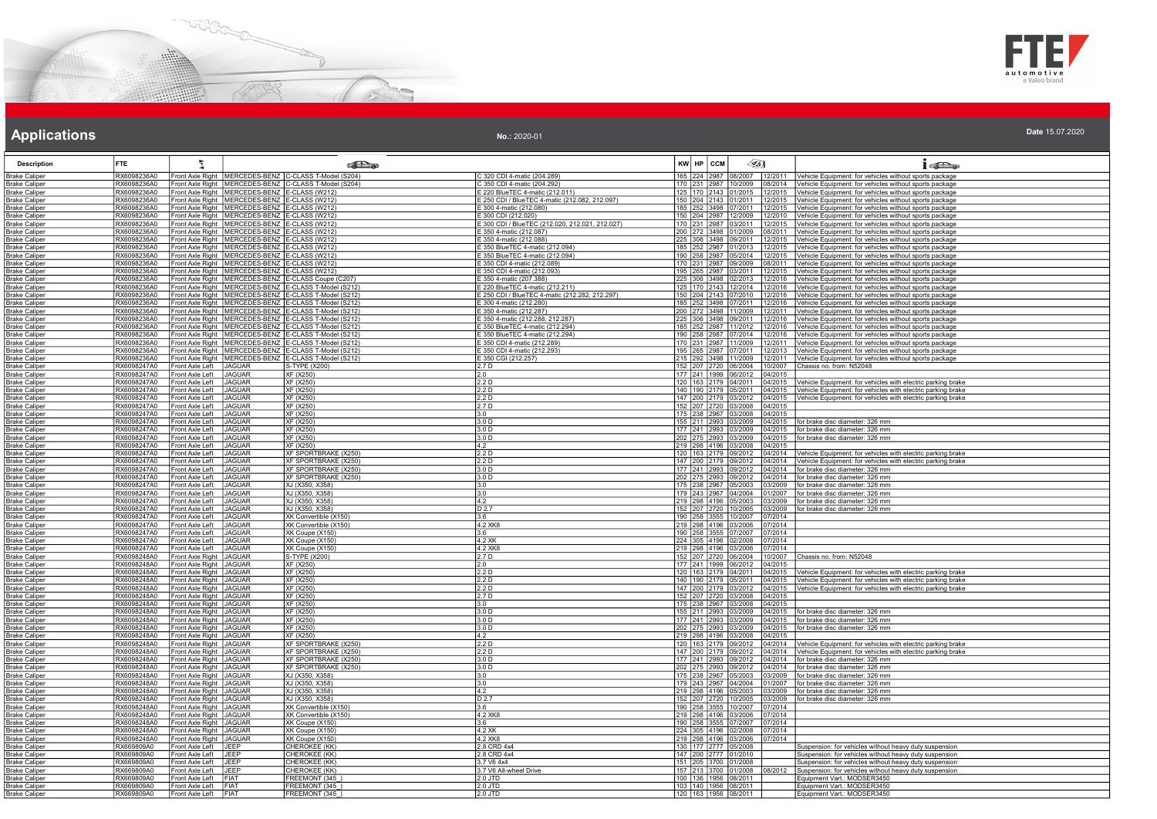



### **Applications Applications Applications**

| <b>Description</b>                            | <b>FTE</b>                 |                                                    | <b>Redistri</b>                                                                                                        |                                                             | 45]<br>KW HP CCM                                                                                                             | 1520                                                                                                                                                    |
|-----------------------------------------------|----------------------------|----------------------------------------------------|------------------------------------------------------------------------------------------------------------------------|-------------------------------------------------------------|------------------------------------------------------------------------------------------------------------------------------|---------------------------------------------------------------------------------------------------------------------------------------------------------|
| <b>Brake Caliper</b>                          | RX6098236A0                |                                                    | Front Axle Right   MERCEDES-BENZ   C-CLASS T-Model (S204)                                                              | C 320 CDI 4-matic (204.289)                                 | 165                                                                                                                          | 224 2987 08/2007 12/2011 Vehicle Equipment: for vehicles without sports package                                                                         |
| <b>Brake Caliper</b>                          | RX6098236A0                |                                                    | Front Axle Right   MERCEDES-BENZ   C-CLASS T-Model (S204)                                                              | C 350 CDI 4-matic (204.292)                                 | 170 231 2987 10/2009 08/2014                                                                                                 | Vehicle Equipment: for vehicles without sports package                                                                                                  |
| <b>Brake Caliper</b>                          | RX6098236A0                |                                                    | Front Axle Right   MERCEDES-BENZ   E-CLASS (W212)                                                                      | E 220 BlueTEC 4-matic (212.011)                             | 125   170   2143   01/2015   12/2015                                                                                         | Vehicle Equipment: for vehicles without sports package                                                                                                  |
| <b>Brake Caliper</b>                          | RX6098236A0                |                                                    | Front Axle Right   MERCEDES-BENZ   E-CLASS (W212                                                                       | E 250 CDI / BlueTEC 4-matic (212.082, 212.097)              | 150 204 2143 01/2011 12/2015                                                                                                 | Vehicle Equipment: for vehicles without sports package                                                                                                  |
| <b>Brake Caliper</b>                          | RX6098236A0<br>RX6098236A0 |                                                    | Front Axle Right   MERCEDES-BENZ E-CLASS (W212<br>Front Axle Right MERCEDES-BENZ E-CLASS (W212)                        | E 300 4-matic (212.080)<br>E 300 CDI (212.020)              | 185 252 3498 07/2011 12/2015<br>150 204 2987 12/2009 12/2010                                                                 | Vehicle Equipment: for vehicles without sports package                                                                                                  |
| Brake Caliper<br><b>Brake Caliper</b>         | RX6098236A0                |                                                    | Front Axle Right   MERCEDES-BENZ   E-CLASS (W212)                                                                      | E 300 CDI / BlueTEC (212.020, 212.021, 212.027)             | 170 231 2987 03/2011 12/2015                                                                                                 | Vehicle Equipment: for vehicles without sports package<br>Vehicle Equipment: for vehicles without sports package                                        |
| <b>Brake Caliper</b>                          | RX6098236A0                |                                                    | Front Axle Right   MERCEDES-BENZ   E-CLASS (W212)                                                                      | 5 350 4-matic (212.087)                                     | 200 272 3498 01/2009 08/2011                                                                                                 | Vehicle Equipment: for vehicles without sports package                                                                                                  |
| <b>Brake Caliper</b>                          | RX6098236A0                |                                                    | Front Axle Right   MERCEDES-BENZ   E-CLASS (W212)                                                                      | E 350 4-matic (212.088)                                     | 225 306 3498 09/2011 12/2015                                                                                                 | Vehicle Equipment: for vehicles without sports package                                                                                                  |
| <b>Brake Caliper</b>                          | RX6098236A0                |                                                    | Front Axle Right   MERCEDES-BENZ   E-CLASS (W212)                                                                      | 350 BlueTEC 4-matic (212.094)                               | 185 252 2987 01/2013<br>12/2015                                                                                              | /ehicle Equipment: for vehicles without sports package                                                                                                  |
| Brake Caliper                                 | RX6098236A0                |                                                    | ront Axle Right   MERCEDES-BENZ   E-CLASS (W212)                                                                       | E 350 BlueTEC 4-matic (212.094)                             | 190 258 2987 05/2014 12/2015                                                                                                 | Vehicle Equipment: for vehicles without sports package                                                                                                  |
| <b>Brake Caliper</b>                          | RX6098236A0                |                                                    | Front Axle Right MERCEDES-BENZ E-CLASS (W212)                                                                          | E 350 CDI 4-matic (212.089)                                 | 170 231 2987 09/2009<br>08/2011                                                                                              | Vehicle Equipment: for vehicles without sports package                                                                                                  |
| <b>Brake Caliper</b>                          | RX6098236A0                |                                                    | Front Axle Right   MERCEDES-BENZ   E-CLASS (W212)                                                                      | E 350 CDI 4-matic (212.093)                                 | 195 265 2987 03/2011 12/2015                                                                                                 | Vehicle Equipment: for vehicles without sports package                                                                                                  |
| <b>Brake Caliper</b>                          | RX6098236A0                |                                                    | Front Axle Right   MERCEDES-BENZ   E-CLASS Coupe (C207)                                                                | E 350 4-matic (207.388)                                     | 225 306 3498 02/2013 12/2016                                                                                                 | Vehicle Equipment: for vehicles without sports package                                                                                                  |
| Brake Caliper                                 | RX6098236A0                |                                                    | Front Axle Right   MERCEDES-BENZ   E-CLASS T-Model (S212)                                                              | E 220 BlueTEC 4-matic (212.211)                             | 125   170   2143   12/2014   12/2016                                                                                         | Vehicle Equipment: for vehicles without sports package                                                                                                  |
| <b>Brake Caliper</b>                          | RX6098236A0                |                                                    | Front Axle Right   MERCEDES-BENZ   E-CLASS T-Model (S212)                                                              | 250 CDI / BlueTEC 4-matic (212.282, 212.297)                | 150 204 2143 07/2010 12/2016                                                                                                 | Vehicle Equipment: for vehicles without sports package                                                                                                  |
| <b>Brake Caliper</b>                          | RX6098236A0                |                                                    | Front Axle Right   MERCEDES-BENZ   E-CLASS T-Model (S212)                                                              | E 300 4-matic (212.280)                                     | 185 252 3498 07/2011 12/2016                                                                                                 | Vehicle Equipment: for vehicles without sports package                                                                                                  |
| <b>Brake Caliper</b><br><b>Brake Caliper</b>  | RX6098236A0<br>RX6098236A0 |                                                    | Front Axle Right   MERCEDES-BENZ   E-CLASS T-Model (S212)<br>Front Axle Right   MERCEDES-BENZ   E-CLASS T-Model (S212) | E 350 4-matic (212.287)<br>E 350 4-matic (212.288, 212.287) | 200 272 3498 11/2009 12/2011<br>225 306 3498 09/2011 12/2016                                                                 | Vehicle Equipment: for vehicles without sports package<br>Vehicle Equipment: for vehicles without sports package                                        |
| Brake Caliper                                 | RX6098236A0                |                                                    | Front Axle Right   MERCEDES-BENZ   E-CLASS T-Model (S212)                                                              | E 350 BlueTEC 4-matic (212.294)                             | 185 252 2987 11/2012 12/2016                                                                                                 | Vehicle Equipment: for vehicles without sports package                                                                                                  |
| Brake Caliper                                 | RX6098236A0                |                                                    | Front Axle Right   MERCEDES-BENZ   E-CLASS T-Model (S212)                                                              | 5 350 BlueTEC 4-matic (212.294)                             | 190 258 2987 07/2014 12/2016                                                                                                 | Vehicle Equipment: for vehicles without sports package                                                                                                  |
| <b>Brake Caliper</b>                          | RX6098236A0                |                                                    | ront Axle Right   MERCEDES-BENZ   E-CLASS T-Model (S212)                                                               | 350 CDI 4-matic (212.289)                                   | 170 231 2987 11/2009 12/2011                                                                                                 | /ehicle Equipment: for vehicles without sports package                                                                                                  |
| <b>Brake Caliper</b>                          | RX6098236A0                |                                                    | Front Axle Right   MERCEDES-BENZ   E-CLASS T-Model (S212)                                                              | E 350 CDI 4-matic (212.293)                                 | 195 265 2987 07/2011 12/2013                                                                                                 | Vehicle Equipment: for vehicles without sports package                                                                                                  |
| <b>Brake Caliper</b>                          | RX6098236A0                |                                                    | Front Axle Right   MERCEDES-BENZ   E-CLASS T-Model (S212)                                                              | E 350 CGI (212.257)                                         | 215 292 3498 11/2009<br>12/2011                                                                                              | Vehicle Equipment: for vehicles without sports package                                                                                                  |
| <b>Brake Caliper</b>                          | RX6098247A0                | Front Axle Left                                    | <b>JAGUAR</b><br>S-TYPE (X200)                                                                                         | 2.7 D                                                       | 152 207 2720 06/2004 10/2007                                                                                                 | Chassis no. from: N52048                                                                                                                                |
| <b>Brake Caliper</b>                          | RX6098247A0                | Front Axle Left                                    | JAGUAR<br>XF (X250)                                                                                                    | 2.0                                                         | 177 241 1999 06/2012 04/2015                                                                                                 |                                                                                                                                                         |
| <b>Brake Caliper</b>                          | RX6098247A0                | Front Axle Left                                    | <b>JAGUAR</b><br><b>XF (X250)</b>                                                                                      | 2.2 <sub>D</sub>                                            | 120 163 2179 04/2011 04/2015                                                                                                 | /ehicle Equipment: for vehicles with electric parking brake                                                                                             |
| <b>Brake Caliper</b>                          | RX6098247A0                | Front Axle Left                                    | <b>JAGUAR</b><br>XF (X250)                                                                                             | 2.2 D                                                       | 140 190 2179 05/2011<br>04/2015                                                                                              | Vehicle Equipment: for vehicles with electric parking brake                                                                                             |
| Brake Caliper                                 | RX6098247A0                | Front Axle Left                                    | <b>JAGUAR</b><br>XF (X250)                                                                                             | 2.2 <sub>D</sub>                                            | 147 200 2179 03/2012<br>04/2015                                                                                              | Vehicle Equipment: for vehicles with electric parking brake                                                                                             |
| <b>Brake Caliper</b>                          | RX6098247A0                | Front Axle Left                                    | <b>JAGUAR</b><br>XF (X250)                                                                                             | 2.7 D<br>3.0                                                | 152 207 2720 03/2008 04/2015                                                                                                 |                                                                                                                                                         |
| <b>Brake Caliper</b><br><u> Brake Caliper</u> | RX6098247A0<br>RX6098247A0 | Front Axle Left<br>Front Axle Left                 | <b>JAGUAR</b><br>XF (X250)<br><b>JAGUAR</b><br>XF (X250)                                                               | 3.0 D                                                       | 175 238 2967 03/2008 04/2015<br>155 211 2993 03/2009<br>04/2015                                                              | for brake disc diameter: 326 mm                                                                                                                         |
| <b>Brake Caliper</b>                          | RX6098247A0                | Front Axle Left                                    | <b>JAGUAR</b><br>XF (X250)                                                                                             | 3.0 D                                                       | 177 241 2993 03/2009 04/2015 for brake disc diameter: 326 mm                                                                 |                                                                                                                                                         |
| <b>Brake Caliper</b>                          | RX6098247A0                | Front Axle Left                                    | <b>JAGUAR</b><br>XF (X250)                                                                                             | 3.0 D                                                       | 202 275 2993 03/2009<br>04/2015                                                                                              | for brake disc diameter: 326 mm                                                                                                                         |
| <b>Brake Caliper</b>                          | RX6098247A0                | Front Axle Left                                    | <b>JAGUAR</b><br><b>XF (X250)</b>                                                                                      | 4.2                                                         | 219 298 4196 03/2008 04/2015                                                                                                 |                                                                                                                                                         |
| <b>Brake Caliper</b>                          | RX6098247A0                | Front Axle Left                                    | <b>JAGUAR</b><br>XF SPORTBRAKE (X250)                                                                                  | 2.2 <sub>D</sub>                                            | 120 163 2179 09/2012 04/2014                                                                                                 | Vehicle Equipment: for vehicles with electric parking brake                                                                                             |
| <b>Brake Caliper</b>                          | RX6098247A0                | Front Axle Left                                    | XF SPORTBRAKE (X250)<br>JAGUAR                                                                                         | 2.2 D                                                       | 147 200 2179 09/2012 04/2014                                                                                                 | Vehicle Equipment: for vehicles with electric parking brake                                                                                             |
| Brake Caliper                                 | RX6098247A0                | Front Axle Left                                    | <b>JAGUAR</b><br><b>XF SPORTBRAKE (X250)</b>                                                                           | 3.0 D                                                       | 177 241 2993 09/2012                                                                                                         | 04/2014   for brake disc diameter: 326 mm                                                                                                               |
| <b>Brake Caliper</b>                          | RX6098247A0                | Front Axle Left                                    | <b>JAGUAR</b><br>XF SPORTBRAKE (X250)                                                                                  | 3.0 D                                                       | 202 275 2993 09/2012 04/2014 for brake disc diameter: 326 mm<br>175 238 2967 05/2003 03/2009 for brake disc diameter: 326 mm |                                                                                                                                                         |
| Brake Caliper                                 | RX6098247A0                | Front Axle Left                                    | JAGUAR<br>XJ (X350, X358)                                                                                              | 3.0                                                         |                                                                                                                              |                                                                                                                                                         |
| <b>Brake Caliper</b>                          | RX6098247A0                | Front Axle Left                                    | <b>JAGUAR</b><br>XJ (X350, X358                                                                                        | 3.0<br>4.2                                                  | 179 243 2967 04/2004 01/2007                                                                                                 | for brake disc diameter: 326 mm                                                                                                                         |
| <b>Brake Caliper</b><br>Brake Caliper         | RX6098247A0<br>RX6098247A0 | Front Axle Left<br><b>Front Axle Left</b>          | <b>JAGUAR</b><br>XJ (X350, X358)<br><b>JAGUAR</b><br>XJ (X350, X358)                                                   | D 2.7                                                       | 219 298 4196 05/2003<br>152 207 2720 10/2005 03/2009 for brake disc diameter: 326 mm                                         | 03/2009 for brake disc diameter: 326 mm                                                                                                                 |
| <b>Brake Caliper</b>                          | RX6098247A0                | Front Axle Left                                    | <b>JAGUAR</b><br>XK Convertible (X150)                                                                                 | 36                                                          | 190 258 3555 10/2007 07/2014                                                                                                 |                                                                                                                                                         |
| <b>Brake Caliper</b>                          | RX6098247A0                | Front Axle Left                                    | <b>JAGUAR</b><br>XK Convertible (X150)                                                                                 | 4.2 XK8                                                     | 219 298 4196 03/2006<br>07/2014                                                                                              |                                                                                                                                                         |
| <b>Brake Caliper</b>                          | RX6098247A0                | Front Axle Left                                    | <b>JAGUAR</b><br>XK Coupe (X150)                                                                                       | 36                                                          | 190 258 3555 07/2007 07/2014                                                                                                 |                                                                                                                                                         |
| <b>Brake Caliper</b>                          | RX6098247A0                | Front Axle Left                                    | <b>JAGUAR</b><br>XK Coupe (X150)                                                                                       | 4.2 XK                                                      | 224 305 4196 02/2008 07/2014                                                                                                 |                                                                                                                                                         |
| <b>Brake Caliper</b>                          | RX6098247A0                | Front Axle Left                                    | <b>JAGUAR</b><br>XK Coupe (X150)                                                                                       | 4.2 XK8                                                     | 219 298 4196 03/2006 07/2014                                                                                                 |                                                                                                                                                         |
| Brake Caliper                                 | RX6098248A0                | Front Axle Right                                   | <b>JAGUAR</b><br>S-TYPE (X200)                                                                                         | 2.7 D                                                       | 152 207 2720 06/2004 10/2007                                                                                                 | Chassis no. from: N52048                                                                                                                                |
| <b>Brake Caliper</b>                          | RX6098248A0                | Front Axle Right JAGUAR                            | XF (X250)                                                                                                              | 2.0                                                         | 177 241 1999 06/2012 04/2015                                                                                                 |                                                                                                                                                         |
| <b>Brake Caliper</b>                          | RX6098248A0                | Front Axle Right JAGUAR                            | XF (X250)                                                                                                              | 2.2 <sub>D</sub>                                            | 120 163 2179 04/2011<br>04/2015                                                                                              | Vehicle Equipment: for vehicles with electric parking brake                                                                                             |
| <b>Brake Caliper</b><br><b>Brake Caliper</b>  | RX6098248A0<br>RX6098248A0 | Front Axle Right JAGUAR<br>Front Axle Right JAGUAR | <b>XF (X250)</b><br>XF (X250)                                                                                          | 2.2 <sub>D</sub><br>2.2 D                                   | 140 190 2179 05/2011 04/2015                                                                                                 | Vehicle Equipment: for vehicles with electric parking brake<br>147 200 2179 03/2012 04/2015 Vehicle Equipment: for vehicles with electric parking brake |
|                                               | RX6098248A0                | Front Axle Right JAGUAR                            |                                                                                                                        |                                                             | 152 207 2720 03/2008 04/2015                                                                                                 |                                                                                                                                                         |
| Brake Caliper<br><b>Brake Caliper</b>         | RX6098248A0                | Front Axle Right JAGUAR                            | XF (X250)<br><b>XF (X250)</b>                                                                                          | 2.7 D<br>3.0                                                | 175 238 2967 03/2008<br>04/2015                                                                                              |                                                                                                                                                         |
| <b>Brake Caliper</b>                          | RX6098248A0                | ront Axle Right JAGUAR                             | XF (X250)                                                                                                              | 3.0 D                                                       | 155 211 2993 03/2009<br>04/2015                                                                                              | for brake disc diameter: 326 mm                                                                                                                         |
| Brake Caliper                                 | RX6098248A0                | Front Axle Right JAGUAR                            | XF (X250)                                                                                                              | 30D                                                         | 177 241 2993 03/2009 04/2015 for brake disc diameter: 326 mm                                                                 |                                                                                                                                                         |
| <b>Brake Caliper</b>                          | RX6098248A0                | Front Axle Right JAGUAR                            | XF (X250)                                                                                                              | 3.0 D                                                       | 202 275 2993 03/2009 04/2015                                                                                                 | for brake disc diameter: 326 mm                                                                                                                         |
| Brake Caliper                                 | RX6098248A0                | Front Axle Right JAGUAR                            | XF (X250)                                                                                                              | 4.2                                                         | 219 298 4196 03/2008 04/2015                                                                                                 |                                                                                                                                                         |
| <b>Brake Caliper</b>                          | RX6098248A0                | Front Axle Right JAGUAR                            | XF SPORTBRAKE (X250)                                                                                                   | 2.2 D                                                       | 120 163 2179 09/2012 04/2014                                                                                                 | Vehicle Equipment: for vehicles with electric parking brake                                                                                             |
| <b>Brake Caliper</b>                          | RX6098248A0                | Front Axle Right JAGUAR<br>Front Axle Right JAGUAR | XF SPORTBRAKE (X250)                                                                                                   | 2.2 D                                                       | 147 200 2179 09/2012 04/2014                                                                                                 | Vehicle Equipment: for vehicles with electric parking brake                                                                                             |
| Brake Caliper                                 | RX6098248A0<br>RX6098248A0 |                                                    | XF SPORTBRAKE (X250)<br>XF SPORTBRAKE (X250)                                                                           | 3.0 <sub>D</sub><br>3.0 <sub>D</sub>                        | 177 241 2993 09/2012 04/2014 for brake disc diameter: 326 mm<br>202 275 2993 09/2012 04/2014                                 |                                                                                                                                                         |
| <b>Brake Caliper</b>                          | RX6098248A0                | Front Axle Right JAGUAR<br>Front Axle Right JAGUAR | XJ (X350, X358)                                                                                                        | 3.0                                                         |                                                                                                                              | for brake disc diameter: 326 mm<br>for brake disc diameter: 326 mm                                                                                      |
| <b>Brake Caliper</b><br><b>Brake Caliper</b>  | RX6098248A0                | Front Axle Right   JAGUAR                          | XJ (X350, X358)                                                                                                        | 3.0                                                         | 175 238 2967 05/2003<br>03/2009<br>179 243 2967 04/2004 01/2007                                                              | for brake disc diameter: 326 mm                                                                                                                         |
| <b>Brake Caliper</b>                          | RX6098248A0                | Front Axle Right JAGUAR                            | XJ (X350, X358)                                                                                                        | 4.2                                                         | 219 298 4196 05/2003<br>03/2009                                                                                              | for brake disc diameter: 326 mm                                                                                                                         |
| <b>Brake Caliper</b>                          | RX6098248A0                | Front Axle Right JAGUAR                            | XJ (X350, X358)                                                                                                        | D 2.7                                                       | 152 207 2720 10/2005<br>03/2009                                                                                              | for brake disc diameter: 326 mm                                                                                                                         |
| Brake Caliper                                 | RX6098248A0                | Front Axle Right JAGUAR                            | XK Convertible (X150                                                                                                   | 36                                                          | 190 258 3555 10/2007 07/2014                                                                                                 |                                                                                                                                                         |
| <b>Brake Caliper</b>                          | RX6098248A0                | Front Axle Right JAGUAR                            | XK Convertible (X150)                                                                                                  | 4.2 XK8                                                     | 219 298 4196 03/2006 07/2014                                                                                                 |                                                                                                                                                         |
| <b>Brake Caliper</b>                          | RX6098248A0                | Front Axle Right JAGUAR                            | XK Coupe (X150)                                                                                                        | 3.6                                                         | 190 258 3555 07/2007 07/2014                                                                                                 |                                                                                                                                                         |
| <u> Brake Caliper</u>                         | RX6098248A0                | Front Axle Right JAGUAR                            | XK Coupe (X150)                                                                                                        | 4.2 XK                                                      | 224 305 4196 02/2008 07/2014                                                                                                 |                                                                                                                                                         |
| Brake Caliper                                 | RX6098248A0                | Front Axle Right JAGUAR                            | XK Coupe (X150)                                                                                                        | 4.2 XK8                                                     | 219 298 4196 03/2006 07/2014                                                                                                 |                                                                                                                                                         |
| Brake Caliper                                 | RX669809A0                 | Front Axle Left                                    | JEEP<br>CHEROKEE (KK)                                                                                                  | 2.8 CRD 4x4                                                 | 130 177 2777 05/2008                                                                                                         | uspension: for vehicles without heavy duty suspension                                                                                                   |
| <b>Brake Caliper</b>                          | RX669809A0                 | Front Axle Left                                    | <b>JEEP</b><br><b>CHEROKEE</b> (KK)                                                                                    | 2.8 CRD 4x4                                                 | 147 200 2777 01/2010                                                                                                         | Suspension: for vehicles without heavy duty suspension                                                                                                  |
| <b>Brake Caliper</b>                          | RX669809A0<br>RX669809A0   | Front Axle Left<br>Front Axle Left                 | JEEP<br>CHEROKEE (KK)<br>JEEP                                                                                          | 3.7 V6 4x4<br>3.7 V6 All-wheel Drive                        | 151 205 3700 01/2008<br>08/2012                                                                                              | Suspension: for vehicles without heavy duty suspension                                                                                                  |
| <u> Brake Caliper</u><br>Brake Caliper        | RX669809A0                 | Front Axle Left                                    | CHEROKEE (KK)<br>FREEMONT (345<br><b>FIAT</b>                                                                          | $2.0$ JTD                                                   | 157 213 3700 01/2008<br>100 136 1956 08/2011                                                                                 | Suspension: for vehicles without heavy duty suspension<br>Equipment Vart.: MODSER3450                                                                   |
| <b>Brake Caliper</b>                          | RX669809A0                 | Front Axle Left                                    | FREEMONT (345<br><b>FIAT</b>                                                                                           | 2.0 JTD                                                     |                                                                                                                              |                                                                                                                                                         |
| <b>Brake Caliper</b>                          | RX669809A0                 | Front Axle Left FIAT                               | FREEMONT (345)                                                                                                         | $2.0$ JTD                                                   | 103 140 1956 08/2011<br>120 163 1956 08/2011                                                                                 | Equipment Vart.: MODSER3450<br>Equipment Vart.: MODSER3450                                                                                              |
|                                               |                            |                                                    |                                                                                                                        |                                                             |                                                                                                                              |                                                                                                                                                         |